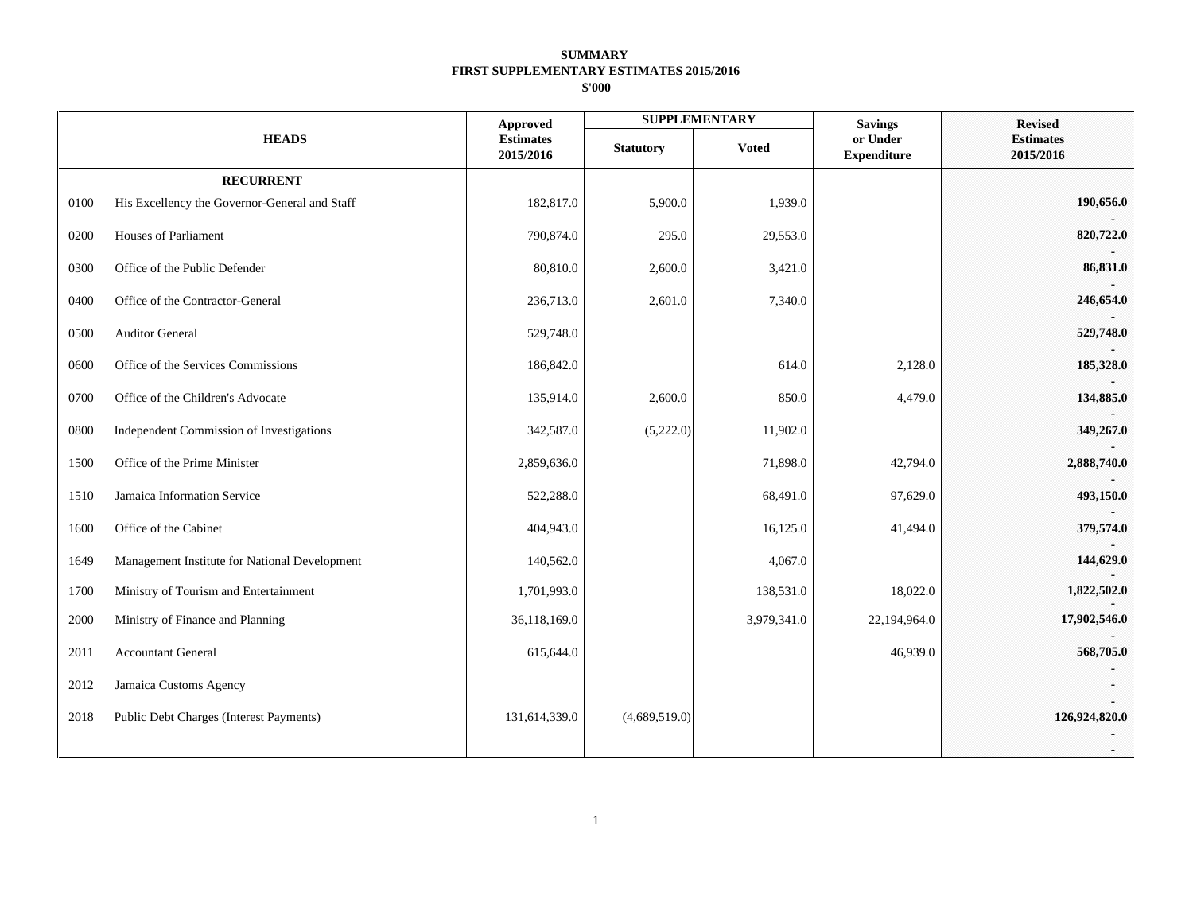|      |                                               | <b>Approved</b>               |                  | <b>SUPPLEMENTARY</b> | <b>Savings</b>                 | <b>Revised</b>                |
|------|-----------------------------------------------|-------------------------------|------------------|----------------------|--------------------------------|-------------------------------|
|      | <b>HEADS</b>                                  | <b>Estimates</b><br>2015/2016 | <b>Statutory</b> | <b>Voted</b>         | or Under<br><b>Expenditure</b> | <b>Estimates</b><br>2015/2016 |
|      | <b>RECURRENT</b>                              |                               |                  |                      |                                |                               |
| 0100 | His Excellency the Governor-General and Staff | 182,817.0                     | 5,900.0          | 1,939.0              |                                | 190,656.0                     |
| 0200 | Houses of Parliament                          | 790,874.0                     | 295.0            | 29,553.0             |                                | 820,722.0                     |
| 0300 | Office of the Public Defender                 | 80,810.0                      | 2,600.0          | 3,421.0              |                                | 86,831.0                      |
| 0400 | Office of the Contractor-General              | 236,713.0                     | 2,601.0          | 7,340.0              |                                | 246,654.0                     |
| 0500 | Auditor General                               | 529,748.0                     |                  |                      |                                | 529,748.0                     |
| 0600 | Office of the Services Commissions            | 186,842.0                     |                  | 614.0                | 2,128.0                        | 185,328.0                     |
| 0700 | Office of the Children's Advocate             | 135,914.0                     | 2,600.0          | 850.0                | 4,479.0                        | 134,885.0                     |
| 0800 | Independent Commission of Investigations      | 342,587.0                     | (5,222.0)        | 11,902.0             |                                | 349,267.0                     |
| 1500 | Office of the Prime Minister                  | 2,859,636.0                   |                  | 71,898.0             | 42,794.0                       | 2,888,740.0                   |
| 1510 | Jamaica Information Service                   | 522,288.0                     |                  | 68,491.0             | 97,629.0                       | 493,150.0                     |
| 1600 | Office of the Cabinet                         | 404,943.0                     |                  | 16,125.0             | 41,494.0                       | 379,574.0                     |
| 1649 | Management Institute for National Development | 140,562.0                     |                  | 4,067.0              |                                | 144,629.0                     |
| 1700 | Ministry of Tourism and Entertainment         | 1,701,993.0                   |                  | 138,531.0            | 18,022.0                       | 1,822,502.0                   |
| 2000 | Ministry of Finance and Planning              | 36,118,169.0                  |                  | 3,979,341.0          | 22,194,964.0                   | 17,902,546.0                  |
| 2011 | <b>Accountant General</b>                     | 615,644.0                     |                  |                      | 46,939.0                       | 568,705.0                     |
| 2012 | Jamaica Customs Agency                        |                               |                  |                      |                                |                               |
| 2018 | Public Debt Charges (Interest Payments)       | 131,614,339.0                 | (4,689,519.0)    |                      |                                | 126,924,820.0                 |
|      |                                               |                               |                  |                      |                                |                               |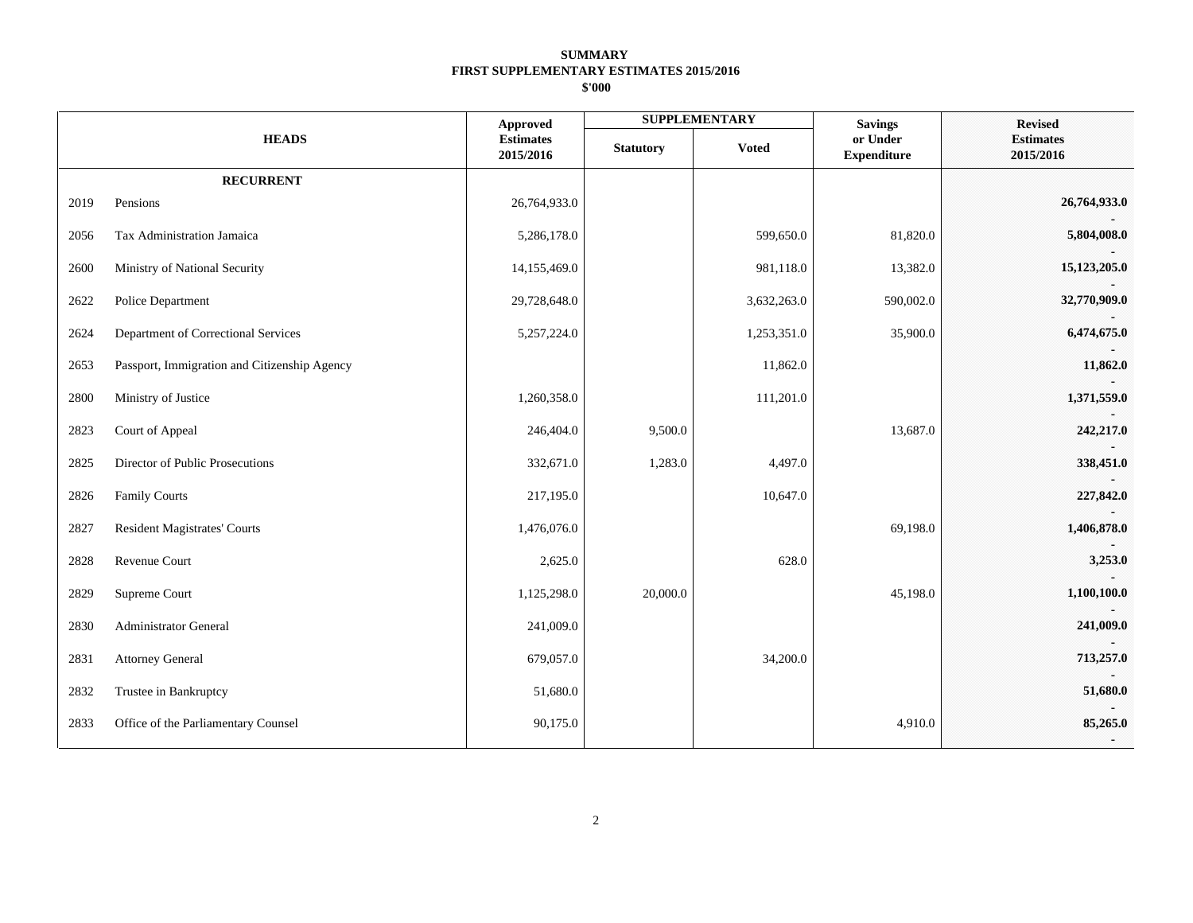|      |                                              | <b>Approved</b>               |                  | <b>SUPPLEMENTARY</b> | <b>Savings</b>                 | <b>Revised</b>                |
|------|----------------------------------------------|-------------------------------|------------------|----------------------|--------------------------------|-------------------------------|
|      | <b>HEADS</b>                                 | <b>Estimates</b><br>2015/2016 | <b>Statutory</b> | <b>Voted</b>         | or Under<br><b>Expenditure</b> | <b>Estimates</b><br>2015/2016 |
|      | <b>RECURRENT</b>                             |                               |                  |                      |                                |                               |
| 2019 | Pensions                                     | 26,764,933.0                  |                  |                      |                                | 26,764,933.0                  |
| 2056 | Tax Administration Jamaica                   | 5,286,178.0                   |                  | 599,650.0            | 81,820.0                       | 5,804,008.0                   |
| 2600 | Ministry of National Security                | 14,155,469.0                  |                  | 981,118.0            | 13,382.0                       | 15,123,205.0                  |
| 2622 | Police Department                            | 29,728,648.0                  |                  | 3,632,263.0          | 590,002.0                      | 32,770,909.0                  |
| 2624 | Department of Correctional Services          | 5,257,224.0                   |                  | 1,253,351.0          | 35,900.0                       | 6,474,675.0                   |
| 2653 | Passport, Immigration and Citizenship Agency |                               |                  | 11,862.0             |                                | 11,862.0                      |
| 2800 | Ministry of Justice                          | 1,260,358.0                   |                  | 111,201.0            |                                | 1,371,559.0                   |
| 2823 | Court of Appeal                              | 246,404.0                     | 9,500.0          |                      | 13,687.0                       | 242,217.0                     |
| 2825 | Director of Public Prosecutions              | 332,671.0                     | 1,283.0          | 4,497.0              |                                | 338,451.0                     |
| 2826 | <b>Family Courts</b>                         | 217,195.0                     |                  | 10,647.0             |                                | 227,842.0                     |
| 2827 | Resident Magistrates' Courts                 | 1,476,076.0                   |                  |                      | 69,198.0                       | 1,406,878.0                   |
| 2828 | Revenue Court                                | 2,625.0                       |                  | 628.0                |                                | 3,253.0                       |
| 2829 | Supreme Court                                | 1,125,298.0                   | 20,000.0         |                      | 45,198.0                       | 1,100,100.0                   |
| 2830 | Administrator General                        | 241,009.0                     |                  |                      |                                | 241,009.0                     |
| 2831 | <b>Attorney General</b>                      | 679,057.0                     |                  | 34,200.0             |                                | 713,257.0                     |
| 2832 | Trustee in Bankruptcy                        | 51,680.0                      |                  |                      |                                | 51,680.0                      |
| 2833 | Office of the Parliamentary Counsel          | 90,175.0                      |                  |                      | 4,910.0                        | 85,265.0                      |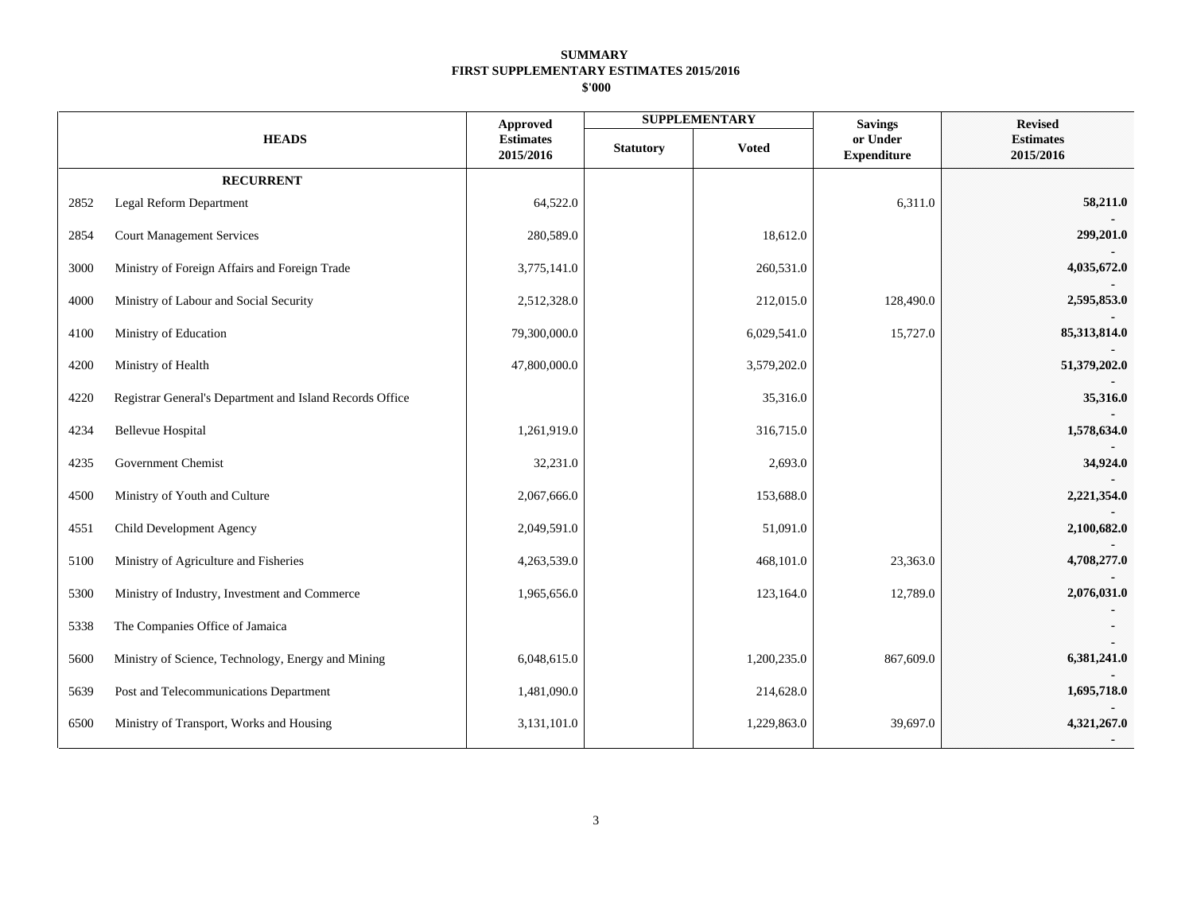| <b>HEADS</b> |                                                          | <b>Approved</b>               |                  | <b>SUPPLEMENTARY</b> | <b>Savings</b>                 | <b>Revised</b>                |
|--------------|----------------------------------------------------------|-------------------------------|------------------|----------------------|--------------------------------|-------------------------------|
|              |                                                          | <b>Estimates</b><br>2015/2016 | <b>Statutory</b> | <b>Voted</b>         | or Under<br><b>Expenditure</b> | <b>Estimates</b><br>2015/2016 |
|              | <b>RECURRENT</b>                                         |                               |                  |                      |                                |                               |
| 2852         | Legal Reform Department                                  | 64,522.0                      |                  |                      | 6,311.0                        | 58,211.0                      |
| 2854         | <b>Court Management Services</b>                         | 280,589.0                     |                  | 18,612.0             |                                | 299,201.0                     |
| 3000         | Ministry of Foreign Affairs and Foreign Trade            | 3,775,141.0                   |                  | 260,531.0            |                                | 4,035,672.0                   |
| 4000         | Ministry of Labour and Social Security                   | 2,512,328.0                   |                  | 212,015.0            | 128,490.0                      | 2,595,853.0                   |
| 4100         | Ministry of Education                                    | 79,300,000.0                  |                  | 6,029,541.0          | 15,727.0                       | 85,313,814.0                  |
| 4200         | Ministry of Health                                       | 47,800,000.0                  |                  | 3,579,202.0          |                                | 51,379,202.0                  |
| 4220         | Registrar General's Department and Island Records Office |                               |                  | 35,316.0             |                                | 35,316.0                      |
| 4234         | <b>Bellevue Hospital</b>                                 | 1,261,919.0                   |                  | 316,715.0            |                                | 1,578,634.0                   |
| 4235         | Government Chemist                                       | 32,231.0                      |                  | 2,693.0              |                                | 34,924.0                      |
| 4500         | Ministry of Youth and Culture                            | 2,067,666.0                   |                  | 153,688.0            |                                | 2,221,354.0                   |
| 4551         | Child Development Agency                                 | 2,049,591.0                   |                  | 51,091.0             |                                | 2,100,682.0                   |
| 5100         | Ministry of Agriculture and Fisheries                    | 4,263,539.0                   |                  | 468,101.0            | 23,363.0                       | 4,708,277.0                   |
| 5300         | Ministry of Industry, Investment and Commerce            | 1,965,656.0                   |                  | 123,164.0            | 12,789.0                       | 2,076,031.0                   |
| 5338         | The Companies Office of Jamaica                          |                               |                  |                      |                                |                               |
| 5600         | Ministry of Science, Technology, Energy and Mining       | 6,048,615.0                   |                  | 1,200,235.0          | 867,609.0                      | 6,381,241.0                   |
| 5639         | Post and Telecommunications Department                   | 1,481,090.0                   |                  | 214,628.0            |                                | 1,695,718.0                   |
| 6500         | Ministry of Transport, Works and Housing                 | 3,131,101.0                   |                  | 1,229,863.0          | 39,697.0                       | 4,321,267.0                   |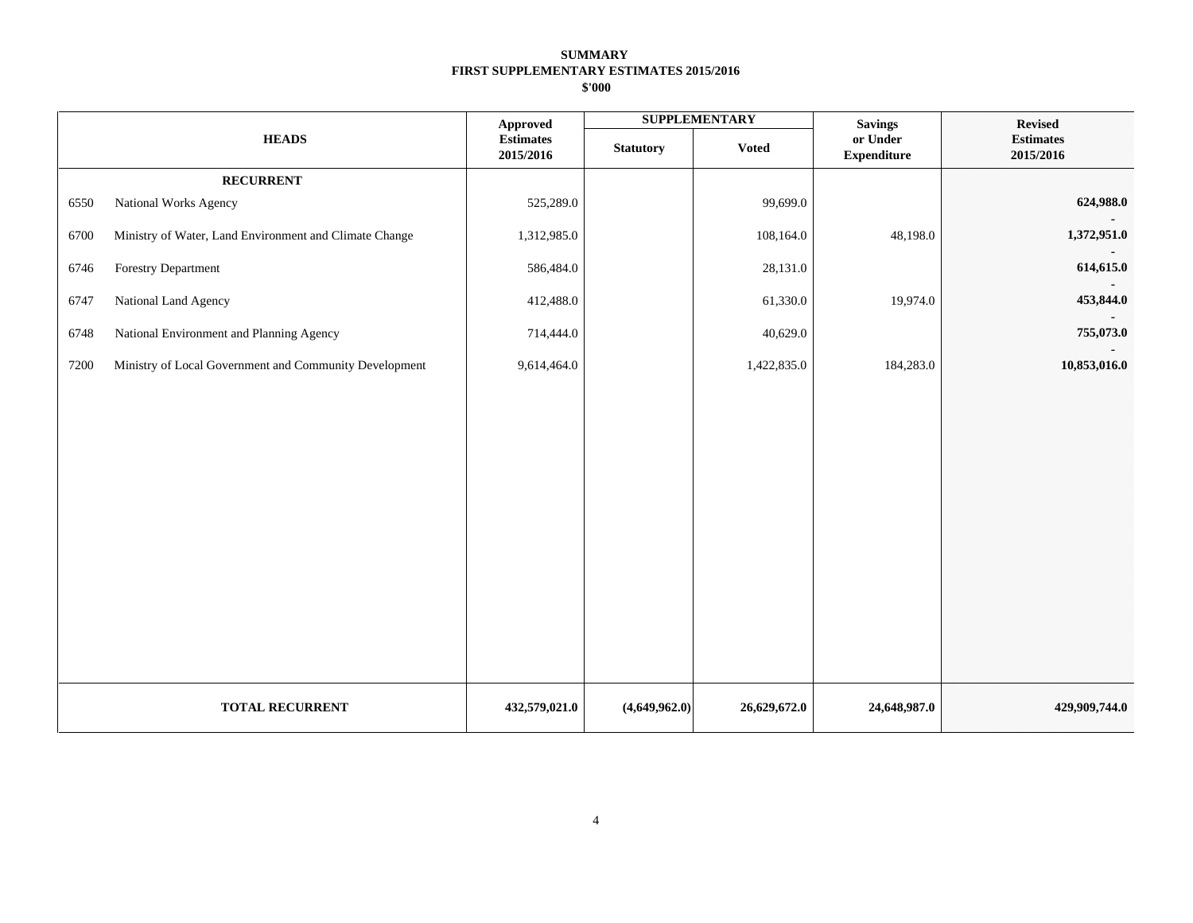|      |                                                        | <b>Approved</b>               |                                  | <b>SUPPLEMENTARY</b> | <b>Savings</b>                 | <b>Revised</b>                |  |
|------|--------------------------------------------------------|-------------------------------|----------------------------------|----------------------|--------------------------------|-------------------------------|--|
|      | <b>HEADS</b>                                           | <b>Estimates</b><br>2015/2016 | <b>Voted</b><br><b>Statutory</b> |                      | or Under<br><b>Expenditure</b> | <b>Estimates</b><br>2015/2016 |  |
|      | <b>RECURRENT</b>                                       |                               |                                  |                      |                                |                               |  |
| 6550 | National Works Agency                                  | 525,289.0                     |                                  | 99,699.0             |                                | 624,988.0                     |  |
| 6700 | Ministry of Water, Land Environment and Climate Change | 1,312,985.0                   |                                  | 108,164.0            | 48,198.0                       | 1,372,951.0                   |  |
| 6746 | <b>Forestry Department</b>                             | 586,484.0                     |                                  | 28,131.0             |                                | 614,615.0                     |  |
| 6747 | National Land Agency                                   | 412,488.0                     |                                  | 61,330.0             | 19,974.0                       | 453,844.0                     |  |
| 6748 | National Environment and Planning Agency               | 714,444.0                     |                                  | 40,629.0             |                                | 755,073.0                     |  |
| 7200 | Ministry of Local Government and Community Development | 9,614,464.0                   |                                  | 1,422,835.0          | 184,283.0                      | 10,853,016.0                  |  |
|      | <b>TOTAL RECURRENT</b>                                 | 432,579,021.0                 | (4,649,962.0)                    | 26,629,672.0         | 24,648,987.0                   | 429,909,744.0                 |  |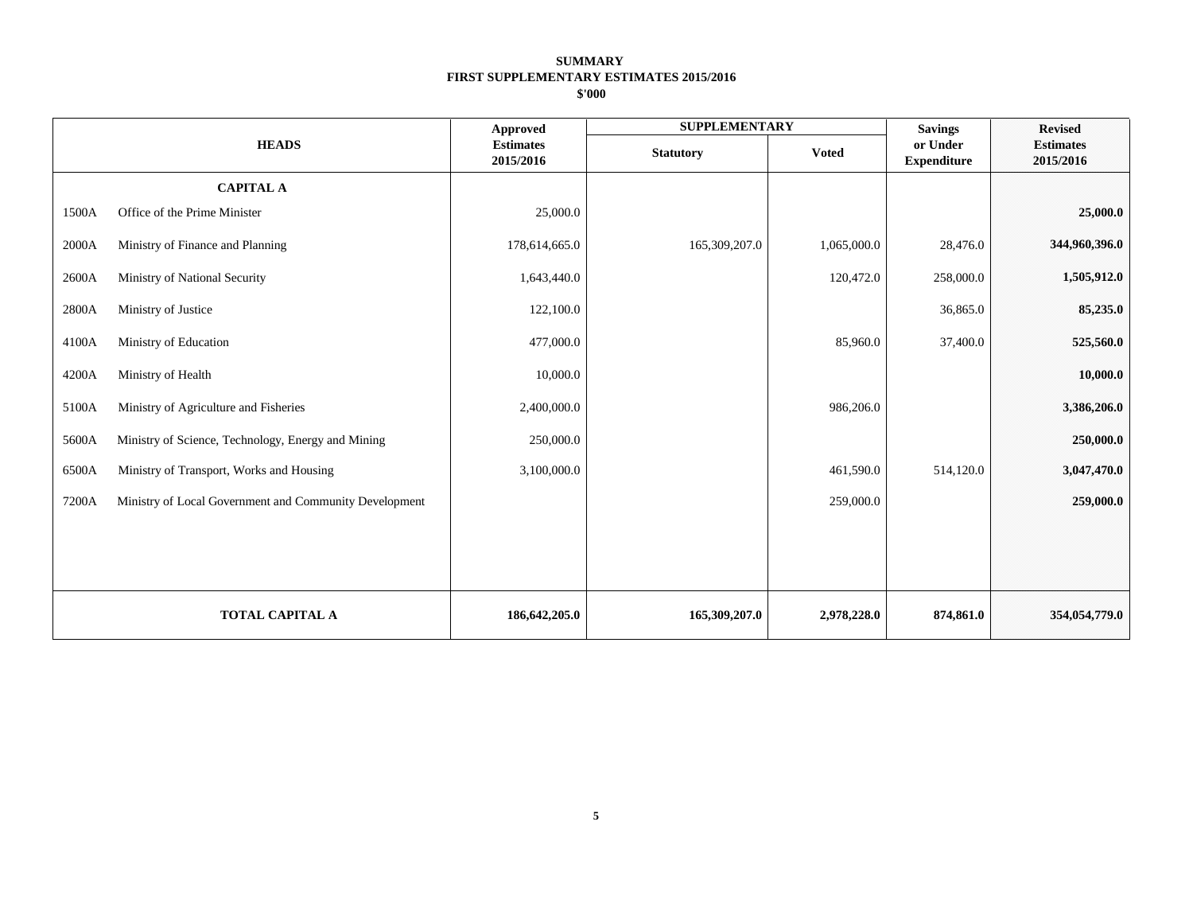|       |                                                        | <b>Approved</b>               | <b>SUPPLEMENTARY</b> |              | <b>Savings</b>                 | <b>Revised</b>                |
|-------|--------------------------------------------------------|-------------------------------|----------------------|--------------|--------------------------------|-------------------------------|
|       | <b>HEADS</b>                                           | <b>Estimates</b><br>2015/2016 | <b>Statutory</b>     | <b>Voted</b> | or Under<br><b>Expenditure</b> | <b>Estimates</b><br>2015/2016 |
|       | <b>CAPITAL A</b>                                       |                               |                      |              |                                |                               |
| 1500A | Office of the Prime Minister                           | 25,000.0                      |                      |              |                                | 25,000.0                      |
| 2000A | Ministry of Finance and Planning                       | 178,614,665.0                 | 165,309,207.0        | 1,065,000.0  | 28,476.0                       | 344,960,396.0                 |
| 2600A | Ministry of National Security                          | 1,643,440.0                   |                      | 120,472.0    | 258,000.0                      | 1,505,912.0                   |
| 2800A | Ministry of Justice                                    | 122,100.0                     |                      |              | 36,865.0                       | 85,235.0                      |
| 4100A | Ministry of Education                                  | 477,000.0                     |                      | 85,960.0     | 37,400.0                       | 525,560.0                     |
| 4200A | Ministry of Health                                     | 10,000.0                      |                      |              |                                | 10,000.0                      |
| 5100A | Ministry of Agriculture and Fisheries                  | 2,400,000.0                   |                      | 986,206.0    |                                | 3,386,206.0                   |
| 5600A | Ministry of Science, Technology, Energy and Mining     | 250,000.0                     |                      |              |                                | 250,000.0                     |
| 6500A | Ministry of Transport, Works and Housing               | 3,100,000.0                   |                      | 461,590.0    | 514,120.0                      | 3,047,470.0                   |
| 7200A | Ministry of Local Government and Community Development |                               |                      | 259,000.0    |                                | 259,000.0                     |
|       |                                                        |                               |                      |              |                                |                               |
|       |                                                        |                               |                      |              |                                |                               |
|       | TOTAL CAPITAL A                                        | 186, 642, 205.0               | 165,309,207.0        | 2,978,228.0  | 874,861.0                      | 354,054,779.0                 |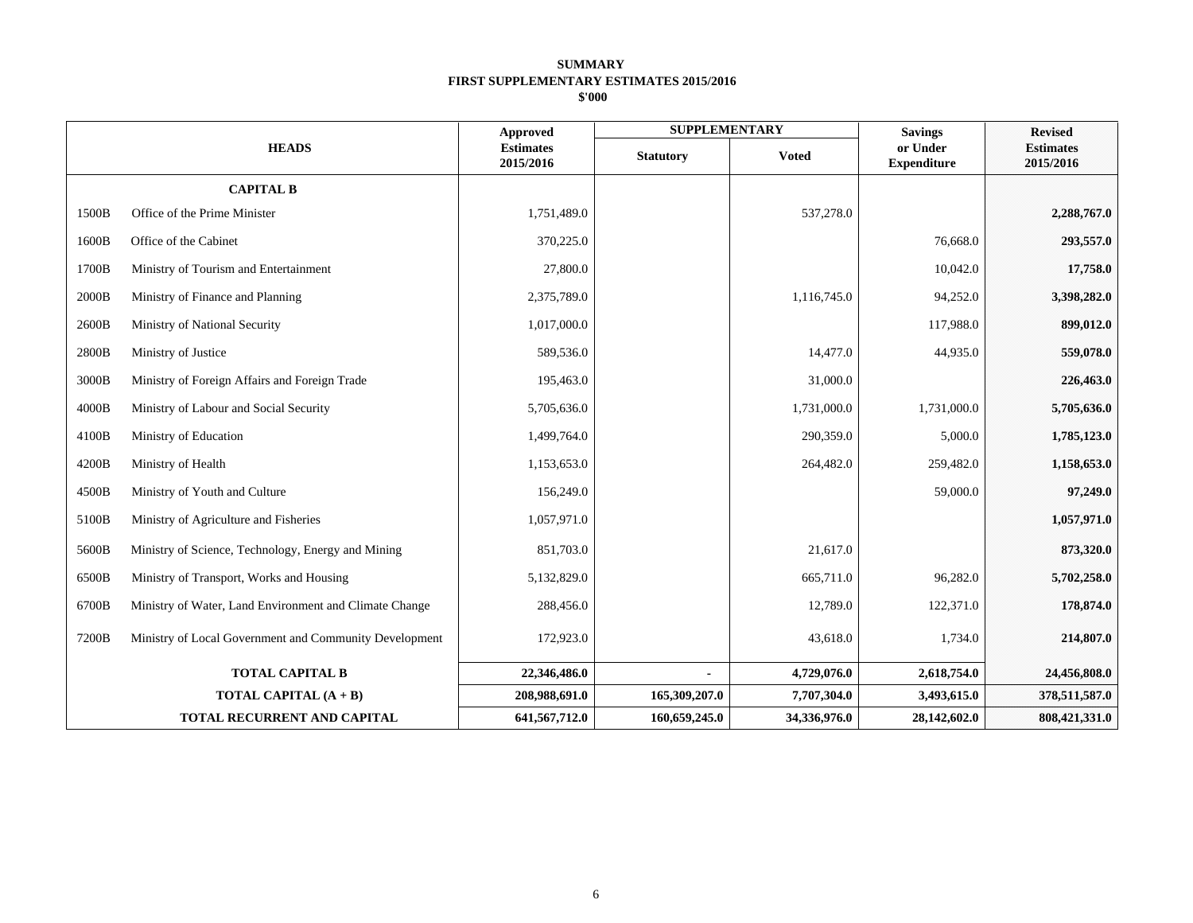|                                                                 |                               | <b>Approved</b>  | <b>SUPPLEMENTARY</b> |                                | <b>Savings</b> | <b>Revised</b><br><b>Estimates</b><br>2015/2016 |
|-----------------------------------------------------------------|-------------------------------|------------------|----------------------|--------------------------------|----------------|-------------------------------------------------|
| <b>HEADS</b>                                                    | <b>Estimates</b><br>2015/2016 | <b>Statutory</b> | <b>Voted</b>         | or Under<br><b>Expenditure</b> |                |                                                 |
| <b>CAPITAL B</b>                                                |                               |                  |                      |                                |                |                                                 |
| 1500B<br>Office of the Prime Minister                           |                               | 1,751,489.0      |                      | 537,278.0                      |                | 2,288,767.0                                     |
| 1600B<br>Office of the Cabinet                                  |                               | 370,225.0        |                      |                                | 76,668.0       | 293,557.0                                       |
| 1700B<br>Ministry of Tourism and Entertainment                  |                               | 27,800.0         |                      |                                | 10,042.0       | 17,758.0                                        |
| 2000B<br>Ministry of Finance and Planning                       |                               | 2,375,789.0      |                      | 1,116,745.0                    | 94,252.0       | 3,398,282.0                                     |
| 2600B<br>Ministry of National Security                          |                               | 1,017,000.0      |                      |                                | 117,988.0      | 899,012.0                                       |
| 2800B<br>Ministry of Justice                                    |                               | 589,536.0        |                      | 14,477.0                       | 44,935.0       | 559,078.0                                       |
| 3000B<br>Ministry of Foreign Affairs and Foreign Trade          |                               | 195,463.0        |                      | 31,000.0                       |                | 226,463.0                                       |
| 4000B<br>Ministry of Labour and Social Security                 |                               | 5,705,636.0      |                      | 1,731,000.0                    | 1,731,000.0    | 5,705,636.0                                     |
| 4100B<br>Ministry of Education                                  |                               | 1,499,764.0      |                      | 290,359.0                      | 5,000.0        | 1,785,123.0                                     |
| 4200B<br>Ministry of Health                                     |                               | 1,153,653.0      |                      | 264,482.0                      | 259,482.0      | 1,158,653.0                                     |
| 4500B<br>Ministry of Youth and Culture                          |                               | 156,249.0        |                      |                                | 59,000.0       | 97,249.0                                        |
| 5100B<br>Ministry of Agriculture and Fisheries                  |                               | 1,057,971.0      |                      |                                |                | 1,057,971.0                                     |
| 5600B<br>Ministry of Science, Technology, Energy and Mining     |                               | 851,703.0        |                      | 21,617.0                       |                | 873,320.0                                       |
| 6500B<br>Ministry of Transport, Works and Housing               |                               | 5,132,829.0      |                      | 665,711.0                      | 96,282.0       | 5,702,258.0                                     |
| 6700B<br>Ministry of Water, Land Environment and Climate Change |                               | 288,456.0        |                      | 12,789.0                       | 122,371.0      | 178,874.0                                       |
| 7200B<br>Ministry of Local Government and Community Development |                               | 172,923.0        |                      | 43,618.0                       | 1,734.0        | 214,807.0                                       |
| <b>TOTAL CAPITAL B</b>                                          |                               | 22,346,486.0     |                      | 4,729,076.0                    | 2,618,754.0    | 24,456,808.0                                    |
| TOTAL CAPITAL (A + B)                                           |                               | 208,988,691.0    | 165,309,207.0        | 7,707,304.0                    | 3,493,615.0    | 378,511,587.0                                   |
| <b>TOTAL RECURRENT AND CAPITAL</b>                              |                               | 641,567,712.0    | 160,659,245.0        | 34,336,976.0                   | 28,142,602.0   | 808,421,331.0                                   |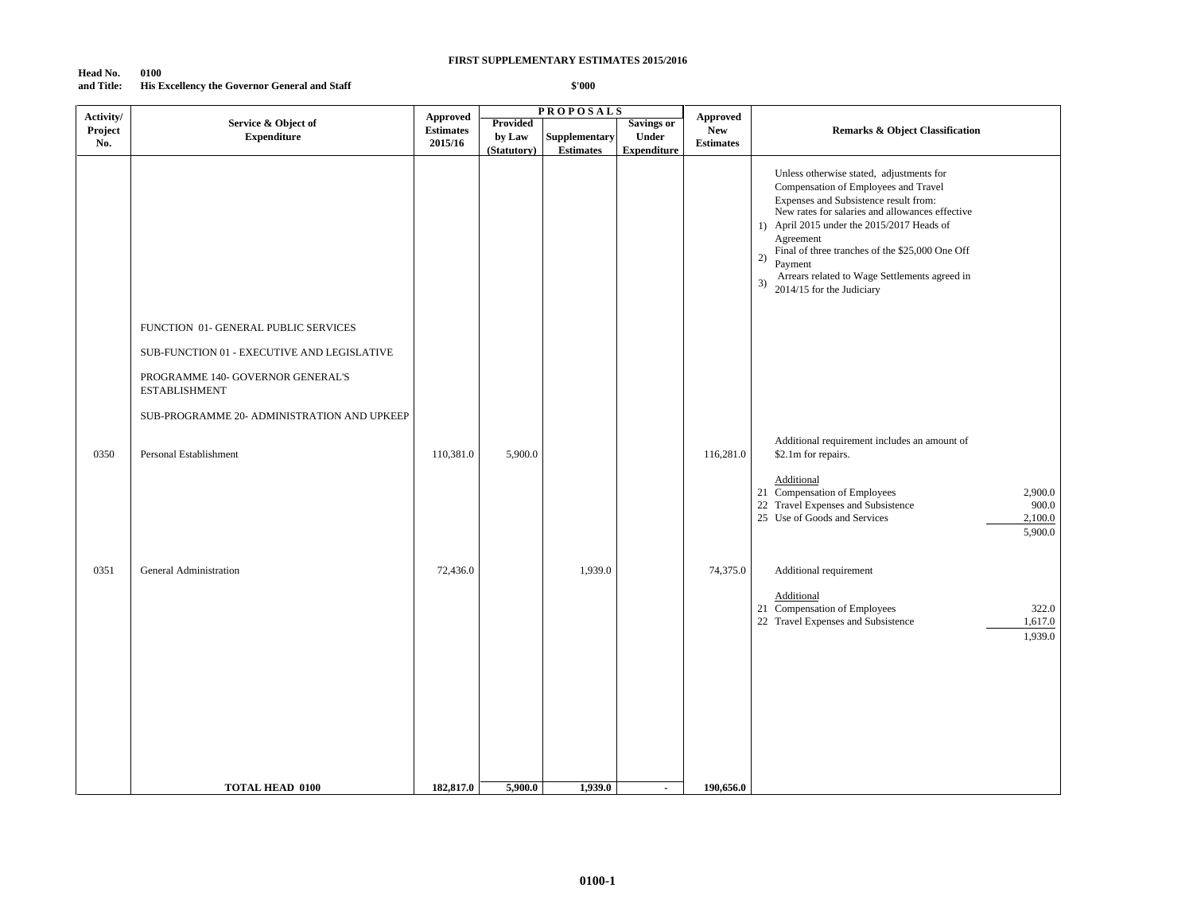### **Head No. 0100 and Title: His Excellency the Governor General and Staff**

| Activity/      |                                                                                                          | <b>Approved</b>             |                                   | <b>PROPOSALS</b>                         |                                                  | <b>Approved</b>                |                                                                                                                                                                                                                                                                                                                                                                                                 |
|----------------|----------------------------------------------------------------------------------------------------------|-----------------------------|-----------------------------------|------------------------------------------|--------------------------------------------------|--------------------------------|-------------------------------------------------------------------------------------------------------------------------------------------------------------------------------------------------------------------------------------------------------------------------------------------------------------------------------------------------------------------------------------------------|
| Project<br>No. | Service & Object of<br><b>Expenditure</b>                                                                | <b>Estimates</b><br>2015/16 | Provided<br>by Law<br>(Statutory) | <b>Supplementary</b><br><b>Estimates</b> | Savings or<br><b>Under</b><br><b>Expenditure</b> | <b>New</b><br><b>Estimates</b> | <b>Remarks &amp; Object Classification</b>                                                                                                                                                                                                                                                                                                                                                      |
|                |                                                                                                          |                             |                                   |                                          |                                                  |                                | Unless otherwise stated, adjustments for<br>Compensation of Employees and Travel<br>Expenses and Subsistence result from:<br>New rates for salaries and allowances effective<br>1) April 2015 under the 2015/2017 Heads of<br>Agreement<br>Final of three tranches of the \$25,000 One Off<br>2)<br>Payment<br>Arrears related to Wage Settlements agreed in<br>3)<br>2014/15 for the Judiciary |
|                | FUNCTION 01- GENERAL PUBLIC SERVICES                                                                     |                             |                                   |                                          |                                                  |                                |                                                                                                                                                                                                                                                                                                                                                                                                 |
|                | SUB-FUNCTION 01 - EXECUTIVE AND LEGISLATIVE<br>PROGRAMME 140- GOVERNOR GENERAL'S<br><b>ESTABLISHMENT</b> |                             |                                   |                                          |                                                  |                                |                                                                                                                                                                                                                                                                                                                                                                                                 |
|                | SUB-PROGRAMME 20- ADMINISTRATION AND UPKEEP                                                              |                             |                                   |                                          |                                                  |                                |                                                                                                                                                                                                                                                                                                                                                                                                 |
| 0350           | Personal Establishment                                                                                   | 110,381.0                   | 5,900.0                           |                                          |                                                  | 116,281.0                      | Additional requirement includes an amount of<br>\$2.1m for repairs.                                                                                                                                                                                                                                                                                                                             |
|                |                                                                                                          |                             |                                   |                                          |                                                  |                                | Additional<br>21 Compensation of Employees<br>2,900.0<br>22 Travel Expenses and Subsistence<br>900.0<br>25 Use of Goods and Services<br>2,100.0<br>5,900.0                                                                                                                                                                                                                                      |
| 0351           | <b>General Administration</b>                                                                            | 72,436.0                    |                                   | 1,939.0                                  |                                                  | 74,375.0                       | Additional requirement                                                                                                                                                                                                                                                                                                                                                                          |
|                |                                                                                                          |                             |                                   |                                          |                                                  |                                | Additional<br>21 Compensation of Employees<br>322.0<br>1,617.0<br>22 Travel Expenses and Subsistence<br>1,939.0                                                                                                                                                                                                                                                                                 |
|                | <b>TOTAL HEAD 0100</b>                                                                                   | 182,817.0                   | 5,900.0                           | 1,939.0                                  | $\blacksquare$                                   | 190,656.0                      |                                                                                                                                                                                                                                                                                                                                                                                                 |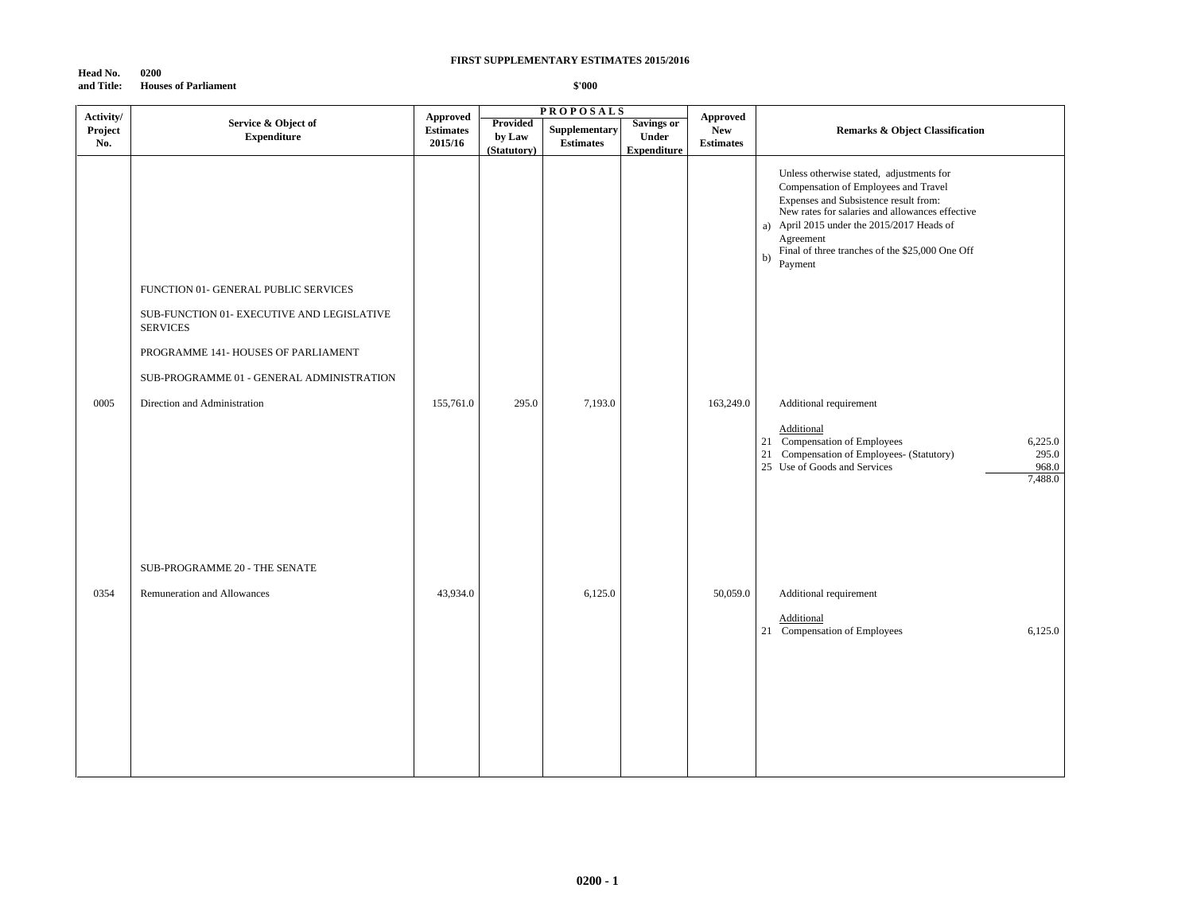#### **Head No. 0200 and Title: Houses of Parliament**

| Activity/      |                                                               | Approved                    |                                          | <b>PROPOSALS</b>                  |                                                         | <b>Approved</b>                |                                                                                                                                                                                                                                                                                                             |
|----------------|---------------------------------------------------------------|-----------------------------|------------------------------------------|-----------------------------------|---------------------------------------------------------|--------------------------------|-------------------------------------------------------------------------------------------------------------------------------------------------------------------------------------------------------------------------------------------------------------------------------------------------------------|
| Project<br>No. | Service & Object of<br><b>Expenditure</b>                     | <b>Estimates</b><br>2015/16 | <b>Provided</b><br>by Law<br>(Statutory) | Supplementary<br><b>Estimates</b> | <b>Savings or</b><br><b>Under</b><br><b>Expenditure</b> | <b>New</b><br><b>Estimates</b> | <b>Remarks &amp; Object Classification</b>                                                                                                                                                                                                                                                                  |
|                |                                                               |                             |                                          |                                   |                                                         |                                | Unless otherwise stated, adjustments for<br>Compensation of Employees and Travel<br>Expenses and Subsistence result from:<br>New rates for salaries and allowances effective<br>a) April 2015 under the 2015/2017 Heads of<br>Agreement<br>Final of three tranches of the \$25,000 One Off<br>b)<br>Payment |
|                | FUNCTION 01- GENERAL PUBLIC SERVICES                          |                             |                                          |                                   |                                                         |                                |                                                                                                                                                                                                                                                                                                             |
|                | SUB-FUNCTION 01- EXECUTIVE AND LEGISLATIVE<br><b>SERVICES</b> |                             |                                          |                                   |                                                         |                                |                                                                                                                                                                                                                                                                                                             |
|                | PROGRAMME 141- HOUSES OF PARLIAMENT                           |                             |                                          |                                   |                                                         |                                |                                                                                                                                                                                                                                                                                                             |
|                | SUB-PROGRAMME 01 - GENERAL ADMINISTRATION                     |                             |                                          |                                   |                                                         |                                |                                                                                                                                                                                                                                                                                                             |
| 0005           | Direction and Administration                                  | 155,761.0                   | 295.0                                    | 7,193.0                           |                                                         | 163,249.0                      | Additional requirement                                                                                                                                                                                                                                                                                      |
|                |                                                               |                             |                                          |                                   |                                                         |                                | Additional<br>21 Compensation of Employees<br>6,225.0<br>21 Compensation of Employees- (Statutory)<br>295.0<br>968.0<br>25 Use of Goods and Services<br>7,488.0                                                                                                                                             |
|                |                                                               |                             |                                          |                                   |                                                         |                                |                                                                                                                                                                                                                                                                                                             |
| 0354           | SUB-PROGRAMME 20 - THE SENATE<br>Remuneration and Allowances  | 43,934.0                    |                                          | 6,125.0                           |                                                         | 50,059.0                       | Additional requirement<br>Additional<br>21 Compensation of Employees<br>6,125.0                                                                                                                                                                                                                             |
|                |                                                               |                             |                                          |                                   |                                                         |                                |                                                                                                                                                                                                                                                                                                             |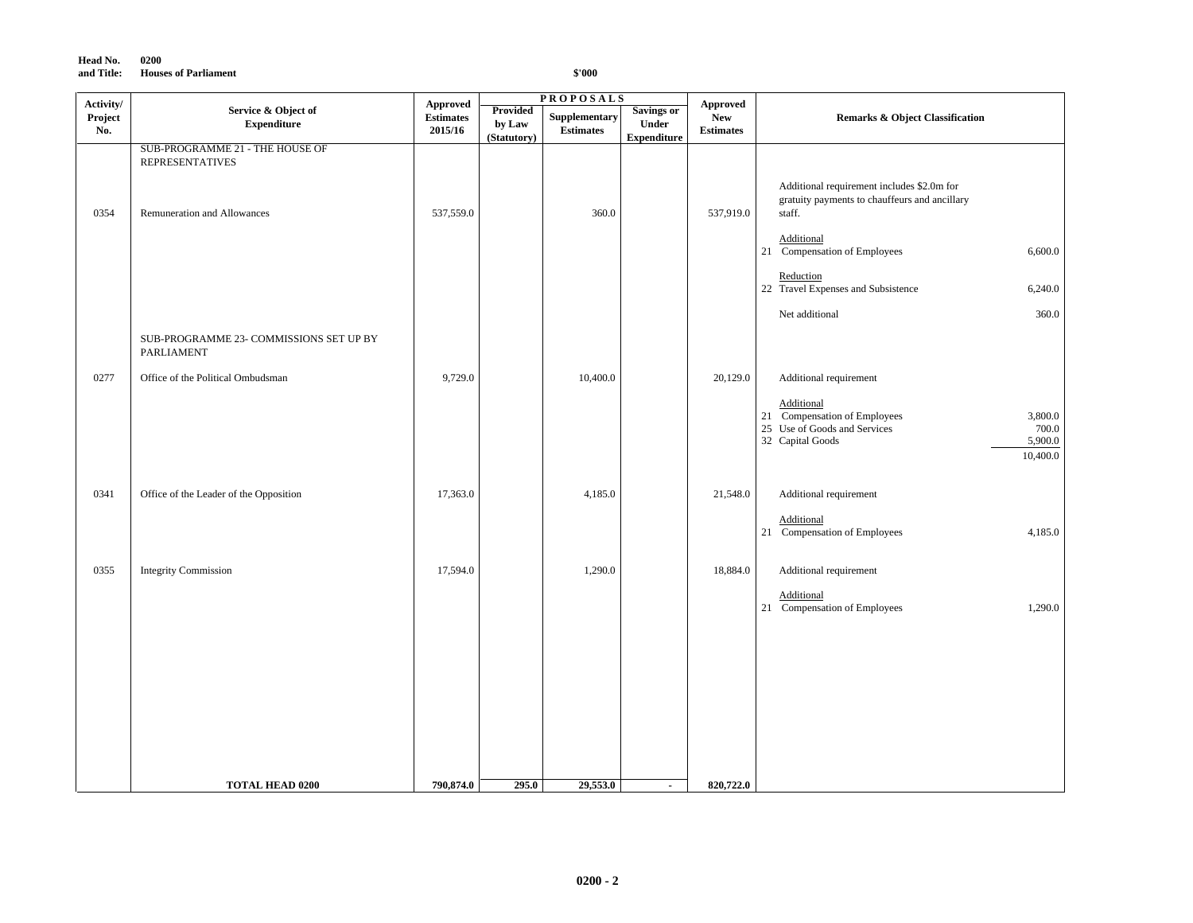| Head No.   | 0200                        |
|------------|-----------------------------|
| and Title: | <b>Houses of Parliament</b> |

| Activity/      |                                                           | Approved                    |                                          | <b>PROPOSALS</b>                  |                                                         | <b>Approved</b>                |                                                                                                                                           |
|----------------|-----------------------------------------------------------|-----------------------------|------------------------------------------|-----------------------------------|---------------------------------------------------------|--------------------------------|-------------------------------------------------------------------------------------------------------------------------------------------|
| Project<br>No. | Service & Object of<br>${\bf Expenditure}$                | <b>Estimates</b><br>2015/16 | <b>Provided</b><br>by Law<br>(Statutory) | Supplementary<br><b>Estimates</b> | <b>Savings or</b><br><b>Under</b><br><b>Expenditure</b> | <b>New</b><br><b>Estimates</b> | <b>Remarks &amp; Object Classification</b>                                                                                                |
|                | SUB-PROGRAMME 21 - THE HOUSE OF<br><b>REPRESENTATIVES</b> |                             |                                          |                                   |                                                         |                                |                                                                                                                                           |
| 0354           | Remuneration and Allowances                               | 537,559.0                   |                                          | 360.0                             |                                                         | 537,919.0                      | Additional requirement includes \$2.0m for<br>gratuity payments to chauffeurs and ancillary<br>staff.                                     |
|                |                                                           |                             |                                          |                                   |                                                         |                                | Additional<br>21 Compensation of Employees<br>6,600.0                                                                                     |
|                |                                                           |                             |                                          |                                   |                                                         |                                | Reduction<br>22 Travel Expenses and Subsistence<br>6,240.0                                                                                |
|                | SUB-PROGRAMME 23- COMMISSIONS SET UP BY                   |                             |                                          |                                   |                                                         |                                | 360.0<br>Net additional                                                                                                                   |
| 0277           | PARLIAMENT<br>Office of the Political Ombudsman           | 9,729.0                     |                                          | 10,400.0                          |                                                         | 20,129.0                       | Additional requirement                                                                                                                    |
|                |                                                           |                             |                                          |                                   |                                                         |                                | Additional<br>21 Compensation of Employees<br>3,800.0<br>25 Use of Goods and Services<br>700.0<br>32 Capital Goods<br>5,900.0<br>10,400.0 |
| 0341           | Office of the Leader of the Opposition                    | 17,363.0                    |                                          | 4,185.0                           |                                                         | 21,548.0                       | Additional requirement                                                                                                                    |
|                |                                                           |                             |                                          |                                   |                                                         |                                | Additional<br>21 Compensation of Employees<br>4,185.0                                                                                     |
| 0355           | <b>Integrity Commission</b>                               | 17,594.0                    |                                          | 1,290.0                           |                                                         | 18,884.0                       | Additional requirement                                                                                                                    |
|                |                                                           |                             |                                          |                                   |                                                         |                                | Additional<br>21 Compensation of Employees<br>1,290.0                                                                                     |
|                |                                                           |                             |                                          |                                   |                                                         |                                |                                                                                                                                           |
|                |                                                           |                             |                                          |                                   |                                                         |                                |                                                                                                                                           |
|                |                                                           |                             |                                          |                                   |                                                         |                                |                                                                                                                                           |
|                | <b>TOTAL HEAD 0200</b>                                    | 790,874.0                   | 295.0                                    | 29,553.0                          | $\blacksquare$                                          | 820,722.0                      |                                                                                                                                           |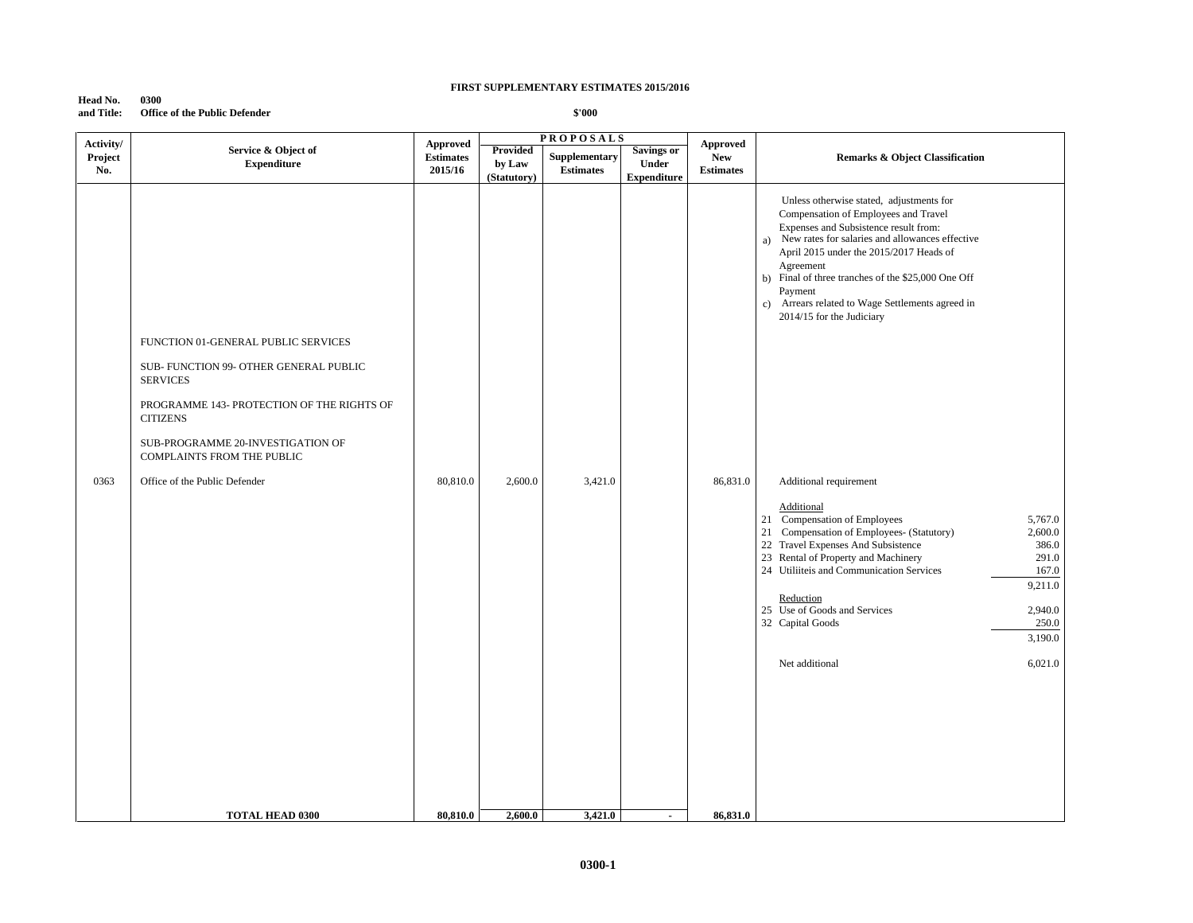**Head No. 0300 and Title: Office of the Public Defender**

| Activity/ |                                                                                                                                                                                                        | <b>Approved</b>  |             | <b>PROPOSALS</b> |                          | <b>Approved</b>  |                                                                                                                                                                                                                                                                                                                                                                                                             |
|-----------|--------------------------------------------------------------------------------------------------------------------------------------------------------------------------------------------------------|------------------|-------------|------------------|--------------------------|------------------|-------------------------------------------------------------------------------------------------------------------------------------------------------------------------------------------------------------------------------------------------------------------------------------------------------------------------------------------------------------------------------------------------------------|
| Project   | Service & Object of                                                                                                                                                                                    | <b>Estimates</b> | Provided    | Supplementary    | <b>Savings or</b>        | <b>New</b>       | <b>Remarks &amp; Object Classification</b>                                                                                                                                                                                                                                                                                                                                                                  |
| No.       | <b>Expenditure</b>                                                                                                                                                                                     | 2015/16          | by Law      | <b>Estimates</b> | Under                    | <b>Estimates</b> |                                                                                                                                                                                                                                                                                                                                                                                                             |
|           |                                                                                                                                                                                                        |                  | (Statutory) |                  | <b>Expenditure</b>       |                  |                                                                                                                                                                                                                                                                                                                                                                                                             |
|           | FUNCTION 01-GENERAL PUBLIC SERVICES<br>SUB- FUNCTION 99- OTHER GENERAL PUBLIC<br><b>SERVICES</b><br>PROGRAMME 143- PROTECTION OF THE RIGHTS OF<br><b>CITIZENS</b><br>SUB-PROGRAMME 20-INVESTIGATION OF |                  |             |                  |                          |                  | Unless otherwise stated, adjustments for<br>Compensation of Employees and Travel<br>Expenses and Subsistence result from:<br>New rates for salaries and allowances effective<br>a)<br>April 2015 under the 2015/2017 Heads of<br>Agreement<br>b) Final of three tranches of the \$25,000 One Off<br>Payment<br>Arrears related to Wage Settlements agreed in<br>$\mathbf{c}$ )<br>2014/15 for the Judiciary |
|           | COMPLAINTS FROM THE PUBLIC                                                                                                                                                                             |                  |             |                  |                          |                  |                                                                                                                                                                                                                                                                                                                                                                                                             |
| 0363      | Office of the Public Defender                                                                                                                                                                          | 80,810.0         | 2,600.0     | 3,421.0          |                          | 86,831.0         | Additional requirement<br><b>Additional</b><br>21 Compensation of Employees<br>5,767.0<br>21 Compensation of Employees- (Statutory)<br>2,600.0<br>22 Travel Expenses And Subsistence<br>386.0<br>23 Rental of Property and Machinery<br>291.0<br>24 Utiliiteis and Communication Services<br>167.0                                                                                                          |
|           |                                                                                                                                                                                                        |                  |             |                  |                          |                  | 9,211.0<br>Reduction<br>25 Use of Goods and Services<br>2,940.0<br>32 Capital Goods<br>250.0<br>3,190.0                                                                                                                                                                                                                                                                                                     |
|           |                                                                                                                                                                                                        |                  |             |                  |                          |                  | Net additional<br>6,021.0                                                                                                                                                                                                                                                                                                                                                                                   |
|           | <b>TOTAL HEAD 0300</b>                                                                                                                                                                                 | 80,810.0         | 2,600.0     | 3,421.0          | $\overline{\phantom{a}}$ | 86,831.0         |                                                                                                                                                                                                                                                                                                                                                                                                             |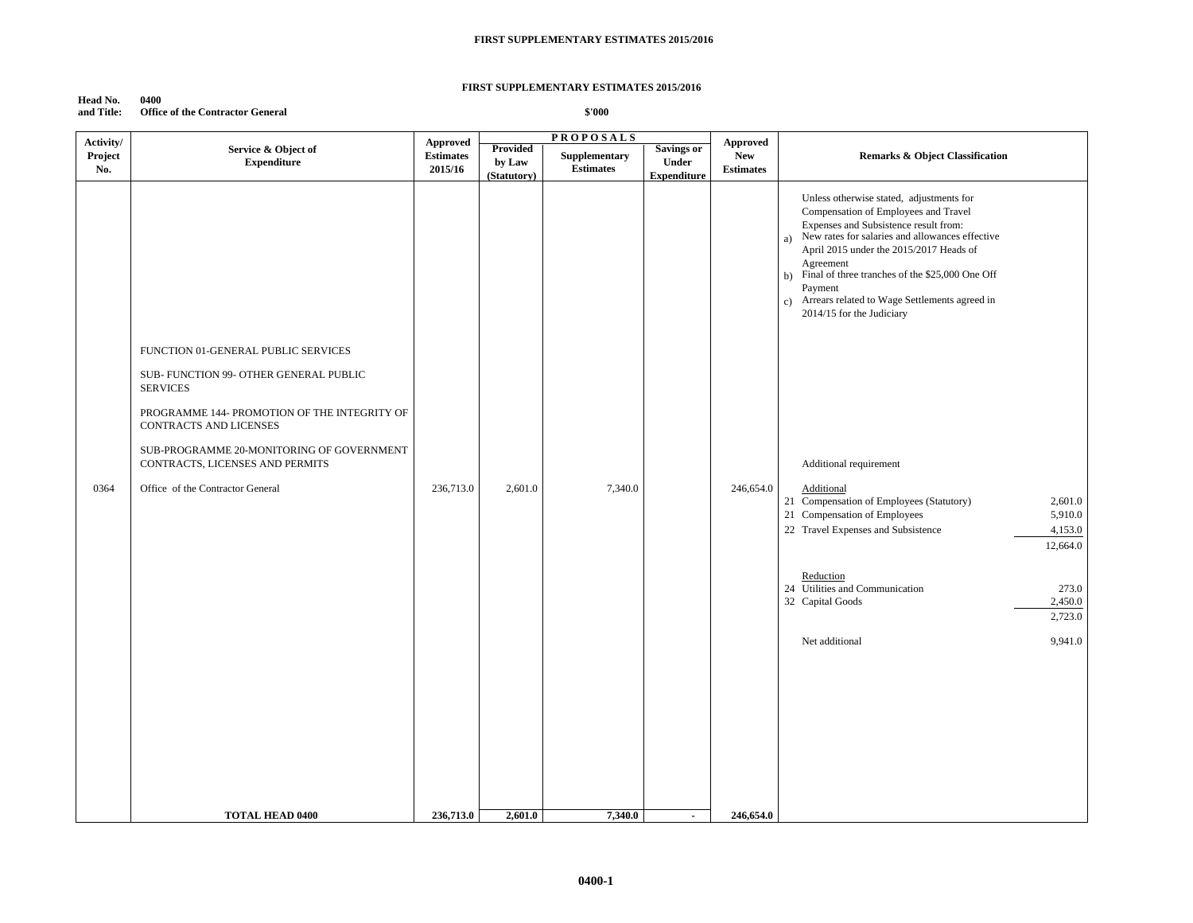### **Head No. 0400 and Title: Office of the Contractor General**

| Activity/      |                                                                                                                                                                                                                                                                                                | <b>Approved</b>             |                        | <b>PROPOSALS</b>                  |                                   | Approved                       |                                                                                                                                                                                                                                                                                                                                                                                                                                                                                                                                                                                                                                                                                                                                 |
|----------------|------------------------------------------------------------------------------------------------------------------------------------------------------------------------------------------------------------------------------------------------------------------------------------------------|-----------------------------|------------------------|-----------------------------------|-----------------------------------|--------------------------------|---------------------------------------------------------------------------------------------------------------------------------------------------------------------------------------------------------------------------------------------------------------------------------------------------------------------------------------------------------------------------------------------------------------------------------------------------------------------------------------------------------------------------------------------------------------------------------------------------------------------------------------------------------------------------------------------------------------------------------|
| Project<br>No. | Service & Object of<br><b>Expenditure</b>                                                                                                                                                                                                                                                      | <b>Estimates</b><br>2015/16 | Provided<br>by Law     | Supplementary<br><b>Estimates</b> | <b>Savings or</b><br><b>Under</b> | <b>New</b><br><b>Estimates</b> | <b>Remarks &amp; Object Classification</b>                                                                                                                                                                                                                                                                                                                                                                                                                                                                                                                                                                                                                                                                                      |
| 0364           | FUNCTION 01-GENERAL PUBLIC SERVICES<br>SUB- FUNCTION 99- OTHER GENERAL PUBLIC<br><b>SERVICES</b><br>PROGRAMME 144- PROMOTION OF THE INTEGRITY OF<br>CONTRACTS AND LICENSES<br>SUB-PROGRAMME 20-MONITORING OF GOVERNMENT<br>CONTRACTS, LICENSES AND PERMITS<br>Office of the Contractor General | 236,713.0                   | (Statutory)<br>2,601.0 | 7,340.0                           | <b>Expenditure</b>                | 246,654.0                      | Unless otherwise stated, adjustments for<br>Compensation of Employees and Travel<br>Expenses and Subsistence result from:<br>a) New rates for salaries and allowances effective<br>April 2015 under the 2015/2017 Heads of<br>Agreement<br>b) Final of three tranches of the \$25,000 One Off<br>Payment<br>c) Arrears related to Wage Settlements agreed in<br>2014/15 for the Judiciary<br>Additional requirement<br>Additional<br>21 Compensation of Employees (Statutory)<br>2,601.0<br>21 Compensation of Employees<br>5,910.0<br>22 Travel Expenses and Subsistence<br>4,153.0<br>12,664.0<br>Reduction<br>24 Utilities and Communication<br>273.0<br>32 Capital Goods<br>2,450.0<br>2,723.0<br>Net additional<br>9,941.0 |
|                | <b>TOTAL HEAD 0400</b>                                                                                                                                                                                                                                                                         | 236,713.0                   | 2,601.0                | 7,340.0                           | $\sim$                            | 246,654.0                      |                                                                                                                                                                                                                                                                                                                                                                                                                                                                                                                                                                                                                                                                                                                                 |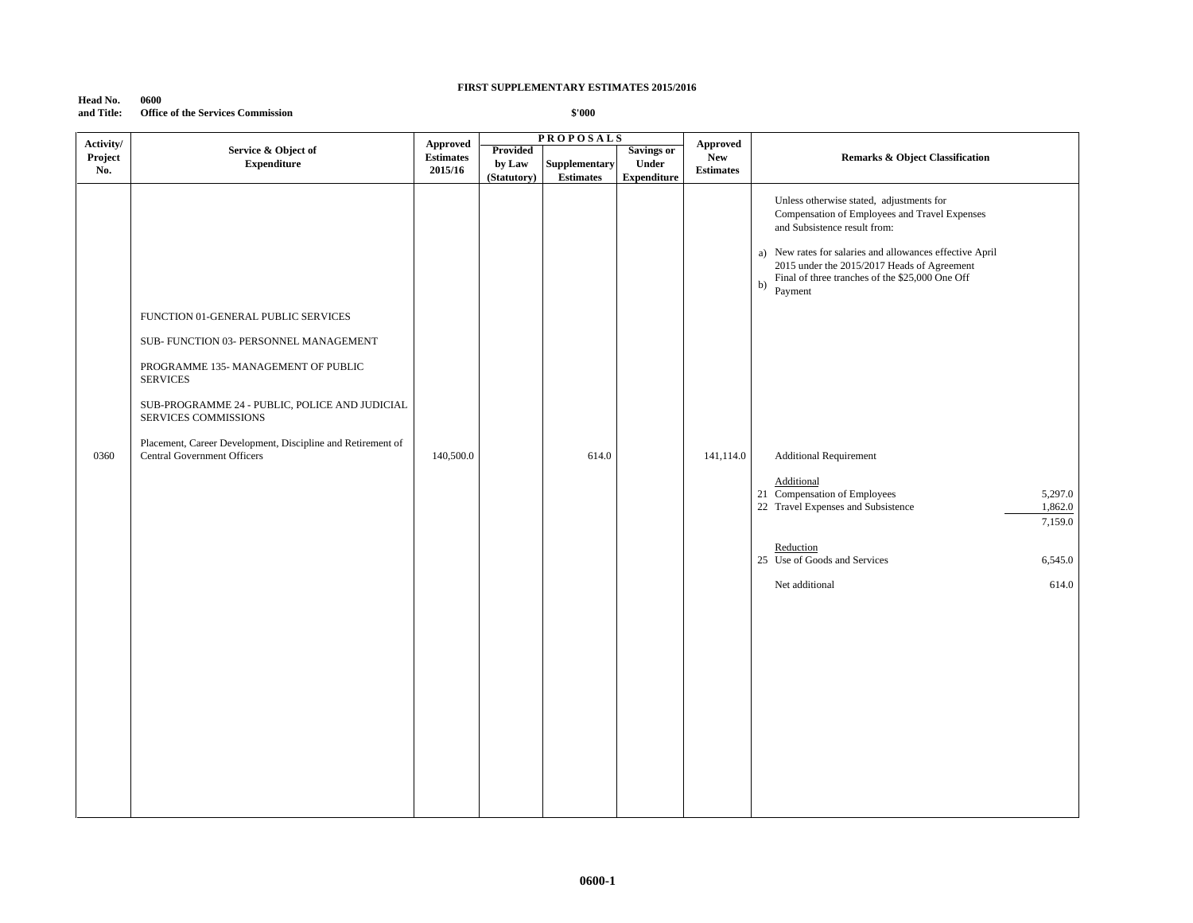**Head No. 0600 and Title: Office of the Services Commission**

| Activity/<br><b>Approved</b><br><b>Approved</b><br>Service & Object of<br><b>Provided</b><br><b>Savings or</b><br>Project<br><b>Estimates</b><br><b>New</b><br><b>Expenditure</b><br>by Law<br><b>Supplementary</b><br>Under<br>No.<br>2015/16<br><b>Estimates</b><br><b>Estimates</b><br><b>Expenditure</b><br>(Statutory)<br>Unless otherwise stated, adjustments for<br>Compensation of Employees and Travel Expenses<br>and Subsistence result from:<br>a) New rates for salaries and allowances effective April<br>2015 under the 2015/2017 Heads of Agreement<br>Final of three tranches of the \$25,000 One Off<br>b)<br>Payment<br>FUNCTION 01-GENERAL PUBLIC SERVICES<br>SUB- FUNCTION 03- PERSONNEL MANAGEMENT |                                                                                                 |  |
|--------------------------------------------------------------------------------------------------------------------------------------------------------------------------------------------------------------------------------------------------------------------------------------------------------------------------------------------------------------------------------------------------------------------------------------------------------------------------------------------------------------------------------------------------------------------------------------------------------------------------------------------------------------------------------------------------------------------------|-------------------------------------------------------------------------------------------------|--|
|                                                                                                                                                                                                                                                                                                                                                                                                                                                                                                                                                                                                                                                                                                                          |                                                                                                 |  |
|                                                                                                                                                                                                                                                                                                                                                                                                                                                                                                                                                                                                                                                                                                                          |                                                                                                 |  |
| PROGRAMME 135- MANAGEMENT OF PUBLIC<br><b>SERVICES</b><br>SUB-PROGRAMME 24 - PUBLIC, POLICE AND JUDICIAL<br>SERVICES COMMISSIONS<br>Placement, Career Development, Discipline and Retirement of<br><b>Central Government Officers</b><br>140,500.0<br>0360<br>614.0<br>141,114.0<br><b>Additional Requirement</b><br>Additional<br>21 Compensation of Employees<br>22 Travel Expenses and Subsistence<br>Reduction<br>25 Use of Goods and Services<br>Net additional                                                                                                                                                                                                                                                     | <b>Remarks &amp; Object Classification</b><br>5,297.0<br>1,862.0<br>7,159.0<br>6,545.0<br>614.0 |  |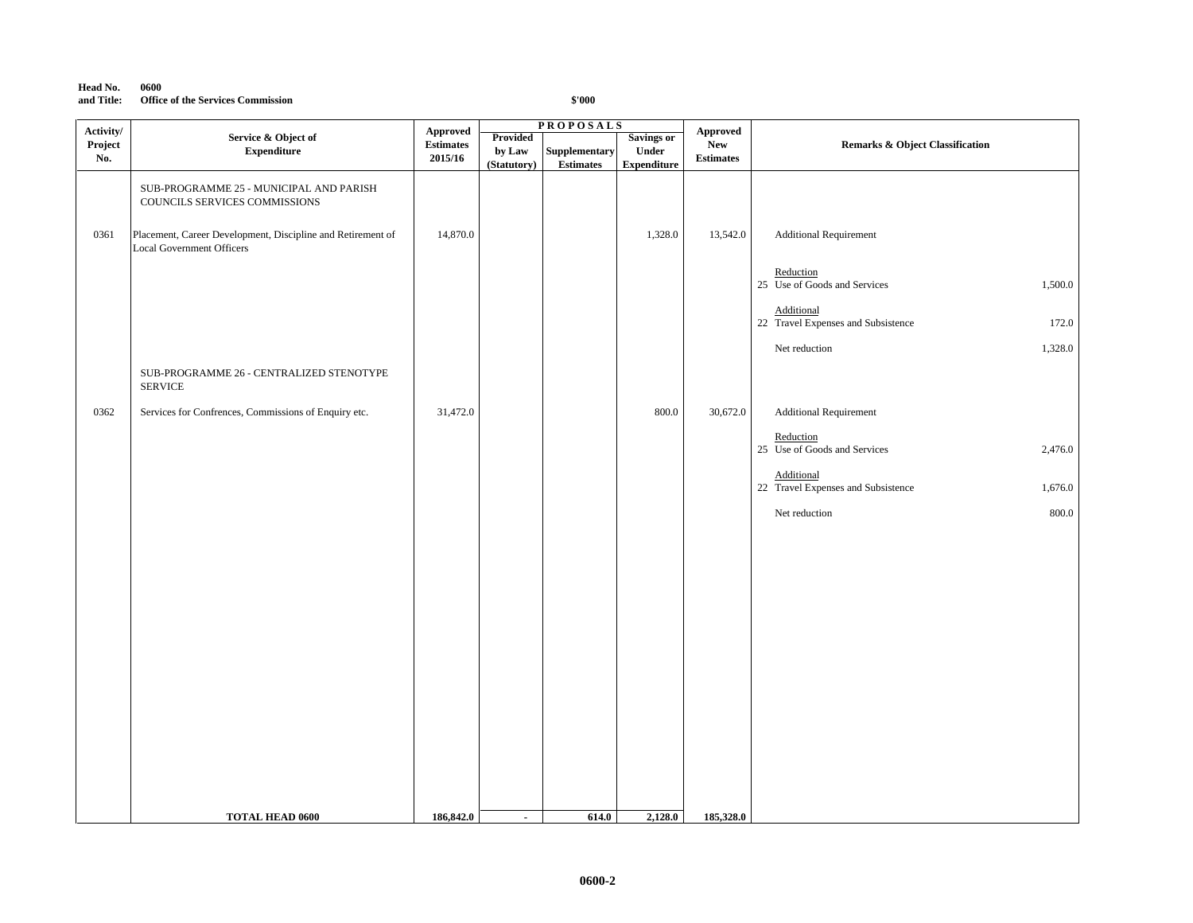### **Head No. 0600 and Title: Office of the Services Commission**

| Activity/ |                                                                                                 |                              | <b>PROPOSALS</b> |                  |                    |                        |                                                             |
|-----------|-------------------------------------------------------------------------------------------------|------------------------------|------------------|------------------|--------------------|------------------------|-------------------------------------------------------------|
| Project   | Service & Object of                                                                             | Approved<br><b>Estimates</b> | <b>Provided</b>  |                  | <b>Savings or</b>  | Approved<br><b>New</b> | <b>Remarks &amp; Object Classification</b>                  |
| No.       | <b>Expenditure</b>                                                                              | 2015/16                      | by Law           | Supplementary    | Under              | <b>Estimates</b>       |                                                             |
|           |                                                                                                 |                              | (Statutory)      | <b>Estimates</b> | <b>Expenditure</b> |                        |                                                             |
|           | SUB-PROGRAMME 25 - MUNICIPAL AND PARISH<br>COUNCILS SERVICES COMMISSIONS                        |                              |                  |                  |                    |                        |                                                             |
| 0361      | Placement, Career Development, Discipline and Retirement of<br><b>Local Government Officers</b> | 14,870.0                     |                  |                  | 1,328.0            | 13,542.0               | <b>Additional Requirement</b>                               |
|           |                                                                                                 |                              |                  |                  |                    |                        | Reduction<br>25 Use of Goods and Services<br>1,500.0        |
|           |                                                                                                 |                              |                  |                  |                    |                        | Additional<br>22 Travel Expenses and Subsistence<br>172.0   |
|           |                                                                                                 |                              |                  |                  |                    |                        | 1,328.0<br>Net reduction                                    |
|           | SUB-PROGRAMME 26 - CENTRALIZED STENOTYPE<br><b>SERVICE</b>                                      |                              |                  |                  |                    |                        |                                                             |
| 0362      | Services for Confrences, Commissions of Enquiry etc.                                            | 31,472.0                     |                  |                  | $800.0\,$          | 30,672.0               | <b>Additional Requirement</b>                               |
|           |                                                                                                 |                              |                  |                  |                    |                        | Reduction                                                   |
|           |                                                                                                 |                              |                  |                  |                    |                        | 25 Use of Goods and Services<br>2,476.0                     |
|           |                                                                                                 |                              |                  |                  |                    |                        | Additional<br>22 Travel Expenses and Subsistence<br>1,676.0 |
|           |                                                                                                 |                              |                  |                  |                    |                        | $800.0\,$<br>Net reduction                                  |
|           |                                                                                                 |                              |                  |                  |                    |                        |                                                             |
|           |                                                                                                 |                              |                  |                  |                    |                        |                                                             |
|           |                                                                                                 |                              |                  |                  |                    |                        |                                                             |
|           |                                                                                                 |                              |                  |                  |                    |                        |                                                             |
|           |                                                                                                 |                              |                  |                  |                    |                        |                                                             |
|           |                                                                                                 |                              |                  |                  |                    |                        |                                                             |
|           |                                                                                                 |                              |                  |                  |                    |                        |                                                             |
|           |                                                                                                 |                              |                  |                  |                    |                        |                                                             |
|           |                                                                                                 |                              |                  |                  |                    |                        |                                                             |
|           |                                                                                                 |                              |                  |                  |                    |                        |                                                             |
|           |                                                                                                 |                              |                  |                  |                    |                        |                                                             |
|           |                                                                                                 |                              |                  |                  |                    |                        |                                                             |
|           |                                                                                                 |                              |                  |                  |                    |                        |                                                             |
|           |                                                                                                 |                              |                  |                  |                    |                        |                                                             |
|           |                                                                                                 |                              |                  |                  |                    |                        |                                                             |
|           |                                                                                                 |                              |                  |                  |                    |                        |                                                             |
|           | <b>TOTAL HEAD 0600</b>                                                                          | 186,842.0                    | $\sim$           | 614.0            | 2,128.0            | 185,328.0              |                                                             |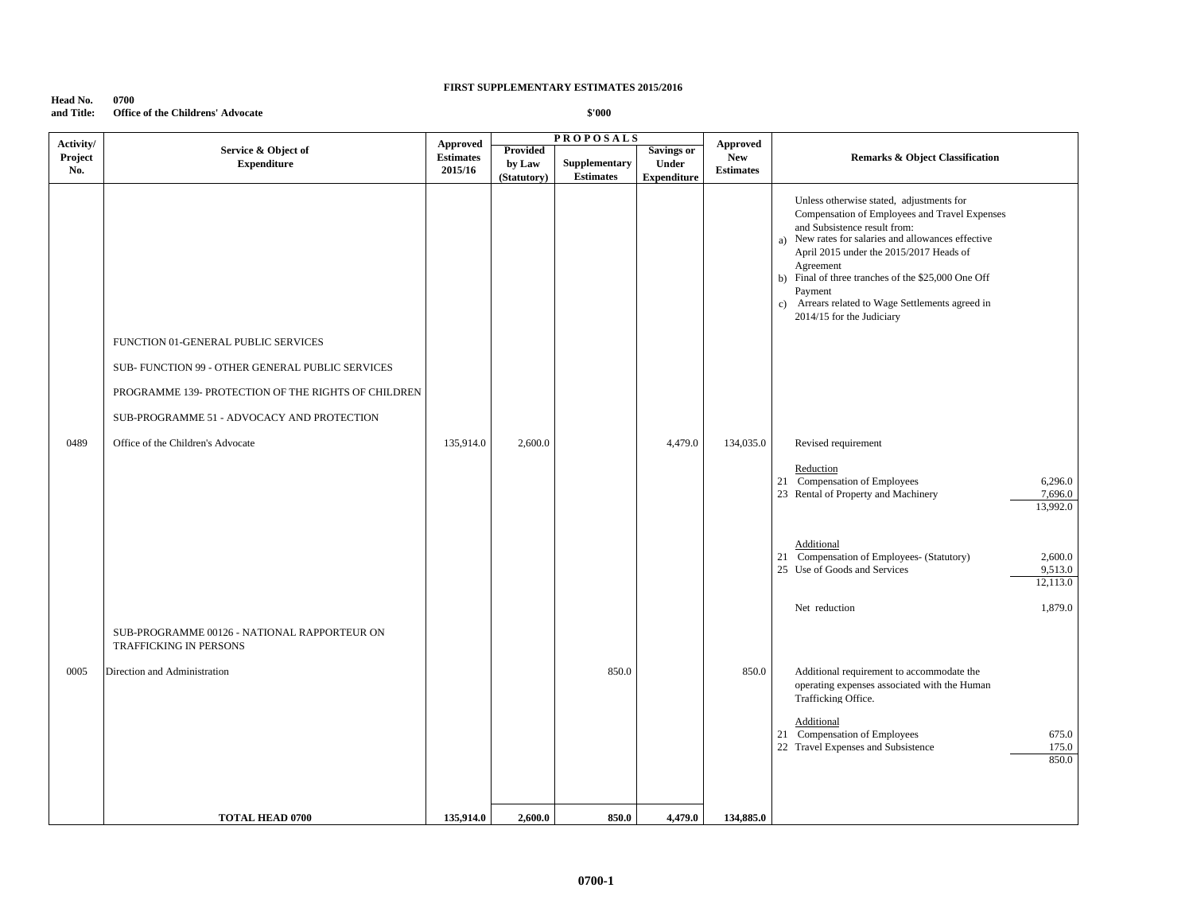| Head No.   | 0700                                     |
|------------|------------------------------------------|
| and Title: | <b>Office of the Childrens' Advocate</b> |

| Activity/      |                                                                                                   | <b>Approved</b>             |                                   | <b>PROPOSALS</b>                  |                                                  | Approved                       |                                                                                                                                                                                                                                                                                                                                                                                              |
|----------------|---------------------------------------------------------------------------------------------------|-----------------------------|-----------------------------------|-----------------------------------|--------------------------------------------------|--------------------------------|----------------------------------------------------------------------------------------------------------------------------------------------------------------------------------------------------------------------------------------------------------------------------------------------------------------------------------------------------------------------------------------------|
| Project<br>No. | Service & Object of<br><b>Expenditure</b>                                                         | <b>Estimates</b><br>2015/16 | Provided<br>by Law<br>(Statutory) | Supplementary<br><b>Estimates</b> | <b>Savings or</b><br>Under<br><b>Expenditure</b> | <b>New</b><br><b>Estimates</b> | <b>Remarks &amp; Object Classification</b>                                                                                                                                                                                                                                                                                                                                                   |
|                | FUNCTION 01-GENERAL PUBLIC SERVICES<br>SUB- FUNCTION 99 - OTHER GENERAL PUBLIC SERVICES           |                             |                                   |                                   |                                                  |                                | Unless otherwise stated, adjustments for<br>Compensation of Employees and Travel Expenses<br>and Subsistence result from:<br>New rates for salaries and allowances effective<br>a)<br>April 2015 under the 2015/2017 Heads of<br>Agreement<br>b) Final of three tranches of the \$25,000 One Off<br>Payment<br>c) Arrears related to Wage Settlements agreed in<br>2014/15 for the Judiciary |
|                | PROGRAMME 139- PROTECTION OF THE RIGHTS OF CHILDREN<br>SUB-PROGRAMME 51 - ADVOCACY AND PROTECTION |                             |                                   |                                   |                                                  |                                |                                                                                                                                                                                                                                                                                                                                                                                              |
| 0489           | Office of the Children's Advocate                                                                 | 135,914.0                   | 2,600.0                           |                                   | 4,479.0                                          | 134,035.0                      | Revised requirement                                                                                                                                                                                                                                                                                                                                                                          |
|                |                                                                                                   |                             |                                   |                                   |                                                  |                                | Reduction<br>21 Compensation of Employees<br>6,296.0<br>23 Rental of Property and Machinery<br>7,696.0<br>13,992.0                                                                                                                                                                                                                                                                           |
|                |                                                                                                   |                             |                                   |                                   |                                                  |                                | Additional<br>21 Compensation of Employees- (Statutory)<br>2,600.0<br>25 Use of Goods and Services<br>9,513.0<br>12,113.0                                                                                                                                                                                                                                                                    |
|                | SUB-PROGRAMME 00126 - NATIONAL RAPPORTEUR ON<br>TRAFFICKING IN PERSONS                            |                             |                                   |                                   |                                                  |                                | 1,879.0<br>Net reduction                                                                                                                                                                                                                                                                                                                                                                     |
| 0005           | Direction and Administration                                                                      |                             |                                   | 850.0                             |                                                  | 850.0                          | Additional requirement to accommodate the<br>operating expenses associated with the Human<br>Trafficking Office.                                                                                                                                                                                                                                                                             |
|                |                                                                                                   |                             |                                   |                                   |                                                  |                                | Additional<br>21 Compensation of Employees<br>675.0<br>22 Travel Expenses and Subsistence<br>175.0<br>850.0                                                                                                                                                                                                                                                                                  |
|                | <b>TOTAL HEAD 0700</b>                                                                            | 135,914.0                   | 2,600.0                           | 850.0                             | 4,479.0                                          | 134,885.0                      |                                                                                                                                                                                                                                                                                                                                                                                              |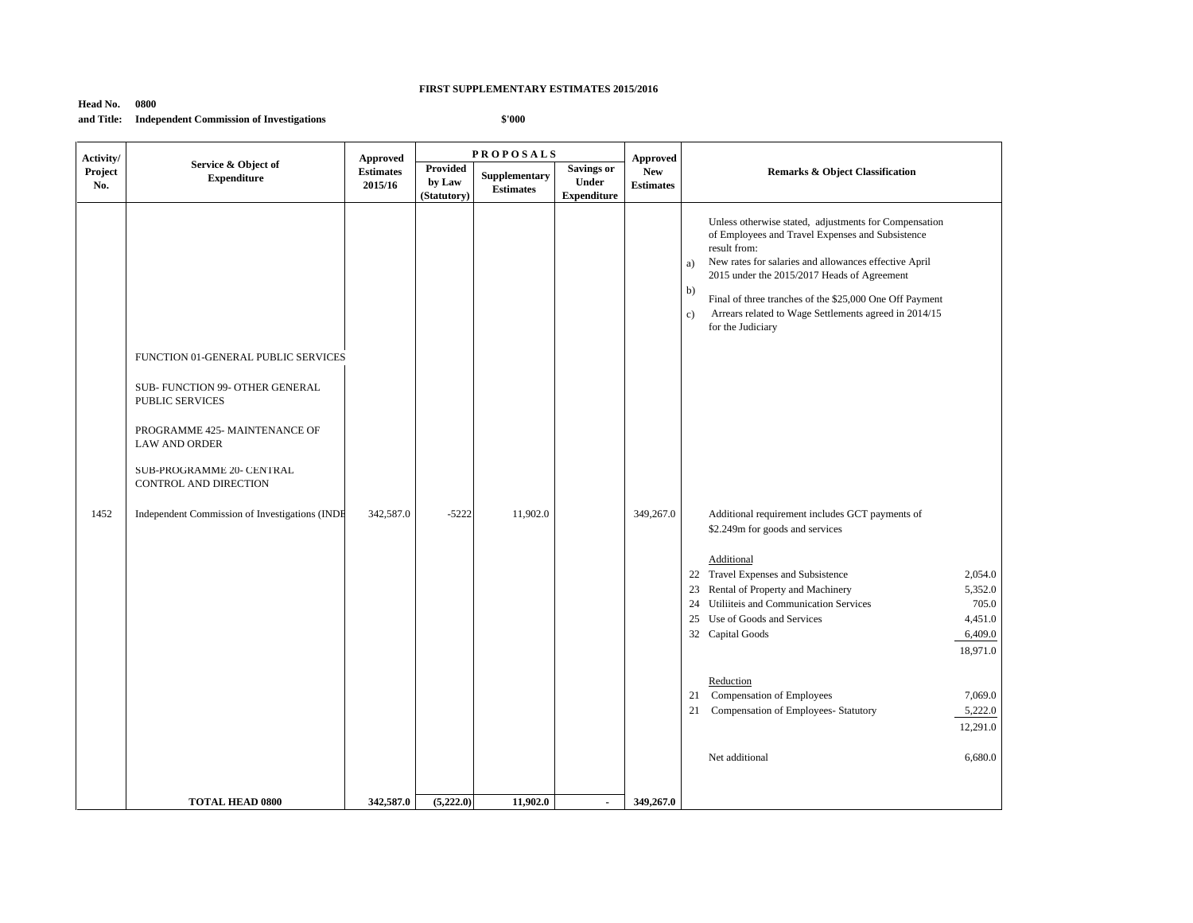# **Head No. 0800**

**and Title: Independent Commission of Investigations**

| Activity/<br>Project<br>No. | Service & Object of                                                                                                                                                                                                                                               | Approved                    |                                   | <b>PROPOSALS</b>                  |                                                  | Approved                       |                                                                                                                                                                                                                                                                                                                                                                                                                                                                                                                                                                                                                                                                                                                                                                                                                                                                                |  |
|-----------------------------|-------------------------------------------------------------------------------------------------------------------------------------------------------------------------------------------------------------------------------------------------------------------|-----------------------------|-----------------------------------|-----------------------------------|--------------------------------------------------|--------------------------------|--------------------------------------------------------------------------------------------------------------------------------------------------------------------------------------------------------------------------------------------------------------------------------------------------------------------------------------------------------------------------------------------------------------------------------------------------------------------------------------------------------------------------------------------------------------------------------------------------------------------------------------------------------------------------------------------------------------------------------------------------------------------------------------------------------------------------------------------------------------------------------|--|
|                             | <b>Expenditure</b>                                                                                                                                                                                                                                                | <b>Estimates</b><br>2015/16 | Provided<br>by Law<br>(Statutory) | Supplementary<br><b>Estimates</b> | <b>Savings or</b><br>Under<br><b>Expenditure</b> | <b>New</b><br><b>Estimates</b> | <b>Remarks &amp; Object Classification</b>                                                                                                                                                                                                                                                                                                                                                                                                                                                                                                                                                                                                                                                                                                                                                                                                                                     |  |
| 1452                        | FUNCTION 01-GENERAL PUBLIC SERVICES<br>SUB- FUNCTION 99- OTHER GENERAL<br><b>PUBLIC SERVICES</b><br>PROGRAMME 425- MAINTENANCE OF<br><b>LAW AND ORDER</b><br>SUB-PROGRAMME 20- CENTRAL<br>CONTROL AND DIRECTION<br>Independent Commission of Investigations (INDE | 342,587.0                   | $-5222$                           | 11,902.0                          |                                                  | 349,267.0                      | Unless otherwise stated, adjustments for Compensation<br>of Employees and Travel Expenses and Subsistence<br>result from:<br>New rates for salaries and allowances effective April<br>a)<br>2015 under the 2015/2017 Heads of Agreement<br>b)<br>Final of three tranches of the \$25,000 One Off Payment<br>Arrears related to Wage Settlements agreed in 2014/15<br>c)<br>for the Judiciary<br>Additional requirement includes GCT payments of<br>\$2.249m for goods and services<br>Additional<br>22 Travel Expenses and Subsistence<br>2,054.0<br>23 Rental of Property and Machinery<br>5,352.0<br>Utiliiteis and Communication Services<br>705.0<br>24<br>25 Use of Goods and Services<br>4,451.0<br>32 Capital Goods<br>6,409.0<br>18,971.0<br>Reduction<br>21 Compensation of Employees<br>7,069.0<br>Compensation of Employees- Statutory<br>5,222.0<br>21<br>12,291.0 |  |
|                             |                                                                                                                                                                                                                                                                   |                             |                                   |                                   |                                                  |                                | Net additional<br>6,680.0                                                                                                                                                                                                                                                                                                                                                                                                                                                                                                                                                                                                                                                                                                                                                                                                                                                      |  |
|                             | <b>TOTAL HEAD 0800</b>                                                                                                                                                                                                                                            | 342,587.0                   | (5,222.0)                         | 11,902.0                          | $\blacksquare$                                   | 349,267.0                      |                                                                                                                                                                                                                                                                                                                                                                                                                                                                                                                                                                                                                                                                                                                                                                                                                                                                                |  |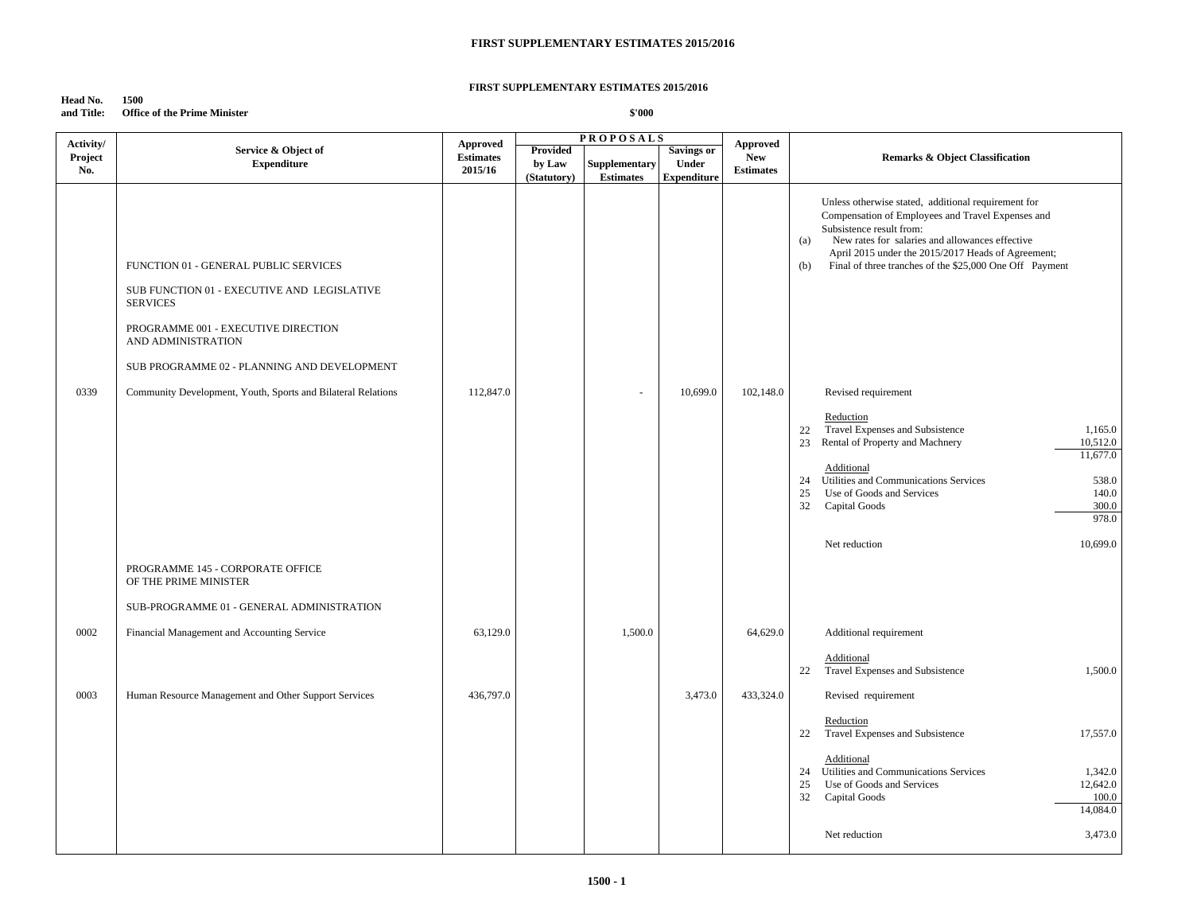### **FIRST SUPPLEMENTARY ESTIMATES 2015/2016**

### **Head No. 1500 and Title: Office of the Prime Minister**

| Activity/ |                                                                                                                                                                                                                     | <b>Approved</b>  |                       | <b>PROPOSALS</b>                  |                             | Approved         |                                                                                                                                                                                                                                                                                                                        |
|-----------|---------------------------------------------------------------------------------------------------------------------------------------------------------------------------------------------------------------------|------------------|-----------------------|-----------------------------------|-----------------------------|------------------|------------------------------------------------------------------------------------------------------------------------------------------------------------------------------------------------------------------------------------------------------------------------------------------------------------------------|
| Project   | Service & Object of                                                                                                                                                                                                 | <b>Estimates</b> | <b>Provided</b>       |                                   | <b>Savings or</b>           | <b>New</b>       | <b>Remarks &amp; Object Classification</b>                                                                                                                                                                                                                                                                             |
| No.       | <b>Expenditure</b>                                                                                                                                                                                                  | 2015/16          | by Law<br>(Statutory) | Supplementary<br><b>Estimates</b> | Under<br><b>Expenditure</b> | <b>Estimates</b> |                                                                                                                                                                                                                                                                                                                        |
|           | FUNCTION 01 - GENERAL PUBLIC SERVICES<br>SUB FUNCTION 01 - EXECUTIVE AND LEGISLATIVE<br><b>SERVICES</b><br>PROGRAMME 001 - EXECUTIVE DIRECTION<br>AND ADMINISTRATION<br>SUB PROGRAMME 02 - PLANNING AND DEVELOPMENT |                  |                       |                                   |                             |                  | Unless otherwise stated, additional requirement for<br>Compensation of Employees and Travel Expenses and<br>Subsistence result from:<br>New rates for salaries and allowances effective<br>(a)<br>April 2015 under the 2015/2017 Heads of Agreement;<br>Final of three tranches of the \$25,000 One Off Payment<br>(b) |
| 0339      | Community Development, Youth, Sports and Bilateral Relations                                                                                                                                                        | 112,847.0        |                       |                                   | 10,699.0                    | 102,148.0        | Revised requirement                                                                                                                                                                                                                                                                                                    |
|           | PROGRAMME 145 - CORPORATE OFFICE<br>OF THE PRIME MINISTER<br>SUB-PROGRAMME 01 - GENERAL ADMINISTRATION                                                                                                              |                  |                       |                                   |                             |                  | Reduction<br>Travel Expenses and Subsistence<br>1,165.0<br>22<br>Rental of Property and Machnery<br>10,512.0<br>23<br>11,677.0<br>Additional<br>Utilities and Communications Services<br>538.0<br>24<br>140.0<br>25<br>Use of Goods and Services<br>32<br>Capital Goods<br>300.0<br>978.0<br>10,699.0<br>Net reduction |
| 0002      | Financial Management and Accounting Service                                                                                                                                                                         | 63,129.0         |                       | 1,500.0                           |                             | 64,629.0         | Additional requirement                                                                                                                                                                                                                                                                                                 |
| 0003      | Human Resource Management and Other Support Services                                                                                                                                                                | 436,797.0        |                       |                                   | 3,473.0                     | 433,324.0        | Additional<br>22<br>Travel Expenses and Subsistence<br>1,500.0<br>Revised requirement                                                                                                                                                                                                                                  |
|           |                                                                                                                                                                                                                     |                  |                       |                                   |                             |                  | Reduction<br>22<br>Travel Expenses and Subsistence<br>17,557.0                                                                                                                                                                                                                                                         |
|           |                                                                                                                                                                                                                     |                  |                       |                                   |                             |                  | Additional<br>24 Utilities and Communications Services<br>1,342.0<br>12,642.0<br>25<br>Use of Goods and Services<br>32<br>Capital Goods<br>100.0<br>14,084.0                                                                                                                                                           |
|           |                                                                                                                                                                                                                     |                  |                       |                                   |                             |                  | Net reduction<br>3,473.0                                                                                                                                                                                                                                                                                               |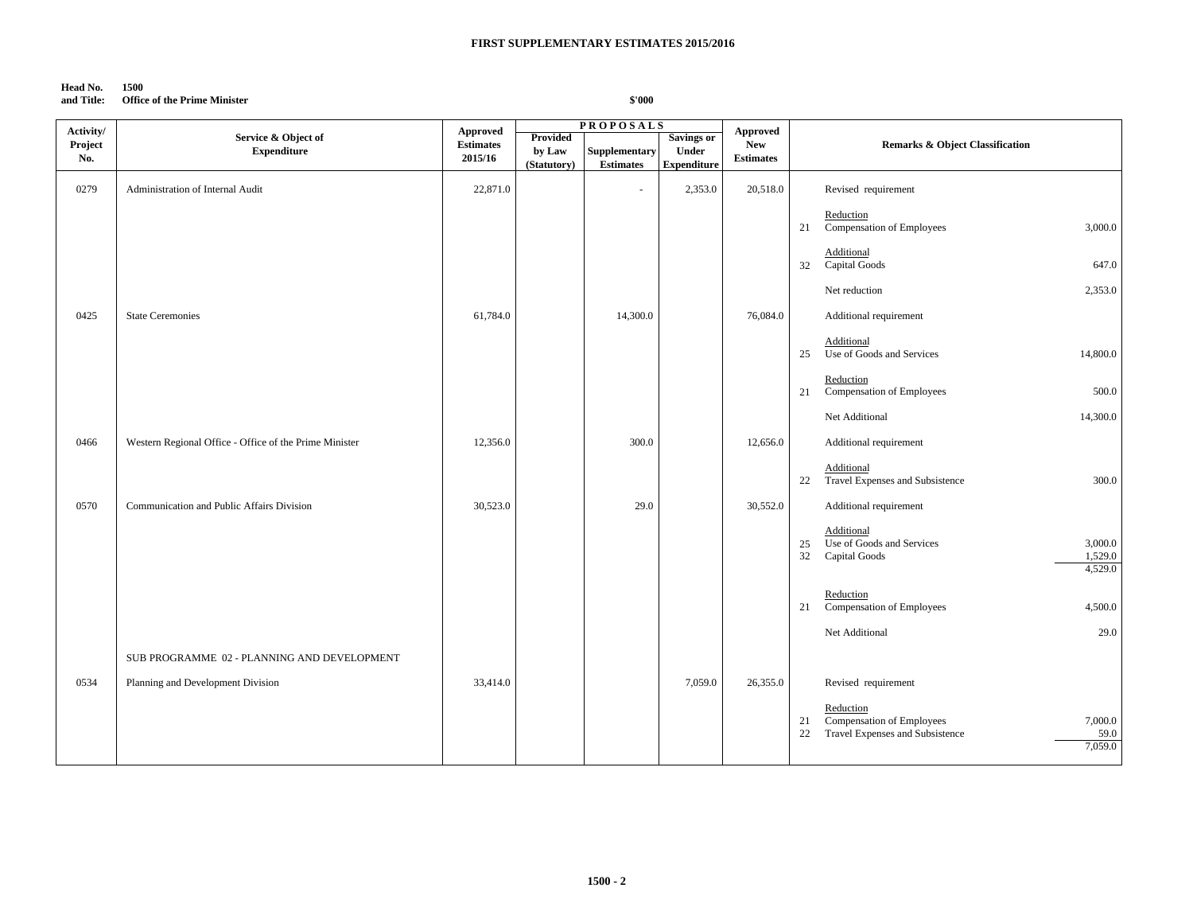## **Head No. 1500**

**and Title: Office of the Prime Minister**

| Activity/ |                                                        | Approved         |                 | <b>PROPOSALS</b>     |                    |                               |                                                                                                                     |
|-----------|--------------------------------------------------------|------------------|-----------------|----------------------|--------------------|-------------------------------|---------------------------------------------------------------------------------------------------------------------|
|           | Service & Object of                                    |                  | <b>Provided</b> |                      | <b>Savings or</b>  | <b>Approved</b><br><b>New</b> |                                                                                                                     |
| Project   | <b>Expenditure</b>                                     | <b>Estimates</b> | by Law          | <b>Supplementary</b> | <b>Under</b>       |                               | Remarks & Object Classification                                                                                     |
| No.       |                                                        | 2015/16          | (Statutory)     | <b>Estimates</b>     | <b>Expenditure</b> | <b>Estimates</b>              |                                                                                                                     |
| 0279      | Administration of Internal Audit                       | 22,871.0         |                 |                      | 2,353.0            | 20,518.0                      | Revised requirement                                                                                                 |
|           |                                                        |                  |                 |                      |                    |                               | Reduction<br>Compensation of Employees<br>3,000.0<br>21                                                             |
|           |                                                        |                  |                 |                      |                    |                               | Additional<br>Capital Goods<br>647.0<br>32                                                                          |
|           |                                                        |                  |                 |                      |                    |                               | 2,353.0<br>Net reduction                                                                                            |
| 0425      | <b>State Ceremonies</b>                                | 61,784.0         |                 | 14,300.0             |                    | 76,084.0                      | Additional requirement                                                                                              |
|           |                                                        |                  |                 |                      |                    |                               | Additional<br>Use of Goods and Services<br>14,800.0<br>25                                                           |
|           |                                                        |                  |                 |                      |                    |                               | Reduction<br>Compensation of Employees<br>21<br>500.0                                                               |
|           |                                                        |                  |                 |                      |                    |                               | Net Additional<br>14,300.0                                                                                          |
| 0466      | Western Regional Office - Office of the Prime Minister | 12,356.0         |                 | 300.0                |                    | 12,656.0                      | Additional requirement                                                                                              |
|           |                                                        |                  |                 |                      |                    |                               | Additional<br>Travel Expenses and Subsistence<br>300.0<br>22                                                        |
| 0570      | Communication and Public Affairs Division              | 30,523.0         |                 | 29.0                 |                    | 30,552.0                      | Additional requirement                                                                                              |
|           |                                                        |                  |                 |                      |                    |                               | Additional<br>Use of Goods and Services<br>3,000.0<br>25<br>32<br>1,529.0<br>Capital Goods<br>4,529.0               |
|           |                                                        |                  |                 |                      |                    |                               | Reduction<br>Compensation of Employees<br>4,500.0<br>21                                                             |
|           |                                                        |                  |                 |                      |                    |                               | Net Additional<br>29.0                                                                                              |
|           | SUB PROGRAMME 02 - PLANNING AND DEVELOPMENT            |                  |                 |                      |                    |                               |                                                                                                                     |
| 0534      | Planning and Development Division                      | 33,414.0         |                 |                      | 7,059.0            | 26,355.0                      | Revised requirement                                                                                                 |
|           |                                                        |                  |                 |                      |                    |                               | Reduction<br>Compensation of Employees<br>7,000.0<br>21<br>Travel Expenses and Subsistence<br>59.0<br>22<br>7,059.0 |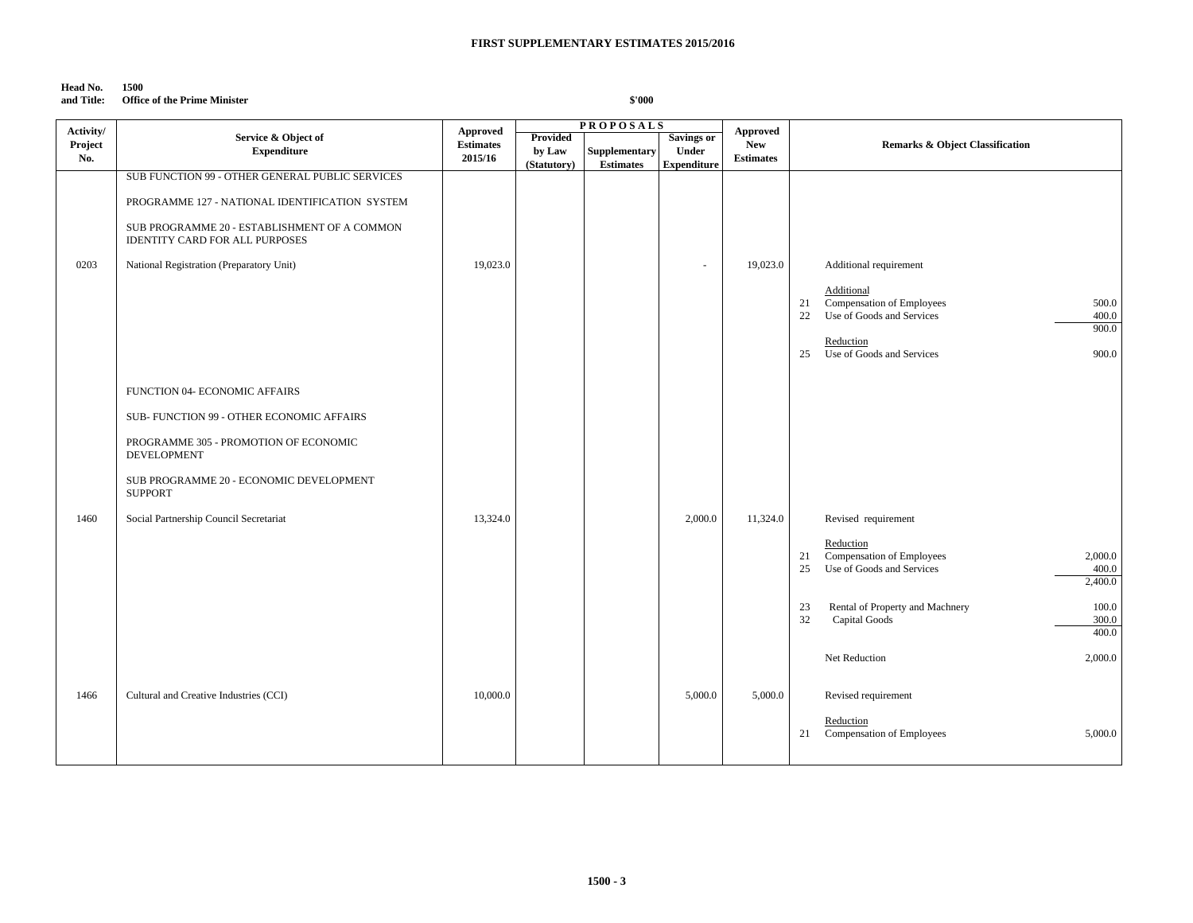# **Head No. 1500**

**and Title: Office of the Prime Minister**

| Activity/      |                                                                                                                                                                                                                                           | <b>Approved</b>             |                                          | <b>PROPOSALS</b>                  |                                                         | <b>Approved</b>                |                                                                                                                                                                                                |
|----------------|-------------------------------------------------------------------------------------------------------------------------------------------------------------------------------------------------------------------------------------------|-----------------------------|------------------------------------------|-----------------------------------|---------------------------------------------------------|--------------------------------|------------------------------------------------------------------------------------------------------------------------------------------------------------------------------------------------|
| Project<br>No. | Service & Object of<br><b>Expenditure</b>                                                                                                                                                                                                 | <b>Estimates</b><br>2015/16 | <b>Provided</b><br>by Law<br>(Statutory) | Supplementary<br><b>Estimates</b> | <b>Savings or</b><br><b>Under</b><br><b>Expenditure</b> | <b>New</b><br><b>Estimates</b> | Remarks & Object Classification                                                                                                                                                                |
| 0203           | SUB FUNCTION 99 - OTHER GENERAL PUBLIC SERVICES<br>PROGRAMME 127 - NATIONAL IDENTIFICATION SYSTEM<br>SUB PROGRAMME 20 - ESTABLISHMENT OF A COMMON<br><b>IDENTITY CARD FOR ALL PURPOSES</b><br>National Registration (Preparatory Unit)    | 19,023.0                    |                                          |                                   | $\overline{\phantom{a}}$                                | 19,023.0                       | Additional requirement<br>Additional<br>Compensation of Employees<br>21<br>500.0<br>Use of Goods and Services<br>22<br>400.0<br>900.0<br>Reduction<br>Use of Goods and Services<br>900.0<br>25 |
| 1460           | FUNCTION 04- ECONOMIC AFFAIRS<br>SUB- FUNCTION 99 - OTHER ECONOMIC AFFAIRS<br>PROGRAMME 305 - PROMOTION OF ECONOMIC<br>DEVELOPMENT<br>SUB PROGRAMME 20 - ECONOMIC DEVELOPMENT<br><b>SUPPORT</b><br>Social Partnership Council Secretariat | 13,324.0                    |                                          |                                   | 2,000.0                                                 | 11,324.0                       | Revised requirement<br>Reduction<br>Compensation of Employees<br>2,000.0<br>21<br>Use of Goods and Services<br>25<br>400.0<br>2,400.0                                                          |
|                |                                                                                                                                                                                                                                           |                             |                                          |                                   |                                                         |                                | Rental of Property and Machnery<br>100.0<br>23<br>32<br><b>Capital Goods</b><br>300.0<br>400.0<br>Net Reduction<br>2,000.0                                                                     |
| 1466           | Cultural and Creative Industries (CCI)                                                                                                                                                                                                    | 10,000.0                    |                                          |                                   | 5,000.0                                                 | 5,000.0                        | Revised requirement<br>Reduction<br>Compensation of Employees<br>21<br>5,000.0                                                                                                                 |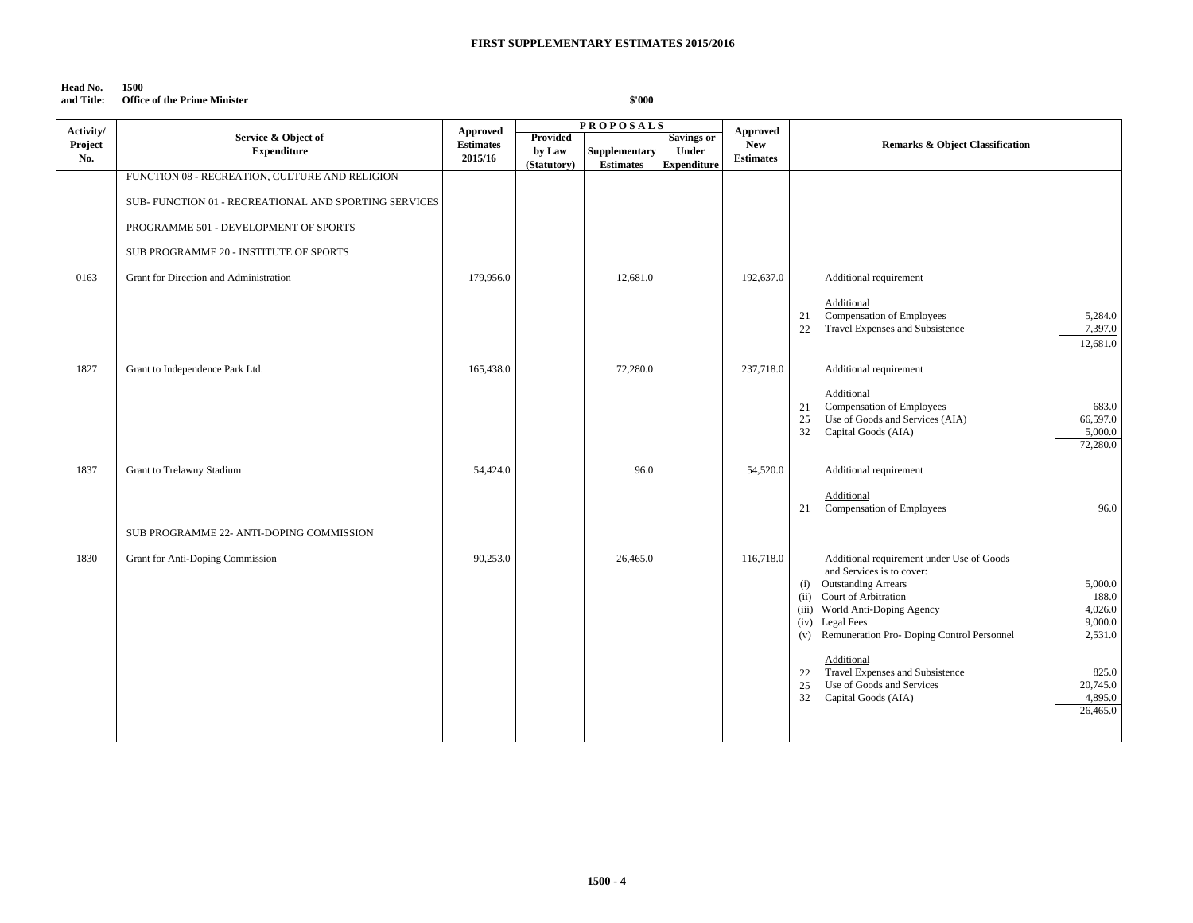# **Head No. 1500**

# **and Title: Office of the Prime Minister**

| Activity/ |                                                      | Approved         |                 | <b>PROPOSALS</b>     |                    | <b>Approved</b>  |                                                              |
|-----------|------------------------------------------------------|------------------|-----------------|----------------------|--------------------|------------------|--------------------------------------------------------------|
| Project   | Service & Object of                                  | <b>Estimates</b> | <b>Provided</b> |                      | <b>Savings or</b>  | <b>New</b>       | <b>Remarks &amp; Object Classification</b>                   |
| No.       | <b>Expenditure</b>                                   | 2015/16          | by Law          | <b>Supplementary</b> | Under              | <b>Estimates</b> |                                                              |
|           |                                                      |                  | (Statutory)     | <b>Estimates</b>     | <b>Expenditure</b> |                  |                                                              |
|           | FUNCTION 08 - RECREATION, CULTURE AND RELIGION       |                  |                 |                      |                    |                  |                                                              |
|           |                                                      |                  |                 |                      |                    |                  |                                                              |
|           | SUB-FUNCTION 01 - RECREATIONAL AND SPORTING SERVICES |                  |                 |                      |                    |                  |                                                              |
|           |                                                      |                  |                 |                      |                    |                  |                                                              |
|           | PROGRAMME 501 - DEVELOPMENT OF SPORTS                |                  |                 |                      |                    |                  |                                                              |
|           |                                                      |                  |                 |                      |                    |                  |                                                              |
|           | SUB PROGRAMME 20 - INSTITUTE OF SPORTS               |                  |                 |                      |                    |                  |                                                              |
|           |                                                      |                  |                 |                      |                    |                  |                                                              |
| 0163      | Grant for Direction and Administration               | 179,956.0        |                 | 12,681.0             |                    | 192,637.0        | Additional requirement                                       |
|           |                                                      |                  |                 |                      |                    |                  |                                                              |
|           |                                                      |                  |                 |                      |                    |                  | Additional                                                   |
|           |                                                      |                  |                 |                      |                    |                  | Compensation of Employees<br>5,284.0<br>21                   |
|           |                                                      |                  |                 |                      |                    |                  | Travel Expenses and Subsistence<br>7,397.0<br>22             |
|           |                                                      |                  |                 |                      |                    |                  | 12,681.0                                                     |
|           |                                                      |                  |                 |                      |                    |                  |                                                              |
| 1827      | Grant to Independence Park Ltd.                      | 165,438.0        |                 | 72,280.0             |                    | 237,718.0        | Additional requirement                                       |
|           |                                                      |                  |                 |                      |                    |                  |                                                              |
|           |                                                      |                  |                 |                      |                    |                  | Additional                                                   |
|           |                                                      |                  |                 |                      |                    |                  | Compensation of Employees<br>683.0<br>21                     |
|           |                                                      |                  |                 |                      |                    |                  | Use of Goods and Services (AIA)<br>25<br>66,597.0            |
|           |                                                      |                  |                 |                      |                    |                  | 32<br>Capital Goods (AIA)<br>5,000.0                         |
|           |                                                      |                  |                 |                      |                    |                  | 72,280.0                                                     |
|           |                                                      |                  |                 |                      |                    |                  |                                                              |
| 1837      | Grant to Trelawny Stadium                            | 54,424.0         |                 | 96.0                 |                    | 54,520.0         | Additional requirement                                       |
|           |                                                      |                  |                 |                      |                    |                  |                                                              |
|           |                                                      |                  |                 |                      |                    |                  | Additional<br>Compensation of Employees<br>96.0<br>21        |
|           |                                                      |                  |                 |                      |                    |                  |                                                              |
|           | SUB PROGRAMME 22- ANTI-DOPING COMMISSION             |                  |                 |                      |                    |                  |                                                              |
|           |                                                      |                  |                 |                      |                    |                  |                                                              |
| 1830      | Grant for Anti-Doping Commission                     | 90,253.0         |                 | 26,465.0             |                    | 116,718.0        | Additional requirement under Use of Goods                    |
|           |                                                      |                  |                 |                      |                    |                  | and Services is to cover:                                    |
|           |                                                      |                  |                 |                      |                    |                  | (i) Outstanding Arrears<br>5,000.0                           |
|           |                                                      |                  |                 |                      |                    |                  | Court of Arbitration<br>188.0<br>(ii)                        |
|           |                                                      |                  |                 |                      |                    |                  | 4,026.0<br>(iii) World Anti-Doping Agency                    |
|           |                                                      |                  |                 |                      |                    |                  | <b>Legal Fees</b><br>9,000.0<br>(iv)                         |
|           |                                                      |                  |                 |                      |                    |                  | Remuneration Pro- Doping Control Personnel<br>2,531.0<br>(v) |
|           |                                                      |                  |                 |                      |                    |                  |                                                              |
|           |                                                      |                  |                 |                      |                    |                  | Additional                                                   |
|           |                                                      |                  |                 |                      |                    |                  | Travel Expenses and Subsistence<br>825.0<br>22               |
|           |                                                      |                  |                 |                      |                    |                  | Use of Goods and Services<br>25<br>20,745.0                  |
|           |                                                      |                  |                 |                      |                    |                  | 4,895.0<br>32<br>Capital Goods (AIA)                         |
|           |                                                      |                  |                 |                      |                    |                  | 26,465.0                                                     |
|           |                                                      |                  |                 |                      |                    |                  |                                                              |
|           |                                                      |                  |                 |                      |                    |                  |                                                              |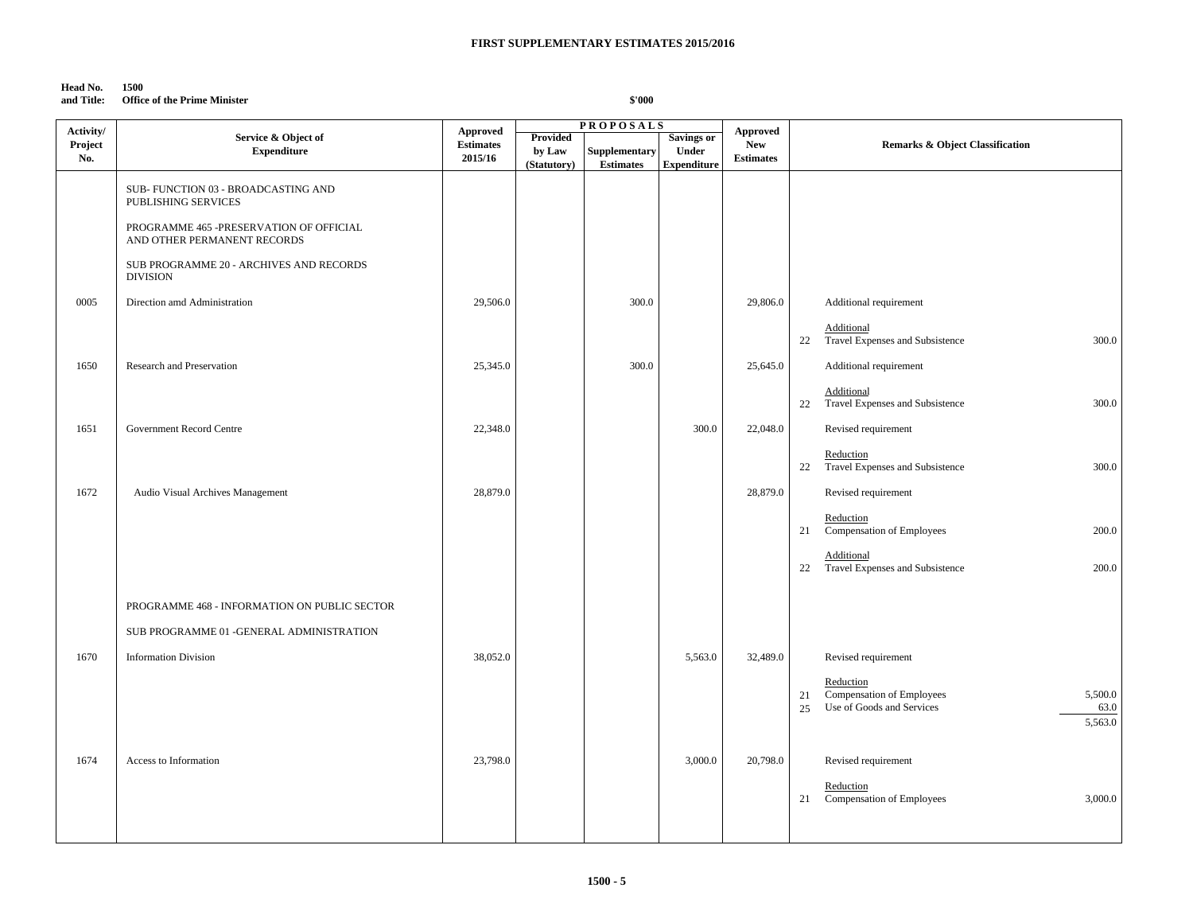# **Head No. 1500**

**and Title: Office of the Prime Minister**

| Activity/ |                                                                        | <b>Approved</b>  |                       | <b>PROPOSALS</b>                         |                             | Approved         |                                                                                                               |
|-----------|------------------------------------------------------------------------|------------------|-----------------------|------------------------------------------|-----------------------------|------------------|---------------------------------------------------------------------------------------------------------------|
| Project   | Service & Object of                                                    | <b>Estimates</b> | <b>Provided</b>       |                                          | Savings or                  | <b>New</b>       | <b>Remarks &amp; Object Classification</b>                                                                    |
| No.       | <b>Expenditure</b>                                                     | 2015/16          | by Law<br>(Statutory) | <b>Supplementary</b><br><b>Estimates</b> | Under<br><b>Expenditure</b> | <b>Estimates</b> |                                                                                                               |
|           |                                                                        |                  |                       |                                          |                             |                  |                                                                                                               |
|           | SUB-FUNCTION 03 - BROADCASTING AND<br>PUBLISHING SERVICES              |                  |                       |                                          |                             |                  |                                                                                                               |
|           | PROGRAMME 465 -PRESERVATION OF OFFICIAL<br>AND OTHER PERMANENT RECORDS |                  |                       |                                          |                             |                  |                                                                                                               |
|           | SUB PROGRAMME 20 - ARCHIVES AND RECORDS<br><b>DIVISION</b>             |                  |                       |                                          |                             |                  |                                                                                                               |
| 0005      | Direction amd Administration                                           | 29,506.0         |                       | 300.0                                    |                             | 29,806.0         | Additional requirement                                                                                        |
|           |                                                                        |                  |                       |                                          |                             |                  | Additional<br>22<br>Travel Expenses and Subsistence<br>300.0                                                  |
| 1650      | Research and Preservation                                              | 25,345.0         |                       | 300.0                                    |                             | 25,645.0         | Additional requirement                                                                                        |
|           |                                                                        |                  |                       |                                          |                             |                  | Additional<br>300.0<br>22<br>Travel Expenses and Subsistence                                                  |
| 1651      | Government Record Centre                                               | 22,348.0         |                       |                                          | 300.0                       | 22,048.0         | Revised requirement                                                                                           |
|           |                                                                        |                  |                       |                                          |                             |                  | Reduction<br>Travel Expenses and Subsistence<br>300.0<br>22                                                   |
| 1672      | Audio Visual Archives Management                                       | 28,879.0         |                       |                                          |                             | 28,879.0         | Revised requirement                                                                                           |
|           |                                                                        |                  |                       |                                          |                             |                  | Reduction<br>Compensation of Employees<br>200.0<br>21                                                         |
|           |                                                                        |                  |                       |                                          |                             |                  | Additional<br>Travel Expenses and Subsistence<br>200.0<br>22                                                  |
|           | PROGRAMME 468 - INFORMATION ON PUBLIC SECTOR                           |                  |                       |                                          |                             |                  |                                                                                                               |
|           | SUB PROGRAMME 01 - GENERAL ADMINISTRATION                              |                  |                       |                                          |                             |                  |                                                                                                               |
| 1670      | <b>Information Division</b>                                            | 38,052.0         |                       |                                          | 5,563.0                     | 32,489.0         | Revised requirement                                                                                           |
|           |                                                                        |                  |                       |                                          |                             |                  | Reduction<br>21<br>Compensation of Employees<br>5,500.0<br>Use of Goods and Services<br>63.0<br>25<br>5,563.0 |
| 1674      | Access to Information                                                  | 23,798.0         |                       |                                          | 3,000.0                     | 20,798.0         |                                                                                                               |
|           |                                                                        |                  |                       |                                          |                             |                  | Revised requirement                                                                                           |
|           |                                                                        |                  |                       |                                          |                             |                  | Reduction<br>3,000.0<br>Compensation of Employees<br>21                                                       |
|           |                                                                        |                  |                       |                                          |                             |                  |                                                                                                               |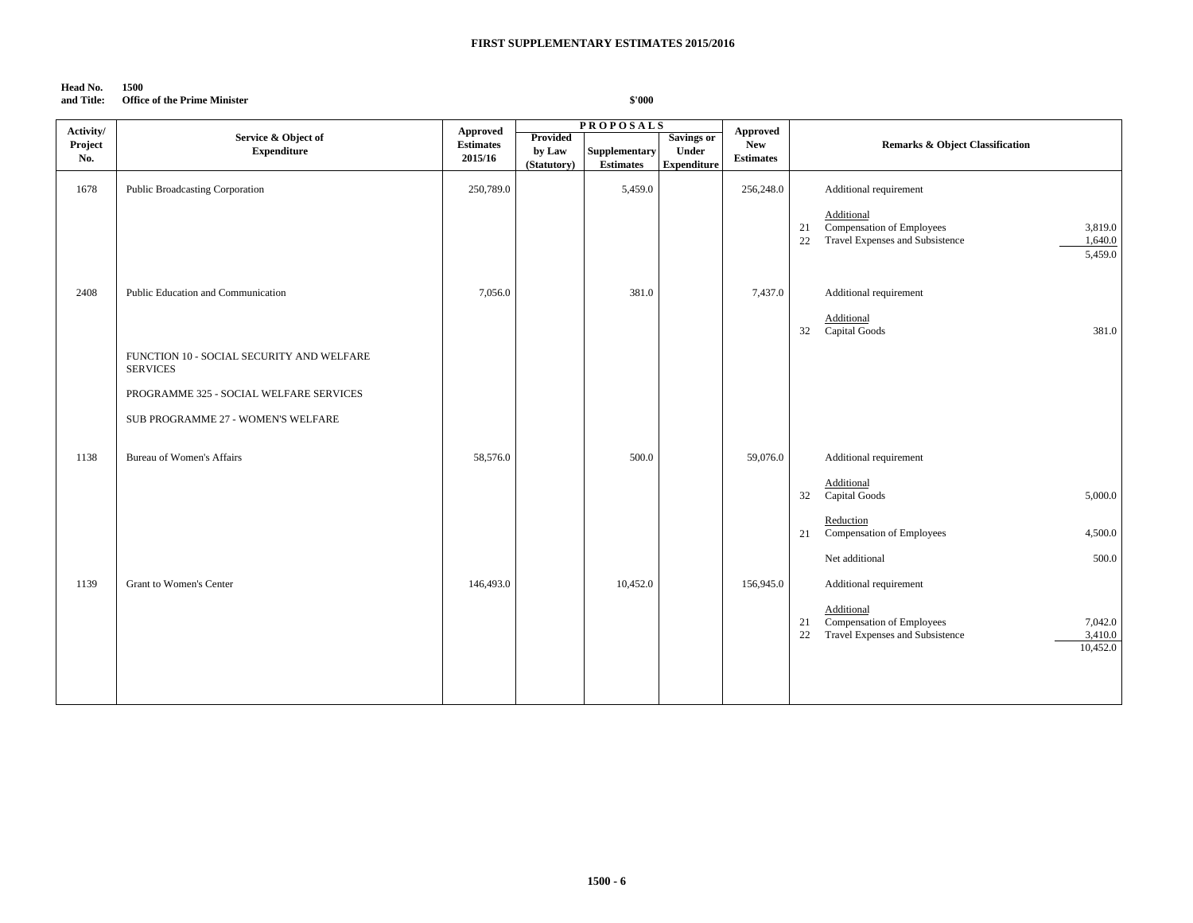### **Head No. 1500**

# **and Title: Office of the Prime Minister**

| Activity/      |                                                              | Approved                    |                                   | <b>PROPOSALS</b>                  |                                                  | <b>Approved</b>                |                                                                                                                                 |
|----------------|--------------------------------------------------------------|-----------------------------|-----------------------------------|-----------------------------------|--------------------------------------------------|--------------------------------|---------------------------------------------------------------------------------------------------------------------------------|
| Project<br>No. | Service & Object of<br><b>Expenditure</b>                    | <b>Estimates</b><br>2015/16 | Provided<br>by Law<br>(Statutory) | Supplementary<br><b>Estimates</b> | <b>Savings or</b><br>Under<br><b>Expenditure</b> | <b>New</b><br><b>Estimates</b> | <b>Remarks &amp; Object Classification</b>                                                                                      |
| 1678           | Public Broadcasting Corporation                              | 250,789.0                   |                                   | 5,459.0                           |                                                  | 256,248.0                      | Additional requirement                                                                                                          |
|                |                                                              |                             |                                   |                                   |                                                  |                                | Additional<br>Compensation of Employees<br>3,819.0<br>21<br>Travel Expenses and Subsistence<br>1,640.0<br>22<br>5,459.0         |
| 2408           | Public Education and Communication                           | 7,056.0                     |                                   | 381.0                             |                                                  | 7,437.0                        | Additional requirement<br>Additional<br><b>Capital Goods</b><br>32<br>381.0                                                     |
|                | FUNCTION 10 - SOCIAL SECURITY AND WELFARE<br><b>SERVICES</b> |                             |                                   |                                   |                                                  |                                |                                                                                                                                 |
|                | PROGRAMME 325 - SOCIAL WELFARE SERVICES                      |                             |                                   |                                   |                                                  |                                |                                                                                                                                 |
|                | SUB PROGRAMME 27 - WOMEN'S WELFARE                           |                             |                                   |                                   |                                                  |                                |                                                                                                                                 |
| 1138           | <b>Bureau of Women's Affairs</b>                             | 58,576.0                    |                                   | 500.0                             |                                                  | 59,076.0                       | Additional requirement                                                                                                          |
|                |                                                              |                             |                                   |                                   |                                                  |                                | Additional<br>32<br>Capital Goods<br>5,000.0                                                                                    |
|                |                                                              |                             |                                   |                                   |                                                  |                                | Reduction<br>Compensation of Employees<br>4,500.0<br>21                                                                         |
|                |                                                              |                             |                                   |                                   |                                                  |                                | Net additional<br>500.0                                                                                                         |
| 1139           | Grant to Women's Center                                      | 146,493.0                   |                                   | 10,452.0                          |                                                  | 156,945.0                      | Additional requirement                                                                                                          |
|                |                                                              |                             |                                   |                                   |                                                  |                                | Additional<br><b>Compensation of Employees</b><br>7,042.0<br>21<br>Travel Expenses and Subsistence<br>22<br>3,410.0<br>10,452.0 |
|                |                                                              |                             |                                   |                                   |                                                  |                                |                                                                                                                                 |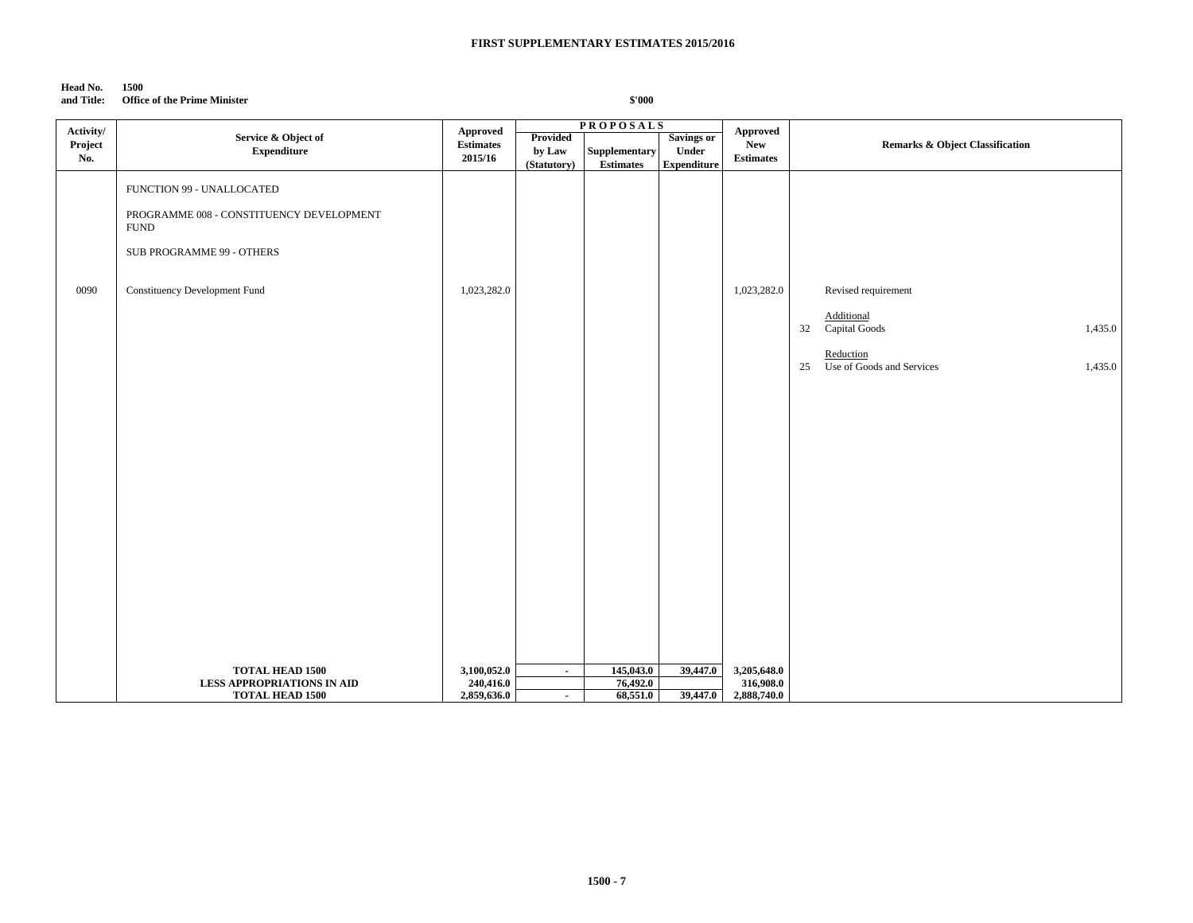# **Head No. 1500**

**and Title: Office of the Prime Minister**

| Activity/ |                                                             | Approved                 |             | <b>PROPOSALS</b>      |                    | Approved                 |                                            |
|-----------|-------------------------------------------------------------|--------------------------|-------------|-----------------------|--------------------|--------------------------|--------------------------------------------|
| Project   | Service & Object of                                         | <b>Estimates</b>         | Provided    |                       | <b>Savings or</b>  | New                      | <b>Remarks &amp; Object Classification</b> |
|           | <b>Expenditure</b>                                          |                          | by Law      | Supplementary         | Under              |                          |                                            |
| No.       |                                                             | 2015/16                  | (Statutory) | <b>Estimates</b>      | <b>Expenditure</b> | <b>Estimates</b>         |                                            |
|           |                                                             |                          |             |                       |                    |                          |                                            |
|           | FUNCTION 99 - UNALLOCATED                                   |                          |             |                       |                    |                          |                                            |
|           |                                                             |                          |             |                       |                    |                          |                                            |
|           | PROGRAMME 008 - CONSTITUENCY DEVELOPMENT                    |                          |             |                       |                    |                          |                                            |
|           | <b>FUND</b>                                                 |                          |             |                       |                    |                          |                                            |
|           |                                                             |                          |             |                       |                    |                          |                                            |
|           | SUB PROGRAMME 99 - OTHERS                                   |                          |             |                       |                    |                          |                                            |
|           |                                                             |                          |             |                       |                    |                          |                                            |
| 0090      | <b>Constituency Development Fund</b>                        | 1,023,282.0              |             |                       |                    | 1,023,282.0              | Revised requirement                        |
|           |                                                             |                          |             |                       |                    |                          |                                            |
|           |                                                             |                          |             |                       |                    |                          | Additional                                 |
|           |                                                             |                          |             |                       |                    |                          | Capital Goods<br>1,435.0<br>32             |
|           |                                                             |                          |             |                       |                    |                          |                                            |
|           |                                                             |                          |             |                       |                    |                          | Reduction                                  |
|           |                                                             |                          |             |                       |                    |                          | 25<br>Use of Goods and Services<br>1,435.0 |
|           |                                                             |                          |             |                       |                    |                          |                                            |
|           |                                                             |                          |             |                       |                    |                          |                                            |
|           |                                                             |                          |             |                       |                    |                          |                                            |
|           |                                                             |                          |             |                       |                    |                          |                                            |
|           |                                                             |                          |             |                       |                    |                          |                                            |
|           |                                                             |                          |             |                       |                    |                          |                                            |
|           |                                                             |                          |             |                       |                    |                          |                                            |
|           |                                                             |                          |             |                       |                    |                          |                                            |
|           |                                                             |                          |             |                       |                    |                          |                                            |
|           |                                                             |                          |             |                       |                    |                          |                                            |
|           |                                                             |                          |             |                       |                    |                          |                                            |
|           |                                                             |                          |             |                       |                    |                          |                                            |
|           |                                                             |                          |             |                       |                    |                          |                                            |
|           |                                                             |                          |             |                       |                    |                          |                                            |
|           |                                                             |                          |             |                       |                    |                          |                                            |
|           |                                                             |                          |             |                       |                    |                          |                                            |
|           |                                                             |                          |             |                       |                    |                          |                                            |
|           |                                                             |                          |             |                       |                    |                          |                                            |
|           |                                                             |                          |             |                       |                    |                          |                                            |
|           |                                                             |                          |             |                       |                    |                          |                                            |
|           |                                                             |                          |             |                       |                    |                          |                                            |
|           | <b>TOTAL HEAD 1500</b><br><b>LESS APPROPRIATIONS IN AID</b> | 3,100,052.0<br>240,416.0 | $\sim$      | 145,043.0<br>76,492.0 | 39,447.0           | 3,205,648.0<br>316,908.0 |                                            |
|           | <b>TOTAL HEAD 1500</b>                                      | 2,859,636.0              | $\sim$      | 68,551.0              | 39,447.0           | 2,888,740.0              |                                            |
|           |                                                             |                          |             |                       |                    |                          |                                            |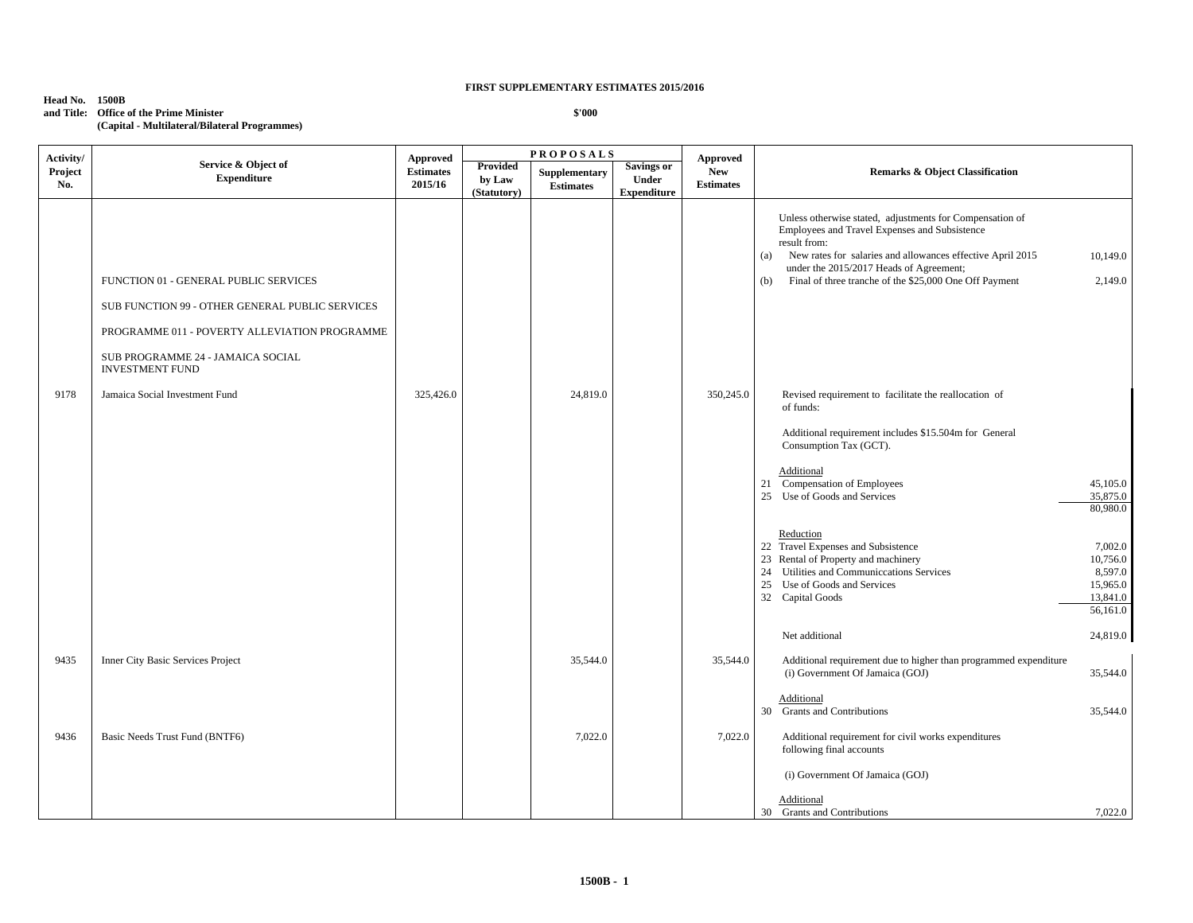### **Head No. 1500B and Title: Office of the Prime Minister (Capital - Multilateral/Bilateral Programmes)**

| Activity/      |                                                                                                                                                                                                          | Approved                    |                                   | <b>PROPOSALS</b>                  |                                                         | <b>Approved</b>                |                                                                                                                                                                                                                                                                                                            |                                                                    |
|----------------|----------------------------------------------------------------------------------------------------------------------------------------------------------------------------------------------------------|-----------------------------|-----------------------------------|-----------------------------------|---------------------------------------------------------|--------------------------------|------------------------------------------------------------------------------------------------------------------------------------------------------------------------------------------------------------------------------------------------------------------------------------------------------------|--------------------------------------------------------------------|
| Project<br>No. | Service & Object of<br><b>Expenditure</b>                                                                                                                                                                | <b>Estimates</b><br>2015/16 | Provided<br>by Law<br>(Statutory) | Supplementary<br><b>Estimates</b> | <b>Savings or</b><br><b>Under</b><br><b>Expenditure</b> | <b>New</b><br><b>Estimates</b> | <b>Remarks &amp; Object Classification</b>                                                                                                                                                                                                                                                                 |                                                                    |
|                | FUNCTION 01 - GENERAL PUBLIC SERVICES<br>SUB FUNCTION 99 - OTHER GENERAL PUBLIC SERVICES<br>PROGRAMME 011 - POVERTY ALLEVIATION PROGRAMME<br>SUB PROGRAMME 24 - JAMAICA SOCIAL<br><b>INVESTMENT FUND</b> |                             |                                   |                                   |                                                         |                                | Unless otherwise stated, adjustments for Compensation of<br>Employees and Travel Expenses and Subsistence<br>result from:<br>New rates for salaries and allowances effective April 2015<br>(a)<br>under the 2015/2017 Heads of Agreement;<br>Final of three tranche of the \$25,000 One Off Payment<br>(b) | 10,149.0<br>2,149.0                                                |
| 9178           | Jamaica Social Investment Fund                                                                                                                                                                           | 325,426.0                   |                                   | 24,819.0                          |                                                         | 350,245.0                      | Revised requirement to facilitate the reallocation of<br>of funds:<br>Additional requirement includes \$15.504m for General<br>Consumption Tax (GCT).                                                                                                                                                      |                                                                    |
|                |                                                                                                                                                                                                          |                             |                                   |                                   |                                                         |                                | Additional<br>21 Compensation of Employees<br>25 Use of Goods and Services                                                                                                                                                                                                                                 | 45,105.0<br>35,875.0<br>80,980.0                                   |
|                |                                                                                                                                                                                                          |                             |                                   |                                   |                                                         |                                | Reduction<br>22 Travel Expenses and Subsistence<br>23 Rental of Property and machinery<br>24 Utilities and Communiccations Services<br>25 Use of Goods and Services<br>32 Capital Goods                                                                                                                    | 7,002.0<br>10,756.0<br>8,597.0<br>15,965.0<br>13,841.0<br>56,161.0 |
|                |                                                                                                                                                                                                          |                             |                                   |                                   |                                                         |                                | Net additional                                                                                                                                                                                                                                                                                             | 24,819.0                                                           |
| 9435           | <b>Inner City Basic Services Project</b>                                                                                                                                                                 |                             |                                   | 35,544.0                          |                                                         | 35,544.0                       | Additional requirement due to higher than programmed expenditure<br>(i) Government Of Jamaica (GOJ)                                                                                                                                                                                                        | 35,544.0                                                           |
|                |                                                                                                                                                                                                          |                             |                                   |                                   |                                                         |                                | Additional<br>30 Grants and Contributions                                                                                                                                                                                                                                                                  | 35,544.0                                                           |
| 9436           | Basic Needs Trust Fund (BNTF6)                                                                                                                                                                           |                             |                                   | 7,022.0                           |                                                         | 7,022.0                        | Additional requirement for civil works expenditures<br>following final accounts                                                                                                                                                                                                                            |                                                                    |
|                |                                                                                                                                                                                                          |                             |                                   |                                   |                                                         |                                | (i) Government Of Jamaica (GOJ)                                                                                                                                                                                                                                                                            |                                                                    |
|                |                                                                                                                                                                                                          |                             |                                   |                                   |                                                         |                                | Additional<br>30 Grants and Contributions                                                                                                                                                                                                                                                                  | 7,022.0                                                            |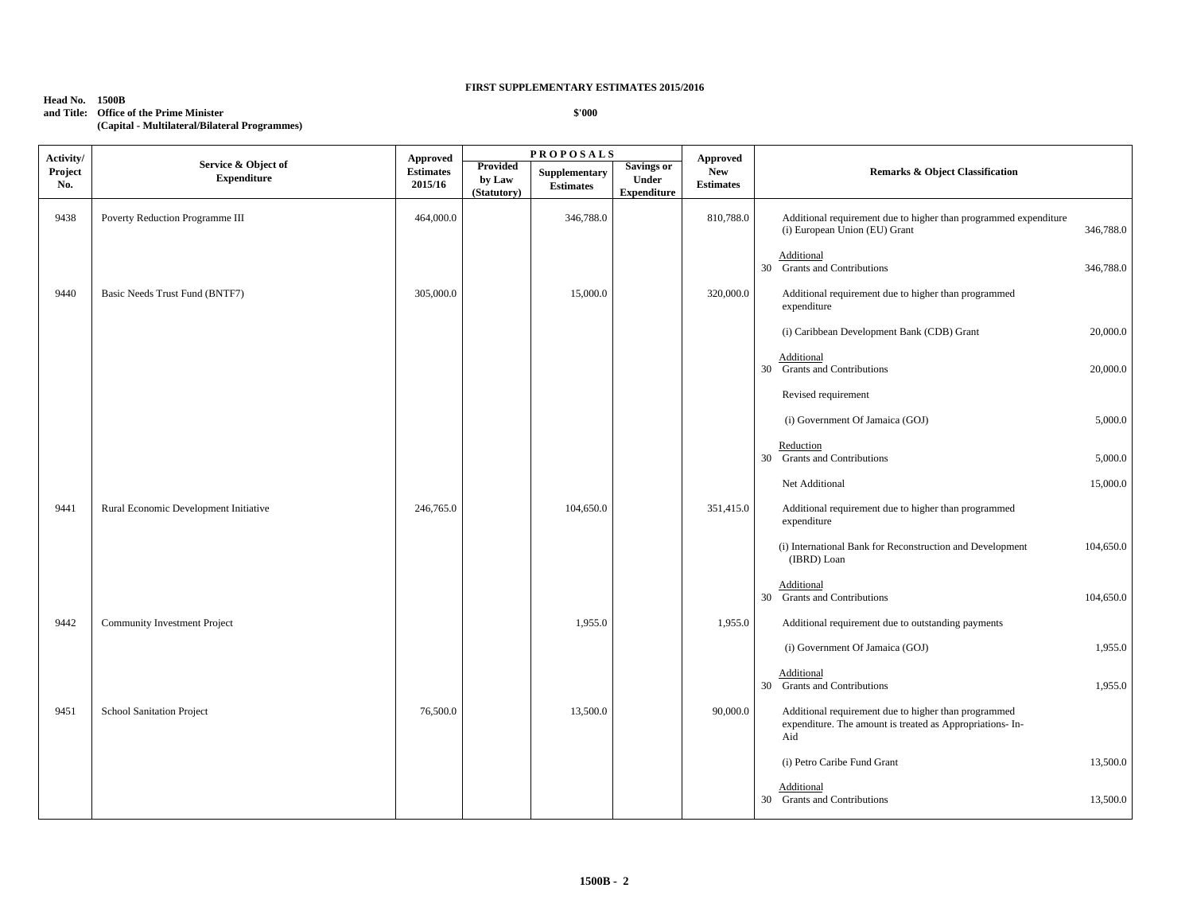#### **Head No. 1500B and Title: Office of the Prime Minister**

**(Capital - Multilateral/Bilateral Programmes)**

**P R O P O S A L S Activity/ Project No. Service & Object of Expenditure Approved Provided Estimates 2015/16 Approved New Estimates Remarks & Object Classification by Law (Statutory) Supplementary Estimates Savings or Under Expenditure** 9438 Poverty Reduction Programme III  $464,000.0$  464,000.0 346,788.0 346,788.0 310,788.0 Additional requirement due to higher than programmed expenditure (i) European Union (EU) Grant 346,788.0 Additional 30 Grants and Contributions 346,788.0 9440 Basic Needs Trust Fund (BNTF7) 305,000.0 305,000.0 15,000.0 320,000.0 Additional requirement due to higher than programmed expenditure (i) Caribbean Development Bank (CDB) Grant 20,000.0 Additional 30 Grants and Contributions 20,000.0 Revised requirement (i) Government Of Jamaica (GOJ) 5,000.0 Reduction 30 Grants and Contributions 5,000.0 Net Additional 15,000.0 9441 Rural Economic Development Initiative 246,765.0 26,765.0 104,650.0 351,415.0 Additional requirement due to higher than programmed expenditure (i) International Bank for Reconstruction and Development 104,650.0 (IBRD) Loan Additional 30 Grants and Contributions 104,650.0 9442 Community Investment Project 1,955.0 1,955.0 1,955.0 Additional requirement due to outstanding payments (i) Government Of Jamaica (GOJ) 1,955.0 Additional 30 Grants and Contributions 1,955.0 9451 School Sanitation Project 2012 13,500.0 13,500.0 13,500.0 4dditional requirement due to higher than programmed expenditure. The amount is treated as Appropriations- In-Aid (i) Petro Caribe Fund Grant 13,500.0 Additional 30 Grants and Contributions 13,500.0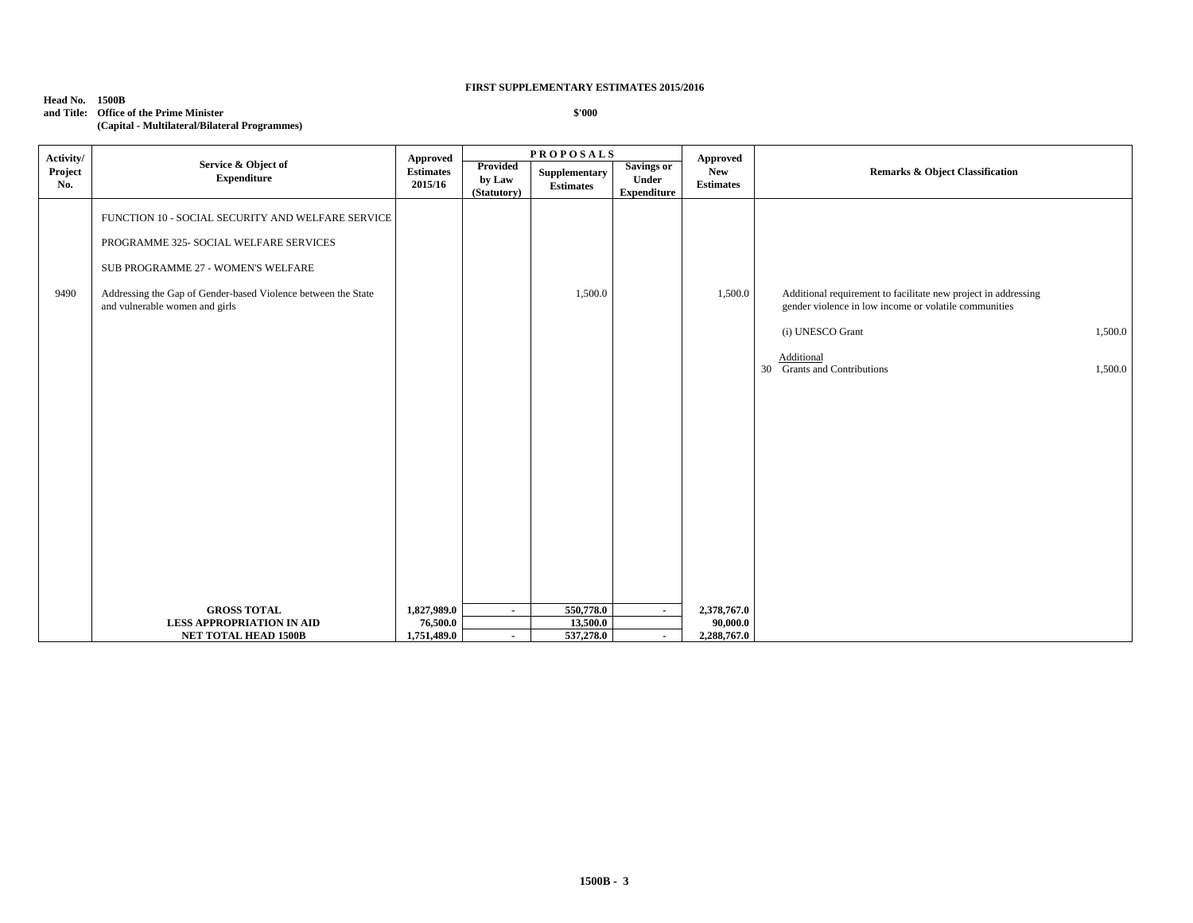### **Head No. 1500B and Title: Office of the Prime Minister (Capital - Multilateral/Bilateral Programmes)**

| Activity/      |                                                                                                                                                                                                                                      | Approved                               |                                          | <b>PROPOSALS</b>                   |                                                  | Approved                               |                                                                                                                                                                                                                |
|----------------|--------------------------------------------------------------------------------------------------------------------------------------------------------------------------------------------------------------------------------------|----------------------------------------|------------------------------------------|------------------------------------|--------------------------------------------------|----------------------------------------|----------------------------------------------------------------------------------------------------------------------------------------------------------------------------------------------------------------|
| Project<br>No. | Service & Object of<br><b>Expenditure</b>                                                                                                                                                                                            | <b>Estimates</b><br>2015/16            | <b>Provided</b><br>by Law<br>(Statutory) | Supplementary<br><b>Estimates</b>  | <b>Savings or</b><br>Under<br><b>Expenditure</b> | <b>New</b><br><b>Estimates</b>         | Remarks & Object Classification                                                                                                                                                                                |
| 9490           | FUNCTION 10 - SOCIAL SECURITY AND WELFARE SERVICE<br>PROGRAMME 325- SOCIAL WELFARE SERVICES<br>SUB PROGRAMME 27 - WOMEN'S WELFARE<br>Addressing the Gap of Gender-based Violence between the State<br>and vulnerable women and girls |                                        |                                          | 1,500.0                            |                                                  | 1,500.0                                | Additional requirement to facilitate new project in addressing<br>gender violence in low income or volatile communities<br>(i) UNESCO Grant<br>1,500.0<br>Additional<br>30 Grants and Contributions<br>1,500.0 |
|                | <b>GROSS TOTAL</b><br><b>LESS APPROPRIATION IN AID</b><br><b>NET TOTAL HEAD 1500B</b>                                                                                                                                                | 1,827,989.0<br>76,500.0<br>1,751,489.0 | $\sim$<br>$\blacksquare$                 | 550,778.0<br>13,500.0<br>537,278.0 | $\blacksquare$<br>$\blacksquare$                 | 2,378,767.0<br>90,000.0<br>2,288,767.0 |                                                                                                                                                                                                                |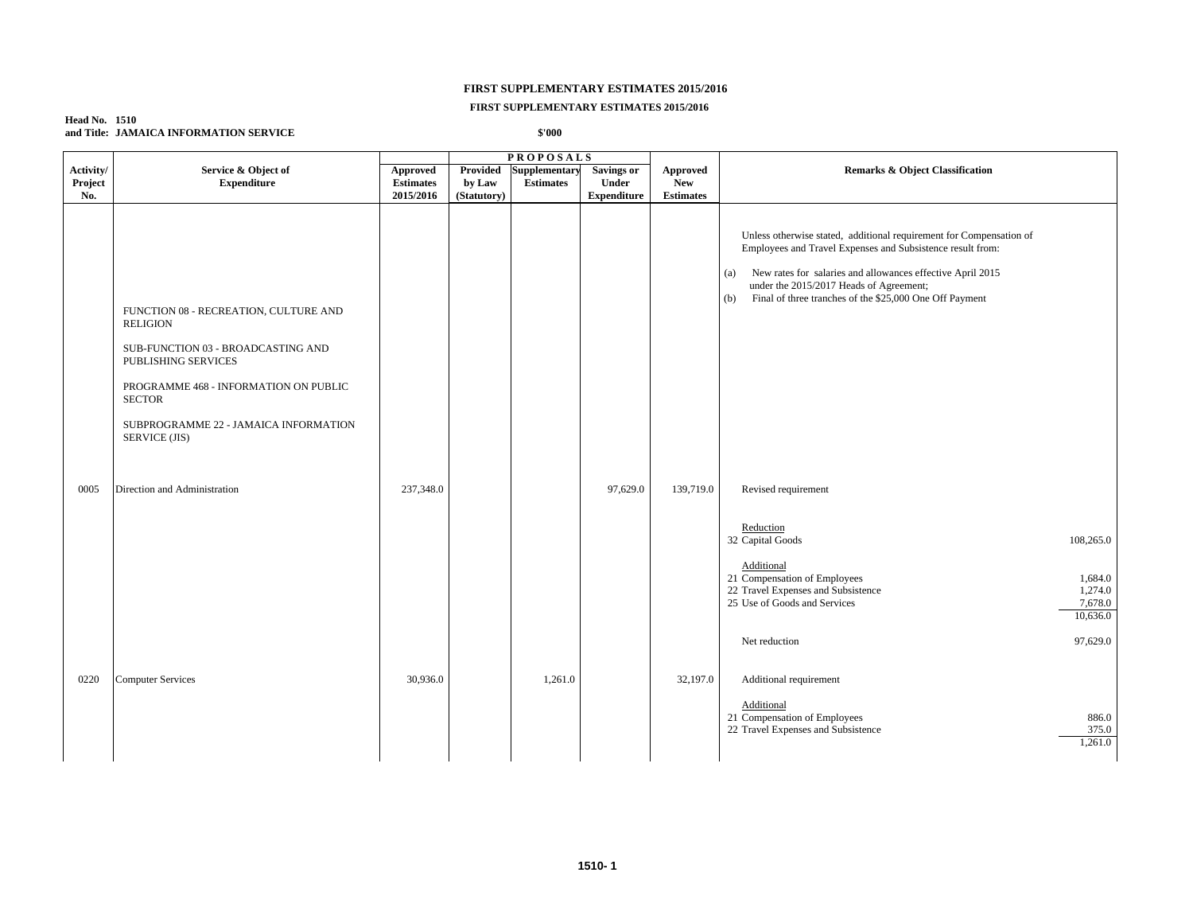### **FIRST SUPPLEMENTARY ESTIMATES 2015/2016**

### **Head No. 1510 and Title: JAMAICA INFORMATION SERVICE**

| <b>PROPOSALS</b>            |                                                                                                                                                                                                                                           |                                           |                                   |                                   |                                                  |                                     |                                                                                                                                                                                                                                                                                                                     |  |
|-----------------------------|-------------------------------------------------------------------------------------------------------------------------------------------------------------------------------------------------------------------------------------------|-------------------------------------------|-----------------------------------|-----------------------------------|--------------------------------------------------|-------------------------------------|---------------------------------------------------------------------------------------------------------------------------------------------------------------------------------------------------------------------------------------------------------------------------------------------------------------------|--|
| Activity/<br>Project<br>No. | Service & Object of<br><b>Expenditure</b>                                                                                                                                                                                                 | Approved<br><b>Estimates</b><br>2015/2016 | Provided<br>by Law<br>(Statutory) | Supplementary<br><b>Estimates</b> | <b>Savings or</b><br>Under<br><b>Expenditure</b> | Approved<br>New<br><b>Estimates</b> | <b>Remarks &amp; Object Classification</b>                                                                                                                                                                                                                                                                          |  |
|                             | FUNCTION 08 - RECREATION, CULTURE AND<br><b>RELIGION</b><br>SUB-FUNCTION 03 - BROADCASTING AND<br>PUBLISHING SERVICES<br>PROGRAMME 468 - INFORMATION ON PUBLIC<br><b>SECTOR</b><br>SUBPROGRAMME 22 - JAMAICA INFORMATION<br>SERVICE (JIS) |                                           |                                   |                                   |                                                  |                                     | Unless otherwise stated, additional requirement for Compensation of<br>Employees and Travel Expenses and Subsistence result from:<br>New rates for salaries and allowances effective April 2015<br>(a)<br>under the 2015/2017 Heads of Agreement;<br>Final of three tranches of the \$25,000 One Off Payment<br>(b) |  |
| 0005                        | Direction and Administration                                                                                                                                                                                                              | 237,348.0                                 |                                   |                                   | 97,629.0                                         | 139,719.0                           | Revised requirement<br>Reduction                                                                                                                                                                                                                                                                                    |  |
|                             |                                                                                                                                                                                                                                           |                                           |                                   |                                   |                                                  |                                     | 32 Capital Goods<br>108,265.0<br>Additional<br>21 Compensation of Employees<br>1,684.0<br>22 Travel Expenses and Subsistence<br>1,274.0<br>25 Use of Goods and Services<br>7,678.0<br>10,636.0                                                                                                                      |  |
| 0220                        | <b>Computer Services</b>                                                                                                                                                                                                                  | 30,936.0                                  |                                   | 1,261.0                           |                                                  | 32,197.0                            | 97,629.0<br>Net reduction<br>Additional requirement<br>Additional<br>21 Compensation of Employees<br>886.0<br>22 Travel Expenses and Subsistence<br>375.0<br>1,261.0                                                                                                                                                |  |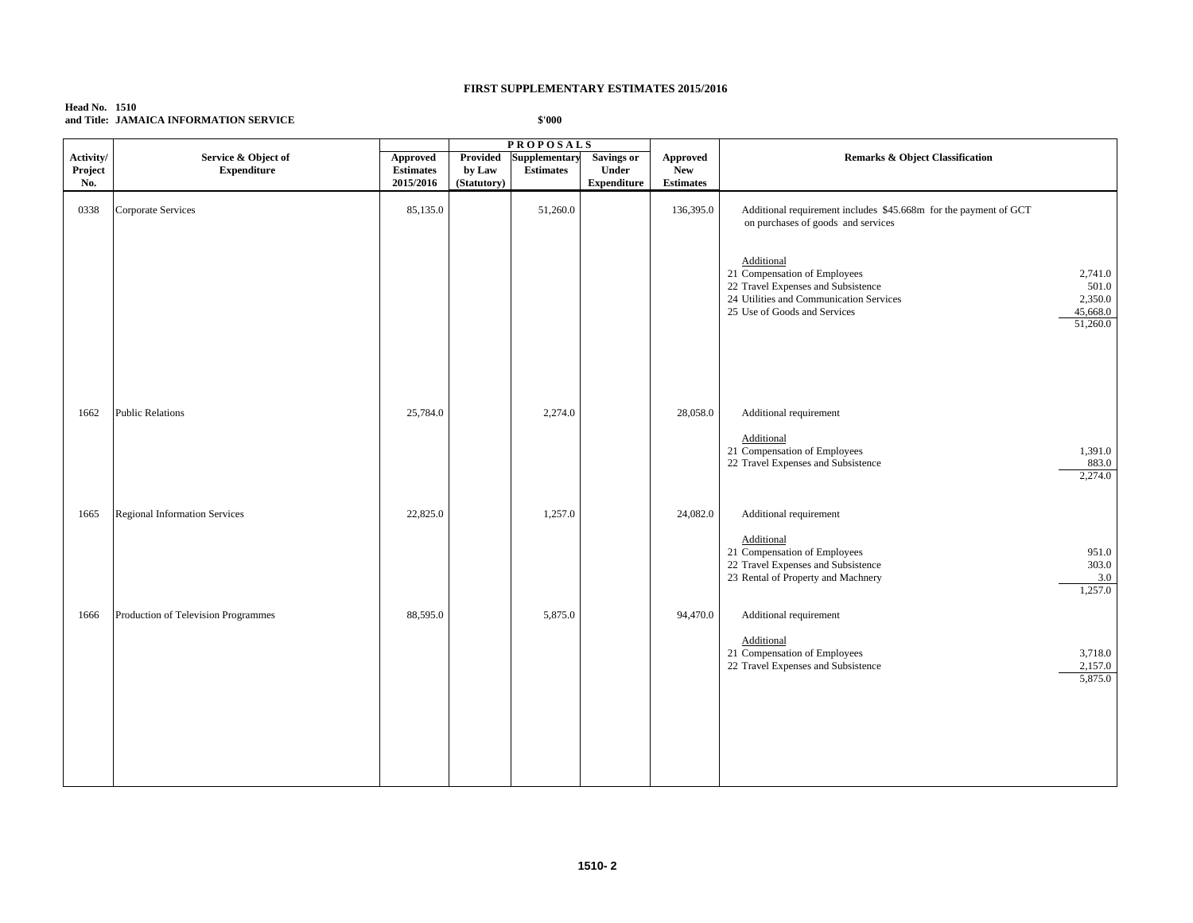| <b>Head No. 1510</b> |                                        |
|----------------------|----------------------------------------|
|                      | and Title: JAMAICA INFORMATION SERVICE |

|                             |                                           |                                                  |                                          | <b>PROPOSALS</b>                         |                                                  |                                            |                                                                                                                                                                                                                    |
|-----------------------------|-------------------------------------------|--------------------------------------------------|------------------------------------------|------------------------------------------|--------------------------------------------------|--------------------------------------------|--------------------------------------------------------------------------------------------------------------------------------------------------------------------------------------------------------------------|
| Activity/<br>Project<br>No. | Service & Object of<br><b>Expenditure</b> | <b>Approved</b><br><b>Estimates</b><br>2015/2016 | <b>Provided</b><br>by Law<br>(Statutory) | <b>Supplementary</b><br><b>Estimates</b> | <b>Savings or</b><br>Under<br><b>Expenditure</b> | Approved<br><b>New</b><br><b>Estimates</b> | <b>Remarks &amp; Object Classification</b>                                                                                                                                                                         |
| 0338                        | Corporate Services                        | 85,135.0                                         |                                          | 51,260.0                                 |                                                  | 136,395.0                                  | Additional requirement includes \$45.668m for the payment of GCT<br>on purchases of goods and services                                                                                                             |
|                             |                                           |                                                  |                                          |                                          |                                                  |                                            | Additional<br>21 Compensation of Employees<br>2,741.0<br>22 Travel Expenses and Subsistence<br>501.0<br>24 Utilities and Communication Services<br>2,350.0<br>25 Use of Goods and Services<br>45,668.0<br>51,260.0 |
| 1662                        | <b>Public Relations</b>                   | 25,784.0                                         |                                          | 2,274.0                                  |                                                  | 28,058.0                                   | Additional requirement<br>Additional<br>21 Compensation of Employees<br>1,391.0<br>22 Travel Expenses and Subsistence<br>883.0<br>2,274.0                                                                          |
| 1665                        | Regional Information Services             | 22,825.0                                         |                                          | 1,257.0                                  |                                                  | 24,082.0                                   | Additional requirement                                                                                                                                                                                             |
|                             |                                           |                                                  |                                          |                                          |                                                  |                                            | Additional<br>21 Compensation of Employees<br>951.0<br>22 Travel Expenses and Subsistence<br>303.0<br>23 Rental of Property and Machnery<br>3.0<br>1,257.0                                                         |
| 1666                        | Production of Television Programmes       | 88,595.0                                         |                                          | 5,875.0                                  |                                                  | 94,470.0                                   | Additional requirement<br>Additional<br>21 Compensation of Employees<br>3,718.0<br>22 Travel Expenses and Subsistence<br>2,157.0<br>5,875.0                                                                        |
|                             |                                           |                                                  |                                          |                                          |                                                  |                                            |                                                                                                                                                                                                                    |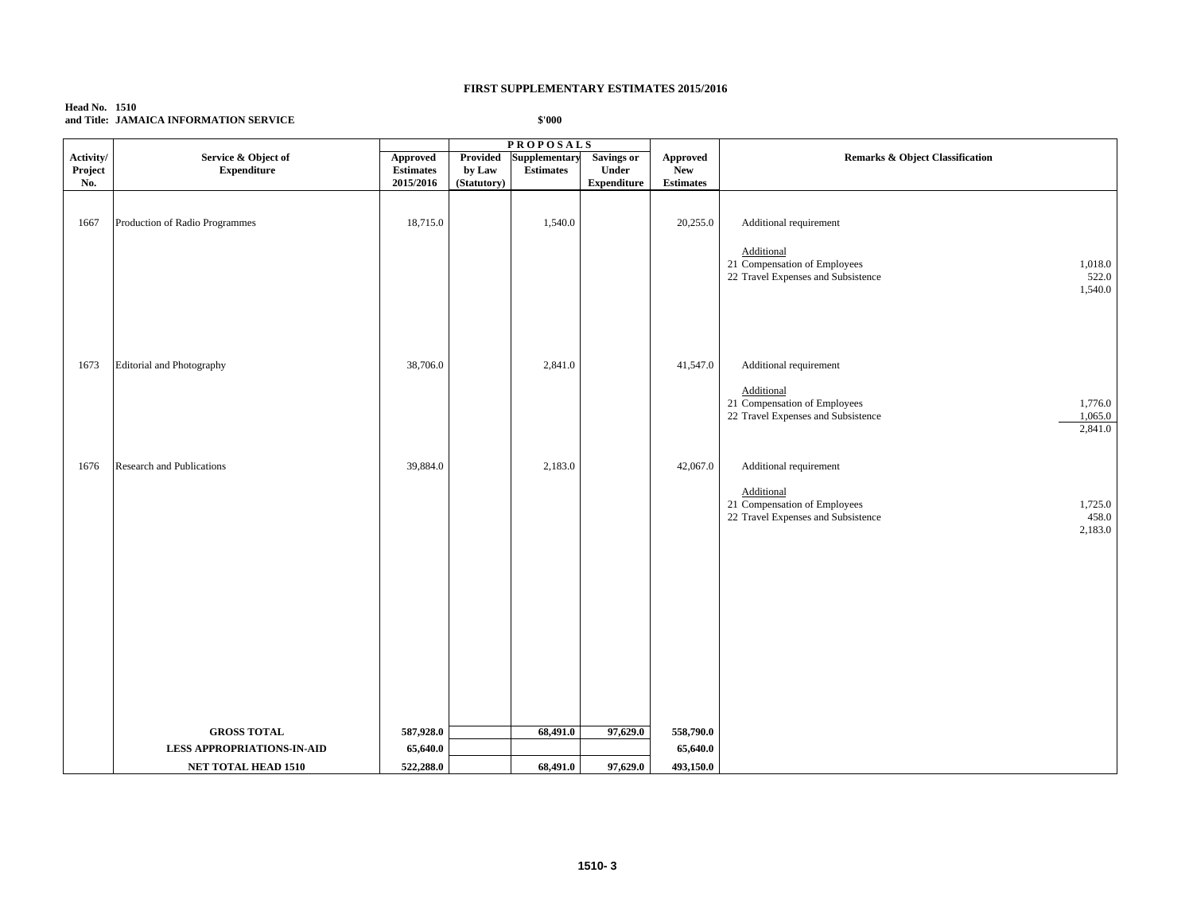### **Head No. 1510 and Title: JAMAICA INFORMATION SERVICE**

|                             |                                                                                | <b>PROPOSALS</b>                                 |                                   |                                   |                                                  |                                            |                                                                                                                                             |
|-----------------------------|--------------------------------------------------------------------------------|--------------------------------------------------|-----------------------------------|-----------------------------------|--------------------------------------------------|--------------------------------------------|---------------------------------------------------------------------------------------------------------------------------------------------|
| Activity/<br>Project<br>No. | Service & Object of<br><b>Expenditure</b>                                      | <b>Approved</b><br><b>Estimates</b><br>2015/2016 | Provided<br>by Law<br>(Statutory) | Supplementary<br><b>Estimates</b> | <b>Savings or</b><br>Under<br><b>Expenditure</b> | <b>Approved</b><br>New<br><b>Estimates</b> | Remarks & Object Classification                                                                                                             |
| 1667                        | Production of Radio Programmes                                                 | 18,715.0                                         |                                   | 1,540.0                           |                                                  | 20,255.0                                   | Additional requirement<br>Additional<br>21 Compensation of Employees<br>1,018.0<br>522.0<br>22 Travel Expenses and Subsistence<br>1,540.0   |
| 1673                        | Editorial and Photography                                                      | 38,706.0                                         |                                   | 2,841.0                           |                                                  | 41,547.0                                   | Additional requirement<br>Additional<br>21 Compensation of Employees<br>1,776.0<br>22 Travel Expenses and Subsistence<br>1,065.0<br>2,841.0 |
| 1676                        | Research and Publications                                                      | 39,884.0                                         |                                   | 2,183.0                           |                                                  | 42,067.0                                   | Additional requirement<br>Additional<br>21 Compensation of Employees<br>1,725.0<br>458.0<br>22 Travel Expenses and Subsistence<br>2,183.0   |
|                             | <b>GROSS TOTAL</b><br><b>LESS APPROPRIATIONS-IN-AID</b><br>NET TOTAL HEAD 1510 | 587,928.0<br>65,640.0<br>522,288.0               |                                   | 68,491.0<br>68,491.0              | 97,629.0<br>97,629.0                             | 558,790.0<br>65,640.0<br>493,150.0         |                                                                                                                                             |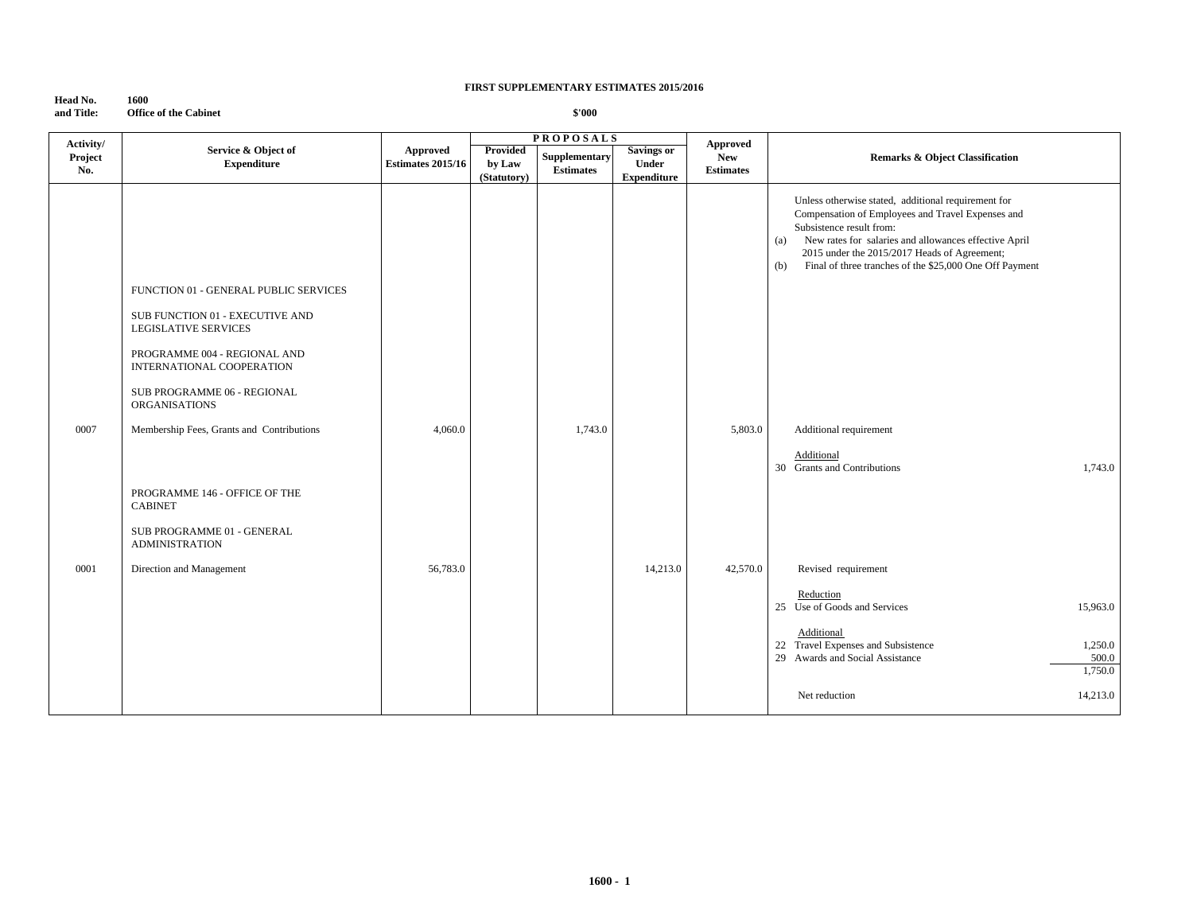**Head No. 1600**<br>**and Title: Office Office of the Cabinet** 

| Activity/      |                                                                                                                                                                      |                                      |                                   | <b>PROPOSALS</b>                  |                                                  | <b>Approved</b>                |                                                                                                                                                                                                                                                                                                                        |                             |
|----------------|----------------------------------------------------------------------------------------------------------------------------------------------------------------------|--------------------------------------|-----------------------------------|-----------------------------------|--------------------------------------------------|--------------------------------|------------------------------------------------------------------------------------------------------------------------------------------------------------------------------------------------------------------------------------------------------------------------------------------------------------------------|-----------------------------|
| Project<br>No. | Service & Object of<br><b>Expenditure</b>                                                                                                                            | Approved<br><b>Estimates 2015/16</b> | Provided<br>by Law<br>(Statutory) | Supplementary<br><b>Estimates</b> | <b>Savings or</b><br>Under<br><b>Expenditure</b> | <b>New</b><br><b>Estimates</b> | <b>Remarks &amp; Object Classification</b>                                                                                                                                                                                                                                                                             |                             |
|                | FUNCTION 01 - GENERAL PUBLIC SERVICES<br>SUB FUNCTION 01 - EXECUTIVE AND<br><b>LEGISLATIVE SERVICES</b><br>PROGRAMME 004 - REGIONAL AND<br>INTERNATIONAL COOPERATION |                                      |                                   |                                   |                                                  |                                | Unless otherwise stated, additional requirement for<br>Compensation of Employees and Travel Expenses and<br>Subsistence result from:<br>New rates for salaries and allowances effective April<br>(a)<br>2015 under the 2015/2017 Heads of Agreement;<br>Final of three tranches of the \$25,000 One Off Payment<br>(b) |                             |
|                | SUB PROGRAMME 06 - REGIONAL<br><b>ORGANISATIONS</b>                                                                                                                  |                                      |                                   |                                   |                                                  |                                |                                                                                                                                                                                                                                                                                                                        |                             |
| 0007           | Membership Fees, Grants and Contributions                                                                                                                            | 4,060.0                              |                                   | 1,743.0                           |                                                  | 5,803.0                        | Additional requirement<br>Additional                                                                                                                                                                                                                                                                                   |                             |
|                | PROGRAMME 146 - OFFICE OF THE<br><b>CABINET</b>                                                                                                                      |                                      |                                   |                                   |                                                  |                                | 30 Grants and Contributions                                                                                                                                                                                                                                                                                            | 1,743.0                     |
|                | SUB PROGRAMME 01 - GENERAL<br><b>ADMINISTRATION</b>                                                                                                                  |                                      |                                   |                                   |                                                  |                                |                                                                                                                                                                                                                                                                                                                        |                             |
| 0001           | Direction and Management                                                                                                                                             | 56,783.0                             |                                   |                                   | 14,213.0                                         | 42,570.0                       | Revised requirement                                                                                                                                                                                                                                                                                                    |                             |
|                |                                                                                                                                                                      |                                      |                                   |                                   |                                                  |                                | Reduction<br>25 Use of Goods and Services                                                                                                                                                                                                                                                                              | 15,963.0                    |
|                |                                                                                                                                                                      |                                      |                                   |                                   |                                                  |                                | Additional<br>22 Travel Expenses and Subsistence<br>29 Awards and Social Assistance                                                                                                                                                                                                                                    | 1,250.0<br>500.0<br>1,750.0 |
|                |                                                                                                                                                                      |                                      |                                   |                                   |                                                  |                                | Net reduction                                                                                                                                                                                                                                                                                                          | 14,213.0                    |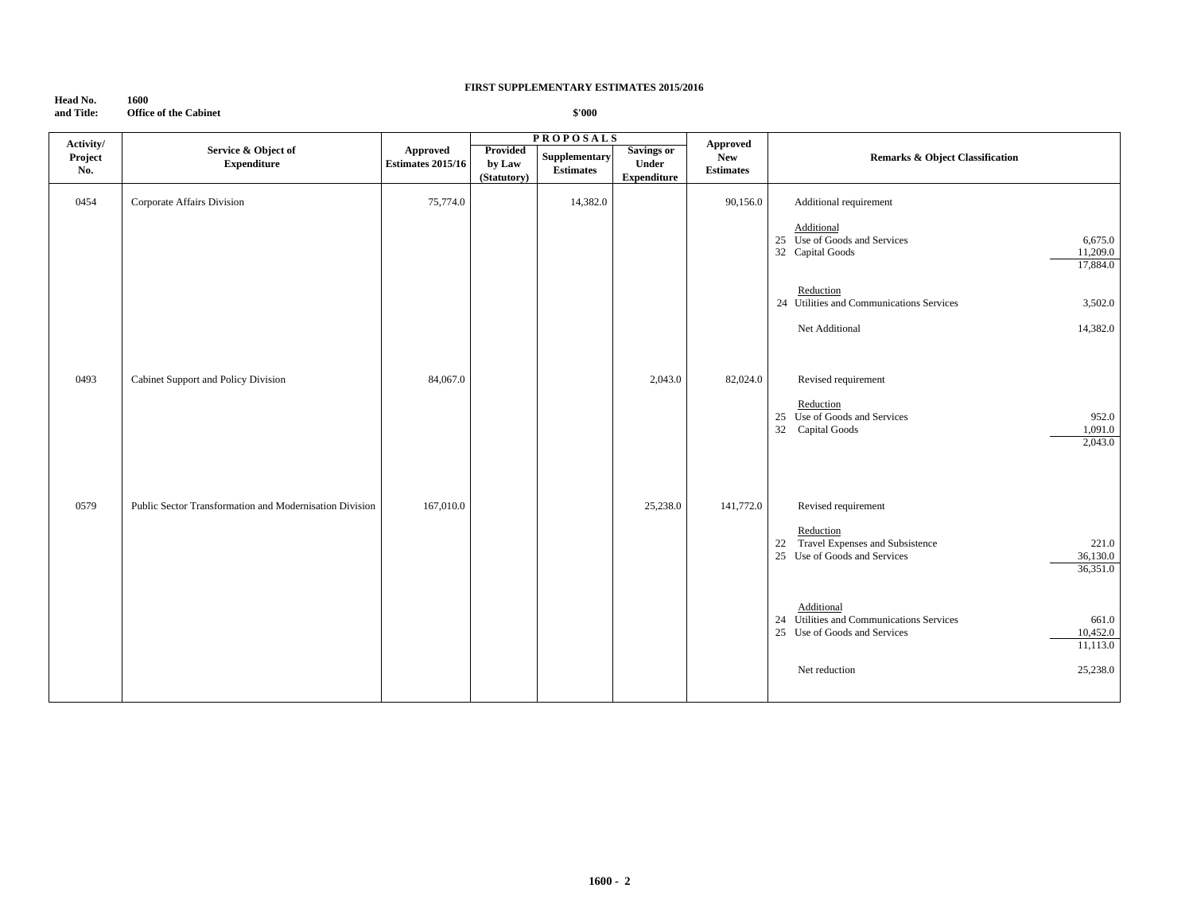### **Head No. 1600**<br>**and Title: Office Office of the Cabinet**

| Activity/      |                                                         |                                      |                                   | <b>PROPOSALS</b>                  |                                                  | <b>Approved</b>                |                                                                                                                         |
|----------------|---------------------------------------------------------|--------------------------------------|-----------------------------------|-----------------------------------|--------------------------------------------------|--------------------------------|-------------------------------------------------------------------------------------------------------------------------|
| Project<br>No. | Service & Object of<br><b>Expenditure</b>               | Approved<br><b>Estimates 2015/16</b> | Provided<br>by Law<br>(Statutory) | Supplementary<br><b>Estimates</b> | <b>Savings or</b><br>Under<br><b>Expenditure</b> | <b>New</b><br><b>Estimates</b> | <b>Remarks &amp; Object Classification</b>                                                                              |
| 0454           | Corporate Affairs Division                              | 75,774.0                             |                                   | 14,382.0                          |                                                  | 90,156.0                       | Additional requirement                                                                                                  |
|                |                                                         |                                      |                                   |                                   |                                                  |                                | Additional<br>25 Use of Goods and Services<br>6,675.0<br>32 Capital Goods<br>11,209.0<br>17,884.0                       |
|                |                                                         |                                      |                                   |                                   |                                                  |                                | Reduction<br>24 Utilities and Communications Services<br>3,502.0                                                        |
|                |                                                         |                                      |                                   |                                   |                                                  |                                | Net Additional<br>14,382.0                                                                                              |
| 0493           | Cabinet Support and Policy Division                     | 84,067.0                             |                                   |                                   | 2,043.0                                          | 82,024.0                       | Revised requirement                                                                                                     |
|                |                                                         |                                      |                                   |                                   |                                                  |                                | Reduction<br>25 Use of Goods and Services<br>952.0<br>Capital Goods<br>32<br>1,091.0<br>2,043.0                         |
| 0579           | Public Sector Transformation and Modernisation Division | 167,010.0                            |                                   |                                   | 25,238.0                                         | 141,772.0                      | Revised requirement                                                                                                     |
|                |                                                         |                                      |                                   |                                   |                                                  |                                | Reduction<br>Travel Expenses and Subsistence<br>221.0<br>22<br>25 Use of Goods and Services<br>36,130.0<br>36,351.0     |
|                |                                                         |                                      |                                   |                                   |                                                  |                                | Additional<br>24 Utilities and Communications Services<br>661.0<br>25 Use of Goods and Services<br>10,452.0<br>11,113.0 |
|                |                                                         |                                      |                                   |                                   |                                                  |                                | 25,238.0<br>Net reduction                                                                                               |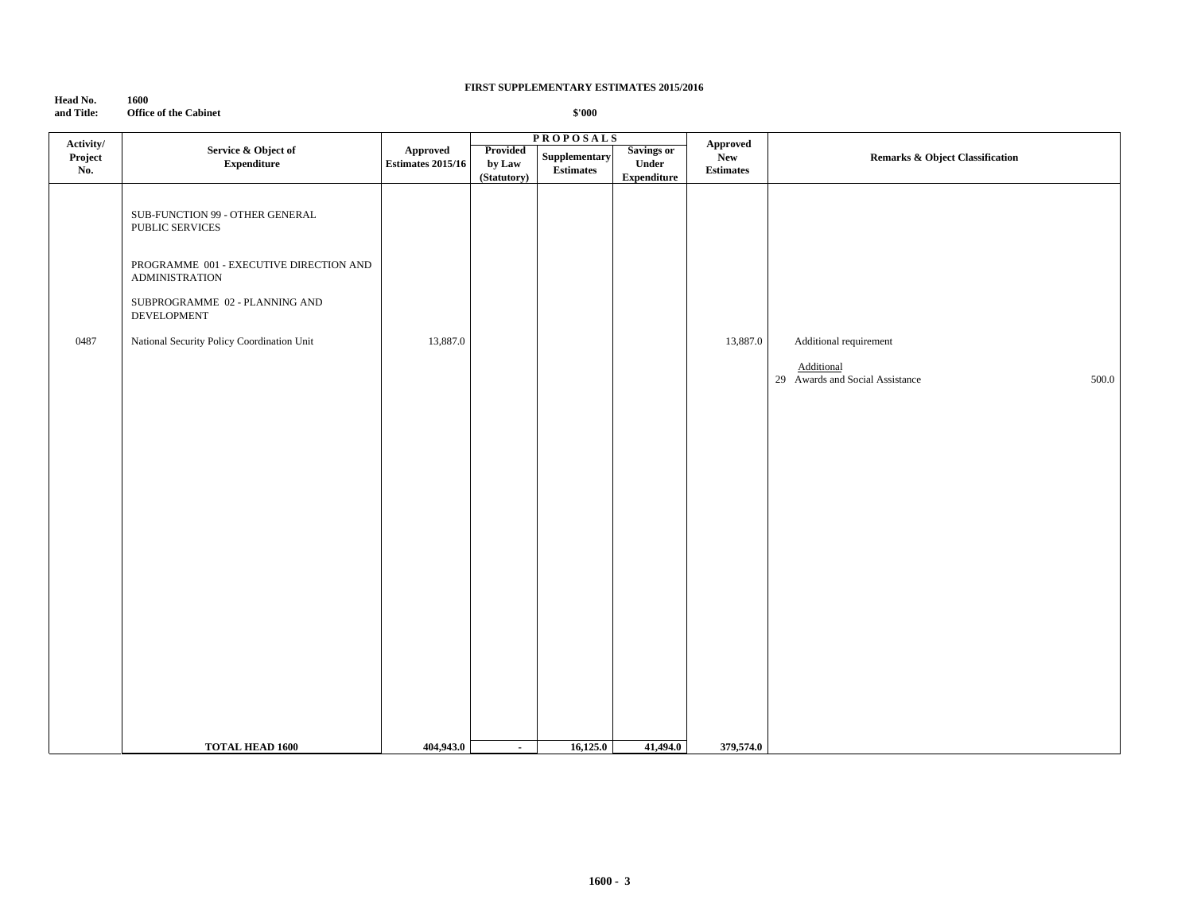| Head No.   | 1600                         |
|------------|------------------------------|
| and Title: | <b>Office of the Cabinet</b> |

| Activity/      |                                                                  |                                      |                                   | <b>PROPOSALS</b>                  |                                                  | Approved                       |                                                        |  |
|----------------|------------------------------------------------------------------|--------------------------------------|-----------------------------------|-----------------------------------|--------------------------------------------------|--------------------------------|--------------------------------------------------------|--|
| Project<br>No. | Service & Object of<br>${\bf Expenditure}$                       | Approved<br><b>Estimates 2015/16</b> | Provided<br>by Law<br>(Statutory) | Supplementary<br><b>Estimates</b> | <b>Savings or</b><br>Under<br><b>Expenditure</b> | <b>New</b><br><b>Estimates</b> | <b>Remarks &amp; Object Classification</b>             |  |
|                | SUB-FUNCTION 99 - OTHER GENERAL<br>PUBLIC SERVICES               |                                      |                                   |                                   |                                                  |                                |                                                        |  |
|                | PROGRAMME 001 - EXECUTIVE DIRECTION AND<br><b>ADMINISTRATION</b> |                                      |                                   |                                   |                                                  |                                |                                                        |  |
|                | SUBPROGRAMME 02 - PLANNING AND<br>DEVELOPMENT                    |                                      |                                   |                                   |                                                  |                                |                                                        |  |
| 0487           | National Security Policy Coordination Unit                       | 13,887.0                             |                                   |                                   |                                                  | 13,887.0                       | Additional requirement                                 |  |
|                |                                                                  |                                      |                                   |                                   |                                                  |                                | Additional<br>29 Awards and Social Assistance<br>500.0 |  |
|                |                                                                  |                                      |                                   |                                   |                                                  |                                |                                                        |  |
|                |                                                                  |                                      |                                   |                                   |                                                  |                                |                                                        |  |
|                |                                                                  |                                      |                                   |                                   |                                                  |                                |                                                        |  |
|                |                                                                  |                                      |                                   |                                   |                                                  |                                |                                                        |  |
|                |                                                                  |                                      |                                   |                                   |                                                  |                                |                                                        |  |
|                |                                                                  |                                      |                                   |                                   |                                                  |                                |                                                        |  |
|                |                                                                  |                                      |                                   |                                   |                                                  |                                |                                                        |  |
|                |                                                                  |                                      |                                   |                                   |                                                  |                                |                                                        |  |
|                |                                                                  |                                      |                                   |                                   |                                                  |                                |                                                        |  |
|                | <b>TOTAL HEAD 1600</b>                                           | 404,943.0                            | $\sim$                            | 16,125.0                          | 41,494.0                                         | 379,574.0                      |                                                        |  |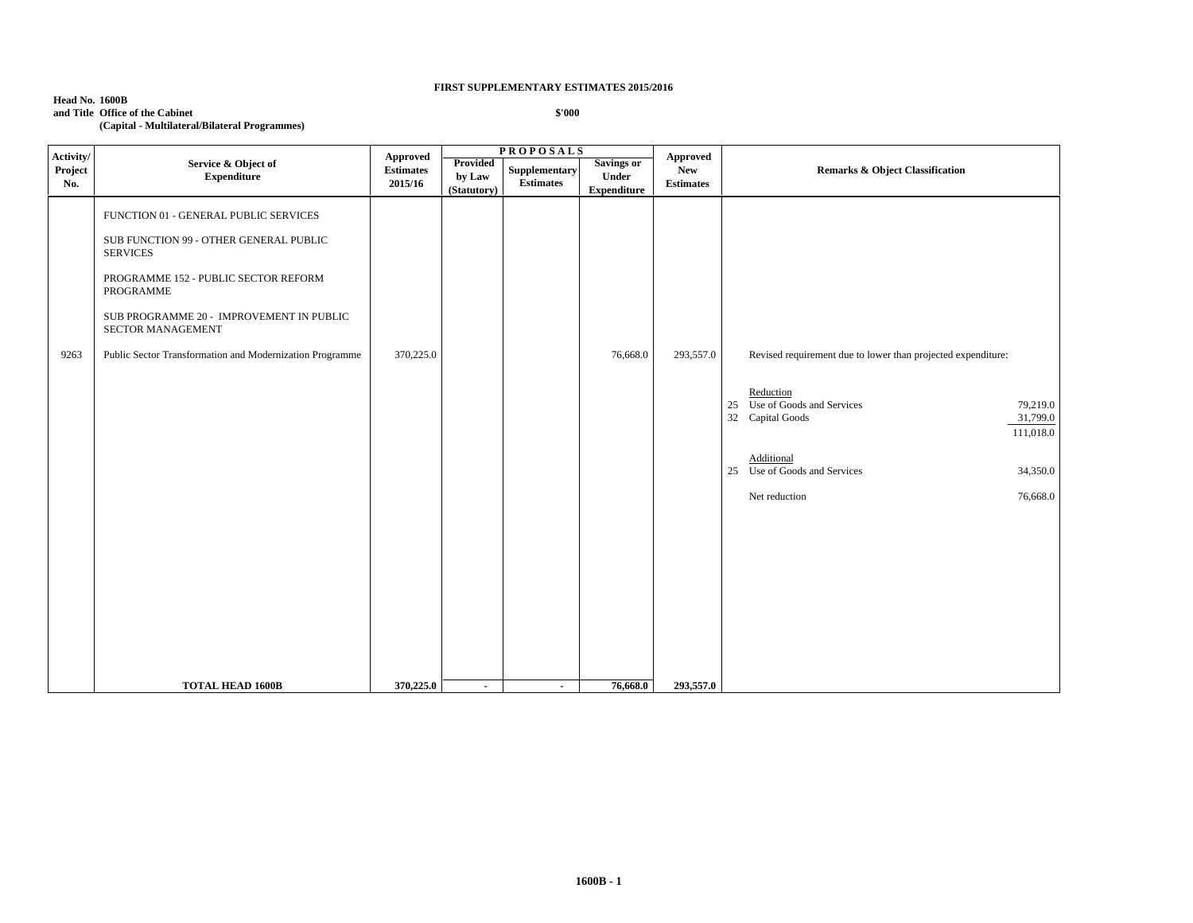| <b>Head No. 1600B</b> |                                               |
|-----------------------|-----------------------------------------------|
|                       | and Title Office of the Cabinet               |
|                       | (Capital - Multilateral/Bilateral Programmes) |

| Activity/      |                                                                                 | Approved                    |                                          | <b>PROPOSALS</b>                  |                                           | Approved                       |                                                                                                    |  |
|----------------|---------------------------------------------------------------------------------|-----------------------------|------------------------------------------|-----------------------------------|-------------------------------------------|--------------------------------|----------------------------------------------------------------------------------------------------|--|
| Project<br>No. | Service & Object of<br>${\bf Expenditure}$                                      | <b>Estimates</b><br>2015/16 | <b>Provided</b><br>by Law<br>(Statutory) | Supplementary<br><b>Estimates</b> | Savings or<br>Under<br><b>Expenditure</b> | <b>New</b><br><b>Estimates</b> | Remarks & Object Classification                                                                    |  |
|                | FUNCTION 01 - GENERAL PUBLIC SERVICES<br>SUB FUNCTION 99 - OTHER GENERAL PUBLIC |                             |                                          |                                   |                                           |                                |                                                                                                    |  |
|                | <b>SERVICES</b><br>PROGRAMME 152 - PUBLIC SECTOR REFORM<br>PROGRAMME            |                             |                                          |                                   |                                           |                                |                                                                                                    |  |
|                | SUB PROGRAMME 20 - IMPROVEMENT IN PUBLIC<br>SECTOR MANAGEMENT                   |                             |                                          |                                   |                                           |                                |                                                                                                    |  |
| 9263           | Public Sector Transformation and Modernization Programme                        | 370,225.0                   |                                          |                                   | 76,668.0                                  | 293,557.0                      | Revised requirement due to lower than projected expenditure:                                       |  |
|                |                                                                                 |                             |                                          |                                   |                                           |                                | Reduction<br>25 Use of Goods and Services<br>79,219.0<br>32 Capital Goods<br>31,799.0<br>111,018.0 |  |
|                |                                                                                 |                             |                                          |                                   |                                           |                                | Additional<br>25 Use of Goods and Services<br>34,350.0                                             |  |
|                |                                                                                 |                             |                                          |                                   |                                           |                                | Net reduction<br>76,668.0                                                                          |  |
|                |                                                                                 |                             |                                          |                                   |                                           |                                |                                                                                                    |  |
|                |                                                                                 |                             |                                          |                                   |                                           |                                |                                                                                                    |  |
|                |                                                                                 |                             |                                          |                                   |                                           |                                |                                                                                                    |  |
|                |                                                                                 |                             |                                          |                                   |                                           |                                |                                                                                                    |  |
|                | <b>TOTAL HEAD 1600B</b>                                                         | 370,225.0                   | $\sim$                                   | $\sim$                            | 76,668.0                                  | 293,557.0                      |                                                                                                    |  |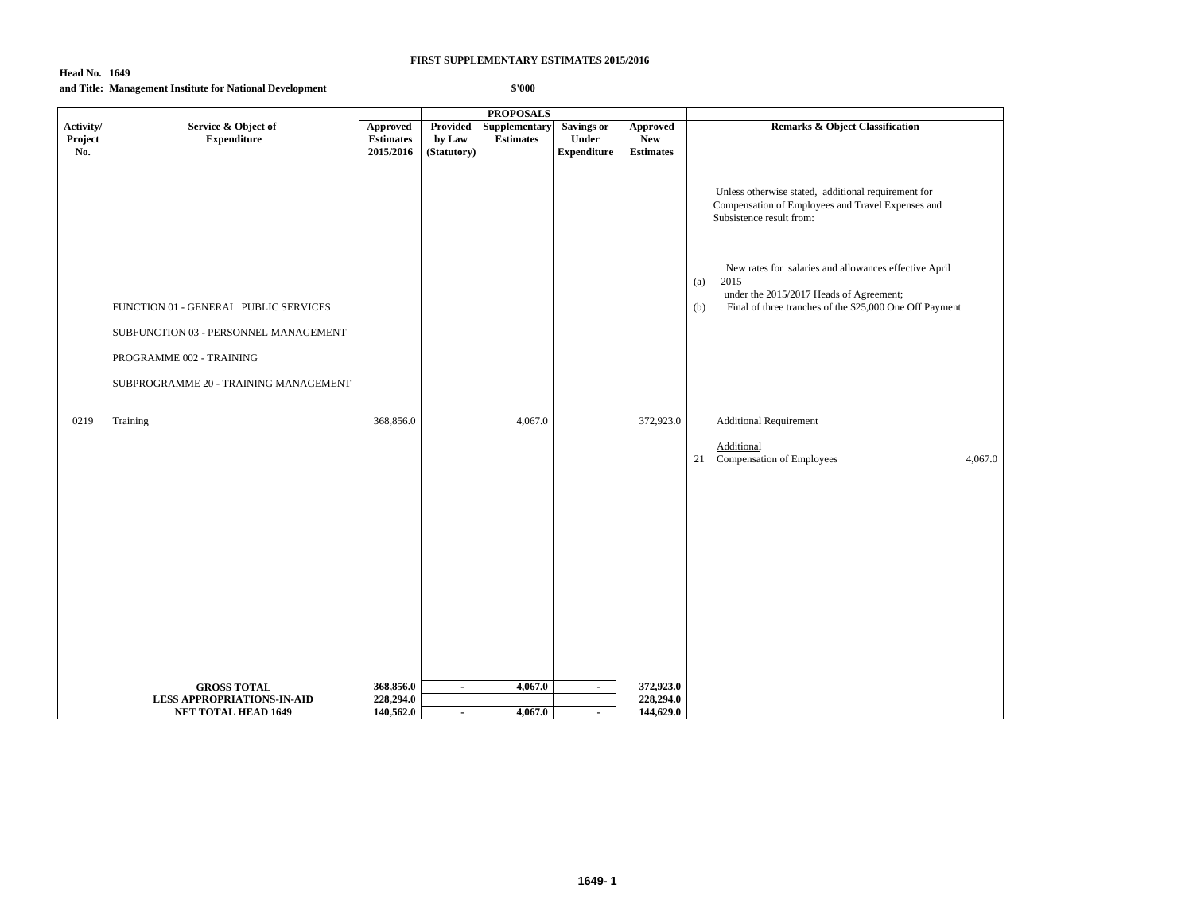### **Head No. 1649 and Title: Management Institute for National Development**

|                             |                                                                                | <b>PROPOSALS</b>                          |                                   |                                   |                                                  |                                                   |                                                                                                                                                                                   |
|-----------------------------|--------------------------------------------------------------------------------|-------------------------------------------|-----------------------------------|-----------------------------------|--------------------------------------------------|---------------------------------------------------|-----------------------------------------------------------------------------------------------------------------------------------------------------------------------------------|
| Activity/<br>Project<br>No. | Service & Object of<br><b>Expenditure</b>                                      | Approved<br><b>Estimates</b><br>2015/2016 | Provided<br>by Law<br>(Statutory) | Supplementary<br><b>Estimates</b> | <b>Savings or</b><br>Under<br><b>Expenditure</b> | <b>Approved</b><br><b>New</b><br><b>Estimates</b> | <b>Remarks &amp; Object Classification</b>                                                                                                                                        |
|                             |                                                                                |                                           |                                   |                                   |                                                  |                                                   | Unless otherwise stated, additional requirement for<br>Compensation of Employees and Travel Expenses and<br>Subsistence result from:                                              |
|                             | FUNCTION 01 - GENERAL PUBLIC SERVICES<br>SUBFUNCTION 03 - PERSONNEL MANAGEMENT |                                           |                                   |                                   |                                                  |                                                   | New rates for salaries and allowances effective April<br>2015<br>(a)<br>under the 2015/2017 Heads of Agreement;<br>Final of three tranches of the \$25,000 One Off Payment<br>(b) |
|                             | PROGRAMME 002 - TRAINING<br>SUBPROGRAMME 20 - TRAINING MANAGEMENT              |                                           |                                   |                                   |                                                  |                                                   |                                                                                                                                                                                   |
| 0219                        | Training                                                                       | 368,856.0                                 |                                   | 4,067.0                           |                                                  | 372,923.0                                         | <b>Additional Requirement</b><br>Additional<br>Compensation of Employees<br>4,067.0<br>21                                                                                         |
|                             |                                                                                |                                           |                                   |                                   |                                                  |                                                   |                                                                                                                                                                                   |
|                             |                                                                                |                                           |                                   |                                   |                                                  |                                                   |                                                                                                                                                                                   |
|                             |                                                                                |                                           |                                   |                                   |                                                  |                                                   |                                                                                                                                                                                   |
|                             |                                                                                |                                           |                                   |                                   |                                                  |                                                   |                                                                                                                                                                                   |
|                             | <b>GROSS TOTAL</b><br><b>LESS APPROPRIATIONS-IN-AID</b>                        | 368,856.0<br>228,294.0                    | $\sim$                            | 4,067.0                           | $\blacksquare$                                   | 372,923.0<br>228,294.0                            |                                                                                                                                                                                   |
|                             | <b>NET TOTAL HEAD 1649</b>                                                     | 140,562.0                                 | $\sim$                            | 4,067.0                           | $\blacksquare$                                   | 144,629.0                                         |                                                                                                                                                                                   |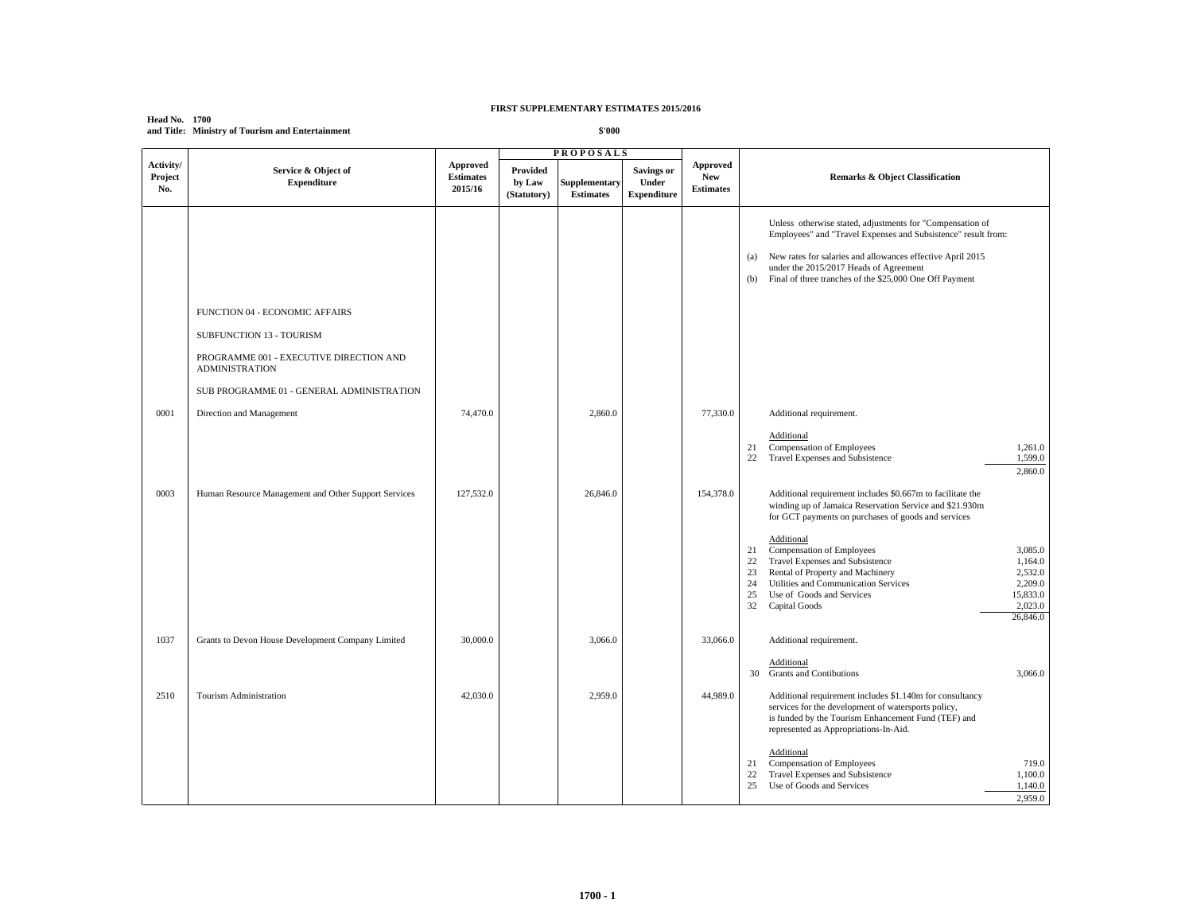**Head No. 1700 and Title: Ministry of Tourism and Entertainment**

|                             |                                                                                                                                                                             |                                         | <b>PROPOSALS</b>                  |                                   |                                                  |                                            |                                                                                                                                                                                                                                                                                                                                                                                                                                                                                                |
|-----------------------------|-----------------------------------------------------------------------------------------------------------------------------------------------------------------------------|-----------------------------------------|-----------------------------------|-----------------------------------|--------------------------------------------------|--------------------------------------------|------------------------------------------------------------------------------------------------------------------------------------------------------------------------------------------------------------------------------------------------------------------------------------------------------------------------------------------------------------------------------------------------------------------------------------------------------------------------------------------------|
| Activity/<br>Project<br>No. | Service & Object of<br><b>Expenditure</b>                                                                                                                                   | Approved<br><b>Estimates</b><br>2015/16 | Provided<br>by Law<br>(Statutory) | Supplementary<br><b>Estimates</b> | <b>Savings or</b><br>Under<br><b>Expenditure</b> | Approved<br><b>New</b><br><b>Estimates</b> | Remarks & Object Classification                                                                                                                                                                                                                                                                                                                                                                                                                                                                |
|                             | FUNCTION 04 - ECONOMIC AFFAIRS<br>SUBFUNCTION 13 - TOURISM<br>PROGRAMME 001 - EXECUTIVE DIRECTION AND<br><b>ADMINISTRATION</b><br>SUB PROGRAMME 01 - GENERAL ADMINISTRATION |                                         |                                   |                                   |                                                  |                                            | Unless otherwise stated, adjustments for "Compensation of<br>Employees" and "Travel Expenses and Subsistence" result from:<br>New rates for salaries and allowances effective April 2015<br>(a)<br>under the 2015/2017 Heads of Agreement<br>Final of three tranches of the \$25,000 One Off Payment<br>(b)                                                                                                                                                                                    |
| 0001                        | Direction and Management                                                                                                                                                    | 74,470.0                                |                                   | 2,860.0                           |                                                  | 77,330.0                                   | Additional requirement.                                                                                                                                                                                                                                                                                                                                                                                                                                                                        |
|                             |                                                                                                                                                                             |                                         |                                   |                                   |                                                  |                                            | Additional<br>Compensation of Employees<br>21<br>1,261.0<br>22 Travel Expenses and Subsistence<br>1,599.0<br>2,860.0                                                                                                                                                                                                                                                                                                                                                                           |
| 0003                        | Human Resource Management and Other Support Services                                                                                                                        | 127,532.0                               |                                   | 26,846.0                          |                                                  | 154,378.0                                  | Additional requirement includes \$0.667m to facilitate the<br>winding up of Jamaica Reservation Service and \$21.930m<br>for GCT payments on purchases of goods and services<br>Additional<br>21 Compensation of Employees<br>3,085.0<br>22 Travel Expenses and Subsistence<br>1,164.0<br>Rental of Property and Machinery<br>2,532.0<br>23<br>24<br>Utilities and Communication Services<br>2,209.0<br>Use of Goods and Services<br>15,833.0<br>25<br>2,023.0<br>32 Capital Goods<br>26,846.0 |
| 1037                        | Grants to Devon House Development Company Limited                                                                                                                           | 30,000.0                                |                                   | 3,066.0                           |                                                  | 33,066.0                                   | Additional requirement.<br>Additional<br>30 Grants and Contibutions<br>3,066.0                                                                                                                                                                                                                                                                                                                                                                                                                 |
| 2510                        | Tourism Administration                                                                                                                                                      | 42,030.0                                |                                   | 2,959.0                           |                                                  | 44,989.0                                   | Additional requirement includes \$1.140m for consultancy<br>services for the development of watersports policy,<br>is funded by the Tourism Enhancement Fund (TEF) and<br>represented as Appropriations-In-Aid.                                                                                                                                                                                                                                                                                |
|                             |                                                                                                                                                                             |                                         |                                   |                                   |                                                  |                                            | Additional<br>Compensation of Employees<br>719.0<br>21<br>22<br>Travel Expenses and Subsistence<br>1,100.0<br>1,140.0<br>25<br>Use of Goods and Services<br>2,959.0                                                                                                                                                                                                                                                                                                                            |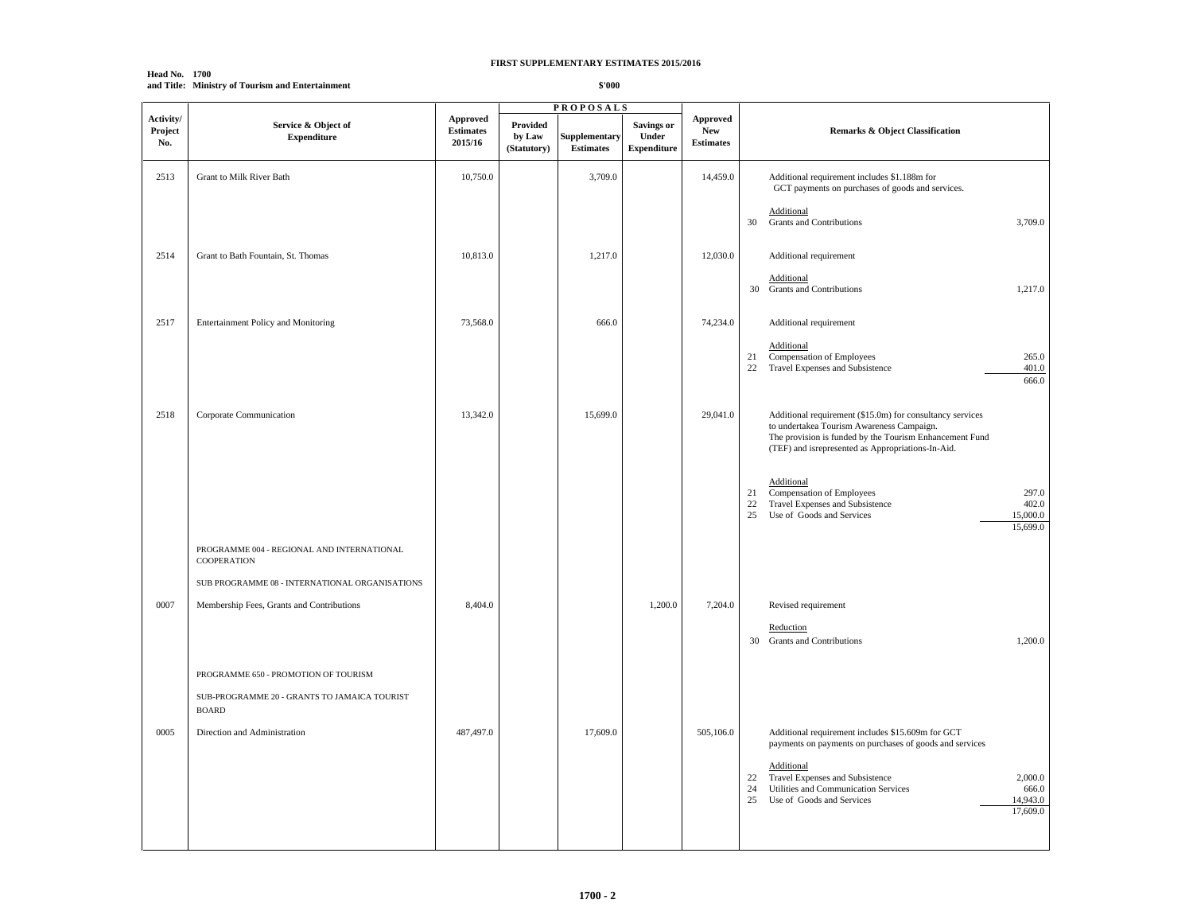**Head No. 1700 and Title: Ministry of Tourism and Entertainment**

|                             |                                                              |                                         | <b>PROPOSALS</b>                  |                                   |                                                  |                                            |                                                                                                                                                                                                                        |
|-----------------------------|--------------------------------------------------------------|-----------------------------------------|-----------------------------------|-----------------------------------|--------------------------------------------------|--------------------------------------------|------------------------------------------------------------------------------------------------------------------------------------------------------------------------------------------------------------------------|
| Activity/<br>Project<br>No. | Service & Object of<br><b>Expenditure</b>                    | Approved<br><b>Estimates</b><br>2015/16 | Provided<br>by Law<br>(Statutory) | Supplementary<br><b>Estimates</b> | <b>Savings or</b><br>Under<br><b>Expenditure</b> | Approved<br><b>New</b><br><b>Estimates</b> | <b>Remarks &amp; Object Classification</b>                                                                                                                                                                             |
| 2513                        | Grant to Milk River Bath                                     | 10,750.0                                |                                   | 3,709.0                           |                                                  | 14,459.0                                   | Additional requirement includes \$1.188m for<br>GCT payments on purchases of goods and services.                                                                                                                       |
|                             |                                                              |                                         |                                   |                                   |                                                  |                                            | Additional<br>Grants and Contributions<br>3,709.0<br>30                                                                                                                                                                |
| 2514                        | Grant to Bath Fountain, St. Thomas                           | 10,813.0                                |                                   | 1,217.0                           |                                                  | 12,030.0                                   | Additional requirement                                                                                                                                                                                                 |
|                             |                                                              |                                         |                                   |                                   |                                                  |                                            | Additional<br>30 Grants and Contributions<br>1,217.0                                                                                                                                                                   |
| 2517                        | Entertainment Policy and Monitoring                          | 73,568.0                                |                                   | 666.0                             |                                                  | 74,234.0                                   | Additional requirement                                                                                                                                                                                                 |
|                             |                                                              |                                         |                                   |                                   |                                                  |                                            | Additional<br>Compensation of Employees<br>21<br>265.0<br>401.0<br>22 Travel Expenses and Subsistence<br>666.0                                                                                                         |
| 2518                        | Corporate Communication                                      | 13,342.0                                |                                   | 15,699.0                          |                                                  | 29,041.0                                   | Additional requirement (\$15.0m) for consultancy services<br>to undertakea Tourism Awareness Campaign.<br>The provision is funded by the Tourism Enhancement Fund<br>(TEF) and isrepresented as Appropriations-In-Aid. |
|                             |                                                              |                                         |                                   |                                   |                                                  |                                            | Additional<br>Compensation of Employees<br>297.0<br>21<br>Travel Expenses and Subsistence<br>402.0<br>22<br>25<br>Use of Goods and Services<br>15,000.0<br>15,699.0                                                    |
|                             | PROGRAMME 004 - REGIONAL AND INTERNATIONAL<br>COOPERATION    |                                         |                                   |                                   |                                                  |                                            |                                                                                                                                                                                                                        |
|                             | SUB PROGRAMME 08 - INTERNATIONAL ORGANISATIONS               |                                         |                                   |                                   |                                                  |                                            |                                                                                                                                                                                                                        |
| 0007                        | Membership Fees, Grants and Contributions                    | 8,404.0                                 |                                   |                                   | 1,200.0                                          | 7,204.0                                    | Revised requirement<br>Reduction<br>1,200.0<br>30 Grants and Contributions                                                                                                                                             |
|                             | PROGRAMME 650 - PROMOTION OF TOURISM                         |                                         |                                   |                                   |                                                  |                                            |                                                                                                                                                                                                                        |
|                             | SUB-PROGRAMME 20 - GRANTS TO JAMAICA TOURIST<br><b>BOARD</b> |                                         |                                   |                                   |                                                  |                                            |                                                                                                                                                                                                                        |
| 0005                        | Direction and Administration                                 | 487,497.0                               |                                   | 17,609.0                          |                                                  | 505,106.0                                  | Additional requirement includes \$15.609m for GCT<br>payments on payments on purchases of goods and services                                                                                                           |
|                             |                                                              |                                         |                                   |                                   |                                                  |                                            | Additional<br>Travel Expenses and Subsistence<br>2,000.0<br>22<br>Utilities and Communication Services<br>24<br>666.0<br>Use of Goods and Services<br>14,943.0<br>25<br>17,609.0                                       |
|                             |                                                              |                                         |                                   |                                   |                                                  |                                            |                                                                                                                                                                                                                        |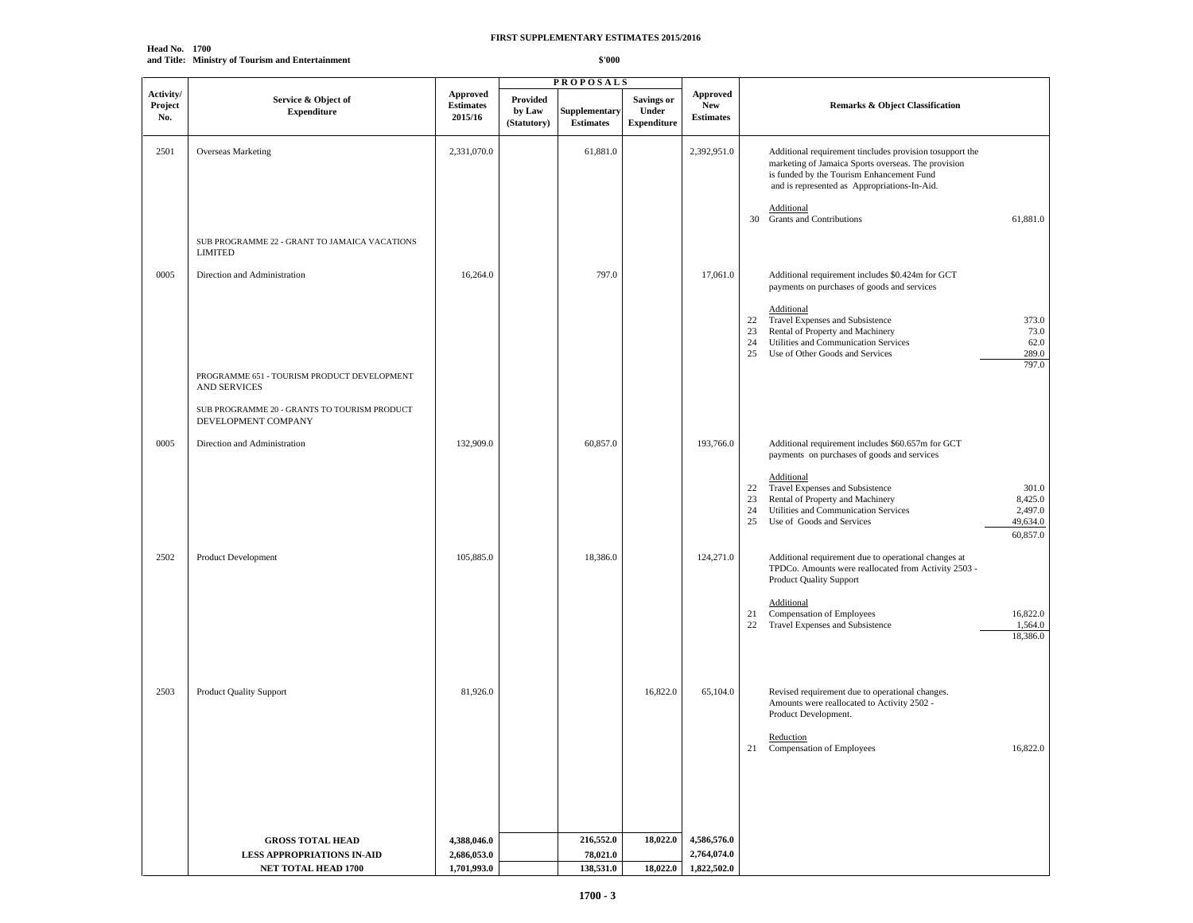**Head No. 1700 and Title: Ministry of Tourism and Entertainment**

|                             |                                                                                                     |                                         | <b>PROPOSALS</b>                  |                                   |                                                  |                                            |                                                                                                                                                                                                                                                                                                                           |
|-----------------------------|-----------------------------------------------------------------------------------------------------|-----------------------------------------|-----------------------------------|-----------------------------------|--------------------------------------------------|--------------------------------------------|---------------------------------------------------------------------------------------------------------------------------------------------------------------------------------------------------------------------------------------------------------------------------------------------------------------------------|
| Activity/<br>Project<br>No. | Service & Object of<br><b>Expenditure</b>                                                           | Approved<br><b>Estimates</b><br>2015/16 | Provided<br>by Law<br>(Statutory) | Supplementary<br><b>Estimates</b> | <b>Savings or</b><br>Under<br><b>Expenditure</b> | Approved<br><b>New</b><br><b>Estimates</b> | <b>Remarks &amp; Object Classification</b>                                                                                                                                                                                                                                                                                |
| 2501                        | Overseas Marketing                                                                                  | 2,331,070.0                             |                                   | 61,881.0                          |                                                  | 2,392,951.0                                | Additional requirement tincludes provision tosupport the<br>marketing of Jamaica Sports overseas. The provision<br>is funded by the Tourism Enhancement Fund<br>and is represented as Appropriations-In-Aid.<br><b>Additional</b><br><b>Grants and Contributions</b><br>61,881.0<br>30                                    |
|                             | SUB PROGRAMME 22 - GRANT TO JAMAICA VACATIONS<br><b>LIMITED</b>                                     |                                         |                                   |                                   |                                                  |                                            |                                                                                                                                                                                                                                                                                                                           |
| 0005                        | Direction and Administration                                                                        | 16,264.0                                |                                   | 797.0                             |                                                  | 17,061.0                                   | Additional requirement includes \$0.424m for GCT<br>payments on purchases of goods and services<br>Additional<br>Travel Expenses and Subsistence<br>373.0<br>22<br>Rental of Property and Machinery<br>73.0<br>23<br>Utilities and Communication Services<br>62.0<br>24<br>Use of Other Goods and Services<br>289.0<br>25 |
|                             | PROGRAMME 651 - TOURISM PRODUCT DEVELOPMENT<br><b>AND SERVICES</b>                                  |                                         |                                   |                                   |                                                  |                                            | 797.0                                                                                                                                                                                                                                                                                                                     |
| 0005                        | SUB PROGRAMME 20 - GRANTS TO TOURISM PRODUCT<br>DEVELOPMENT COMPANY<br>Direction and Administration | 132,909.0                               |                                   | 60,857.0                          |                                                  | 193,766.0                                  | Additional requirement includes \$60.657m for GCT<br>payments on purchases of goods and services                                                                                                                                                                                                                          |
|                             |                                                                                                     |                                         |                                   |                                   |                                                  |                                            | <b>Additional</b><br>Travel Expenses and Subsistence<br>22<br>301.0<br>Rental of Property and Machinery<br>8,425.0<br>23<br>Utilities and Communication Services<br>2,497.0<br>24<br>25<br>Use of Goods and Services<br>49,634.0<br>60,857.0                                                                              |
| 2502                        | Product Development                                                                                 | 105,885.0                               |                                   | 18,386.0                          |                                                  | 124,271.0                                  | Additional requirement due to operational changes at<br>TPDCo. Amounts were reallocated from Activity 2503 -<br><b>Product Quality Support</b>                                                                                                                                                                            |
|                             |                                                                                                     |                                         |                                   |                                   |                                                  |                                            | <b>Additional</b><br>21<br>Compensation of Employees<br>16,822.0<br>Travel Expenses and Subsistence<br>1,564.0<br>22<br>18,386.0                                                                                                                                                                                          |
| 2503                        | <b>Product Quality Support</b>                                                                      | 81,926.0                                |                                   |                                   | 16,822.0                                         | 65,104.0                                   | Revised requirement due to operational changes.<br>Amounts were reallocated to Activity 2502 -<br>Product Development.                                                                                                                                                                                                    |
|                             |                                                                                                     |                                         |                                   |                                   |                                                  |                                            | Reduction<br>16,822.0<br>Compensation of Employees<br>21                                                                                                                                                                                                                                                                  |
|                             |                                                                                                     |                                         |                                   |                                   |                                                  |                                            |                                                                                                                                                                                                                                                                                                                           |
|                             | <b>GROSS TOTAL HEAD</b>                                                                             | 4,388,046.0                             |                                   | 216,552.0                         | 18,022.0                                         | 4,586,576.0                                |                                                                                                                                                                                                                                                                                                                           |
|                             | LESS APPROPRIATIONS IN-AID                                                                          | 2,686,053.0                             |                                   | 78,021.0                          |                                                  | 2,764,074.0                                |                                                                                                                                                                                                                                                                                                                           |
|                             | NET TOTAL HEAD 1700                                                                                 | 1,701,993.0                             |                                   | 138,531.0                         | 18,022.0                                         | 1,822,502.0                                |                                                                                                                                                                                                                                                                                                                           |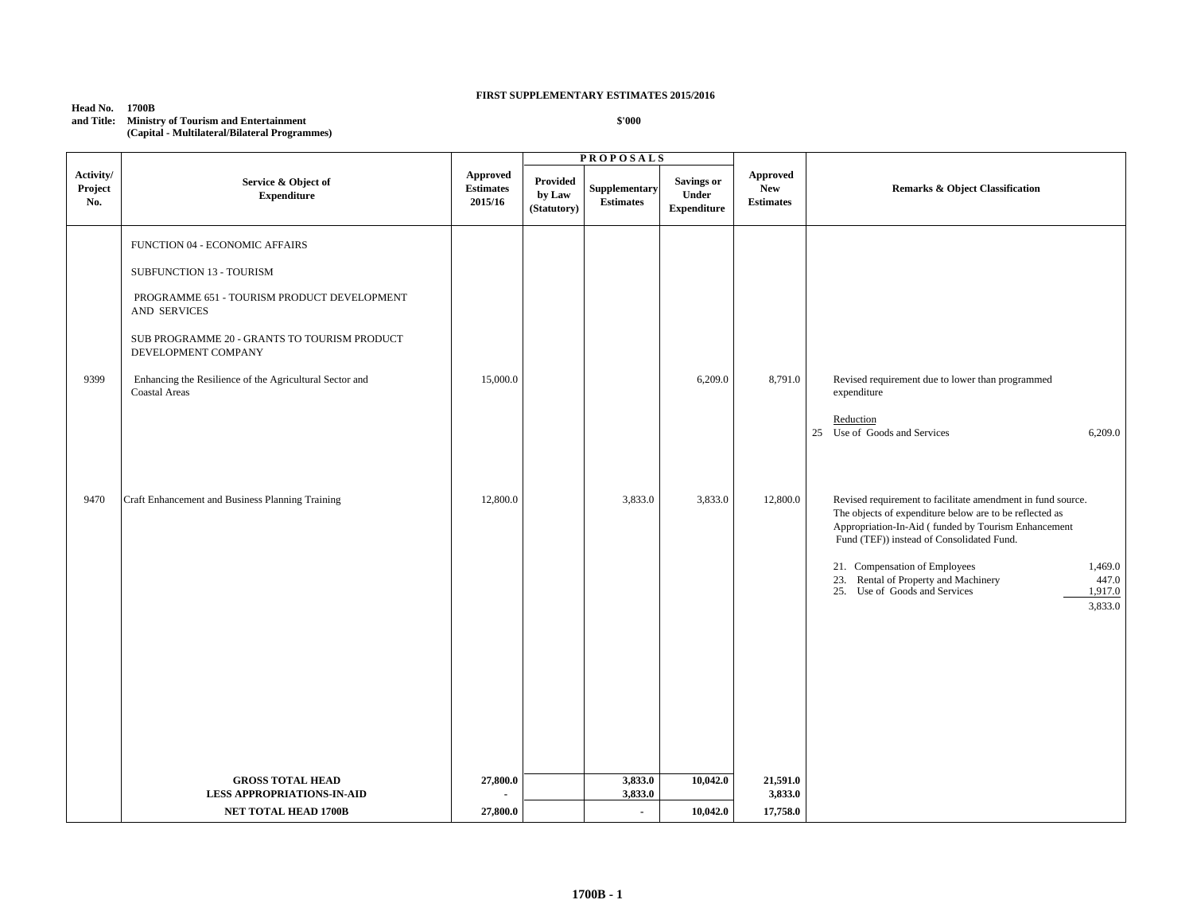**Head No. 1700B and Title: Ministry of Tourism and Entertainment (Capital - Multilateral/Bilateral Programmes)**

| Activity/<br>Project<br>No. | Service & Object of<br><b>Expenditure</b>                                                                                                                                                                                                                                           | <b>Approved</b><br><b>Estimates</b><br>2015/16 | <b>Provided</b><br>by Law<br>(Statutory) | Supplementary<br><b>Estimates</b> | <b>Savings or</b><br>Under<br><b>Expenditure</b> | <b>Approved</b><br><b>New</b><br><b>Estimates</b> | <b>Remarks &amp; Object Classification</b>                                                                                                                                                                                                                                                                                                                                     |
|-----------------------------|-------------------------------------------------------------------------------------------------------------------------------------------------------------------------------------------------------------------------------------------------------------------------------------|------------------------------------------------|------------------------------------------|-----------------------------------|--------------------------------------------------|---------------------------------------------------|--------------------------------------------------------------------------------------------------------------------------------------------------------------------------------------------------------------------------------------------------------------------------------------------------------------------------------------------------------------------------------|
| 9399                        | FUNCTION 04 - ECONOMIC AFFAIRS<br>SUBFUNCTION 13 - TOURISM<br>PROGRAMME 651 - TOURISM PRODUCT DEVELOPMENT<br>AND SERVICES<br>SUB PROGRAMME 20 - GRANTS TO TOURISM PRODUCT<br>DEVELOPMENT COMPANY<br>Enhancing the Resilience of the Agricultural Sector and<br><b>Coastal Areas</b> | 15,000.0                                       |                                          |                                   | 6,209.0                                          | 8,791.0                                           | Revised requirement due to lower than programmed<br>expenditure<br>Reduction<br>25 Use of Goods and Services<br>6,209.0                                                                                                                                                                                                                                                        |
| 9470                        | Craft Enhancement and Business Planning Training                                                                                                                                                                                                                                    | 12,800.0                                       |                                          | 3,833.0                           | 3,833.0                                          | 12,800.0                                          | Revised requirement to facilitate amendment in fund source.<br>The objects of expenditure below are to be reflected as<br>Appropriation-In-Aid (funded by Tourism Enhancement<br>Fund (TEF)) instead of Consolidated Fund.<br>21. Compensation of Employees<br>1,469.0<br>23. Rental of Property and Machinery<br>447.0<br>25. Use of Goods and Services<br>1,917.0<br>3,833.0 |
|                             | <b>GROSS TOTAL HEAD</b><br><b>LESS APPROPRIATIONS-IN-AID</b>                                                                                                                                                                                                                        | 27,800.0                                       |                                          | 3,833.0<br>3,833.0                | 10,042.0                                         | 21,591.0<br>3,833.0                               |                                                                                                                                                                                                                                                                                                                                                                                |
|                             | <b>NET TOTAL HEAD 1700B</b>                                                                                                                                                                                                                                                         | 27,800.0                                       |                                          | $\overline{\phantom{a}}$          | 10,042.0                                         | 17,758.0                                          |                                                                                                                                                                                                                                                                                                                                                                                |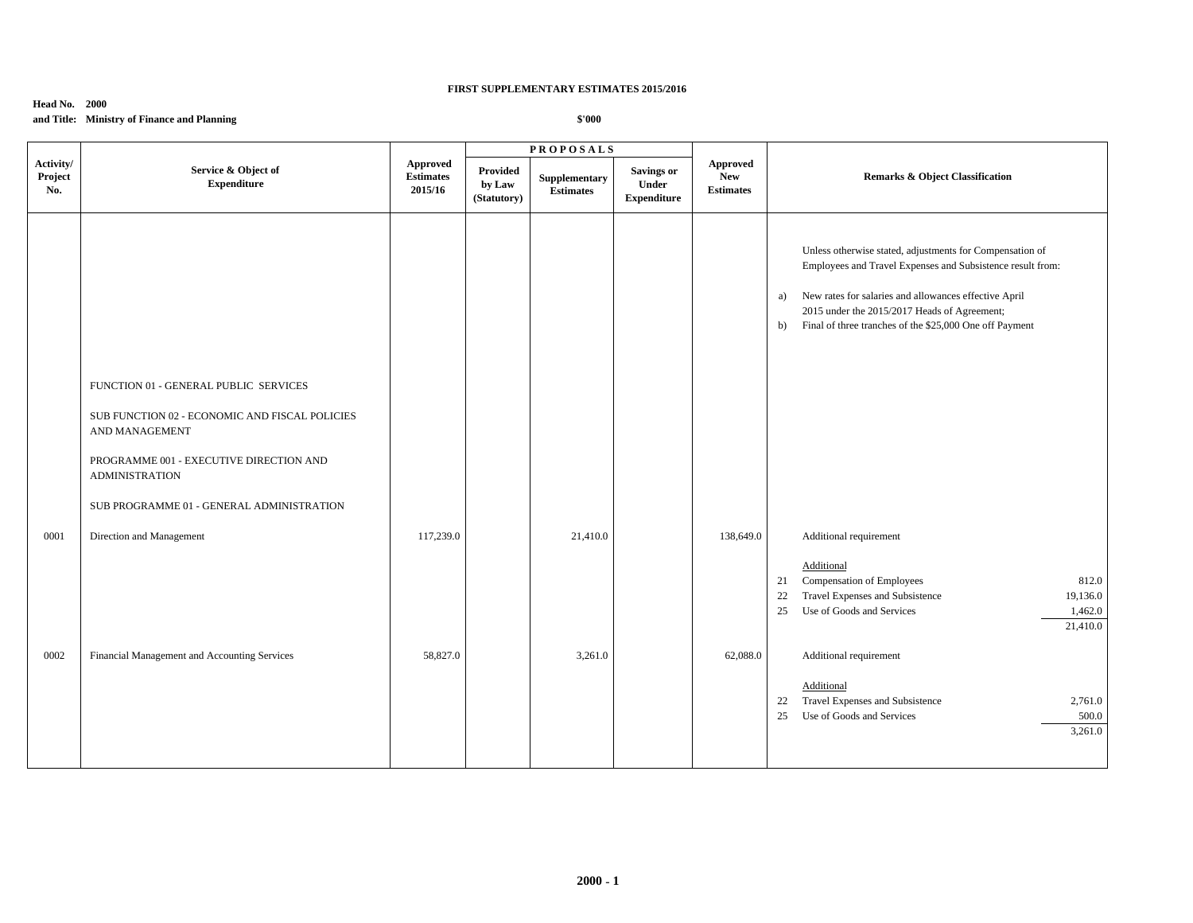## **Head No. 2000**

**and Title: Ministry of Finance and Planning**

|                             |                                                                                                           |                                         |                                   | <b>PROPOSALS</b>                  |                                                  |                                                   |                                                                                                                                                                                                                                                                                                        |
|-----------------------------|-----------------------------------------------------------------------------------------------------------|-----------------------------------------|-----------------------------------|-----------------------------------|--------------------------------------------------|---------------------------------------------------|--------------------------------------------------------------------------------------------------------------------------------------------------------------------------------------------------------------------------------------------------------------------------------------------------------|
| Activity/<br>Project<br>No. | Service & Object of<br><b>Expenditure</b>                                                                 | Approved<br><b>Estimates</b><br>2015/16 | Provided<br>by Law<br>(Statutory) | Supplementary<br><b>Estimates</b> | <b>Savings or</b><br>Under<br><b>Expenditure</b> | <b>Approved</b><br><b>New</b><br><b>Estimates</b> | <b>Remarks &amp; Object Classification</b>                                                                                                                                                                                                                                                             |
|                             | FUNCTION 01 - GENERAL PUBLIC SERVICES<br>SUB FUNCTION 02 - ECONOMIC AND FISCAL POLICIES<br>AND MANAGEMENT |                                         |                                   |                                   |                                                  |                                                   | Unless otherwise stated, adjustments for Compensation of<br>Employees and Travel Expenses and Subsistence result from:<br>New rates for salaries and allowances effective April<br>a)<br>2015 under the 2015/2017 Heads of Agreement;<br>Final of three tranches of the \$25,000 One off Payment<br>b) |
|                             | PROGRAMME 001 - EXECUTIVE DIRECTION AND<br><b>ADMINISTRATION</b>                                          |                                         |                                   |                                   |                                                  |                                                   |                                                                                                                                                                                                                                                                                                        |
|                             | SUB PROGRAMME 01 - GENERAL ADMINISTRATION                                                                 |                                         |                                   |                                   |                                                  |                                                   |                                                                                                                                                                                                                                                                                                        |
| 0001                        | Direction and Management                                                                                  | 117,239.0                               |                                   | 21,410.0                          |                                                  | 138,649.0                                         | Additional requirement                                                                                                                                                                                                                                                                                 |
|                             |                                                                                                           |                                         |                                   |                                   |                                                  |                                                   | Additional<br>Compensation of Employees<br>812.0<br>21<br>Travel Expenses and Subsistence<br>22<br>19,136.0<br>Use of Goods and Services<br>1,462.0<br>25<br>21,410.0                                                                                                                                  |
| 0002                        | Financial Management and Accounting Services                                                              | 58,827.0                                |                                   | 3,261.0                           |                                                  | 62,088.0                                          | Additional requirement<br>Additional<br>Travel Expenses and Subsistence<br>2,761.0<br>22<br>500.0<br>Use of Goods and Services<br>25<br>3,261.0                                                                                                                                                        |
|                             |                                                                                                           |                                         |                                   |                                   |                                                  |                                                   |                                                                                                                                                                                                                                                                                                        |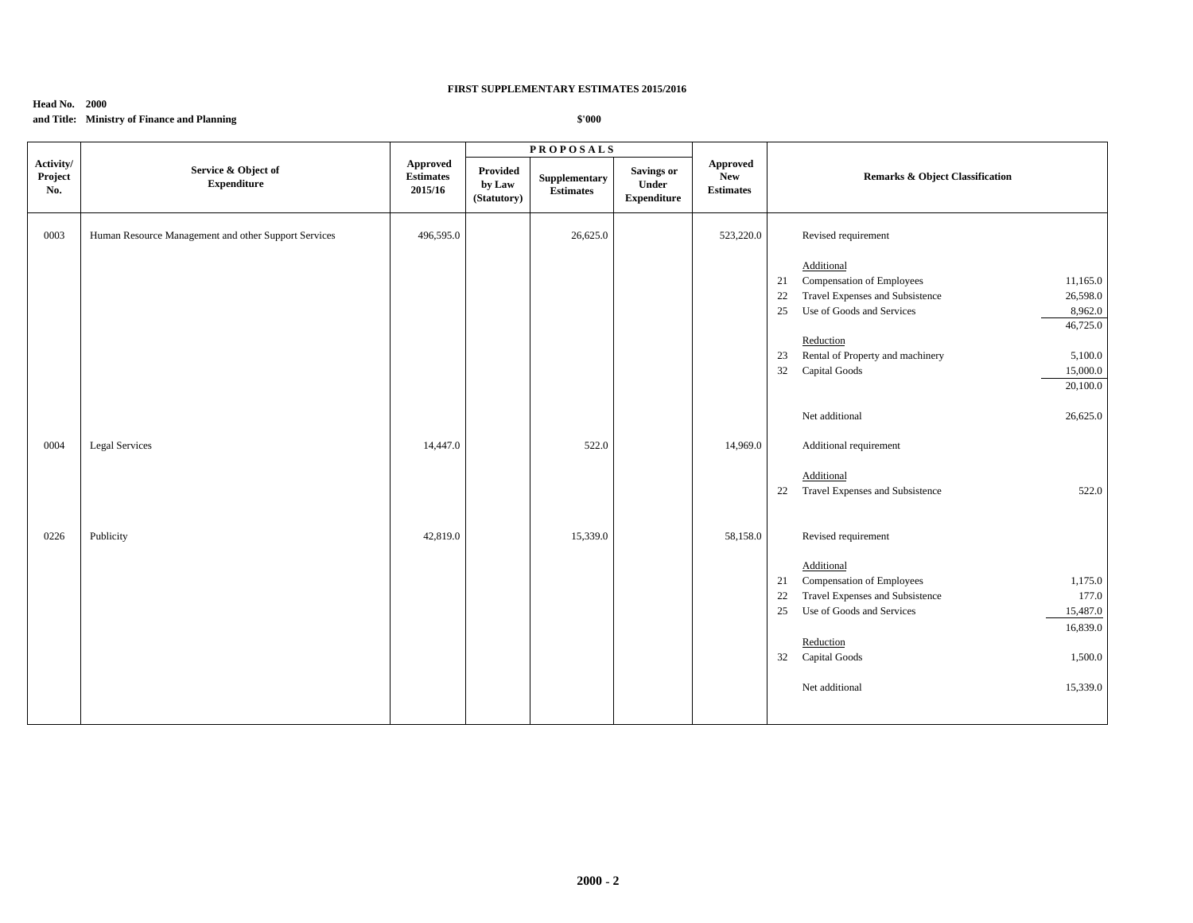### **Head No. 2000**

# **and Title: Ministry of Finance and Planning**

|                             |                                                      |                                         |                                   | <b>PROPOSALS</b>                  |                                                  |                                            |                                                   |
|-----------------------------|------------------------------------------------------|-----------------------------------------|-----------------------------------|-----------------------------------|--------------------------------------------------|--------------------------------------------|---------------------------------------------------|
| Activity/<br>Project<br>No. | Service & Object of<br><b>Expenditure</b>            | Approved<br><b>Estimates</b><br>2015/16 | Provided<br>by Law<br>(Statutory) | Supplementary<br><b>Estimates</b> | <b>Savings or</b><br>Under<br><b>Expenditure</b> | Approved<br><b>New</b><br><b>Estimates</b> | <b>Remarks &amp; Object Classification</b>        |
| 0003                        | Human Resource Management and other Support Services | 496,595.0                               |                                   | 26,625.0                          |                                                  | 523,220.0                                  | Revised requirement                               |
|                             |                                                      |                                         |                                   |                                   |                                                  |                                            | Additional                                        |
|                             |                                                      |                                         |                                   |                                   |                                                  |                                            | Compensation of Employees<br>11,165.0<br>21       |
|                             |                                                      |                                         |                                   |                                   |                                                  |                                            | Travel Expenses and Subsistence<br>22<br>26,598.0 |
|                             |                                                      |                                         |                                   |                                   |                                                  |                                            | 25<br>Use of Goods and Services<br>8,962.0        |
|                             |                                                      |                                         |                                   |                                   |                                                  |                                            | 46,725.0                                          |
|                             |                                                      |                                         |                                   |                                   |                                                  |                                            | Reduction                                         |
|                             |                                                      |                                         |                                   |                                   |                                                  |                                            | Rental of Property and machinery<br>23<br>5,100.0 |
|                             |                                                      |                                         |                                   |                                   |                                                  |                                            | 32<br>Capital Goods<br>15,000.0                   |
|                             |                                                      |                                         |                                   |                                   |                                                  |                                            | 20,100.0                                          |
|                             |                                                      |                                         |                                   |                                   |                                                  |                                            | Net additional<br>26,625.0                        |
| 0004                        | <b>Legal Services</b>                                | 14,447.0                                |                                   | 522.0                             |                                                  | 14,969.0                                   | Additional requirement                            |
|                             |                                                      |                                         |                                   |                                   |                                                  |                                            | Additional                                        |
|                             |                                                      |                                         |                                   |                                   |                                                  |                                            | Travel Expenses and Subsistence<br>522.0<br>22    |
|                             |                                                      |                                         |                                   |                                   |                                                  |                                            |                                                   |
| 0226                        | Publicity                                            | 42,819.0                                |                                   | 15,339.0                          |                                                  | 58,158.0                                   | Revised requirement                               |
|                             |                                                      |                                         |                                   |                                   |                                                  |                                            | Additional                                        |
|                             |                                                      |                                         |                                   |                                   |                                                  |                                            | Compensation of Employees<br>1,175.0<br>21        |
|                             |                                                      |                                         |                                   |                                   |                                                  |                                            | Travel Expenses and Subsistence<br>177.0<br>22    |
|                             |                                                      |                                         |                                   |                                   |                                                  |                                            | Use of Goods and Services<br>15,487.0<br>25       |
|                             |                                                      |                                         |                                   |                                   |                                                  |                                            | 16,839.0                                          |
|                             |                                                      |                                         |                                   |                                   |                                                  |                                            | Reduction                                         |
|                             |                                                      |                                         |                                   |                                   |                                                  |                                            | 32 Capital Goods<br>1,500.0                       |
|                             |                                                      |                                         |                                   |                                   |                                                  |                                            | Net additional<br>15,339.0                        |
|                             |                                                      |                                         |                                   |                                   |                                                  |                                            |                                                   |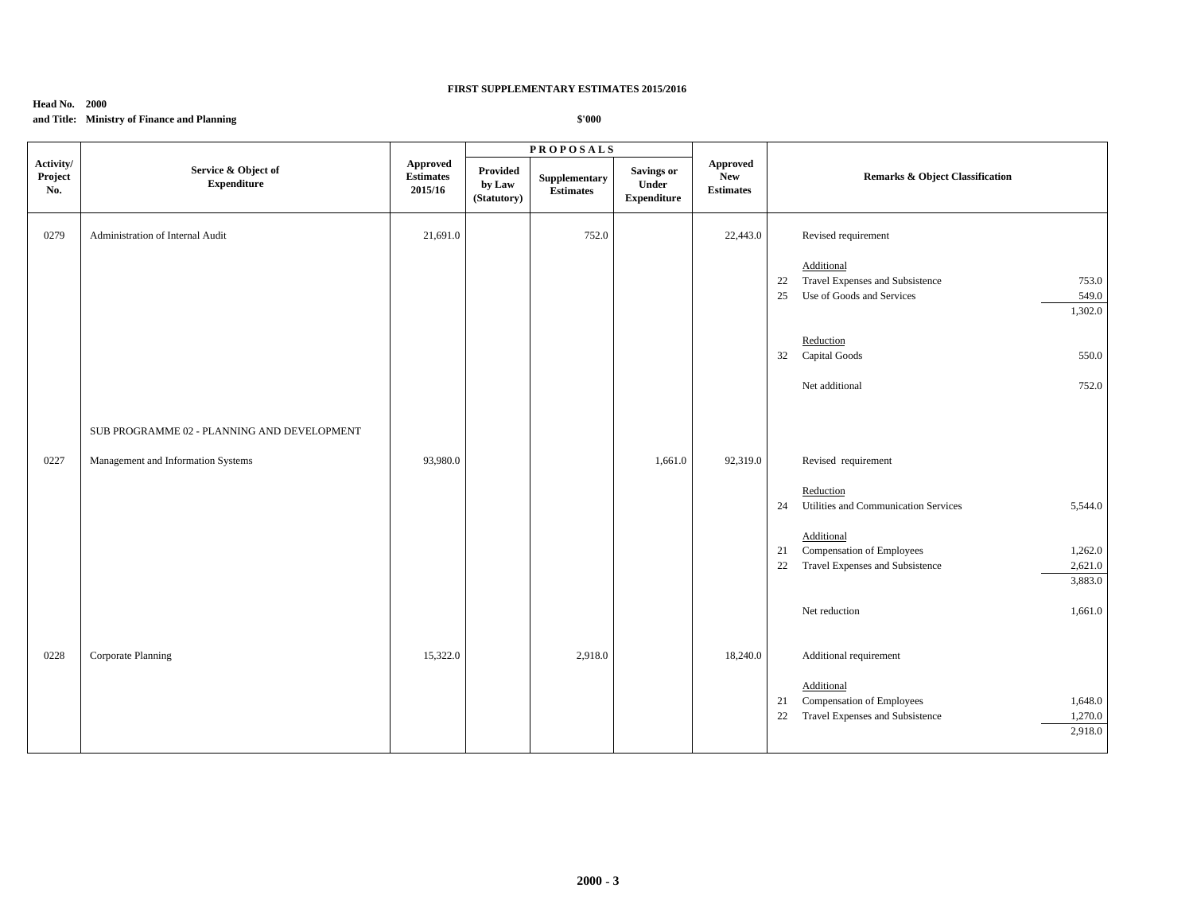### **Head No. 2000**

# **and Title: Ministry of Finance and Planning**

|                             |                                             |                                                |                                   | <b>PROPOSALS</b>                  |                                                  |                                                   |                                                                                                                         |
|-----------------------------|---------------------------------------------|------------------------------------------------|-----------------------------------|-----------------------------------|--------------------------------------------------|---------------------------------------------------|-------------------------------------------------------------------------------------------------------------------------|
| Activity/<br>Project<br>No. | Service & Object of<br><b>Expenditure</b>   | <b>Approved</b><br><b>Estimates</b><br>2015/16 | Provided<br>by Law<br>(Statutory) | Supplementary<br><b>Estimates</b> | <b>Savings or</b><br>Under<br><b>Expenditure</b> | <b>Approved</b><br><b>New</b><br><b>Estimates</b> | Remarks & Object Classification                                                                                         |
| 0279                        | Administration of Internal Audit            | 21,691.0                                       |                                   | 752.0                             |                                                  | 22,443.0                                          | Revised requirement                                                                                                     |
|                             |                                             |                                                |                                   |                                   |                                                  |                                                   | Additional<br>Travel Expenses and Subsistence<br>753.0<br>22<br>Use of Goods and Services<br>549.0<br>25<br>1,302.0     |
|                             |                                             |                                                |                                   |                                   |                                                  |                                                   | Reduction<br>550.0<br>32 Capital Goods                                                                                  |
|                             |                                             |                                                |                                   |                                   |                                                  |                                                   | Net additional<br>752.0                                                                                                 |
|                             | SUB PROGRAMME 02 - PLANNING AND DEVELOPMENT |                                                |                                   |                                   |                                                  |                                                   |                                                                                                                         |
| 0227                        | Management and Information Systems          | 93,980.0                                       |                                   |                                   | 1,661.0                                          | 92,319.0                                          | Revised requirement                                                                                                     |
|                             |                                             |                                                |                                   |                                   |                                                  |                                                   | Reduction<br>Utilities and Communication Services<br>5,544.0<br>24                                                      |
|                             |                                             |                                                |                                   |                                   |                                                  |                                                   | Additional<br>Compensation of Employees<br>1,262.0<br>21<br>Travel Expenses and Subsistence<br>2,621.0<br>22            |
|                             |                                             |                                                |                                   |                                   |                                                  |                                                   | 3,883.0                                                                                                                 |
|                             |                                             |                                                |                                   |                                   |                                                  |                                                   | Net reduction<br>1,661.0                                                                                                |
| 0228                        | Corporate Planning                          | 15,322.0                                       |                                   | 2,918.0                           |                                                  | 18,240.0                                          | Additional requirement                                                                                                  |
|                             |                                             |                                                |                                   |                                   |                                                  |                                                   | Additional<br>Compensation of Employees<br>1,648.0<br>21<br>Travel Expenses and Subsistence<br>1,270.0<br>22<br>2,918.0 |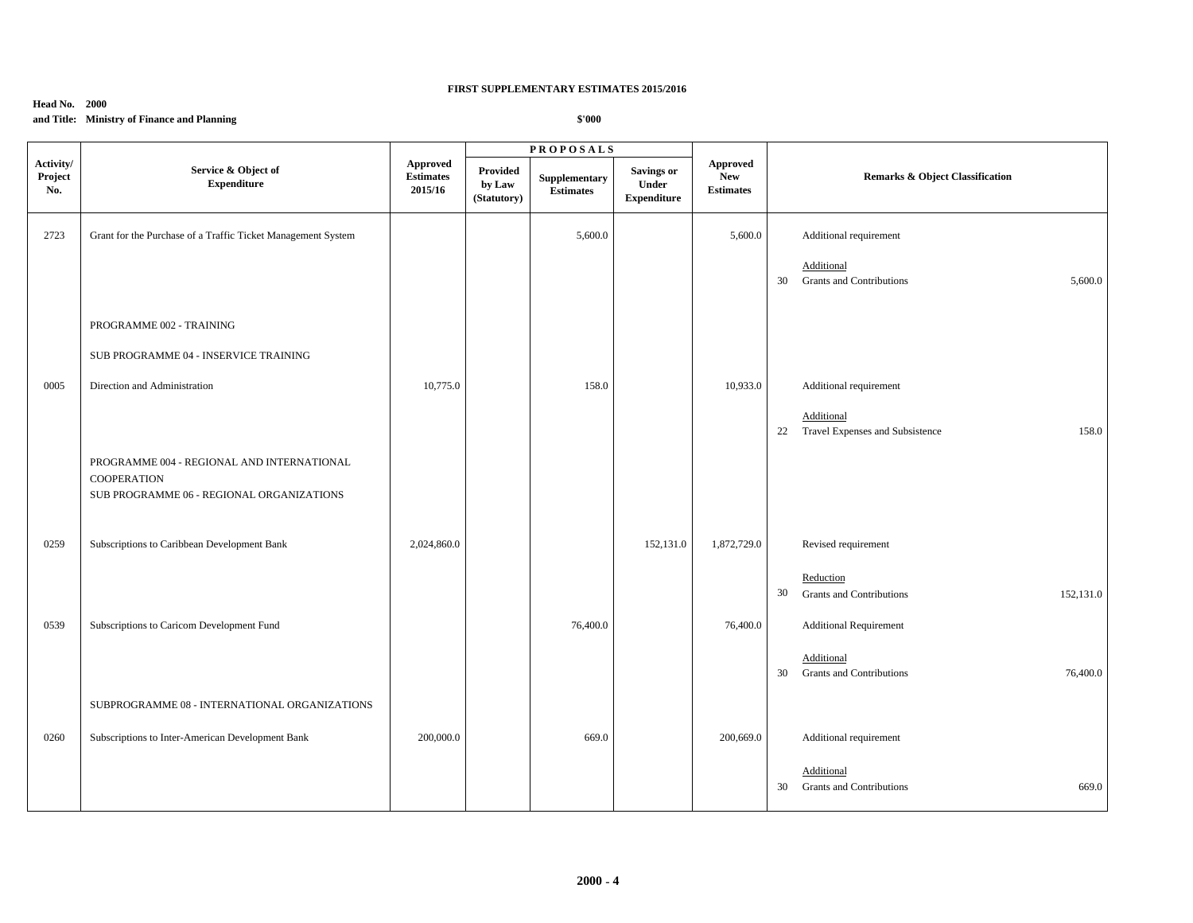## **Head No. 2000**

# **and Title: Ministry of Finance and Planning**

|                             |                                                                                                               |                                         |                                   | <b>PROPOSALS</b>                  |                                                  |                                            |                                                                 |
|-----------------------------|---------------------------------------------------------------------------------------------------------------|-----------------------------------------|-----------------------------------|-----------------------------------|--------------------------------------------------|--------------------------------------------|-----------------------------------------------------------------|
| Activity/<br>Project<br>No. | Service & Object of<br><b>Expenditure</b>                                                                     | Approved<br><b>Estimates</b><br>2015/16 | Provided<br>by Law<br>(Statutory) | Supplementary<br><b>Estimates</b> | <b>Savings or</b><br>Under<br><b>Expenditure</b> | Approved<br><b>New</b><br><b>Estimates</b> | <b>Remarks &amp; Object Classification</b>                      |
| 2723                        | Grant for the Purchase of a Traffic Ticket Management System                                                  |                                         |                                   | 5,600.0                           |                                                  | 5,600.0                                    | Additional requirement                                          |
|                             |                                                                                                               |                                         |                                   |                                   |                                                  |                                            | Additional<br><b>Grants and Contributions</b><br>5,600.0<br>30  |
|                             | PROGRAMME 002 - TRAINING                                                                                      |                                         |                                   |                                   |                                                  |                                            |                                                                 |
|                             | SUB PROGRAMME 04 - INSERVICE TRAINING                                                                         |                                         |                                   |                                   |                                                  |                                            |                                                                 |
| 0005                        | Direction and Administration                                                                                  | 10,775.0                                |                                   | 158.0                             |                                                  | 10,933.0                                   | Additional requirement                                          |
|                             |                                                                                                               |                                         |                                   |                                   |                                                  |                                            | Additional<br>22 Travel Expenses and Subsistence<br>158.0       |
|                             | PROGRAMME 004 - REGIONAL AND INTERNATIONAL<br><b>COOPERATION</b><br>SUB PROGRAMME 06 - REGIONAL ORGANIZATIONS |                                         |                                   |                                   |                                                  |                                            |                                                                 |
| 0259                        | Subscriptions to Caribbean Development Bank                                                                   | 2,024,860.0                             |                                   |                                   | 152,131.0                                        | 1,872,729.0                                | Revised requirement                                             |
|                             |                                                                                                               |                                         |                                   |                                   |                                                  |                                            | Reduction<br>30<br><b>Grants and Contributions</b><br>152,131.0 |
| 0539                        | Subscriptions to Caricom Development Fund                                                                     |                                         |                                   | 76,400.0                          |                                                  | 76,400.0                                   | <b>Additional Requirement</b>                                   |
|                             |                                                                                                               |                                         |                                   |                                   |                                                  |                                            | Additional<br><b>Grants and Contributions</b><br>76,400.0<br>30 |
|                             | SUBPROGRAMME 08 - INTERNATIONAL ORGANIZATIONS                                                                 |                                         |                                   |                                   |                                                  |                                            |                                                                 |
| 0260                        | Subscriptions to Inter-American Development Bank                                                              | 200,000.0                               |                                   | 669.0                             |                                                  | 200,669.0                                  | Additional requirement                                          |
|                             |                                                                                                               |                                         |                                   |                                   |                                                  |                                            | Additional<br><b>Grants and Contributions</b><br>669.0<br>30    |
|                             |                                                                                                               |                                         |                                   |                                   |                                                  |                                            |                                                                 |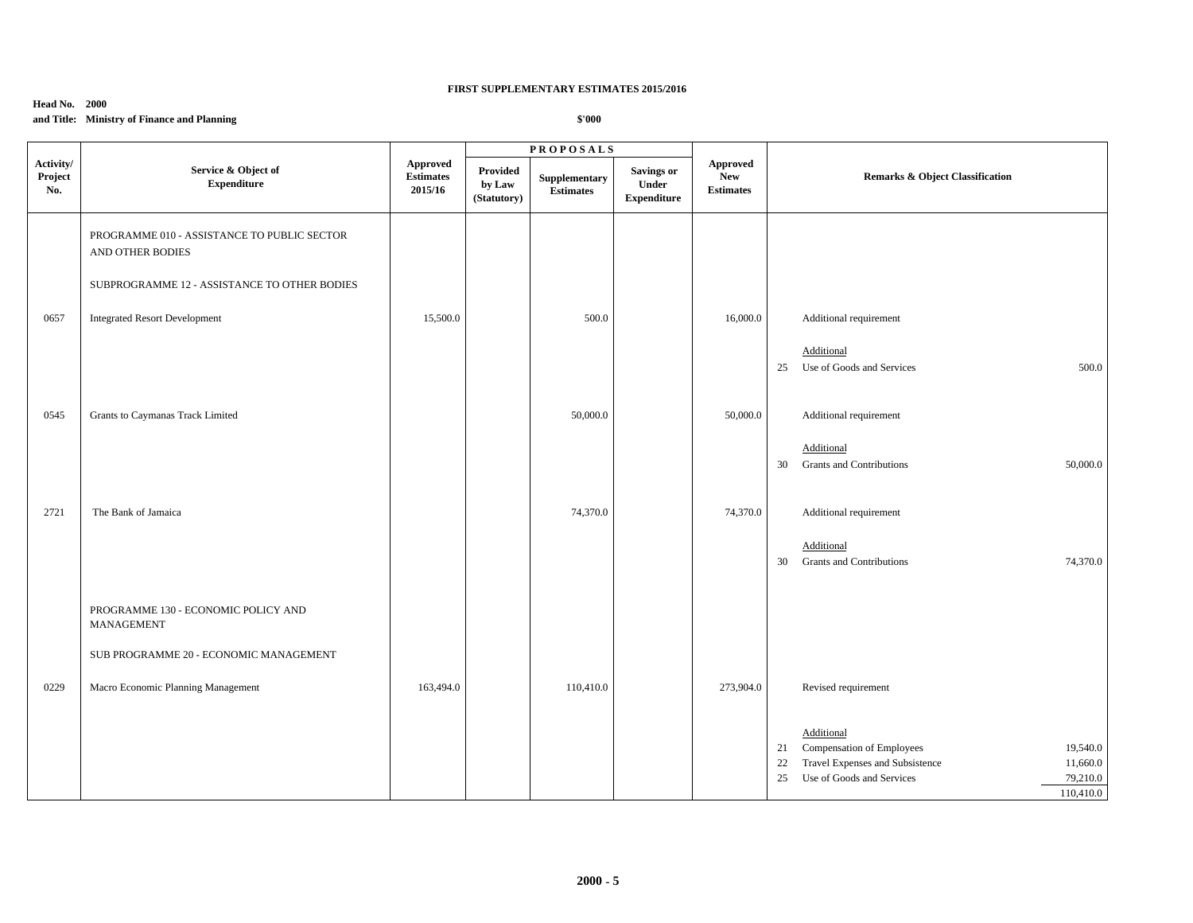## **Head No. 2000**

# **and Title: Ministry of Finance and Planning**

|                             |                                                                 |                                                |                                   | <b>PROPOSALS</b>                  |                                                  |                                            |                                                                                                                                                                            |
|-----------------------------|-----------------------------------------------------------------|------------------------------------------------|-----------------------------------|-----------------------------------|--------------------------------------------------|--------------------------------------------|----------------------------------------------------------------------------------------------------------------------------------------------------------------------------|
| Activity/<br>Project<br>No. | Service & Object of<br><b>Expenditure</b>                       | <b>Approved</b><br><b>Estimates</b><br>2015/16 | Provided<br>by Law<br>(Statutory) | Supplementary<br><b>Estimates</b> | <b>Savings or</b><br>Under<br><b>Expenditure</b> | Approved<br><b>New</b><br><b>Estimates</b> | Remarks & Object Classification                                                                                                                                            |
|                             | PROGRAMME 010 - ASSISTANCE TO PUBLIC SECTOR<br>AND OTHER BODIES |                                                |                                   |                                   |                                                  |                                            |                                                                                                                                                                            |
|                             | SUBPROGRAMME 12 - ASSISTANCE TO OTHER BODIES                    |                                                |                                   |                                   |                                                  |                                            |                                                                                                                                                                            |
| 0657                        | <b>Integrated Resort Development</b>                            | 15,500.0                                       |                                   | 500.0                             |                                                  | 16,000.0                                   | Additional requirement                                                                                                                                                     |
|                             |                                                                 |                                                |                                   |                                   |                                                  |                                            | Additional<br>500.0<br>Use of Goods and Services<br>25                                                                                                                     |
| 0545                        | Grants to Caymanas Track Limited                                |                                                |                                   | 50,000.0                          |                                                  | 50,000.0                                   | Additional requirement                                                                                                                                                     |
|                             |                                                                 |                                                |                                   |                                   |                                                  |                                            | Additional<br><b>Grants and Contributions</b><br>50,000.0<br>30                                                                                                            |
| 2721                        | The Bank of Jamaica                                             |                                                |                                   | 74,370.0                          |                                                  | 74,370.0                                   | Additional requirement                                                                                                                                                     |
|                             |                                                                 |                                                |                                   |                                   |                                                  |                                            | Additional<br><b>Grants and Contributions</b><br>74,370.0<br>30                                                                                                            |
|                             | PROGRAMME 130 - ECONOMIC POLICY AND<br><b>MANAGEMENT</b>        |                                                |                                   |                                   |                                                  |                                            |                                                                                                                                                                            |
|                             | SUB PROGRAMME 20 - ECONOMIC MANAGEMENT                          |                                                |                                   |                                   |                                                  |                                            |                                                                                                                                                                            |
| 0229                        | Macro Economic Planning Management                              | 163,494.0                                      |                                   | 110,410.0                         |                                                  | 273,904.0                                  | Revised requirement                                                                                                                                                        |
|                             |                                                                 |                                                |                                   |                                   |                                                  |                                            | Additional<br>Compensation of Employees<br>19,540.0<br>21<br>Travel Expenses and Subsistence<br>22<br>11,660.0<br>Use of Goods and Services<br>79,210.0<br>25<br>110,410.0 |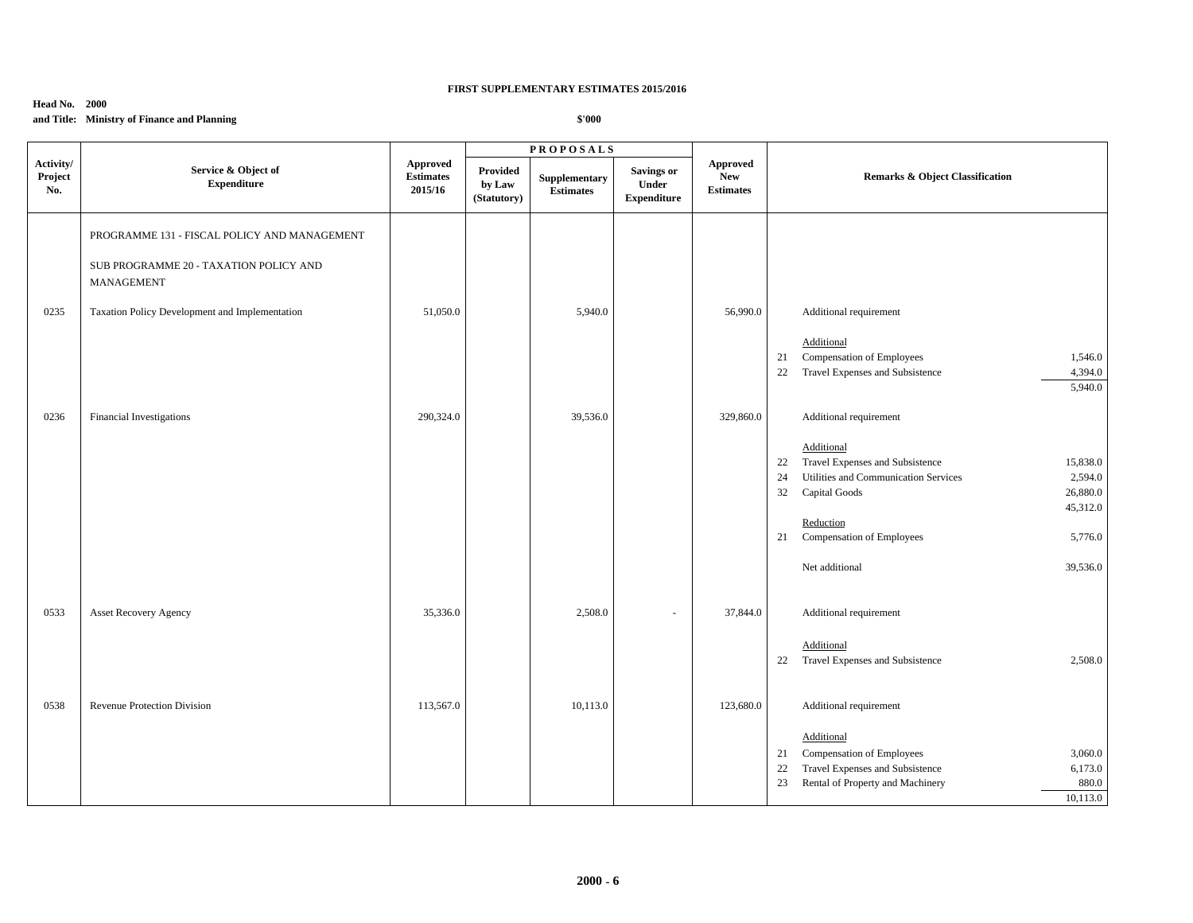## **Head No. 2000**

# **and Title: Ministry of Finance and Planning**

|                             |                                                             |                                                |                                   | <b>PROPOSALS</b>                  |                                                  |                                                   |    |                                      |          |
|-----------------------------|-------------------------------------------------------------|------------------------------------------------|-----------------------------------|-----------------------------------|--------------------------------------------------|---------------------------------------------------|----|--------------------------------------|----------|
| Activity/<br>Project<br>No. | Service & Object of<br><b>Expenditure</b>                   | <b>Approved</b><br><b>Estimates</b><br>2015/16 | Provided<br>by Law<br>(Statutory) | Supplementary<br><b>Estimates</b> | <b>Savings or</b><br>Under<br><b>Expenditure</b> | <b>Approved</b><br><b>New</b><br><b>Estimates</b> |    | Remarks & Object Classification      |          |
|                             | PROGRAMME 131 - FISCAL POLICY AND MANAGEMENT                |                                                |                                   |                                   |                                                  |                                                   |    |                                      |          |
|                             | SUB PROGRAMME 20 - TAXATION POLICY AND<br><b>MANAGEMENT</b> |                                                |                                   |                                   |                                                  |                                                   |    |                                      |          |
| 0235                        | Taxation Policy Development and Implementation              | 51,050.0                                       |                                   | 5,940.0                           |                                                  | 56,990.0                                          |    | Additional requirement               |          |
|                             |                                                             |                                                |                                   |                                   |                                                  |                                                   |    | Additional                           |          |
|                             |                                                             |                                                |                                   |                                   |                                                  |                                                   | 21 | Compensation of Employees            | 1,546.0  |
|                             |                                                             |                                                |                                   |                                   |                                                  |                                                   | 22 | Travel Expenses and Subsistence      | 4,394.0  |
|                             |                                                             |                                                |                                   |                                   |                                                  |                                                   |    |                                      | 5,940.0  |
| 0236                        | Financial Investigations                                    | 290,324.0                                      |                                   | 39,536.0                          |                                                  | 329,860.0                                         |    | Additional requirement               |          |
|                             |                                                             |                                                |                                   |                                   |                                                  |                                                   |    | Additional                           |          |
|                             |                                                             |                                                |                                   |                                   |                                                  |                                                   | 22 | Travel Expenses and Subsistence      | 15,838.0 |
|                             |                                                             |                                                |                                   |                                   |                                                  |                                                   | 24 | Utilities and Communication Services | 2,594.0  |
|                             |                                                             |                                                |                                   |                                   |                                                  |                                                   | 32 | Capital Goods                        | 26,880.0 |
|                             |                                                             |                                                |                                   |                                   |                                                  |                                                   |    |                                      | 45,312.0 |
|                             |                                                             |                                                |                                   |                                   |                                                  |                                                   |    | Reduction                            |          |
|                             |                                                             |                                                |                                   |                                   |                                                  |                                                   | 21 | Compensation of Employees            | 5,776.0  |
|                             |                                                             |                                                |                                   |                                   |                                                  |                                                   |    | Net additional                       | 39,536.0 |
| 0533                        | <b>Asset Recovery Agency</b>                                | 35,336.0                                       |                                   | 2,508.0                           | ä,                                               | 37,844.0                                          |    | Additional requirement               |          |
|                             |                                                             |                                                |                                   |                                   |                                                  |                                                   |    |                                      |          |
|                             |                                                             |                                                |                                   |                                   |                                                  |                                                   |    | Additional                           |          |
|                             |                                                             |                                                |                                   |                                   |                                                  |                                                   |    | 22 Travel Expenses and Subsistence   | 2,508.0  |
|                             |                                                             |                                                |                                   |                                   |                                                  |                                                   |    |                                      |          |
| 0538                        | Revenue Protection Division                                 | 113,567.0                                      |                                   | 10,113.0                          |                                                  | 123,680.0                                         |    | Additional requirement               |          |
|                             |                                                             |                                                |                                   |                                   |                                                  |                                                   |    | Additional                           |          |
|                             |                                                             |                                                |                                   |                                   |                                                  |                                                   | 21 | Compensation of Employees            | 3,060.0  |
|                             |                                                             |                                                |                                   |                                   |                                                  |                                                   | 22 | Travel Expenses and Subsistence      | 6,173.0  |
|                             |                                                             |                                                |                                   |                                   |                                                  |                                                   | 23 | Rental of Property and Machinery     | 880.0    |
|                             |                                                             |                                                |                                   |                                   |                                                  |                                                   |    |                                      | 10,113.0 |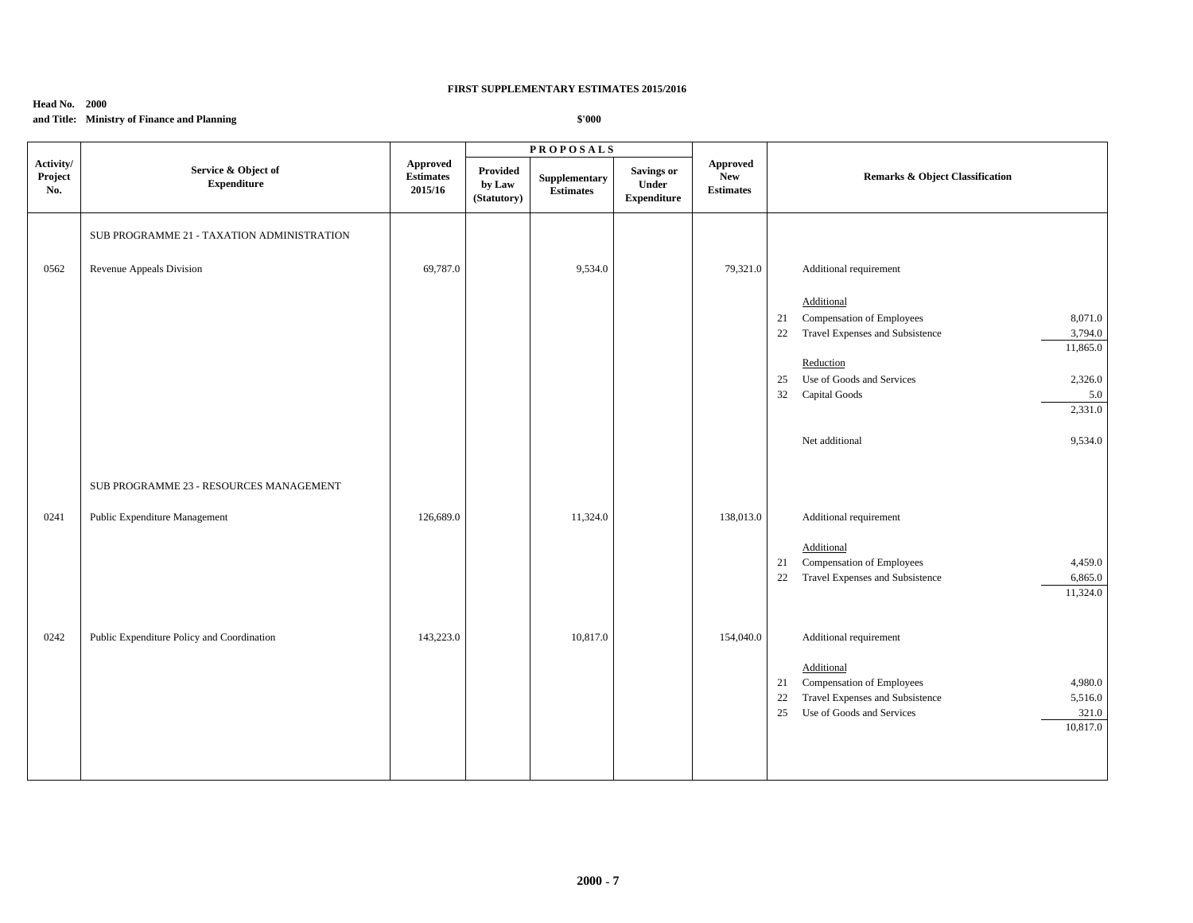## **Head No. 2000**

# **and Title: Ministry of Finance and Planning**

|                             |                                            |                                         |                                   | $\textbf{P}\,\textbf{R}\,\textbf{O}\,\textbf{P}\,\textbf{O}\,\textbf{S}\,\textbf{A}\,\textbf{L}\,\textbf{S}$ |                                                  |                                            |                                                                                                |
|-----------------------------|--------------------------------------------|-----------------------------------------|-----------------------------------|--------------------------------------------------------------------------------------------------------------|--------------------------------------------------|--------------------------------------------|------------------------------------------------------------------------------------------------|
| Activity/<br>Project<br>No. | Service & Object of<br><b>Expenditure</b>  | Approved<br><b>Estimates</b><br>2015/16 | Provided<br>by Law<br>(Statutory) | Supplementary<br><b>Estimates</b>                                                                            | <b>Savings or</b><br>Under<br><b>Expenditure</b> | Approved<br><b>New</b><br><b>Estimates</b> | Remarks & Object Classification                                                                |
|                             | SUB PROGRAMME 21 - TAXATION ADMINISTRATION |                                         |                                   |                                                                                                              |                                                  |                                            |                                                                                                |
| 0562                        | Revenue Appeals Division                   | 69,787.0                                |                                   | 9,534.0                                                                                                      |                                                  | 79,321.0                                   | Additional requirement                                                                         |
|                             |                                            |                                         |                                   |                                                                                                              |                                                  |                                            | Additional                                                                                     |
|                             |                                            |                                         |                                   |                                                                                                              |                                                  |                                            | Compensation of Employees<br>8,071.0<br>21                                                     |
|                             |                                            |                                         |                                   |                                                                                                              |                                                  |                                            | 22<br>Travel Expenses and Subsistence<br>3,794.0                                               |
|                             |                                            |                                         |                                   |                                                                                                              |                                                  |                                            | 11,865.0                                                                                       |
|                             |                                            |                                         |                                   |                                                                                                              |                                                  |                                            | Reduction                                                                                      |
|                             |                                            |                                         |                                   |                                                                                                              |                                                  |                                            | Use of Goods and Services<br>25<br>2,326.0                                                     |
|                             |                                            |                                         |                                   |                                                                                                              |                                                  |                                            | 32<br>Capital Goods<br>5.0<br>2,331.0                                                          |
|                             |                                            |                                         |                                   |                                                                                                              |                                                  |                                            |                                                                                                |
|                             |                                            |                                         |                                   |                                                                                                              |                                                  |                                            | Net additional<br>9,534.0                                                                      |
|                             | SUB PROGRAMME 23 - RESOURCES MANAGEMENT    |                                         |                                   |                                                                                                              |                                                  |                                            |                                                                                                |
| 0241                        | Public Expenditure Management              | 126,689.0                               |                                   | 11,324.0                                                                                                     |                                                  | 138,013.0                                  | Additional requirement                                                                         |
|                             |                                            |                                         |                                   |                                                                                                              |                                                  |                                            |                                                                                                |
|                             |                                            |                                         |                                   |                                                                                                              |                                                  |                                            | Additional                                                                                     |
|                             |                                            |                                         |                                   |                                                                                                              |                                                  |                                            | Compensation of Employees<br>21<br>4,459.0<br>22<br>Travel Expenses and Subsistence<br>6,865.0 |
|                             |                                            |                                         |                                   |                                                                                                              |                                                  |                                            | 11,324.0                                                                                       |
|                             |                                            |                                         |                                   |                                                                                                              |                                                  |                                            |                                                                                                |
| 0242                        | Public Expenditure Policy and Coordination | 143,223.0                               |                                   | 10,817.0                                                                                                     |                                                  | 154,040.0                                  | Additional requirement                                                                         |
|                             |                                            |                                         |                                   |                                                                                                              |                                                  |                                            | Additional                                                                                     |
|                             |                                            |                                         |                                   |                                                                                                              |                                                  |                                            | Compensation of Employees<br>4,980.0<br>21                                                     |
|                             |                                            |                                         |                                   |                                                                                                              |                                                  |                                            | Travel Expenses and Subsistence<br>5,516.0<br>22                                               |
|                             |                                            |                                         |                                   |                                                                                                              |                                                  |                                            | Use of Goods and Services<br>321.0<br>25                                                       |
|                             |                                            |                                         |                                   |                                                                                                              |                                                  |                                            | 10,817.0                                                                                       |
|                             |                                            |                                         |                                   |                                                                                                              |                                                  |                                            |                                                                                                |
|                             |                                            |                                         |                                   |                                                                                                              |                                                  |                                            |                                                                                                |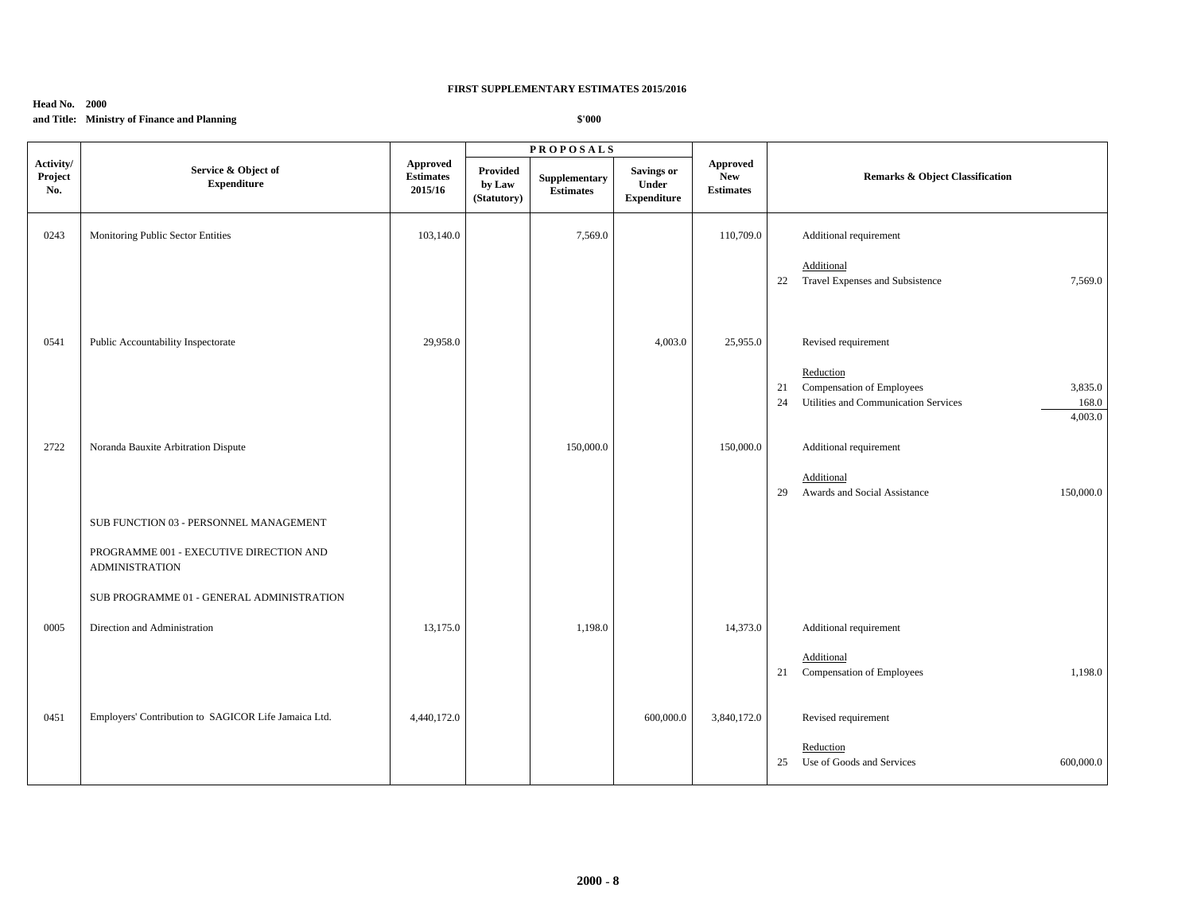## **Head No. 2000**

# **and Title: Ministry of Finance and Planning**

|                             |                                                                  |                                                |                                          | <b>PROPOSALS</b>                  |                                                   |                                            |                                                                                                                           |
|-----------------------------|------------------------------------------------------------------|------------------------------------------------|------------------------------------------|-----------------------------------|---------------------------------------------------|--------------------------------------------|---------------------------------------------------------------------------------------------------------------------------|
| Activity/<br>Project<br>No. | Service & Object of<br><b>Expenditure</b>                        | <b>Approved</b><br><b>Estimates</b><br>2015/16 | <b>Provided</b><br>by Law<br>(Statutory) | Supplementary<br><b>Estimates</b> | <b>Savings or</b><br>Under<br>${\bf Expenditure}$ | Approved<br><b>New</b><br><b>Estimates</b> | Remarks & Object Classification                                                                                           |
| 0243                        | Monitoring Public Sector Entities                                | 103,140.0                                      |                                          | 7,569.0                           |                                                   | 110,709.0                                  | Additional requirement                                                                                                    |
|                             |                                                                  |                                                |                                          |                                   |                                                   |                                            | Additional<br>22 Travel Expenses and Subsistence<br>7,569.0                                                               |
| 0541                        | Public Accountability Inspectorate                               | 29,958.0                                       |                                          |                                   | 4,003.0                                           | 25,955.0                                   | Revised requirement                                                                                                       |
|                             |                                                                  |                                                |                                          |                                   |                                                   |                                            | Reduction<br>Compensation of Employees<br>3,835.0<br>21<br>Utilities and Communication Services<br>168.0<br>24<br>4,003.0 |
| 2722                        | Noranda Bauxite Arbitration Dispute                              |                                                |                                          | 150,000.0                         |                                                   | 150,000.0                                  | Additional requirement                                                                                                    |
|                             |                                                                  |                                                |                                          |                                   |                                                   |                                            | Additional<br>Awards and Social Assistance<br>150,000.0<br>29                                                             |
|                             | SUB FUNCTION 03 - PERSONNEL MANAGEMENT                           |                                                |                                          |                                   |                                                   |                                            |                                                                                                                           |
|                             | PROGRAMME 001 - EXECUTIVE DIRECTION AND<br><b>ADMINISTRATION</b> |                                                |                                          |                                   |                                                   |                                            |                                                                                                                           |
|                             | SUB PROGRAMME 01 - GENERAL ADMINISTRATION                        |                                                |                                          |                                   |                                                   |                                            |                                                                                                                           |
| 0005                        | Direction and Administration                                     | 13,175.0                                       |                                          | 1,198.0                           |                                                   | 14,373.0                                   | Additional requirement                                                                                                    |
|                             |                                                                  |                                                |                                          |                                   |                                                   |                                            | Additional<br>Compensation of Employees<br>1,198.0<br>21                                                                  |
| 0451                        | Employers' Contribution to SAGICOR Life Jamaica Ltd.             | 4,440,172.0                                    |                                          |                                   | 600,000.0                                         | 3,840,172.0                                | Revised requirement                                                                                                       |
|                             |                                                                  |                                                |                                          |                                   |                                                   |                                            | Reduction<br>Use of Goods and Services<br>600,000.0<br>25                                                                 |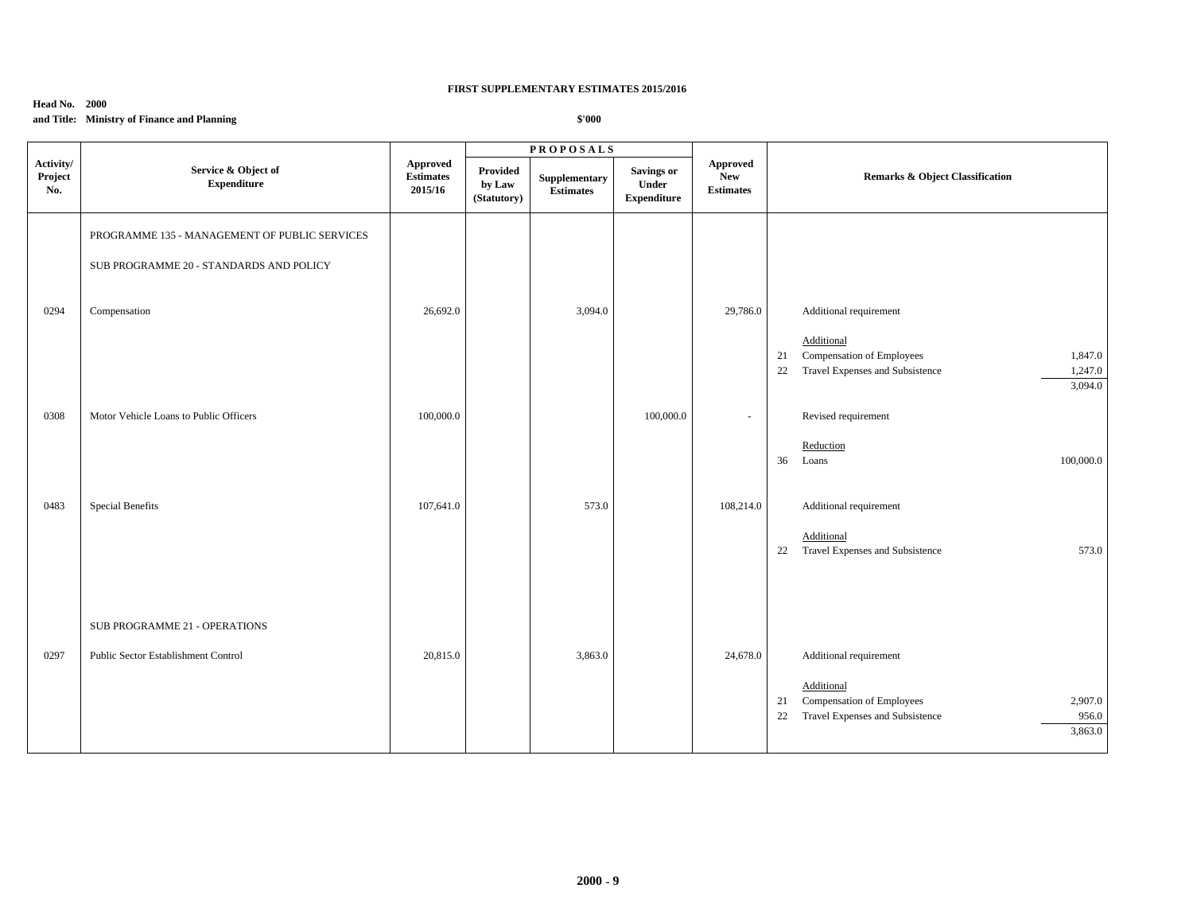## **Head No. 2000**

# **and Title: Ministry of Finance and Planning**

|                             |                                                                                                          |                                         |                                   | <b>PROPOSALS</b>                  |                                                  |                                                   |                                                                                                                                                        |
|-----------------------------|----------------------------------------------------------------------------------------------------------|-----------------------------------------|-----------------------------------|-----------------------------------|--------------------------------------------------|---------------------------------------------------|--------------------------------------------------------------------------------------------------------------------------------------------------------|
| Activity/<br>Project<br>No. | Service & Object of<br><b>Expenditure</b>                                                                | Approved<br><b>Estimates</b><br>2015/16 | Provided<br>by Law<br>(Statutory) | Supplementary<br><b>Estimates</b> | <b>Savings or</b><br>Under<br><b>Expenditure</b> | <b>Approved</b><br><b>New</b><br><b>Estimates</b> | <b>Remarks &amp; Object Classification</b>                                                                                                             |
| 0294                        | PROGRAMME 135 - MANAGEMENT OF PUBLIC SERVICES<br>SUB PROGRAMME 20 - STANDARDS AND POLICY<br>Compensation | 26,692.0                                |                                   | 3,094.0                           |                                                  | 29,786.0                                          | Additional requirement<br>Additional<br>Compensation of Employees<br>1,847.0<br>21<br>Travel Expenses and Subsistence<br>1,247.0<br>22                 |
| 0308                        | Motor Vehicle Loans to Public Officers                                                                   | 100,000.0                               |                                   |                                   | 100,000.0                                        | $\sim$                                            | 3,094.0<br>Revised requirement<br>Reduction<br>100,000.0<br>36 Loans                                                                                   |
| 0483                        | Special Benefits                                                                                         | 107,641.0                               |                                   | 573.0                             |                                                  | 108,214.0                                         | Additional requirement<br>Additional<br>22 Travel Expenses and Subsistence<br>573.0                                                                    |
| 0297                        | SUB PROGRAMME 21 - OPERATIONS<br>Public Sector Establishment Control                                     | 20,815.0                                |                                   | 3,863.0                           |                                                  | 24,678.0                                          | Additional requirement<br>Additional<br><b>Compensation of Employees</b><br>2,907.0<br>21<br>Travel Expenses and Subsistence<br>22<br>956.0<br>3,863.0 |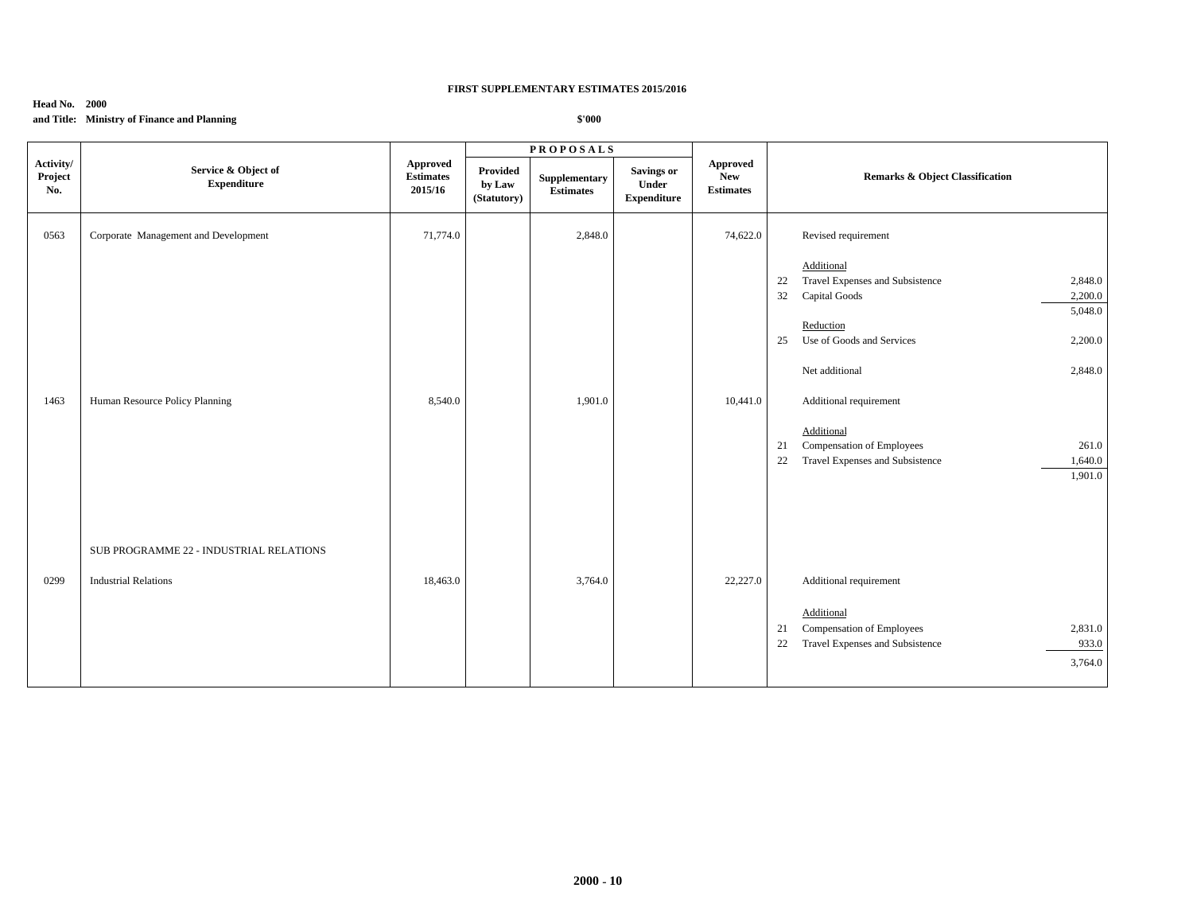## **Head No. 2000**

# **and Title: Ministry of Finance and Planning**

|                             |                                           |                                         |                                   | <b>PROPOSALS</b>                  |                                                  |                                            |                                                  |
|-----------------------------|-------------------------------------------|-----------------------------------------|-----------------------------------|-----------------------------------|--------------------------------------------------|--------------------------------------------|--------------------------------------------------|
| Activity/<br>Project<br>No. | Service & Object of<br><b>Expenditure</b> | Approved<br><b>Estimates</b><br>2015/16 | Provided<br>by Law<br>(Statutory) | Supplementary<br><b>Estimates</b> | <b>Savings or</b><br>Under<br><b>Expenditure</b> | Approved<br><b>New</b><br><b>Estimates</b> | <b>Remarks &amp; Object Classification</b>       |
| 0563                        | Corporate Management and Development      | 71,774.0                                |                                   | 2,848.0                           |                                                  | 74,622.0                                   | Revised requirement                              |
|                             |                                           |                                         |                                   |                                   |                                                  |                                            | Additional                                       |
|                             |                                           |                                         |                                   |                                   |                                                  |                                            | Travel Expenses and Subsistence<br>2,848.0<br>22 |
|                             |                                           |                                         |                                   |                                   |                                                  |                                            | Capital Goods<br>2,200.0<br>32                   |
|                             |                                           |                                         |                                   |                                   |                                                  |                                            | 5,048.0                                          |
|                             |                                           |                                         |                                   |                                   |                                                  |                                            | Reduction                                        |
|                             |                                           |                                         |                                   |                                   |                                                  |                                            | Use of Goods and Services<br>2,200.0<br>25       |
|                             |                                           |                                         |                                   |                                   |                                                  |                                            | Net additional<br>2,848.0                        |
| 1463                        | Human Resource Policy Planning            | 8,540.0                                 |                                   | 1,901.0                           |                                                  | 10,441.0                                   | Additional requirement                           |
|                             |                                           |                                         |                                   |                                   |                                                  |                                            | Additional                                       |
|                             |                                           |                                         |                                   |                                   |                                                  |                                            | Compensation of Employees<br>261.0<br>21         |
|                             |                                           |                                         |                                   |                                   |                                                  |                                            | Travel Expenses and Subsistence<br>1,640.0<br>22 |
|                             |                                           |                                         |                                   |                                   |                                                  |                                            | 1,901.0                                          |
|                             |                                           |                                         |                                   |                                   |                                                  |                                            |                                                  |
|                             |                                           |                                         |                                   |                                   |                                                  |                                            |                                                  |
|                             | SUB PROGRAMME 22 - INDUSTRIAL RELATIONS   |                                         |                                   |                                   |                                                  |                                            |                                                  |
| 0299                        | <b>Industrial Relations</b>               | 18,463.0                                |                                   | 3,764.0                           |                                                  | 22,227.0                                   | Additional requirement                           |
|                             |                                           |                                         |                                   |                                   |                                                  |                                            |                                                  |
|                             |                                           |                                         |                                   |                                   |                                                  |                                            | Additional                                       |
|                             |                                           |                                         |                                   |                                   |                                                  |                                            | Compensation of Employees<br>2,831.0<br>21       |
|                             |                                           |                                         |                                   |                                   |                                                  |                                            | 22<br>Travel Expenses and Subsistence<br>933.0   |
|                             |                                           |                                         |                                   |                                   |                                                  |                                            | 3,764.0                                          |
|                             |                                           |                                         |                                   |                                   |                                                  |                                            |                                                  |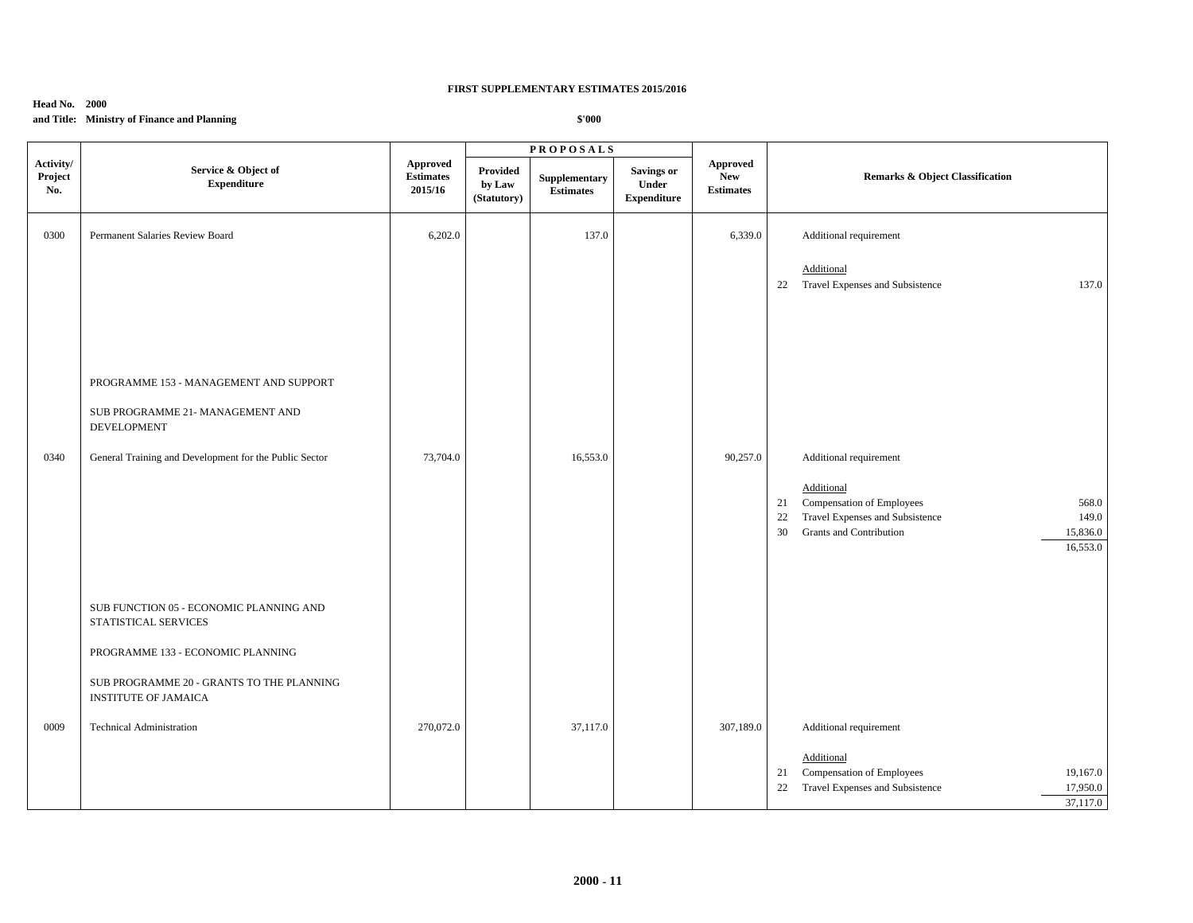## **Head No. 2000**

# **and Title: Ministry of Finance and Planning**

|                             |                                                                              |                                                |                                   | <b>PROPOSALS</b>                  |                                                  |                                            |                                                                                                                                                                   |
|-----------------------------|------------------------------------------------------------------------------|------------------------------------------------|-----------------------------------|-----------------------------------|--------------------------------------------------|--------------------------------------------|-------------------------------------------------------------------------------------------------------------------------------------------------------------------|
| Activity/<br>Project<br>No. | Service & Object of<br><b>Expenditure</b>                                    | <b>Approved</b><br><b>Estimates</b><br>2015/16 | Provided<br>by Law<br>(Statutory) | Supplementary<br><b>Estimates</b> | <b>Savings or</b><br>Under<br><b>Expenditure</b> | Approved<br><b>New</b><br><b>Estimates</b> | Remarks & Object Classification                                                                                                                                   |
| 0300                        | Permanent Salaries Review Board                                              | 6,202.0                                        |                                   | 137.0                             |                                                  | 6,339.0                                    | Additional requirement                                                                                                                                            |
|                             |                                                                              |                                                |                                   |                                   |                                                  |                                            | Additional<br>Travel Expenses and Subsistence<br>137.0<br>22                                                                                                      |
|                             | PROGRAMME 153 - MANAGEMENT AND SUPPORT<br>SUB PROGRAMME 21- MANAGEMENT AND   |                                                |                                   |                                   |                                                  |                                            |                                                                                                                                                                   |
| 0340                        | <b>DEVELOPMENT</b><br>General Training and Development for the Public Sector | 73,704.0                                       |                                   | 16,553.0                          |                                                  | 90,257.0                                   | Additional requirement                                                                                                                                            |
|                             |                                                                              |                                                |                                   |                                   |                                                  |                                            | Additional<br>Compensation of Employees<br>568.0<br>21<br>Travel Expenses and Subsistence<br>22<br>149.0<br>Grants and Contribution<br>15,836.0<br>30<br>16,553.0 |
|                             | SUB FUNCTION 05 - ECONOMIC PLANNING AND<br>STATISTICAL SERVICES              |                                                |                                   |                                   |                                                  |                                            |                                                                                                                                                                   |
|                             | PROGRAMME 133 - ECONOMIC PLANNING                                            |                                                |                                   |                                   |                                                  |                                            |                                                                                                                                                                   |
|                             | SUB PROGRAMME 20 - GRANTS TO THE PLANNING<br><b>INSTITUTE OF JAMAICA</b>     |                                                |                                   |                                   |                                                  |                                            |                                                                                                                                                                   |
| 0009                        | <b>Technical Administration</b>                                              | 270,072.0                                      |                                   | 37,117.0                          |                                                  | 307,189.0                                  | Additional requirement                                                                                                                                            |
|                             |                                                                              |                                                |                                   |                                   |                                                  |                                            | Additional<br>Compensation of Employees<br>19,167.0<br>21<br>22<br>Travel Expenses and Subsistence<br>17,950.0<br>37,117.0                                        |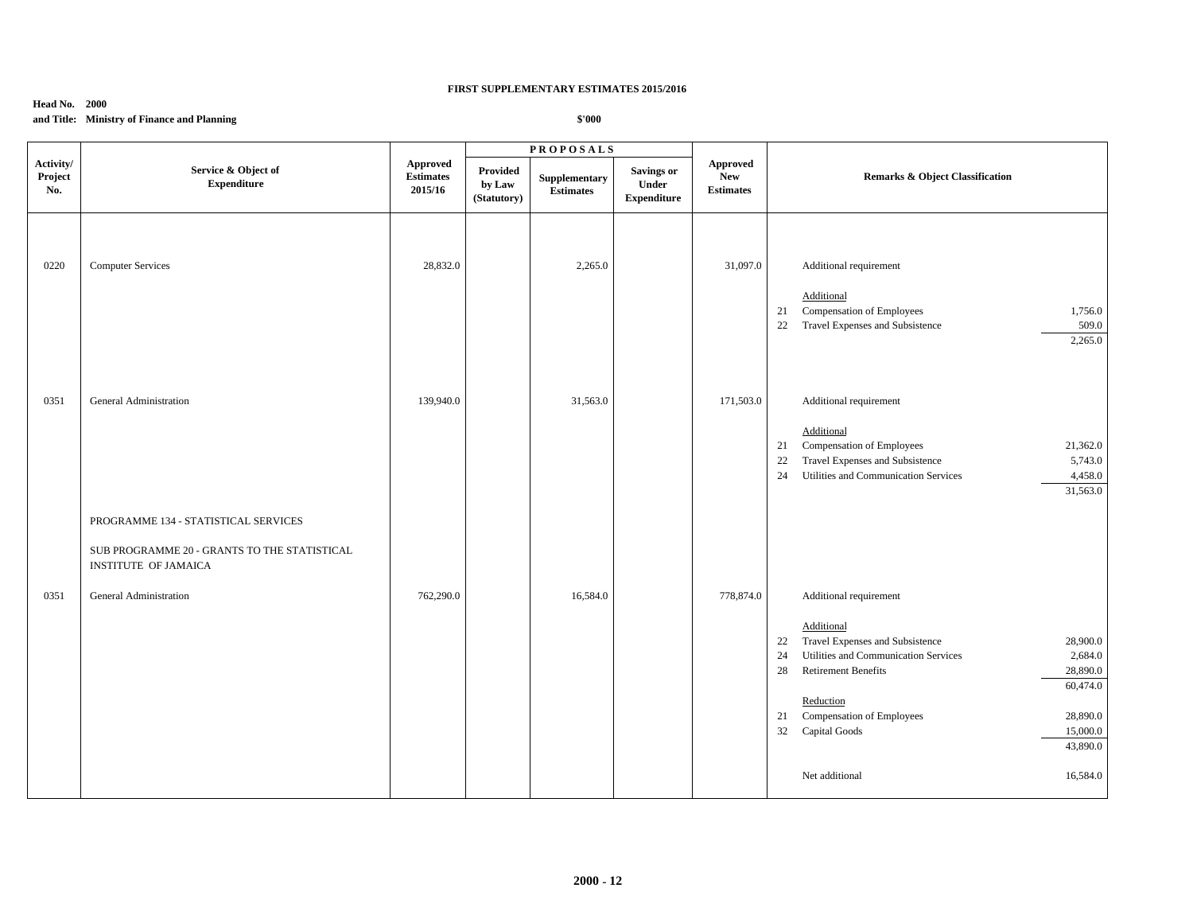### **Head No. 2000**

# **and Title: Ministry of Finance and Planning**

|                             |                                                                                                                                        |                                         |                                   | <b>PROPOSALS</b>                  |                                                  |                                                   |                                                                                                                                                                                                                                                                                                                           |
|-----------------------------|----------------------------------------------------------------------------------------------------------------------------------------|-----------------------------------------|-----------------------------------|-----------------------------------|--------------------------------------------------|---------------------------------------------------|---------------------------------------------------------------------------------------------------------------------------------------------------------------------------------------------------------------------------------------------------------------------------------------------------------------------------|
| Activity/<br>Project<br>No. | Service & Object of<br><b>Expenditure</b>                                                                                              | Approved<br><b>Estimates</b><br>2015/16 | Provided<br>by Law<br>(Statutory) | Supplementary<br><b>Estimates</b> | <b>Savings or</b><br>Under<br><b>Expenditure</b> | <b>Approved</b><br><b>New</b><br><b>Estimates</b> | Remarks & Object Classification                                                                                                                                                                                                                                                                                           |
| 0220                        | <b>Computer Services</b>                                                                                                               | 28,832.0                                |                                   | 2,265.0                           |                                                  | 31,097.0                                          | Additional requirement<br>Additional<br>Compensation of Employees<br>1,756.0<br>21<br>22<br>Travel Expenses and Subsistence<br>509.0<br>2,265.0                                                                                                                                                                           |
| 0351                        | General Administration                                                                                                                 | 139,940.0                               |                                   | 31,563.0                          |                                                  | 171,503.0                                         | Additional requirement<br>Additional<br>Compensation of Employees<br>21,362.0<br>21<br>Travel Expenses and Subsistence<br>22<br>5,743.0<br>Utilities and Communication Services<br>4,458.0<br>24<br>31,563.0                                                                                                              |
| 0351                        | PROGRAMME 134 - STATISTICAL SERVICES<br>SUB PROGRAMME 20 - GRANTS TO THE STATISTICAL<br>INSTITUTE OF JAMAICA<br>General Administration | 762,290.0                               |                                   | 16,584.0                          |                                                  | 778,874.0                                         | Additional requirement<br>Additional<br>Travel Expenses and Subsistence<br>28,900.0<br>22<br>Utilities and Communication Services<br>24<br>2,684.0<br><b>Retirement Benefits</b><br>28,890.0<br>28<br>60,474.0<br>Reduction<br>Compensation of Employees<br>21<br>28,890.0<br>32<br>Capital Goods<br>15,000.0<br>43,890.0 |
|                             |                                                                                                                                        |                                         |                                   |                                   |                                                  |                                                   | 16,584.0<br>Net additional                                                                                                                                                                                                                                                                                                |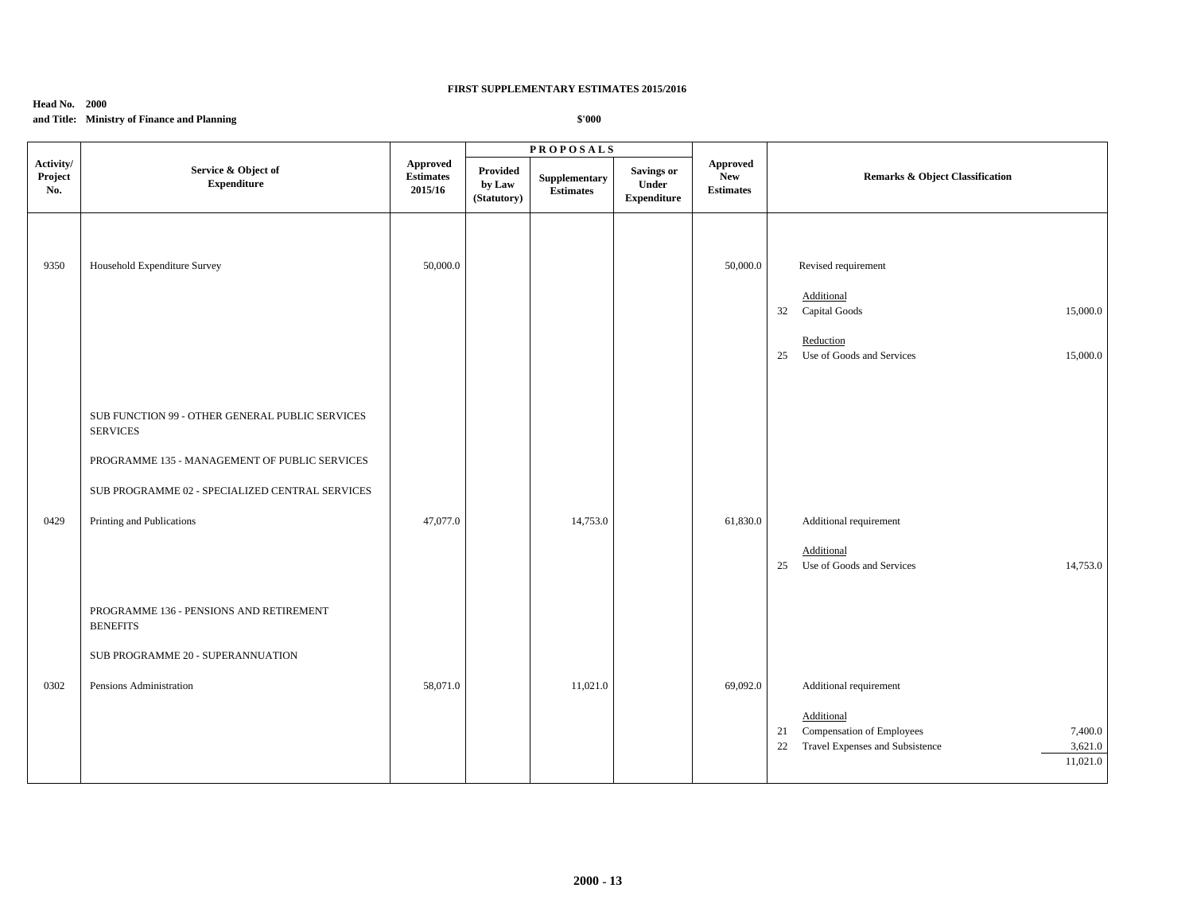### **Head No. 2000**

# **and Title: Ministry of Finance and Planning**

|                             |                                                                    |                                                |                                   | <b>PROPOSALS</b>                  |                                                  |                                            |                                                                                                                          |
|-----------------------------|--------------------------------------------------------------------|------------------------------------------------|-----------------------------------|-----------------------------------|--------------------------------------------------|--------------------------------------------|--------------------------------------------------------------------------------------------------------------------------|
| Activity/<br>Project<br>No. | Service & Object of<br><b>Expenditure</b>                          | <b>Approved</b><br><b>Estimates</b><br>2015/16 | Provided<br>by Law<br>(Statutory) | Supplementary<br><b>Estimates</b> | <b>Savings or</b><br>Under<br><b>Expenditure</b> | Approved<br><b>New</b><br><b>Estimates</b> | Remarks & Object Classification                                                                                          |
| 9350                        | Household Expenditure Survey                                       | 50,000.0                                       |                                   |                                   |                                                  | 50,000.0                                   | Revised requirement<br>Additional<br>32 Capital Goods<br>15,000.0                                                        |
|                             |                                                                    |                                                |                                   |                                   |                                                  |                                            | Reduction<br>Use of Goods and Services<br>25<br>15,000.0                                                                 |
|                             | SUB FUNCTION 99 - OTHER GENERAL PUBLIC SERVICES<br><b>SERVICES</b> |                                                |                                   |                                   |                                                  |                                            |                                                                                                                          |
|                             | PROGRAMME 135 - MANAGEMENT OF PUBLIC SERVICES                      |                                                |                                   |                                   |                                                  |                                            |                                                                                                                          |
|                             | SUB PROGRAMME 02 - SPECIALIZED CENTRAL SERVICES                    |                                                |                                   |                                   |                                                  |                                            |                                                                                                                          |
| 0429                        | Printing and Publications                                          | 47,077.0                                       |                                   | 14,753.0                          |                                                  | 61,830.0                                   | Additional requirement                                                                                                   |
|                             |                                                                    |                                                |                                   |                                   |                                                  |                                            | Additional<br>25 Use of Goods and Services<br>14,753.0                                                                   |
|                             | PROGRAMME 136 - PENSIONS AND RETIREMENT<br><b>BENEFITS</b>         |                                                |                                   |                                   |                                                  |                                            |                                                                                                                          |
|                             | SUB PROGRAMME 20 - SUPERANNUATION                                  |                                                |                                   |                                   |                                                  |                                            |                                                                                                                          |
| 0302                        | Pensions Administration                                            | 58,071.0                                       |                                   | 11,021.0                          |                                                  | 69,092.0                                   | Additional requirement                                                                                                   |
|                             |                                                                    |                                                |                                   |                                   |                                                  |                                            | Additional<br>Compensation of Employees<br>7,400.0<br>21<br>Travel Expenses and Subsistence<br>3,621.0<br>22<br>11,021.0 |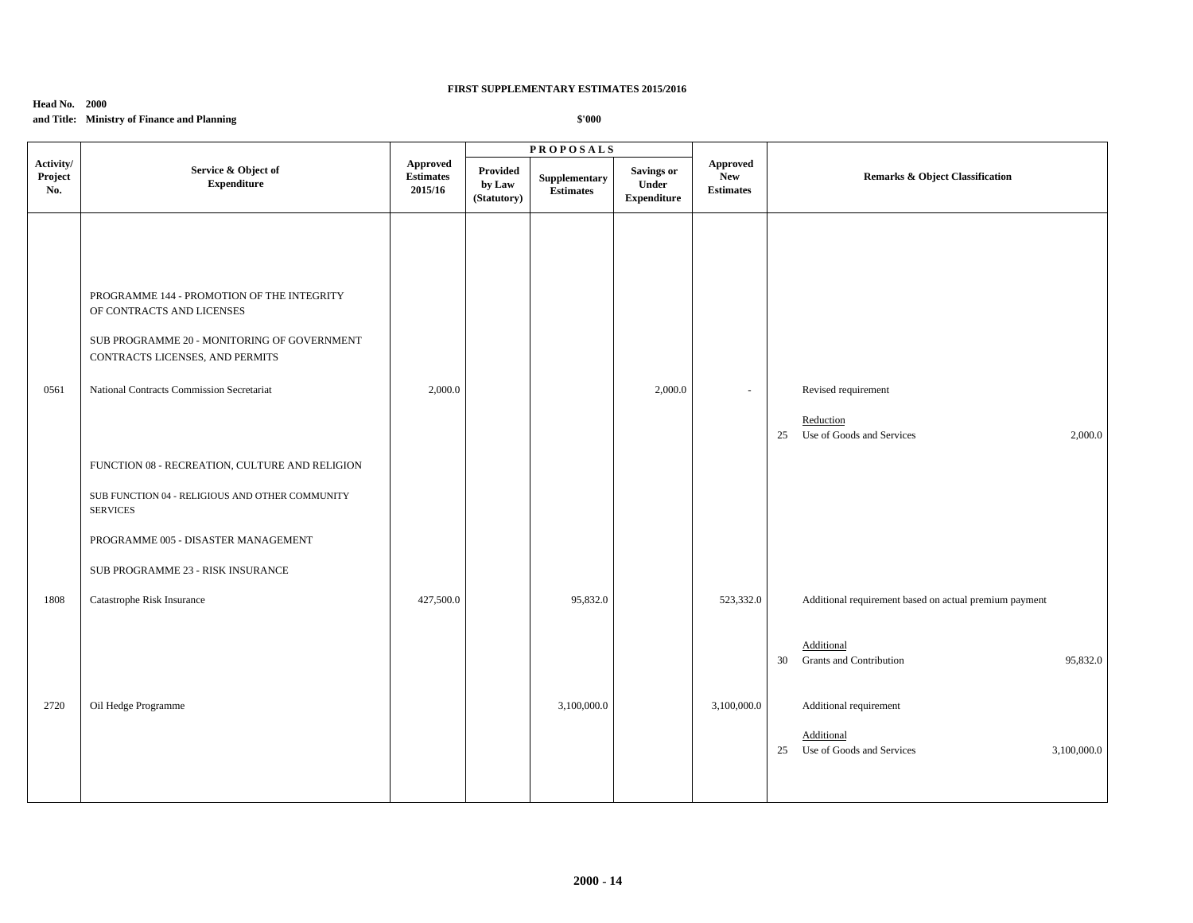## **Head No. 2000**

# **and Title: Ministry of Finance and Planning**

|                             |                                                                                                                                                                                                                                                                                                                                                                                                            |                                                |                                   | <b>PROPOSALS</b>                  |                                                  |                                            |                                                                                                                          |  |
|-----------------------------|------------------------------------------------------------------------------------------------------------------------------------------------------------------------------------------------------------------------------------------------------------------------------------------------------------------------------------------------------------------------------------------------------------|------------------------------------------------|-----------------------------------|-----------------------------------|--------------------------------------------------|--------------------------------------------|--------------------------------------------------------------------------------------------------------------------------|--|
| Activity/<br>Project<br>No. | Service & Object of<br><b>Expenditure</b>                                                                                                                                                                                                                                                                                                                                                                  | <b>Approved</b><br><b>Estimates</b><br>2015/16 | Provided<br>by Law<br>(Statutory) | Supplementary<br><b>Estimates</b> | <b>Savings or</b><br>Under<br><b>Expenditure</b> | Approved<br><b>New</b><br><b>Estimates</b> | <b>Remarks &amp; Object Classification</b>                                                                               |  |
| 0561                        | PROGRAMME 144 - PROMOTION OF THE INTEGRITY<br>OF CONTRACTS AND LICENSES<br>SUB PROGRAMME 20 - MONITORING OF GOVERNMENT<br>CONTRACTS LICENSES, AND PERMITS<br>National Contracts Commission Secretariat<br>FUNCTION 08 - RECREATION, CULTURE AND RELIGION<br>SUB FUNCTION 04 - RELIGIOUS AND OTHER COMMUNITY<br><b>SERVICES</b><br>PROGRAMME 005 - DISASTER MANAGEMENT<br>SUB PROGRAMME 23 - RISK INSURANCE | 2,000.0                                        |                                   |                                   | 2,000.0                                          | $\overline{\phantom{a}}$                   | Revised requirement<br>Reduction<br>25 Use of Goods and Services<br>2,000.0                                              |  |
| 1808                        | Catastrophe Risk Insurance                                                                                                                                                                                                                                                                                                                                                                                 | 427,500.0                                      |                                   | 95,832.0                          |                                                  | 523,332.0                                  | Additional requirement based on actual premium payment<br>Additional<br><b>Grants and Contribution</b><br>95,832.0<br>30 |  |
| 2720                        | Oil Hedge Programme                                                                                                                                                                                                                                                                                                                                                                                        |                                                |                                   | 3,100,000.0                       |                                                  | 3,100,000.0                                | Additional requirement<br>Additional<br>Use of Goods and Services<br>3,100,000.0<br>25                                   |  |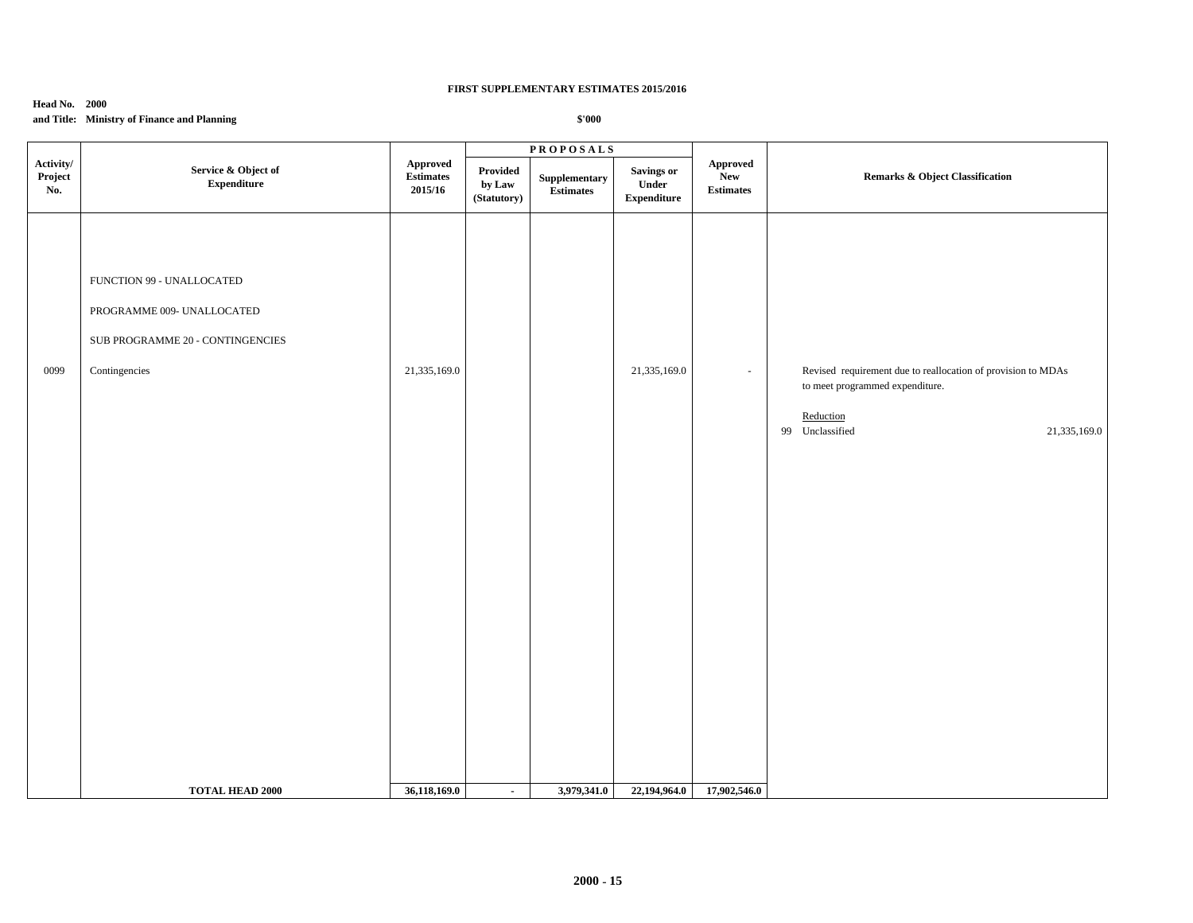## **Head No. 2000**

# **and Title: Ministry of Finance and Planning**

|                             |                                                                                                                                        |                                         |                                   | <b>PROPOSALS</b>                                                                |                                           |                                                   |                                                                                                                                                 |
|-----------------------------|----------------------------------------------------------------------------------------------------------------------------------------|-----------------------------------------|-----------------------------------|---------------------------------------------------------------------------------|-------------------------------------------|---------------------------------------------------|-------------------------------------------------------------------------------------------------------------------------------------------------|
| Activity/<br>Project<br>No. | Service & Object of<br><b>Expenditure</b>                                                                                              | Approved<br><b>Estimates</b><br>2015/16 | Provided<br>by Law<br>(Statutory) | Supplementary<br>$\label{1.1} \begin{array}{ll} \textbf{Estimates} \end{array}$ | Savings or<br>Under<br><b>Expenditure</b> | <b>Approved</b><br><b>New</b><br><b>Estimates</b> | <b>Remarks &amp; Object Classification</b>                                                                                                      |
| 0099                        | FUNCTION 99 - UNALLOCATED<br>PROGRAMME 009- UNALLOCATED<br>SUB PROGRAMME 20 - CONTINGENCIES<br>Contingencies<br><b>TOTAL HEAD 2000</b> | 21,335,169.0<br>36,118,169.0            | $\blacksquare$                    | 3,979,341.0                                                                     | 21,335,169.0<br>22,194,964.0              | $\overline{\phantom{a}}$<br>17,902,546.0          | Revised requirement due to reallocation of provision to MDAs<br>to meet programmed expenditure.<br>Reduction<br>99 Unclassified<br>21,335,169.0 |
|                             |                                                                                                                                        |                                         |                                   |                                                                                 |                                           |                                                   |                                                                                                                                                 |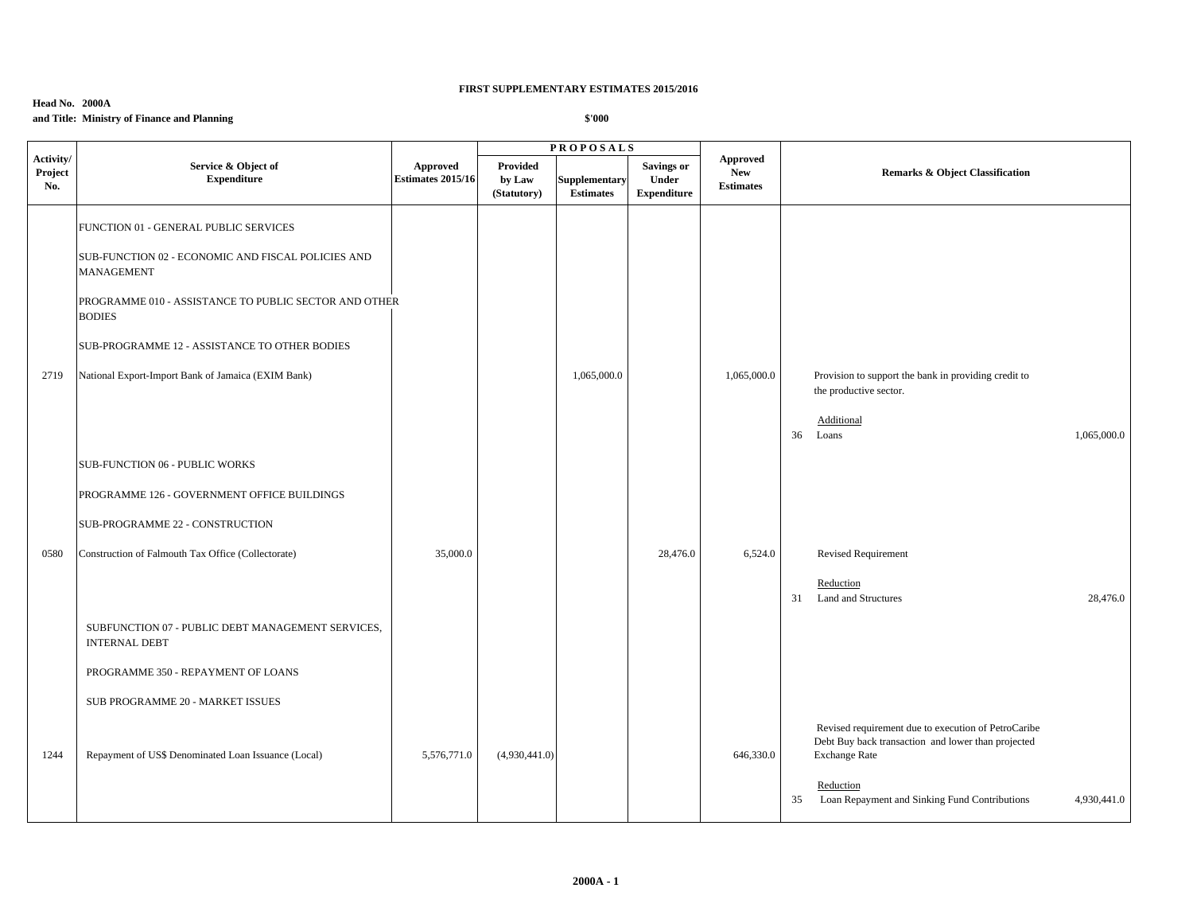## **Head No. 2000A and Title: Ministry of Finance and Planning**

|                             |                                                                           |                                      |                                          | <b>PROPOSALS</b>                         |                                                  |                                                   |                                                                                                                                   |
|-----------------------------|---------------------------------------------------------------------------|--------------------------------------|------------------------------------------|------------------------------------------|--------------------------------------------------|---------------------------------------------------|-----------------------------------------------------------------------------------------------------------------------------------|
| Activity/<br>Project<br>No. | Service & Object of<br><b>Expenditure</b>                                 | Approved<br><b>Estimates 2015/16</b> | <b>Provided</b><br>by Law<br>(Statutory) | <b>Supplementary</b><br><b>Estimates</b> | <b>Savings or</b><br>Under<br><b>Expenditure</b> | <b>Approved</b><br><b>New</b><br><b>Estimates</b> | <b>Remarks &amp; Object Classification</b>                                                                                        |
|                             | FUNCTION 01 - GENERAL PUBLIC SERVICES                                     |                                      |                                          |                                          |                                                  |                                                   |                                                                                                                                   |
|                             | SUB-FUNCTION 02 - ECONOMIC AND FISCAL POLICIES AND<br><b>MANAGEMENT</b>   |                                      |                                          |                                          |                                                  |                                                   |                                                                                                                                   |
|                             | PROGRAMME 010 - ASSISTANCE TO PUBLIC SECTOR AND OTHER<br><b>BODIES</b>    |                                      |                                          |                                          |                                                  |                                                   |                                                                                                                                   |
|                             | SUB-PROGRAMME 12 - ASSISTANCE TO OTHER BODIES                             |                                      |                                          |                                          |                                                  |                                                   |                                                                                                                                   |
| 2719                        | National Export-Import Bank of Jamaica (EXIM Bank)                        |                                      |                                          | 1,065,000.0                              |                                                  | 1,065,000.0                                       | Provision to support the bank in providing credit to<br>the productive sector.                                                    |
|                             |                                                                           |                                      |                                          |                                          |                                                  |                                                   | Additional<br>36 Loans<br>1,065,000.0                                                                                             |
|                             | SUB-FUNCTION 06 - PUBLIC WORKS                                            |                                      |                                          |                                          |                                                  |                                                   |                                                                                                                                   |
|                             | PROGRAMME 126 - GOVERNMENT OFFICE BUILDINGS                               |                                      |                                          |                                          |                                                  |                                                   |                                                                                                                                   |
|                             | SUB-PROGRAMME 22 - CONSTRUCTION                                           |                                      |                                          |                                          |                                                  |                                                   |                                                                                                                                   |
| 0580                        | Construction of Falmouth Tax Office (Collectorate)                        | 35,000.0                             |                                          |                                          | 28,476.0                                         | 6,524.0                                           | <b>Revised Requirement</b>                                                                                                        |
|                             |                                                                           |                                      |                                          |                                          |                                                  |                                                   | Reduction<br>31 Land and Structures<br>28,476.0                                                                                   |
|                             | SUBFUNCTION 07 - PUBLIC DEBT MANAGEMENT SERVICES,<br><b>INTERNAL DEBT</b> |                                      |                                          |                                          |                                                  |                                                   |                                                                                                                                   |
|                             | PROGRAMME 350 - REPAYMENT OF LOANS                                        |                                      |                                          |                                          |                                                  |                                                   |                                                                                                                                   |
|                             | SUB PROGRAMME 20 - MARKET ISSUES                                          |                                      |                                          |                                          |                                                  |                                                   |                                                                                                                                   |
| 1244                        | Repayment of US\$ Denominated Loan Issuance (Local)                       | 5,576,771.0                          | (4,930,441.0)                            |                                          |                                                  | 646,330.0                                         | Revised requirement due to execution of PetroCaribe<br>Debt Buy back transaction and lower than projected<br><b>Exchange Rate</b> |
|                             |                                                                           |                                      |                                          |                                          |                                                  |                                                   | Reduction<br>Loan Repayment and Sinking Fund Contributions<br>4,930,441.0<br>35                                                   |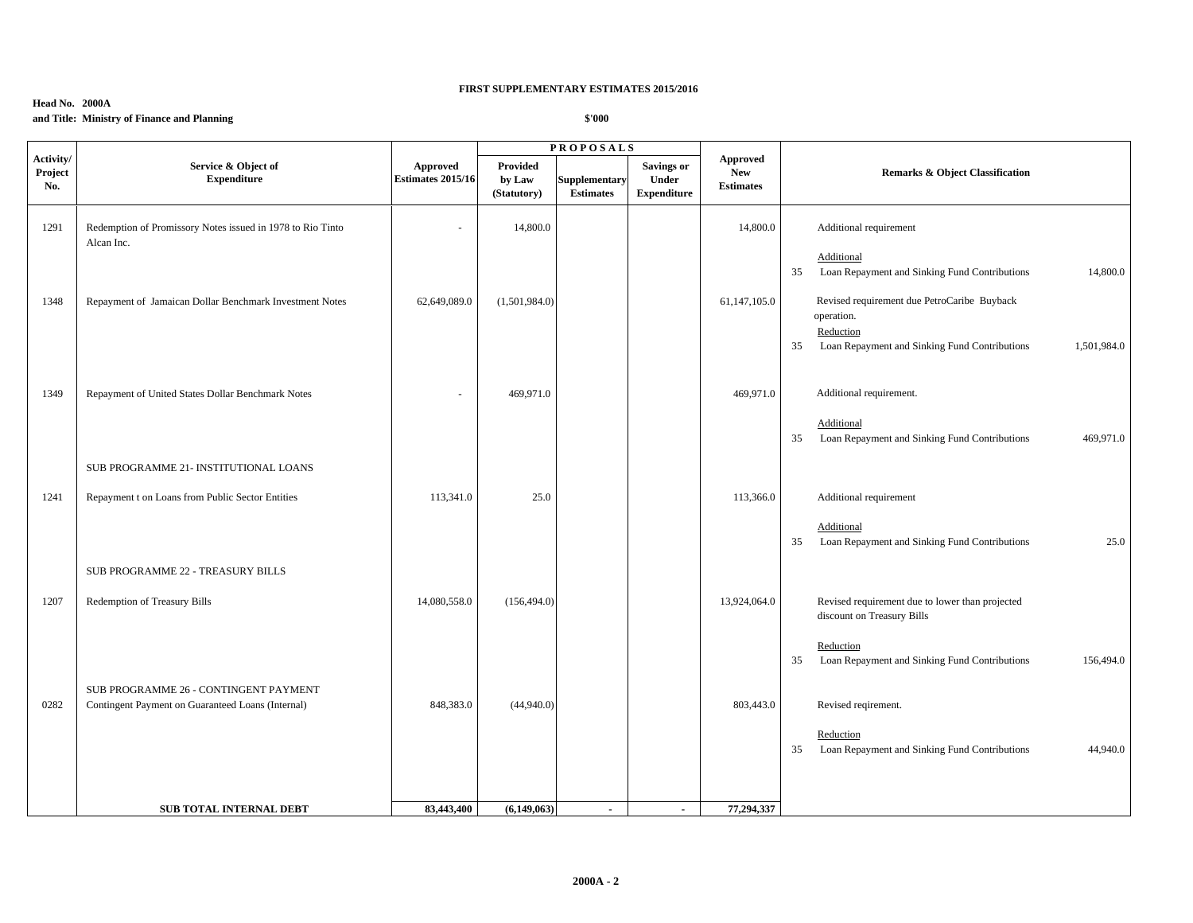## **Head No. 2000A and Title: Ministry of Finance and Planning**

|                             |                                                                          |                                      |                                   | <b>PROPOSALS</b>                         |                                                  |                                                   |                                                                                 |
|-----------------------------|--------------------------------------------------------------------------|--------------------------------------|-----------------------------------|------------------------------------------|--------------------------------------------------|---------------------------------------------------|---------------------------------------------------------------------------------|
| Activity/<br>Project<br>No. | Service & Object of<br><b>Expenditure</b>                                | Approved<br><b>Estimates 2015/16</b> | Provided<br>by Law<br>(Statutory) | <b>Supplementary</b><br><b>Estimates</b> | <b>Savings or</b><br>Under<br><b>Expenditure</b> | <b>Approved</b><br><b>New</b><br><b>Estimates</b> | <b>Remarks &amp; Object Classification</b>                                      |
| 1291                        | Redemption of Promissory Notes issued in 1978 to Rio Tinto<br>Alcan Inc. | $\overline{\phantom{a}}$             | 14,800.0                          |                                          |                                                  | 14,800.0                                          | Additional requirement                                                          |
|                             |                                                                          |                                      |                                   |                                          |                                                  |                                                   | Additional<br>Loan Repayment and Sinking Fund Contributions<br>14,800.0<br>35   |
| 1348                        | Repayment of Jamaican Dollar Benchmark Investment Notes                  | 62,649,089.0                         | (1,501,984.0)                     |                                          |                                                  | 61,147,105.0                                      | Revised requirement due PetroCaribe Buyback<br>operation.                       |
|                             |                                                                          |                                      |                                   |                                          |                                                  |                                                   | Reduction<br>Loan Repayment and Sinking Fund Contributions<br>1,501,984.0<br>35 |
| 1349                        | Repayment of United States Dollar Benchmark Notes                        | $\sim$                               | 469,971.0                         |                                          |                                                  | 469,971.0                                         | Additional requirement.                                                         |
|                             |                                                                          |                                      |                                   |                                          |                                                  |                                                   | Additional<br>Loan Repayment and Sinking Fund Contributions<br>35<br>469,971.0  |
|                             | SUB PROGRAMME 21- INSTITUTIONAL LOANS                                    |                                      |                                   |                                          |                                                  |                                                   |                                                                                 |
| 1241                        | Repayment t on Loans from Public Sector Entities                         | 113,341.0                            | 25.0                              |                                          |                                                  | 113,366.0                                         | Additional requirement                                                          |
|                             |                                                                          |                                      |                                   |                                          |                                                  |                                                   | Additional<br>Loan Repayment and Sinking Fund Contributions<br>25.0<br>35       |
|                             | SUB PROGRAMME 22 - TREASURY BILLS                                        |                                      |                                   |                                          |                                                  |                                                   |                                                                                 |
| 1207                        | Redemption of Treasury Bills                                             | 14,080,558.0                         | (156, 494.0)                      |                                          |                                                  | 13,924,064.0                                      | Revised requirement due to lower than projected<br>discount on Treasury Bills   |
|                             |                                                                          |                                      |                                   |                                          |                                                  |                                                   | Reduction<br>35<br>Loan Repayment and Sinking Fund Contributions<br>156,494.0   |
|                             | SUB PROGRAMME 26 - CONTINGENT PAYMENT                                    |                                      |                                   |                                          |                                                  |                                                   |                                                                                 |
| 0282                        | Contingent Payment on Guaranteed Loans (Internal)                        | 848,383.0                            | (44,940.0)                        |                                          |                                                  | 803,443.0                                         | Revised reqirement.                                                             |
|                             |                                                                          |                                      |                                   |                                          |                                                  |                                                   | Reduction<br>35<br>Loan Repayment and Sinking Fund Contributions<br>44,940.0    |
|                             |                                                                          |                                      |                                   |                                          |                                                  |                                                   |                                                                                 |
|                             | <b>SUB TOTAL INTERNAL DEBT</b>                                           | 83,443,400                           | (6,149,063)                       | $\blacksquare$                           | $\sim$                                           | 77,294,337                                        |                                                                                 |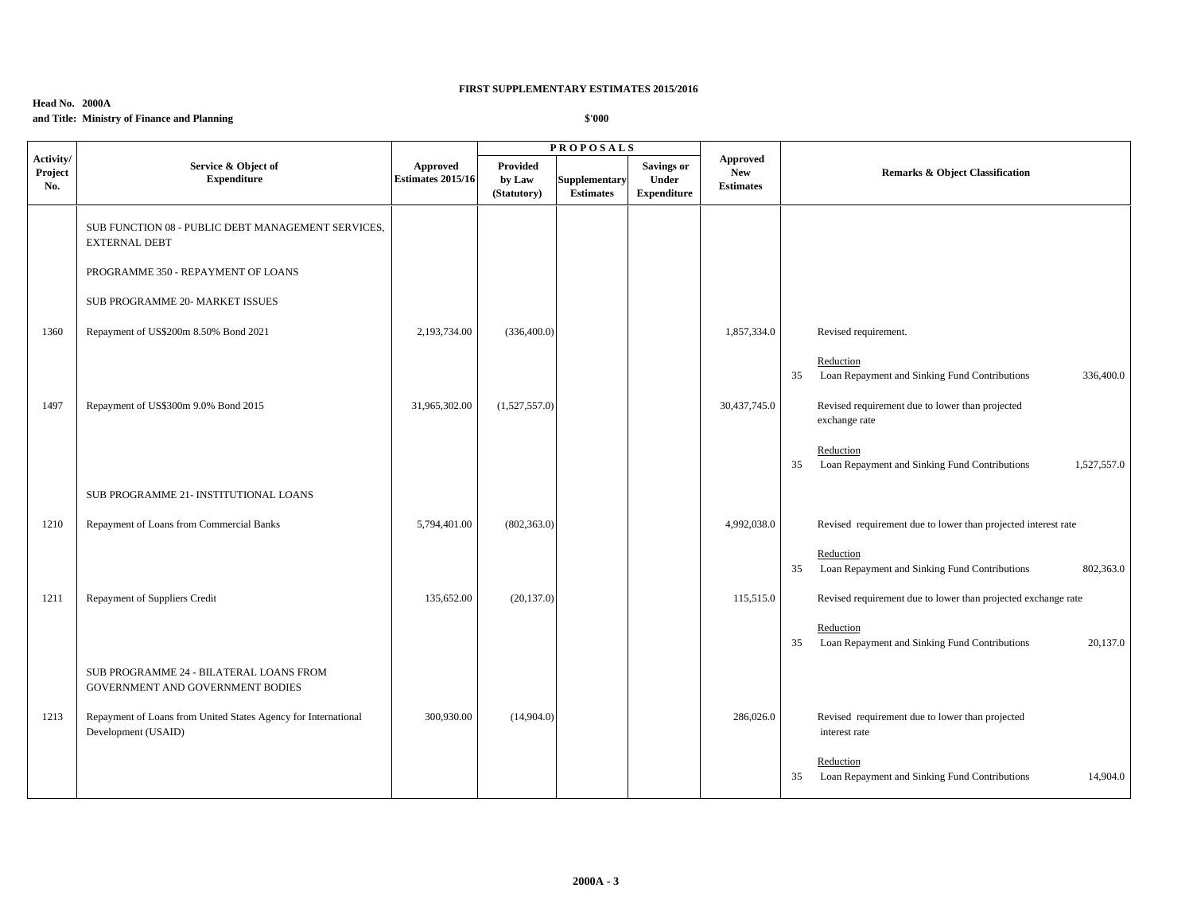# **Head No. 2000A and Title: Ministry of Finance and Planning**

|                             |                                                                                       |                                      |                                   | <b>PROPOSALS</b>                         |                                                  |                                                   |                                                                                 |
|-----------------------------|---------------------------------------------------------------------------------------|--------------------------------------|-----------------------------------|------------------------------------------|--------------------------------------------------|---------------------------------------------------|---------------------------------------------------------------------------------|
| Activity/<br>Project<br>No. | Service & Object of<br><b>Expenditure</b>                                             | Approved<br><b>Estimates 2015/16</b> | Provided<br>by Law<br>(Statutory) | <b>Supplementary</b><br><b>Estimates</b> | <b>Savings or</b><br>Under<br><b>Expenditure</b> | <b>Approved</b><br><b>New</b><br><b>Estimates</b> | <b>Remarks &amp; Object Classification</b>                                      |
|                             | SUB FUNCTION 08 - PUBLIC DEBT MANAGEMENT SERVICES,<br><b>EXTERNAL DEBT</b>            |                                      |                                   |                                          |                                                  |                                                   |                                                                                 |
|                             | PROGRAMME 350 - REPAYMENT OF LOANS                                                    |                                      |                                   |                                          |                                                  |                                                   |                                                                                 |
|                             | SUB PROGRAMME 20- MARKET ISSUES                                                       |                                      |                                   |                                          |                                                  |                                                   |                                                                                 |
| 1360                        | Repayment of US\$200m 8.50% Bond 2021                                                 | 2,193,734.00                         | (336,400.0)                       |                                          |                                                  | 1,857,334.0                                       | Revised requirement.                                                            |
|                             |                                                                                       |                                      |                                   |                                          |                                                  |                                                   | Reduction<br>Loan Repayment and Sinking Fund Contributions<br>336,400.0<br>35   |
| 1497                        | Repayment of US\$300m 9.0% Bond 2015                                                  | 31,965,302.00                        | (1,527,557.0)                     |                                          |                                                  | 30,437,745.0                                      | Revised requirement due to lower than projected<br>exchange rate                |
|                             |                                                                                       |                                      |                                   |                                          |                                                  |                                                   | Reduction<br>Loan Repayment and Sinking Fund Contributions<br>1,527,557.0<br>35 |
|                             | SUB PROGRAMME 21- INSTITUTIONAL LOANS                                                 |                                      |                                   |                                          |                                                  |                                                   |                                                                                 |
| 1210                        | Repayment of Loans from Commercial Banks                                              | 5,794,401.00                         | (802, 363.0)                      |                                          |                                                  | 4,992,038.0                                       | Revised requirement due to lower than projected interest rate                   |
|                             |                                                                                       |                                      |                                   |                                          |                                                  |                                                   | Reduction<br>Loan Repayment and Sinking Fund Contributions<br>802,363.0<br>35   |
| 1211                        | Repayment of Suppliers Credit                                                         | 135,652.00                           | (20, 137.0)                       |                                          |                                                  | 115,515.0                                         | Revised requirement due to lower than projected exchange rate                   |
|                             |                                                                                       |                                      |                                   |                                          |                                                  |                                                   | Reduction<br>Loan Repayment and Sinking Fund Contributions<br>20,137.0<br>35    |
|                             | SUB PROGRAMME 24 - BILATERAL LOANS FROM<br>GOVERNMENT AND GOVERNMENT BODIES           |                                      |                                   |                                          |                                                  |                                                   |                                                                                 |
| 1213                        | Repayment of Loans from United States Agency for International<br>Development (USAID) | 300,930.00                           | (14,904.0)                        |                                          |                                                  | 286,026.0                                         | Revised requirement due to lower than projected<br>interest rate                |
|                             |                                                                                       |                                      |                                   |                                          |                                                  |                                                   | Reduction<br>35<br>Loan Repayment and Sinking Fund Contributions<br>14,904.0    |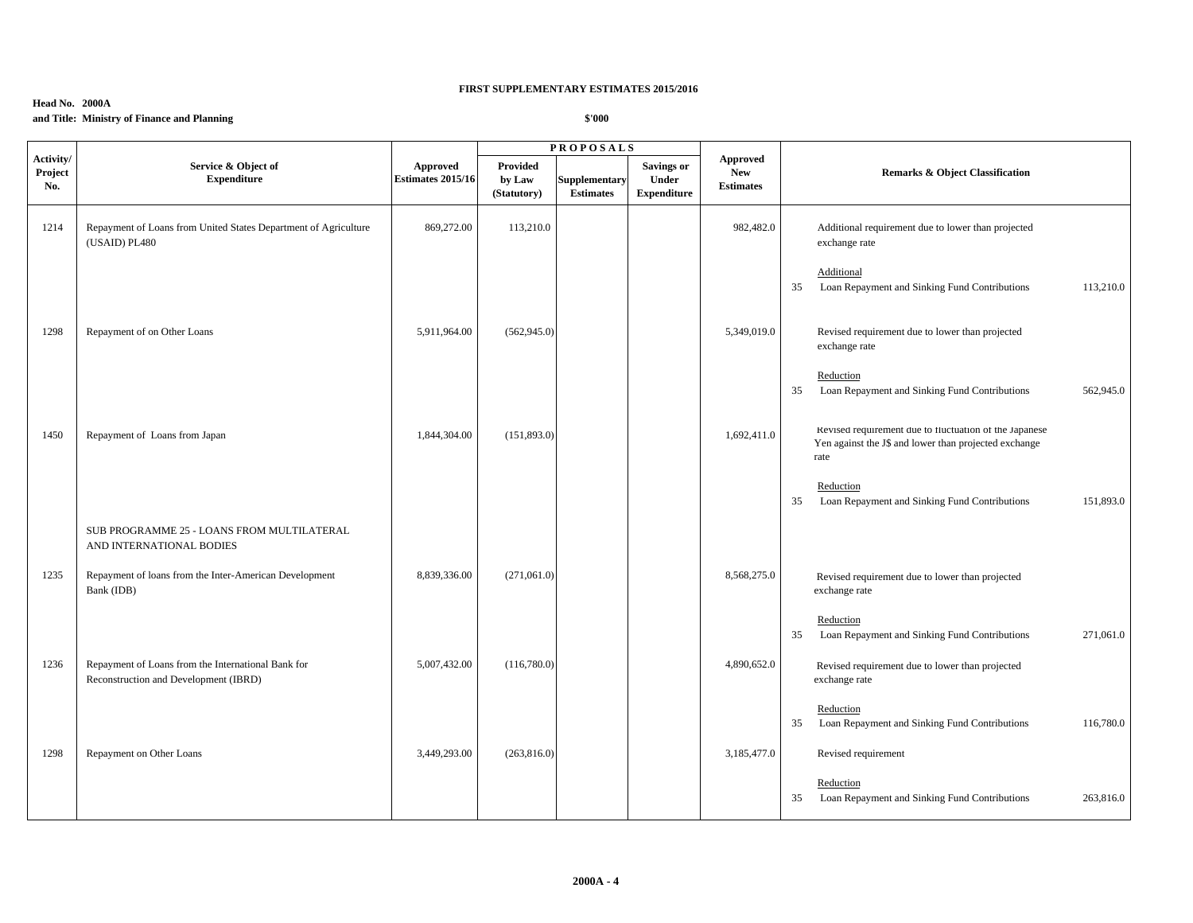## **Head No. 2000A and Title: Ministry of Finance and Planning**

|                             |                                                                                             |                                      |                                   | <b>PROPOSALS</b>                         |                                                  |                                                   |                                                                                                                         |
|-----------------------------|---------------------------------------------------------------------------------------------|--------------------------------------|-----------------------------------|------------------------------------------|--------------------------------------------------|---------------------------------------------------|-------------------------------------------------------------------------------------------------------------------------|
| Activity/<br>Project<br>No. | Service & Object of<br><b>Expenditure</b>                                                   | Approved<br><b>Estimates 2015/16</b> | Provided<br>by Law<br>(Statutory) | <b>Supplementary</b><br><b>Estimates</b> | <b>Savings or</b><br>Under<br><b>Expenditure</b> | <b>Approved</b><br><b>New</b><br><b>Estimates</b> | <b>Remarks &amp; Object Classification</b>                                                                              |
| 1214                        | Repayment of Loans from United States Department of Agriculture<br>(USAID) PL480            | 869,272.00                           | 113,210.0                         |                                          |                                                  | 982,482.0                                         | Additional requirement due to lower than projected<br>exchange rate                                                     |
|                             |                                                                                             |                                      |                                   |                                          |                                                  |                                                   | Additional<br>Loan Repayment and Sinking Fund Contributions<br>113,210.0<br>35                                          |
| 1298                        | Repayment of on Other Loans                                                                 | 5,911,964.00                         | (562, 945.0)                      |                                          |                                                  | 5,349,019.0                                       | Revised requirement due to lower than projected<br>exchange rate                                                        |
|                             |                                                                                             |                                      |                                   |                                          |                                                  |                                                   | Reduction<br>Loan Repayment and Sinking Fund Contributions<br>562,945.0<br>35                                           |
| 1450                        | Repayment of Loans from Japan                                                               | 1,844,304.00                         | (151,893.0)                       |                                          |                                                  | 1,692,411.0                                       | Revised requirement due to fluctuation of the Japanese<br>Yen against the J\$ and lower than projected exchange<br>rate |
|                             |                                                                                             |                                      |                                   |                                          |                                                  |                                                   | Reduction<br>Loan Repayment and Sinking Fund Contributions<br>151,893.0<br>35                                           |
|                             | SUB PROGRAMME 25 - LOANS FROM MULTILATERAL<br>AND INTERNATIONAL BODIES                      |                                      |                                   |                                          |                                                  |                                                   |                                                                                                                         |
| 1235                        | Repayment of loans from the Inter-American Development<br>Bank (IDB)                        | 8,839,336.00                         | (271,061.0)                       |                                          |                                                  | 8,568,275.0                                       | Revised requirement due to lower than projected<br>exchange rate                                                        |
|                             |                                                                                             |                                      |                                   |                                          |                                                  |                                                   | Reduction<br>Loan Repayment and Sinking Fund Contributions<br>271,061.0<br>35                                           |
| 1236                        | Repayment of Loans from the International Bank for<br>Reconstruction and Development (IBRD) | 5,007,432.00                         | (116,780.0)                       |                                          |                                                  | 4,890,652.0                                       | Revised requirement due to lower than projected<br>exchange rate                                                        |
|                             |                                                                                             |                                      |                                   |                                          |                                                  |                                                   | Reduction<br>Loan Repayment and Sinking Fund Contributions<br>116,780.0<br>35                                           |
| 1298                        | Repayment on Other Loans                                                                    | 3,449,293.00                         | (263, 816.0)                      |                                          |                                                  | 3,185,477.0                                       | Revised requirement                                                                                                     |
|                             |                                                                                             |                                      |                                   |                                          |                                                  |                                                   | Reduction<br>Loan Repayment and Sinking Fund Contributions<br>35<br>263,816.0                                           |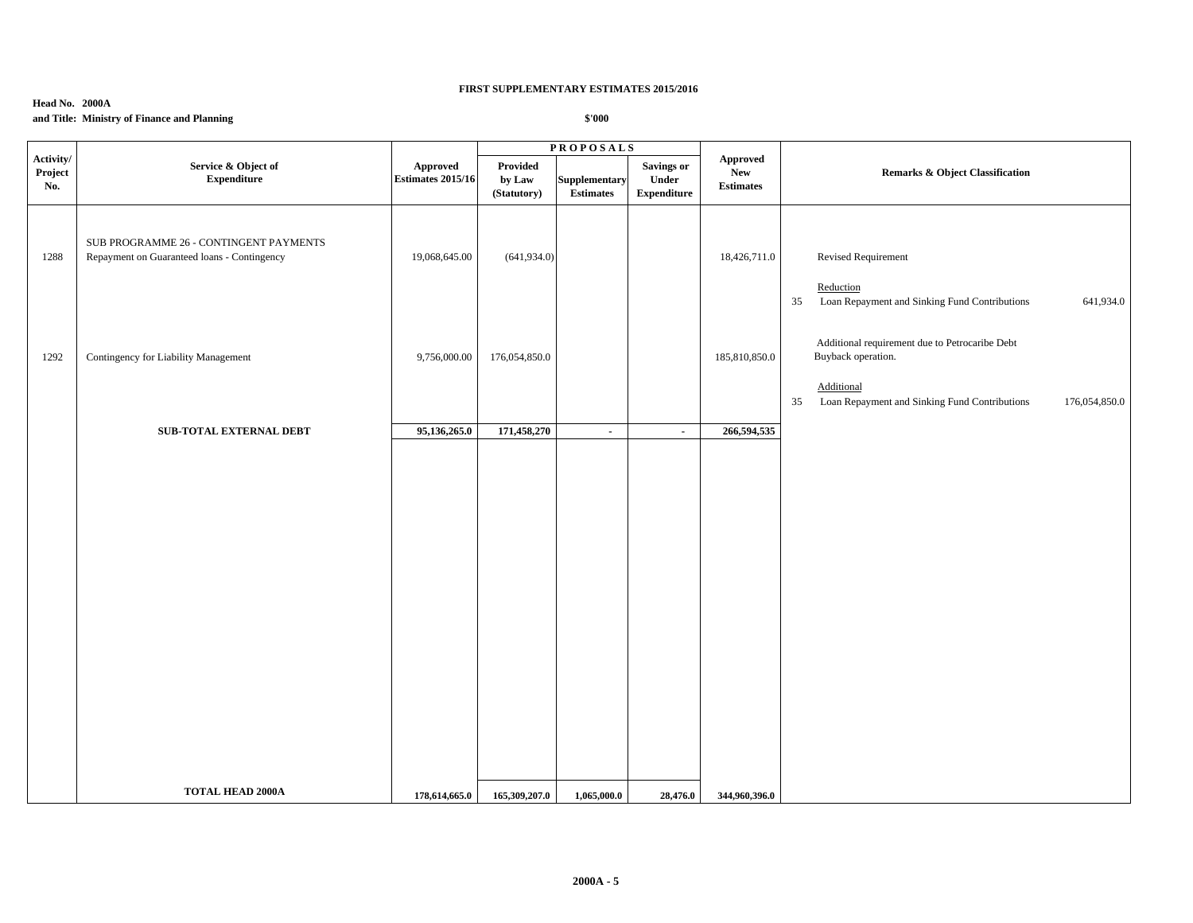## **Head No. 2000A and Title: Ministry of Finance and Planning**

|                             |                                                                                       |                                      |                                   | <b>PROPOSALS</b>                  |                                                  |                                                  |                                                                                                                                                            |
|-----------------------------|---------------------------------------------------------------------------------------|--------------------------------------|-----------------------------------|-----------------------------------|--------------------------------------------------|--------------------------------------------------|------------------------------------------------------------------------------------------------------------------------------------------------------------|
| Activity/<br>Project<br>No. | Service & Object of<br><b>Expenditure</b>                                             | Approved<br><b>Estimates 2015/16</b> | Provided<br>by Law<br>(Statutory) | Supplementary<br><b>Estimates</b> | <b>Savings or</b><br>Under<br><b>Expenditure</b> | <b>Approved</b><br><b>New</b><br>$\bf Estimates$ | Remarks & Object Classification                                                                                                                            |
| 1288                        | SUB PROGRAMME 26 - CONTINGENT PAYMENTS<br>Repayment on Guaranteed loans - Contingency | 19,068,645.00                        | (641, 934.0)                      |                                   |                                                  | 18,426,711.0                                     | Revised Requirement<br>Reduction<br>Loan Repayment and Sinking Fund Contributions<br>641,934.0<br>35                                                       |
| 1292                        | Contingency for Liability Management                                                  | 9,756,000.00                         | 176,054,850.0                     |                                   |                                                  | 185,810,850.0                                    | Additional requirement due to Petrocaribe Debt<br>Buyback operation.<br>Additional<br>35<br>Loan Repayment and Sinking Fund Contributions<br>176,054,850.0 |
|                             | <b>SUB-TOTAL EXTERNAL DEBT</b>                                                        | 95,136,265.0                         | 171,458,270                       | $\blacksquare$                    | $\sim$                                           | 266,594,535                                      |                                                                                                                                                            |
|                             |                                                                                       |                                      |                                   |                                   |                                                  |                                                  |                                                                                                                                                            |
|                             | <b>TOTAL HEAD 2000A</b>                                                               | 178,614,665.0                        | 165,309,207.0                     | 1,065,000.0                       | 28,476.0                                         | 344,960,396.0                                    |                                                                                                                                                            |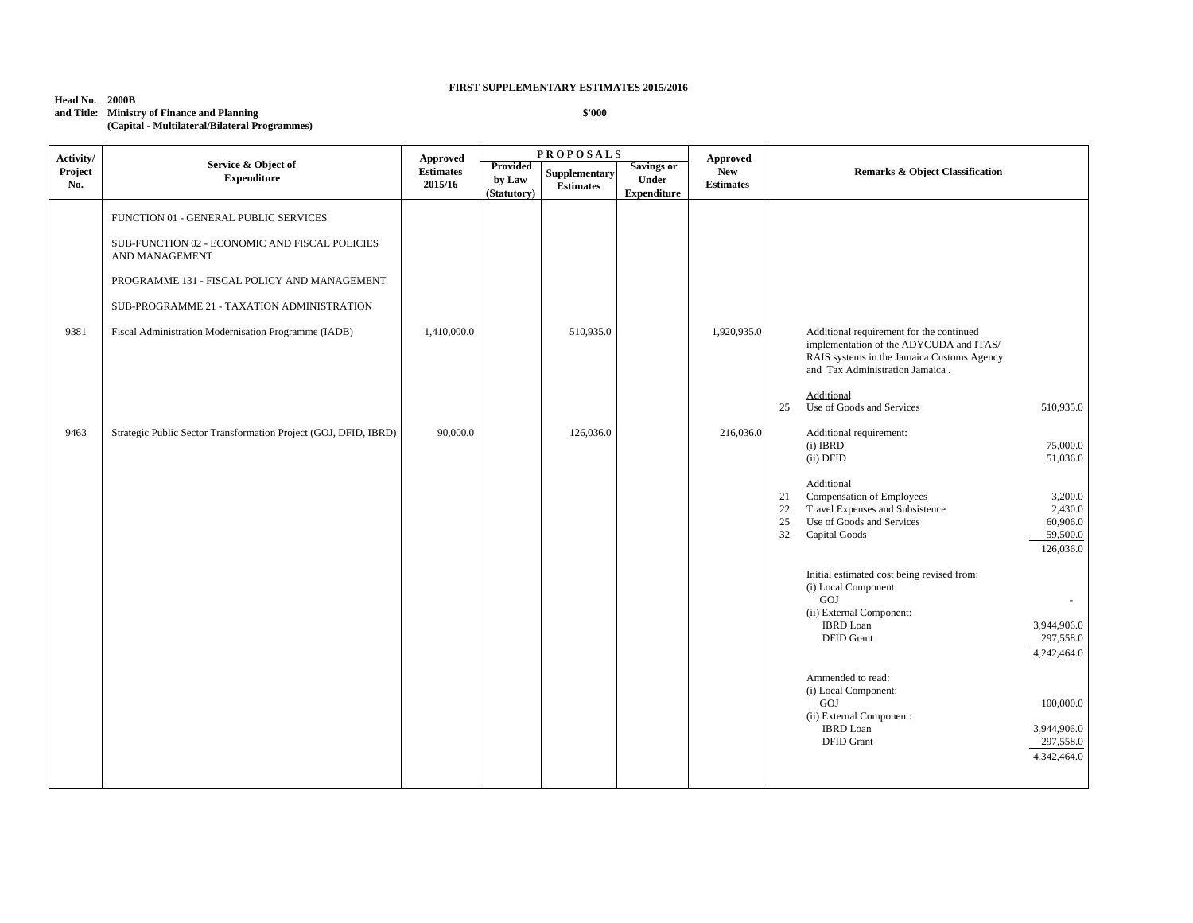**Head No. 2000B and Title: Ministry of Finance and Planning (Capital - Multilateral/Bilateral Programmes)**

| Activity/      |                                                                                                                                                                                                                                                                 | Approved                    |                                   | <b>PROPOSALS</b>                  |                                           | Approved                       |                                                                                                                                                                                                                       |
|----------------|-----------------------------------------------------------------------------------------------------------------------------------------------------------------------------------------------------------------------------------------------------------------|-----------------------------|-----------------------------------|-----------------------------------|-------------------------------------------|--------------------------------|-----------------------------------------------------------------------------------------------------------------------------------------------------------------------------------------------------------------------|
| Project<br>No. | Service & Object of<br><b>Expenditure</b>                                                                                                                                                                                                                       | <b>Estimates</b><br>2015/16 | Provided<br>by Law<br>(Statutory) | Supplementary<br><b>Estimates</b> | Savings or<br>Under<br><b>Expenditure</b> | <b>New</b><br><b>Estimates</b> | <b>Remarks &amp; Object Classification</b>                                                                                                                                                                            |
| 9381           | FUNCTION 01 - GENERAL PUBLIC SERVICES<br>SUB-FUNCTION 02 - ECONOMIC AND FISCAL POLICIES<br>AND MANAGEMENT<br>PROGRAMME 131 - FISCAL POLICY AND MANAGEMENT<br>SUB-PROGRAMME 21 - TAXATION ADMINISTRATION<br>Fiscal Administration Modernisation Programme (IADB) | 1,410,000.0                 |                                   | 510,935.0                         |                                           | 1,920,935.0                    | Additional requirement for the continued<br>implementation of the ADYCUDA and ITAS/<br>RAIS systems in the Jamaica Customs Agency<br>and Tax Administration Jamaica.                                                  |
| 9463           | Strategic Public Sector Transformation Project (GOJ, DFID, IBRD)                                                                                                                                                                                                | 90,000.0                    |                                   | 126,036.0                         |                                           | 216,036.0                      | Additional<br>Use of Goods and Services<br>510,935.0<br>25<br>Additional requirement:                                                                                                                                 |
|                |                                                                                                                                                                                                                                                                 |                             |                                   |                                   |                                           |                                | $(i)$ IBRD<br>75,000.0<br>(ii) DFID<br>51,036.0                                                                                                                                                                       |
|                |                                                                                                                                                                                                                                                                 |                             |                                   |                                   |                                           |                                | Additional<br>Compensation of Employees<br>3,200.0<br>21<br>22<br>Travel Expenses and Subsistence<br>2,430.0<br>Use of Goods and Services<br>60,906.0<br>25<br>32<br>Capital Goods<br>59,500.0<br>126,036.0           |
|                |                                                                                                                                                                                                                                                                 |                             |                                   |                                   |                                           |                                | Initial estimated cost being revised from:<br>(i) Local Component:<br>GOJ<br>$\overline{\phantom{a}}$<br>(ii) External Component:<br><b>IBRD</b> Loan<br>3,944,906.0<br><b>DFID</b> Grant<br>297,558.0<br>4,242,464.0 |
|                |                                                                                                                                                                                                                                                                 |                             |                                   |                                   |                                           |                                | Ammended to read:<br>(i) Local Component:<br>GOJ<br>100,000.0<br>(ii) External Component:<br><b>IBRD</b> Loan<br>3,944,906.0<br>297,558.0<br><b>DFID</b> Grant<br>4,342,464.0                                         |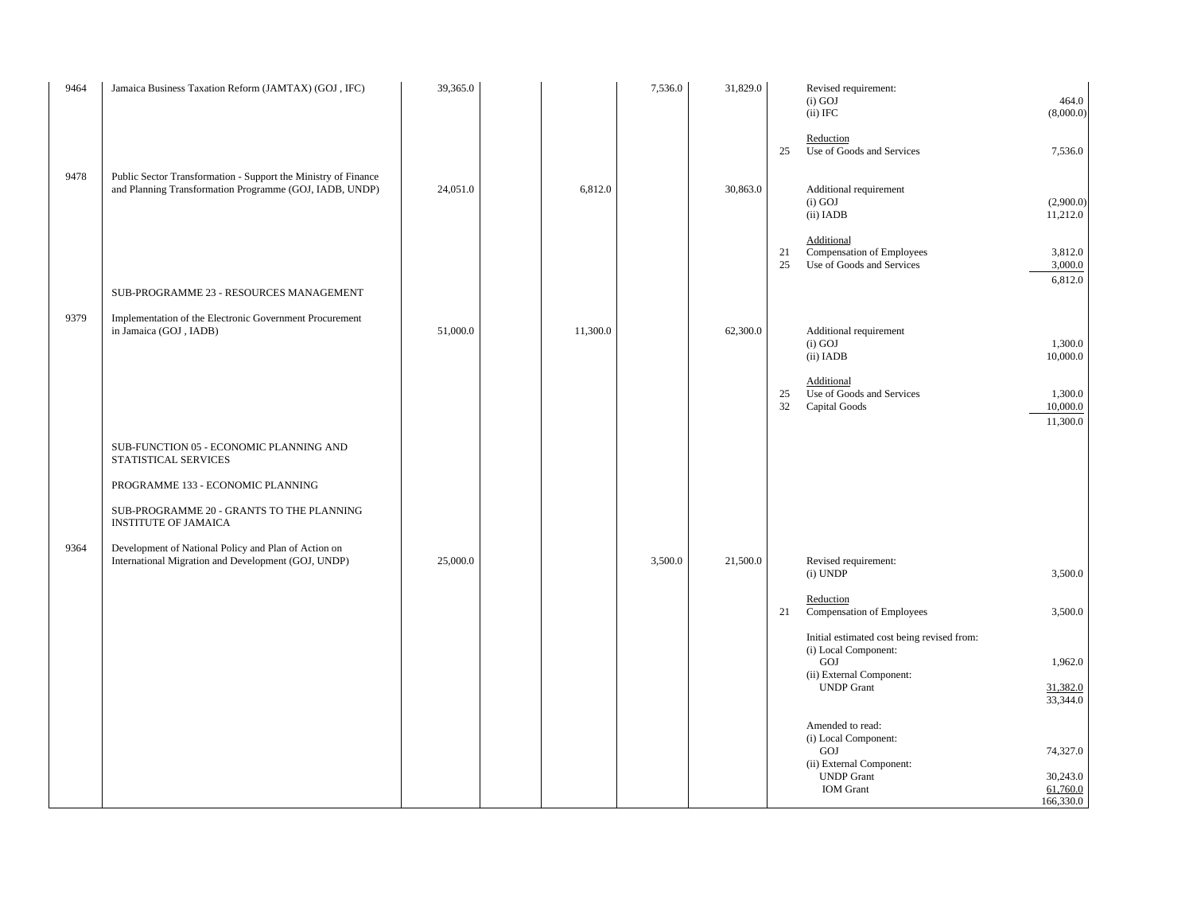| 9464 | Jamaica Business Taxation Reform (JAMTAX) (GOJ, IFC)                                                                      | 39,365.0 |          | 7,536.0 | 31,829.0 | Revised requirement:<br>$(i)$ GOJ<br>$(ii)$ IFC                                                       | 464.0<br>(8,000.0)                |
|------|---------------------------------------------------------------------------------------------------------------------------|----------|----------|---------|----------|-------------------------------------------------------------------------------------------------------|-----------------------------------|
|      |                                                                                                                           |          |          |         |          | Reduction<br>Use of Goods and Services<br>25                                                          | 7,536.0                           |
| 9478 | Public Sector Transformation - Support the Ministry of Finance<br>and Planning Transformation Programme (GOJ, IADB, UNDP) | 24,051.0 | 6,812.0  |         | 30,863.0 | Additional requirement<br>$(i)$ GOJ<br>(ii) IADB                                                      | (2,900.0)<br>11,212.0             |
|      |                                                                                                                           |          |          |         |          | Additional<br>Compensation of Employees<br>21<br>25<br>Use of Goods and Services                      | 3,812.0<br>3,000.0<br>6,812.0     |
|      | SUB-PROGRAMME 23 - RESOURCES MANAGEMENT                                                                                   |          |          |         |          |                                                                                                       |                                   |
| 9379 | Implementation of the Electronic Government Procurement<br>in Jamaica (GOJ, IADB)                                         | 51,000.0 | 11,300.0 |         | 62,300.0 | Additional requirement<br>$(i)$ GOJ<br>(ii) IADB                                                      | 1,300.0<br>10,000.0               |
|      |                                                                                                                           |          |          |         |          | Additional<br>Use of Goods and Services<br>25<br>32<br>Capital Goods                                  | 1,300.0<br>10,000.0<br>11,300.0   |
|      | SUB-FUNCTION 05 - ECONOMIC PLANNING AND<br>STATISTICAL SERVICES                                                           |          |          |         |          |                                                                                                       |                                   |
|      | PROGRAMME 133 - ECONOMIC PLANNING                                                                                         |          |          |         |          |                                                                                                       |                                   |
|      | SUB-PROGRAMME 20 - GRANTS TO THE PLANNING<br><b>INSTITUTE OF JAMAICA</b>                                                  |          |          |         |          |                                                                                                       |                                   |
| 9364 | Development of National Policy and Plan of Action on<br>International Migration and Development (GOJ, UNDP)               | 25,000.0 |          | 3,500.0 | 21,500.0 | Revised requirement:<br>(i) UNDP                                                                      | 3,500.0                           |
|      |                                                                                                                           |          |          |         |          | Reduction<br>21<br>Compensation of Employees                                                          | 3,500.0                           |
|      |                                                                                                                           |          |          |         |          | Initial estimated cost being revised from:<br>(i) Local Component:<br>GOJ<br>(ii) External Component: | 1,962.0                           |
|      |                                                                                                                           |          |          |         |          | <b>UNDP</b> Grant                                                                                     | 31,382.0<br>33,344.0              |
|      |                                                                                                                           |          |          |         |          | Amended to read:<br>(i) Local Component:<br>GOJ<br>(ii) External Component:                           | 74,327.0                          |
|      |                                                                                                                           |          |          |         |          | <b>UNDP</b> Grant<br><b>IOM</b> Grant                                                                 | 30,243.0<br>61,760.0<br>166,330.0 |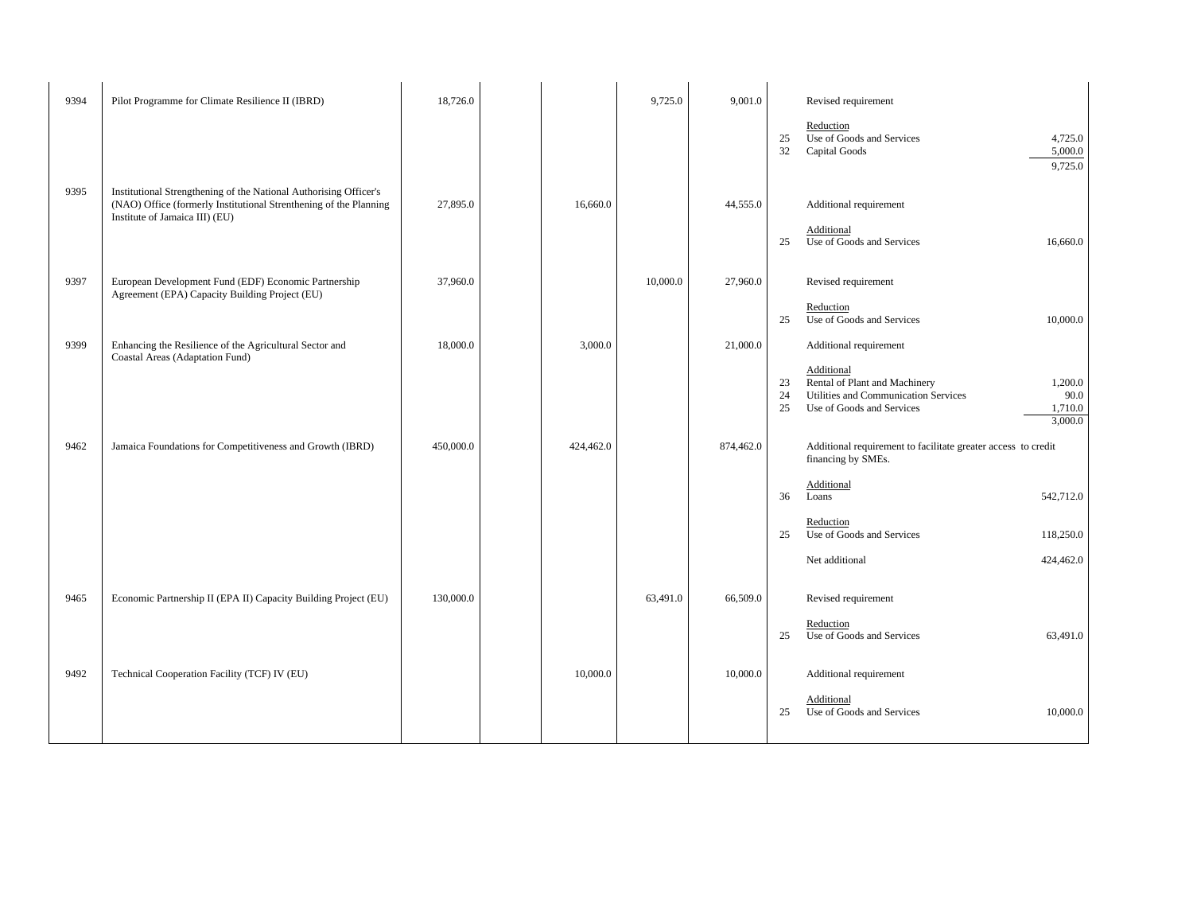| 9394 | Pilot Programme for Climate Resilience II (IBRD)                                                                                                                         | 18,726.0  |           | 9,725.0  | 9,001.0   |                | Revised requirement                                                                                                                         |  |
|------|--------------------------------------------------------------------------------------------------------------------------------------------------------------------------|-----------|-----------|----------|-----------|----------------|---------------------------------------------------------------------------------------------------------------------------------------------|--|
|      |                                                                                                                                                                          |           |           |          |           | 25<br>32       | Reduction<br>Use of Goods and Services<br>4,725.0<br>Capital Goods<br>5,000.0<br>9,725.0                                                    |  |
| 9395 | Institutional Strengthening of the National Authorising Officer's<br>(NAO) Office (formerly Institutional Strenthening of the Planning<br>Institute of Jamaica III) (EU) | 27,895.0  | 16,660.0  |          | 44,555.0  | 25             | Additional requirement<br>Additional<br>Use of Goods and Services<br>16,660.0                                                               |  |
| 9397 | European Development Fund (EDF) Economic Partnership<br>Agreement (EPA) Capacity Building Project (EU)                                                                   | 37,960.0  |           | 10,000.0 | 27,960.0  |                | Revised requirement<br>Reduction                                                                                                            |  |
|      |                                                                                                                                                                          |           |           |          |           | 25             | Use of Goods and Services<br>10,000.0                                                                                                       |  |
| 9399 | Enhancing the Resilience of the Agricultural Sector and<br>Coastal Areas (Adaptation Fund)                                                                               | 18,000.0  | 3,000.0   |          | 21,000.0  |                | Additional requirement<br>Additional                                                                                                        |  |
|      |                                                                                                                                                                          |           |           |          |           | 23<br>24<br>25 | Rental of Plant and Machinery<br>1,200.0<br>Utilities and Communication Services<br>90.0<br>Use of Goods and Services<br>1,710.0<br>3,000.0 |  |
| 9462 | Jamaica Foundations for Competitiveness and Growth (IBRD)                                                                                                                | 450,000.0 | 424,462.0 |          | 874,462.0 |                | Additional requirement to facilitate greater access to credit<br>financing by SMEs.                                                         |  |
|      |                                                                                                                                                                          |           |           |          |           | 36             | Additional<br>Loans<br>542,712.0                                                                                                            |  |
|      |                                                                                                                                                                          |           |           |          |           | 25             | Reduction<br>Use of Goods and Services<br>118,250.0                                                                                         |  |
|      |                                                                                                                                                                          |           |           |          |           |                | Net additional<br>424,462.0                                                                                                                 |  |
| 9465 | Economic Partnership II (EPA II) Capacity Building Project (EU)                                                                                                          | 130,000.0 |           | 63,491.0 | 66,509.0  |                | Revised requirement                                                                                                                         |  |
|      |                                                                                                                                                                          |           |           |          |           | 25             | Reduction<br>Use of Goods and Services<br>63,491.0                                                                                          |  |
| 9492 | Technical Cooperation Facility (TCF) IV (EU)                                                                                                                             |           | 10,000.0  |          | 10,000.0  |                | Additional requirement                                                                                                                      |  |
|      |                                                                                                                                                                          |           |           |          |           | 25             | Additional<br>Use of Goods and Services<br>10,000.0                                                                                         |  |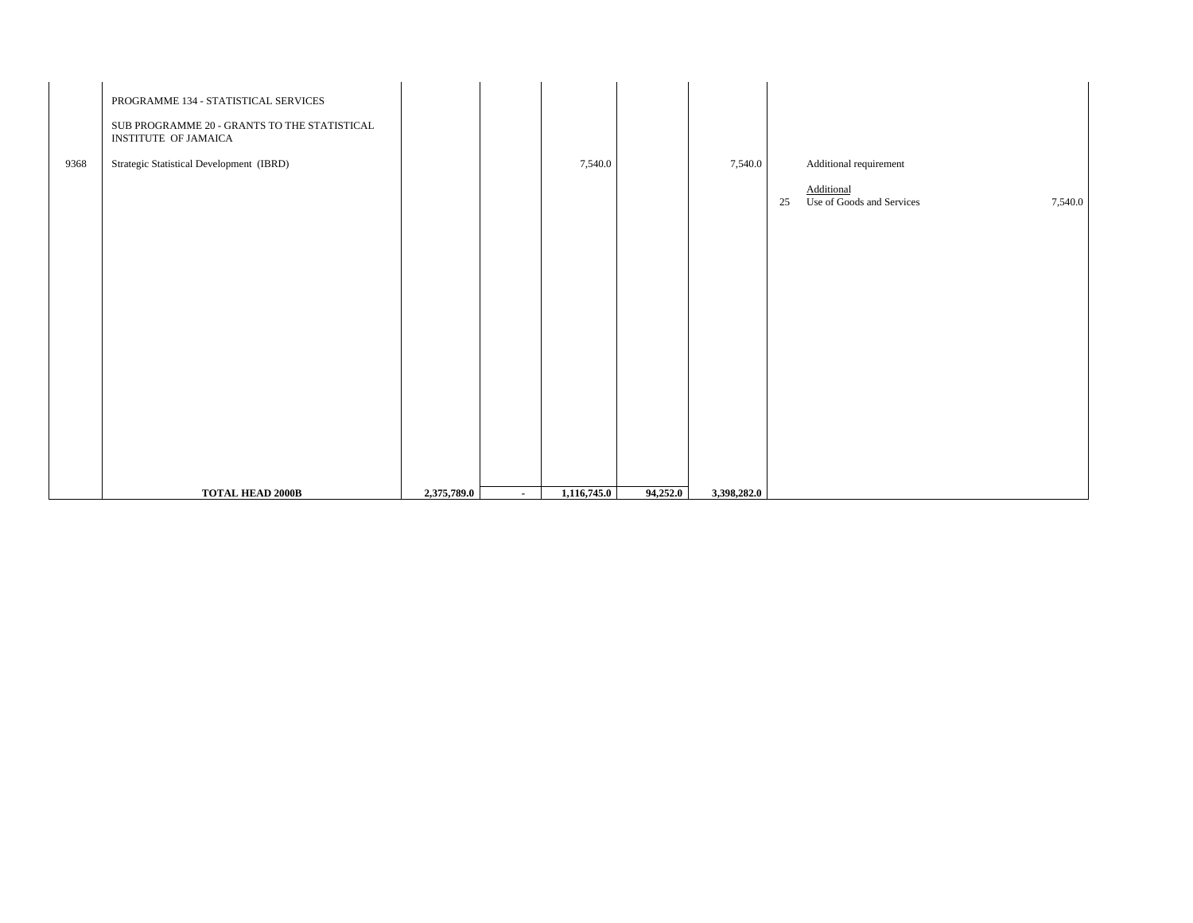|      | PROGRAMME 134 - STATISTICAL SERVICES<br>SUB PROGRAMME 20 - GRANTS TO THE STATISTICAL<br>INSTITUTE OF JAMAICA |             |        |             |          |             |                                                          |  |
|------|--------------------------------------------------------------------------------------------------------------|-------------|--------|-------------|----------|-------------|----------------------------------------------------------|--|
| 9368 | Strategic Statistical Development (IBRD)                                                                     |             |        | 7,540.0     |          | 7,540.0     | Additional requirement                                   |  |
|      |                                                                                                              |             |        |             |          |             | Additional<br>Use of Goods and Services<br>7,540.0<br>25 |  |
|      |                                                                                                              |             |        |             |          |             |                                                          |  |
|      |                                                                                                              |             |        |             |          |             |                                                          |  |
|      |                                                                                                              |             |        |             |          |             |                                                          |  |
|      |                                                                                                              |             |        |             |          |             |                                                          |  |
|      |                                                                                                              |             |        |             |          |             |                                                          |  |
|      |                                                                                                              |             |        |             |          |             |                                                          |  |
|      |                                                                                                              |             |        |             |          |             |                                                          |  |
|      |                                                                                                              |             |        |             |          |             |                                                          |  |
|      |                                                                                                              |             |        |             |          |             |                                                          |  |
|      |                                                                                                              |             |        |             |          |             |                                                          |  |
|      |                                                                                                              |             |        |             |          |             |                                                          |  |
|      | <b>TOTAL HEAD 2000B</b>                                                                                      | 2,375,789.0 | $\sim$ | 1,116,745.0 | 94,252.0 | 3,398,282.0 |                                                          |  |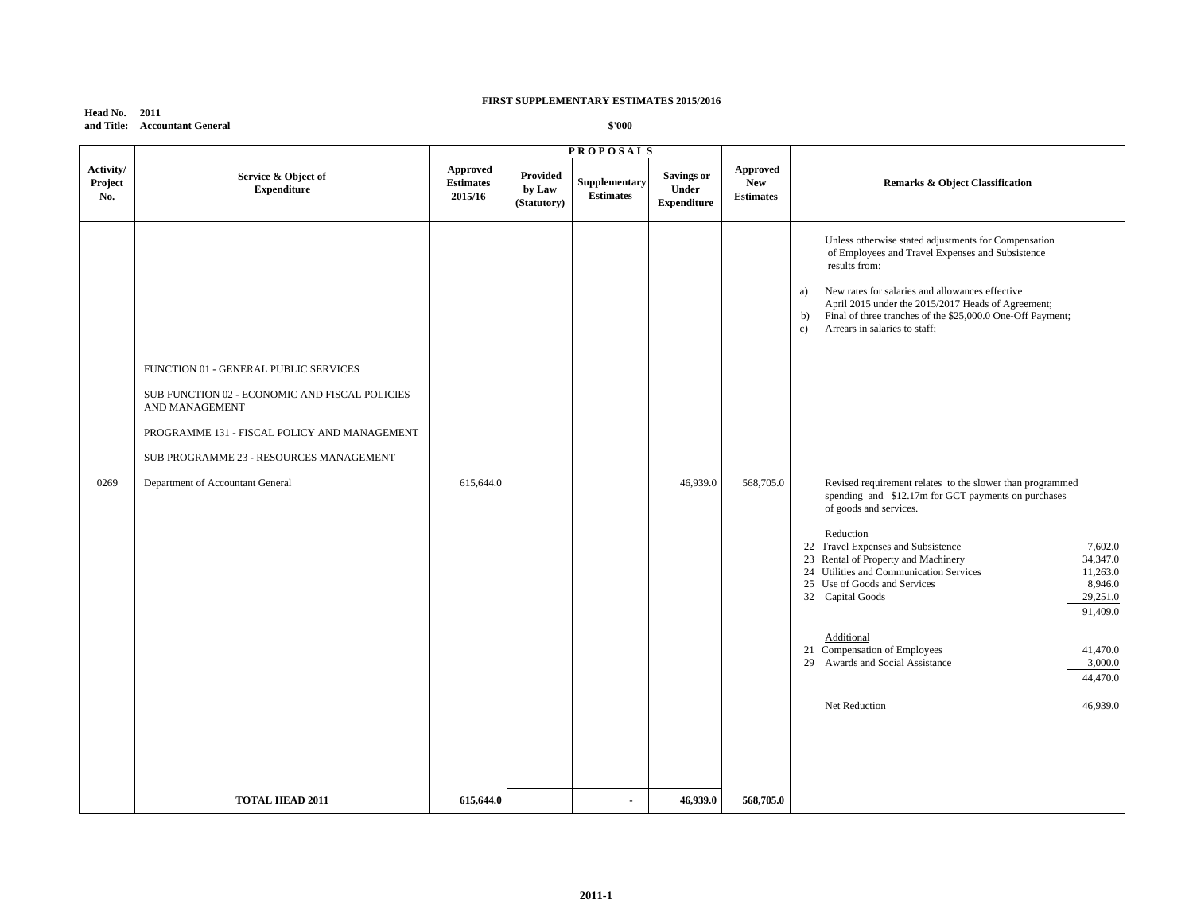**Head No. 2011 and Title: Accountant General**

|                             |                                                                                                                                                           |                                         |                                          | <b>PROPOSALS</b>                  |                                                  |                                                   |                                                                                                                                                                                                                                                                                                                                                                                                                                                                                                                                                               |
|-----------------------------|-----------------------------------------------------------------------------------------------------------------------------------------------------------|-----------------------------------------|------------------------------------------|-----------------------------------|--------------------------------------------------|---------------------------------------------------|---------------------------------------------------------------------------------------------------------------------------------------------------------------------------------------------------------------------------------------------------------------------------------------------------------------------------------------------------------------------------------------------------------------------------------------------------------------------------------------------------------------------------------------------------------------|
| Activity/<br>Project<br>No. | Service & Object of<br><b>Expenditure</b>                                                                                                                 | Approved<br><b>Estimates</b><br>2015/16 | <b>Provided</b><br>by Law<br>(Statutory) | Supplementary<br><b>Estimates</b> | <b>Savings or</b><br>Under<br><b>Expenditure</b> | <b>Approved</b><br><b>New</b><br><b>Estimates</b> | <b>Remarks &amp; Object Classification</b>                                                                                                                                                                                                                                                                                                                                                                                                                                                                                                                    |
|                             | FUNCTION 01 - GENERAL PUBLIC SERVICES<br>SUB FUNCTION 02 - ECONOMIC AND FISCAL POLICIES<br>AND MANAGEMENT<br>PROGRAMME 131 - FISCAL POLICY AND MANAGEMENT |                                         |                                          |                                   |                                                  |                                                   | Unless otherwise stated adjustments for Compensation<br>of Employees and Travel Expenses and Subsistence<br>results from:<br>New rates for salaries and allowances effective<br>a)<br>April 2015 under the 2015/2017 Heads of Agreement;<br>Final of three tranches of the \$25,000.0 One-Off Payment;<br>b)<br>Arrears in salaries to staff;<br>$\mathbf{c}$                                                                                                                                                                                                 |
| 0269                        | SUB PROGRAMME 23 - RESOURCES MANAGEMENT<br>Department of Accountant General                                                                               | 615,644.0                               |                                          |                                   | 46,939.0                                         | 568,705.0                                         | Revised requirement relates to the slower than programmed<br>spending and \$12.17m for GCT payments on purchases<br>of goods and services.<br>Reduction<br>22 Travel Expenses and Subsistence<br>7,602.0<br>23 Rental of Property and Machinery<br>34,347.0<br>24 Utilities and Communication Services<br>11,263.0<br>25 Use of Goods and Services<br>8,946.0<br>32 Capital Goods<br>29,251.0<br>91,409.0<br>Additional<br>21 Compensation of Employees<br>41,470.0<br>Awards and Social Assistance<br>3,000.0<br>29<br>44,470.0<br>Net Reduction<br>46,939.0 |
|                             | <b>TOTAL HEAD 2011</b>                                                                                                                                    | 615,644.0                               |                                          | $\blacksquare$                    | 46,939.0                                         | 568,705.0                                         |                                                                                                                                                                                                                                                                                                                                                                                                                                                                                                                                                               |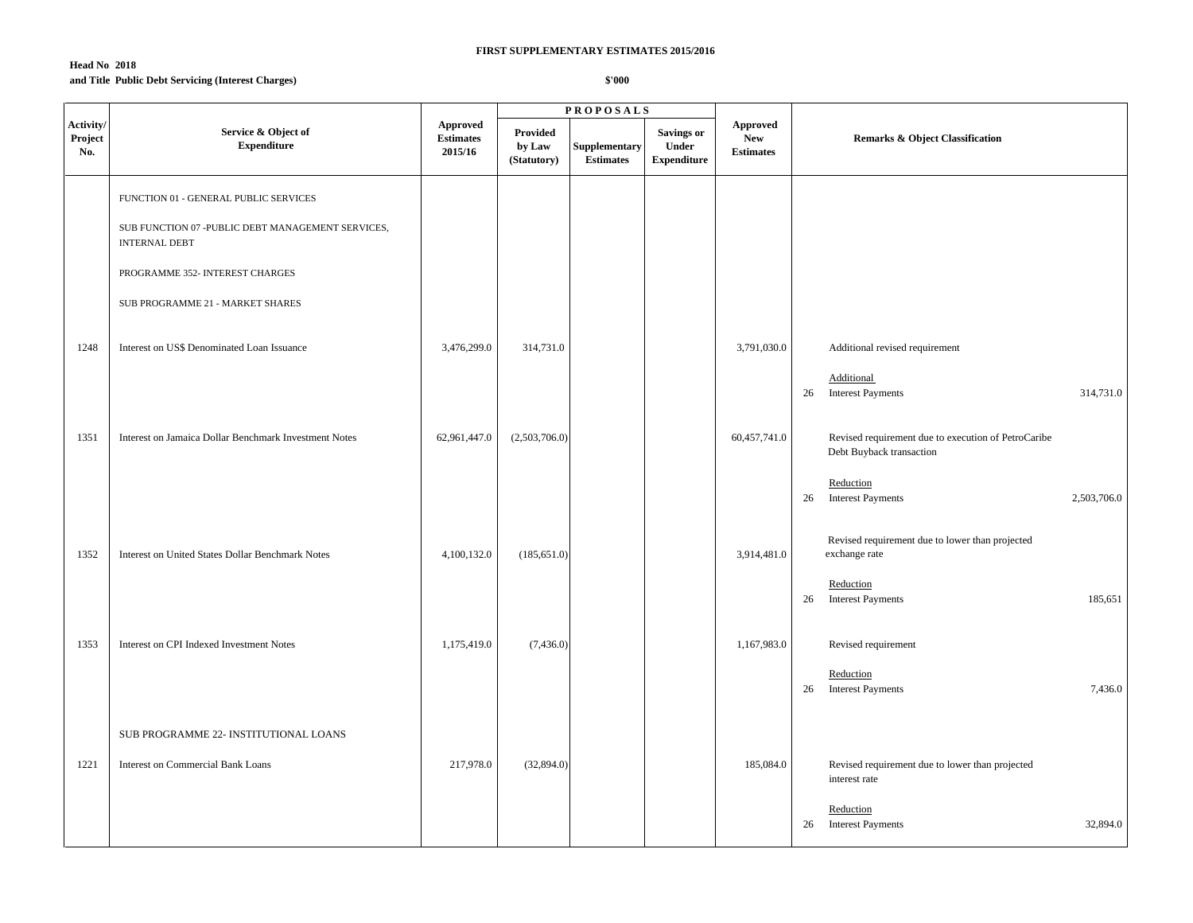## **Head No. 2018 and Title:Public Debt Servicing (Interest Charges)**

|                             |                                                                            |                                                |                                   | <b>PROPOSALS</b>                  |                                                  |                                                   |                                                                                 |
|-----------------------------|----------------------------------------------------------------------------|------------------------------------------------|-----------------------------------|-----------------------------------|--------------------------------------------------|---------------------------------------------------|---------------------------------------------------------------------------------|
| Activity/<br>Project<br>No. | Service & Object of<br><b>Expenditure</b>                                  | <b>Approved</b><br><b>Estimates</b><br>2015/16 | Provided<br>by Law<br>(Statutory) | Supplementary<br><b>Estimates</b> | <b>Savings or</b><br>Under<br><b>Expenditure</b> | <b>Approved</b><br><b>New</b><br><b>Estimates</b> | <b>Remarks &amp; Object Classification</b>                                      |
|                             | FUNCTION 01 - GENERAL PUBLIC SERVICES                                      |                                                |                                   |                                   |                                                  |                                                   |                                                                                 |
|                             | SUB FUNCTION 07 - PUBLIC DEBT MANAGEMENT SERVICES,<br><b>INTERNAL DEBT</b> |                                                |                                   |                                   |                                                  |                                                   |                                                                                 |
|                             | PROGRAMME 352- INTEREST CHARGES                                            |                                                |                                   |                                   |                                                  |                                                   |                                                                                 |
|                             | SUB PROGRAMME 21 - MARKET SHARES                                           |                                                |                                   |                                   |                                                  |                                                   |                                                                                 |
| 1248                        | Interest on US\$ Denominated Loan Issuance                                 | 3,476,299.0                                    | 314,731.0                         |                                   |                                                  | 3,791,030.0                                       | Additional revised requirement                                                  |
|                             |                                                                            |                                                |                                   |                                   |                                                  |                                                   | Additional<br><b>Interest Payments</b><br>314,731.0<br>26                       |
| 1351                        | Interest on Jamaica Dollar Benchmark Investment Notes                      | 62,961,447.0                                   | (2,503,706.0)                     |                                   |                                                  | 60,457,741.0                                      | Revised requirement due to execution of PetroCaribe<br>Debt Buyback transaction |
|                             |                                                                            |                                                |                                   |                                   |                                                  |                                                   | Reduction<br><b>Interest Payments</b><br>2,503,706.0<br>26                      |
| 1352                        | Interest on United States Dollar Benchmark Notes                           | 4,100,132.0                                    | (185, 651.0)                      |                                   |                                                  | 3,914,481.0                                       | Revised requirement due to lower than projected<br>exchange rate                |
|                             |                                                                            |                                                |                                   |                                   |                                                  |                                                   | Reduction<br><b>Interest Payments</b><br>185,651<br>26                          |
| 1353                        | Interest on CPI Indexed Investment Notes                                   | 1,175,419.0                                    | (7,436.0)                         |                                   |                                                  | 1,167,983.0                                       | Revised requirement                                                             |
|                             |                                                                            |                                                |                                   |                                   |                                                  |                                                   | Reduction<br><b>Interest Payments</b><br>26<br>7,436.0                          |
|                             | SUB PROGRAMME 22- INSTITUTIONAL LOANS                                      |                                                |                                   |                                   |                                                  |                                                   |                                                                                 |
| 1221                        | <b>Interest on Commercial Bank Loans</b>                                   | 217,978.0                                      | (32,894.0)                        |                                   |                                                  | 185,084.0                                         | Revised requirement due to lower than projected<br>interest rate                |
|                             |                                                                            |                                                |                                   |                                   |                                                  |                                                   | Reduction<br>26 Interest Payments<br>32,894.0                                   |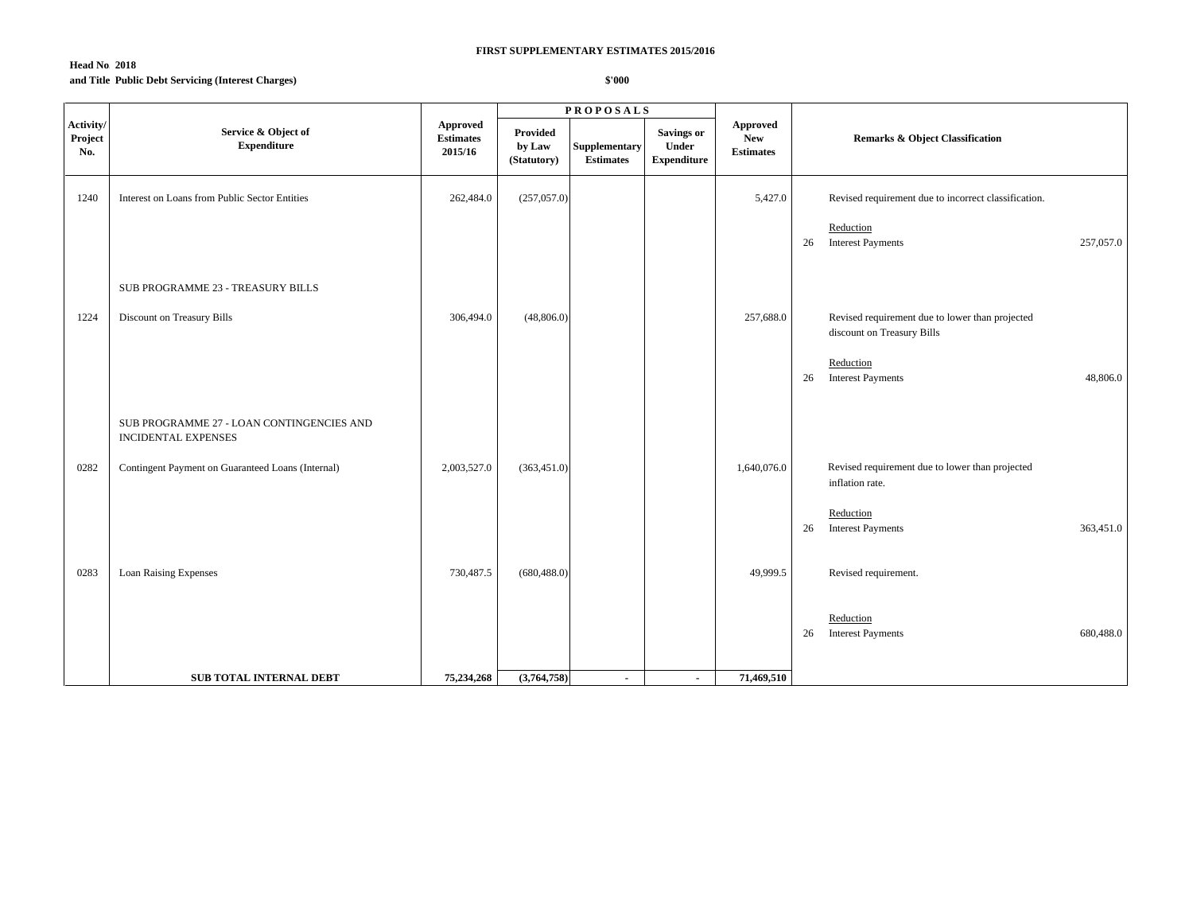## **Head No. 2018 and Title:Public Debt Servicing (Interest Charges)**

|                             |                                                                         |                                                |                                   | <b>PROPOSALS</b>                         |                                                  |                                                                |                                                                               |
|-----------------------------|-------------------------------------------------------------------------|------------------------------------------------|-----------------------------------|------------------------------------------|--------------------------------------------------|----------------------------------------------------------------|-------------------------------------------------------------------------------|
| Activity/<br>Project<br>No. | Service & Object of<br><b>Expenditure</b>                               | <b>Approved</b><br><b>Estimates</b><br>2015/16 | Provided<br>by Law<br>(Statutory) | <b>Supplementary</b><br><b>Estimates</b> | <b>Savings or</b><br>Under<br><b>Expenditure</b> | ${\Large\bf\large Appendix}$<br><b>New</b><br><b>Estimates</b> | <b>Remarks &amp; Object Classification</b>                                    |
| 1240                        | Interest on Loans from Public Sector Entities                           | 262,484.0                                      | (257,057.0)                       |                                          |                                                  | 5,427.0                                                        | Revised requirement due to incorrect classification.                          |
|                             |                                                                         |                                                |                                   |                                          |                                                  |                                                                | Reduction<br><b>Interest Payments</b><br>257,057.0<br>26                      |
|                             | SUB PROGRAMME 23 - TREASURY BILLS                                       |                                                |                                   |                                          |                                                  |                                                                |                                                                               |
| 1224                        | Discount on Treasury Bills                                              | 306,494.0                                      | (48, 806.0)                       |                                          |                                                  | 257,688.0                                                      | Revised requirement due to lower than projected<br>discount on Treasury Bills |
|                             |                                                                         |                                                |                                   |                                          |                                                  |                                                                | Reduction<br><b>Interest Payments</b><br>48,806.0<br>26                       |
|                             | SUB PROGRAMME 27 - LOAN CONTINGENCIES AND<br><b>INCIDENTAL EXPENSES</b> |                                                |                                   |                                          |                                                  |                                                                |                                                                               |
| 0282                        | Contingent Payment on Guaranteed Loans (Internal)                       | 2,003,527.0                                    | (363, 451.0)                      |                                          |                                                  | 1,640,076.0                                                    | Revised requirement due to lower than projected<br>inflation rate.            |
|                             |                                                                         |                                                |                                   |                                          |                                                  |                                                                | Reduction<br>26 Interest Payments<br>363,451.0                                |
| 0283                        | Loan Raising Expenses                                                   | 730,487.5                                      | (680, 488.0)                      |                                          |                                                  | 49,999.5                                                       | Revised requirement.                                                          |
|                             |                                                                         |                                                |                                   |                                          |                                                  |                                                                | Reduction<br>26<br><b>Interest Payments</b><br>680,488.0                      |
|                             | <b>SUB TOTAL INTERNAL DEBT</b>                                          | 75,234,268                                     | (3,764,758)                       | $\blacksquare$                           | $\sim$                                           | 71,469,510                                                     |                                                                               |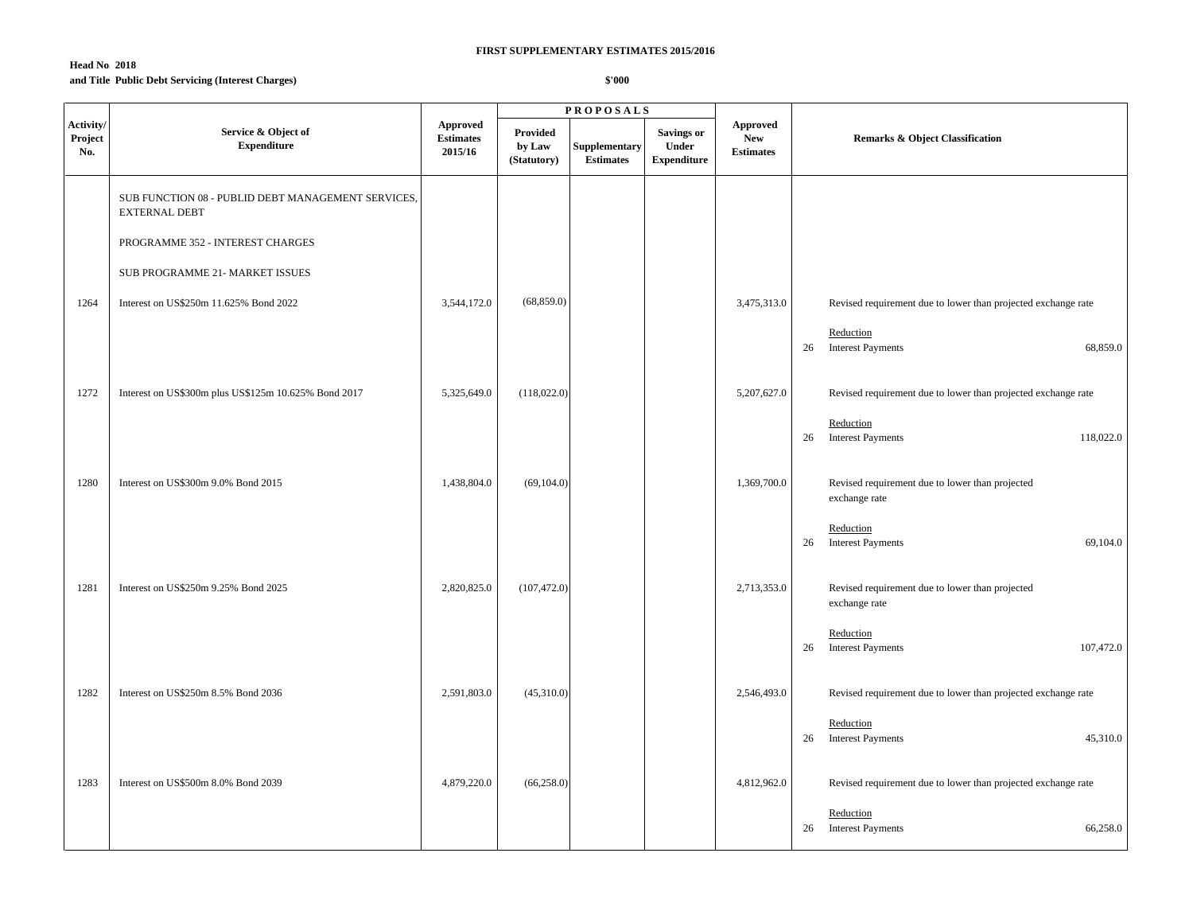## **Head No. 2018 and Title:Public Debt Servicing (Interest Charges)**

|                             |                                                                            |                                         |                                   | <b>PROPOSALS</b>                  |                                           |                                                   |                                                                  |
|-----------------------------|----------------------------------------------------------------------------|-----------------------------------------|-----------------------------------|-----------------------------------|-------------------------------------------|---------------------------------------------------|------------------------------------------------------------------|
| Activity/<br>Project<br>No. | Service & Object of<br><b>Expenditure</b>                                  | Approved<br><b>Estimates</b><br>2015/16 | Provided<br>by Law<br>(Statutory) | Supplementary<br><b>Estimates</b> | Savings or<br>Under<br><b>Expenditure</b> | <b>Approved</b><br><b>New</b><br><b>Estimates</b> | <b>Remarks &amp; Object Classification</b>                       |
|                             | SUB FUNCTION 08 - PUBLID DEBT MANAGEMENT SERVICES,<br><b>EXTERNAL DEBT</b> |                                         |                                   |                                   |                                           |                                                   |                                                                  |
|                             | PROGRAMME 352 - INTEREST CHARGES                                           |                                         |                                   |                                   |                                           |                                                   |                                                                  |
|                             | SUB PROGRAMME 21- MARKET ISSUES                                            |                                         |                                   |                                   |                                           |                                                   |                                                                  |
| 1264                        | Interest on US\$250m 11.625% Bond 2022                                     | 3,544,172.0                             | (68, 859.0)                       |                                   |                                           | 3,475,313.0                                       | Revised requirement due to lower than projected exchange rate    |
|                             |                                                                            |                                         |                                   |                                   |                                           |                                                   | Reduction<br><b>Interest Payments</b><br>68,859.0<br>26          |
| 1272                        | Interest on US\$300m plus US\$125m 10.625% Bond 2017                       | 5,325,649.0                             | (118,022.0)                       |                                   |                                           | 5,207,627.0                                       | Revised requirement due to lower than projected exchange rate    |
|                             |                                                                            |                                         |                                   |                                   |                                           |                                                   | Reduction<br>118,022.0<br>26<br><b>Interest Payments</b>         |
| 1280                        | Interest on US\$300m 9.0% Bond 2015                                        | 1,438,804.0                             | (69, 104.0)                       |                                   |                                           | 1,369,700.0                                       | Revised requirement due to lower than projected<br>exchange rate |
|                             |                                                                            |                                         |                                   |                                   |                                           |                                                   | Reduction<br><b>Interest Payments</b><br>69,104.0<br>26          |
| 1281                        | Interest on US\$250m 9.25% Bond 2025                                       | 2,820,825.0                             | (107, 472.0)                      |                                   |                                           | 2,713,353.0                                       | Revised requirement due to lower than projected<br>exchange rate |
|                             |                                                                            |                                         |                                   |                                   |                                           |                                                   | Reduction<br>107,472.0<br>26<br><b>Interest Payments</b>         |
| 1282                        | Interest on US\$250m 8.5% Bond 2036                                        | 2,591,803.0                             | (45,310.0)                        |                                   |                                           | 2,546,493.0                                       | Revised requirement due to lower than projected exchange rate    |
|                             |                                                                            |                                         |                                   |                                   |                                           |                                                   | Reduction<br>26 Interest Payments<br>45,310.0                    |
| 1283                        | Interest on US\$500m 8.0% Bond 2039                                        | 4,879,220.0                             | (66, 258.0)                       |                                   |                                           | 4,812,962.0                                       | Revised requirement due to lower than projected exchange rate    |
|                             |                                                                            |                                         |                                   |                                   |                                           |                                                   | Reduction<br>26 Interest Payments<br>66,258.0                    |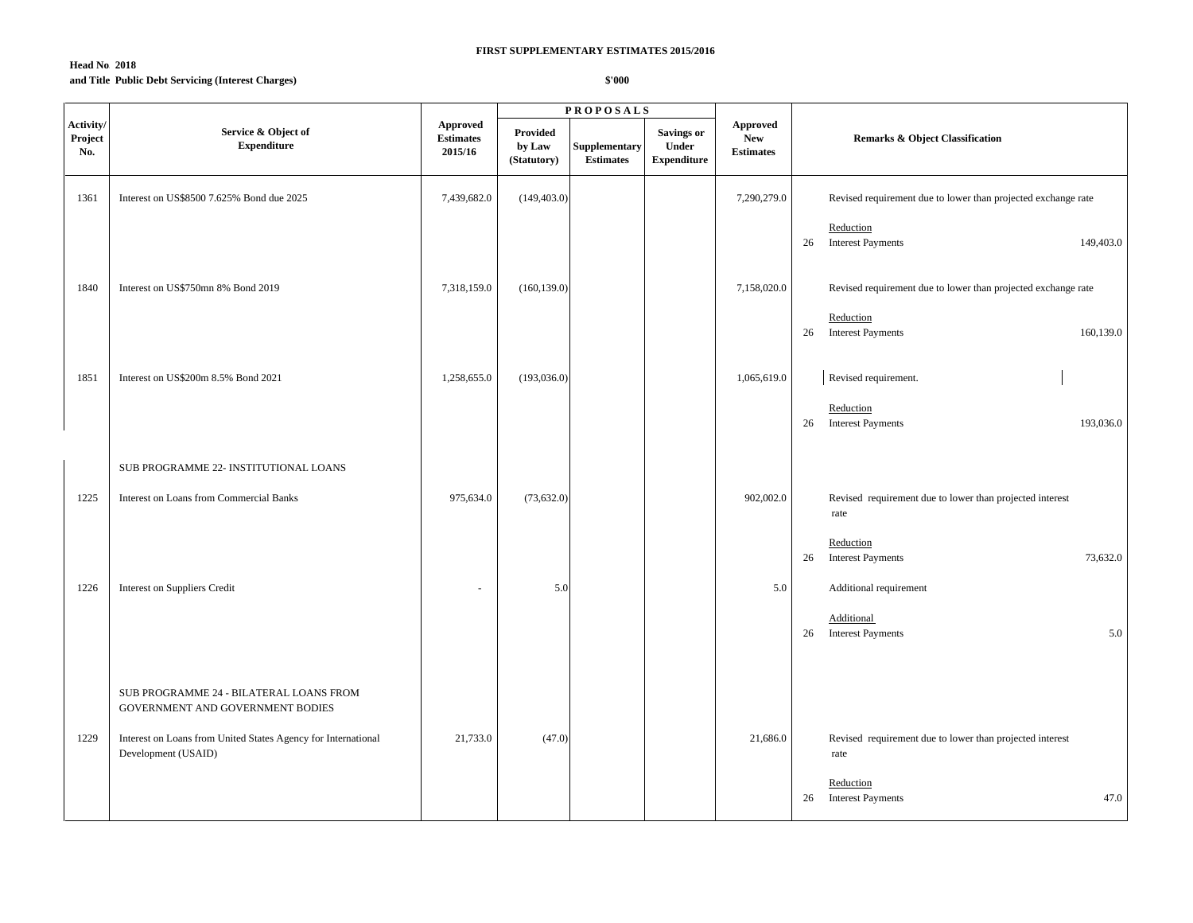## **Head No. 2018 and Title:Public Debt Servicing (Interest Charges)**

|                             |                                                                                      |                                                |                                   | <b>PROPOSALS</b>                         |                                                  |                                            |                                                                  |
|-----------------------------|--------------------------------------------------------------------------------------|------------------------------------------------|-----------------------------------|------------------------------------------|--------------------------------------------------|--------------------------------------------|------------------------------------------------------------------|
| Activity/<br>Project<br>No. | Service & Object of<br><b>Expenditure</b>                                            | <b>Approved</b><br><b>Estimates</b><br>2015/16 | Provided<br>by Law<br>(Statutory) | <b>Supplementary</b><br><b>Estimates</b> | <b>Savings or</b><br>Under<br><b>Expenditure</b> | Approved<br><b>New</b><br><b>Estimates</b> | <b>Remarks &amp; Object Classification</b>                       |
| 1361                        | Interest on US\$8500 7.625% Bond due 2025                                            | 7,439,682.0                                    | (149, 403.0)                      |                                          |                                                  | 7,290,279.0                                | Revised requirement due to lower than projected exchange rate    |
|                             |                                                                                      |                                                |                                   |                                          |                                                  |                                            | Reduction<br><b>Interest Payments</b><br>149,403.0<br>26         |
| 1840                        | Interest on US\$750mn 8% Bond 2019                                                   | 7,318,159.0                                    | (160, 139.0)                      |                                          |                                                  | 7,158,020.0                                | Revised requirement due to lower than projected exchange rate    |
|                             |                                                                                      |                                                |                                   |                                          |                                                  |                                            | Reduction<br><b>Interest Payments</b><br>160,139.0<br>26         |
| 1851                        | Interest on US\$200m 8.5% Bond 2021                                                  | 1,258,655.0                                    | (193,036.0)                       |                                          |                                                  | 1,065,619.0                                | Revised requirement.                                             |
|                             |                                                                                      |                                                |                                   |                                          |                                                  |                                            | Reduction<br>26 Interest Payments<br>193,036.0                   |
|                             | SUB PROGRAMME 22- INSTITUTIONAL LOANS                                                |                                                |                                   |                                          |                                                  |                                            |                                                                  |
| 1225                        | <b>Interest on Loans from Commercial Banks</b>                                       | 975,634.0                                      | (73, 632.0)                       |                                          |                                                  | 902,002.0                                  | Revised requirement due to lower than projected interest<br>rate |
|                             |                                                                                      |                                                |                                   |                                          |                                                  |                                            | Reduction<br>26 Interest Payments<br>73,632.0                    |
| 1226                        | Interest on Suppliers Credit                                                         | ä,                                             | 5.0                               |                                          |                                                  | 5.0                                        | Additional requirement                                           |
|                             |                                                                                      |                                                |                                   |                                          |                                                  |                                            | Additional<br>26 Interest Payments<br>5.0                        |
|                             | SUB PROGRAMME 24 - BILATERAL LOANS FROM<br>GOVERNMENT AND GOVERNMENT BODIES          |                                                |                                   |                                          |                                                  |                                            |                                                                  |
| 1229                        | Interest on Loans from United States Agency for International<br>Development (USAID) | 21,733.0                                       | (47.0)                            |                                          |                                                  | 21,686.0                                   | Revised requirement due to lower than projected interest<br>rate |
|                             |                                                                                      |                                                |                                   |                                          |                                                  |                                            | Reduction<br>26 Interest Payments<br>47.0                        |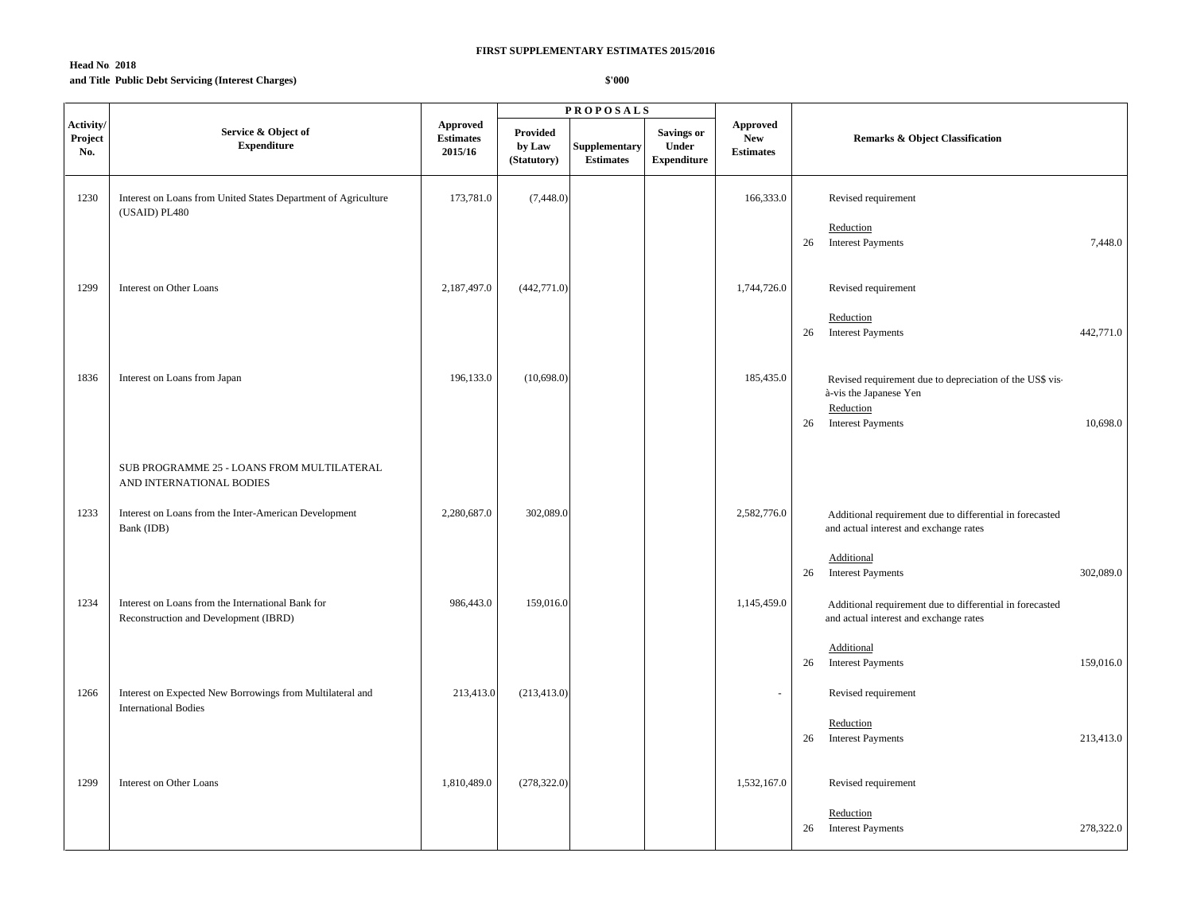### **Head No. 2018 and Title:Public Debt Servicing (Interest Charges)**

|                             |                                                                                            |                                         |                                   | <b>PROPOSALS</b>                  |                                                  |                                                   |                                                                                                                                               |
|-----------------------------|--------------------------------------------------------------------------------------------|-----------------------------------------|-----------------------------------|-----------------------------------|--------------------------------------------------|---------------------------------------------------|-----------------------------------------------------------------------------------------------------------------------------------------------|
| Activity/<br>Project<br>No. | Service & Object of<br><b>Expenditure</b>                                                  | Approved<br><b>Estimates</b><br>2015/16 | Provided<br>by Law<br>(Statutory) | Supplementary<br><b>Estimates</b> | <b>Savings or</b><br>Under<br><b>Expenditure</b> | <b>Approved</b><br><b>New</b><br><b>Estimates</b> | <b>Remarks &amp; Object Classification</b>                                                                                                    |
| 1230                        | Interest on Loans from United States Department of Agriculture<br>(USAID) PL480            | 173,781.0                               | (7,448.0)                         |                                   |                                                  | 166,333.0                                         | Revised requirement                                                                                                                           |
|                             |                                                                                            |                                         |                                   |                                   |                                                  |                                                   | Reduction<br><b>Interest Payments</b><br>7,448.0<br>26                                                                                        |
| 1299                        | Interest on Other Loans                                                                    | 2,187,497.0                             | (442, 771.0)                      |                                   |                                                  | 1,744,726.0                                       | Revised requirement                                                                                                                           |
|                             |                                                                                            |                                         |                                   |                                   |                                                  |                                                   | Reduction<br><b>Interest Payments</b><br>442,771.0<br>26                                                                                      |
| 1836                        | Interest on Loans from Japan                                                               | 196,133.0                               | (10,698.0)                        |                                   |                                                  | 185,435.0                                         | Revised requirement due to depreciation of the US\$ vis-<br>à-vis the Japanese Yen<br>Reduction<br><b>Interest Payments</b><br>10,698.0<br>26 |
|                             | SUB PROGRAMME 25 - LOANS FROM MULTILATERAL<br>AND INTERNATIONAL BODIES                     |                                         |                                   |                                   |                                                  |                                                   |                                                                                                                                               |
| 1233                        | Interest on Loans from the Inter-American Development<br>Bank (IDB)                        | 2,280,687.0                             | 302,089.0                         |                                   |                                                  | 2,582,776.0                                       | Additional requirement due to differential in forecasted<br>and actual interest and exchange rates                                            |
|                             |                                                                                            |                                         |                                   |                                   |                                                  |                                                   | Additional<br><b>Interest Payments</b><br>302,089.0<br>26                                                                                     |
| 1234                        | Interest on Loans from the International Bank for<br>Reconstruction and Development (IBRD) | 986,443.0                               | 159,016.0                         |                                   |                                                  | 1,145,459.0                                       | Additional requirement due to differential in forecasted<br>and actual interest and exchange rates                                            |
|                             |                                                                                            |                                         |                                   |                                   |                                                  |                                                   | Additional<br><b>Interest Payments</b><br>159,016.0<br>26                                                                                     |
| 1266                        | Interest on Expected New Borrowings from Multilateral and<br><b>International Bodies</b>   | 213,413.0                               | (213, 413.0)                      |                                   |                                                  | ÷.                                                | Revised requirement                                                                                                                           |
|                             |                                                                                            |                                         |                                   |                                   |                                                  |                                                   | Reduction<br>26<br><b>Interest Payments</b><br>213,413.0                                                                                      |
| 1299                        | Interest on Other Loans                                                                    | 1,810,489.0                             | (278, 322.0)                      |                                   |                                                  | 1,532,167.0                                       | Revised requirement                                                                                                                           |
|                             |                                                                                            |                                         |                                   |                                   |                                                  |                                                   | Reduction<br>278,322.0<br>26 Interest Payments                                                                                                |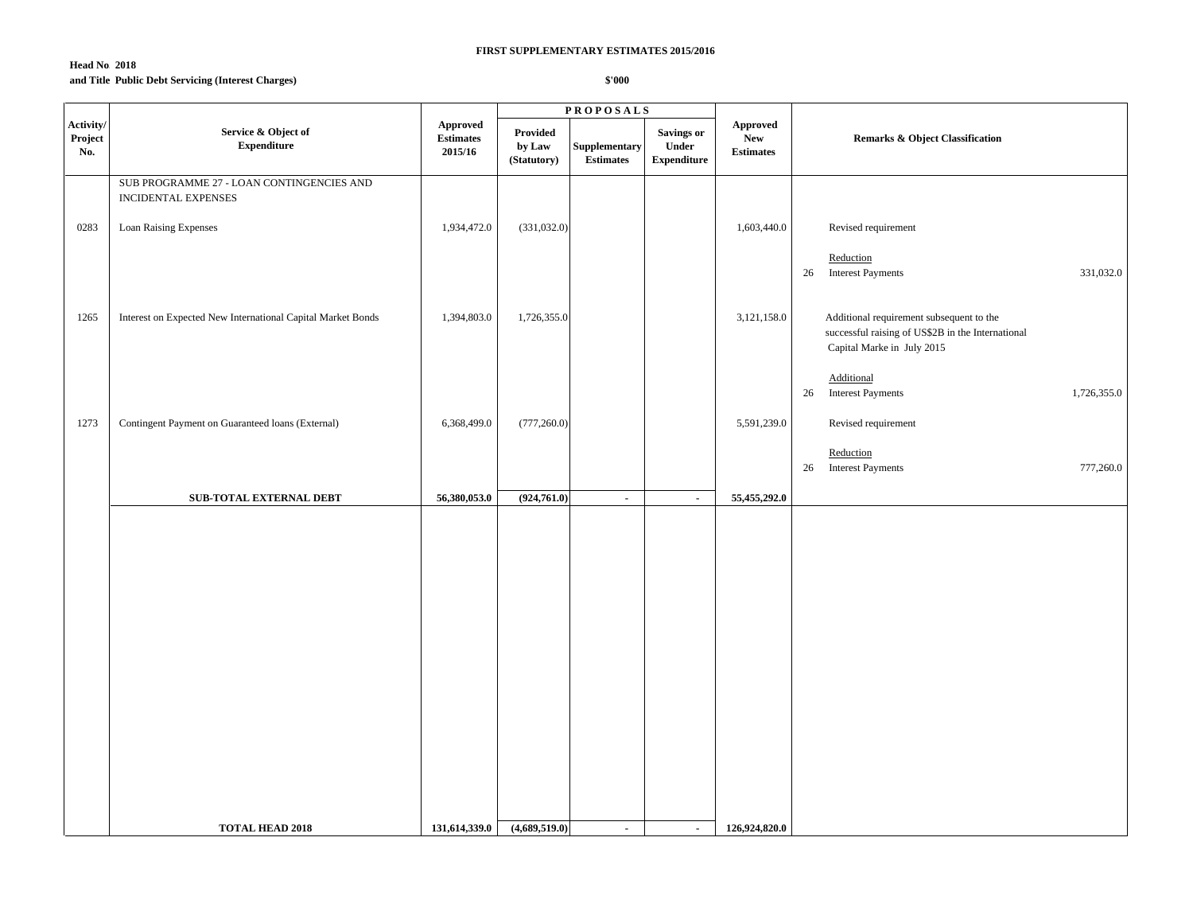## **Head No. 2018 and Title:Public Debt Servicing (Interest Charges)**

|                             |                                                                  |                                                |                                   | <b>PROPOSALS</b>                  |                                           |                                            |                                                                                                                             |
|-----------------------------|------------------------------------------------------------------|------------------------------------------------|-----------------------------------|-----------------------------------|-------------------------------------------|--------------------------------------------|-----------------------------------------------------------------------------------------------------------------------------|
| Activity/<br>Project<br>No. | Service & Object of<br><b>Expenditure</b>                        | <b>Approved</b><br><b>Estimates</b><br>2015/16 | Provided<br>by Law<br>(Statutory) | Supplementary<br><b>Estimates</b> | Savings or<br>Under<br><b>Expenditure</b> | Approved<br><b>New</b><br><b>Estimates</b> | <b>Remarks &amp; Object Classification</b>                                                                                  |
|                             | SUB PROGRAMME 27 - LOAN CONTINGENCIES AND<br>INCIDENTAL EXPENSES |                                                |                                   |                                   |                                           |                                            |                                                                                                                             |
| 0283                        | Loan Raising Expenses                                            | 1,934,472.0                                    | (331,032.0)                       |                                   |                                           | 1,603,440.0                                | Revised requirement                                                                                                         |
|                             |                                                                  |                                                |                                   |                                   |                                           |                                            | Reduction<br><b>Interest Payments</b><br>26<br>331,032.0                                                                    |
| 1265                        | Interest on Expected New International Capital Market Bonds      | 1,394,803.0                                    | 1,726,355.0                       |                                   |                                           | 3,121,158.0                                | Additional requirement subsequent to the<br>successful raising of US\$2B in the International<br>Capital Marke in July 2015 |
|                             |                                                                  |                                                |                                   |                                   |                                           |                                            | Additional<br>26<br><b>Interest Payments</b><br>1,726,355.0                                                                 |
| 1273                        | Contingent Payment on Guaranteed loans (External)                | 6,368,499.0                                    | (777, 260.0)                      |                                   |                                           | 5,591,239.0                                | Revised requirement                                                                                                         |
|                             |                                                                  |                                                |                                   |                                   |                                           |                                            | Reduction<br>26 Interest Payments<br>777,260.0                                                                              |
|                             | SUB-TOTAL EXTERNAL DEBT                                          | 56,380,053.0                                   | (924,761.0)                       | $\sim$                            | $\blacksquare$                            | 55,455,292.0                               |                                                                                                                             |
|                             |                                                                  |                                                |                                   |                                   |                                           |                                            |                                                                                                                             |
|                             | <b>TOTAL HEAD 2018</b>                                           | 131,614,339.0                                  | (4,689,519.0)                     | $\sim$                            | $\sim$                                    | 126,924,820.0                              |                                                                                                                             |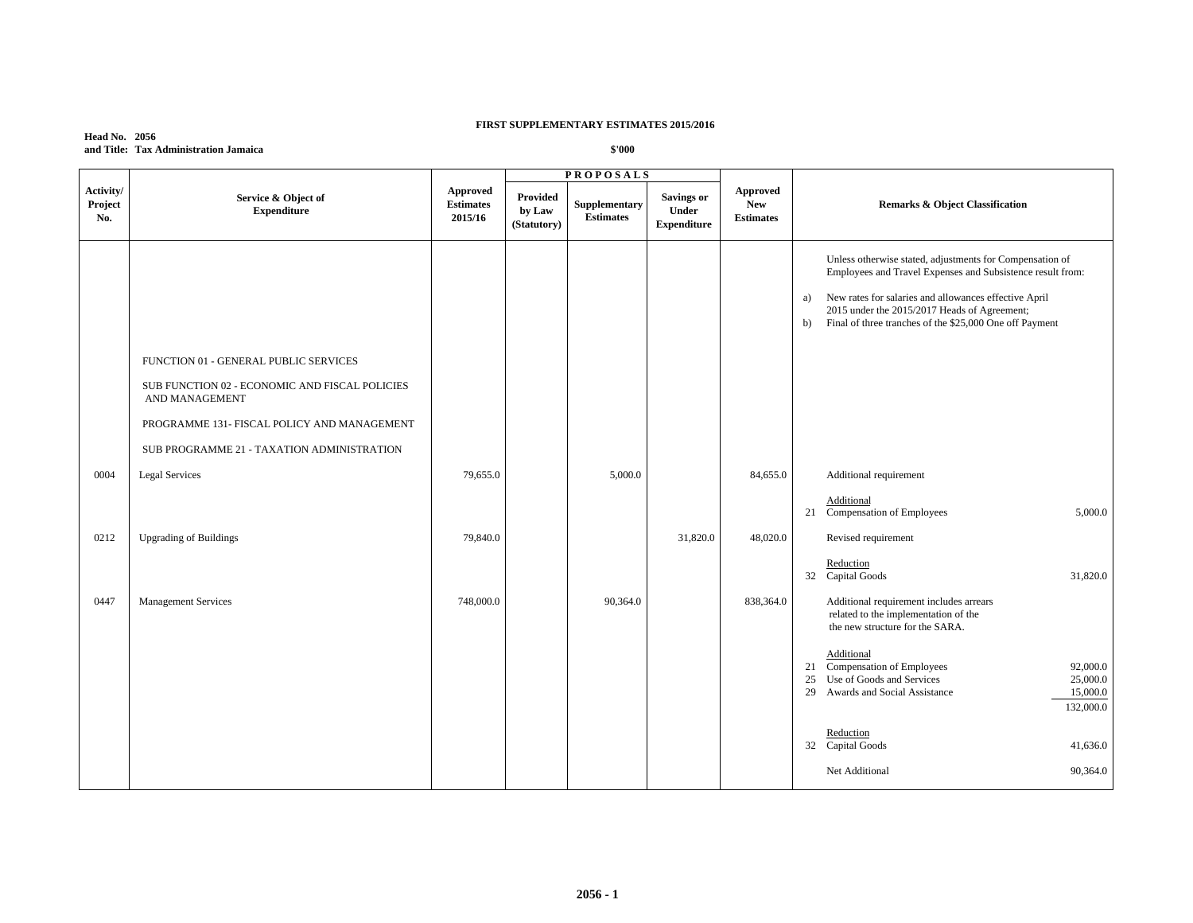| <b>Head No. 2056</b> |                                       |
|----------------------|---------------------------------------|
|                      | and Title: Tax Administration Jamaica |

|                             |                                                                                                                                                          |                                         |                                   | <b>PROPOSALS</b>                  |                                                  |                                                   |                                                                                                                                                                                                                                                                                                        |
|-----------------------------|----------------------------------------------------------------------------------------------------------------------------------------------------------|-----------------------------------------|-----------------------------------|-----------------------------------|--------------------------------------------------|---------------------------------------------------|--------------------------------------------------------------------------------------------------------------------------------------------------------------------------------------------------------------------------------------------------------------------------------------------------------|
| Activity/<br>Project<br>No. | Service & Object of<br><b>Expenditure</b>                                                                                                                | Approved<br><b>Estimates</b><br>2015/16 | Provided<br>by Law<br>(Statutory) | Supplementary<br><b>Estimates</b> | <b>Savings or</b><br>Under<br><b>Expenditure</b> | <b>Approved</b><br><b>New</b><br><b>Estimates</b> | <b>Remarks &amp; Object Classification</b>                                                                                                                                                                                                                                                             |
|                             | FUNCTION 01 - GENERAL PUBLIC SERVICES<br>SUB FUNCTION 02 - ECONOMIC AND FISCAL POLICIES<br>AND MANAGEMENT<br>PROGRAMME 131- FISCAL POLICY AND MANAGEMENT |                                         |                                   |                                   |                                                  |                                                   | Unless otherwise stated, adjustments for Compensation of<br>Employees and Travel Expenses and Subsistence result from:<br>New rates for salaries and allowances effective April<br>a)<br>2015 under the 2015/2017 Heads of Agreement;<br>Final of three tranches of the \$25,000 One off Payment<br>b) |
|                             | SUB PROGRAMME 21 - TAXATION ADMINISTRATION                                                                                                               |                                         |                                   |                                   |                                                  |                                                   |                                                                                                                                                                                                                                                                                                        |
| 0004                        | <b>Legal Services</b>                                                                                                                                    | 79,655.0                                |                                   | 5,000.0                           |                                                  | 84,655.0                                          | Additional requirement<br>Additional<br>Compensation of Employees<br>5,000.0<br>21                                                                                                                                                                                                                     |
| 0212                        | <b>Upgrading of Buildings</b>                                                                                                                            | 79,840.0                                |                                   |                                   | 31,820.0                                         | 48,020.0                                          | Revised requirement                                                                                                                                                                                                                                                                                    |
|                             |                                                                                                                                                          |                                         |                                   |                                   |                                                  |                                                   | Reduction<br>32 Capital Goods<br>31,820.0                                                                                                                                                                                                                                                              |
| 0447                        | <b>Management Services</b>                                                                                                                               | 748,000.0                               |                                   | 90,364.0                          |                                                  | 838,364.0                                         | Additional requirement includes arrears<br>related to the implementation of the<br>the new structure for the SARA.                                                                                                                                                                                     |
|                             |                                                                                                                                                          |                                         |                                   |                                   |                                                  |                                                   | Additional<br>21 Compensation of Employees<br>92,000.0<br>Use of Goods and Services<br>25,000.0<br>25<br>29 Awards and Social Assistance<br>15,000.0<br>132,000.0                                                                                                                                      |
|                             |                                                                                                                                                          |                                         |                                   |                                   |                                                  |                                                   | Reduction<br>32 Capital Goods<br>41,636.0                                                                                                                                                                                                                                                              |
|                             |                                                                                                                                                          |                                         |                                   |                                   |                                                  |                                                   | Net Additional<br>90,364.0                                                                                                                                                                                                                                                                             |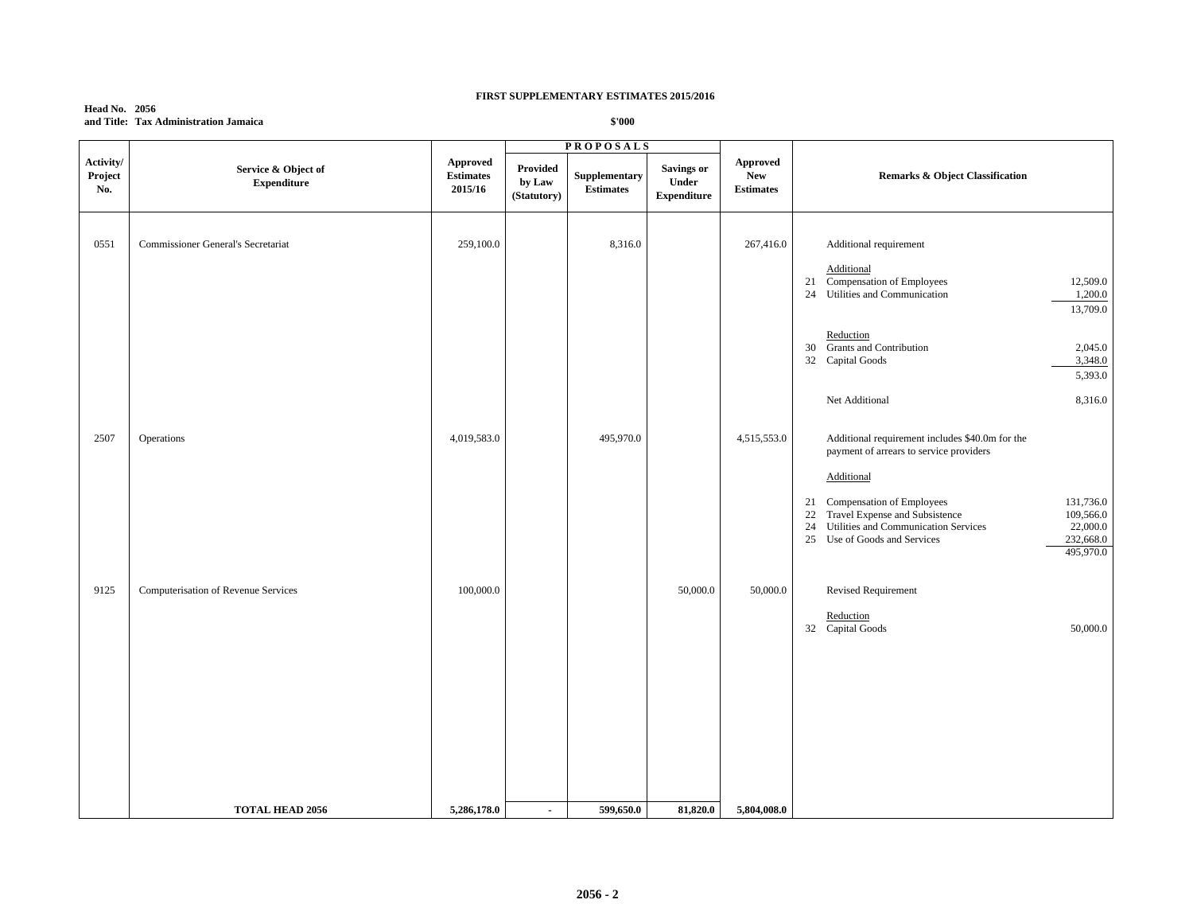### **Head No. 2056 and Title: Tax Administration Jamaica**

|                             |                                           |                                         |                                   | <b>PROPOSALS</b>                  |                                                  |                                                   |                                                                                                                                                                                                                                                                                                                                   |
|-----------------------------|-------------------------------------------|-----------------------------------------|-----------------------------------|-----------------------------------|--------------------------------------------------|---------------------------------------------------|-----------------------------------------------------------------------------------------------------------------------------------------------------------------------------------------------------------------------------------------------------------------------------------------------------------------------------------|
| Activity/<br>Project<br>No. | Service & Object of<br><b>Expenditure</b> | Approved<br><b>Estimates</b><br>2015/16 | Provided<br>by Law<br>(Statutory) | Supplementary<br><b>Estimates</b> | <b>Savings or</b><br>Under<br><b>Expenditure</b> | <b>Approved</b><br><b>New</b><br><b>Estimates</b> | <b>Remarks &amp; Object Classification</b>                                                                                                                                                                                                                                                                                        |
| 0551                        | <b>Commissioner General's Secretariat</b> | 259,100.0                               |                                   | 8,316.0                           |                                                  | 267,416.0                                         | Additional requirement<br>Additional<br>Compensation of Employees<br>21<br>12,509.0<br>24 Utilities and Communication<br>1,200.0<br>13,709.0                                                                                                                                                                                      |
|                             |                                           |                                         |                                   |                                   |                                                  |                                                   | Reduction<br><b>Grants and Contribution</b><br>2,045.0<br>30<br>32 Capital Goods<br>3,348.0<br>5,393.0                                                                                                                                                                                                                            |
|                             |                                           |                                         |                                   |                                   |                                                  |                                                   | Net Additional<br>8,316.0                                                                                                                                                                                                                                                                                                         |
| 2507                        | Operations                                | 4,019,583.0                             |                                   | 495,970.0                         |                                                  | 4,515,553.0                                       | Additional requirement includes \$40.0m for the<br>payment of arrears to service providers<br>Additional<br>Compensation of Employees<br>131,736.0<br>21<br>Travel Expense and Subsistence<br>109,566.0<br>22<br>22,000.0<br>24<br>Utilities and Communication Services<br>232,668.0<br>25 Use of Goods and Services<br>495,970.0 |
| 9125                        | Computerisation of Revenue Services       | 100,000.0                               |                                   |                                   | 50,000.0                                         | 50,000.0                                          | Revised Requirement                                                                                                                                                                                                                                                                                                               |
|                             |                                           |                                         |                                   |                                   |                                                  |                                                   | Reduction<br>32 Capital Goods<br>50,000.0                                                                                                                                                                                                                                                                                         |
|                             | <b>TOTAL HEAD 2056</b>                    | 5,286,178.0                             | $\blacksquare$                    | 599,650.0                         | 81,820.0                                         | 5,804,008.0                                       |                                                                                                                                                                                                                                                                                                                                   |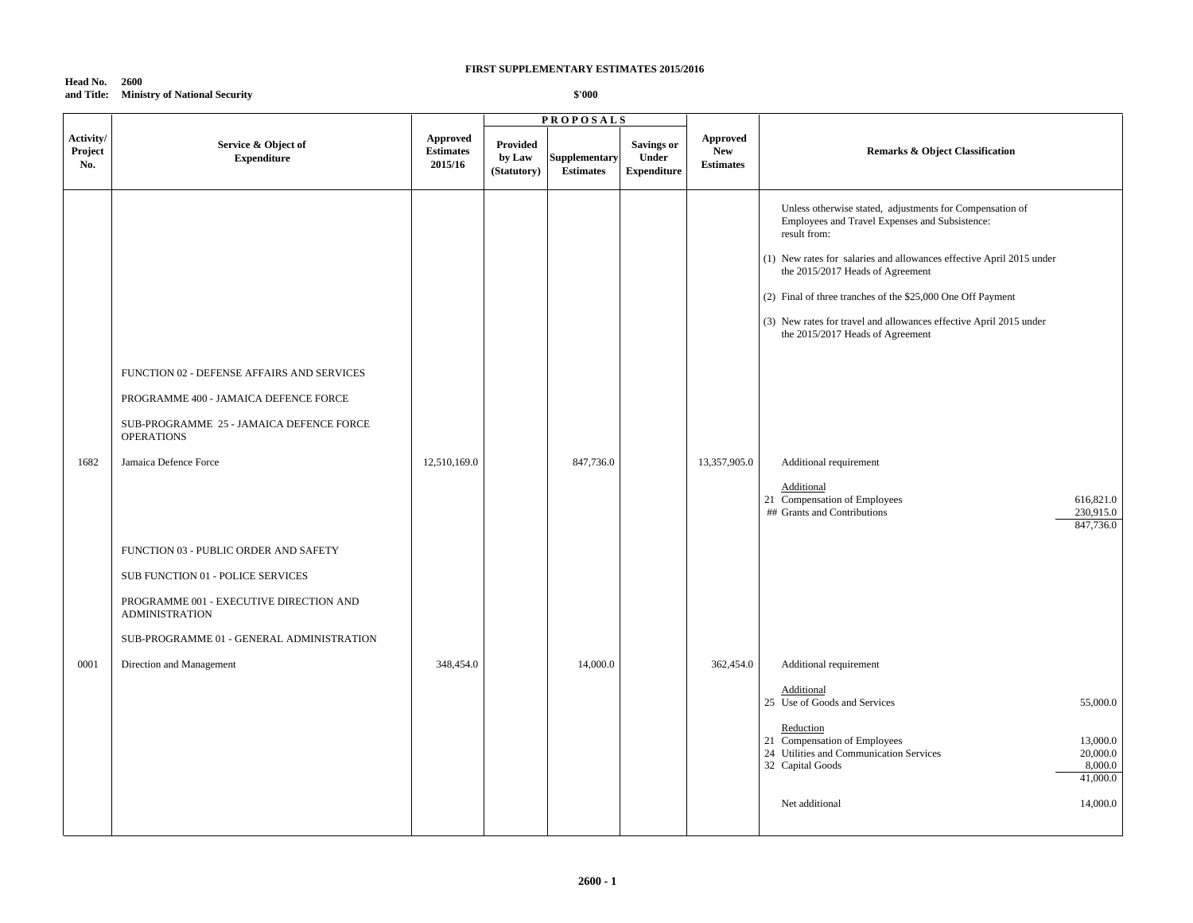#### **Head No. 2600 and Title: Ministry of National Security**

- 1

|                             |                                                                                                                                                                                                                      |                                         |                                          | <b>PROPOSALS</b>                  |                                                  |                                                   |                                                                                                                                                                                                                                                                                                                                                                                                                 |  |
|-----------------------------|----------------------------------------------------------------------------------------------------------------------------------------------------------------------------------------------------------------------|-----------------------------------------|------------------------------------------|-----------------------------------|--------------------------------------------------|---------------------------------------------------|-----------------------------------------------------------------------------------------------------------------------------------------------------------------------------------------------------------------------------------------------------------------------------------------------------------------------------------------------------------------------------------------------------------------|--|
| Activity/<br>Project<br>No. | Service & Object of<br><b>Expenditure</b>                                                                                                                                                                            | Approved<br><b>Estimates</b><br>2015/16 | <b>Provided</b><br>by Law<br>(Statutory) | Supplementary<br><b>Estimates</b> | <b>Savings or</b><br>Under<br><b>Expenditure</b> | <b>Approved</b><br><b>New</b><br><b>Estimates</b> | <b>Remarks &amp; Object Classification</b>                                                                                                                                                                                                                                                                                                                                                                      |  |
|                             | FUNCTION 02 - DEFENSE AFFAIRS AND SERVICES<br>PROGRAMME 400 - JAMAICA DEFENCE FORCE<br>SUB-PROGRAMME 25 - JAMAICA DEFENCE FORCE<br><b>OPERATIONS</b>                                                                 |                                         |                                          |                                   |                                                  |                                                   | Unless otherwise stated, adjustments for Compensation of<br>Employees and Travel Expenses and Subsistence:<br>result from:<br>(1) New rates for salaries and allowances effective April 2015 under<br>the 2015/2017 Heads of Agreement<br>(2) Final of three tranches of the \$25,000 One Off Payment<br>(3) New rates for travel and allowances effective April 2015 under<br>the 2015/2017 Heads of Agreement |  |
| 1682                        | Jamaica Defence Force<br>FUNCTION 03 - PUBLIC ORDER AND SAFETY<br>SUB FUNCTION 01 - POLICE SERVICES<br>PROGRAMME 001 - EXECUTIVE DIRECTION AND<br><b>ADMINISTRATION</b><br>SUB-PROGRAMME 01 - GENERAL ADMINISTRATION | 12,510,169.0                            |                                          | 847,736.0                         |                                                  | 13,357,905.0                                      | Additional requirement<br>Additional<br>21 Compensation of Employees<br>616,821.0<br>## Grants and Contributions<br>230,915.0<br>847,736.0                                                                                                                                                                                                                                                                      |  |
| 0001                        | Direction and Management                                                                                                                                                                                             | 348,454.0                               |                                          | 14,000.0                          |                                                  | 362,454.0                                         | Additional requirement<br>Additional<br>25 Use of Goods and Services<br>55,000.0<br>Reduction<br>21 Compensation of Employees<br>13,000.0<br>24 Utilities and Communication Services<br>20,000.0<br>32 Capital Goods<br>8,000.0<br>41,000.0<br>Net additional<br>14,000.0                                                                                                                                       |  |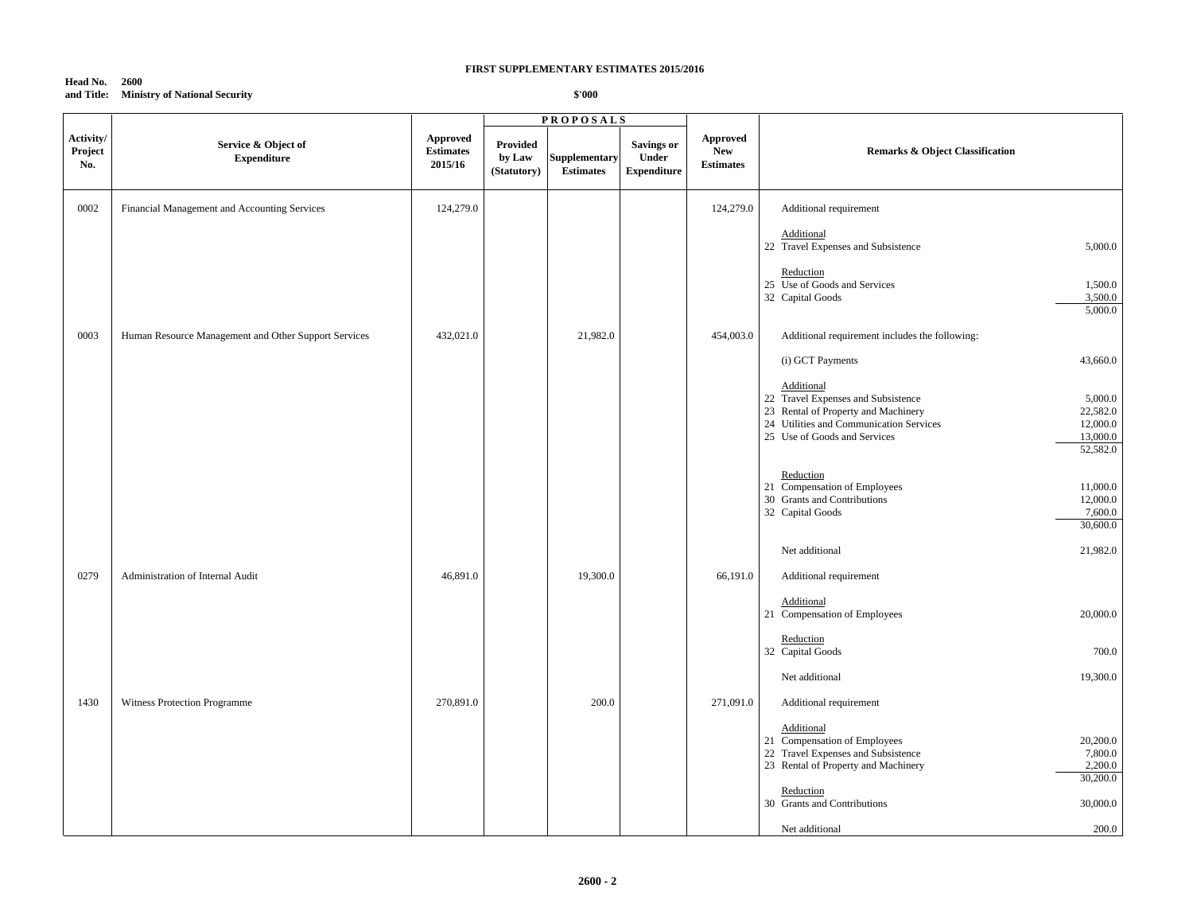#### **Head No. 2600 and Title: Ministry of National Security**

|                             |                                                      |                                         | <b>PROPOSALS</b>                  |                                   |                                                  |                                                   |                                                                                                                                                                                                                               |
|-----------------------------|------------------------------------------------------|-----------------------------------------|-----------------------------------|-----------------------------------|--------------------------------------------------|---------------------------------------------------|-------------------------------------------------------------------------------------------------------------------------------------------------------------------------------------------------------------------------------|
| Activity/<br>Project<br>No. | Service & Object of<br><b>Expenditure</b>            | Approved<br><b>Estimates</b><br>2015/16 | Provided<br>by Law<br>(Statutory) | Supplementary<br><b>Estimates</b> | <b>Savings or</b><br>Under<br><b>Expenditure</b> | <b>Approved</b><br><b>New</b><br><b>Estimates</b> | <b>Remarks &amp; Object Classification</b>                                                                                                                                                                                    |
| 0002                        | Financial Management and Accounting Services         | 124,279.0                               |                                   |                                   |                                                  | 124,279.0                                         | Additional requirement                                                                                                                                                                                                        |
|                             |                                                      |                                         |                                   |                                   |                                                  |                                                   | Additional<br>22 Travel Expenses and Subsistence<br>5,000.0                                                                                                                                                                   |
|                             |                                                      |                                         |                                   |                                   |                                                  |                                                   | Reduction<br>25 Use of Goods and Services<br>1,500.0<br>3,500.0<br>32 Capital Goods<br>5,000.0                                                                                                                                |
| 0003                        | Human Resource Management and Other Support Services | 432,021.0                               |                                   | 21,982.0                          |                                                  | 454,003.0                                         | Additional requirement includes the following:                                                                                                                                                                                |
|                             |                                                      |                                         |                                   |                                   |                                                  |                                                   | 43,660.0<br>(i) GCT Payments                                                                                                                                                                                                  |
|                             |                                                      |                                         |                                   |                                   |                                                  |                                                   | Additional<br>22 Travel Expenses and Subsistence<br>5,000.0<br>23 Rental of Property and Machinery<br>22,582.0<br>24 Utilities and Communication Services<br>12,000.0<br>25 Use of Goods and Services<br>13,000.0<br>52,582.0 |
|                             |                                                      |                                         |                                   |                                   |                                                  |                                                   | Reduction<br>21 Compensation of Employees<br>11,000.0<br>30 Grants and Contributions<br>12,000.0<br>32 Capital Goods<br>7,600.0<br>30,600.0                                                                                   |
|                             |                                                      |                                         |                                   |                                   |                                                  |                                                   | Net additional<br>21,982.0                                                                                                                                                                                                    |
| 0279                        | Administration of Internal Audit                     | 46,891.0                                |                                   | 19,300.0                          |                                                  | 66,191.0                                          | Additional requirement                                                                                                                                                                                                        |
|                             |                                                      |                                         |                                   |                                   |                                                  |                                                   | Additional<br>20,000.0<br>21 Compensation of Employees                                                                                                                                                                        |
|                             |                                                      |                                         |                                   |                                   |                                                  |                                                   | Reduction<br>32 Capital Goods<br>700.0                                                                                                                                                                                        |
|                             |                                                      |                                         |                                   |                                   |                                                  |                                                   | 19,300.0<br>Net additional                                                                                                                                                                                                    |
| 1430                        | Witness Protection Programme                         | 270,891.0                               |                                   | 200.0                             |                                                  | 271,091.0                                         | Additional requirement                                                                                                                                                                                                        |
|                             |                                                      |                                         |                                   |                                   |                                                  |                                                   | Additional<br>21 Compensation of Employees<br>20,200.0<br>22 Travel Expenses and Subsistence<br>7,800.0<br>23 Rental of Property and Machinery<br>2,200.0<br>30,200.0                                                         |
|                             |                                                      |                                         |                                   |                                   |                                                  |                                                   | Reduction<br>30 Grants and Contributions<br>30,000.0                                                                                                                                                                          |
|                             |                                                      |                                         |                                   |                                   |                                                  |                                                   | 200.0<br>Net additional                                                                                                                                                                                                       |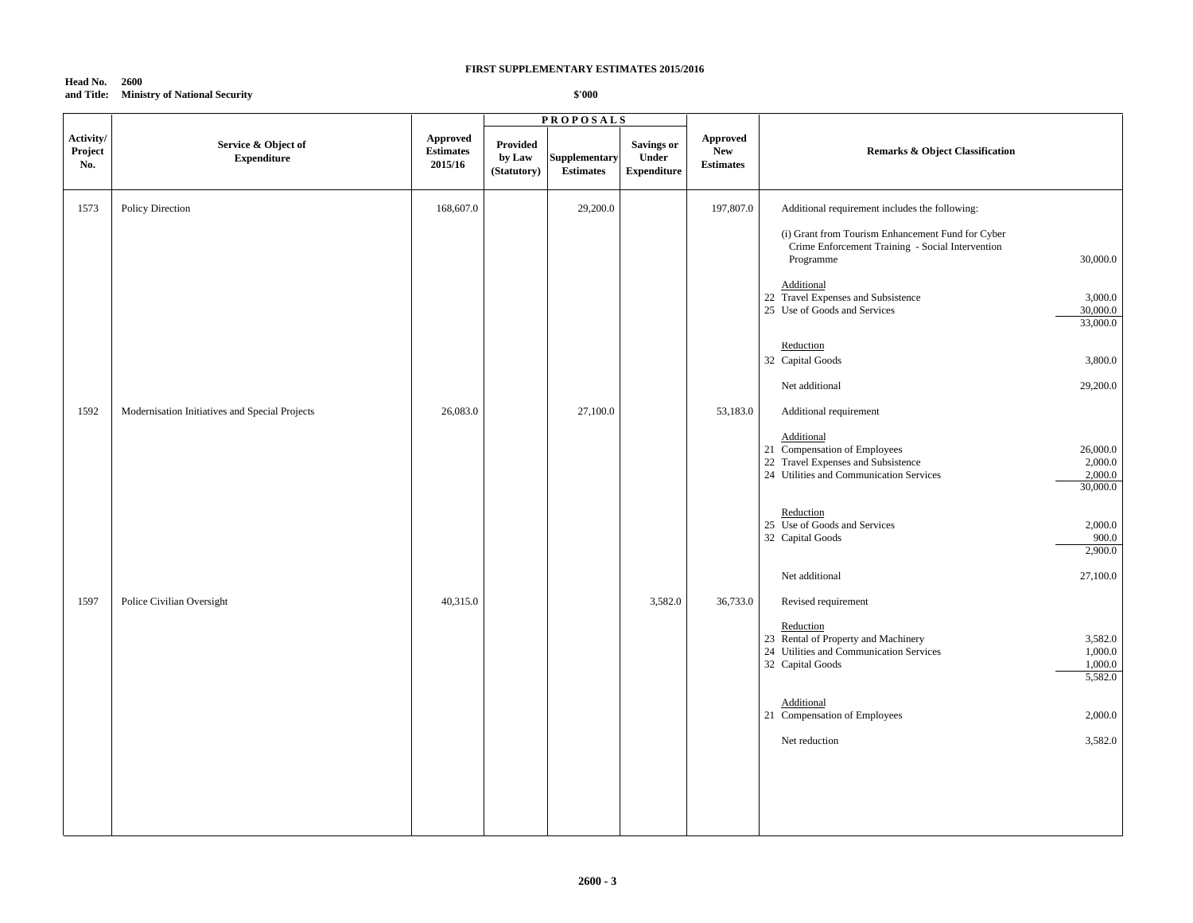#### **Head No. 2600 and Title: Ministry of National Security**

|                             |                                                |                                         |                                   | <b>PROPOSALS</b>                  |                                                  |                                                             |                                                                                                                                                                           |       |
|-----------------------------|------------------------------------------------|-----------------------------------------|-----------------------------------|-----------------------------------|--------------------------------------------------|-------------------------------------------------------------|---------------------------------------------------------------------------------------------------------------------------------------------------------------------------|-------|
| Activity/<br>Project<br>No. | Service & Object of<br><b>Expenditure</b>      | Approved<br><b>Estimates</b><br>2015/16 | Provided<br>by Law<br>(Statutory) | Supplementary<br><b>Estimates</b> | <b>Savings or</b><br>Under<br><b>Expenditure</b> | ${\Large {\bf Approach}}$<br><b>New</b><br><b>Estimates</b> | <b>Remarks &amp; Object Classification</b>                                                                                                                                |       |
| 1573                        | <b>Policy Direction</b>                        | 168,607.0                               |                                   | 29,200.0                          |                                                  | 197,807.0                                                   | Additional requirement includes the following:                                                                                                                            |       |
|                             |                                                |                                         |                                   |                                   |                                                  |                                                             | (i) Grant from Tourism Enhancement Fund for Cyber<br>Crime Enforcement Training - Social Intervention<br>30,000.0<br>Programme                                            |       |
|                             |                                                |                                         |                                   |                                   |                                                  |                                                             | Additional<br>22 Travel Expenses and Subsistence<br>3,000.0<br>25 Use of Goods and Services<br>30,000.0<br>33,000.0                                                       |       |
|                             |                                                |                                         |                                   |                                   |                                                  |                                                             | Reduction                                                                                                                                                                 |       |
|                             |                                                |                                         |                                   |                                   |                                                  |                                                             | 32 Capital Goods<br>3,800.0                                                                                                                                               |       |
|                             |                                                |                                         |                                   |                                   |                                                  |                                                             | 29,200.0<br>Net additional                                                                                                                                                |       |
| 1592                        | Modernisation Initiatives and Special Projects | 26,083.0                                |                                   | 27,100.0                          |                                                  | 53,183.0                                                    | Additional requirement                                                                                                                                                    |       |
|                             |                                                |                                         |                                   |                                   |                                                  |                                                             | Additional<br>21 Compensation of Employees<br>26,000.0<br>22 Travel Expenses and Subsistence<br>2,000.0<br>24 Utilities and Communication Services<br>2,000.0<br>30,000.0 |       |
|                             |                                                |                                         |                                   |                                   |                                                  |                                                             | Reduction<br>25 Use of Goods and Services<br>2,000.0<br>32 Capital Goods<br>2,900.0                                                                                       | 900.0 |
|                             |                                                |                                         |                                   |                                   |                                                  |                                                             | Net additional<br>27,100.0                                                                                                                                                |       |
| 1597                        | Police Civilian Oversight                      | 40,315.0                                |                                   |                                   | 3,582.0                                          | 36,733.0                                                    | Revised requirement                                                                                                                                                       |       |
|                             |                                                |                                         |                                   |                                   |                                                  |                                                             | Reduction<br>23 Rental of Property and Machinery<br>3,582.0<br>24 Utilities and Communication Services<br>1,000.0<br>32 Capital Goods<br>1,000.0<br>5,582.0               |       |
|                             |                                                |                                         |                                   |                                   |                                                  |                                                             | Additional<br>21 Compensation of Employees<br>2,000.0                                                                                                                     |       |
|                             |                                                |                                         |                                   |                                   |                                                  |                                                             | 3,582.0<br>Net reduction                                                                                                                                                  |       |
|                             |                                                |                                         |                                   |                                   |                                                  |                                                             |                                                                                                                                                                           |       |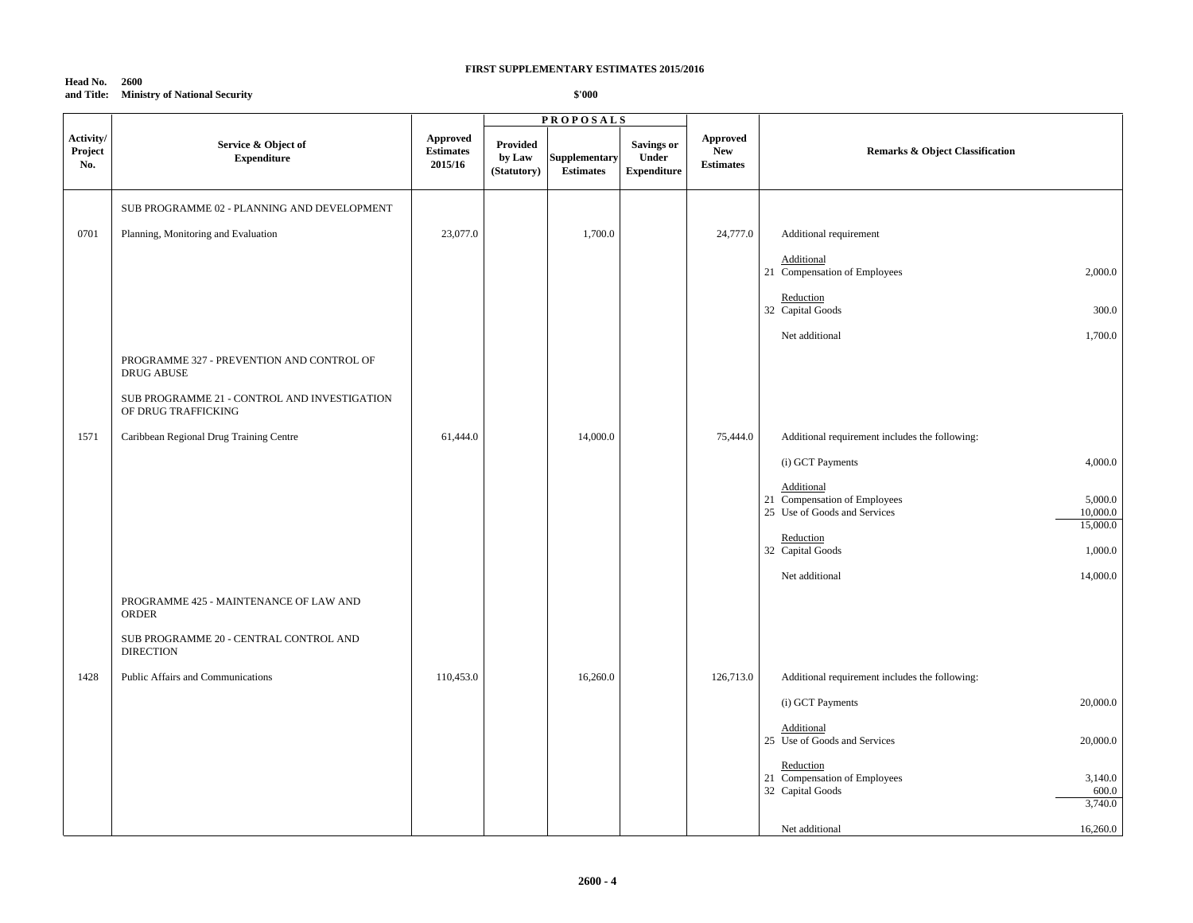#### **Head No. 2600 and Title: Ministry of National Security**

|                             |                                                                     |                                                |                                   | <b>PROPOSALS</b>                         |                                                  |                                                   |                                                                                                   |
|-----------------------------|---------------------------------------------------------------------|------------------------------------------------|-----------------------------------|------------------------------------------|--------------------------------------------------|---------------------------------------------------|---------------------------------------------------------------------------------------------------|
| Activity/<br>Project<br>No. | Service & Object of<br><b>Expenditure</b>                           | <b>Approved</b><br><b>Estimates</b><br>2015/16 | Provided<br>by Law<br>(Statutory) | <b>Supplementary</b><br><b>Estimates</b> | <b>Savings or</b><br>Under<br><b>Expenditure</b> | <b>Approved</b><br><b>New</b><br><b>Estimates</b> | <b>Remarks &amp; Object Classification</b>                                                        |
|                             | SUB PROGRAMME 02 - PLANNING AND DEVELOPMENT                         |                                                |                                   |                                          |                                                  |                                                   |                                                                                                   |
| 0701                        | Planning, Monitoring and Evaluation                                 | 23,077.0                                       |                                   | 1,700.0                                  |                                                  | 24,777.0                                          | Additional requirement                                                                            |
|                             |                                                                     |                                                |                                   |                                          |                                                  |                                                   | Additional<br>21 Compensation of Employees<br>2,000.0                                             |
|                             |                                                                     |                                                |                                   |                                          |                                                  |                                                   | Reduction<br>32 Capital Goods<br>300.0                                                            |
|                             |                                                                     |                                                |                                   |                                          |                                                  |                                                   | Net additional<br>1,700.0                                                                         |
|                             | PROGRAMME 327 - PREVENTION AND CONTROL OF<br><b>DRUG ABUSE</b>      |                                                |                                   |                                          |                                                  |                                                   |                                                                                                   |
|                             | SUB PROGRAMME 21 - CONTROL AND INVESTIGATION<br>OF DRUG TRAFFICKING |                                                |                                   |                                          |                                                  |                                                   |                                                                                                   |
| 1571                        | Caribbean Regional Drug Training Centre                             | 61,444.0                                       |                                   | 14,000.0                                 |                                                  | 75,444.0                                          | Additional requirement includes the following:                                                    |
|                             |                                                                     |                                                |                                   |                                          |                                                  |                                                   | 4,000.0<br>(i) GCT Payments                                                                       |
|                             |                                                                     |                                                |                                   |                                          |                                                  |                                                   | Additional<br>21 Compensation of Employees<br>5,000.0<br>25 Use of Goods and Services<br>10,000.0 |
|                             |                                                                     |                                                |                                   |                                          |                                                  |                                                   | 15,000.0<br>Reduction<br>32 Capital Goods<br>1,000.0                                              |
|                             |                                                                     |                                                |                                   |                                          |                                                  |                                                   | 14,000.0<br>Net additional                                                                        |
|                             | PROGRAMME 425 - MAINTENANCE OF LAW AND<br>ORDER                     |                                                |                                   |                                          |                                                  |                                                   |                                                                                                   |
|                             | SUB PROGRAMME 20 - CENTRAL CONTROL AND<br><b>DIRECTION</b>          |                                                |                                   |                                          |                                                  |                                                   |                                                                                                   |
| 1428                        | Public Affairs and Communications                                   | 110,453.0                                      |                                   | 16,260.0                                 |                                                  | 126,713.0                                         | Additional requirement includes the following:                                                    |
|                             |                                                                     |                                                |                                   |                                          |                                                  |                                                   | 20,000.0<br>(i) GCT Payments                                                                      |
|                             |                                                                     |                                                |                                   |                                          |                                                  |                                                   | Additional<br>25 Use of Goods and Services<br>20,000.0                                            |
|                             |                                                                     |                                                |                                   |                                          |                                                  |                                                   | Reduction<br>21 Compensation of Employees<br>3,140.0<br>32 Capital Goods<br>600.0                 |
|                             |                                                                     |                                                |                                   |                                          |                                                  |                                                   | 3,740.0                                                                                           |
|                             |                                                                     |                                                |                                   |                                          |                                                  |                                                   | 16,260.0<br>Net additional                                                                        |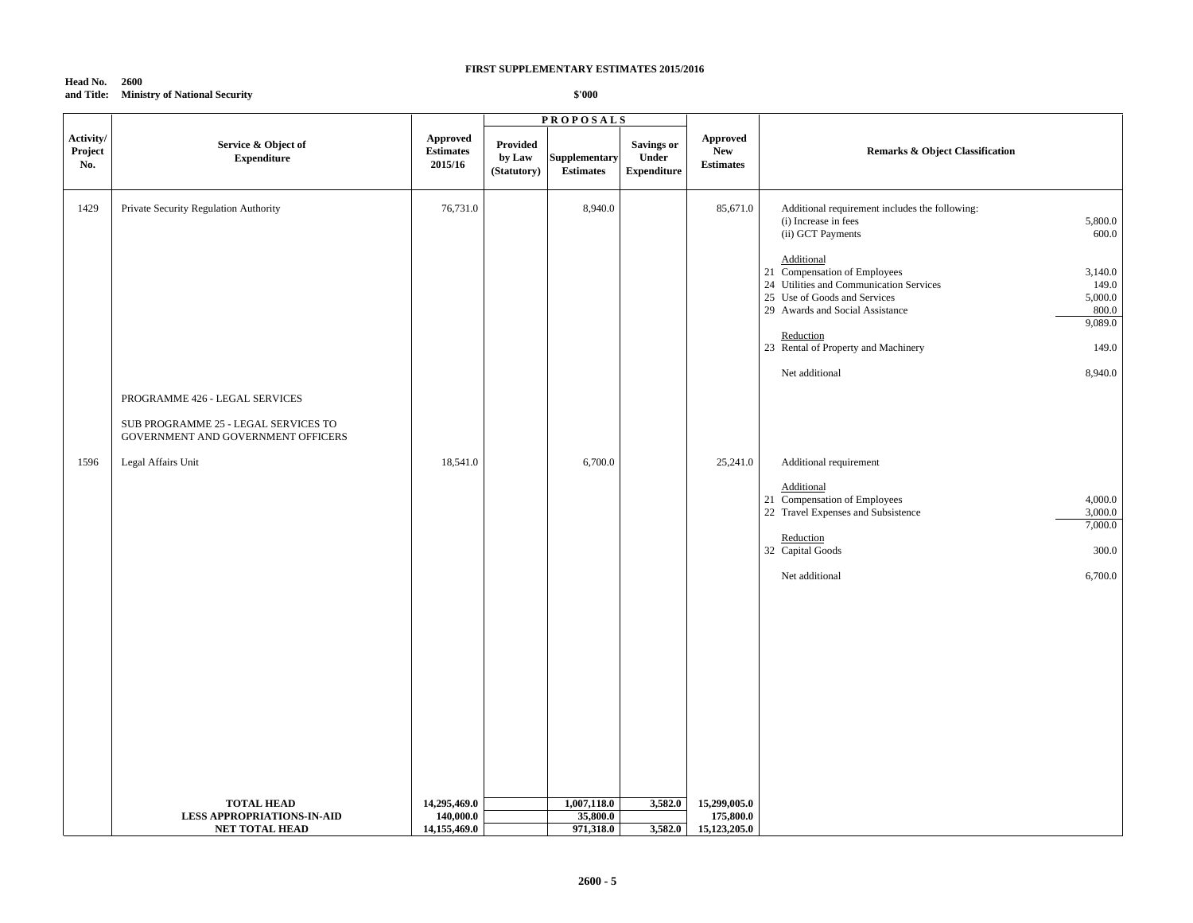#### **Head No. 2600 and Title: Ministry of National Security**

|                             |                                                                            |                                                |                                   | <b>PROPOSALS</b>                  |                                                  |                                                   |                                                                                                                                                                                                                          |
|-----------------------------|----------------------------------------------------------------------------|------------------------------------------------|-----------------------------------|-----------------------------------|--------------------------------------------------|---------------------------------------------------|--------------------------------------------------------------------------------------------------------------------------------------------------------------------------------------------------------------------------|
| Activity/<br>Project<br>No. | Service & Object of<br><b>Expenditure</b>                                  | <b>Approved</b><br><b>Estimates</b><br>2015/16 | Provided<br>by Law<br>(Statutory) | Supplementary<br><b>Estimates</b> | <b>Savings or</b><br>Under<br><b>Expenditure</b> | <b>Approved</b><br><b>New</b><br><b>Estimates</b> | <b>Remarks &amp; Object Classification</b>                                                                                                                                                                               |
| 1429                        | Private Security Regulation Authority                                      | 76,731.0                                       |                                   | 8,940.0                           |                                                  | 85,671.0                                          | Additional requirement includes the following:<br>5,800.0<br>(i) Increase in fees<br>600.0<br>(ii) GCT Payments                                                                                                          |
|                             |                                                                            |                                                |                                   |                                   |                                                  |                                                   | Additional<br>21 Compensation of Employees<br>3,140.0<br>24 Utilities and Communication Services<br>149.0<br>25 Use of Goods and Services<br>5,000.0<br>29 Awards and Social Assistance<br>800.0<br>9,089.0<br>Reduction |
|                             |                                                                            |                                                |                                   |                                   |                                                  |                                                   | 23 Rental of Property and Machinery<br>149.0<br>8,940.0<br>Net additional                                                                                                                                                |
|                             | PROGRAMME 426 - LEGAL SERVICES                                             |                                                |                                   |                                   |                                                  |                                                   |                                                                                                                                                                                                                          |
|                             | SUB PROGRAMME 25 - LEGAL SERVICES TO<br>GOVERNMENT AND GOVERNMENT OFFICERS |                                                |                                   |                                   |                                                  |                                                   |                                                                                                                                                                                                                          |
| 1596                        | Legal Affairs Unit                                                         | 18,541.0                                       |                                   | 6,700.0                           |                                                  | 25,241.0                                          | Additional requirement<br>Additional<br>21 Compensation of Employees<br>4,000.0<br>22 Travel Expenses and Subsistence<br>3,000.0                                                                                         |
|                             |                                                                            |                                                |                                   |                                   |                                                  |                                                   | 7,000.0<br>Reduction<br>32 Capital Goods<br>300.0                                                                                                                                                                        |
|                             |                                                                            |                                                |                                   |                                   |                                                  |                                                   | Net additional<br>6,700.0                                                                                                                                                                                                |
|                             |                                                                            |                                                |                                   |                                   |                                                  |                                                   |                                                                                                                                                                                                                          |
|                             |                                                                            |                                                |                                   |                                   |                                                  |                                                   |                                                                                                                                                                                                                          |
|                             |                                                                            |                                                |                                   |                                   |                                                  |                                                   |                                                                                                                                                                                                                          |
|                             |                                                                            |                                                |                                   |                                   |                                                  |                                                   |                                                                                                                                                                                                                          |
|                             |                                                                            |                                                |                                   |                                   |                                                  |                                                   |                                                                                                                                                                                                                          |
|                             | <b>TOTAL HEAD</b>                                                          | 14,295,469.0                                   |                                   | 1,007,118.0                       | 3,582.0                                          | 15,299,005.0                                      |                                                                                                                                                                                                                          |
|                             | <b>LESS APPROPRIATIONS-IN-AID</b><br><b>NET TOTAL HEAD</b>                 | 140,000.0<br>14,155,469.0                      |                                   | 35,800.0<br>971,318.0             |                                                  | 175,800.0<br>3,582.0 15,123,205.0                 |                                                                                                                                                                                                                          |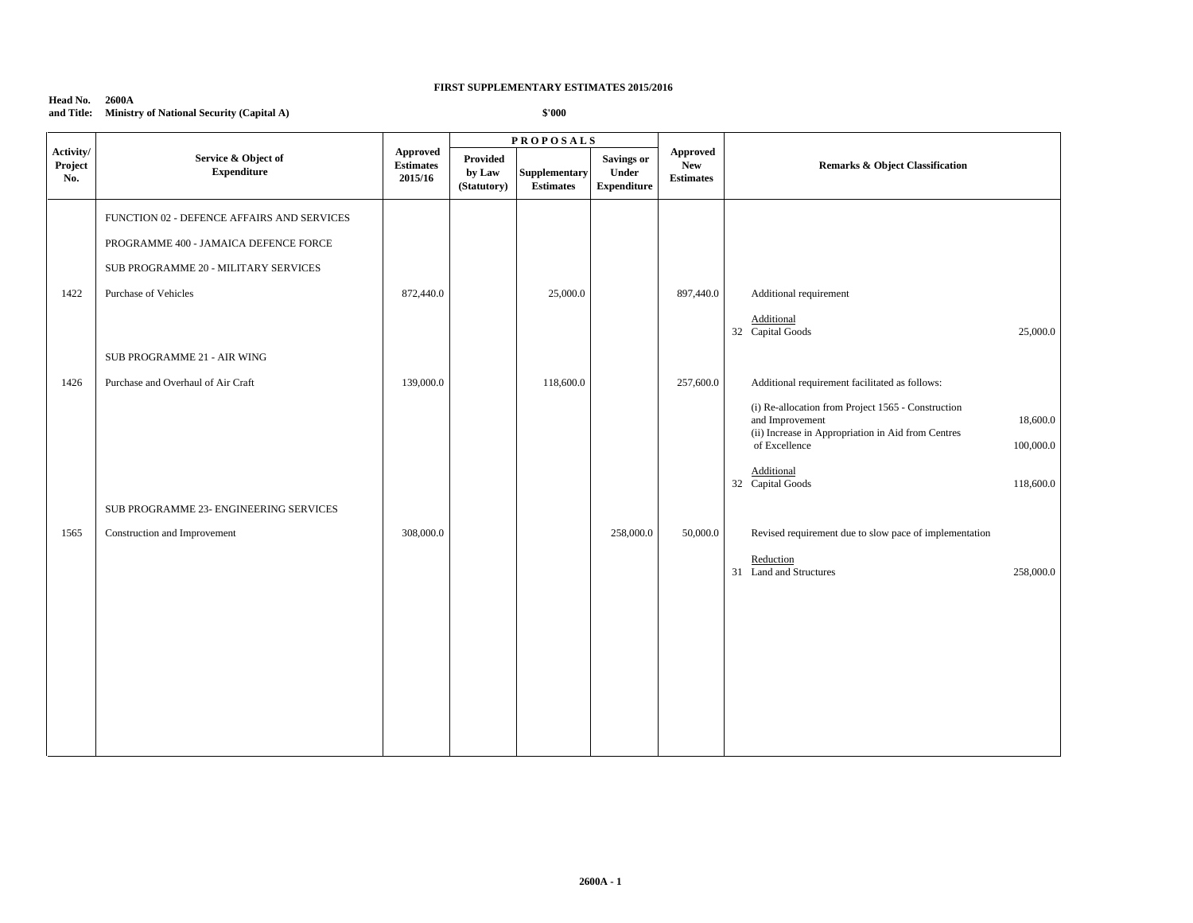**Head No. 2600A and Title: Ministry of National Security (Capital A)**

|                             |                                                                                                                             |                                         |                                   | <b>PROPOSALS</b>                  |                                                  |                                            |                                                                                                                                                                                                                      |  |
|-----------------------------|-----------------------------------------------------------------------------------------------------------------------------|-----------------------------------------|-----------------------------------|-----------------------------------|--------------------------------------------------|--------------------------------------------|----------------------------------------------------------------------------------------------------------------------------------------------------------------------------------------------------------------------|--|
| Activity/<br>Project<br>No. | Service & Object of<br><b>Expenditure</b>                                                                                   | Approved<br><b>Estimates</b><br>2015/16 | Provided<br>by Law<br>(Statutory) | Supplementary<br><b>Estimates</b> | <b>Savings or</b><br>Under<br><b>Expenditure</b> | Approved<br><b>New</b><br><b>Estimates</b> | <b>Remarks &amp; Object Classification</b>                                                                                                                                                                           |  |
|                             | FUNCTION 02 - DEFENCE AFFAIRS AND SERVICES<br>PROGRAMME 400 - JAMAICA DEFENCE FORCE<br>SUB PROGRAMME 20 - MILITARY SERVICES |                                         |                                   |                                   |                                                  |                                            |                                                                                                                                                                                                                      |  |
| 1422                        | Purchase of Vehicles                                                                                                        | 872,440.0                               |                                   | 25,000.0                          |                                                  | 897,440.0                                  | Additional requirement<br>Additional<br>32 Capital Goods<br>25,000.0                                                                                                                                                 |  |
| 1426                        | SUB PROGRAMME 21 - AIR WING<br>Purchase and Overhaul of Air Craft                                                           | 139,000.0                               |                                   | 118,600.0                         |                                                  | 257,600.0                                  | Additional requirement facilitated as follows:                                                                                                                                                                       |  |
|                             |                                                                                                                             |                                         |                                   |                                   |                                                  |                                            | (i) Re-allocation from Project 1565 - Construction<br>and Improvement<br>18,600.0<br>(ii) Increase in Appropriation in Aid from Centres<br>of Excellence<br>100,000.0<br>Additional<br>32 Capital Goods<br>118,600.0 |  |
|                             | SUB PROGRAMME 23- ENGINEERING SERVICES                                                                                      |                                         |                                   |                                   |                                                  |                                            |                                                                                                                                                                                                                      |  |
| 1565                        | Construction and Improvement                                                                                                | 308,000.0                               |                                   |                                   | 258,000.0                                        | 50,000.0                                   | Revised requirement due to slow pace of implementation<br>Reduction<br>31 Land and Structures<br>258,000.0                                                                                                           |  |
|                             |                                                                                                                             |                                         |                                   |                                   |                                                  |                                            |                                                                                                                                                                                                                      |  |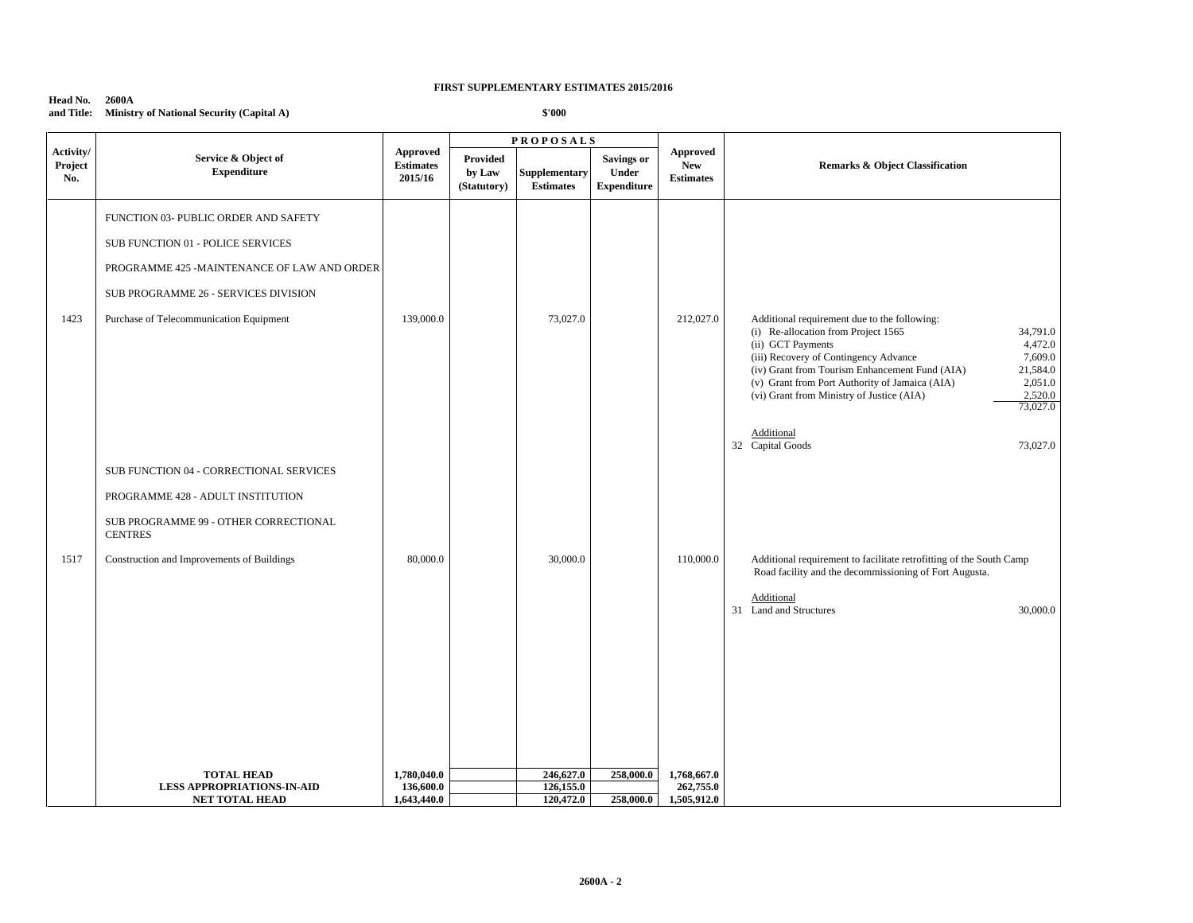**Head No. 2600A and Title: Ministry of National Security (Capital A)**

|                             |                                                                                                                                                                                                             |                                         | <b>PROPOSALS</b>                         |                                   |                                                         |                                                   |                                                                                                                                                                                                                                                                                                                                                                                    |
|-----------------------------|-------------------------------------------------------------------------------------------------------------------------------------------------------------------------------------------------------------|-----------------------------------------|------------------------------------------|-----------------------------------|---------------------------------------------------------|---------------------------------------------------|------------------------------------------------------------------------------------------------------------------------------------------------------------------------------------------------------------------------------------------------------------------------------------------------------------------------------------------------------------------------------------|
| Activity/<br>Project<br>No. | Service & Object of<br><b>Expenditure</b>                                                                                                                                                                   | Approved<br><b>Estimates</b><br>2015/16 | <b>Provided</b><br>by Law<br>(Statutory) | Supplementary<br><b>Estimates</b> | <b>Savings or</b><br><b>Under</b><br><b>Expenditure</b> | <b>Approved</b><br><b>New</b><br><b>Estimates</b> | <b>Remarks &amp; Object Classification</b>                                                                                                                                                                                                                                                                                                                                         |
| 1423                        | FUNCTION 03- PUBLIC ORDER AND SAFETY<br>SUB FUNCTION 01 - POLICE SERVICES<br>PROGRAMME 425 -MAINTENANCE OF LAW AND ORDER<br>SUB PROGRAMME 26 - SERVICES DIVISION<br>Purchase of Telecommunication Equipment | 139,000.0                               |                                          | 73,027.0                          |                                                         | 212,027.0                                         | Additional requirement due to the following:<br>(i) Re-allocation from Project 1565<br>34,791.0<br>(ii) GCT Payments<br>4,472.0<br>(iii) Recovery of Contingency Advance<br>7,609.0<br>(iv) Grant from Tourism Enhancement Fund (AIA)<br>21,584.0<br>(v) Grant from Port Authority of Jamaica (AIA)<br>2,051.0<br>(vi) Grant from Ministry of Justice (AIA)<br>2,520.0<br>73,027.0 |
|                             | SUB FUNCTION 04 - CORRECTIONAL SERVICES<br>PROGRAMME 428 - ADULT INSTITUTION<br>SUB PROGRAMME 99 - OTHER CORRECTIONAL<br><b>CENTRES</b>                                                                     |                                         |                                          |                                   |                                                         |                                                   | Additional<br>32 Capital Goods<br>73,027.0                                                                                                                                                                                                                                                                                                                                         |
| 1517                        | Construction and Improvements of Buildings                                                                                                                                                                  | 80,000.0                                |                                          | 30,000.0                          |                                                         | 110,000.0                                         | Additional requirement to facilitate retrofitting of the South Camp<br>Road facility and the decommissioning of Fort Augusta.<br>Additional<br>31 Land and Structures<br>30,000.0                                                                                                                                                                                                  |
|                             | <b>TOTAL HEAD</b><br><b>LESS APPROPRIATIONS-IN-AID</b>                                                                                                                                                      | 1,780,040.0<br>136,600.0                |                                          | 246,627.0<br>126,155.0            | 258,000.0                                               | 1,768,667.0<br>262,755.0                          |                                                                                                                                                                                                                                                                                                                                                                                    |
|                             | NET TOTAL HEAD                                                                                                                                                                                              | 1,643,440.0                             |                                          | 120,472.0                         | 258,000.0                                               | 1,505,912.0                                       |                                                                                                                                                                                                                                                                                                                                                                                    |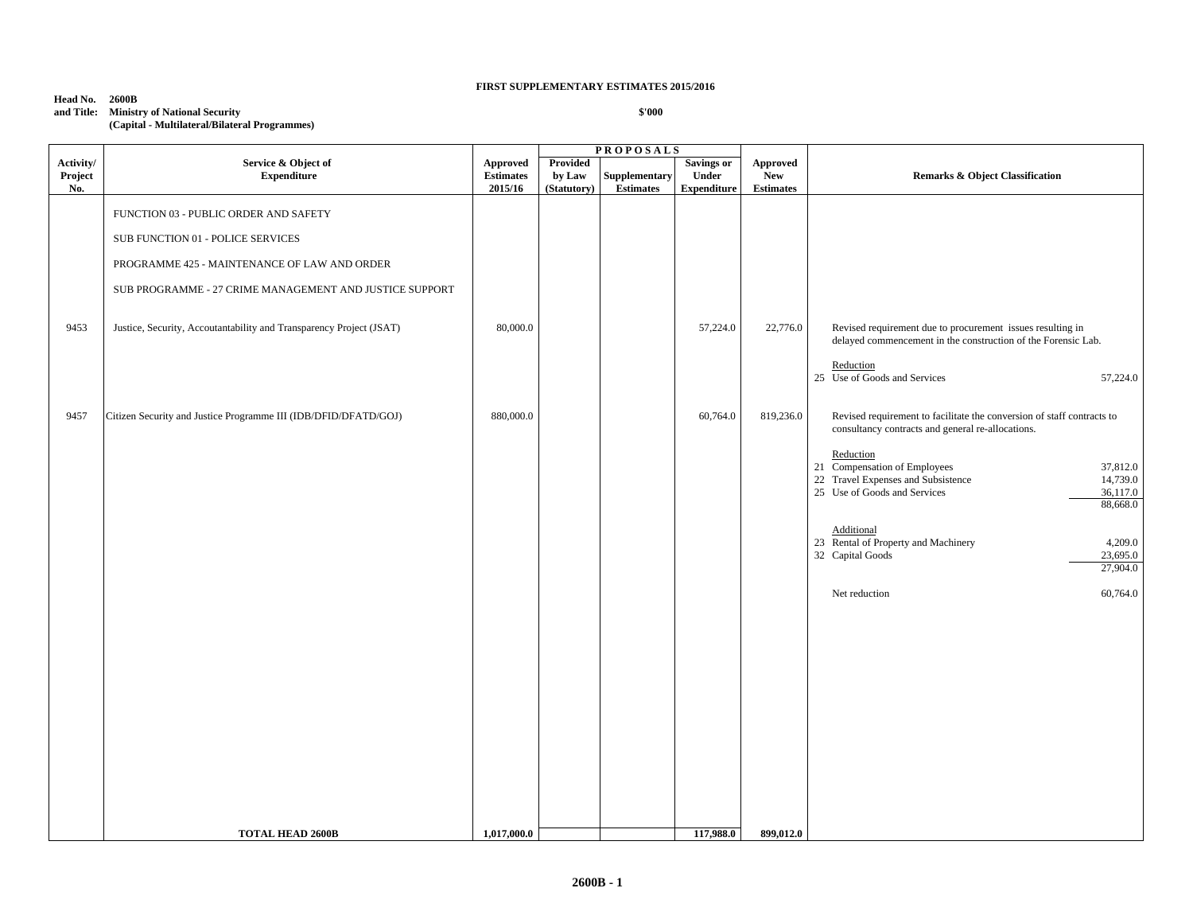| Head No.   | 2600B                                         |
|------------|-----------------------------------------------|
| and Title: | <b>Ministry of National Security</b>          |
|            | (Capital - Multilateral/Bilateral Programmes) |

|                             |                                                                     |                                         |                                   | <b>PROPOSALS</b>                         |                                                         |                                     |                                                                                                                                                                                      |
|-----------------------------|---------------------------------------------------------------------|-----------------------------------------|-----------------------------------|------------------------------------------|---------------------------------------------------------|-------------------------------------|--------------------------------------------------------------------------------------------------------------------------------------------------------------------------------------|
| Activity/<br>Project<br>No. | Service & Object of<br><b>Expenditure</b>                           | Approved<br><b>Estimates</b><br>2015/16 | Provided<br>by Law<br>(Statutory) | <b>Supplementary</b><br><b>Estimates</b> | <b>Savings or</b><br><b>Under</b><br><b>Expenditure</b> | Approved<br>New<br><b>Estimates</b> | <b>Remarks &amp; Object Classification</b>                                                                                                                                           |
|                             | FUNCTION 03 - PUBLIC ORDER AND SAFETY                               |                                         |                                   |                                          |                                                         |                                     |                                                                                                                                                                                      |
|                             | SUB FUNCTION 01 - POLICE SERVICES                                   |                                         |                                   |                                          |                                                         |                                     |                                                                                                                                                                                      |
|                             | PROGRAMME 425 - MAINTENANCE OF LAW AND ORDER                        |                                         |                                   |                                          |                                                         |                                     |                                                                                                                                                                                      |
|                             | SUB PROGRAMME - 27 CRIME MANAGEMENT AND JUSTICE SUPPORT             |                                         |                                   |                                          |                                                         |                                     |                                                                                                                                                                                      |
| 9453                        | Justice, Security, Accoutantability and Transparency Project (JSAT) | 80,000.0                                |                                   |                                          | 57,224.0                                                | 22,776.0                            | Revised requirement due to procurement issues resulting in<br>delayed commencement in the construction of the Forensic Lab.<br>Reduction<br>25 Use of Goods and Services<br>57,224.0 |
| 9457                        | Citizen Security and Justice Programme III (IDB/DFID/DFATD/GOJ)     | 880,000.0                               |                                   |                                          | 60,764.0                                                | 819,236.0                           | Revised requirement to facilitate the conversion of staff contracts to<br>consultancy contracts and general re-allocations.                                                          |
|                             |                                                                     |                                         |                                   |                                          |                                                         |                                     | Reduction<br>21 Compensation of Employees<br>37,812.0<br>22 Travel Expenses and Subsistence<br>14,739.0<br>25 Use of Goods and Services<br>36,117.0<br>88,668.0                      |
|                             |                                                                     |                                         |                                   |                                          |                                                         |                                     | Additional<br>23 Rental of Property and Machinery<br>4,209.0<br>32 Capital Goods<br>23,695.0<br>27,904.0                                                                             |
|                             |                                                                     |                                         |                                   |                                          |                                                         |                                     | Net reduction<br>60,764.0                                                                                                                                                            |
|                             |                                                                     |                                         |                                   |                                          |                                                         |                                     |                                                                                                                                                                                      |
|                             | <b>TOTAL HEAD 2600B</b>                                             | 1,017,000.0                             |                                   |                                          | 117,988.0                                               | 899,012.0                           |                                                                                                                                                                                      |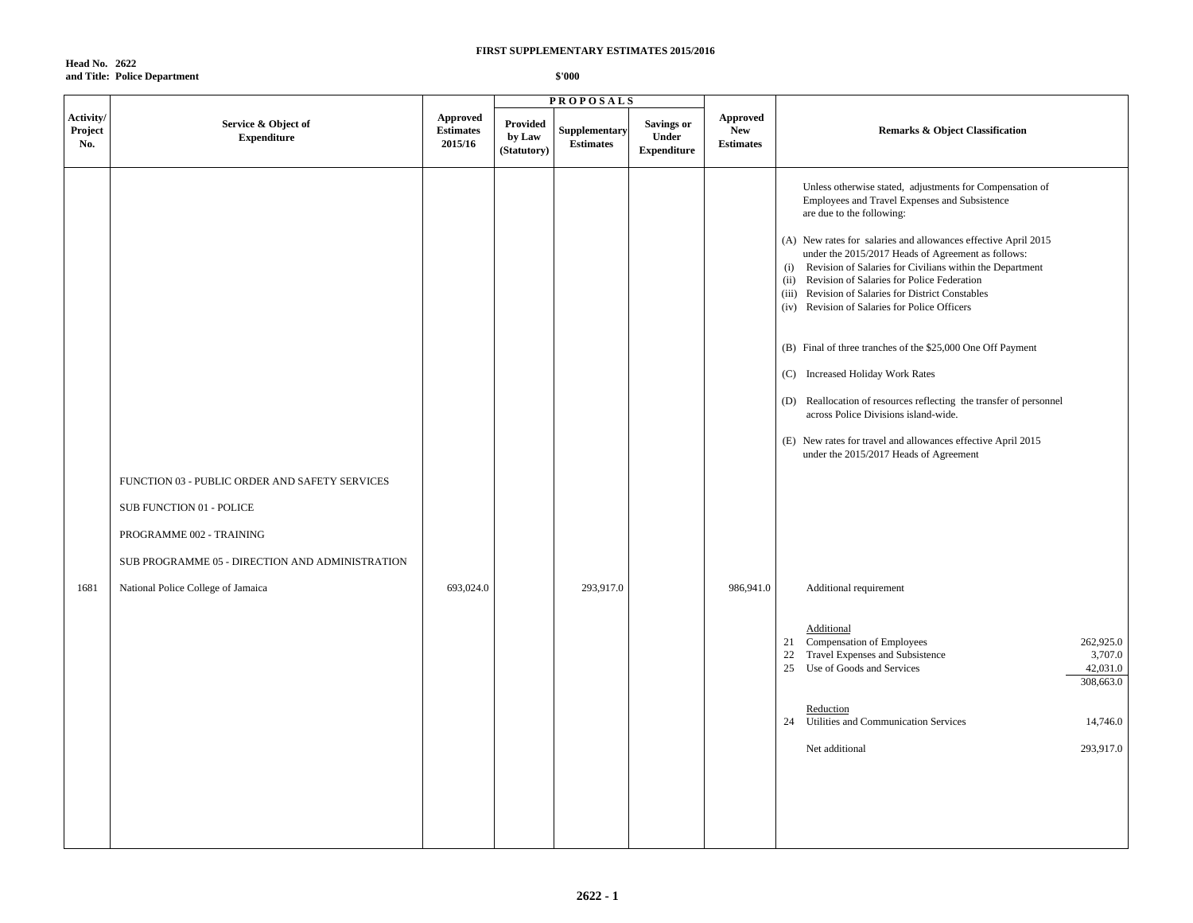**Head No. 2622 and Title: Police Department**

|                             |                                                                                                                                                                                                 |                                                |                                          | <b>PROPOSALS</b>                  |                                                  |                                                   |                                                                                                                                                                                                                                                                                                                                                                                                                                                                                                                                                                                                                                                                                                                                                                                                                                                                                                                                                                                                                                                                                                                                |
|-----------------------------|-------------------------------------------------------------------------------------------------------------------------------------------------------------------------------------------------|------------------------------------------------|------------------------------------------|-----------------------------------|--------------------------------------------------|---------------------------------------------------|--------------------------------------------------------------------------------------------------------------------------------------------------------------------------------------------------------------------------------------------------------------------------------------------------------------------------------------------------------------------------------------------------------------------------------------------------------------------------------------------------------------------------------------------------------------------------------------------------------------------------------------------------------------------------------------------------------------------------------------------------------------------------------------------------------------------------------------------------------------------------------------------------------------------------------------------------------------------------------------------------------------------------------------------------------------------------------------------------------------------------------|
| Activity/<br>Project<br>No. | Service & Object of<br><b>Expenditure</b>                                                                                                                                                       | <b>Approved</b><br><b>Estimates</b><br>2015/16 | <b>Provided</b><br>by Law<br>(Statutory) | Supplementary<br><b>Estimates</b> | <b>Savings or</b><br>Under<br><b>Expenditure</b> | <b>Approved</b><br><b>New</b><br><b>Estimates</b> | <b>Remarks &amp; Object Classification</b>                                                                                                                                                                                                                                                                                                                                                                                                                                                                                                                                                                                                                                                                                                                                                                                                                                                                                                                                                                                                                                                                                     |
| 1681                        | FUNCTION 03 - PUBLIC ORDER AND SAFETY SERVICES<br>SUB FUNCTION 01 - POLICE<br>PROGRAMME 002 - TRAINING<br>SUB PROGRAMME 05 - DIRECTION AND ADMINISTRATION<br>National Police College of Jamaica | 693,024.0                                      |                                          | 293,917.0                         |                                                  | 986,941.0                                         | Unless otherwise stated, adjustments for Compensation of<br>Employees and Travel Expenses and Subsistence<br>are due to the following:<br>(A) New rates for salaries and allowances effective April 2015<br>under the 2015/2017 Heads of Agreement as follows:<br>(i) Revision of Salaries for Civilians within the Department<br>(ii) Revision of Salaries for Police Federation<br>Revision of Salaries for District Constables<br>(iii)<br>(iv) Revision of Salaries for Police Officers<br>(B) Final of three tranches of the \$25,000 One Off Payment<br>(C) Increased Holiday Work Rates<br>(D) Reallocation of resources reflecting the transfer of personnel<br>across Police Divisions island-wide.<br>(E) New rates for travel and allowances effective April 2015<br>under the 2015/2017 Heads of Agreement<br>Additional requirement<br>Additional<br>262,925.0<br>21 Compensation of Employees<br>22<br>Travel Expenses and Subsistence<br>3,707.0<br>Use of Goods and Services<br>25<br>42,031.0<br>308,663.0<br>Reduction<br>24 Utilities and Communication Services<br>14,746.0<br>Net additional<br>293,917.0 |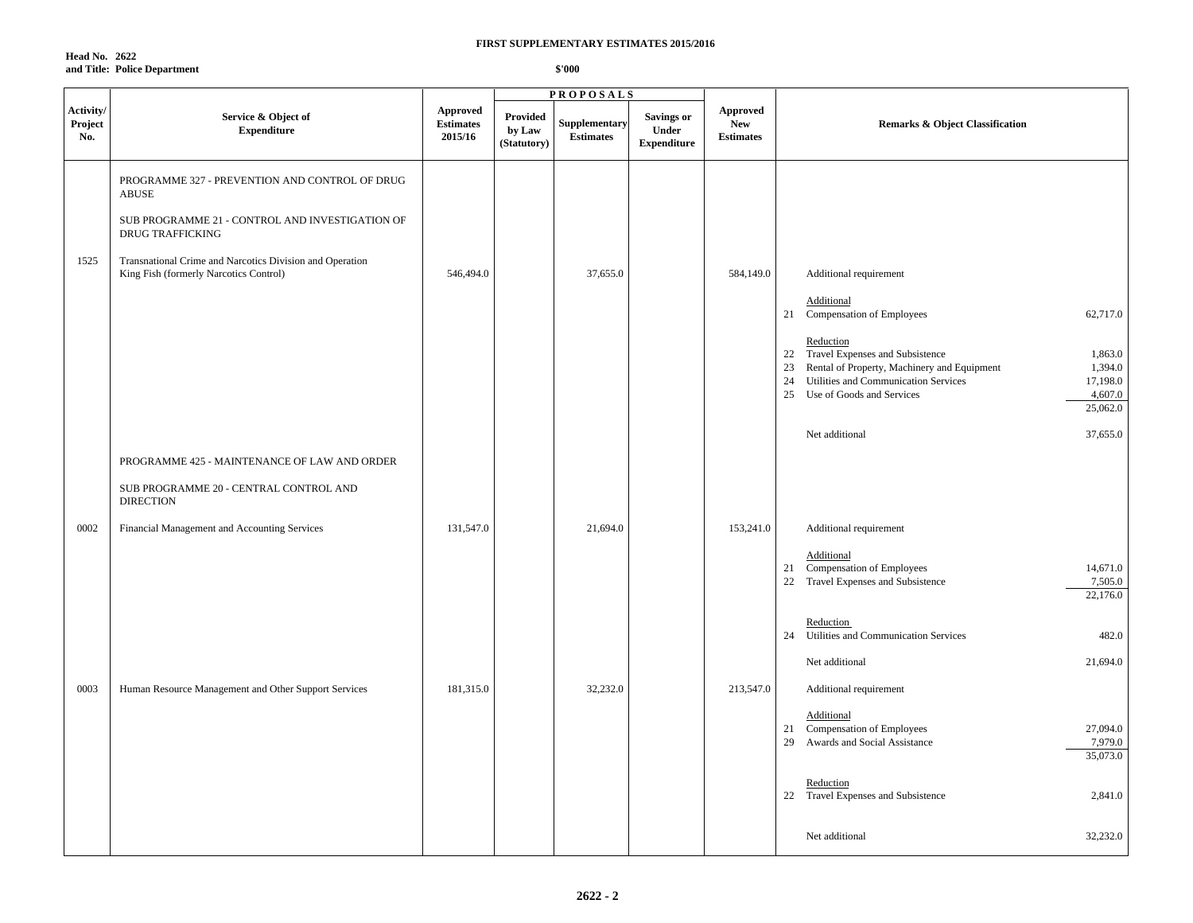**Head No. 2622 and Title: Police Department**

|                             |                                                                                                                                                                                                                                             |                                         |                                          | <b>PROPOSALS</b>                         |                                                  |                                            |                                                                                                                                                                                                                                                                                                                                       |
|-----------------------------|---------------------------------------------------------------------------------------------------------------------------------------------------------------------------------------------------------------------------------------------|-----------------------------------------|------------------------------------------|------------------------------------------|--------------------------------------------------|--------------------------------------------|---------------------------------------------------------------------------------------------------------------------------------------------------------------------------------------------------------------------------------------------------------------------------------------------------------------------------------------|
| Activity/<br>Project<br>No. | Service & Object of<br><b>Expenditure</b>                                                                                                                                                                                                   | Approved<br><b>Estimates</b><br>2015/16 | <b>Provided</b><br>by Law<br>(Statutory) | <b>Supplementary</b><br><b>Estimates</b> | <b>Savings or</b><br>Under<br><b>Expenditure</b> | Approved<br><b>New</b><br><b>Estimates</b> | <b>Remarks &amp; Object Classification</b>                                                                                                                                                                                                                                                                                            |
| 1525                        | PROGRAMME 327 - PREVENTION AND CONTROL OF DRUG<br>ABUSE<br>SUB PROGRAMME 21 - CONTROL AND INVESTIGATION OF<br><b>DRUG TRAFFICKING</b><br>Transnational Crime and Narcotics Division and Operation<br>King Fish (formerly Narcotics Control) | 546,494.0                               |                                          | 37,655.0                                 |                                                  | 584,149.0                                  | Additional requirement<br>Additional<br>21 Compensation of Employees<br>62,717.0<br>Reduction<br>Travel Expenses and Subsistence<br>1,863.0<br>22<br>23<br>Rental of Property, Machinery and Equipment<br>1,394.0<br>17,198.0<br>Utilities and Communication Services<br>24<br>25<br>Use of Goods and Services<br>4,607.0<br>25,062.0 |
|                             | PROGRAMME 425 - MAINTENANCE OF LAW AND ORDER<br>SUB PROGRAMME 20 - CENTRAL CONTROL AND<br><b>DIRECTION</b>                                                                                                                                  |                                         |                                          |                                          |                                                  |                                            | Net additional<br>37,655.0                                                                                                                                                                                                                                                                                                            |
| 0002                        | Financial Management and Accounting Services                                                                                                                                                                                                | 131,547.0                               |                                          | 21,694.0                                 |                                                  | 153,241.0                                  | Additional requirement<br>Additional<br>21 Compensation of Employees<br>14,671.0<br>22 Travel Expenses and Subsistence<br>7,505.0<br>22,176.0                                                                                                                                                                                         |
|                             |                                                                                                                                                                                                                                             |                                         |                                          |                                          |                                                  |                                            | Reduction<br>Utilities and Communication Services<br>482.0<br>24<br>21,694.0<br>Net additional                                                                                                                                                                                                                                        |
| 0003                        | Human Resource Management and Other Support Services                                                                                                                                                                                        | 181,315.0                               |                                          | 32,232.0                                 |                                                  | 213,547.0                                  | Additional requirement<br>Additional<br>27,094.0<br>21 Compensation of Employees<br>7,979.0<br>Awards and Social Assistance<br>29<br>35,073.0<br>Reduction                                                                                                                                                                            |
|                             |                                                                                                                                                                                                                                             |                                         |                                          |                                          |                                                  |                                            | 22 Travel Expenses and Subsistence<br>2,841.0<br>32,232.0<br>Net additional                                                                                                                                                                                                                                                           |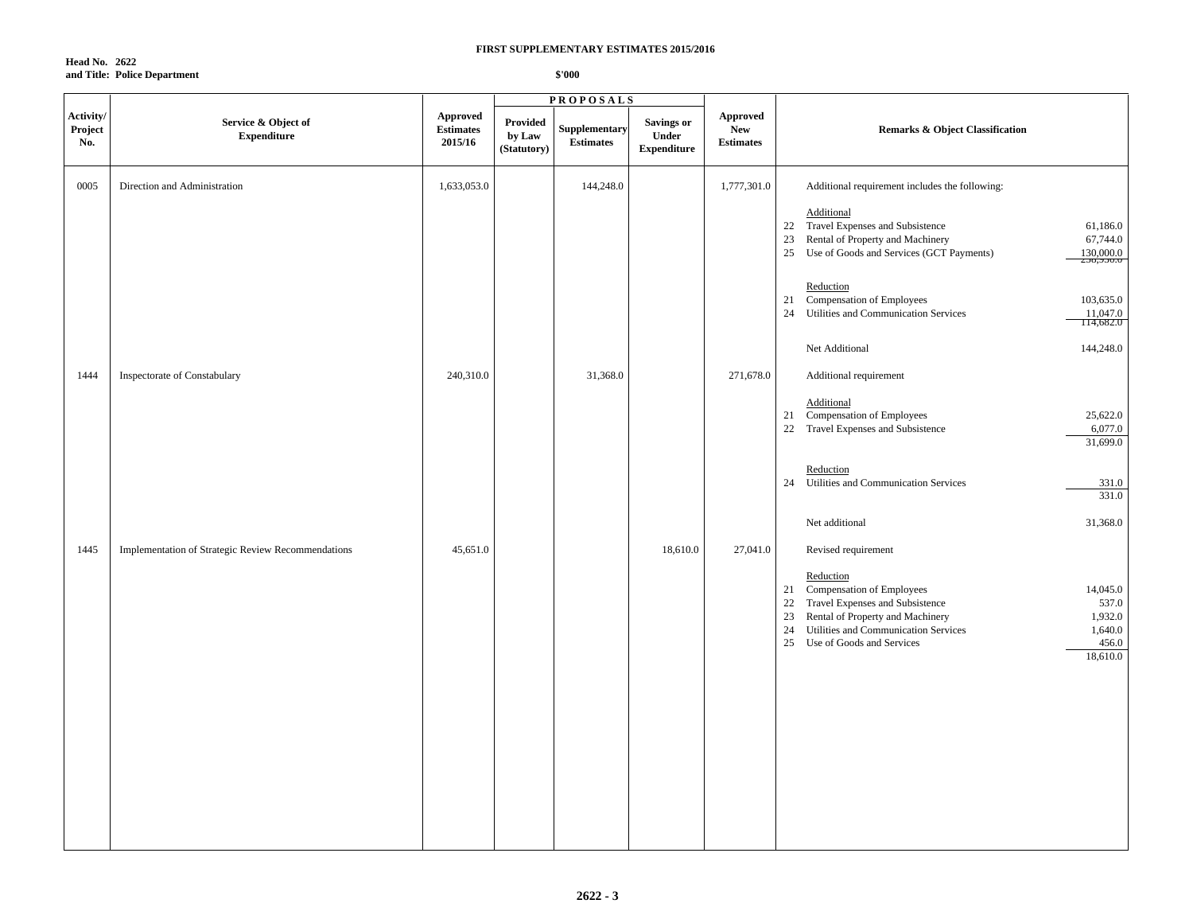**Head No. 2622 and Title: Police Department**

|                             |                                                    |                                                |                                   | <b>PROPOSALS</b>                  |                                                  |                                            |                                                                                                                                                                                                                                                                               |
|-----------------------------|----------------------------------------------------|------------------------------------------------|-----------------------------------|-----------------------------------|--------------------------------------------------|--------------------------------------------|-------------------------------------------------------------------------------------------------------------------------------------------------------------------------------------------------------------------------------------------------------------------------------|
| Activity/<br>Project<br>No. | Service & Object of<br><b>Expenditure</b>          | <b>Approved</b><br><b>Estimates</b><br>2015/16 | Provided<br>by Law<br>(Statutory) | Supplementary<br><b>Estimates</b> | <b>Savings or</b><br>Under<br><b>Expenditure</b> | Approved<br><b>New</b><br><b>Estimates</b> | <b>Remarks &amp; Object Classification</b>                                                                                                                                                                                                                                    |
| 0005                        | Direction and Administration                       | 1,633,053.0                                    |                                   | 144,248.0                         |                                                  | 1,777,301.0                                | Additional requirement includes the following:                                                                                                                                                                                                                                |
|                             |                                                    |                                                |                                   |                                   |                                                  |                                            | Additional<br>22 Travel Expenses and Subsistence<br>61,186.0<br>23<br>Rental of Property and Machinery<br>67,744.0<br>25 Use of Goods and Services (GCT Payments)<br>130,000.0<br>230,930.0                                                                                   |
|                             |                                                    |                                                |                                   |                                   |                                                  |                                            | Reduction<br>Compensation of Employees<br>21<br>103,635.0<br>Utilities and Communication Services<br>24<br>11,047.0<br>114,682.0                                                                                                                                              |
|                             |                                                    |                                                |                                   |                                   |                                                  |                                            | Net Additional<br>144,248.0                                                                                                                                                                                                                                                   |
| 1444                        | Inspectorate of Constabulary                       | 240,310.0                                      |                                   | 31,368.0                          |                                                  | 271,678.0                                  | Additional requirement                                                                                                                                                                                                                                                        |
|                             |                                                    |                                                |                                   |                                   |                                                  |                                            | Additional<br>Compensation of Employees<br>25,622.0<br>21<br>22<br>Travel Expenses and Subsistence<br>6,077.0<br>31,699.0                                                                                                                                                     |
|                             |                                                    |                                                |                                   |                                   |                                                  |                                            | Reduction<br>Utilities and Communication Services<br>24<br>331.0<br>331.0                                                                                                                                                                                                     |
|                             |                                                    |                                                |                                   |                                   |                                                  |                                            | Net additional<br>31,368.0                                                                                                                                                                                                                                                    |
| 1445                        | Implementation of Strategic Review Recommendations | 45,651.0                                       |                                   |                                   | 18,610.0                                         | 27,041.0                                   | Revised requirement                                                                                                                                                                                                                                                           |
|                             |                                                    |                                                |                                   |                                   |                                                  |                                            | Reduction<br>21 Compensation of Employees<br>14,045.0<br>Travel Expenses and Subsistence<br>537.0<br>22<br>23<br>Rental of Property and Machinery<br>1,932.0<br>24<br>Utilities and Communication Services<br>1,640.0<br>25<br>Use of Goods and Services<br>456.0<br>18,610.0 |
|                             |                                                    |                                                |                                   |                                   |                                                  |                                            |                                                                                                                                                                                                                                                                               |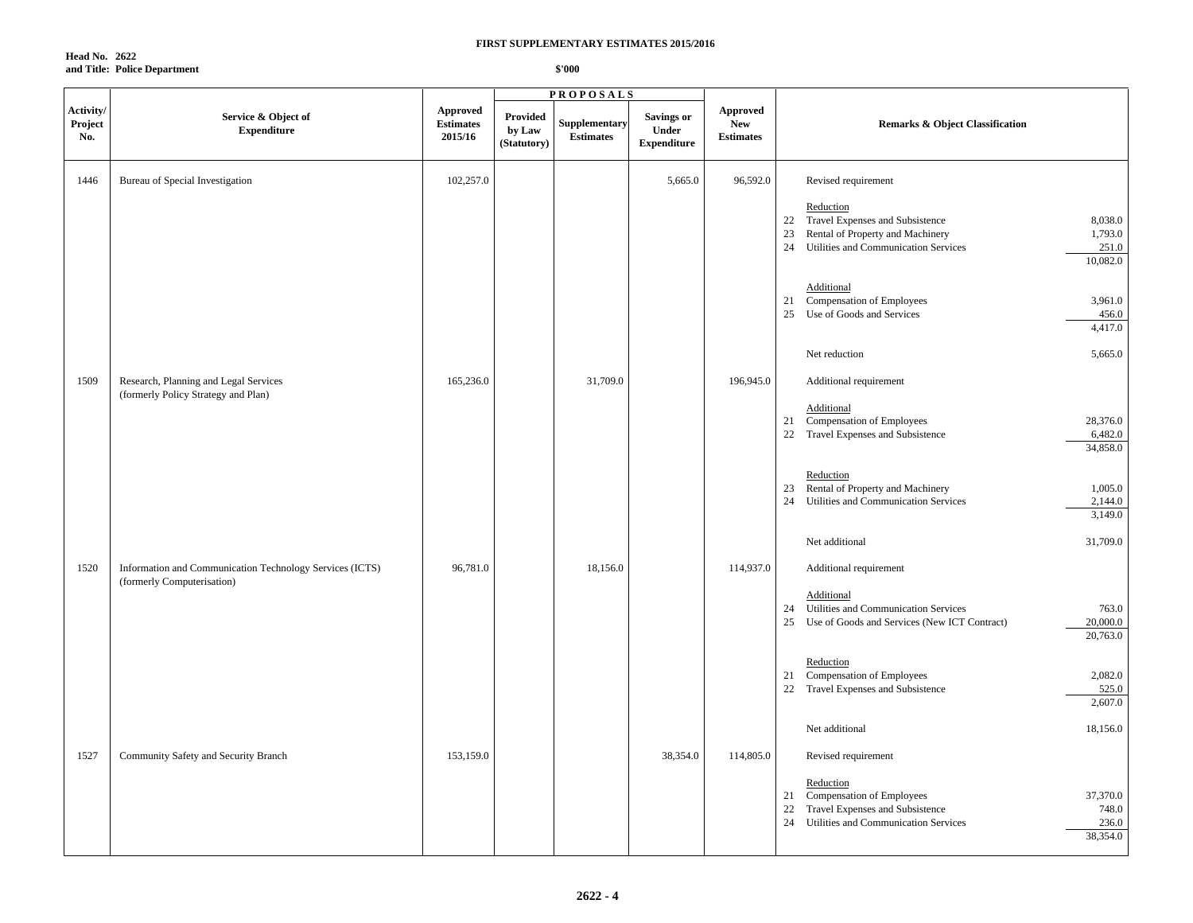**Head No. 2622 and Title: Police Department**

|                             |                                                                                        |                                                |                                   | <b>PROPOSALS</b>                  |                                                  |                                                   |                                                                                                                                                                                       |
|-----------------------------|----------------------------------------------------------------------------------------|------------------------------------------------|-----------------------------------|-----------------------------------|--------------------------------------------------|---------------------------------------------------|---------------------------------------------------------------------------------------------------------------------------------------------------------------------------------------|
| Activity/<br>Project<br>No. | Service & Object of<br><b>Expenditure</b>                                              | <b>Approved</b><br><b>Estimates</b><br>2015/16 | Provided<br>by Law<br>(Statutory) | Supplementary<br><b>Estimates</b> | <b>Savings or</b><br>Under<br><b>Expenditure</b> | <b>Approved</b><br><b>New</b><br><b>Estimates</b> | <b>Remarks &amp; Object Classification</b>                                                                                                                                            |
| 1446                        | Bureau of Special Investigation                                                        | 102,257.0                                      |                                   |                                   | 5,665.0                                          | 96,592.0                                          | Revised requirement                                                                                                                                                                   |
|                             |                                                                                        |                                                |                                   |                                   |                                                  |                                                   | Reduction<br>Travel Expenses and Subsistence<br>8,038.0<br>22<br>Rental of Property and Machinery<br>1,793.0<br>23<br>Utilities and Communication Services<br>251.0<br>24<br>10,082.0 |
|                             |                                                                                        |                                                |                                   |                                   |                                                  |                                                   | Additional<br>Compensation of Employees<br>3,961.0<br>21<br>Use of Goods and Services<br>25<br>456.0<br>4,417.0                                                                       |
|                             |                                                                                        |                                                |                                   |                                   |                                                  |                                                   | Net reduction<br>5,665.0                                                                                                                                                              |
| 1509                        | Research, Planning and Legal Services<br>(formerly Policy Strategy and Plan)           | 165,236.0                                      |                                   | 31,709.0                          |                                                  | 196,945.0                                         | Additional requirement                                                                                                                                                                |
|                             |                                                                                        |                                                |                                   |                                   |                                                  |                                                   | Additional<br>Compensation of Employees<br>28,376.0<br>21<br>Travel Expenses and Subsistence<br>6,482.0<br>22<br>34,858.0                                                             |
|                             |                                                                                        |                                                |                                   |                                   |                                                  |                                                   | Reduction<br>Rental of Property and Machinery<br>1,005.0<br>23<br>Utilities and Communication Services<br>2,144.0<br>24<br>3,149.0                                                    |
|                             |                                                                                        |                                                |                                   |                                   |                                                  |                                                   | 31,709.0<br>Net additional                                                                                                                                                            |
| 1520                        | Information and Communication Technology Services (ICTS)<br>(formerly Computerisation) | 96,781.0                                       |                                   | 18,156.0                          |                                                  | 114,937.0                                         | Additional requirement                                                                                                                                                                |
|                             |                                                                                        |                                                |                                   |                                   |                                                  |                                                   | Additional<br>Utilities and Communication Services<br>763.0<br>24<br>20,000.0<br>25 Use of Goods and Services (New ICT Contract)<br>20,763.0                                          |
|                             |                                                                                        |                                                |                                   |                                   |                                                  |                                                   | Reduction<br>Compensation of Employees<br>2,082.0<br>21<br>Travel Expenses and Subsistence<br>525.0<br>22<br>2,607.0                                                                  |
|                             |                                                                                        |                                                |                                   |                                   |                                                  |                                                   | Net additional<br>18,156.0                                                                                                                                                            |
| 1527                        | Community Safety and Security Branch                                                   | 153,159.0                                      |                                   |                                   | 38,354.0                                         | 114,805.0                                         | Revised requirement                                                                                                                                                                   |
|                             |                                                                                        |                                                |                                   |                                   |                                                  |                                                   | Reduction<br>37,370.0<br>Compensation of Employees<br>21<br>748.0<br>22<br>Travel Expenses and Subsistence<br>24<br>Utilities and Communication Services<br>236.0<br>38,354.0         |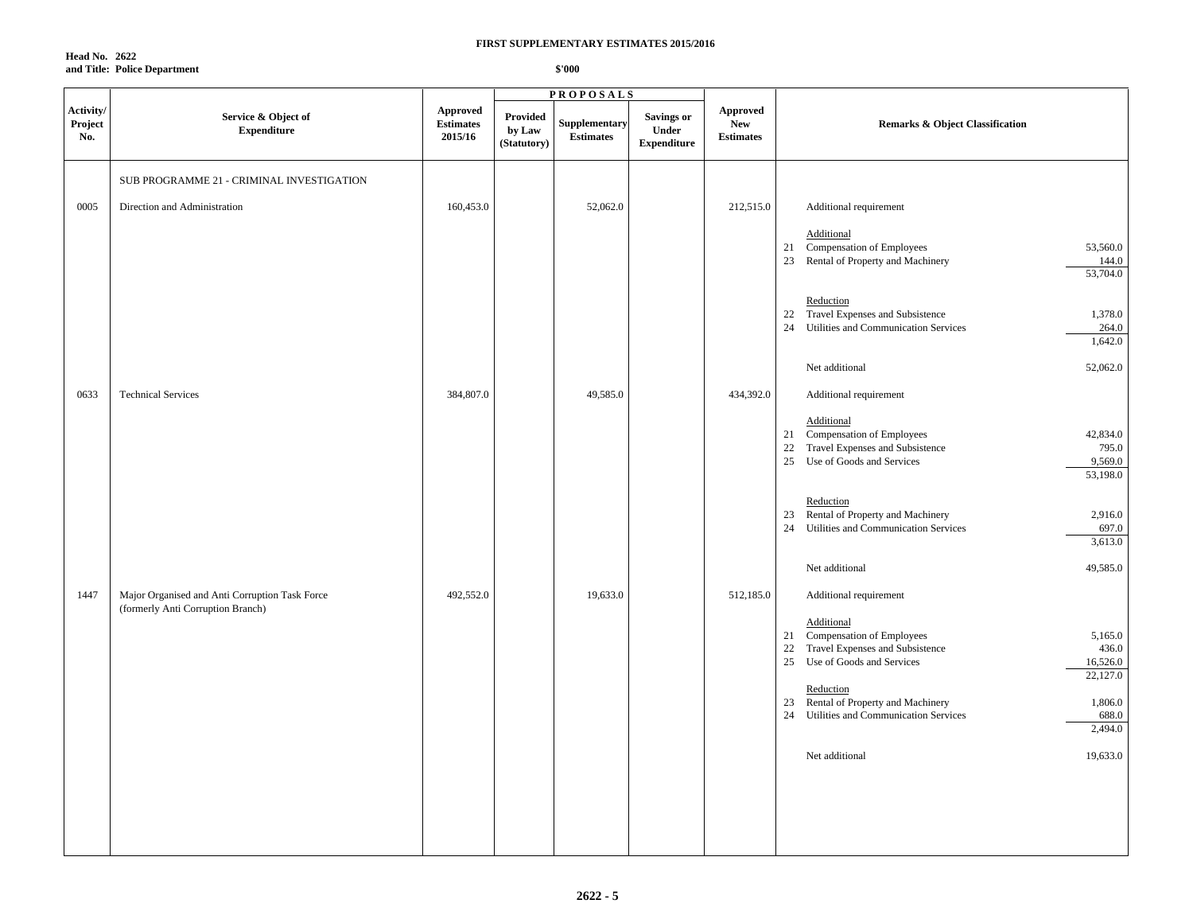**Head No. 2622 and Title: Police Department**

|                             |                                                                                     |                                         |                                   | <b>PROPOSALS</b>                  |                                           |                                            |                                                                                                                                                                                                                                                                                                                                                                |
|-----------------------------|-------------------------------------------------------------------------------------|-----------------------------------------|-----------------------------------|-----------------------------------|-------------------------------------------|--------------------------------------------|----------------------------------------------------------------------------------------------------------------------------------------------------------------------------------------------------------------------------------------------------------------------------------------------------------------------------------------------------------------|
| Activity/<br>Project<br>No. | Service & Object of<br><b>Expenditure</b>                                           | Approved<br><b>Estimates</b><br>2015/16 | Provided<br>by Law<br>(Statutory) | Supplementary<br><b>Estimates</b> | Savings or<br>Under<br><b>Expenditure</b> | Approved<br><b>New</b><br><b>Estimates</b> | <b>Remarks &amp; Object Classification</b>                                                                                                                                                                                                                                                                                                                     |
| 0005                        | SUB PROGRAMME 21 - CRIMINAL INVESTIGATION<br>Direction and Administration           | 160,453.0                               |                                   | 52,062.0                          |                                           | 212,515.0                                  | Additional requirement                                                                                                                                                                                                                                                                                                                                         |
|                             |                                                                                     |                                         |                                   |                                   |                                           |                                            | Additional<br>Compensation of Employees<br>53,560.0<br>21<br>Rental of Property and Machinery<br>144.0<br>23<br>53,704.0                                                                                                                                                                                                                                       |
|                             |                                                                                     |                                         |                                   |                                   |                                           |                                            | Reduction<br>22 Travel Expenses and Subsistence<br>1,378.0<br>24<br>Utilities and Communication Services<br>264.0<br>1,642.0                                                                                                                                                                                                                                   |
|                             |                                                                                     |                                         |                                   |                                   |                                           |                                            | Net additional<br>52,062.0                                                                                                                                                                                                                                                                                                                                     |
| 0633                        | <b>Technical Services</b>                                                           | 384,807.0                               |                                   | 49,585.0                          |                                           | 434,392.0                                  | Additional requirement                                                                                                                                                                                                                                                                                                                                         |
|                             |                                                                                     |                                         |                                   |                                   |                                           |                                            | Additional<br>21 Compensation of Employees<br>42,834.0<br>Travel Expenses and Subsistence<br>795.0<br>22<br>25<br>Use of Goods and Services<br>9,569.0<br>53,198.0                                                                                                                                                                                             |
|                             |                                                                                     |                                         |                                   |                                   |                                           |                                            | Reduction<br>Rental of Property and Machinery<br>23<br>2,916.0<br>Utilities and Communication Services<br>24<br>697.0<br>3,613.0                                                                                                                                                                                                                               |
|                             |                                                                                     |                                         |                                   |                                   |                                           |                                            | 49,585.0<br>Net additional                                                                                                                                                                                                                                                                                                                                     |
| 1447                        | Major Organised and Anti Corruption Task Force<br>(formerly Anti Corruption Branch) | 492,552.0                               |                                   | 19,633.0                          |                                           | 512,185.0                                  | Additional requirement<br>Additional<br>21 Compensation of Employees<br>5,165.0<br>Travel Expenses and Subsistence<br>436.0<br>22<br>25<br>Use of Goods and Services<br>16,526.0<br>22,127.0<br>Reduction<br>Rental of Property and Machinery<br>1,806.0<br>23<br>Utilities and Communication Services<br>688.0<br>24<br>2,494.0<br>Net additional<br>19,633.0 |
|                             |                                                                                     |                                         |                                   |                                   |                                           |                                            |                                                                                                                                                                                                                                                                                                                                                                |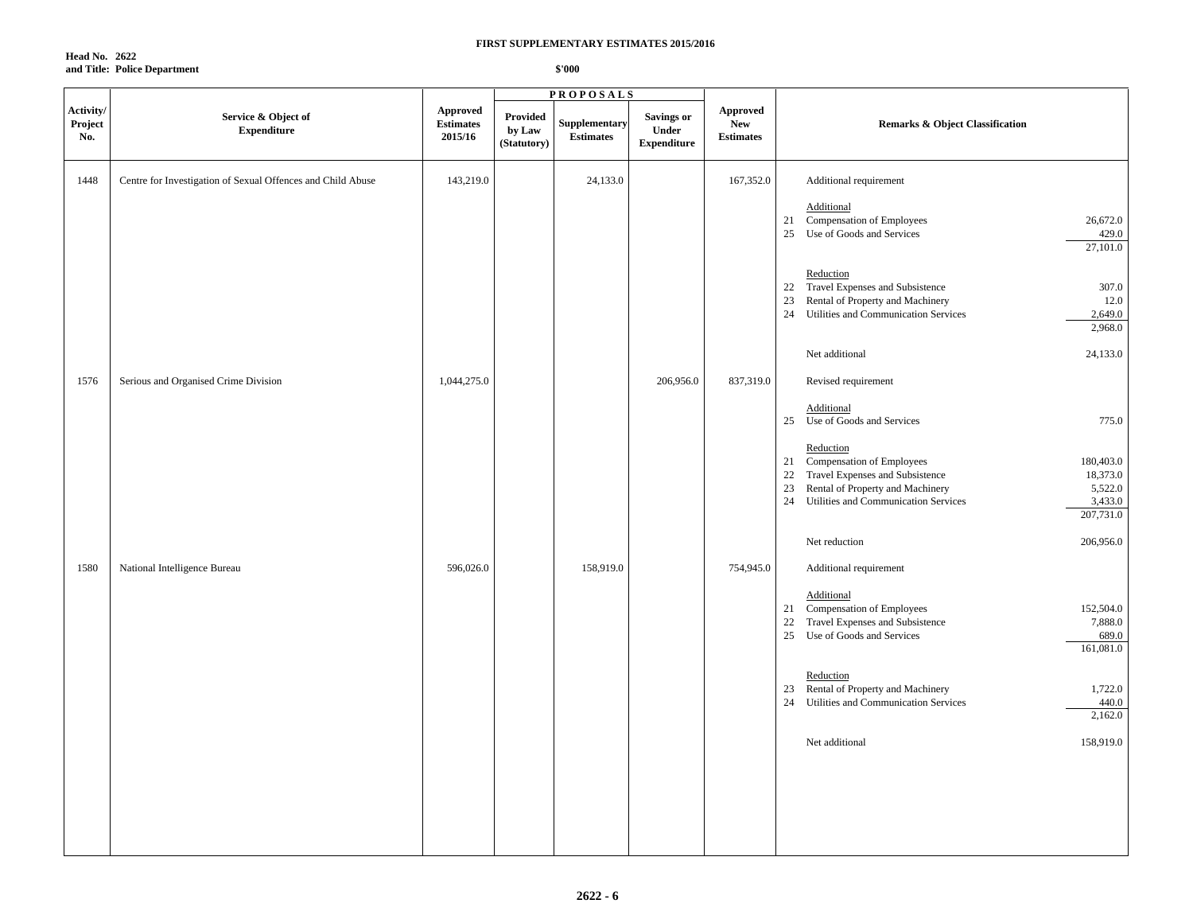**Head No. 2622 and Title: Police Department**

|                             |                                                             |                                         |                                   | <b>PROPOSALS</b>                 |                                                  |                                            |                                                                                                                                                                                                                                        |
|-----------------------------|-------------------------------------------------------------|-----------------------------------------|-----------------------------------|----------------------------------|--------------------------------------------------|--------------------------------------------|----------------------------------------------------------------------------------------------------------------------------------------------------------------------------------------------------------------------------------------|
| Activity/<br>Project<br>No. | Service & Object of<br><b>Expenditure</b>                   | Approved<br><b>Estimates</b><br>2015/16 | Provided<br>by Law<br>(Statutory) | Supplementary<br>$\bf Estimates$ | <b>Savings or</b><br>Under<br><b>Expenditure</b> | Approved<br><b>New</b><br><b>Estimates</b> | <b>Remarks &amp; Object Classification</b>                                                                                                                                                                                             |
| 1448                        | Centre for Investigation of Sexual Offences and Child Abuse | 143,219.0                               |                                   | 24,133.0                         |                                                  | 167,352.0                                  | Additional requirement                                                                                                                                                                                                                 |
|                             |                                                             |                                         |                                   |                                  |                                                  |                                            | Additional<br>Compensation of Employees<br>26,672.0<br>21<br>Use of Goods and Services<br>429.0<br>25<br>27,101.0                                                                                                                      |
|                             |                                                             |                                         |                                   |                                  |                                                  |                                            | Reduction<br>Travel Expenses and Subsistence<br>22<br>307.0<br>12.0<br>Rental of Property and Machinery<br>23<br>24<br>Utilities and Communication Services<br>2,649.0<br>2,968.0                                                      |
|                             |                                                             |                                         |                                   |                                  |                                                  |                                            | Net additional<br>24,133.0                                                                                                                                                                                                             |
| 1576                        | Serious and Organised Crime Division                        | 1,044,275.0                             |                                   |                                  | 206,956.0                                        | 837,319.0                                  | Revised requirement                                                                                                                                                                                                                    |
|                             |                                                             |                                         |                                   |                                  |                                                  |                                            | Additional<br>Use of Goods and Services<br>775.0<br>25                                                                                                                                                                                 |
|                             |                                                             |                                         |                                   |                                  |                                                  |                                            | Reduction<br>21 Compensation of Employees<br>180,403.0<br>Travel Expenses and Subsistence<br>18,373.0<br>22<br>23<br>Rental of Property and Machinery<br>5,522.0<br>Utilities and Communication Services<br>3,433.0<br>24<br>207,731.0 |
|                             |                                                             |                                         |                                   |                                  |                                                  |                                            | 206,956.0<br>Net reduction                                                                                                                                                                                                             |
| 1580                        | National Intelligence Bureau                                | 596,026.0                               |                                   | 158,919.0                        |                                                  | 754,945.0                                  | Additional requirement                                                                                                                                                                                                                 |
|                             |                                                             |                                         |                                   |                                  |                                                  |                                            | Additional<br>Compensation of Employees<br>152,504.0<br>21<br>22<br>Travel Expenses and Subsistence<br>7,888.0<br>25<br>Use of Goods and Services<br>689.0<br>161,081.0                                                                |
|                             |                                                             |                                         |                                   |                                  |                                                  |                                            | Reduction<br>Rental of Property and Machinery<br>1,722.0<br>23<br>Utilities and Communication Services<br>440.0<br>24<br>2,162.0                                                                                                       |
|                             |                                                             |                                         |                                   |                                  |                                                  |                                            | Net additional<br>158,919.0                                                                                                                                                                                                            |
|                             |                                                             |                                         |                                   |                                  |                                                  |                                            |                                                                                                                                                                                                                                        |
|                             |                                                             |                                         |                                   |                                  |                                                  |                                            |                                                                                                                                                                                                                                        |
|                             |                                                             |                                         |                                   |                                  |                                                  |                                            |                                                                                                                                                                                                                                        |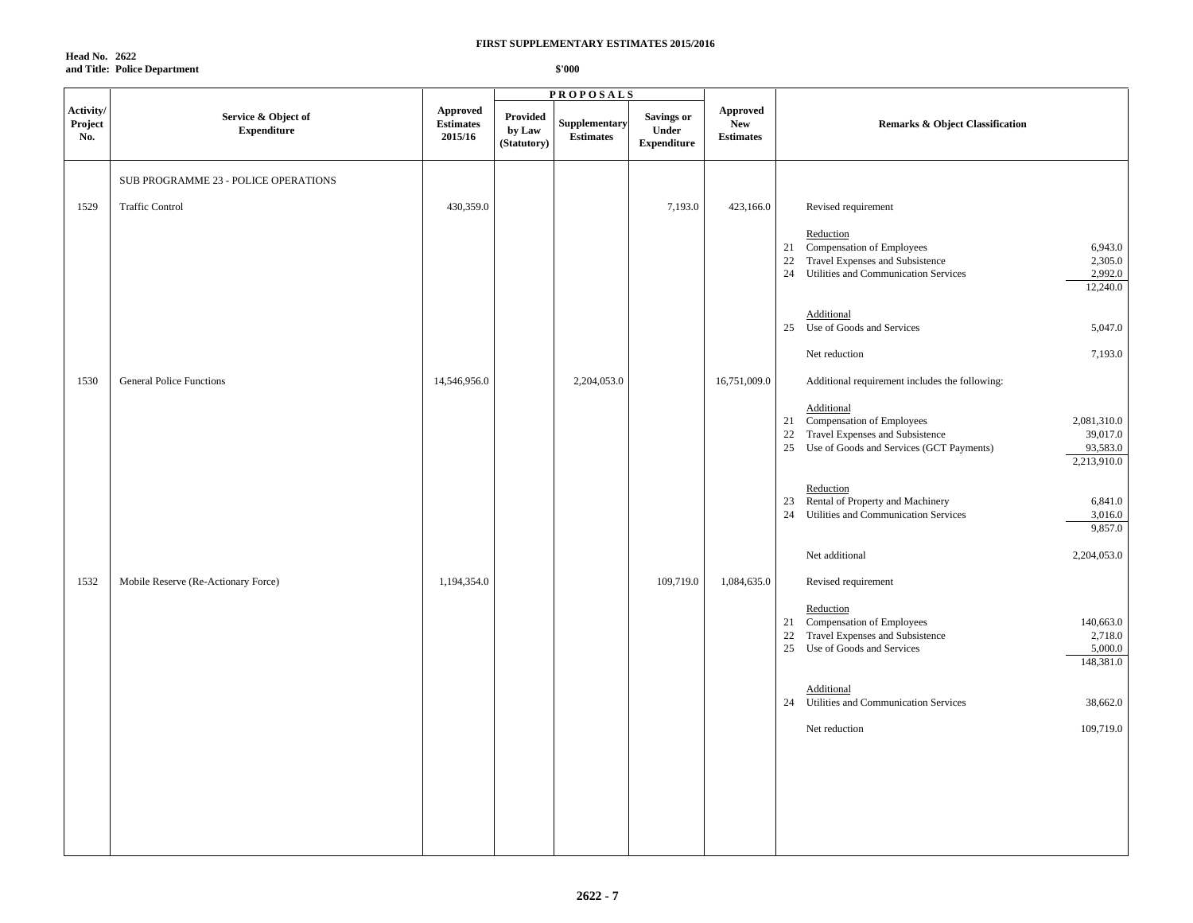**Head No. 2622 and Title: Police Department**

|                             |                                           |                                        |                                   | <b>PROPOSALS</b>                  |                                                  |                                            |                                                                                                                                                                                       |
|-----------------------------|-------------------------------------------|----------------------------------------|-----------------------------------|-----------------------------------|--------------------------------------------------|--------------------------------------------|---------------------------------------------------------------------------------------------------------------------------------------------------------------------------------------|
| Activity/<br>Project<br>No. | Service & Object of<br><b>Expenditure</b> | Approved<br>$\bf Estimates$<br>2015/16 | Provided<br>by Law<br>(Statutory) | Supplementary<br><b>Estimates</b> | <b>Savings or</b><br>Under<br><b>Expenditure</b> | Approved<br><b>New</b><br><b>Estimates</b> | <b>Remarks &amp; Object Classification</b>                                                                                                                                            |
|                             | SUB PROGRAMME 23 - POLICE OPERATIONS      |                                        |                                   |                                   |                                                  |                                            |                                                                                                                                                                                       |
| 1529                        | <b>Traffic Control</b>                    | 430,359.0                              |                                   |                                   | 7,193.0                                          | 423,166.0                                  | Revised requirement                                                                                                                                                                   |
|                             |                                           |                                        |                                   |                                   |                                                  |                                            | Reduction<br>Compensation of Employees<br>6,943.0<br>21<br>Travel Expenses and Subsistence<br>2,305.0<br>22<br>24 Utilities and Communication Services<br>2,992.0<br>12,240.0         |
|                             |                                           |                                        |                                   |                                   |                                                  |                                            | Additional<br>25<br>Use of Goods and Services<br>5,047.0                                                                                                                              |
|                             |                                           |                                        |                                   |                                   |                                                  |                                            | 7,193.0<br>Net reduction                                                                                                                                                              |
| 1530                        | <b>General Police Functions</b>           | 14,546,956.0                           |                                   | 2,204,053.0                       |                                                  | 16,751,009.0                               | Additional requirement includes the following:                                                                                                                                        |
|                             |                                           |                                        |                                   |                                   |                                                  |                                            | Additional<br>21 Compensation of Employees<br>2,081,310.0<br>39,017.0<br>22 Travel Expenses and Subsistence<br>93,583.0<br>25 Use of Goods and Services (GCT Payments)<br>2,213,910.0 |
|                             |                                           |                                        |                                   |                                   |                                                  |                                            | Reduction<br>23 Rental of Property and Machinery<br>6,841.0<br>24 Utilities and Communication Services<br>3,016.0<br>9,857.0                                                          |
|                             |                                           |                                        |                                   |                                   |                                                  |                                            | Net additional<br>2,204,053.0                                                                                                                                                         |
| 1532                        | Mobile Reserve (Re-Actionary Force)       | 1,194,354.0                            |                                   |                                   | 109,719.0                                        | 1,084,635.0                                | Revised requirement                                                                                                                                                                   |
|                             |                                           |                                        |                                   |                                   |                                                  |                                            | Reduction<br>21 Compensation of Employees<br>140,663.0<br>Travel Expenses and Subsistence<br>2,718.0<br>22<br>25 Use of Goods and Services<br>5,000.0<br>148,381.0                    |
|                             |                                           |                                        |                                   |                                   |                                                  |                                            | Additional<br>Utilities and Communication Services<br>24<br>38,662.0                                                                                                                  |
|                             |                                           |                                        |                                   |                                   |                                                  |                                            | 109,719.0<br>Net reduction                                                                                                                                                            |
|                             |                                           |                                        |                                   |                                   |                                                  |                                            |                                                                                                                                                                                       |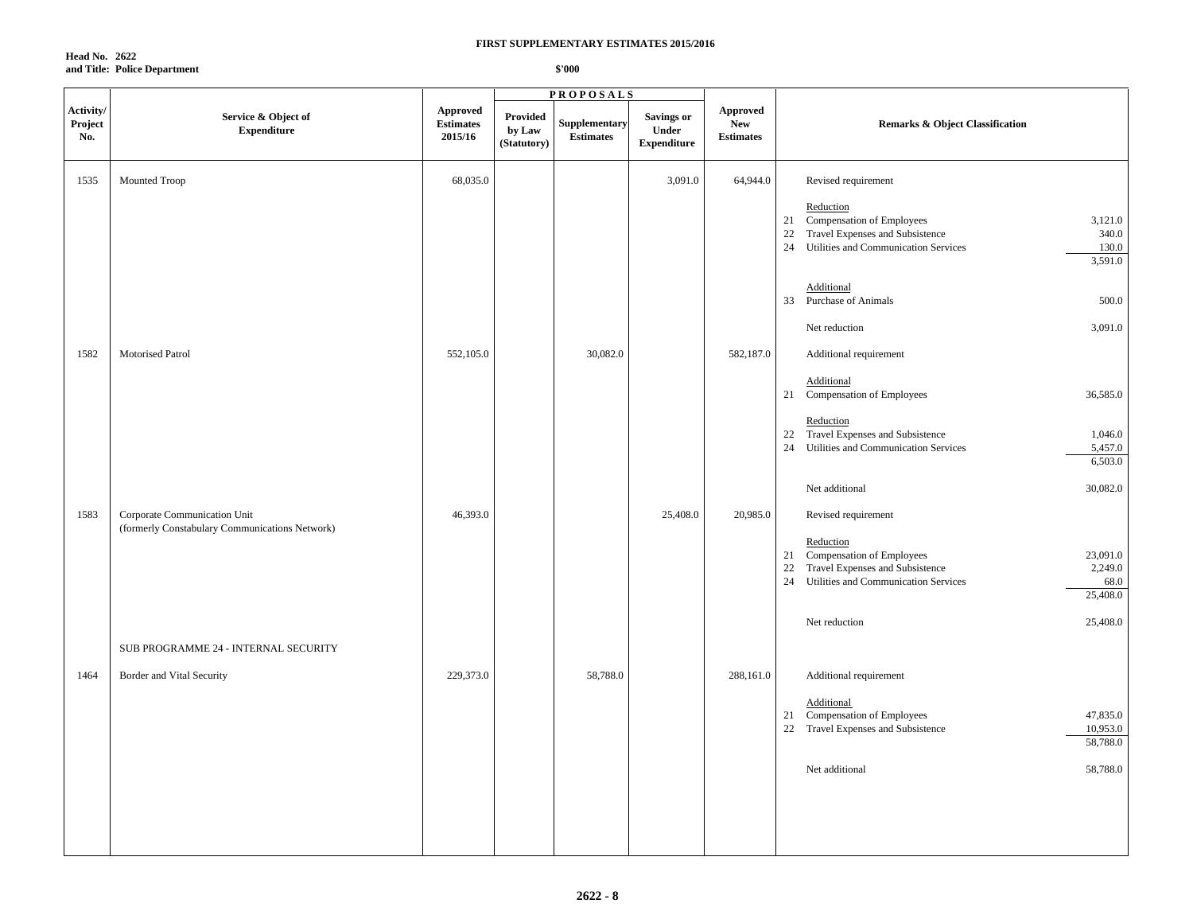**Head No. 2622 and Title: Police Department**

|                             |                                                                                |                                         |                                   | <b>PROPOSALS</b>                  |                                           |                                                   |                                                                                                                                                                                |
|-----------------------------|--------------------------------------------------------------------------------|-----------------------------------------|-----------------------------------|-----------------------------------|-------------------------------------------|---------------------------------------------------|--------------------------------------------------------------------------------------------------------------------------------------------------------------------------------|
| Activity/<br>Project<br>No. | Service & Object of<br><b>Expenditure</b>                                      | Approved<br><b>Estimates</b><br>2015/16 | Provided<br>by Law<br>(Statutory) | Supplementary<br><b>Estimates</b> | Savings or<br>Under<br><b>Expenditure</b> | <b>Approved</b><br><b>New</b><br><b>Estimates</b> | <b>Remarks &amp; Object Classification</b>                                                                                                                                     |
| 1535                        | Mounted Troop                                                                  | 68,035.0                                |                                   |                                   | 3,091.0                                   | 64,944.0                                          | Revised requirement                                                                                                                                                            |
|                             |                                                                                |                                         |                                   |                                   |                                           |                                                   | Reduction<br>21 Compensation of Employees<br>3,121.0<br>340.0<br>22 Travel Expenses and Subsistence<br>Utilities and Communication Services<br>130.0<br>24<br>3,591.0          |
|                             |                                                                                |                                         |                                   |                                   |                                           |                                                   | Additional<br>33<br><b>Purchase of Animals</b><br>500.0                                                                                                                        |
|                             |                                                                                |                                         |                                   |                                   |                                           |                                                   | 3,091.0<br>Net reduction                                                                                                                                                       |
| 1582                        | Motorised Patrol                                                               | 552,105.0                               |                                   | 30,082.0                          |                                           | 582,187.0                                         | Additional requirement                                                                                                                                                         |
|                             |                                                                                |                                         |                                   |                                   |                                           |                                                   | Additional<br>21 Compensation of Employees<br>36,585.0                                                                                                                         |
|                             |                                                                                |                                         |                                   |                                   |                                           |                                                   | Reduction<br>Travel Expenses and Subsistence<br>1,046.0<br>22<br>24<br>Utilities and Communication Services<br>5,457.0<br>6,503.0                                              |
|                             |                                                                                |                                         |                                   |                                   |                                           |                                                   | 30,082.0<br>Net additional                                                                                                                                                     |
| 1583                        | Corporate Communication Unit<br>(formerly Constabulary Communications Network) | 46,393.0                                |                                   |                                   | 25,408.0                                  | 20,985.0                                          | Revised requirement                                                                                                                                                            |
|                             |                                                                                |                                         |                                   |                                   |                                           |                                                   | Reduction<br>Compensation of Employees<br>23,091.0<br>21<br>Travel Expenses and Subsistence<br>2,249.0<br>22<br>Utilities and Communication Services<br>24<br>68.0<br>25,408.0 |
|                             |                                                                                |                                         |                                   |                                   |                                           |                                                   | 25,408.0<br>Net reduction                                                                                                                                                      |
|                             | SUB PROGRAMME 24 - INTERNAL SECURITY                                           |                                         |                                   |                                   |                                           |                                                   |                                                                                                                                                                                |
| 1464                        | Border and Vital Security                                                      | 229,373.0                               |                                   | 58,788.0                          |                                           | 288,161.0                                         | Additional requirement<br>Additional                                                                                                                                           |
|                             |                                                                                |                                         |                                   |                                   |                                           |                                                   | 21 Compensation of Employees<br>47,835.0<br>22 Travel Expenses and Subsistence<br>10,953.0<br>58,788.0                                                                         |
|                             |                                                                                |                                         |                                   |                                   |                                           |                                                   | Net additional<br>58,788.0                                                                                                                                                     |
|                             |                                                                                |                                         |                                   |                                   |                                           |                                                   |                                                                                                                                                                                |
|                             |                                                                                |                                         |                                   |                                   |                                           |                                                   |                                                                                                                                                                                |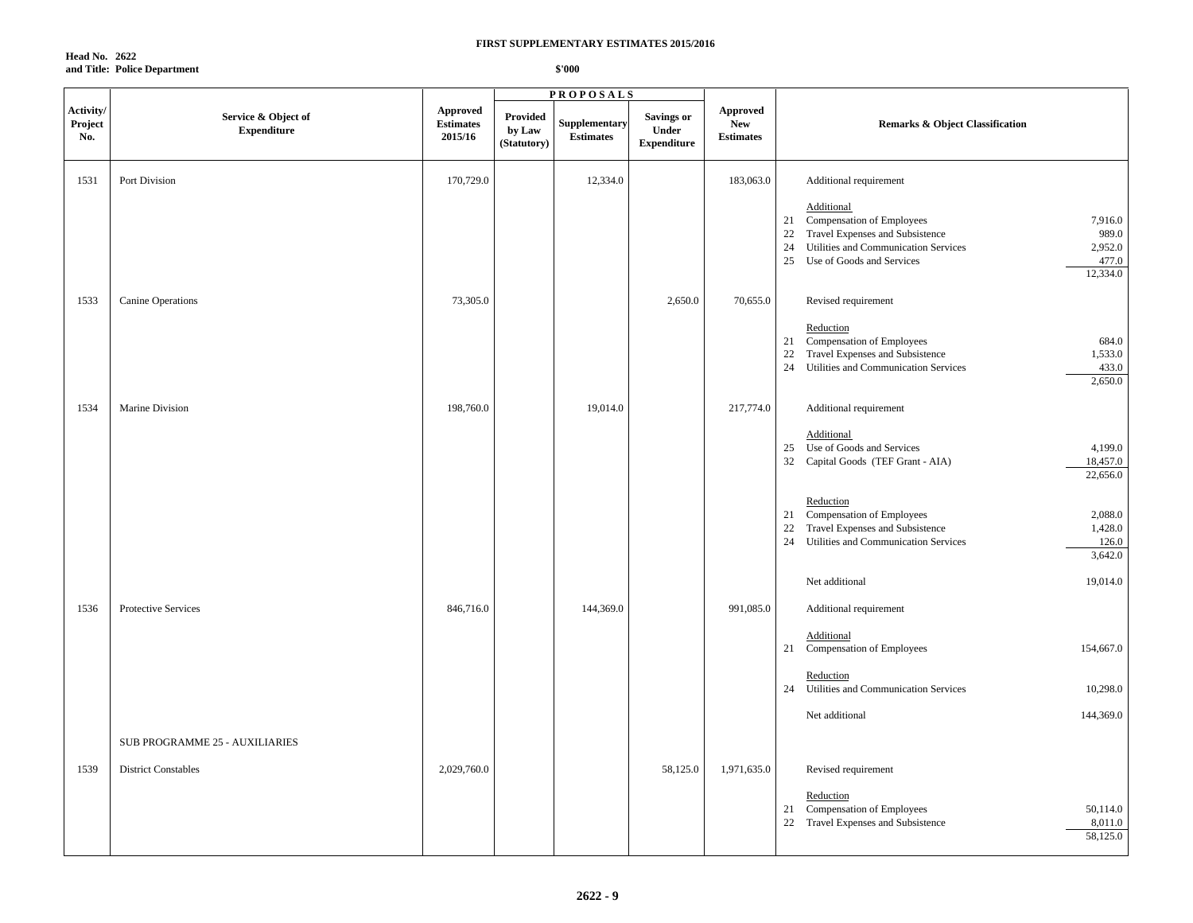**Head No. 2622 and Title: Police Department**

|                             |                                           |                                                |                                   | <b>PROPOSALS</b>                  |                                                  |                                                   |                                                                                                                                                                                                                             |
|-----------------------------|-------------------------------------------|------------------------------------------------|-----------------------------------|-----------------------------------|--------------------------------------------------|---------------------------------------------------|-----------------------------------------------------------------------------------------------------------------------------------------------------------------------------------------------------------------------------|
| Activity/<br>Project<br>No. | Service & Object of<br><b>Expenditure</b> | <b>Approved</b><br><b>Estimates</b><br>2015/16 | Provided<br>by Law<br>(Statutory) | Supplementary<br><b>Estimates</b> | <b>Savings or</b><br>Under<br><b>Expenditure</b> | <b>Approved</b><br><b>New</b><br><b>Estimates</b> | <b>Remarks &amp; Object Classification</b>                                                                                                                                                                                  |
| 1531                        | Port Division                             | 170,729.0                                      |                                   | 12,334.0                          |                                                  | 183,063.0                                         | Additional requirement                                                                                                                                                                                                      |
|                             |                                           |                                                |                                   |                                   |                                                  |                                                   | Additional<br>Compensation of Employees<br>7,916.0<br>21<br>Travel Expenses and Subsistence<br>989.0<br>22<br>Utilities and Communication Services<br>2,952.0<br>24<br>25<br>477.0<br>Use of Goods and Services<br>12,334.0 |
| 1533                        | Canine Operations                         | 73,305.0                                       |                                   |                                   | 2,650.0                                          | 70,655.0                                          | Revised requirement                                                                                                                                                                                                         |
|                             |                                           |                                                |                                   |                                   |                                                  |                                                   | Reduction<br><b>Compensation of Employees</b><br>684.0<br>21<br>Travel Expenses and Subsistence<br>1,533.0<br>22<br>24<br>Utilities and Communication Services<br>433.0<br>2,650.0                                          |
| 1534                        | Marine Division                           | 198,760.0                                      |                                   | 19,014.0                          |                                                  | 217,774.0                                         | Additional requirement                                                                                                                                                                                                      |
|                             |                                           |                                                |                                   |                                   |                                                  |                                                   | Additional<br>4,199.0<br>Use of Goods and Services<br>25<br>18,457.0<br>32 Capital Goods (TEF Grant - AIA)<br>22,656.0                                                                                                      |
|                             |                                           |                                                |                                   |                                   |                                                  |                                                   | Reduction<br>Compensation of Employees<br>2,088.0<br>21<br>Travel Expenses and Subsistence<br>1,428.0<br>22<br>24<br>Utilities and Communication Services<br>126.0<br>3,642.0                                               |
|                             |                                           |                                                |                                   |                                   |                                                  |                                                   | 19,014.0<br>Net additional                                                                                                                                                                                                  |
| 1536                        | Protective Services                       | 846,716.0                                      |                                   | 144,369.0                         |                                                  | 991,085.0                                         | Additional requirement                                                                                                                                                                                                      |
|                             |                                           |                                                |                                   |                                   |                                                  |                                                   | Additional<br>Compensation of Employees<br>154,667.0<br>21                                                                                                                                                                  |
|                             |                                           |                                                |                                   |                                   |                                                  |                                                   | Reduction<br>24<br>Utilities and Communication Services<br>10,298.0                                                                                                                                                         |
|                             |                                           |                                                |                                   |                                   |                                                  |                                                   | 144,369.0<br>Net additional                                                                                                                                                                                                 |
|                             | SUB PROGRAMME 25 - AUXILIARIES            |                                                |                                   |                                   |                                                  |                                                   |                                                                                                                                                                                                                             |
| 1539                        | <b>District Constables</b>                | 2,029,760.0                                    |                                   |                                   | 58,125.0                                         | 1,971,635.0                                       | Revised requirement                                                                                                                                                                                                         |
|                             |                                           |                                                |                                   |                                   |                                                  |                                                   | Reduction<br>Compensation of Employees<br>50,114.0<br>21<br>22<br>Travel Expenses and Subsistence<br>8,011.0<br>58,125.0                                                                                                    |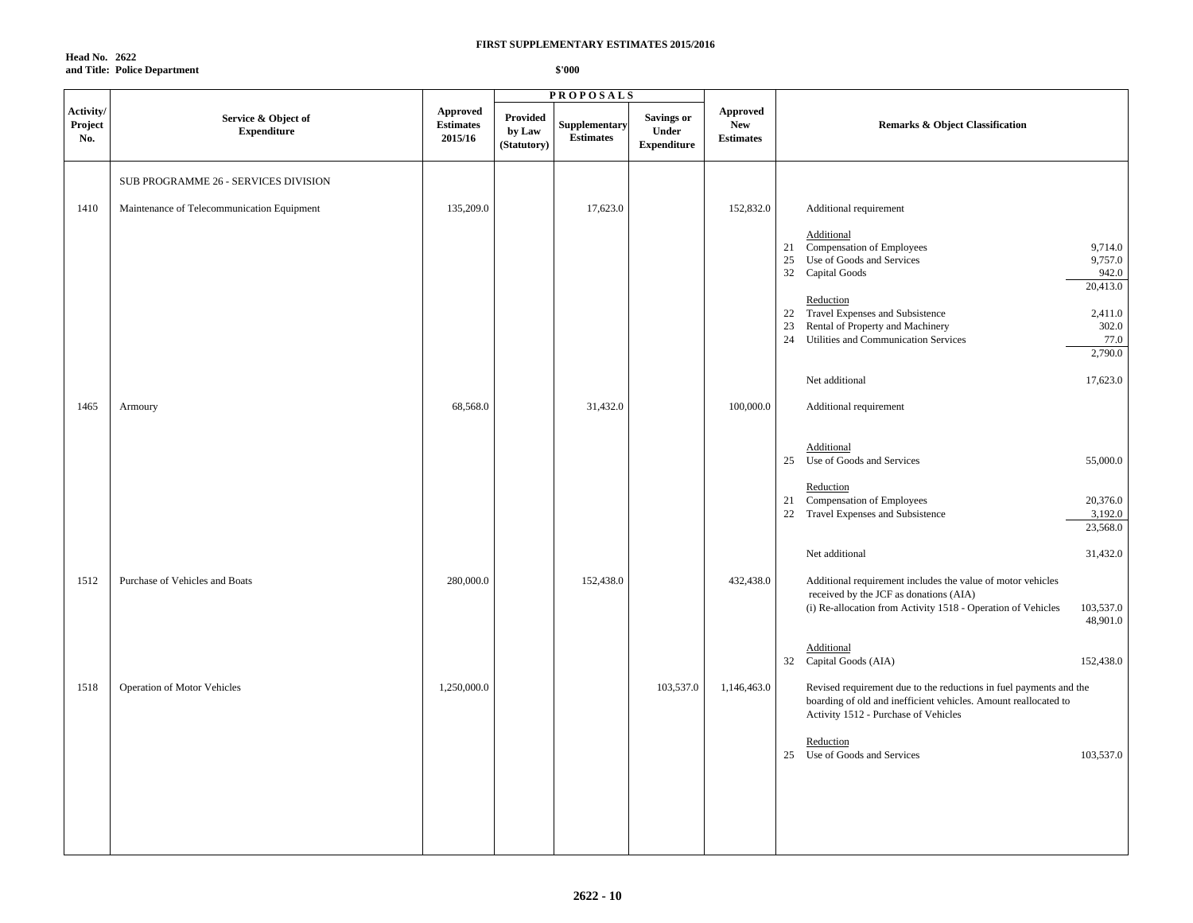**Head No. 2622 and Title: Police Department**

|                             |                                            |                                                |                                          | <b>PROPOSALS</b>                  |                                                  |                                                   |                                                                                                                                                                                                |
|-----------------------------|--------------------------------------------|------------------------------------------------|------------------------------------------|-----------------------------------|--------------------------------------------------|---------------------------------------------------|------------------------------------------------------------------------------------------------------------------------------------------------------------------------------------------------|
| Activity/<br>Project<br>No. | Service & Object of<br><b>Expenditure</b>  | <b>Approved</b><br><b>Estimates</b><br>2015/16 | <b>Provided</b><br>by Law<br>(Statutory) | Supplementary<br><b>Estimates</b> | <b>Savings or</b><br>Under<br><b>Expenditure</b> | <b>Approved</b><br><b>New</b><br><b>Estimates</b> | <b>Remarks &amp; Object Classification</b>                                                                                                                                                     |
|                             | SUB PROGRAMME 26 - SERVICES DIVISION       |                                                |                                          |                                   |                                                  |                                                   |                                                                                                                                                                                                |
| 1410                        | Maintenance of Telecommunication Equipment | 135,209.0                                      |                                          | 17,623.0                          |                                                  | 152,832.0                                         | Additional requirement                                                                                                                                                                         |
|                             |                                            |                                                |                                          |                                   |                                                  |                                                   | Additional<br>Compensation of Employees<br>9,714.0<br>21<br>Use of Goods and Services<br>9,757.0<br>25<br>32 Capital Goods<br>942.0<br>20,413.0                                                |
|                             |                                            |                                                |                                          |                                   |                                                  |                                                   | Reduction<br>22 Travel Expenses and Subsistence<br>2,411.0<br>Rental of Property and Machinery<br>302.0<br>23<br>24<br>Utilities and Communication Services<br>77.0<br>2,790.0                 |
|                             |                                            |                                                |                                          |                                   |                                                  |                                                   | Net additional<br>17,623.0                                                                                                                                                                     |
| 1465                        | Armoury                                    | 68,568.0                                       |                                          | 31,432.0                          |                                                  | 100,000.0                                         | Additional requirement                                                                                                                                                                         |
|                             |                                            |                                                |                                          |                                   |                                                  |                                                   | Additional<br>Use of Goods and Services<br>55,000.0<br>25                                                                                                                                      |
|                             |                                            |                                                |                                          |                                   |                                                  |                                                   | Reduction<br>21 Compensation of Employees<br>20,376.0<br>22 Travel Expenses and Subsistence<br>3,192.0<br>23,568.0                                                                             |
|                             |                                            |                                                |                                          |                                   |                                                  |                                                   | Net additional<br>31,432.0                                                                                                                                                                     |
| 1512                        | Purchase of Vehicles and Boats             | 280,000.0                                      |                                          | 152,438.0                         |                                                  | 432,438.0                                         | Additional requirement includes the value of motor vehicles<br>received by the JCF as donations (AIA)<br>103,537.0<br>(i) Re-allocation from Activity 1518 - Operation of Vehicles<br>48,901.0 |
|                             |                                            |                                                |                                          |                                   |                                                  |                                                   | Additional<br>32<br>Capital Goods (AIA)<br>152,438.0                                                                                                                                           |
| 1518                        | <b>Operation of Motor Vehicles</b>         | 1,250,000.0                                    |                                          |                                   | 103,537.0                                        | 1,146,463.0                                       | Revised requirement due to the reductions in fuel payments and the<br>boarding of old and inefficient vehicles. Amount reallocated to<br>Activity 1512 - Purchase of Vehicles                  |
|                             |                                            |                                                |                                          |                                   |                                                  |                                                   | Reduction<br>25 Use of Goods and Services<br>103,537.0                                                                                                                                         |
|                             |                                            |                                                |                                          |                                   |                                                  |                                                   |                                                                                                                                                                                                |
|                             |                                            |                                                |                                          |                                   |                                                  |                                                   |                                                                                                                                                                                                |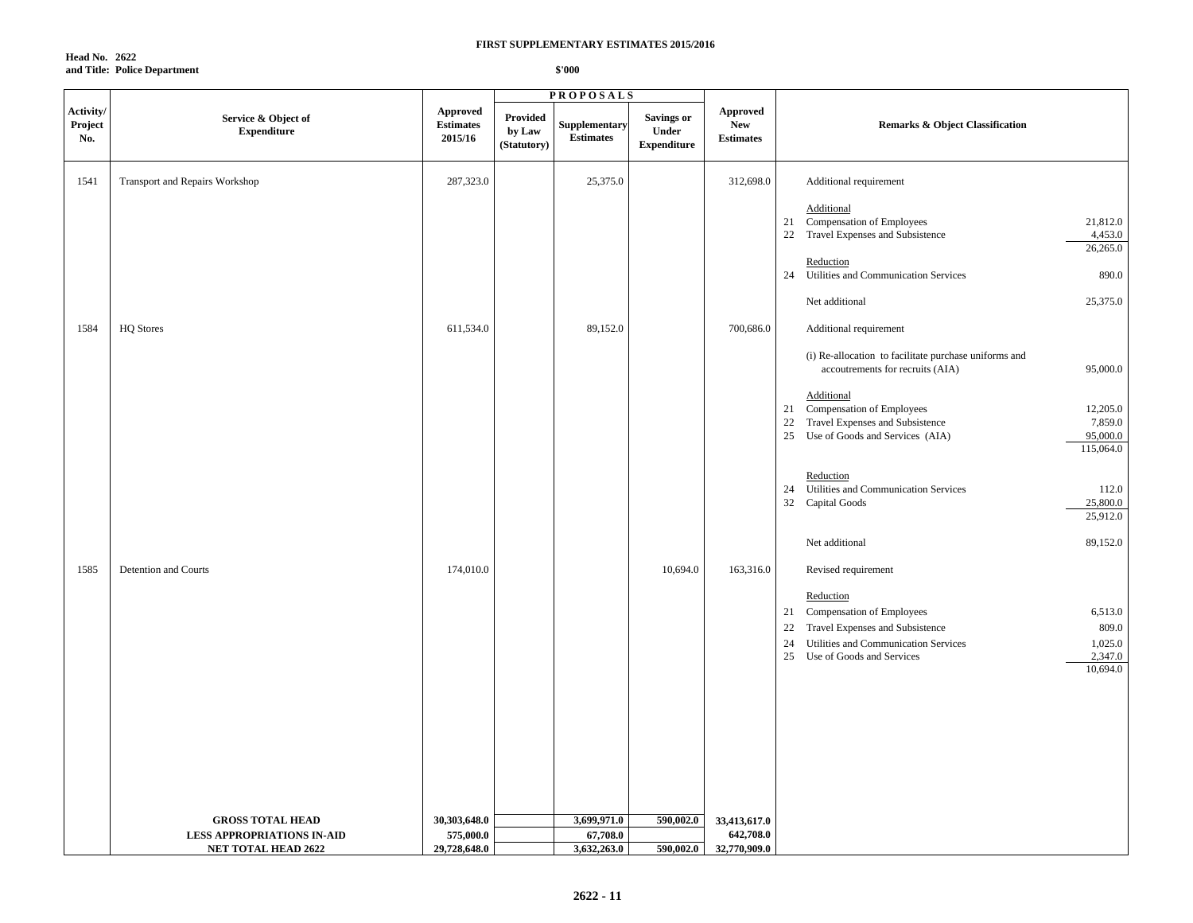**Head No. 2622 and Title: Police Department**

| Activity/<br>Project<br>No. | Service & Object of<br><b>Expenditure</b> | <b>Approved</b><br><b>Estimates</b><br>2015/16 | Provided<br>by Law<br>(Statutory) | Supplementary<br><b>Estimates</b> | <b>Savings or</b><br>Under<br><b>Expenditure</b> | <b>Approved</b><br><b>New</b><br><b>Estimates</b> | <b>Remarks &amp; Object Classification</b>                                                                                                                                                                                          |
|-----------------------------|-------------------------------------------|------------------------------------------------|-----------------------------------|-----------------------------------|--------------------------------------------------|---------------------------------------------------|-------------------------------------------------------------------------------------------------------------------------------------------------------------------------------------------------------------------------------------|
| 1541                        | Transport and Repairs Workshop            | 287,323.0                                      |                                   | 25,375.0                          |                                                  | 312,698.0                                         | Additional requirement                                                                                                                                                                                                              |
|                             |                                           |                                                |                                   |                                   |                                                  |                                                   | Additional<br>21 Compensation of Employees<br>21,812.0<br>Travel Expenses and Subsistence<br>4,453.0<br>22<br>26,265.0                                                                                                              |
|                             |                                           |                                                |                                   |                                   |                                                  |                                                   | Reduction<br>Utilities and Communication Services<br>890.0<br>24                                                                                                                                                                    |
|                             |                                           |                                                |                                   |                                   |                                                  |                                                   | Net additional<br>25,375.0                                                                                                                                                                                                          |
| 1584                        | <b>HQ</b> Stores                          | 611,534.0                                      |                                   | 89,152.0                          |                                                  | 700,686.0                                         | Additional requirement                                                                                                                                                                                                              |
|                             |                                           |                                                |                                   |                                   |                                                  |                                                   | (i) Re-allocation to facilitate purchase uniforms and<br>accoutrements for recruits (AIA)<br>95,000.0                                                                                                                               |
|                             |                                           |                                                |                                   |                                   |                                                  |                                                   | Additional<br>21 Compensation of Employees<br>12,205.0<br>7,859.0<br>Travel Expenses and Subsistence<br>22<br>95,000.0<br>25<br>Use of Goods and Services (AIA)<br>115,064.0                                                        |
|                             |                                           |                                                |                                   |                                   |                                                  |                                                   | Reduction<br>Utilities and Communication Services<br>112.0<br>24<br>25,800.0<br>32<br>Capital Goods<br>25,912.0                                                                                                                     |
|                             |                                           |                                                |                                   |                                   |                                                  |                                                   | 89,152.0<br>Net additional                                                                                                                                                                                                          |
| 1585                        | Detention and Courts                      | 174,010.0                                      |                                   |                                   | 10,694.0                                         | 163,316.0                                         | Revised requirement                                                                                                                                                                                                                 |
|                             |                                           |                                                |                                   |                                   |                                                  |                                                   | Reduction<br><b>Compensation of Employees</b><br>6,513.0<br>21<br>Travel Expenses and Subsistence<br>809.0<br>22<br>1,025.0<br>Utilities and Communication Services<br>24<br>2,347.0<br>25<br>Use of Goods and Services<br>10,694.0 |
|                             | <b>GROSS TOTAL HEAD</b>                   | 30,303,648.0                                   |                                   | 3,699,971.0                       | 590,002.0                                        | 33,413,617.0                                      |                                                                                                                                                                                                                                     |
|                             | <b>LESS APPROPRIATIONS IN-AID</b>         | 575,000.0                                      |                                   | 67,708.0                          |                                                  | 642,708.0                                         |                                                                                                                                                                                                                                     |
|                             | <b>NET TOTAL HEAD 2622</b>                | 29,728,648.0                                   |                                   | 3,632,263.0                       | 590,002.0                                        | 32,770,909.0                                      |                                                                                                                                                                                                                                     |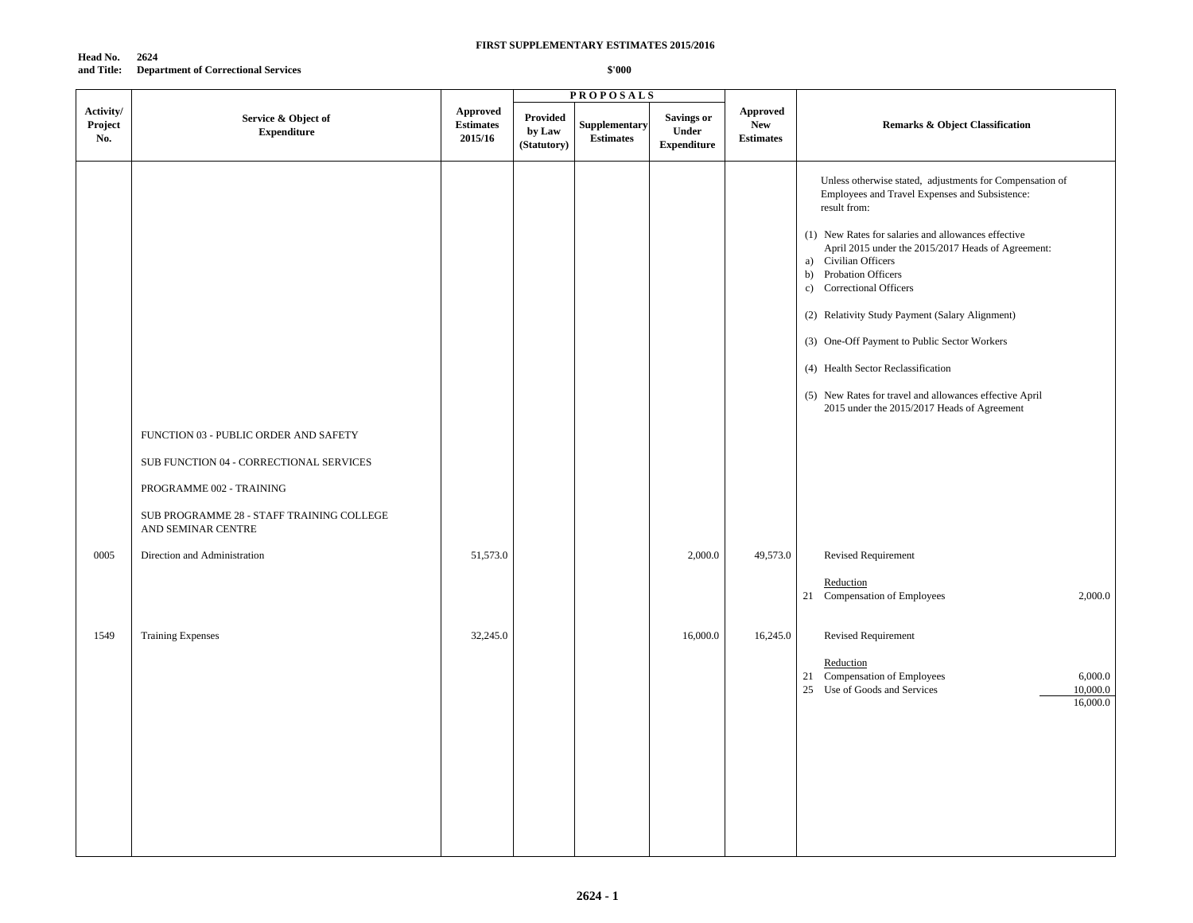**Head No. 2624 and Title: Department of Correctional Services**

|                             |                                                                                                              |                                         |                                   | <b>PROPOSALS</b>                  |                                                  |                                                   |                                                                                                                                                                                                                                                                                                                                                                                                                                                                                                                                                                                           |
|-----------------------------|--------------------------------------------------------------------------------------------------------------|-----------------------------------------|-----------------------------------|-----------------------------------|--------------------------------------------------|---------------------------------------------------|-------------------------------------------------------------------------------------------------------------------------------------------------------------------------------------------------------------------------------------------------------------------------------------------------------------------------------------------------------------------------------------------------------------------------------------------------------------------------------------------------------------------------------------------------------------------------------------------|
| Activity/<br>Project<br>No. | Service & Object of<br><b>Expenditure</b>                                                                    | Approved<br><b>Estimates</b><br>2015/16 | Provided<br>by Law<br>(Statutory) | Supplementary<br><b>Estimates</b> | Savings or<br><b>Under</b><br><b>Expenditure</b> | <b>Approved</b><br><b>New</b><br><b>Estimates</b> | Remarks & Object Classification                                                                                                                                                                                                                                                                                                                                                                                                                                                                                                                                                           |
|                             | FUNCTION 03 - PUBLIC ORDER AND SAFETY<br>SUB FUNCTION 04 - CORRECTIONAL SERVICES<br>PROGRAMME 002 - TRAINING |                                         |                                   |                                   |                                                  |                                                   | Unless otherwise stated, adjustments for Compensation of<br>Employees and Travel Expenses and Subsistence:<br>result from:<br>(1) New Rates for salaries and allowances effective<br>April 2015 under the 2015/2017 Heads of Agreement:<br>a) Civilian Officers<br>b)<br>Probation Officers<br>Correctional Officers<br>$\mathbf{c}$ )<br>(2) Relativity Study Payment (Salary Alignment)<br>(3) One-Off Payment to Public Sector Workers<br>(4) Health Sector Reclassification<br>(5) New Rates for travel and allowances effective April<br>2015 under the 2015/2017 Heads of Agreement |
|                             | SUB PROGRAMME 28 - STAFF TRAINING COLLEGE<br>AND SEMINAR CENTRE                                              |                                         |                                   |                                   |                                                  |                                                   |                                                                                                                                                                                                                                                                                                                                                                                                                                                                                                                                                                                           |
| 0005                        | Direction and Administration                                                                                 | 51,573.0                                |                                   |                                   | 2,000.0                                          | 49,573.0                                          | Revised Requirement                                                                                                                                                                                                                                                                                                                                                                                                                                                                                                                                                                       |
|                             |                                                                                                              |                                         |                                   |                                   |                                                  |                                                   | Reduction<br>21 Compensation of Employees<br>2,000.0                                                                                                                                                                                                                                                                                                                                                                                                                                                                                                                                      |
| 1549                        | <b>Training Expenses</b>                                                                                     | 32,245.0                                |                                   |                                   | 16,000.0                                         | 16,245.0                                          | Revised Requirement<br>Reduction<br>21 Compensation of Employees<br>6,000.0<br>25 Use of Goods and Services<br>10,000.0<br>16,000.0                                                                                                                                                                                                                                                                                                                                                                                                                                                       |
|                             |                                                                                                              |                                         |                                   |                                   |                                                  |                                                   |                                                                                                                                                                                                                                                                                                                                                                                                                                                                                                                                                                                           |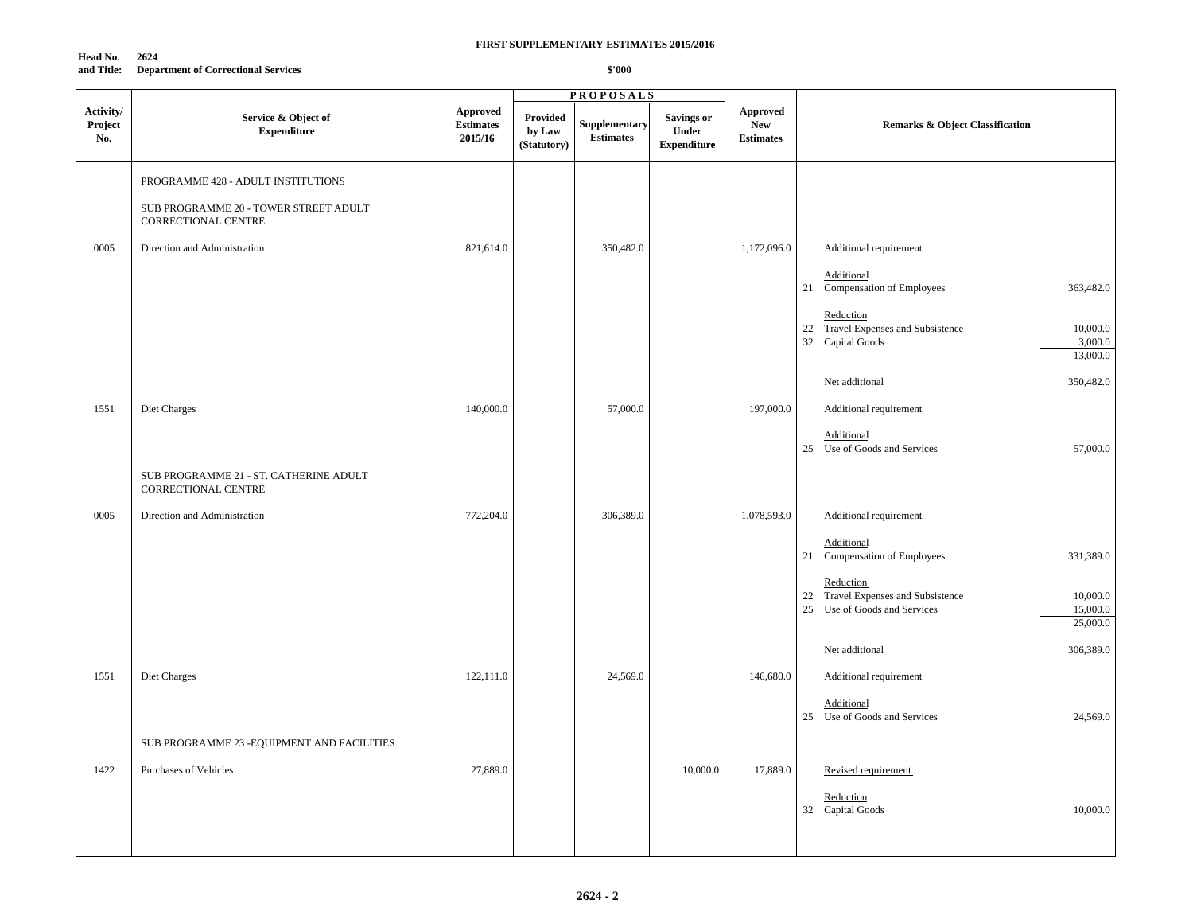**Head No. 2624 and Title: Department of Correctional Services**

|                             |                                                                                                    |                                                |                                   | <b>PROPOSALS</b>                  |                                                  |                                                   |                                                                                                                                                                  |
|-----------------------------|----------------------------------------------------------------------------------------------------|------------------------------------------------|-----------------------------------|-----------------------------------|--------------------------------------------------|---------------------------------------------------|------------------------------------------------------------------------------------------------------------------------------------------------------------------|
| Activity/<br>Project<br>No. | Service & Object of<br><b>Expenditure</b>                                                          | <b>Approved</b><br><b>Estimates</b><br>2015/16 | Provided<br>by Law<br>(Statutory) | Supplementary<br><b>Estimates</b> | <b>Savings or</b><br>Under<br><b>Expenditure</b> | <b>Approved</b><br><b>New</b><br><b>Estimates</b> | <b>Remarks &amp; Object Classification</b>                                                                                                                       |
|                             | PROGRAMME 428 - ADULT INSTITUTIONS<br>SUB PROGRAMME 20 - TOWER STREET ADULT<br>CORRECTIONAL CENTRE |                                                |                                   |                                   |                                                  |                                                   |                                                                                                                                                                  |
| 0005                        | Direction and Administration                                                                       | 821,614.0                                      |                                   | 350,482.0                         |                                                  | 1,172,096.0                                       | Additional requirement<br>Additional<br>21 Compensation of Employees<br>363,482.0                                                                                |
|                             |                                                                                                    |                                                |                                   |                                   |                                                  |                                                   | Reduction<br>22 Travel Expenses and Subsistence<br>10,000.0<br>3,000.0<br>32 Capital Goods<br>13,000.0                                                           |
| 1551                        | Diet Charges                                                                                       | 140,000.0                                      |                                   | 57,000.0                          |                                                  | 197,000.0                                         | 350,482.0<br>Net additional<br>Additional requirement<br>Additional                                                                                              |
|                             | SUB PROGRAMME 21 - ST. CATHERINE ADULT<br>CORRECTIONAL CENTRE                                      |                                                |                                   |                                   |                                                  |                                                   | 25 Use of Goods and Services<br>57,000.0                                                                                                                         |
| 0005                        | Direction and Administration                                                                       | 772,204.0                                      |                                   | 306,389.0                         |                                                  | 1,078,593.0                                       | Additional requirement<br>Additional                                                                                                                             |
|                             |                                                                                                    |                                                |                                   |                                   |                                                  |                                                   | 21 Compensation of Employees<br>331,389.0<br>Reduction<br>22 Travel Expenses and Subsistence<br>10,000.0<br>25 Use of Goods and Services<br>15,000.0<br>25,000.0 |
| 1551                        | Diet Charges                                                                                       | 122,111.0                                      |                                   | 24,569.0                          |                                                  | 146,680.0                                         | Net additional<br>306,389.0<br>Additional requirement                                                                                                            |
|                             |                                                                                                    |                                                |                                   |                                   |                                                  |                                                   | Additional<br>25 Use of Goods and Services<br>24,569.0                                                                                                           |
|                             | SUB PROGRAMME 23 - EQUIPMENT AND FACILITIES                                                        |                                                |                                   |                                   |                                                  |                                                   |                                                                                                                                                                  |
| 1422                        | Purchases of Vehicles                                                                              | 27,889.0                                       |                                   |                                   | 10,000.0                                         | 17,889.0                                          | Revised requirement<br>Reduction<br>10,000.0<br>32 Capital Goods                                                                                                 |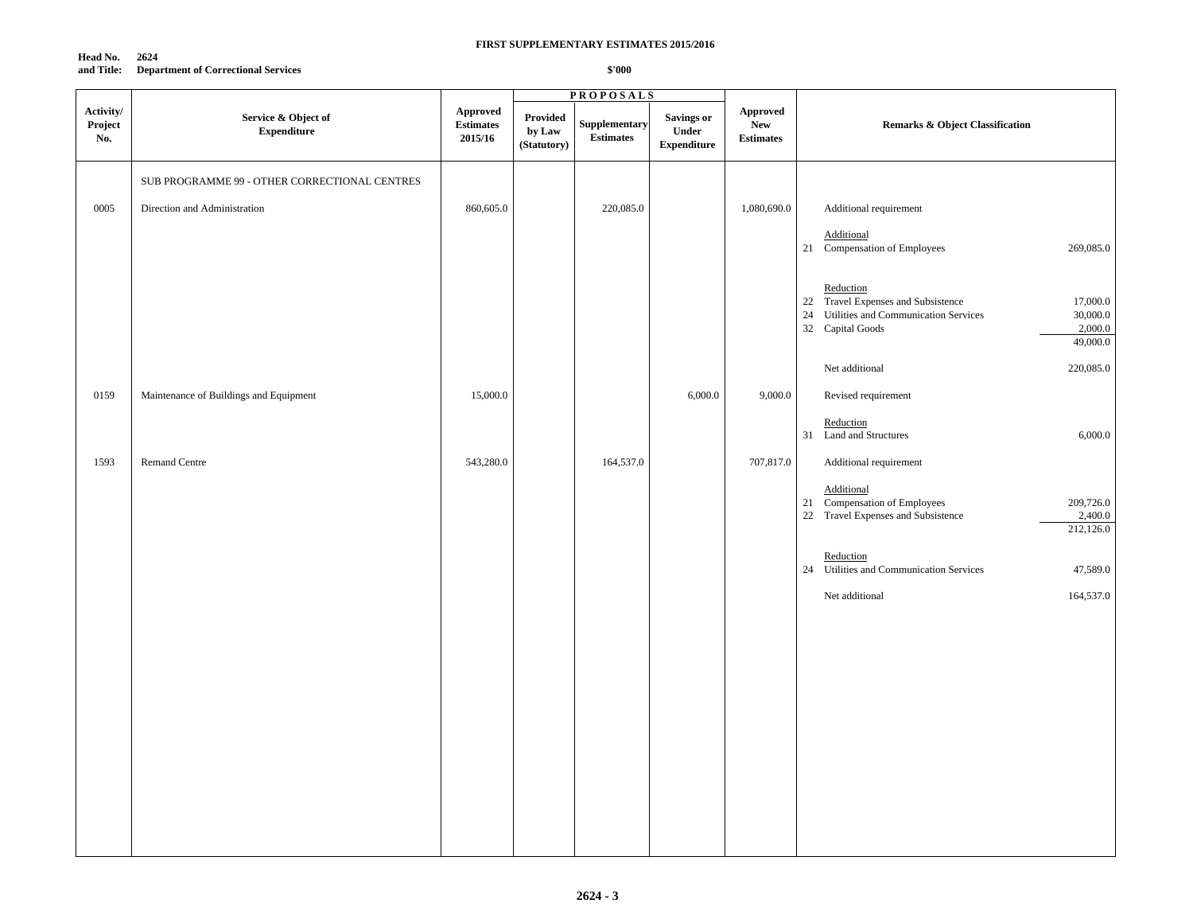#### **Head No. 2624 and Title: Department of Correctional Services**

|                             |                                               |                                         |                                   | <b>PROPOSALS</b>                  |                                                          |                                                   |                                                                                                                                                               |
|-----------------------------|-----------------------------------------------|-----------------------------------------|-----------------------------------|-----------------------------------|----------------------------------------------------------|---------------------------------------------------|---------------------------------------------------------------------------------------------------------------------------------------------------------------|
| Activity/<br>Project<br>No. | Service & Object of<br><b>Expenditure</b>     | Approved<br><b>Estimates</b><br>2015/16 | Provided<br>by Law<br>(Statutory) | Supplementary<br><b>Estimates</b> | <b>Savings or</b><br>${\bf Under}$<br><b>Expenditure</b> | <b>Approved</b><br><b>New</b><br><b>Estimates</b> | <b>Remarks &amp; Object Classification</b>                                                                                                                    |
|                             | SUB PROGRAMME 99 - OTHER CORRECTIONAL CENTRES |                                         |                                   |                                   |                                                          |                                                   |                                                                                                                                                               |
| 0005                        | Direction and Administration                  | 860,605.0                               |                                   | 220,085.0                         |                                                          | 1,080,690.0                                       | Additional requirement                                                                                                                                        |
|                             |                                               |                                         |                                   |                                   |                                                          |                                                   | Additional<br>269,085.0<br>21 Compensation of Employees                                                                                                       |
|                             |                                               |                                         |                                   |                                   |                                                          |                                                   | Reduction<br>22 Travel Expenses and Subsistence<br>17,000.0<br>24 Utilities and Communication Services<br>30,000.0<br>32 Capital Goods<br>2,000.0<br>49,000.0 |
|                             |                                               |                                         |                                   |                                   |                                                          |                                                   | Net additional<br>220,085.0                                                                                                                                   |
| 0159                        | Maintenance of Buildings and Equipment        | 15,000.0                                |                                   |                                   | 6,000.0                                                  | 9,000.0                                           | Revised requirement                                                                                                                                           |
|                             |                                               |                                         |                                   |                                   |                                                          |                                                   | Reduction<br>31 Land and Structures<br>6,000.0                                                                                                                |
| 1593                        | Remand Centre                                 | 543,280.0                               |                                   | 164,537.0                         |                                                          | 707,817.0                                         | Additional requirement                                                                                                                                        |
|                             |                                               |                                         |                                   |                                   |                                                          |                                                   | Additional<br>21 Compensation of Employees<br>209,726.0<br>2,400.0<br>22 Travel Expenses and Subsistence<br>212,126.0                                         |
|                             |                                               |                                         |                                   |                                   |                                                          |                                                   | Reduction<br>24 Utilities and Communication Services<br>47,589.0                                                                                              |
|                             |                                               |                                         |                                   |                                   |                                                          |                                                   | 164,537.0<br>Net additional                                                                                                                                   |
|                             |                                               |                                         |                                   |                                   |                                                          |                                                   |                                                                                                                                                               |
|                             |                                               |                                         |                                   |                                   |                                                          |                                                   |                                                                                                                                                               |
|                             |                                               |                                         |                                   |                                   |                                                          |                                                   |                                                                                                                                                               |
|                             |                                               |                                         |                                   |                                   |                                                          |                                                   |                                                                                                                                                               |
|                             |                                               |                                         |                                   |                                   |                                                          |                                                   |                                                                                                                                                               |
|                             |                                               |                                         |                                   |                                   |                                                          |                                                   |                                                                                                                                                               |
|                             |                                               |                                         |                                   |                                   |                                                          |                                                   |                                                                                                                                                               |
|                             |                                               |                                         |                                   |                                   |                                                          |                                                   |                                                                                                                                                               |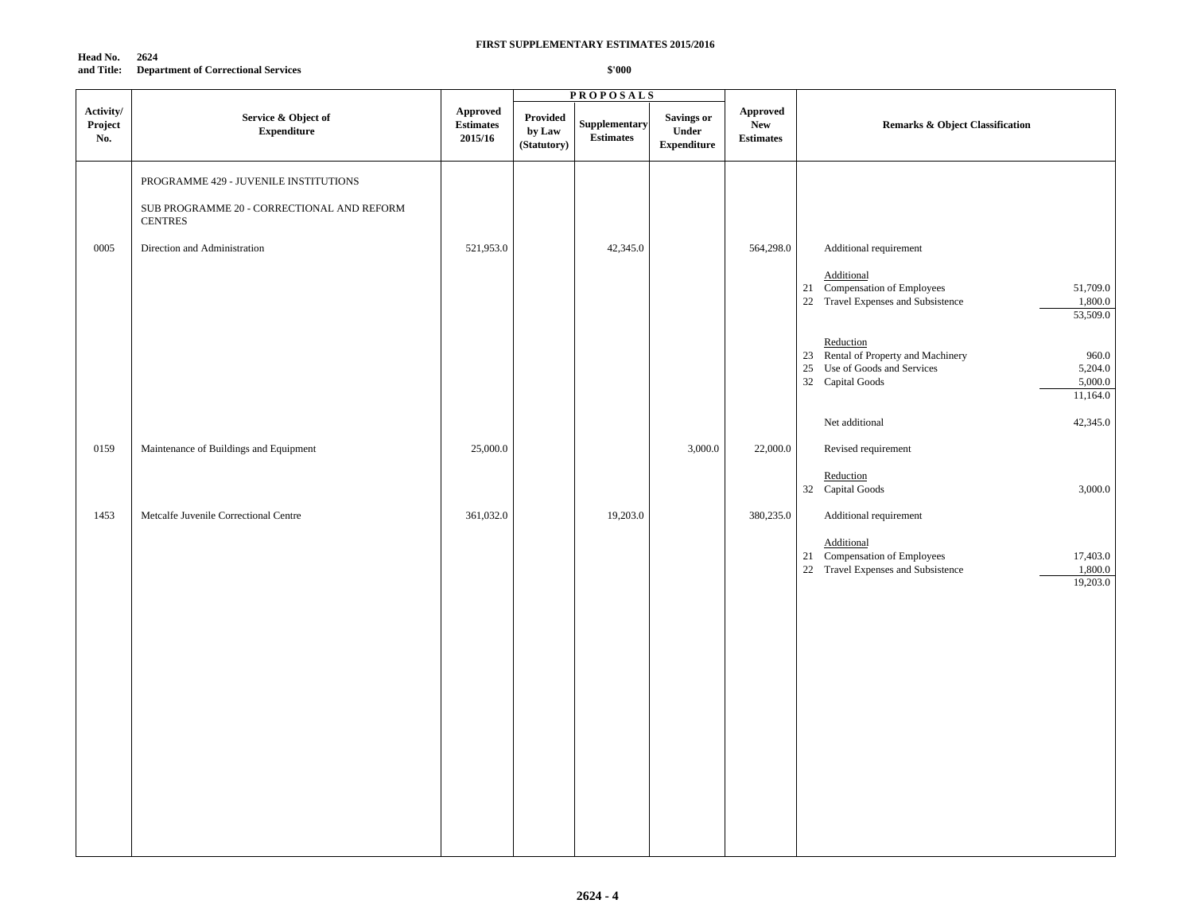| Head No.   | 2624                                       |
|------------|--------------------------------------------|
| and Title: | <b>Department of Correctional Services</b> |

|                             |                                                                                                       |                                                |                                   | <b>PROPOSALS</b>                 |                                           |                                                   |                                                                                                                                                      |
|-----------------------------|-------------------------------------------------------------------------------------------------------|------------------------------------------------|-----------------------------------|----------------------------------|-------------------------------------------|---------------------------------------------------|------------------------------------------------------------------------------------------------------------------------------------------------------|
| Activity/<br>Project<br>No. | Service & Object of<br><b>Expenditure</b>                                                             | <b>Approved</b><br><b>Estimates</b><br>2015/16 | Provided<br>by Law<br>(Statutory) | Supplementary<br>$\bf Estimates$ | Savings or<br>Under<br><b>Expenditure</b> | <b>Approved</b><br><b>New</b><br><b>Estimates</b> | <b>Remarks &amp; Object Classification</b>                                                                                                           |
|                             | PROGRAMME 429 - JUVENILE INSTITUTIONS<br>SUB PROGRAMME 20 - CORRECTIONAL AND REFORM<br><b>CENTRES</b> |                                                |                                   |                                  |                                           |                                                   |                                                                                                                                                      |
| 0005                        | Direction and Administration                                                                          | 521,953.0                                      |                                   | 42,345.0                         |                                           | 564,298.0                                         | Additional requirement<br><b>Additional</b><br>21 Compensation of Employees<br>51,709.0<br>22 Travel Expenses and Subsistence<br>1,800.0<br>53,509.0 |
|                             |                                                                                                       |                                                |                                   |                                  |                                           |                                                   | Reduction<br>23 Rental of Property and Machinery<br>960.0<br>25 Use of Goods and Services<br>5,204.0<br>5,000.0<br>32 Capital Goods<br>11,164.0      |
| 0159                        | Maintenance of Buildings and Equipment                                                                | 25,000.0                                       |                                   |                                  | 3,000.0                                   | 22,000.0                                          | 42,345.0<br>Net additional<br>Revised requirement                                                                                                    |
| 1453                        | Metcalfe Juvenile Correctional Centre                                                                 | 361,032.0                                      |                                   | 19,203.0                         |                                           | 380,235.0                                         | Reduction<br>32 Capital Goods<br>3,000.0<br>Additional requirement                                                                                   |
|                             |                                                                                                       |                                                |                                   |                                  |                                           |                                                   | Additional<br>21 Compensation of Employees<br>17,403.0<br>1,800.0<br>22 Travel Expenses and Subsistence<br>19,203.0                                  |
|                             |                                                                                                       |                                                |                                   |                                  |                                           |                                                   |                                                                                                                                                      |
|                             |                                                                                                       |                                                |                                   |                                  |                                           |                                                   |                                                                                                                                                      |
|                             |                                                                                                       |                                                |                                   |                                  |                                           |                                                   |                                                                                                                                                      |
|                             |                                                                                                       |                                                |                                   |                                  |                                           |                                                   |                                                                                                                                                      |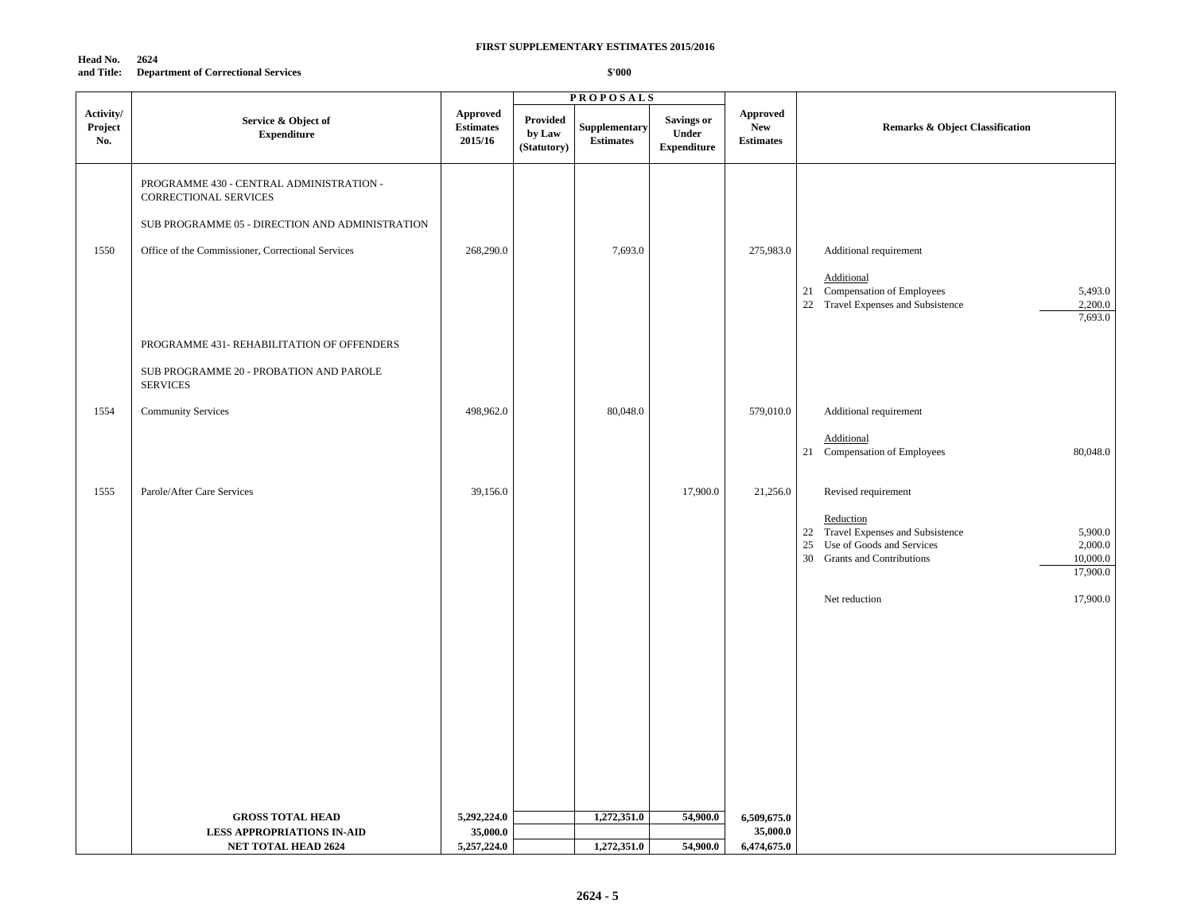**Head No. 2624 and Title: Department of Correctional Services**

|                             |                                                                                                                                                                           |                                         |                                          | <b>PROPOSALS</b>                  |                                                  |                                                   |                                                                                                                                                                           |
|-----------------------------|---------------------------------------------------------------------------------------------------------------------------------------------------------------------------|-----------------------------------------|------------------------------------------|-----------------------------------|--------------------------------------------------|---------------------------------------------------|---------------------------------------------------------------------------------------------------------------------------------------------------------------------------|
| Activity/<br>Project<br>No. | Service & Object of<br><b>Expenditure</b>                                                                                                                                 | Approved<br><b>Estimates</b><br>2015/16 | <b>Provided</b><br>by Law<br>(Statutory) | Supplementary<br><b>Estimates</b> | <b>Savings or</b><br>Under<br><b>Expenditure</b> | <b>Approved</b><br><b>New</b><br><b>Estimates</b> | <b>Remarks &amp; Object Classification</b>                                                                                                                                |
| 1550                        | PROGRAMME 430 - CENTRAL ADMINISTRATION -<br>CORRECTIONAL SERVICES<br>SUB PROGRAMME 05 - DIRECTION AND ADMINISTRATION<br>Office of the Commissioner, Correctional Services | 268,290.0                               |                                          | 7,693.0                           |                                                  | 275,983.0                                         | Additional requirement                                                                                                                                                    |
|                             |                                                                                                                                                                           |                                         |                                          |                                   |                                                  |                                                   | <b>Additional</b><br>21 Compensation of Employees<br>5,493.0<br>2,200.0<br>22 Travel Expenses and Subsistence<br>7,693.0                                                  |
|                             | PROGRAMME 431- REHABILITATION OF OFFENDERS<br>SUB PROGRAMME 20 - PROBATION AND PAROLE<br><b>SERVICES</b>                                                                  |                                         |                                          |                                   |                                                  |                                                   |                                                                                                                                                                           |
| 1554                        | <b>Community Services</b>                                                                                                                                                 | 498,962.0                               |                                          | 80,048.0                          |                                                  | 579,010.0                                         | Additional requirement<br>Additional<br>21 Compensation of Employees<br>80,048.0                                                                                          |
| 1555                        | Parole/After Care Services                                                                                                                                                | 39,156.0                                |                                          |                                   | 17,900.0                                         | 21,256.0                                          | Revised requirement                                                                                                                                                       |
|                             |                                                                                                                                                                           |                                         |                                          |                                   |                                                  |                                                   | Reduction<br>22 Travel Expenses and Subsistence<br>5,900.0<br>Use of Goods and Services<br>2,000.0<br>25<br>10,000.0<br>30<br><b>Grants and Contributions</b><br>17,900.0 |
|                             |                                                                                                                                                                           |                                         |                                          |                                   |                                                  |                                                   | 17,900.0<br>Net reduction                                                                                                                                                 |
|                             |                                                                                                                                                                           |                                         |                                          |                                   |                                                  |                                                   |                                                                                                                                                                           |
|                             |                                                                                                                                                                           |                                         |                                          |                                   |                                                  |                                                   |                                                                                                                                                                           |
|                             |                                                                                                                                                                           |                                         |                                          |                                   |                                                  |                                                   |                                                                                                                                                                           |
|                             | <b>GROSS TOTAL HEAD</b>                                                                                                                                                   | 5,292,224.0                             |                                          | 1,272,351.0                       | 54,900.0                                         | 6,509,675.0                                       |                                                                                                                                                                           |
|                             | <b>LESS APPROPRIATIONS IN-AID</b>                                                                                                                                         | 35,000.0                                |                                          |                                   |                                                  | 35,000.0                                          |                                                                                                                                                                           |
|                             | <b>NET TOTAL HEAD 2624</b>                                                                                                                                                | 5,257,224.0                             |                                          | 1,272,351.0                       | 54,900.0                                         | 6,474,675.0                                       |                                                                                                                                                                           |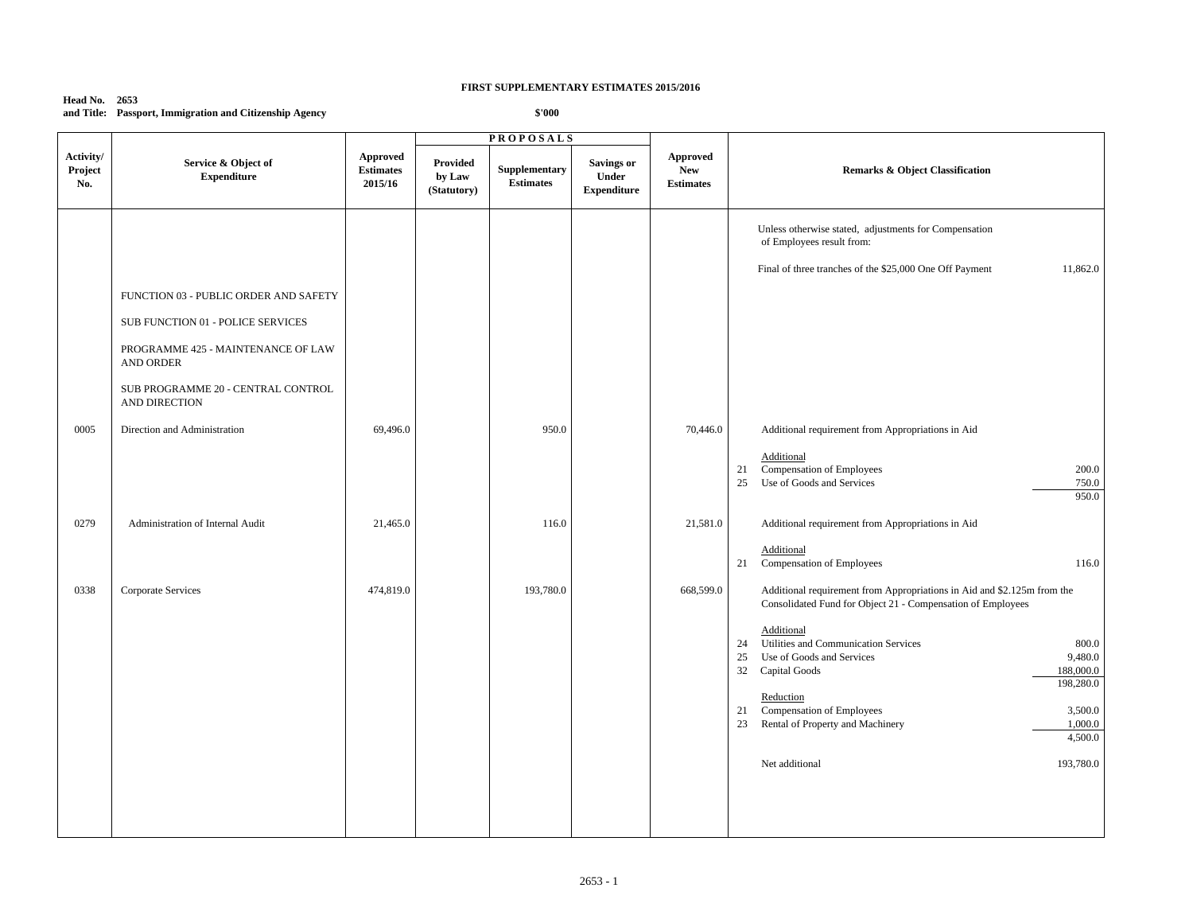**Head No. 2653 and Title: Passport, Immigration and Citizenship Agency**

|                                                     |                                                |                                   | <b>PROPOSALS</b>                  |                                                  |                                            |                                                                                                                                                                                                                       |
|-----------------------------------------------------|------------------------------------------------|-----------------------------------|-----------------------------------|--------------------------------------------------|--------------------------------------------|-----------------------------------------------------------------------------------------------------------------------------------------------------------------------------------------------------------------------|
| Service & Object of<br><b>Expenditure</b>           | <b>Approved</b><br><b>Estimates</b><br>2015/16 | Provided<br>by Law<br>(Statutory) | Supplementary<br><b>Estimates</b> | <b>Savings or</b><br>Under<br><b>Expenditure</b> | Approved<br><b>New</b><br><b>Estimates</b> | <b>Remarks &amp; Object Classification</b>                                                                                                                                                                            |
|                                                     |                                                |                                   |                                   |                                                  |                                            | Unless otherwise stated, adjustments for Compensation<br>of Employees result from:                                                                                                                                    |
|                                                     |                                                |                                   |                                   |                                                  |                                            | 11,862.0<br>Final of three tranches of the \$25,000 One Off Payment                                                                                                                                                   |
| FUNCTION 03 - PUBLIC ORDER AND SAFETY               |                                                |                                   |                                   |                                                  |                                            |                                                                                                                                                                                                                       |
| SUB FUNCTION 01 - POLICE SERVICES                   |                                                |                                   |                                   |                                                  |                                            |                                                                                                                                                                                                                       |
| PROGRAMME 425 - MAINTENANCE OF LAW<br>AND ORDER     |                                                |                                   |                                   |                                                  |                                            |                                                                                                                                                                                                                       |
| SUB PROGRAMME 20 - CENTRAL CONTROL<br>AND DIRECTION |                                                |                                   |                                   |                                                  |                                            |                                                                                                                                                                                                                       |
| Direction and Administration                        | 69,496.0                                       |                                   | 950.0                             |                                                  | 70,446.0                                   | Additional requirement from Appropriations in Aid                                                                                                                                                                     |
|                                                     |                                                |                                   |                                   |                                                  |                                            | Additional<br>Compensation of Employees<br>200.0<br>21<br>Use of Goods and Services<br>25<br>750.0<br>950.0                                                                                                           |
| Administration of Internal Audit                    | 21,465.0                                       |                                   | 116.0                             |                                                  | 21,581.0                                   | Additional requirement from Appropriations in Aid                                                                                                                                                                     |
|                                                     |                                                |                                   |                                   |                                                  |                                            | Additional<br>21<br>Compensation of Employees<br>116.0                                                                                                                                                                |
| Corporate Services                                  | 474,819.0                                      |                                   | 193,780.0                         |                                                  | 668,599.0                                  | Additional requirement from Appropriations in Aid and \$2.125m from the<br>Consolidated Fund for Object 21 - Compensation of Employees                                                                                |
|                                                     |                                                |                                   |                                   |                                                  |                                            | Additional<br>Utilities and Communication Services<br>800.0<br>24<br>9,480.0<br>Use of Goods and Services<br>25<br>32 Capital Goods<br>188,000.0<br>198,280.0<br>Reduction<br>21 Compensation of Employees<br>3,500.0 |
|                                                     |                                                |                                   |                                   |                                                  |                                            | Rental of Property and Machinery<br>1,000.0<br>23<br>4,500.0                                                                                                                                                          |
|                                                     |                                                |                                   |                                   |                                                  |                                            | 193,780.0<br>Net additional                                                                                                                                                                                           |
|                                                     |                                                |                                   |                                   |                                                  |                                            |                                                                                                                                                                                                                       |
|                                                     |                                                |                                   |                                   |                                                  |                                            |                                                                                                                                                                                                                       |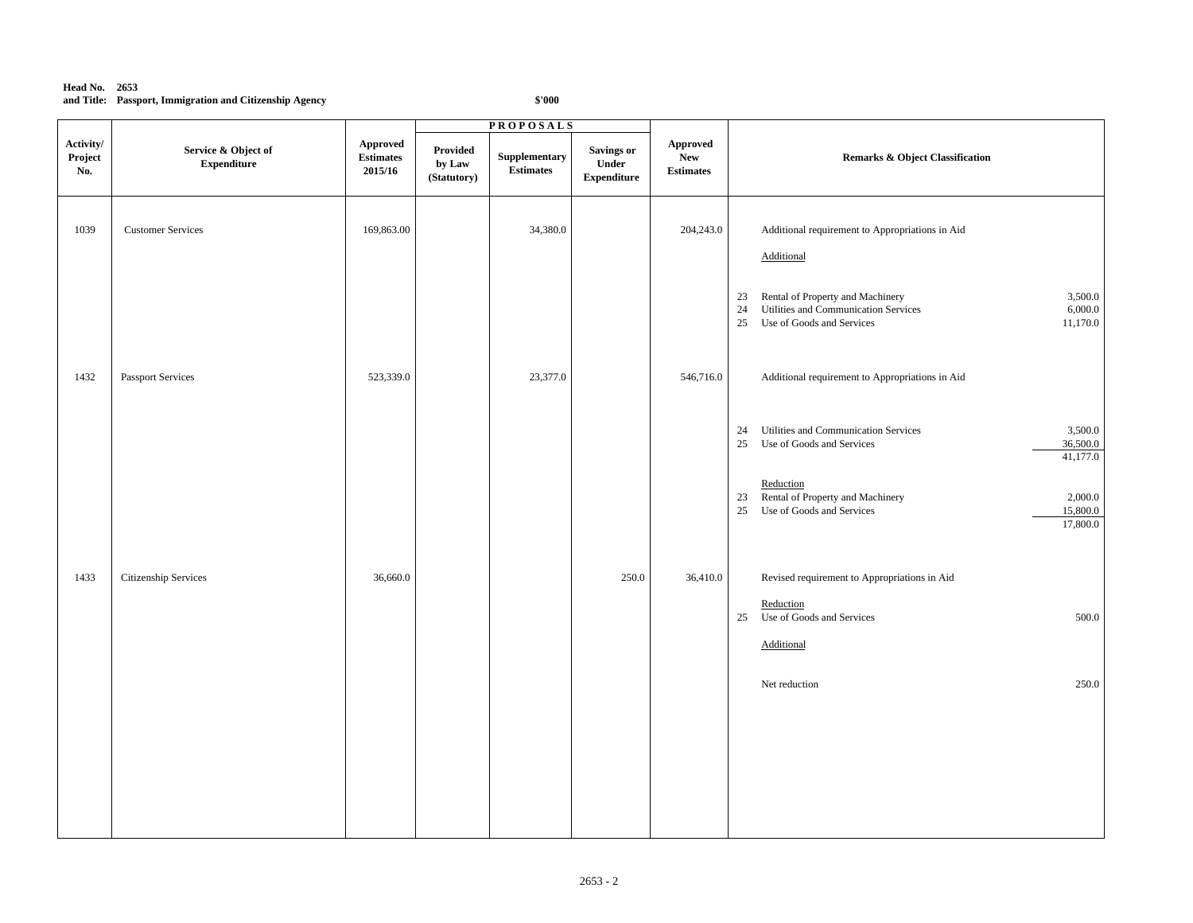### **Head No. 2653 and Title: Passport, Immigration and Citizenship Agency**

|                             |                                            | <b>PROPOSALS</b>                        |                                   |                                   |                                                          |                                            |                                                                                                                                                           |
|-----------------------------|--------------------------------------------|-----------------------------------------|-----------------------------------|-----------------------------------|----------------------------------------------------------|--------------------------------------------|-----------------------------------------------------------------------------------------------------------------------------------------------------------|
| Activity/<br>Project<br>No. | Service & Object of<br>${\bf Expenditure}$ | Approved<br><b>Estimates</b><br>2015/16 | Provided<br>by Law<br>(Statutory) | Supplementary<br><b>Estimates</b> | <b>Savings or</b><br>${\bf Under}$<br><b>Expenditure</b> | Approved<br><b>New</b><br><b>Estimates</b> | Remarks & Object Classification                                                                                                                           |
| 1039                        | <b>Customer Services</b>                   | 169,863.00                              |                                   | 34,380.0                          |                                                          | 204,243.0                                  | Additional requirement to Appropriations in Aid<br>Additional                                                                                             |
|                             |                                            |                                         |                                   |                                   |                                                          |                                            | Rental of Property and Machinery<br>3,500.0<br>23<br>Utilities and Communication Services<br>6,000.0<br>24<br>Use of Goods and Services<br>11,170.0<br>25 |
| 1432                        | Passport Services                          | 523,339.0                               |                                   | 23,377.0                          |                                                          | 546,716.0                                  | Additional requirement to Appropriations in Aid                                                                                                           |
|                             |                                            |                                         |                                   |                                   |                                                          |                                            | Utilities and Communication Services<br>3,500.0<br>24<br>Use of Goods and Services<br>36,500.0<br>25<br>41,177.0                                          |
|                             |                                            |                                         |                                   |                                   |                                                          |                                            | Reduction<br>Rental of Property and Machinery<br>2,000.0<br>23<br>15,800.0<br>25<br>Use of Goods and Services<br>17,800.0                                 |
| 1433                        | Citizenship Services                       | 36,660.0                                |                                   |                                   | 250.0                                                    | 36,410.0                                   | Revised requirement to Appropriations in Aid                                                                                                              |
|                             |                                            |                                         |                                   |                                   |                                                          |                                            | Reduction<br>Use of Goods and Services<br>500.0<br>25<br>Additional                                                                                       |
|                             |                                            |                                         |                                   |                                   |                                                          |                                            | 250.0<br>Net reduction                                                                                                                                    |
|                             |                                            |                                         |                                   |                                   |                                                          |                                            |                                                                                                                                                           |
|                             |                                            |                                         |                                   |                                   |                                                          |                                            |                                                                                                                                                           |
|                             |                                            |                                         |                                   |                                   |                                                          |                                            |                                                                                                                                                           |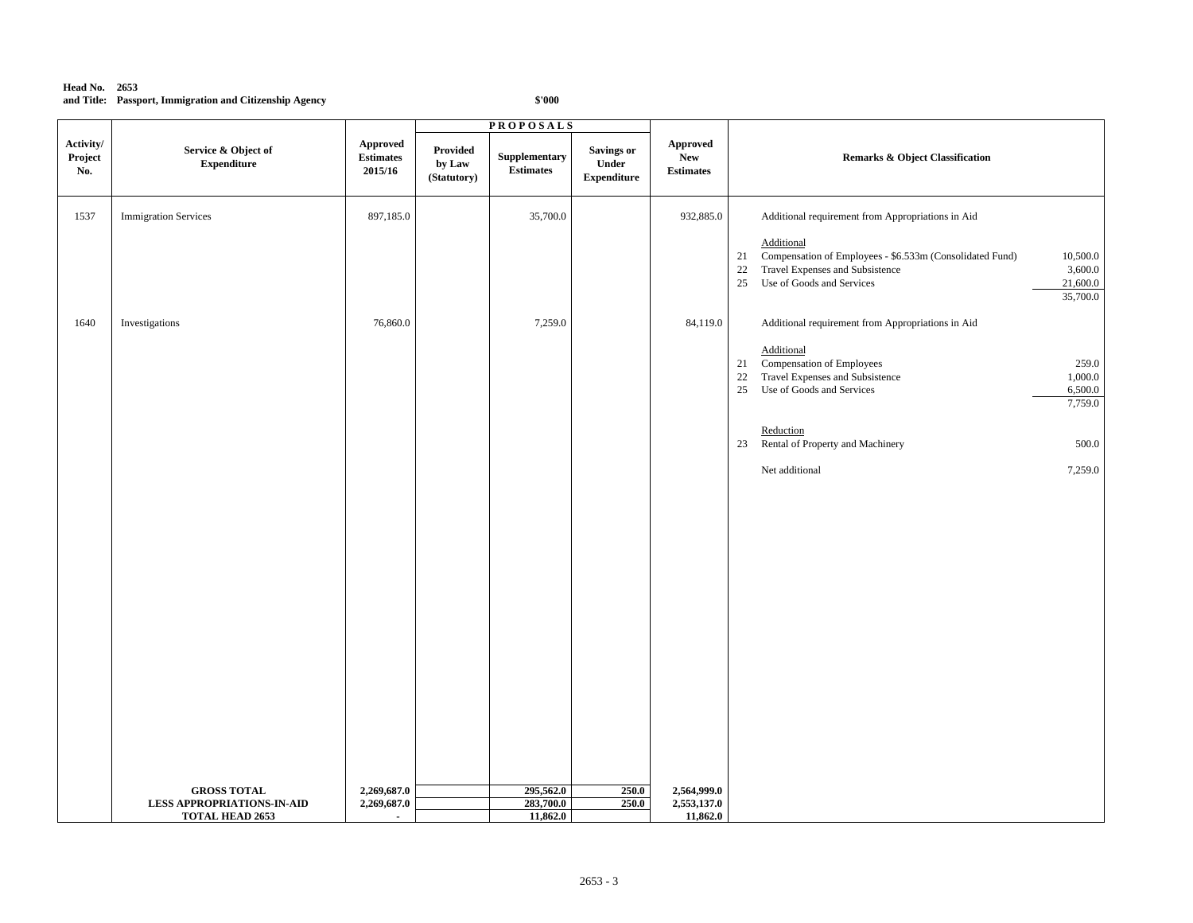### **Head No. 2653 and Title: Passport, Immigration and Citizenship Agency**

|                             |                                                             |                                                | <b>PROPOSALS</b>                  |                                   |                                           |                                                   |                                                                                                                                                                                                         |  |
|-----------------------------|-------------------------------------------------------------|------------------------------------------------|-----------------------------------|-----------------------------------|-------------------------------------------|---------------------------------------------------|---------------------------------------------------------------------------------------------------------------------------------------------------------------------------------------------------------|--|
| Activity/<br>Project<br>No. | Service & Object of<br>${\bf Expenditure}$                  | <b>Approved</b><br><b>Estimates</b><br>2015/16 | Provided<br>by Law<br>(Statutory) | Supplementary<br><b>Estimates</b> | Savings or<br>Under<br><b>Expenditure</b> | <b>Approved</b><br><b>New</b><br><b>Estimates</b> | <b>Remarks &amp; Object Classification</b>                                                                                                                                                              |  |
| 1537                        | <b>Immigration Services</b>                                 | 897,185.0                                      |                                   | 35,700.0                          |                                           | 932,885.0                                         | Additional requirement from Appropriations in Aid                                                                                                                                                       |  |
|                             |                                                             |                                                |                                   |                                   |                                           |                                                   | Additional<br>Compensation of Employees - \$6.533m (Consolidated Fund)<br>10,500.0<br>21<br>Travel Expenses and Subsistence<br>3,600.0<br>22<br>25<br>Use of Goods and Services<br>21,600.0<br>35,700.0 |  |
| 1640                        | Investigations                                              | 76,860.0                                       |                                   | 7,259.0                           |                                           | 84,119.0                                          | Additional requirement from Appropriations in Aid                                                                                                                                                       |  |
|                             |                                                             |                                                |                                   |                                   |                                           |                                                   | Additional<br>Compensation of Employees<br>259.0<br>21<br>Travel Expenses and Subsistence<br>1,000.0<br>22<br>Use of Goods and Services<br>6,500.0<br>25<br>7,759.0                                     |  |
|                             |                                                             |                                                |                                   |                                   |                                           |                                                   | Reduction<br>Rental of Property and Machinery<br>500.0<br>23                                                                                                                                            |  |
|                             |                                                             |                                                |                                   |                                   |                                           |                                                   | 7,259.0<br>Net additional                                                                                                                                                                               |  |
|                             |                                                             |                                                |                                   |                                   |                                           |                                                   |                                                                                                                                                                                                         |  |
|                             | <b>GROSS TOTAL</b>                                          | 2,269,687.0                                    |                                   | 295,562.0                         | 250.0                                     | 2,564,999.0                                       |                                                                                                                                                                                                         |  |
|                             | <b>LESS APPROPRIATIONS-IN-AID</b><br><b>TOTAL HEAD 2653</b> | 2,269,687.0<br>$\blacksquare$                  |                                   | 283,700.0<br>11,862.0             | 250.0                                     | 2,553,137.0<br>11,862.0                           |                                                                                                                                                                                                         |  |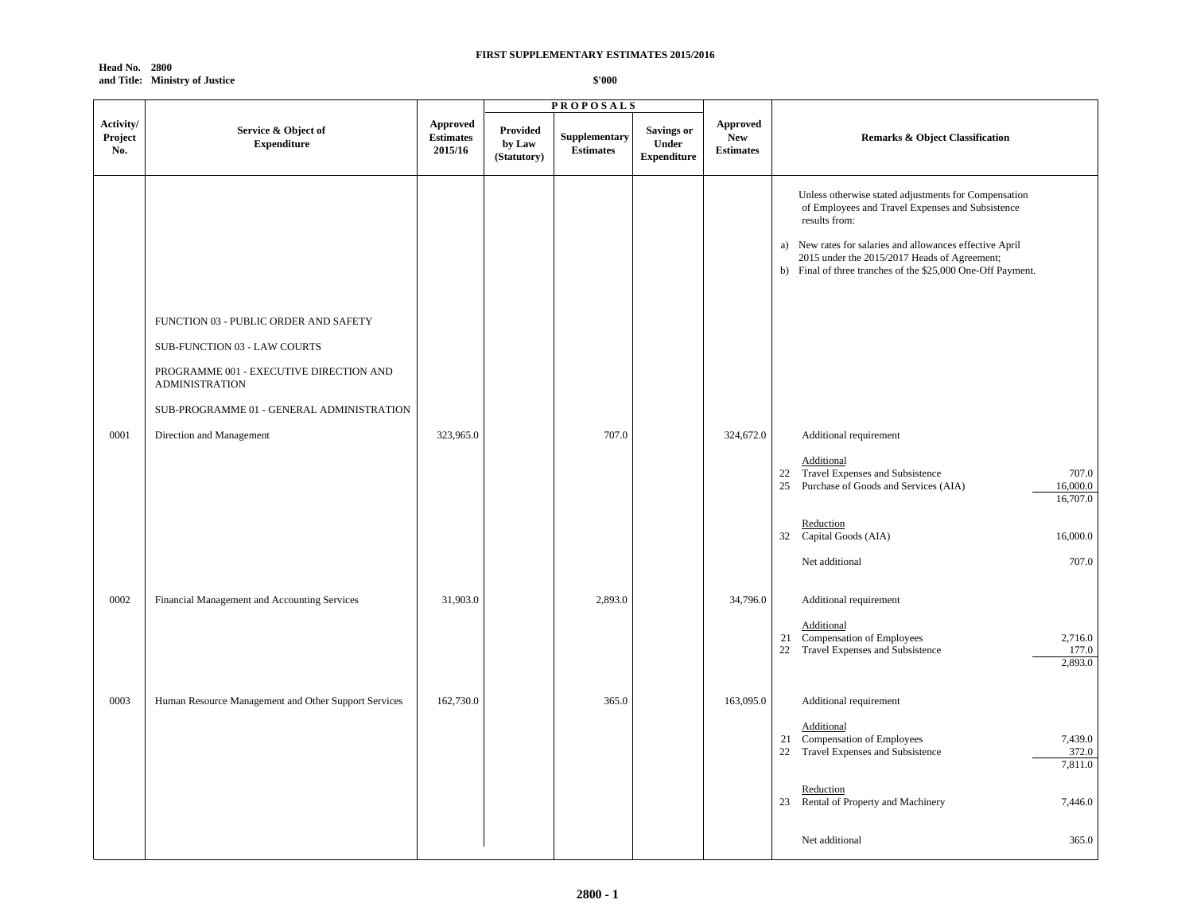**Head No. 2800 and Title: Ministry of Justice**

|                             |                                                                       |                                                | <b>PROPOSALS</b>                  |                                   |                                                  |                                            |                                                                                                                                                                                                                                                                                                      |
|-----------------------------|-----------------------------------------------------------------------|------------------------------------------------|-----------------------------------|-----------------------------------|--------------------------------------------------|--------------------------------------------|------------------------------------------------------------------------------------------------------------------------------------------------------------------------------------------------------------------------------------------------------------------------------------------------------|
| Activity/<br>Project<br>No. | Service & Object of<br><b>Expenditure</b>                             | <b>Approved</b><br><b>Estimates</b><br>2015/16 | Provided<br>by Law<br>(Statutory) | Supplementary<br><b>Estimates</b> | <b>Savings or</b><br>Under<br><b>Expenditure</b> | Approved<br><b>New</b><br><b>Estimates</b> | <b>Remarks &amp; Object Classification</b>                                                                                                                                                                                                                                                           |
|                             | FUNCTION 03 - PUBLIC ORDER AND SAFETY<br>SUB-FUNCTION 03 - LAW COURTS |                                                |                                   |                                   |                                                  |                                            | Unless otherwise stated adjustments for Compensation<br>of Employees and Travel Expenses and Subsistence<br>results from:<br>a) New rates for salaries and allowances effective April<br>2015 under the 2015/2017 Heads of Agreement;<br>b) Final of three tranches of the \$25,000 One-Off Payment. |
|                             | PROGRAMME 001 - EXECUTIVE DIRECTION AND<br><b>ADMINISTRATION</b>      |                                                |                                   |                                   |                                                  |                                            |                                                                                                                                                                                                                                                                                                      |
| 0001                        | SUB-PROGRAMME 01 - GENERAL ADMINISTRATION<br>Direction and Management | 323,965.0                                      |                                   | 707.0                             |                                                  | 324,672.0                                  | Additional requirement                                                                                                                                                                                                                                                                               |
|                             |                                                                       |                                                |                                   |                                   |                                                  |                                            | Additional<br>22 Travel Expenses and Subsistence<br>707.0<br>25 Purchase of Goods and Services (AIA)<br>16,000.0<br>16,707.0                                                                                                                                                                         |
|                             |                                                                       |                                                |                                   |                                   |                                                  |                                            | Reduction<br>32 Capital Goods (AIA)<br>16,000.0                                                                                                                                                                                                                                                      |
|                             |                                                                       |                                                |                                   |                                   |                                                  |                                            | 707.0<br>Net additional                                                                                                                                                                                                                                                                              |
| 0002                        | Financial Management and Accounting Services                          | 31,903.0                                       |                                   | 2,893.0                           |                                                  | 34,796.0                                   | Additional requirement<br>Additional                                                                                                                                                                                                                                                                 |
|                             |                                                                       |                                                |                                   |                                   |                                                  |                                            | 21 Compensation of Employees<br>2,716.0<br>22 Travel Expenses and Subsistence<br>177.0<br>2,893.0                                                                                                                                                                                                    |
| 0003                        | Human Resource Management and Other Support Services                  | 162,730.0                                      |                                   | 365.0                             |                                                  | 163,095.0                                  | Additional requirement                                                                                                                                                                                                                                                                               |
|                             |                                                                       |                                                |                                   |                                   |                                                  |                                            | Additional<br>21 Compensation of Employees<br>7,439.0<br>22 Travel Expenses and Subsistence<br>372.0<br>7,811.0                                                                                                                                                                                      |
|                             |                                                                       |                                                |                                   |                                   |                                                  |                                            | Reduction<br>23 Rental of Property and Machinery<br>7,446.0                                                                                                                                                                                                                                          |
|                             |                                                                       |                                                |                                   |                                   |                                                  |                                            | 365.0<br>Net additional                                                                                                                                                                                                                                                                              |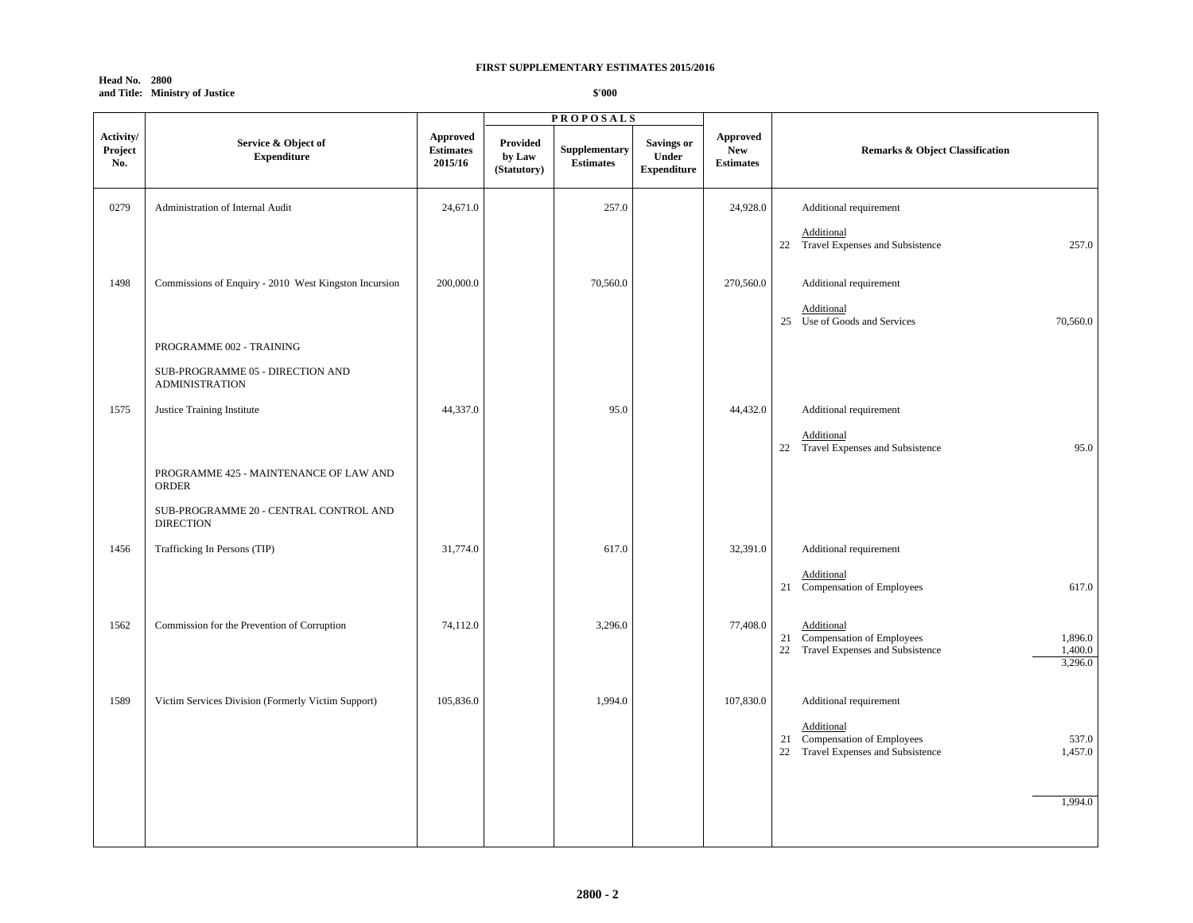| <b>Head No. 2800</b> |                                |
|----------------------|--------------------------------|
|                      | and Title: Ministry of Justice |

|                             |                                                            |                                                | <b>PROPOSALS</b>                  |                                   |                                                  |                                            |                                                                                                         |
|-----------------------------|------------------------------------------------------------|------------------------------------------------|-----------------------------------|-----------------------------------|--------------------------------------------------|--------------------------------------------|---------------------------------------------------------------------------------------------------------|
| Activity/<br>Project<br>No. | Service & Object of<br><b>Expenditure</b>                  | <b>Approved</b><br><b>Estimates</b><br>2015/16 | Provided<br>by Law<br>(Statutory) | Supplementary<br><b>Estimates</b> | <b>Savings or</b><br>Under<br><b>Expenditure</b> | Approved<br><b>New</b><br><b>Estimates</b> | <b>Remarks &amp; Object Classification</b>                                                              |
| 0279                        | Administration of Internal Audit                           | 24,671.0                                       |                                   | 257.0                             |                                                  | 24,928.0                                   | Additional requirement                                                                                  |
|                             |                                                            |                                                |                                   |                                   |                                                  |                                            | Additional<br>22 Travel Expenses and Subsistence<br>257.0                                               |
| 1498                        | Commissions of Enquiry - 2010 West Kingston Incursion      | 200,000.0                                      |                                   | 70,560.0                          |                                                  | 270,560.0                                  | Additional requirement                                                                                  |
|                             |                                                            |                                                |                                   |                                   |                                                  |                                            | Additional<br>25 Use of Goods and Services<br>70,560.0                                                  |
|                             | PROGRAMME 002 - TRAINING                                   |                                                |                                   |                                   |                                                  |                                            |                                                                                                         |
|                             | SUB-PROGRAMME 05 - DIRECTION AND<br><b>ADMINISTRATION</b>  |                                                |                                   |                                   |                                                  |                                            |                                                                                                         |
| 1575                        | Justice Training Institute                                 | 44,337.0                                       |                                   | 95.0                              |                                                  | 44,432.0                                   | Additional requirement                                                                                  |
|                             |                                                            |                                                |                                   |                                   |                                                  |                                            | Additional<br>22 Travel Expenses and Subsistence<br>95.0                                                |
|                             | PROGRAMME 425 - MAINTENANCE OF LAW AND<br><b>ORDER</b>     |                                                |                                   |                                   |                                                  |                                            |                                                                                                         |
|                             | SUB-PROGRAMME 20 - CENTRAL CONTROL AND<br><b>DIRECTION</b> |                                                |                                   |                                   |                                                  |                                            |                                                                                                         |
| 1456                        | Trafficking In Persons (TIP)                               | 31,774.0                                       |                                   | 617.0                             |                                                  | 32,391.0                                   | Additional requirement                                                                                  |
|                             |                                                            |                                                |                                   |                                   |                                                  |                                            | Additional<br>21 Compensation of Employees<br>617.0                                                     |
| 1562                        | Commission for the Prevention of Corruption                | 74,112.0                                       |                                   | 3,296.0                           |                                                  | 77,408.0                                   | Additional                                                                                              |
|                             |                                                            |                                                |                                   |                                   |                                                  |                                            | 21 Compensation of Employees<br>1,896.0<br>22 Travel Expenses and Subsistence<br>1,400.0<br>3,296.0     |
| 1589                        | Victim Services Division (Formerly Victim Support)         | 105,836.0                                      |                                   | 1,994.0                           |                                                  | 107,830.0                                  | Additional requirement                                                                                  |
|                             |                                                            |                                                |                                   |                                   |                                                  |                                            | Additional<br>21 Compensation of Employees<br>537.0<br>Travel Expenses and Subsistence<br>1,457.0<br>22 |
|                             |                                                            |                                                |                                   |                                   |                                                  |                                            |                                                                                                         |
|                             |                                                            |                                                |                                   |                                   |                                                  |                                            | 1,994.0                                                                                                 |
|                             |                                                            |                                                |                                   |                                   |                                                  |                                            |                                                                                                         |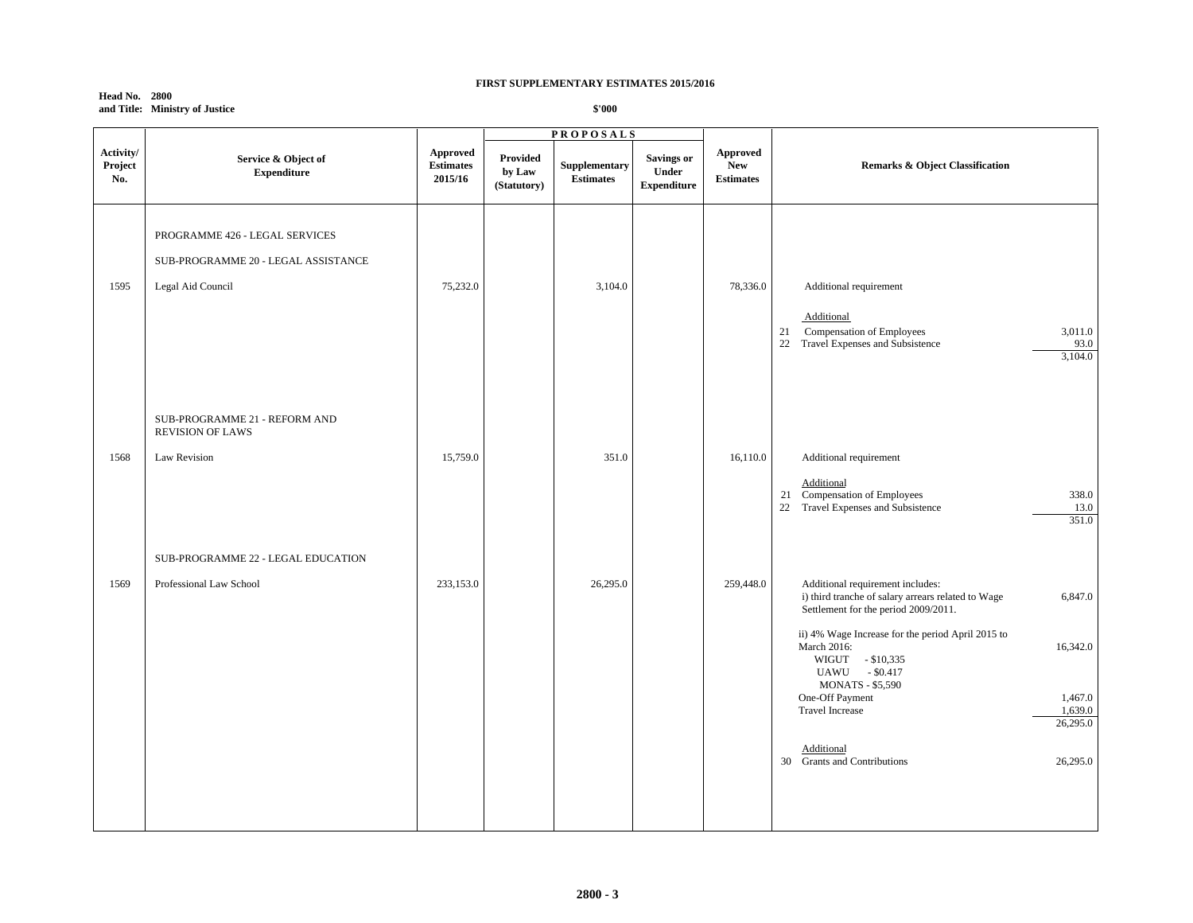**Head No. 2800 and Title: Ministry of Justice**

|                             |                                                                                            | <b>PROPOSALS</b>                               |                                          |                                   |                                                  |                                            |                                                                                                                                                                                                                                                                                                                                                                           |  |
|-----------------------------|--------------------------------------------------------------------------------------------|------------------------------------------------|------------------------------------------|-----------------------------------|--------------------------------------------------|--------------------------------------------|---------------------------------------------------------------------------------------------------------------------------------------------------------------------------------------------------------------------------------------------------------------------------------------------------------------------------------------------------------------------------|--|
| Activity/<br>Project<br>No. | Service & Object of<br><b>Expenditure</b>                                                  | <b>Approved</b><br><b>Estimates</b><br>2015/16 | <b>Provided</b><br>by Law<br>(Statutory) | Supplementary<br><b>Estimates</b> | <b>Savings or</b><br>Under<br><b>Expenditure</b> | Approved<br><b>New</b><br><b>Estimates</b> | <b>Remarks &amp; Object Classification</b>                                                                                                                                                                                                                                                                                                                                |  |
| 1595                        | PROGRAMME 426 - LEGAL SERVICES<br>SUB-PROGRAMME 20 - LEGAL ASSISTANCE<br>Legal Aid Council | 75,232.0                                       |                                          | 3,104.0                           |                                                  | 78,336.0                                   | Additional requirement<br>Additional<br>21<br>Compensation of Employees<br>3,011.0<br>22 Travel Expenses and Subsistence<br>93.0<br>3,104.0                                                                                                                                                                                                                               |  |
| 1568                        | SUB-PROGRAMME 21 - REFORM AND<br><b>REVISION OF LAWS</b><br>Law Revision                   | 15,759.0                                       |                                          | 351.0                             |                                                  | 16,110.0                                   | Additional requirement<br>Additional<br>21 Compensation of Employees<br>338.0<br>22 Travel Expenses and Subsistence<br>13.0<br>351.0                                                                                                                                                                                                                                      |  |
| 1569                        | SUB-PROGRAMME 22 - LEGAL EDUCATION<br>Professional Law School                              | 233,153.0                                      |                                          | 26,295.0                          |                                                  | 259,448.0                                  | Additional requirement includes:<br>i) third tranche of salary arrears related to Wage<br>6,847.0<br>Settlement for the period 2009/2011.<br>ii) 4% Wage Increase for the period April 2015 to<br>March 2016:<br>16,342.0<br>WIGUT - \$10,335<br>UAWU - \$0.417<br><b>MONATS - \$5,590</b><br>One-Off Payment<br>1,467.0<br>1,639.0<br><b>Travel Increase</b><br>26,295.0 |  |
|                             |                                                                                            |                                                |                                          |                                   |                                                  |                                            | Additional<br>30 Grants and Contributions<br>26,295.0                                                                                                                                                                                                                                                                                                                     |  |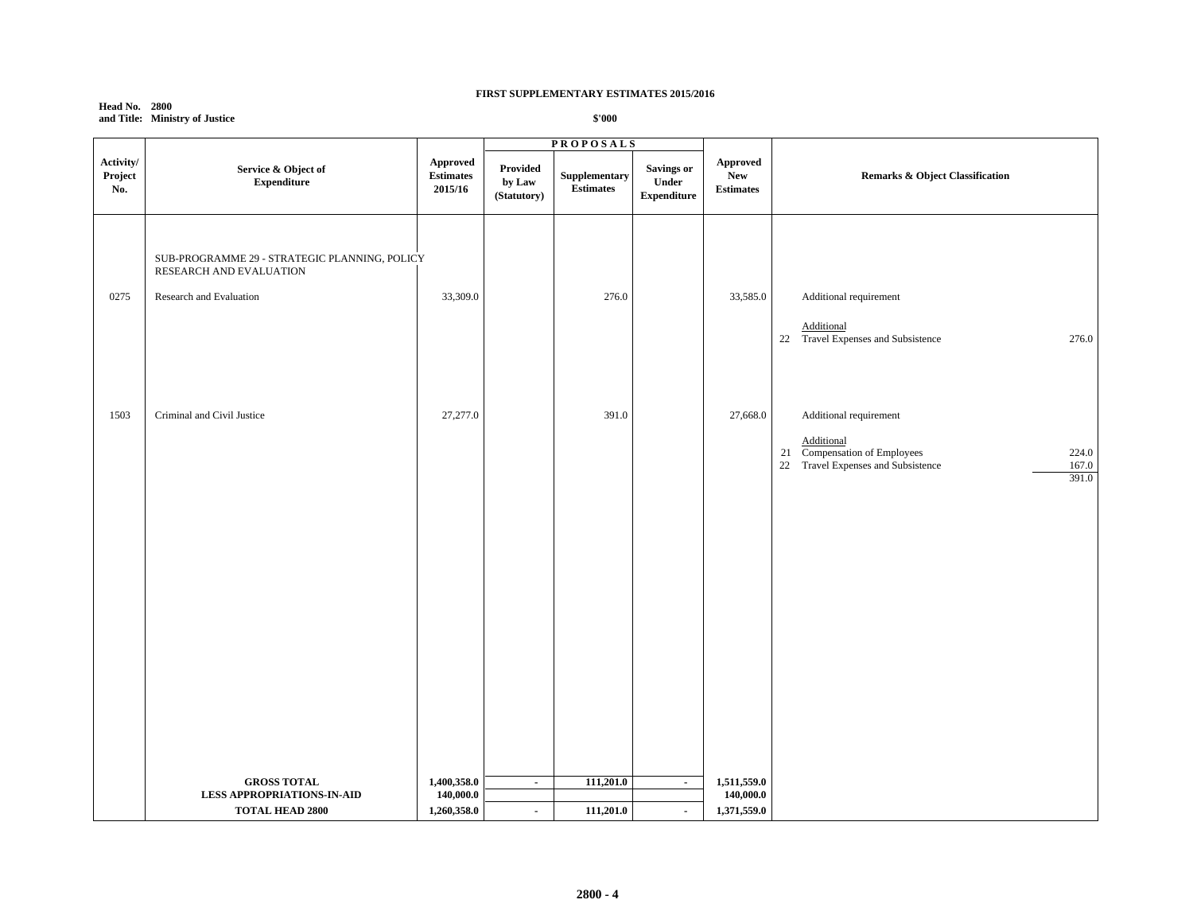| <b>Head No. 2800</b> |                                |
|----------------------|--------------------------------|
|                      | and Title: Ministry of Justice |

|                             |                                                                                                     |                                                | <b>PROPOSALS</b>                  |                                   |                                                  |                                            |                                                                                                                                       |
|-----------------------------|-----------------------------------------------------------------------------------------------------|------------------------------------------------|-----------------------------------|-----------------------------------|--------------------------------------------------|--------------------------------------------|---------------------------------------------------------------------------------------------------------------------------------------|
| Activity/<br>Project<br>No. | Service & Object of<br><b>Expenditure</b>                                                           | <b>Approved</b><br><b>Estimates</b><br>2015/16 | Provided<br>by Law<br>(Statutory) | Supplementary<br><b>Estimates</b> | <b>Savings or</b><br>Under<br><b>Expenditure</b> | Approved<br><b>New</b><br><b>Estimates</b> | <b>Remarks &amp; Object Classification</b>                                                                                            |
| 0275                        | SUB-PROGRAMME 29 - STRATEGIC PLANNING, POLICY<br>RESEARCH AND EVALUATION<br>Research and Evaluation | 33,309.0                                       |                                   | 276.0                             |                                                  | 33,585.0                                   | Additional requirement<br>Additional<br>22 Travel Expenses and Subsistence<br>276.0                                                   |
| 1503                        | Criminal and Civil Justice                                                                          | 27,277.0                                       |                                   | 391.0                             |                                                  | 27,668.0                                   | Additional requirement<br>Additional<br>21 Compensation of Employees<br>224.0<br>22 Travel Expenses and Subsistence<br>167.0<br>391.0 |
|                             |                                                                                                     |                                                |                                   |                                   |                                                  |                                            |                                                                                                                                       |
|                             | <b>GROSS TOTAL</b><br><b>LESS APPROPRIATIONS-IN-AID</b><br><b>TOTAL HEAD 2800</b>                   | 1,400,358.0<br>140,000.0<br>1,260,358.0        | $\blacksquare$<br>$\blacksquare$  | 111,201.0<br>111,201.0            | $\blacksquare$<br>$\blacksquare$                 | 1,511,559.0<br>140,000.0<br>1,371,559.0    |                                                                                                                                       |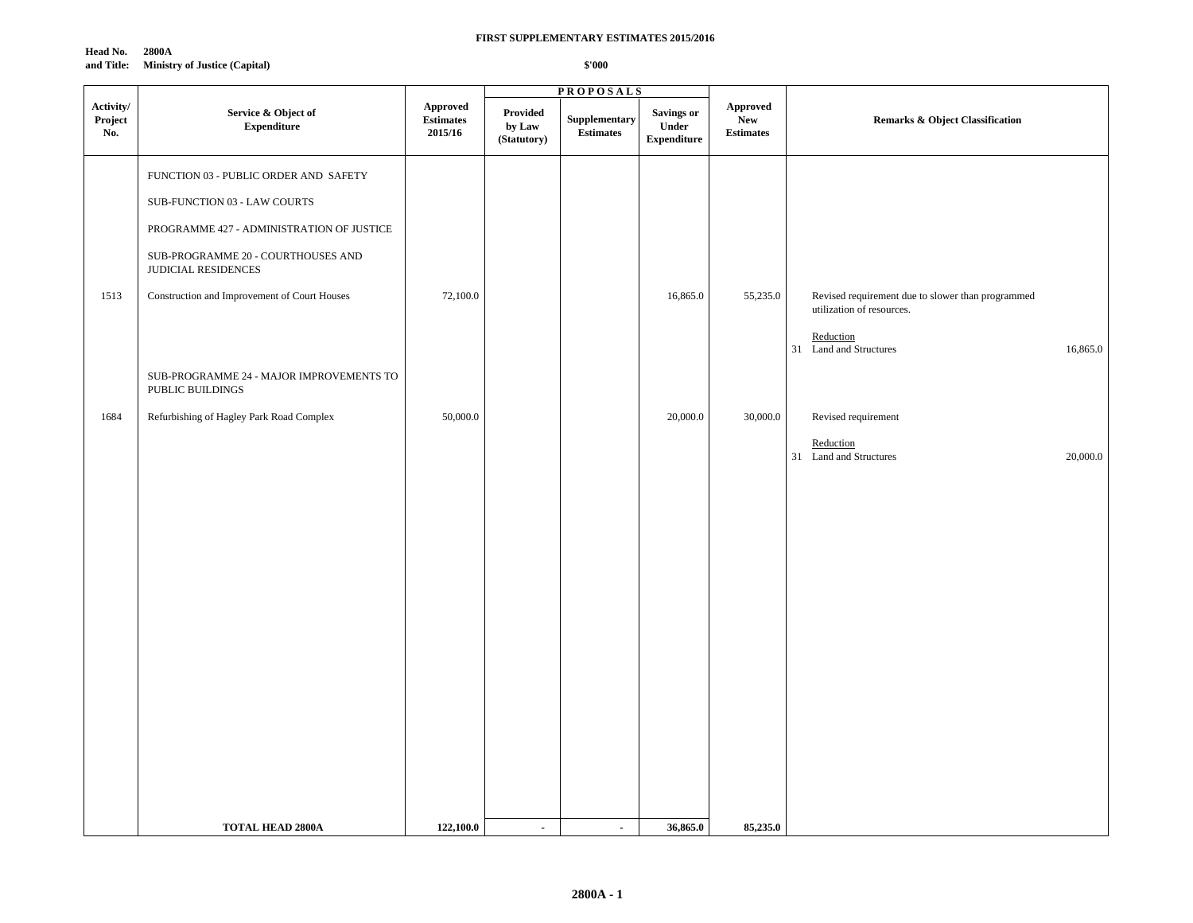**Head No. 2800A and Title: Ministry of Justice (Capital)**

|                                     |                                                              |                                                |                                   | <b>PROPOSALS</b>           |                                                  |                                            |                                                                                |
|-------------------------------------|--------------------------------------------------------------|------------------------------------------------|-----------------------------------|----------------------------|--------------------------------------------------|--------------------------------------------|--------------------------------------------------------------------------------|
| Activity/<br>${\bf Project}$<br>No. | Service & Object of<br><b>Expenditure</b>                    | <b>Approved</b><br><b>Estimates</b><br>2015/16 | Provided<br>by Law<br>(Statutory) | Supplementary<br>Estimates | <b>Savings or</b><br>Under<br><b>Expenditure</b> | Approved<br><b>New</b><br><b>Estimates</b> | <b>Remarks &amp; Object Classification</b>                                     |
|                                     | FUNCTION 03 - PUBLIC ORDER AND SAFETY                        |                                                |                                   |                            |                                                  |                                            |                                                                                |
|                                     | SUB-FUNCTION 03 - LAW COURTS                                 |                                                |                                   |                            |                                                  |                                            |                                                                                |
|                                     | PROGRAMME 427 - ADMINISTRATION OF JUSTICE                    |                                                |                                   |                            |                                                  |                                            |                                                                                |
|                                     | SUB-PROGRAMME 20 - COURTHOUSES AND<br>JUDICIAL RESIDENCES    |                                                |                                   |                            |                                                  |                                            |                                                                                |
| 1513                                | Construction and Improvement of Court Houses                 | 72,100.0                                       |                                   |                            | 16,865.0                                         | 55,235.0                                   | Revised requirement due to slower than programmed<br>utilization of resources. |
|                                     |                                                              |                                                |                                   |                            |                                                  |                                            | Reduction<br>31 Land and Structures<br>16,865.0                                |
|                                     | SUB-PROGRAMME 24 - MAJOR IMPROVEMENTS TO<br>PUBLIC BUILDINGS |                                                |                                   |                            |                                                  |                                            |                                                                                |
| 1684                                | Refurbishing of Hagley Park Road Complex                     | 50,000.0                                       |                                   |                            | 20,000.0                                         | 30,000.0                                   | Revised requirement                                                            |
|                                     |                                                              |                                                |                                   |                            |                                                  |                                            | Reduction<br>31 Land and Structures<br>20,000.0                                |
|                                     |                                                              |                                                |                                   |                            |                                                  |                                            |                                                                                |
|                                     |                                                              |                                                |                                   |                            |                                                  |                                            |                                                                                |
|                                     |                                                              |                                                |                                   |                            |                                                  |                                            |                                                                                |
|                                     |                                                              |                                                |                                   |                            |                                                  |                                            |                                                                                |
|                                     |                                                              |                                                |                                   |                            |                                                  |                                            |                                                                                |
|                                     |                                                              |                                                |                                   |                            |                                                  |                                            |                                                                                |
|                                     |                                                              |                                                |                                   |                            |                                                  |                                            |                                                                                |
|                                     |                                                              |                                                |                                   |                            |                                                  |                                            |                                                                                |
|                                     |                                                              |                                                |                                   |                            |                                                  |                                            |                                                                                |
|                                     |                                                              |                                                |                                   |                            |                                                  |                                            |                                                                                |
|                                     | <b>TOTAL HEAD 2800A</b>                                      | 122,100.0                                      | $\sim$                            | $\blacksquare$             | 36,865.0                                         | 85,235.0                                   |                                                                                |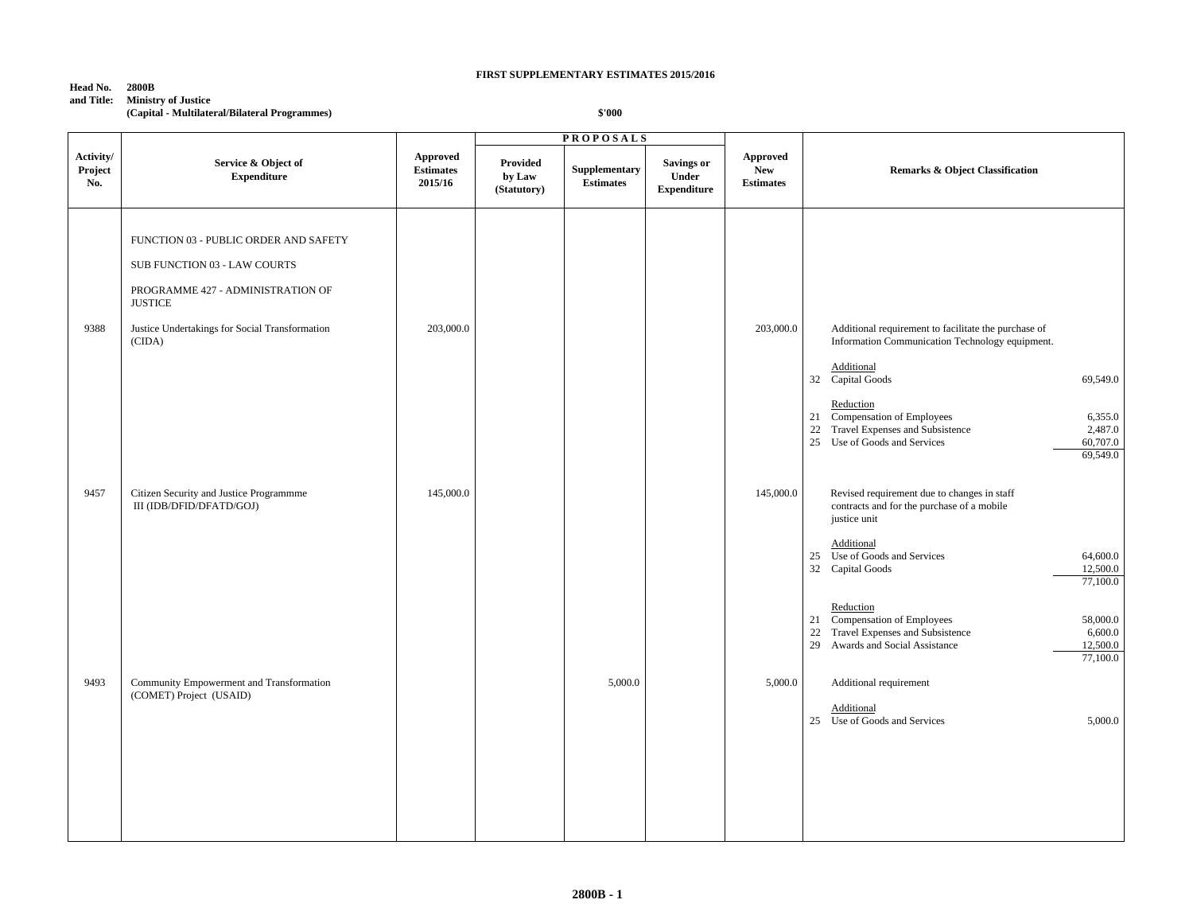## **Head No. 2800B**

**and Title: Ministry of Justice**

**(Capital - Multilateral/Bilateral Programmes)**

|                             |                                                                                     |                                                |                                          | <b>PROPOSALS</b>                  |                                                  |                                                   |                                                                                                                                                                                                                                                                                                                        |
|-----------------------------|-------------------------------------------------------------------------------------|------------------------------------------------|------------------------------------------|-----------------------------------|--------------------------------------------------|---------------------------------------------------|------------------------------------------------------------------------------------------------------------------------------------------------------------------------------------------------------------------------------------------------------------------------------------------------------------------------|
| Activity/<br>Project<br>No. | Service & Object of<br><b>Expenditure</b>                                           | <b>Approved</b><br><b>Estimates</b><br>2015/16 | <b>Provided</b><br>by Law<br>(Statutory) | Supplementary<br><b>Estimates</b> | <b>Savings or</b><br>Under<br><b>Expenditure</b> | <b>Approved</b><br><b>New</b><br><b>Estimates</b> | <b>Remarks &amp; Object Classification</b>                                                                                                                                                                                                                                                                             |
|                             | FUNCTION 03 - PUBLIC ORDER AND SAFETY                                               |                                                |                                          |                                   |                                                  |                                                   |                                                                                                                                                                                                                                                                                                                        |
|                             | SUB FUNCTION 03 - LAW COURTS<br>PROGRAMME 427 - ADMINISTRATION OF<br><b>JUSTICE</b> |                                                |                                          |                                   |                                                  |                                                   |                                                                                                                                                                                                                                                                                                                        |
| 9388                        | Justice Undertakings for Social Transformation<br>(CIDA)                            | 203,000.0                                      |                                          |                                   |                                                  | 203,000.0                                         | Additional requirement to facilitate the purchase of<br>Information Communication Technology equipment.<br>Additional<br>32 Capital Goods<br>69,549.0<br>Reduction<br>21 Compensation of Employees<br>6,355.0<br>22 Travel Expenses and Subsistence<br>2,487.0<br>60,707.0<br>25 Use of Goods and Services<br>69,549.0 |
| 9457                        | Citizen Security and Justice Programmme<br>III (IDB/DFID/DFATD/GOJ)                 | 145,000.0                                      |                                          |                                   |                                                  | 145,000.0                                         | Revised requirement due to changes in staff<br>contracts and for the purchase of a mobile<br>justice unit<br>Additional<br>25 Use of Goods and Services<br>64,600.0<br>32 Capital Goods<br>12,500.0<br>77,100.0                                                                                                        |
| 9493                        | Community Empowerment and Transformation                                            |                                                |                                          | 5,000.0                           |                                                  | 5,000.0                                           | Reduction<br>21 Compensation of Employees<br>58,000.0<br>Travel Expenses and Subsistence<br>6,600.0<br>22<br>29 Awards and Social Assistance<br>12,500.0<br>77,100.0<br>Additional requirement                                                                                                                         |
|                             | (COMET) Project (USAID)                                                             |                                                |                                          |                                   |                                                  |                                                   | Additional<br>25 Use of Goods and Services<br>5,000.0                                                                                                                                                                                                                                                                  |
|                             |                                                                                     |                                                |                                          |                                   |                                                  |                                                   |                                                                                                                                                                                                                                                                                                                        |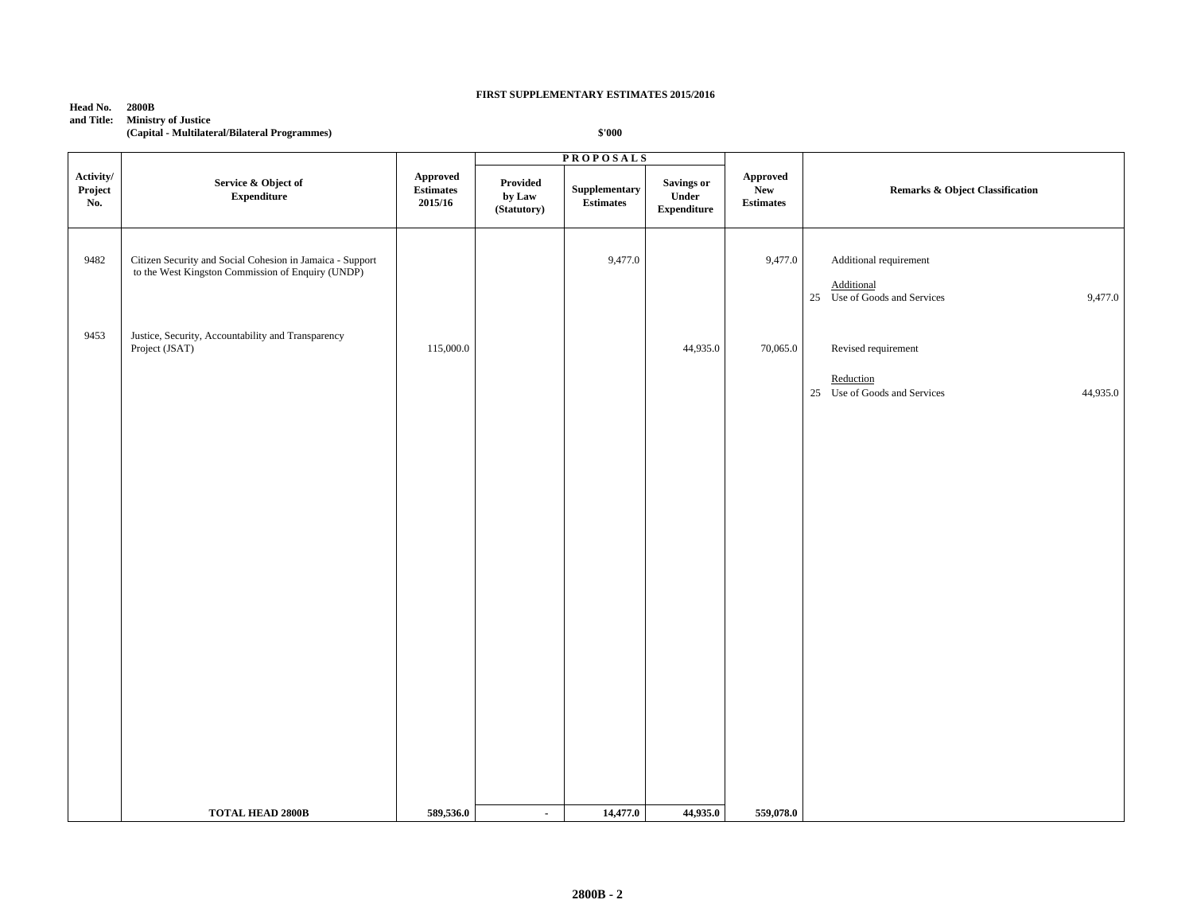**Head No. 2800B**

# **and Title: Ministry of Justice**

**(Capital - Multilateral/Bilateral Programmes)**

|                             | <b>PROPOSALS</b>                                                                                               |                                         |                                          |                                   |                                           |                                             |                                                                                    |
|-----------------------------|----------------------------------------------------------------------------------------------------------------|-----------------------------------------|------------------------------------------|-----------------------------------|-------------------------------------------|---------------------------------------------|------------------------------------------------------------------------------------|
| Activity/<br>Project<br>No. | Service & Object of<br><b>Expenditure</b>                                                                      | Approved<br><b>Estimates</b><br>2015/16 | <b>Provided</b><br>by Law<br>(Statutory) | Supplementary<br><b>Estimates</b> | Savings or<br>Under<br><b>Expenditure</b> | Approved<br>${\bf New}$<br><b>Estimates</b> | <b>Remarks &amp; Object Classification</b>                                         |
| 9482                        | Citizen Security and Social Cohesion in Jamaica - Support<br>to the West Kingston Commission of Enquiry (UNDP) |                                         |                                          | 9,477.0                           |                                           | 9,477.0                                     | Additional requirement<br>Additional<br>Use of Goods and Services<br>9,477.0<br>25 |
| 9453                        | Justice, Security, Accountability and Transparency<br>Project (JSAT)                                           | 115,000.0                               |                                          |                                   | 44,935.0                                  | 70,065.0                                    | Revised requirement                                                                |
|                             |                                                                                                                |                                         |                                          |                                   |                                           |                                             | Reduction<br>25 Use of Goods and Services<br>44,935.0                              |
|                             |                                                                                                                |                                         |                                          |                                   |                                           |                                             |                                                                                    |
|                             |                                                                                                                |                                         |                                          |                                   |                                           |                                             |                                                                                    |
|                             |                                                                                                                |                                         |                                          |                                   |                                           |                                             |                                                                                    |
|                             |                                                                                                                |                                         |                                          |                                   |                                           |                                             |                                                                                    |
|                             |                                                                                                                |                                         |                                          |                                   |                                           |                                             |                                                                                    |
|                             | <b>TOTAL HEAD 2800B</b>                                                                                        | 589,536.0                               | $\sim$                                   | 14,477.0                          | 44,935.0                                  | 559,078.0                                   |                                                                                    |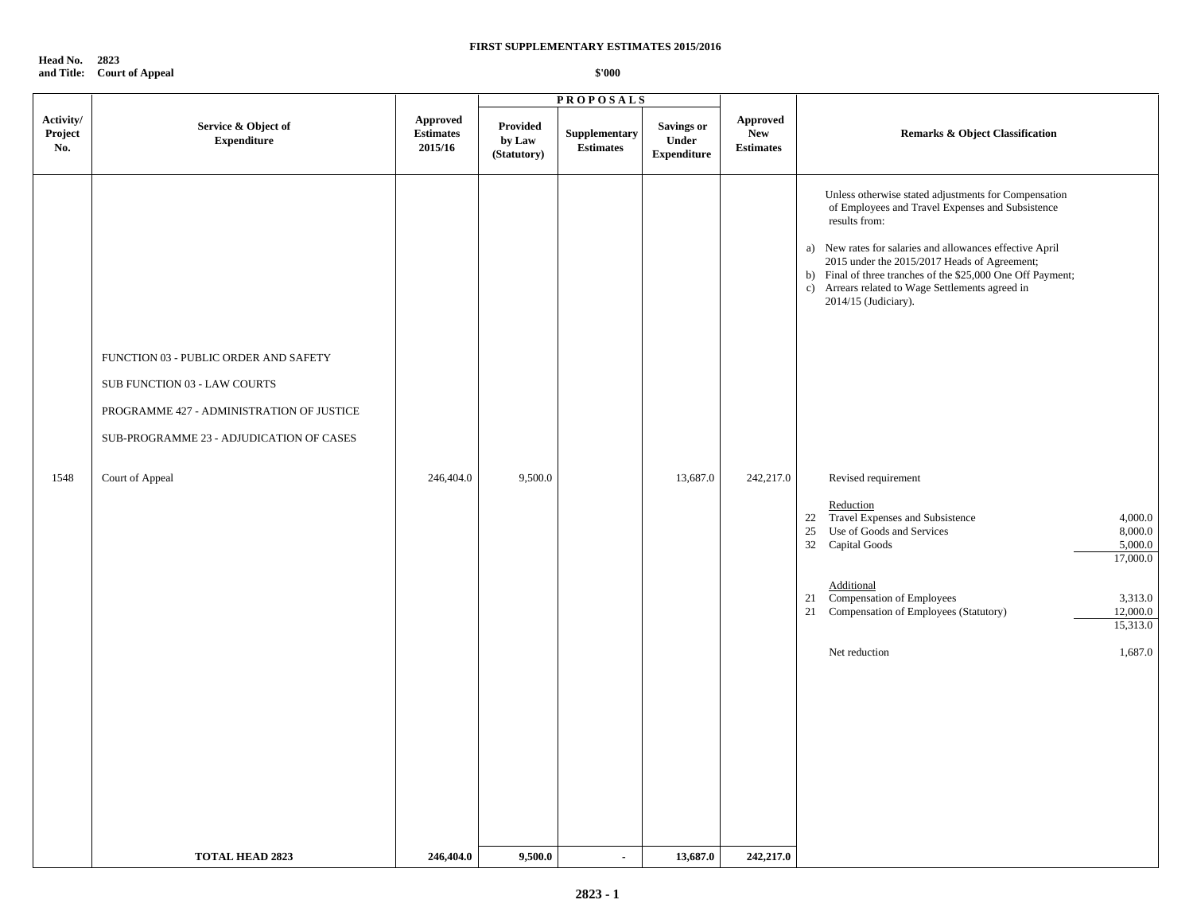**Head No. 2823 and Title: Court of Appeal**

|                             |                                                                                                                                                                                                             |                                                | <b>PROPOSALS</b>                  |                                  |                                                  |                                            |                                                                                                                                                                                                                                                                                                                                                                                                                                                                                                                                                                                                                                                                                                                      |
|-----------------------------|-------------------------------------------------------------------------------------------------------------------------------------------------------------------------------------------------------------|------------------------------------------------|-----------------------------------|----------------------------------|--------------------------------------------------|--------------------------------------------|----------------------------------------------------------------------------------------------------------------------------------------------------------------------------------------------------------------------------------------------------------------------------------------------------------------------------------------------------------------------------------------------------------------------------------------------------------------------------------------------------------------------------------------------------------------------------------------------------------------------------------------------------------------------------------------------------------------------|
| Activity/<br>Project<br>No. | Service & Object of<br><b>Expenditure</b>                                                                                                                                                                   | <b>Approved</b><br><b>Estimates</b><br>2015/16 | Provided<br>by Law<br>(Statutory) | Supplementary<br>$\bf Estimates$ | <b>Savings or</b><br>Under<br><b>Expenditure</b> | Approved<br><b>New</b><br><b>Estimates</b> | <b>Remarks &amp; Object Classification</b>                                                                                                                                                                                                                                                                                                                                                                                                                                                                                                                                                                                                                                                                           |
| 1548                        | FUNCTION 03 - PUBLIC ORDER AND SAFETY<br>SUB FUNCTION 03 - LAW COURTS<br>PROGRAMME 427 - ADMINISTRATION OF JUSTICE<br>SUB-PROGRAMME 23 - ADJUDICATION OF CASES<br>Court of Appeal<br><b>TOTAL HEAD 2823</b> | 246,404.0<br>246,404.0                         | 9,500.0<br>9,500.0                | $\mathbf{r}$                     | 13,687.0<br>13,687.0                             | 242,217.0<br>242,217.0                     | Unless otherwise stated adjustments for Compensation<br>of Employees and Travel Expenses and Subsistence<br>results from:<br>a) New rates for salaries and allowances effective April<br>2015 under the 2015/2017 Heads of Agreement;<br>b) Final of three tranches of the \$25,000 One Off Payment;<br>c) Arrears related to Wage Settlements agreed in<br>2014/15 (Judiciary).<br>Revised requirement<br>Reduction<br>22 Travel Expenses and Subsistence<br>4,000.0<br>25 Use of Goods and Services<br>8,000.0<br>32 Capital Goods<br>5,000.0<br>17,000.0<br>Additional<br>21 Compensation of Employees<br>3,313.0<br>21 Compensation of Employees (Statutory)<br>12,000.0<br>15,313.0<br>Net reduction<br>1,687.0 |
|                             |                                                                                                                                                                                                             |                                                |                                   |                                  |                                                  |                                            |                                                                                                                                                                                                                                                                                                                                                                                                                                                                                                                                                                                                                                                                                                                      |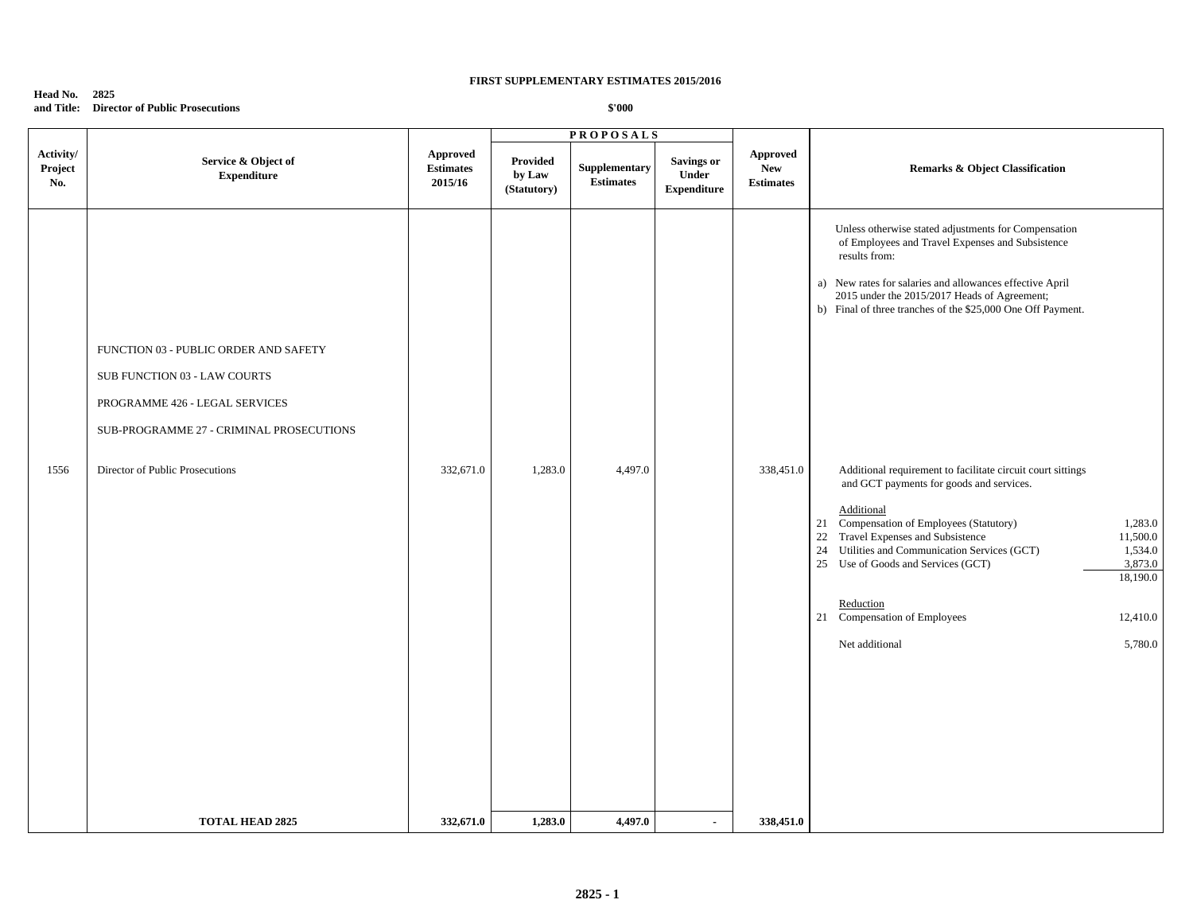# **Head No. 2825 and Title: Director of Public Prosecutions**

|                             |                                                                                                                                                     |                                                | <b>PROPOSALS</b>                  |                                   |                                                         |                                            |                                                                                                                                                                                                                                                                                                                                                                                                                                                     |
|-----------------------------|-----------------------------------------------------------------------------------------------------------------------------------------------------|------------------------------------------------|-----------------------------------|-----------------------------------|---------------------------------------------------------|--------------------------------------------|-----------------------------------------------------------------------------------------------------------------------------------------------------------------------------------------------------------------------------------------------------------------------------------------------------------------------------------------------------------------------------------------------------------------------------------------------------|
| Activity/<br>Project<br>No. | Service & Object of<br><b>Expenditure</b>                                                                                                           | <b>Approved</b><br><b>Estimates</b><br>2015/16 | Provided<br>by Law<br>(Statutory) | Supplementary<br><b>Estimates</b> | <b>Savings or</b><br><b>Under</b><br><b>Expenditure</b> | Approved<br><b>New</b><br><b>Estimates</b> | <b>Remarks &amp; Object Classification</b>                                                                                                                                                                                                                                                                                                                                                                                                          |
|                             | FUNCTION 03 - PUBLIC ORDER AND SAFETY<br>SUB FUNCTION 03 - LAW COURTS<br>PROGRAMME 426 - LEGAL SERVICES<br>SUB-PROGRAMME 27 - CRIMINAL PROSECUTIONS |                                                |                                   |                                   |                                                         |                                            | Unless otherwise stated adjustments for Compensation<br>of Employees and Travel Expenses and Subsistence<br>results from:<br>a) New rates for salaries and allowances effective April<br>2015 under the 2015/2017 Heads of Agreement;<br>b) Final of three tranches of the \$25,000 One Off Payment.                                                                                                                                                |
| 1556                        | Director of Public Prosecutions                                                                                                                     | 332,671.0                                      | 1,283.0                           | 4,497.0                           |                                                         | 338,451.0                                  | Additional requirement to facilitate circuit court sittings<br>and GCT payments for goods and services.<br>Additional<br>21 Compensation of Employees (Statutory)<br>1,283.0<br>Travel Expenses and Subsistence<br>22<br>11,500.0<br>24<br>Utilities and Communication Services (GCT)<br>1,534.0<br>25 Use of Goods and Services (GCT)<br>3,873.0<br>18,190.0<br>Reduction<br>21 Compensation of Employees<br>12,410.0<br>Net additional<br>5,780.0 |
|                             | <b>TOTAL HEAD 2825</b>                                                                                                                              | 332,671.0                                      | 1,283.0                           | 4,497.0                           |                                                         | 338,451.0                                  |                                                                                                                                                                                                                                                                                                                                                                                                                                                     |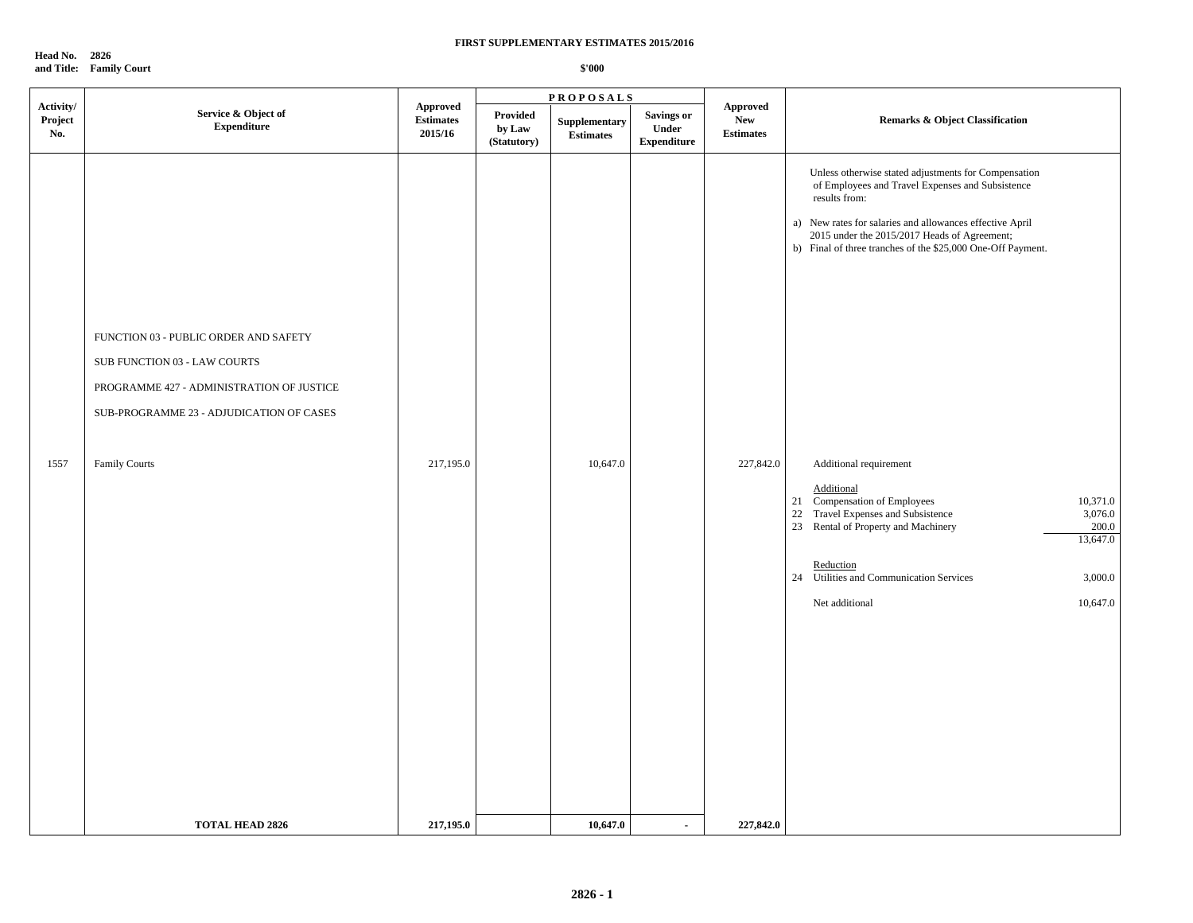**Head No. 2826 and Title: Family Court**

|                             |                                                                                                                                                                |                                                | <b>PROPOSALS</b>                         |                                   |                                                  |                                            |                                                                                                                                                                                                                                                                                                      |
|-----------------------------|----------------------------------------------------------------------------------------------------------------------------------------------------------------|------------------------------------------------|------------------------------------------|-----------------------------------|--------------------------------------------------|--------------------------------------------|------------------------------------------------------------------------------------------------------------------------------------------------------------------------------------------------------------------------------------------------------------------------------------------------------|
| Activity/<br>Project<br>No. | Service & Object of<br><b>Expenditure</b>                                                                                                                      | <b>Approved</b><br><b>Estimates</b><br>2015/16 | <b>Provided</b><br>by Law<br>(Statutory) | Supplementary<br><b>Estimates</b> | <b>Savings or</b><br>Under<br><b>Expenditure</b> | Approved<br><b>New</b><br><b>Estimates</b> | <b>Remarks &amp; Object Classification</b>                                                                                                                                                                                                                                                           |
|                             | FUNCTION 03 - PUBLIC ORDER AND SAFETY<br>SUB FUNCTION 03 - LAW COURTS<br>PROGRAMME 427 - ADMINISTRATION OF JUSTICE<br>SUB-PROGRAMME 23 - ADJUDICATION OF CASES |                                                |                                          |                                   |                                                  |                                            | Unless otherwise stated adjustments for Compensation<br>of Employees and Travel Expenses and Subsistence<br>results from:<br>a) New rates for salaries and allowances effective April<br>2015 under the 2015/2017 Heads of Agreement;<br>b) Final of three tranches of the \$25,000 One-Off Payment. |
| 1557                        | <b>Family Courts</b>                                                                                                                                           | 217,195.0                                      |                                          | 10,647.0                          |                                                  | 227,842.0                                  | Additional requirement<br>Additional<br>10,371.0<br>21 Compensation of Employees<br>22 Travel Expenses and Subsistence<br>3,076.0<br>23 Rental of Property and Machinery<br>200.0<br>13,647.0<br>Reduction<br>24<br>Utilities and Communication Services<br>3,000.0<br>Net additional<br>10,647.0    |
|                             | <b>TOTAL HEAD 2826</b>                                                                                                                                         | 217,195.0                                      |                                          | 10,647.0                          | $\blacksquare$                                   | 227,842.0                                  |                                                                                                                                                                                                                                                                                                      |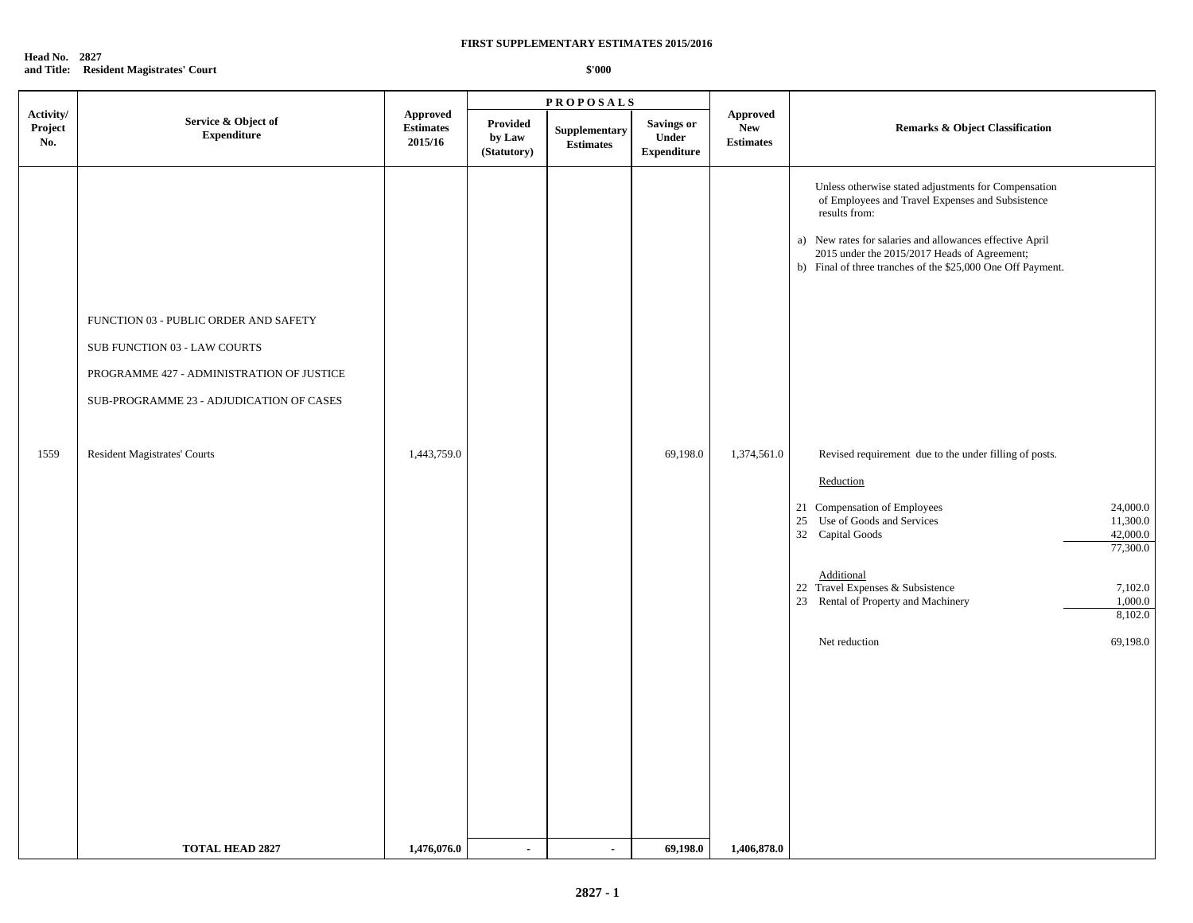**Head No. 2827 and Title: Resident Magistrates' Court**

|                             | Service & Object of<br><b>Expenditure</b>                                                                                                                                                             | Approved<br><b>Estimates</b><br>2015/16 | <b>PROPOSALS</b>                         |                                   |                                                  |                                                   |                                                                                                                                                                                                                                                                                                                                                                                                                                                                                                                                                                                                                                                                        |  |
|-----------------------------|-------------------------------------------------------------------------------------------------------------------------------------------------------------------------------------------------------|-----------------------------------------|------------------------------------------|-----------------------------------|--------------------------------------------------|---------------------------------------------------|------------------------------------------------------------------------------------------------------------------------------------------------------------------------------------------------------------------------------------------------------------------------------------------------------------------------------------------------------------------------------------------------------------------------------------------------------------------------------------------------------------------------------------------------------------------------------------------------------------------------------------------------------------------------|--|
| Activity/<br>Project<br>No. |                                                                                                                                                                                                       |                                         | <b>Provided</b><br>by Law<br>(Statutory) | Supplementary<br><b>Estimates</b> | <b>Savings or</b><br>Under<br><b>Expenditure</b> | <b>Approved</b><br><b>New</b><br><b>Estimates</b> | <b>Remarks &amp; Object Classification</b>                                                                                                                                                                                                                                                                                                                                                                                                                                                                                                                                                                                                                             |  |
| 1559                        | FUNCTION 03 - PUBLIC ORDER AND SAFETY<br>SUB FUNCTION 03 - LAW COURTS<br>PROGRAMME 427 - ADMINISTRATION OF JUSTICE<br>SUB-PROGRAMME 23 - ADJUDICATION OF CASES<br><b>Resident Magistrates' Courts</b> | 1,443,759.0                             |                                          | $\blacksquare$                    | 69,198.0                                         | 1,374,561.0                                       | Unless otherwise stated adjustments for Compensation<br>of Employees and Travel Expenses and Subsistence<br>results from:<br>a) New rates for salaries and allowances effective April<br>2015 under the 2015/2017 Heads of Agreement;<br>b) Final of three tranches of the \$25,000 One Off Payment.<br>Revised requirement due to the under filling of posts.<br>Reduction<br>21 Compensation of Employees<br>24,000.0<br>25 Use of Goods and Services<br>11,300.0<br>32 Capital Goods<br>42,000.0<br>77,300.0<br>Additional<br>22 Travel Expenses & Subsistence<br>7,102.0<br>1,000.0<br>23 Rental of Property and Machinery<br>8,102.0<br>Net reduction<br>69,198.0 |  |
|                             | <b>TOTAL HEAD 2827</b>                                                                                                                                                                                | 1,476,076.0                             | $\blacksquare$                           |                                   | 69,198.0                                         | 1,406,878.0                                       |                                                                                                                                                                                                                                                                                                                                                                                                                                                                                                                                                                                                                                                                        |  |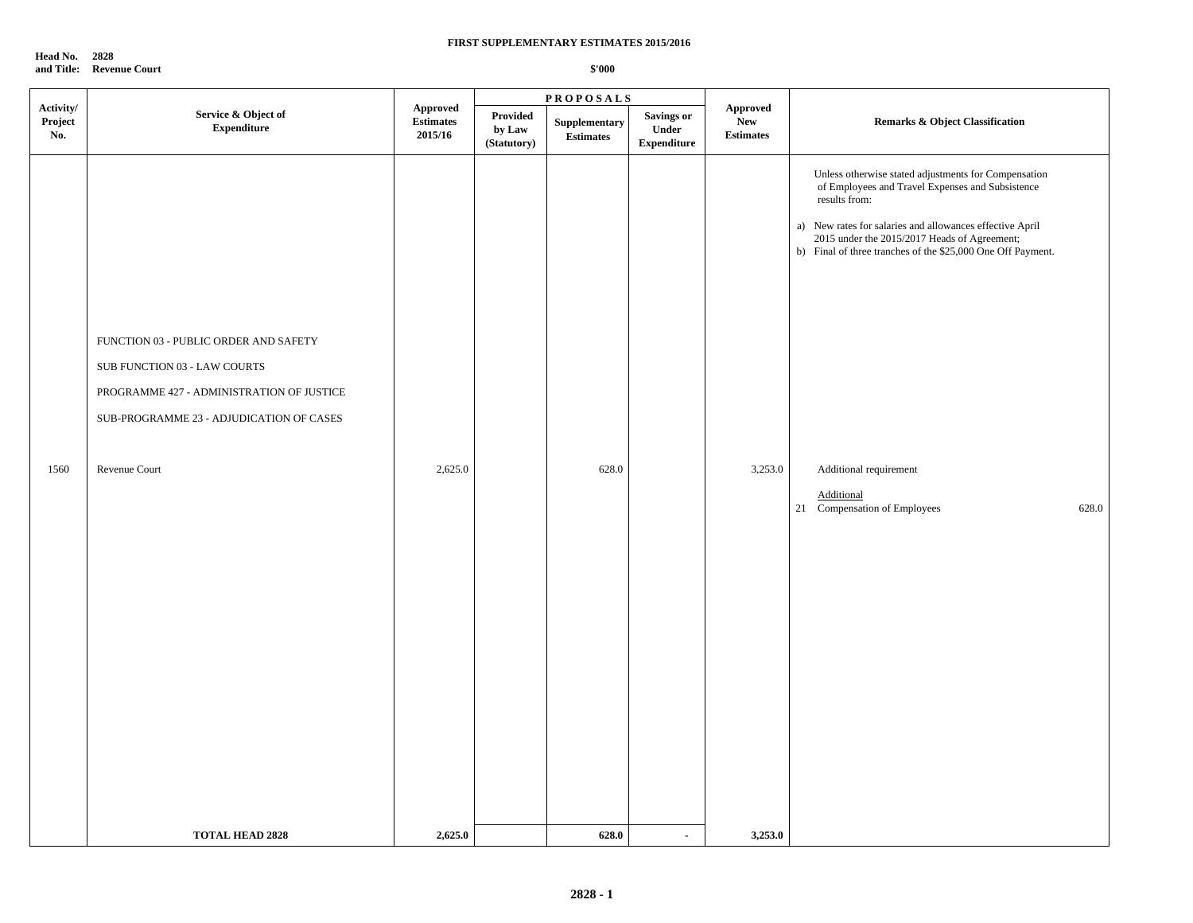**Head No. 2828 and Title: Revenue Court**

|                             |                                                                                                                                                                |                                                |                                   | <b>PROPOSALS</b>                  |                                                  |                                                   |                                                                                                                                                                                                                                                                                                      |  |
|-----------------------------|----------------------------------------------------------------------------------------------------------------------------------------------------------------|------------------------------------------------|-----------------------------------|-----------------------------------|--------------------------------------------------|---------------------------------------------------|------------------------------------------------------------------------------------------------------------------------------------------------------------------------------------------------------------------------------------------------------------------------------------------------------|--|
| Activity/<br>Project<br>No. | Service & Object of<br><b>Expenditure</b>                                                                                                                      | <b>Approved</b><br><b>Estimates</b><br>2015/16 | Provided<br>by Law<br>(Statutory) | Supplementary<br><b>Estimates</b> | <b>Savings or</b><br>Under<br><b>Expenditure</b> | <b>Approved</b><br><b>New</b><br><b>Estimates</b> | <b>Remarks &amp; Object Classification</b>                                                                                                                                                                                                                                                           |  |
|                             | FUNCTION 03 - PUBLIC ORDER AND SAFETY<br>SUB FUNCTION 03 - LAW COURTS<br>PROGRAMME 427 - ADMINISTRATION OF JUSTICE<br>SUB-PROGRAMME 23 - ADJUDICATION OF CASES |                                                |                                   |                                   |                                                  |                                                   | Unless otherwise stated adjustments for Compensation<br>of Employees and Travel Expenses and Subsistence<br>results from:<br>a) New rates for salaries and allowances effective April<br>2015 under the 2015/2017 Heads of Agreement;<br>b) Final of three tranches of the \$25,000 One Off Payment. |  |
| 1560                        | Revenue Court                                                                                                                                                  | 2,625.0                                        |                                   | 628.0                             |                                                  | 3,253.0                                           | Additional requirement<br>Additional<br>21 Compensation of Employees<br>628.0                                                                                                                                                                                                                        |  |
|                             | <b>TOTAL HEAD 2828</b>                                                                                                                                         | 2,625.0                                        |                                   | 628.0                             | $\blacksquare$                                   | 3,253.0                                           |                                                                                                                                                                                                                                                                                                      |  |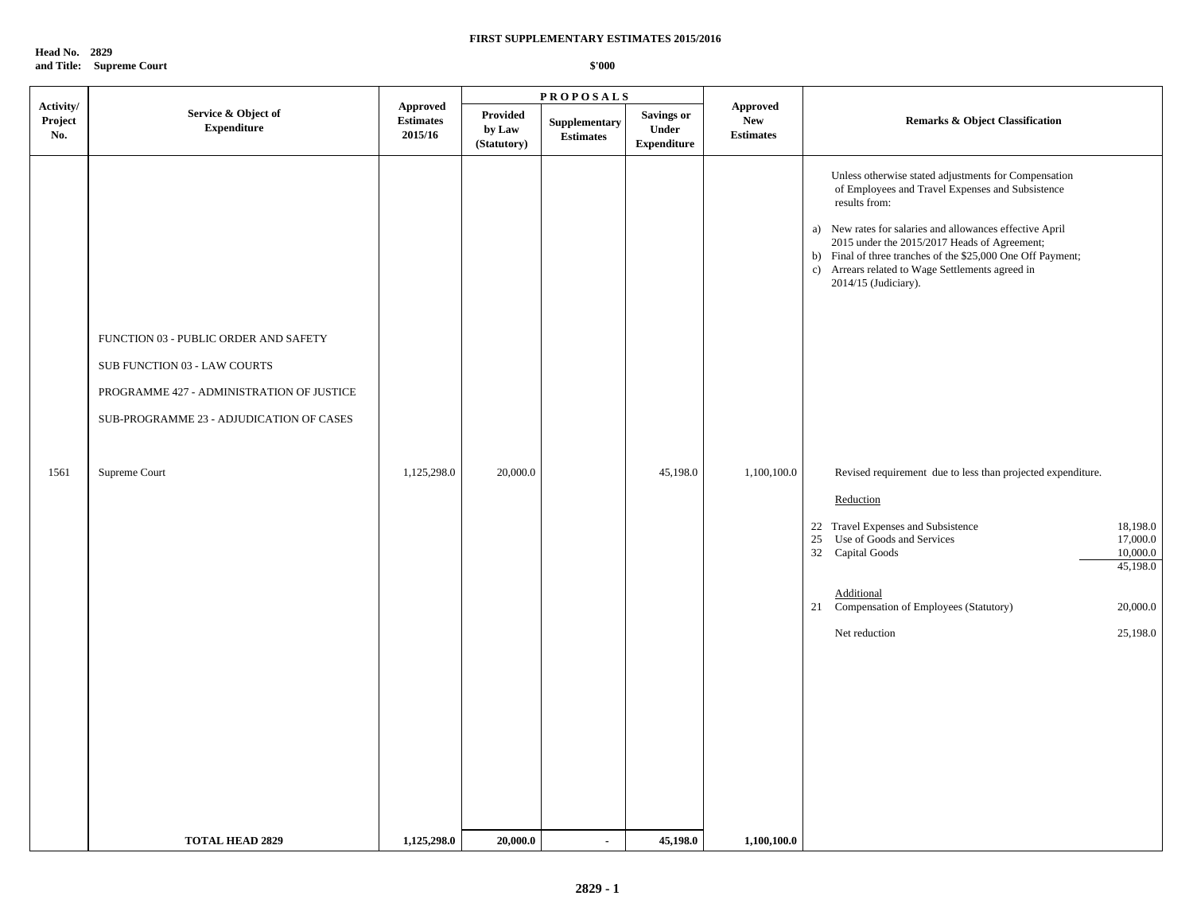**Head No. 2829 and Title: Supreme Court**

|                             |                                                                                                                                                                                 |                                                |                                   | <b>PROPOSALS</b>                  |                                                  |                                                   |                                                                                                                                                                                                                                                                                                                                                                                                                                                                                                                                                                                                                                                                                                              |  |
|-----------------------------|---------------------------------------------------------------------------------------------------------------------------------------------------------------------------------|------------------------------------------------|-----------------------------------|-----------------------------------|--------------------------------------------------|---------------------------------------------------|--------------------------------------------------------------------------------------------------------------------------------------------------------------------------------------------------------------------------------------------------------------------------------------------------------------------------------------------------------------------------------------------------------------------------------------------------------------------------------------------------------------------------------------------------------------------------------------------------------------------------------------------------------------------------------------------------------------|--|
| Activity/<br>Project<br>No. | Service & Object of<br><b>Expenditure</b>                                                                                                                                       | <b>Approved</b><br><b>Estimates</b><br>2015/16 | Provided<br>by Law<br>(Statutory) | Supplementary<br><b>Estimates</b> | <b>Savings or</b><br>Under<br><b>Expenditure</b> | <b>Approved</b><br><b>New</b><br><b>Estimates</b> | <b>Remarks &amp; Object Classification</b>                                                                                                                                                                                                                                                                                                                                                                                                                                                                                                                                                                                                                                                                   |  |
| 1561                        | FUNCTION 03 - PUBLIC ORDER AND SAFETY<br>SUB FUNCTION 03 - LAW COURTS<br>PROGRAMME 427 - ADMINISTRATION OF JUSTICE<br>SUB-PROGRAMME 23 - ADJUDICATION OF CASES<br>Supreme Court | 1,125,298.0                                    | 20,000.0                          |                                   | 45,198.0                                         | 1,100,100.0                                       | Unless otherwise stated adjustments for Compensation<br>of Employees and Travel Expenses and Subsistence<br>results from:<br>a) New rates for salaries and allowances effective April<br>2015 under the 2015/2017 Heads of Agreement;<br>b) Final of three tranches of the \$25,000 One Off Payment;<br>c) Arrears related to Wage Settlements agreed in<br>2014/15 (Judiciary).<br>Revised requirement due to less than projected expenditure.<br>Reduction<br>22 Travel Expenses and Subsistence<br>18,198.0<br>Use of Goods and Services<br>25<br>17,000.0<br>10,000.0<br>32 Capital Goods<br>45,198.0<br>Additional<br>21 Compensation of Employees (Statutory)<br>20,000.0<br>Net reduction<br>25,198.0 |  |
|                             |                                                                                                                                                                                 |                                                |                                   |                                   |                                                  |                                                   |                                                                                                                                                                                                                                                                                                                                                                                                                                                                                                                                                                                                                                                                                                              |  |
|                             | <b>TOTAL HEAD 2829</b>                                                                                                                                                          | 1,125,298.0                                    | 20,000.0                          | $\blacksquare$                    | 45,198.0                                         | 1,100,100.0                                       |                                                                                                                                                                                                                                                                                                                                                                                                                                                                                                                                                                                                                                                                                                              |  |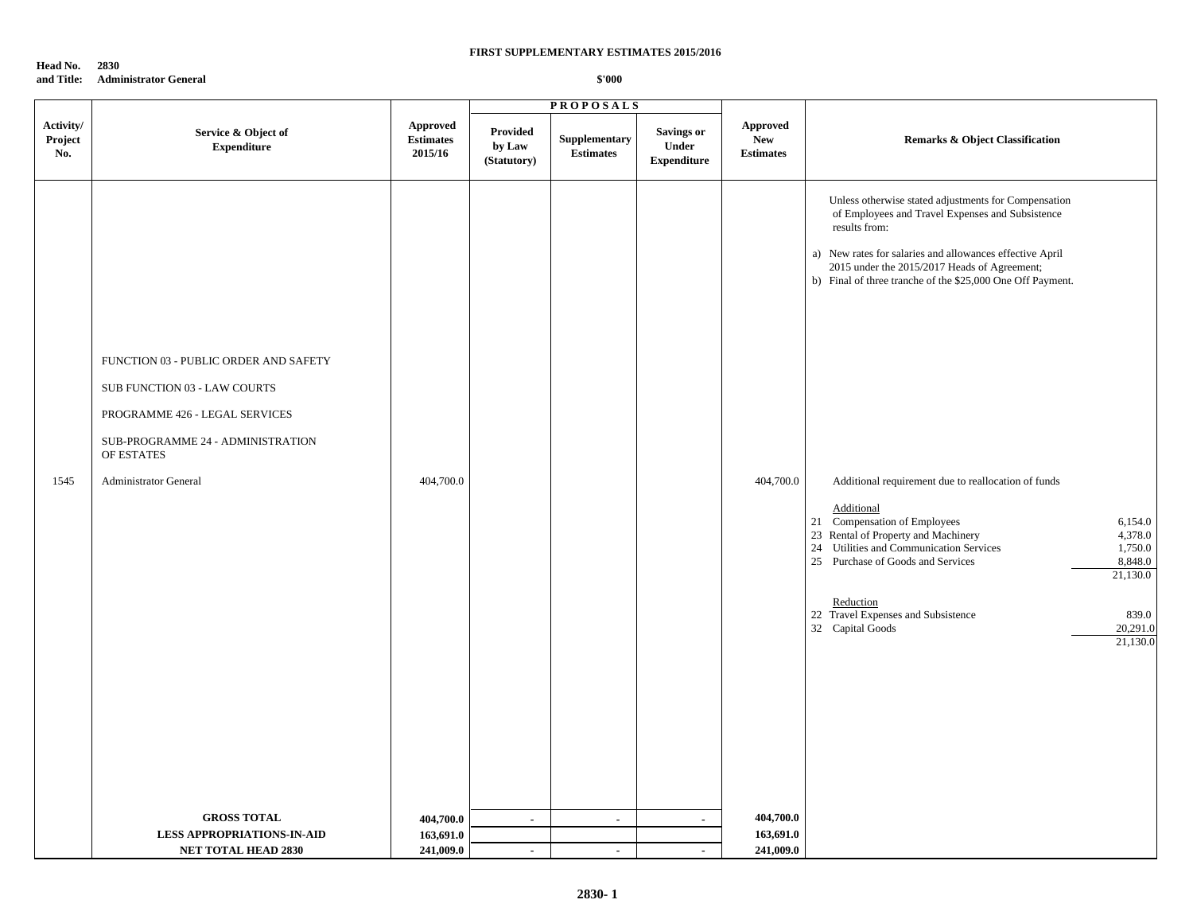**Head No. 2830 and Title: Administrator General**

|                             |                                                                                                                                                                                            |                                         | <b>PROPOSALS</b>                  |                                   |                                                  |                                            |                                                                                                                                                                                                                                                                                                                                                                                                                                                                                                                                                                                                                                                                                                 |
|-----------------------------|--------------------------------------------------------------------------------------------------------------------------------------------------------------------------------------------|-----------------------------------------|-----------------------------------|-----------------------------------|--------------------------------------------------|--------------------------------------------|-------------------------------------------------------------------------------------------------------------------------------------------------------------------------------------------------------------------------------------------------------------------------------------------------------------------------------------------------------------------------------------------------------------------------------------------------------------------------------------------------------------------------------------------------------------------------------------------------------------------------------------------------------------------------------------------------|
| Activity/<br>Project<br>No. | Service & Object of<br><b>Expenditure</b>                                                                                                                                                  | Approved<br><b>Estimates</b><br>2015/16 | Provided<br>by Law<br>(Statutory) | Supplementary<br><b>Estimates</b> | <b>Savings or</b><br>Under<br><b>Expenditure</b> | Approved<br><b>New</b><br><b>Estimates</b> | <b>Remarks &amp; Object Classification</b>                                                                                                                                                                                                                                                                                                                                                                                                                                                                                                                                                                                                                                                      |
| 1545                        | FUNCTION 03 - PUBLIC ORDER AND SAFETY<br>SUB FUNCTION 03 - LAW COURTS<br>PROGRAMME 426 - LEGAL SERVICES<br>SUB-PROGRAMME 24 - ADMINISTRATION<br>OF ESTATES<br><b>Administrator General</b> | 404,700.0                               |                                   |                                   |                                                  | 404,700.0                                  | Unless otherwise stated adjustments for Compensation<br>of Employees and Travel Expenses and Subsistence<br>results from:<br>a) New rates for salaries and allowances effective April<br>2015 under the 2015/2017 Heads of Agreement;<br>b) Final of three tranche of the \$25,000 One Off Payment.<br>Additional requirement due to reallocation of funds<br>Additional<br>21 Compensation of Employees<br>6,154.0<br>23 Rental of Property and Machinery<br>4,378.0<br>24 Utilities and Communication Services<br>1,750.0<br>25 Purchase of Goods and Services<br>8,848.0<br>21,130.0<br>Reduction<br>22 Travel Expenses and Subsistence<br>839.0<br>32 Capital Goods<br>20,291.0<br>21,130.0 |
|                             | <b>GROSS TOTAL</b>                                                                                                                                                                         | 404,700.0                               | $\blacksquare$                    | $\blacksquare$                    | $\blacksquare$                                   | 404,700.0                                  |                                                                                                                                                                                                                                                                                                                                                                                                                                                                                                                                                                                                                                                                                                 |
|                             | <b>LESS APPROPRIATIONS-IN-AID</b>                                                                                                                                                          | 163,691.0                               |                                   |                                   |                                                  | 163,691.0                                  |                                                                                                                                                                                                                                                                                                                                                                                                                                                                                                                                                                                                                                                                                                 |
|                             | <b>NET TOTAL HEAD 2830</b>                                                                                                                                                                 | 241,009.0                               | $\sim$                            | $\sim$                            | $\sim$                                           | 241,009.0                                  |                                                                                                                                                                                                                                                                                                                                                                                                                                                                                                                                                                                                                                                                                                 |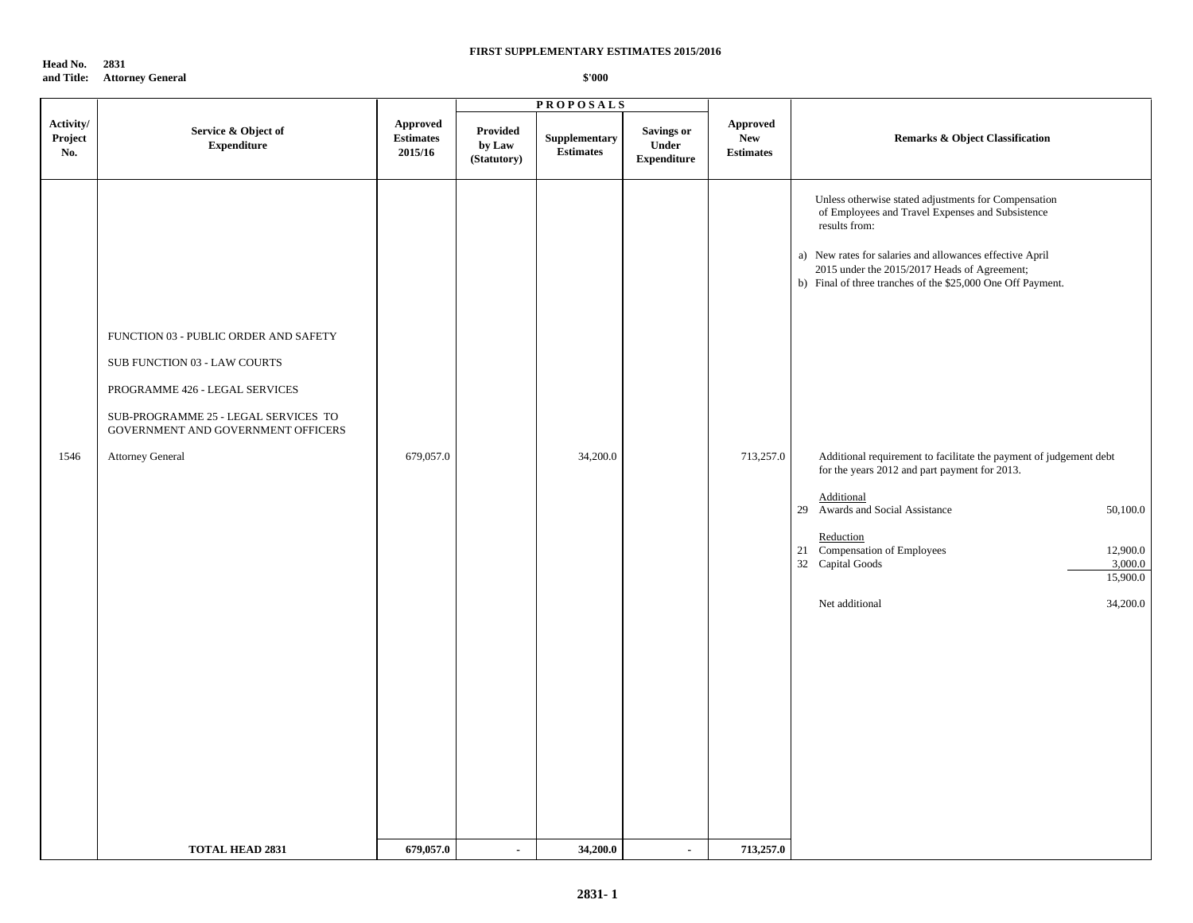**Head No. 2831 and Title: Attorney General**

|                             |                                                                                                                                                                                                           |                                                |                                   | <b>PROPOSALS</b>                  |                                                  |                                                   |                                                                                                                                                                                                                                                                                                                                                                                                                                                                                                                                                                                                                            |  |
|-----------------------------|-----------------------------------------------------------------------------------------------------------------------------------------------------------------------------------------------------------|------------------------------------------------|-----------------------------------|-----------------------------------|--------------------------------------------------|---------------------------------------------------|----------------------------------------------------------------------------------------------------------------------------------------------------------------------------------------------------------------------------------------------------------------------------------------------------------------------------------------------------------------------------------------------------------------------------------------------------------------------------------------------------------------------------------------------------------------------------------------------------------------------------|--|
| Activity/<br>Project<br>No. | Service & Object of<br><b>Expenditure</b>                                                                                                                                                                 | <b>Approved</b><br><b>Estimates</b><br>2015/16 | Provided<br>by Law<br>(Statutory) | Supplementary<br><b>Estimates</b> | <b>Savings or</b><br>Under<br><b>Expenditure</b> | <b>Approved</b><br><b>New</b><br><b>Estimates</b> | <b>Remarks &amp; Object Classification</b>                                                                                                                                                                                                                                                                                                                                                                                                                                                                                                                                                                                 |  |
| 1546                        | FUNCTION 03 - PUBLIC ORDER AND SAFETY<br>SUB FUNCTION 03 - LAW COURTS<br>PROGRAMME 426 - LEGAL SERVICES<br>SUB-PROGRAMME 25 - LEGAL SERVICES TO<br>GOVERNMENT AND GOVERNMENT OFFICERS<br>Attorney General | 679,057.0                                      |                                   | 34,200.0                          |                                                  | 713,257.0                                         | Unless otherwise stated adjustments for Compensation<br>of Employees and Travel Expenses and Subsistence<br>results from:<br>a) New rates for salaries and allowances effective April<br>2015 under the 2015/2017 Heads of Agreement;<br>b) Final of three tranches of the \$25,000 One Off Payment.<br>Additional requirement to facilitate the payment of judgement debt<br>for the years 2012 and part payment for 2013.<br>Additional<br>29 Awards and Social Assistance<br>50,100.0<br>Reduction<br>21 Compensation of Employees<br>12,900.0<br>32 Capital Goods<br>3,000.0<br>15,900.0<br>Net additional<br>34,200.0 |  |
|                             | <b>TOTAL HEAD 2831</b>                                                                                                                                                                                    | 679,057.0                                      | $\blacksquare$                    | 34,200.0                          | $\sim$                                           | 713,257.0                                         |                                                                                                                                                                                                                                                                                                                                                                                                                                                                                                                                                                                                                            |  |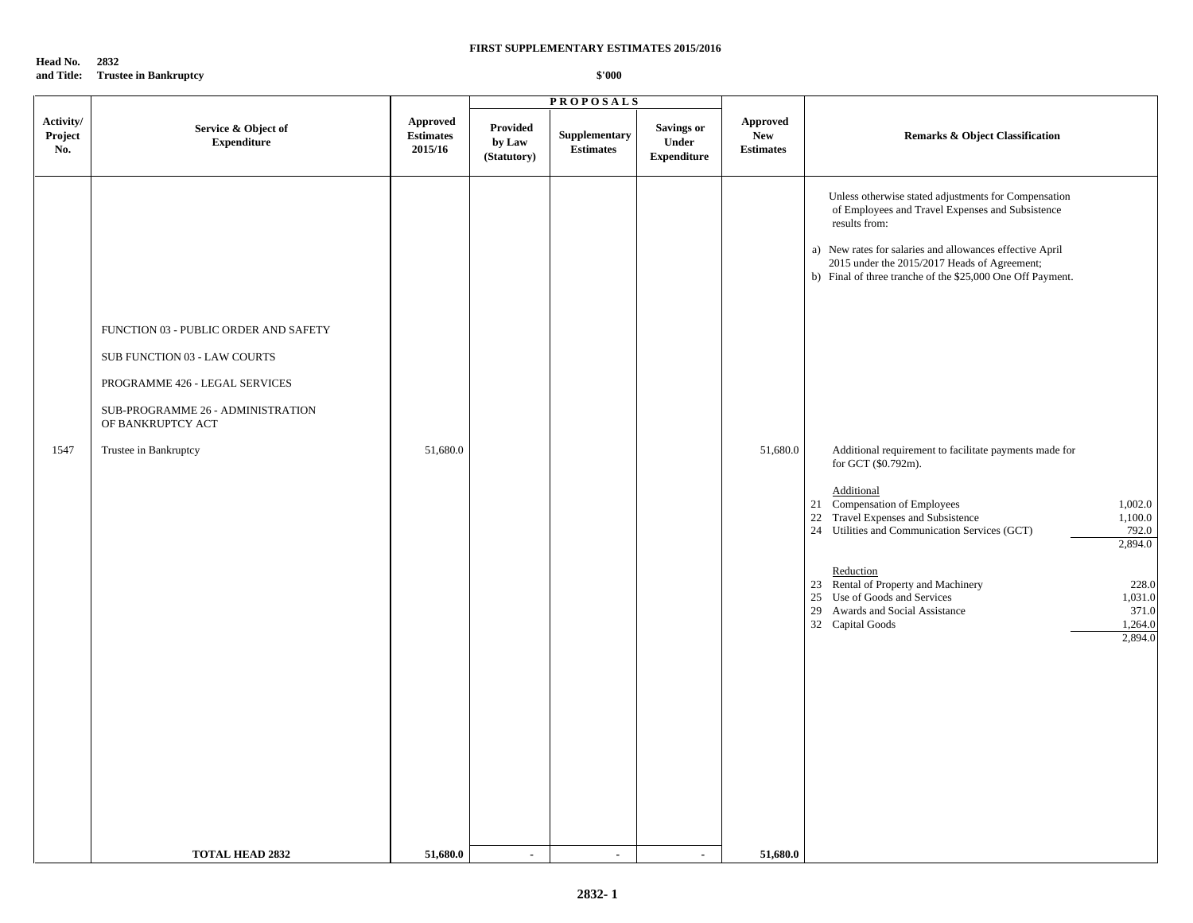**Head No. 2832 and Title: Trustee in Bankruptcy**

|                                                                                                                                                                                                                                                      | <b>PROPOSALS</b>                                                                                                           |                                                                                                                                                                                                                                                                                                                                                                                                                                                                                                                                                                                                                                                                                                                                                                                           |
|------------------------------------------------------------------------------------------------------------------------------------------------------------------------------------------------------------------------------------------------------|----------------------------------------------------------------------------------------------------------------------------|-------------------------------------------------------------------------------------------------------------------------------------------------------------------------------------------------------------------------------------------------------------------------------------------------------------------------------------------------------------------------------------------------------------------------------------------------------------------------------------------------------------------------------------------------------------------------------------------------------------------------------------------------------------------------------------------------------------------------------------------------------------------------------------------|
| Activity/<br>Approved<br>Service & Object of<br>Project<br><b>Estimates</b><br><b>Expenditure</b><br>2015/16<br>No.                                                                                                                                  | <b>Provided</b><br>Savings or<br>Supplementary<br>by Law<br>Under<br><b>Estimates</b><br><b>Expenditure</b><br>(Statutory) | Approved<br>New<br><b>Remarks &amp; Object Classification</b><br><b>Estimates</b>                                                                                                                                                                                                                                                                                                                                                                                                                                                                                                                                                                                                                                                                                                         |
| FUNCTION 03 - PUBLIC ORDER AND SAFETY<br>SUB FUNCTION 03 - LAW COURTS<br>PROGRAMME 426 - LEGAL SERVICES<br>SUB-PROGRAMME 26 - ADMINISTRATION<br>OF BANKRUPTCY ACT<br>1547<br>51,680.0<br>Trustee in Bankruptcy<br>51,680.0<br><b>TOTAL HEAD 2832</b> | $\blacksquare$<br>$\mathcal{L}_{\mathcal{A}}$<br>$\sim$                                                                    | Unless otherwise stated adjustments for Compensation<br>of Employees and Travel Expenses and Subsistence<br>results from:<br>a) New rates for salaries and allowances effective April<br>2015 under the 2015/2017 Heads of Agreement;<br>b) Final of three tranche of the \$25,000 One Off Payment.<br>51,680.0<br>Additional requirement to facilitate payments made for<br>for GCT (\$0.792m).<br>Additional<br>21 Compensation of Employees<br>1,002.0<br>22 Travel Expenses and Subsistence<br>1,100.0<br>24 Utilities and Communication Services (GCT)<br>792.0<br>2,894.0<br>Reduction<br>23 Rental of Property and Machinery<br>228.0<br>25 Use of Goods and Services<br>1,031.0<br>29 Awards and Social Assistance<br>371.0<br>32 Capital Goods<br>1,264.0<br>2,894.0<br>51,680.0 |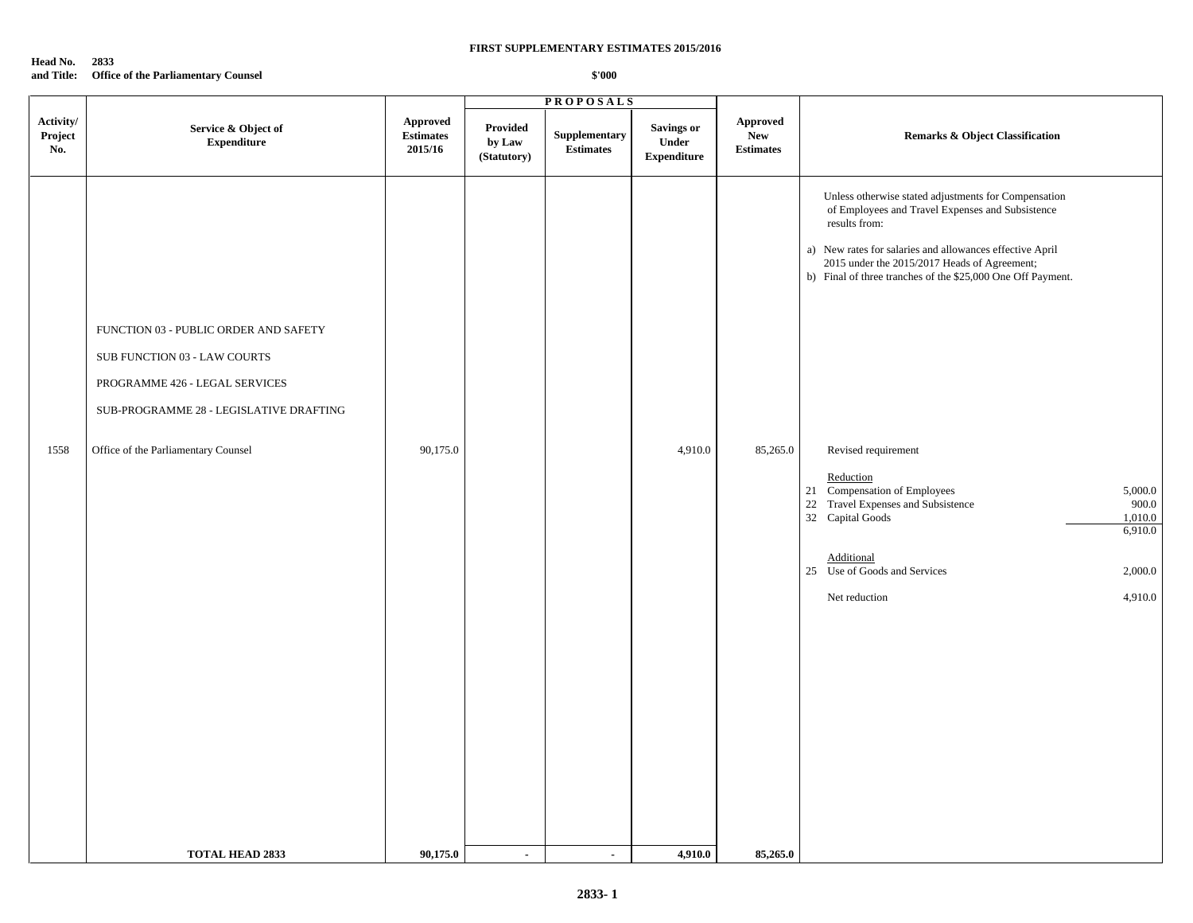## **Head No. 2833 and Title: Office of the Parliamentary Counsel**

|                             |                                                                                                                                                                                           |                                         |                                   | <b>PROPOSALS</b>                  |                                                  |                                     |                                                                                                                                                                                                                                                                                                                                                                                                                                                                                                                                                                   |  |
|-----------------------------|-------------------------------------------------------------------------------------------------------------------------------------------------------------------------------------------|-----------------------------------------|-----------------------------------|-----------------------------------|--------------------------------------------------|-------------------------------------|-------------------------------------------------------------------------------------------------------------------------------------------------------------------------------------------------------------------------------------------------------------------------------------------------------------------------------------------------------------------------------------------------------------------------------------------------------------------------------------------------------------------------------------------------------------------|--|
| Activity/<br>Project<br>No. | Service & Object of<br><b>Expenditure</b>                                                                                                                                                 | Approved<br><b>Estimates</b><br>2015/16 | Provided<br>by Law<br>(Statutory) | Supplementary<br><b>Estimates</b> | <b>Savings or</b><br>Under<br><b>Expenditure</b> | Approved<br>New<br><b>Estimates</b> | <b>Remarks &amp; Object Classification</b>                                                                                                                                                                                                                                                                                                                                                                                                                                                                                                                        |  |
| 1558                        | FUNCTION 03 - PUBLIC ORDER AND SAFETY<br>SUB FUNCTION 03 - LAW COURTS<br>PROGRAMME 426 - LEGAL SERVICES<br>SUB-PROGRAMME 28 - LEGISLATIVE DRAFTING<br>Office of the Parliamentary Counsel | 90,175.0                                |                                   |                                   | 4,910.0                                          | 85,265.0                            | Unless otherwise stated adjustments for Compensation<br>of Employees and Travel Expenses and Subsistence<br>results from:<br>a) New rates for salaries and allowances effective April<br>2015 under the 2015/2017 Heads of Agreement;<br>b) Final of three tranches of the \$25,000 One Off Payment.<br>Revised requirement<br>Reduction<br>21 Compensation of Employees<br>5,000.0<br>22 Travel Expenses and Subsistence<br>900.0<br>32 Capital Goods<br>1,010.0<br>6,910.0<br>Additional<br>25 Use of Goods and Services<br>2,000.0<br>4,910.0<br>Net reduction |  |
|                             | <b>TOTAL HEAD 2833</b>                                                                                                                                                                    | 90,175.0                                | $\sim$                            | $\sim$                            | 4,910.0                                          | 85,265.0                            |                                                                                                                                                                                                                                                                                                                                                                                                                                                                                                                                                                   |  |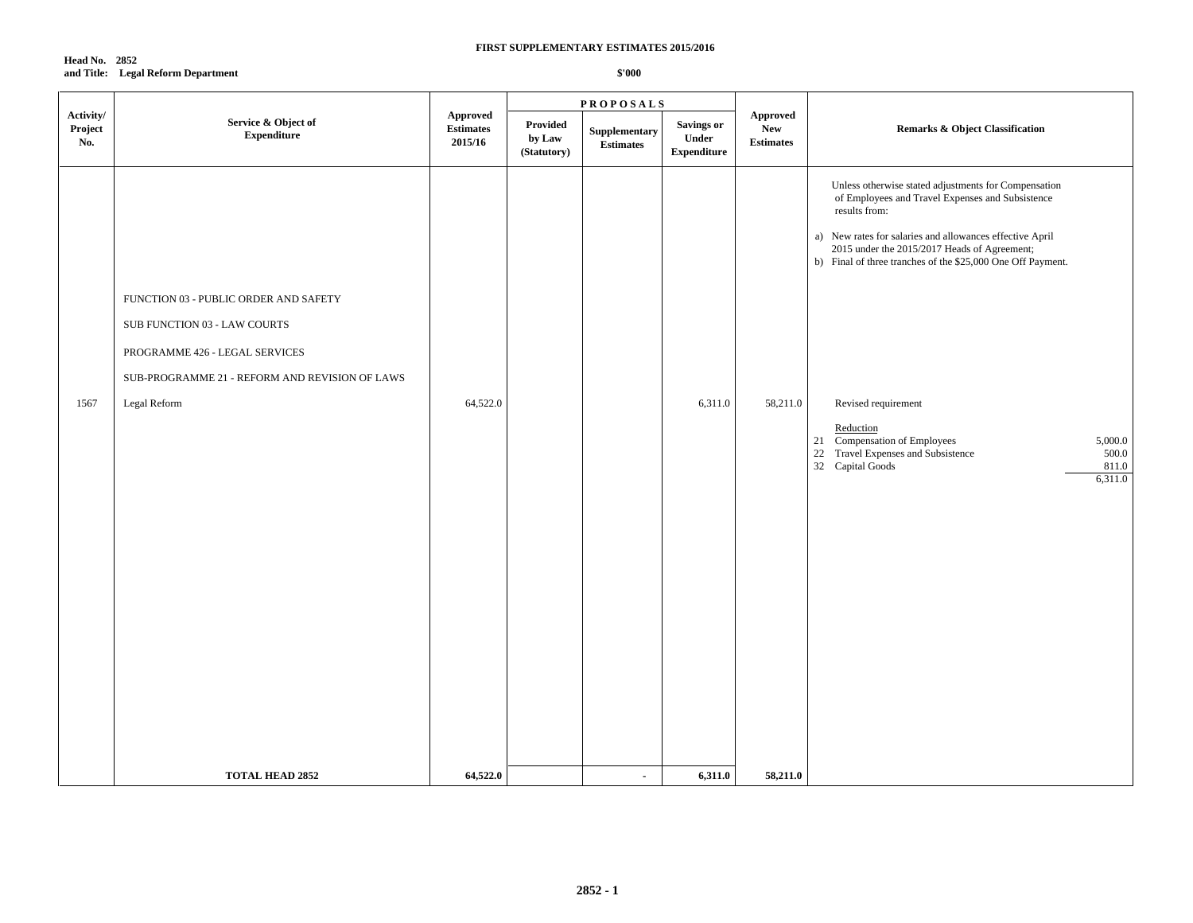## **Head No. 2852 and Title: Legal Reform Department**

|                             |                                                                                                                                                                           |                                                |                                   | <b>PROPOSALS</b>                  |                                                  |                                             | <b>Remarks &amp; Object Classification</b>                                                                                                                                                                                                                                                                                                                                                                                                                                    |  |
|-----------------------------|---------------------------------------------------------------------------------------------------------------------------------------------------------------------------|------------------------------------------------|-----------------------------------|-----------------------------------|--------------------------------------------------|---------------------------------------------|-------------------------------------------------------------------------------------------------------------------------------------------------------------------------------------------------------------------------------------------------------------------------------------------------------------------------------------------------------------------------------------------------------------------------------------------------------------------------------|--|
| Activity/<br>Project<br>No. | Service & Object of<br>${\bf Expenditure}$                                                                                                                                | <b>Approved</b><br><b>Estimates</b><br>2015/16 | Provided<br>by Law<br>(Statutory) | Supplementary<br><b>Estimates</b> | <b>Savings or</b><br>Under<br><b>Expenditure</b> | Approved<br>${\bf New}$<br><b>Estimates</b> |                                                                                                                                                                                                                                                                                                                                                                                                                                                                               |  |
| 1567                        | FUNCTION 03 - PUBLIC ORDER AND SAFETY<br>SUB FUNCTION 03 - LAW COURTS<br>PROGRAMME 426 - LEGAL SERVICES<br>SUB-PROGRAMME 21 - REFORM AND REVISION OF LAWS<br>Legal Reform | 64,522.0                                       |                                   |                                   | 6,311.0                                          | 58,211.0                                    | Unless otherwise stated adjustments for Compensation<br>of Employees and Travel Expenses and Subsistence<br>results from:<br>a) New rates for salaries and allowances effective April<br>2015 under the 2015/2017 Heads of Agreement;<br>b) Final of three tranches of the \$25,000 One Off Payment.<br>Revised requirement<br>Reduction<br>Compensation of Employees<br>5,000.0<br>21<br>22 Travel Expenses and Subsistence<br>500.0<br>32 Capital Goods<br>811.0<br>6,311.0 |  |
|                             | <b>TOTAL HEAD 2852</b>                                                                                                                                                    | 64,522.0                                       |                                   | $\sim$                            | 6,311.0                                          | 58,211.0                                    |                                                                                                                                                                                                                                                                                                                                                                                                                                                                               |  |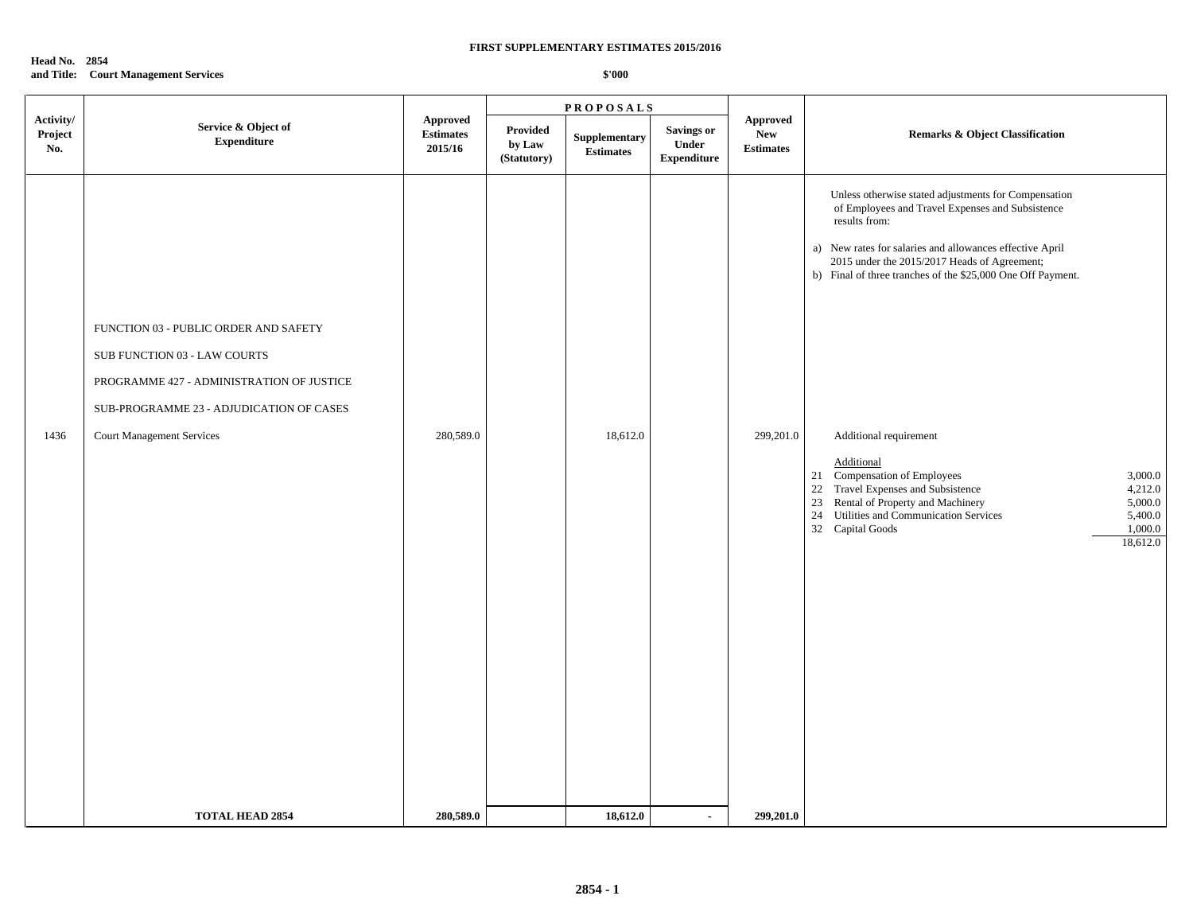## **Head No. 2854 and Title: Court Management Services**

|                             |                                                                                                                                                                                                    |                                                |                                   | <b>PROPOSALS</b>                  |                                                  |                                                   |                                                                                                                                                                                                                                                                                                                                                                                                                                                                                                                                                                                                   |  |
|-----------------------------|----------------------------------------------------------------------------------------------------------------------------------------------------------------------------------------------------|------------------------------------------------|-----------------------------------|-----------------------------------|--------------------------------------------------|---------------------------------------------------|---------------------------------------------------------------------------------------------------------------------------------------------------------------------------------------------------------------------------------------------------------------------------------------------------------------------------------------------------------------------------------------------------------------------------------------------------------------------------------------------------------------------------------------------------------------------------------------------------|--|
| Activity/<br>Project<br>No. | Service & Object of<br><b>Expenditure</b>                                                                                                                                                          | <b>Approved</b><br><b>Estimates</b><br>2015/16 | Provided<br>by Law<br>(Statutory) | Supplementary<br><b>Estimates</b> | <b>Savings or</b><br>Under<br><b>Expenditure</b> | <b>Approved</b><br><b>New</b><br><b>Estimates</b> | <b>Remarks &amp; Object Classification</b>                                                                                                                                                                                                                                                                                                                                                                                                                                                                                                                                                        |  |
| 1436                        | FUNCTION 03 - PUBLIC ORDER AND SAFETY<br>SUB FUNCTION 03 - LAW COURTS<br>PROGRAMME 427 - ADMINISTRATION OF JUSTICE<br>SUB-PROGRAMME 23 - ADJUDICATION OF CASES<br><b>Court Management Services</b> | 280,589.0                                      |                                   | 18,612.0                          |                                                  | 299,201.0                                         | Unless otherwise stated adjustments for Compensation<br>of Employees and Travel Expenses and Subsistence<br>results from:<br>a) New rates for salaries and allowances effective April<br>2015 under the 2015/2017 Heads of Agreement;<br>b) Final of three tranches of the \$25,000 One Off Payment.<br>Additional requirement<br>Additional<br>21 Compensation of Employees<br>3,000.0<br>22 Travel Expenses and Subsistence<br>4,212.0<br>Rental of Property and Machinery<br>23<br>5,000.0<br>Utilities and Communication Services<br>5,400.0<br>24<br>32 Capital Goods<br>1,000.0<br>18,612.0 |  |
|                             | <b>TOTAL HEAD 2854</b>                                                                                                                                                                             | 280,589.0                                      |                                   | 18,612.0                          |                                                  | 299,201.0                                         |                                                                                                                                                                                                                                                                                                                                                                                                                                                                                                                                                                                                   |  |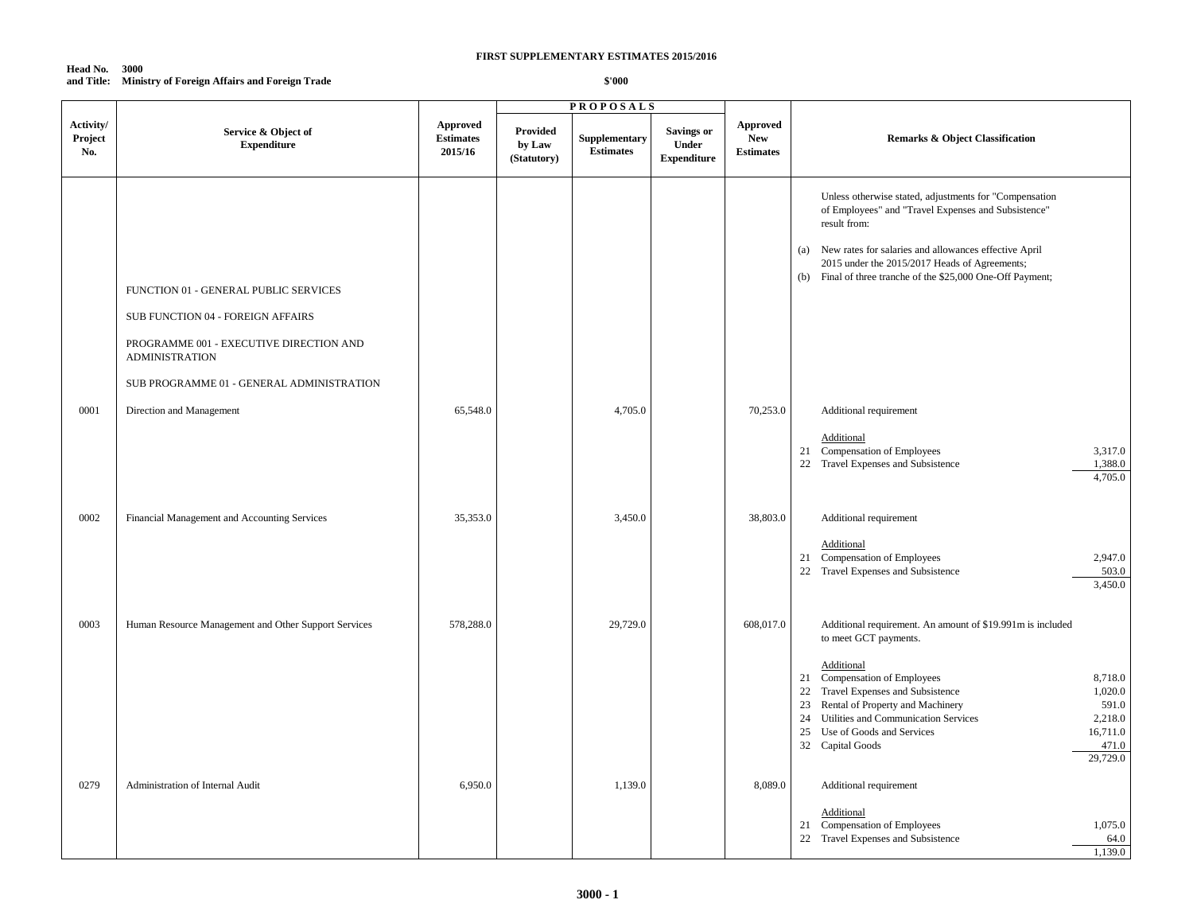#### **Head No. 3000 and Title: Ministry of Foreign Affairs and Foreign Trade**

|                             |                                                                                                                                                                                             |                                                |                                          | <b>PROPOSALS</b>                  |                                                  |                                                   |                                                                                                                                                                                                                                                                                                                                                                                                      |
|-----------------------------|---------------------------------------------------------------------------------------------------------------------------------------------------------------------------------------------|------------------------------------------------|------------------------------------------|-----------------------------------|--------------------------------------------------|---------------------------------------------------|------------------------------------------------------------------------------------------------------------------------------------------------------------------------------------------------------------------------------------------------------------------------------------------------------------------------------------------------------------------------------------------------------|
| Activity/<br>Project<br>No. | Service & Object of<br><b>Expenditure</b>                                                                                                                                                   | <b>Approved</b><br><b>Estimates</b><br>2015/16 | <b>Provided</b><br>by Law<br>(Statutory) | Supplementary<br><b>Estimates</b> | <b>Savings or</b><br>Under<br><b>Expenditure</b> | <b>Approved</b><br><b>New</b><br><b>Estimates</b> | <b>Remarks &amp; Object Classification</b>                                                                                                                                                                                                                                                                                                                                                           |
|                             | FUNCTION 01 - GENERAL PUBLIC SERVICES<br>SUB FUNCTION 04 - FOREIGN AFFAIRS<br>PROGRAMME 001 - EXECUTIVE DIRECTION AND<br><b>ADMINISTRATION</b><br>SUB PROGRAMME 01 - GENERAL ADMINISTRATION |                                                |                                          |                                   |                                                  |                                                   | Unless otherwise stated, adjustments for "Compensation<br>of Employees" and "Travel Expenses and Subsistence"<br>result from:<br>(a) New rates for salaries and allowances effective April<br>2015 under the 2015/2017 Heads of Agreements;<br>(b) Final of three tranche of the \$25,000 One-Off Payment;                                                                                           |
| 0001                        | Direction and Management                                                                                                                                                                    | 65,548.0                                       |                                          | 4,705.0                           |                                                  | 70,253.0                                          | Additional requirement<br>Additional<br>21 Compensation of Employees<br>3,317.0<br>22 Travel Expenses and Subsistence<br>1,388.0<br>4,705.0                                                                                                                                                                                                                                                          |
| 0002                        | Financial Management and Accounting Services                                                                                                                                                | 35,353.0                                       |                                          | 3,450.0                           |                                                  | 38,803.0                                          | Additional requirement<br>Additional<br>21 Compensation of Employees<br>2,947.0<br>22 Travel Expenses and Subsistence<br>503.0<br>3,450.0                                                                                                                                                                                                                                                            |
| 0003                        | Human Resource Management and Other Support Services                                                                                                                                        | 578,288.0                                      |                                          | 29,729.0                          |                                                  | 608,017.0                                         | Additional requirement. An amount of \$19.991m is included<br>to meet GCT payments.<br>Additional<br>21 Compensation of Employees<br>8,718.0<br>Travel Expenses and Subsistence<br>22<br>1,020.0<br>Rental of Property and Machinery<br>591.0<br>23<br>Utilities and Communication Services<br>24<br>2,218.0<br>25<br>Use of Goods and Services<br>16,711.0<br>32 Capital Goods<br>471.0<br>29,729.0 |
| 0279                        | Administration of Internal Audit                                                                                                                                                            | 6,950.0                                        |                                          | 1,139.0                           |                                                  | 8,089.0                                           | Additional requirement<br>Additional<br>21 Compensation of Employees<br>1,075.0<br>22 Travel Expenses and Subsistence<br>64.0<br>1,139.0                                                                                                                                                                                                                                                             |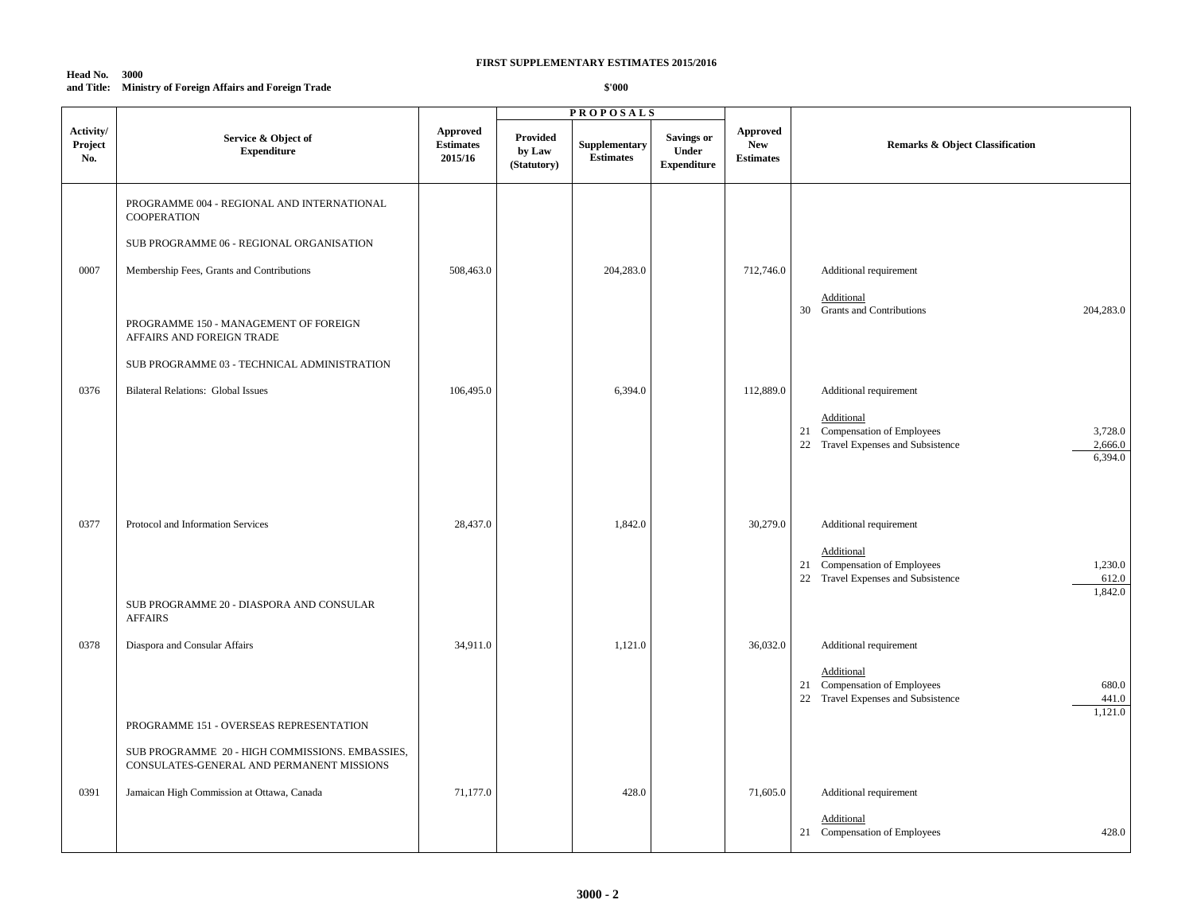#### **Head No. 3000 and Title: Ministry of Foreign Affairs and Foreign Trade**

|                             |                                                                                              |                                                |                                          | <b>PROPOSALS</b>                  |                                                   |                                                   |                                                                                                                   |
|-----------------------------|----------------------------------------------------------------------------------------------|------------------------------------------------|------------------------------------------|-----------------------------------|---------------------------------------------------|---------------------------------------------------|-------------------------------------------------------------------------------------------------------------------|
| Activity/<br>Project<br>No. | Service & Object of<br><b>Expenditure</b>                                                    | <b>Approved</b><br><b>Estimates</b><br>2015/16 | <b>Provided</b><br>by Law<br>(Statutory) | Supplementary<br><b>Estimates</b> | <b>Savings or</b><br>Under<br>${\bf Expenditure}$ | <b>Approved</b><br><b>New</b><br><b>Estimates</b> | <b>Remarks &amp; Object Classification</b>                                                                        |
|                             | PROGRAMME 004 - REGIONAL AND INTERNATIONAL<br><b>COOPERATION</b>                             |                                                |                                          |                                   |                                                   |                                                   |                                                                                                                   |
|                             | SUB PROGRAMME 06 - REGIONAL ORGANISATION                                                     |                                                |                                          |                                   |                                                   |                                                   |                                                                                                                   |
| 0007                        | Membership Fees, Grants and Contributions                                                    | 508,463.0                                      |                                          | 204,283.0                         |                                                   | 712,746.0                                         | Additional requirement                                                                                            |
|                             | PROGRAMME 150 - MANAGEMENT OF FOREIGN<br>AFFAIRS AND FOREIGN TRADE                           |                                                |                                          |                                   |                                                   |                                                   | Additional<br>30 Grants and Contributions<br>204,283.0                                                            |
|                             | SUB PROGRAMME 03 - TECHNICAL ADMINISTRATION                                                  |                                                |                                          |                                   |                                                   |                                                   |                                                                                                                   |
| 0376                        | <b>Bilateral Relations: Global Issues</b>                                                    | 106,495.0                                      |                                          | 6,394.0                           |                                                   | 112,889.0                                         | Additional requirement                                                                                            |
|                             |                                                                                              |                                                |                                          |                                   |                                                   |                                                   | Additional<br>21 Compensation of Employees<br>3,728.0<br>22 Travel Expenses and Subsistence<br>2,666.0<br>6,394.0 |
| 0377                        | Protocol and Information Services                                                            | 28,437.0                                       |                                          | 1,842.0                           |                                                   | 30,279.0                                          | Additional requirement<br>Additional<br>21 Compensation of Employees<br>1,230.0                                   |
|                             | SUB PROGRAMME 20 - DIASPORA AND CONSULAR<br><b>AFFAIRS</b>                                   |                                                |                                          |                                   |                                                   |                                                   | 22 Travel Expenses and Subsistence<br>612.0<br>1,842.0                                                            |
| 0378                        | Diaspora and Consular Affairs                                                                | 34,911.0                                       |                                          | 1,121.0                           |                                                   | 36,032.0                                          | Additional requirement                                                                                            |
|                             |                                                                                              |                                                |                                          |                                   |                                                   |                                                   | Additional<br>21 Compensation of Employees<br>680.0<br>22 Travel Expenses and Subsistence<br>441.0<br>1,121.0     |
|                             | PROGRAMME 151 - OVERSEAS REPRESENTATION                                                      |                                                |                                          |                                   |                                                   |                                                   |                                                                                                                   |
|                             | SUB PROGRAMME 20 - HIGH COMMISSIONS. EMBASSIES,<br>CONSULATES-GENERAL AND PERMANENT MISSIONS |                                                |                                          |                                   |                                                   |                                                   |                                                                                                                   |
| 0391                        | Jamaican High Commission at Ottawa, Canada                                                   | 71,177.0                                       |                                          | 428.0                             |                                                   | 71,605.0                                          | Additional requirement                                                                                            |
|                             |                                                                                              |                                                |                                          |                                   |                                                   |                                                   | Additional<br>21 Compensation of Employees<br>428.0                                                               |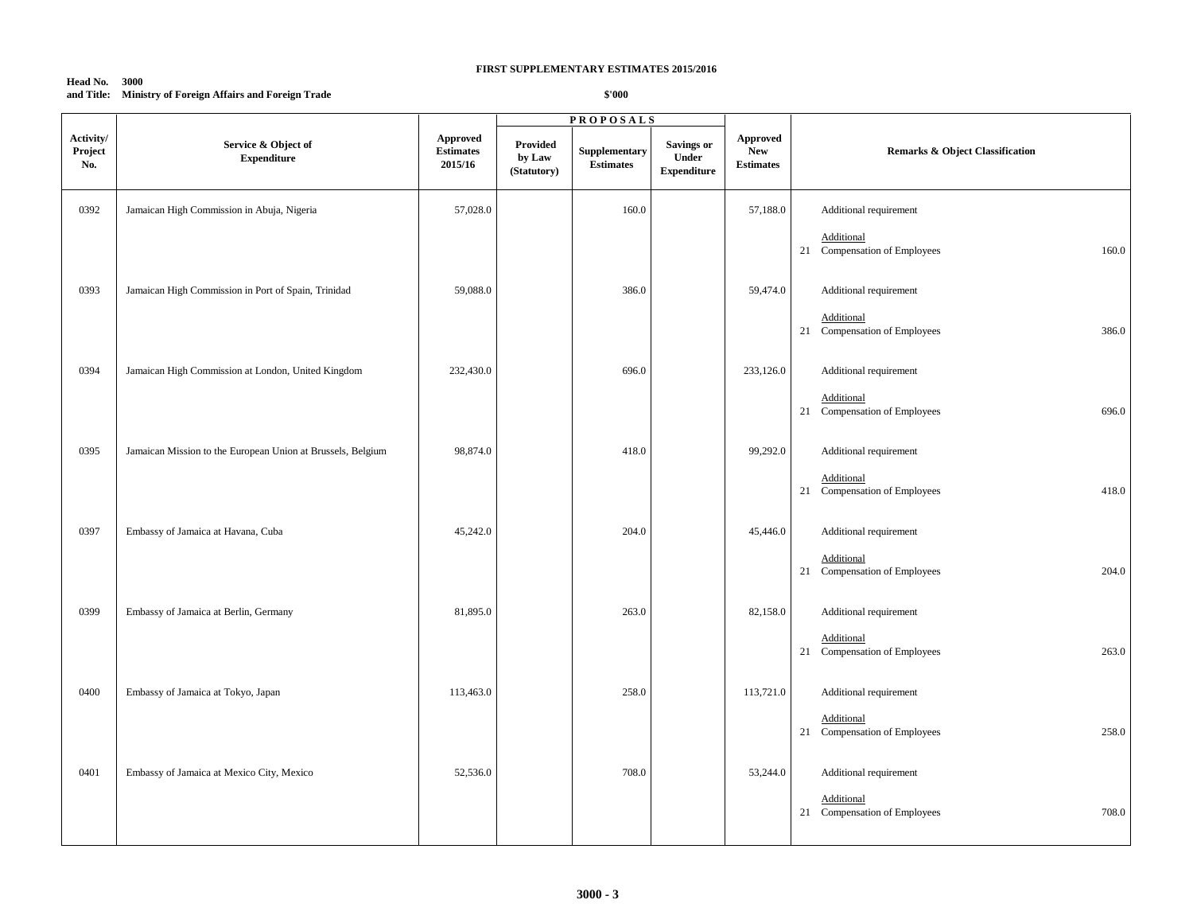#### **Head No. 3000 and Title: Ministry of Foreign Affairs and Foreign Trade**

|                             |                                                             |                                         |                                          | <b>PROPOSALS</b>                  |                                                  |                                                   |                                                     |
|-----------------------------|-------------------------------------------------------------|-----------------------------------------|------------------------------------------|-----------------------------------|--------------------------------------------------|---------------------------------------------------|-----------------------------------------------------|
| Activity/<br>Project<br>No. | Service & Object of<br><b>Expenditure</b>                   | Approved<br><b>Estimates</b><br>2015/16 | <b>Provided</b><br>by Law<br>(Statutory) | Supplementary<br><b>Estimates</b> | <b>Savings or</b><br>Under<br><b>Expenditure</b> | <b>Approved</b><br><b>New</b><br><b>Estimates</b> | <b>Remarks &amp; Object Classification</b>          |
| 0392                        | Jamaican High Commission in Abuja, Nigeria                  | 57,028.0                                |                                          | 160.0                             |                                                  | 57,188.0                                          | Additional requirement                              |
|                             |                                                             |                                         |                                          |                                   |                                                  |                                                   | Additional<br>21 Compensation of Employees<br>160.0 |
| 0393                        | Jamaican High Commission in Port of Spain, Trinidad         | 59,088.0                                |                                          | 386.0                             |                                                  | 59,474.0                                          | Additional requirement                              |
|                             |                                                             |                                         |                                          |                                   |                                                  |                                                   | Additional<br>21 Compensation of Employees<br>386.0 |
| 0394                        | Jamaican High Commission at London, United Kingdom          | 232,430.0                               |                                          | 696.0                             |                                                  | 233,126.0                                         | Additional requirement                              |
|                             |                                                             |                                         |                                          |                                   |                                                  |                                                   | Additional<br>21 Compensation of Employees<br>696.0 |
| 0395                        | Jamaican Mission to the European Union at Brussels, Belgium | 98,874.0                                |                                          | 418.0                             |                                                  | 99,292.0                                          | Additional requirement                              |
|                             |                                                             |                                         |                                          |                                   |                                                  |                                                   | Additional<br>21 Compensation of Employees<br>418.0 |
| 0397                        | Embassy of Jamaica at Havana, Cuba                          | 45,242.0                                |                                          | 204.0                             |                                                  | 45,446.0                                          | Additional requirement                              |
|                             |                                                             |                                         |                                          |                                   |                                                  |                                                   | Additional<br>21 Compensation of Employees<br>204.0 |
| 0399                        | Embassy of Jamaica at Berlin, Germany                       | 81,895.0                                |                                          | 263.0                             |                                                  | 82,158.0                                          | Additional requirement                              |
|                             |                                                             |                                         |                                          |                                   |                                                  |                                                   | Additional<br>21 Compensation of Employees<br>263.0 |
| 0400                        | Embassy of Jamaica at Tokyo, Japan                          | 113,463.0                               |                                          | 258.0                             |                                                  | 113,721.0                                         | Additional requirement                              |
|                             |                                                             |                                         |                                          |                                   |                                                  |                                                   | Additional<br>258.0<br>21 Compensation of Employees |
| 0401                        | Embassy of Jamaica at Mexico City, Mexico                   | 52,536.0                                |                                          | 708.0                             |                                                  | 53,244.0                                          | Additional requirement                              |
|                             |                                                             |                                         |                                          |                                   |                                                  |                                                   | Additional<br>708.0<br>21 Compensation of Employees |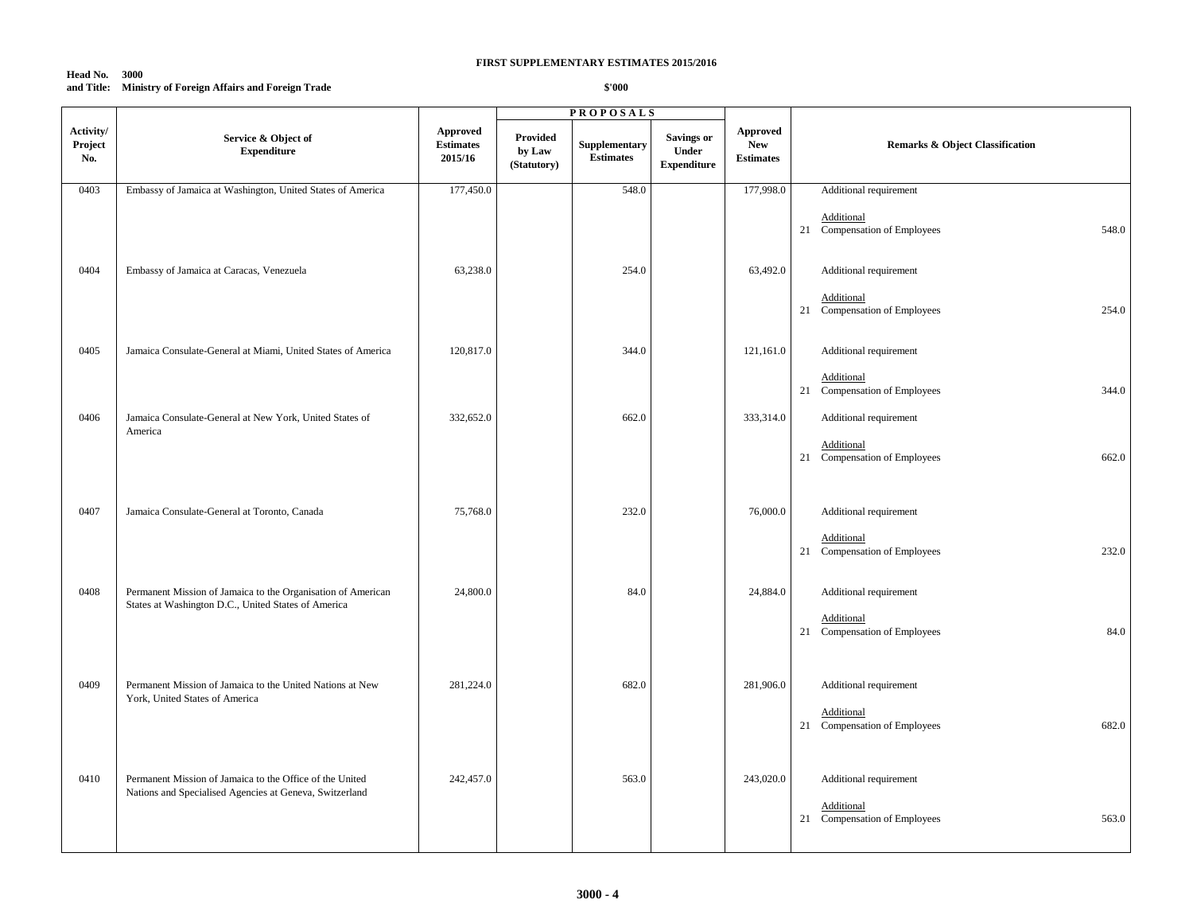#### **Head No. 3000 and Title: Ministry of Foreign Affairs and Foreign Trade**

|                             |                                                                                                                     |                                                |                                   | <b>PROPOSALS</b>                  |                                                  |                                            |                                                                               |
|-----------------------------|---------------------------------------------------------------------------------------------------------------------|------------------------------------------------|-----------------------------------|-----------------------------------|--------------------------------------------------|--------------------------------------------|-------------------------------------------------------------------------------|
| Activity/<br>Project<br>No. | Service & Object of<br><b>Expenditure</b>                                                                           | <b>Approved</b><br><b>Estimates</b><br>2015/16 | Provided<br>by Law<br>(Statutory) | Supplementary<br><b>Estimates</b> | <b>Savings or</b><br>Under<br><b>Expenditure</b> | Approved<br><b>New</b><br><b>Estimates</b> | <b>Remarks &amp; Object Classification</b>                                    |
| 0403                        | Embassy of Jamaica at Washington, United States of America                                                          | 177,450.0                                      |                                   | 548.0                             |                                                  | 177,998.0                                  | Additional requirement                                                        |
| 0404                        | Embassy of Jamaica at Caracas, Venezuela                                                                            | 63,238.0                                       |                                   | 254.0                             |                                                  | 63,492.0                                   | Additional<br>548.0<br>21 Compensation of Employees<br>Additional requirement |
|                             |                                                                                                                     |                                                |                                   |                                   |                                                  |                                            | Additional<br>21 Compensation of Employees<br>254.0                           |
| 0405                        | Jamaica Consulate-General at Miami, United States of America                                                        | 120,817.0                                      |                                   | 344.0                             |                                                  | 121,161.0                                  | Additional requirement                                                        |
|                             |                                                                                                                     |                                                |                                   |                                   |                                                  |                                            | Additional<br>21 Compensation of Employees<br>344.0                           |
| 0406                        | Jamaica Consulate-General at New York, United States of<br>America                                                  | 332,652.0                                      |                                   | 662.0                             |                                                  | 333,314.0                                  | Additional requirement<br>Additional<br>21 Compensation of Employees<br>662.0 |
| 0407                        | Jamaica Consulate-General at Toronto, Canada                                                                        | 75,768.0                                       |                                   | 232.0                             |                                                  | 76,000.0                                   | Additional requirement<br>Additional<br>21 Compensation of Employees<br>232.0 |
| 0408                        | Permanent Mission of Jamaica to the Organisation of American<br>States at Washington D.C., United States of America | 24,800.0                                       |                                   | 84.0                              |                                                  | 24,884.0                                   | Additional requirement<br>Additional<br>21 Compensation of Employees<br>84.0  |
| 0409                        | Permanent Mission of Jamaica to the United Nations at New<br>York, United States of America                         | 281,224.0                                      |                                   | 682.0                             |                                                  | 281,906.0                                  | Additional requirement<br>Additional<br>682.0<br>21 Compensation of Employees |
| 0410                        | Permanent Mission of Jamaica to the Office of the United<br>Nations and Specialised Agencies at Geneva, Switzerland | 242,457.0                                      |                                   | 563.0                             |                                                  | 243,020.0                                  | Additional requirement<br>Additional<br>21 Compensation of Employees<br>563.0 |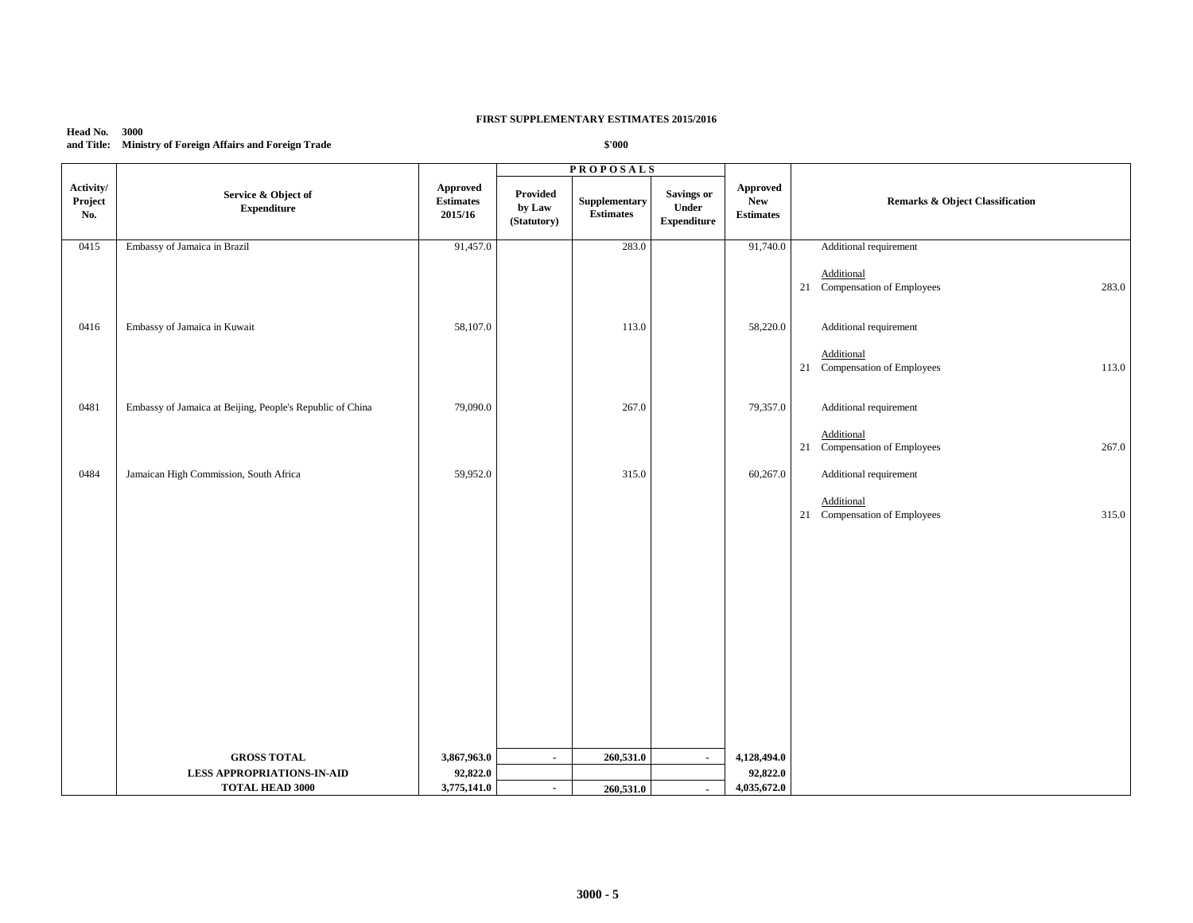#### **Head No. 3000 and Title: Ministry of Foreign Affairs and Foreign Trade**

|                             |                                                           |                                                |                                   | <b>PROPOSALS</b>                  |                                                  |                                            |                                                     |
|-----------------------------|-----------------------------------------------------------|------------------------------------------------|-----------------------------------|-----------------------------------|--------------------------------------------------|--------------------------------------------|-----------------------------------------------------|
| Activity/<br>Project<br>No. | Service & Object of<br>${\bf Expenditure}$                | <b>Approved</b><br><b>Estimates</b><br>2015/16 | Provided<br>by Law<br>(Statutory) | Supplementary<br><b>Estimates</b> | <b>Savings or</b><br>Under<br><b>Expenditure</b> | <b>Approved</b><br>New<br><b>Estimates</b> | <b>Remarks &amp; Object Classification</b>          |
| 0415                        | Embassy of Jamaica in Brazil                              | 91,457.0                                       |                                   | 283.0                             |                                                  | 91,740.0                                   | Additional requirement                              |
|                             |                                                           |                                                |                                   |                                   |                                                  |                                            | Additional<br>21 Compensation of Employees<br>283.0 |
| 0416                        | Embassy of Jamaica in Kuwait                              | 58,107.0                                       |                                   | 113.0                             |                                                  | 58,220.0                                   | Additional requirement                              |
|                             |                                                           |                                                |                                   |                                   |                                                  |                                            | Additional<br>21 Compensation of Employees<br>113.0 |
| 0481                        | Embassy of Jamaica at Beijing, People's Republic of China | 79,090.0                                       |                                   | 267.0                             |                                                  | 79,357.0                                   | Additional requirement                              |
|                             |                                                           |                                                |                                   |                                   |                                                  |                                            | Additional<br>21 Compensation of Employees<br>267.0 |
| 0484                        | Jamaican High Commission, South Africa                    | 59,952.0                                       |                                   | 315.0                             |                                                  | 60,267.0                                   | Additional requirement                              |
|                             |                                                           |                                                |                                   |                                   |                                                  |                                            | Additional<br>21 Compensation of Employees<br>315.0 |
|                             |                                                           |                                                |                                   |                                   |                                                  |                                            |                                                     |
|                             | <b>GROSS TOTAL</b>                                        | 3,867,963.0                                    | $\blacksquare$                    | 260,531.0                         | $\blacksquare$                                   | 4,128,494.0                                |                                                     |
|                             | <b>LESS APPROPRIATIONS-IN-AID</b>                         | 92,822.0                                       |                                   |                                   |                                                  | 92,822.0                                   |                                                     |
|                             | <b>TOTAL HEAD 3000</b>                                    | 3,775,141.0                                    | $\sim$                            | 260,531.0                         | $\blacksquare$                                   | 4,035,672.0                                |                                                     |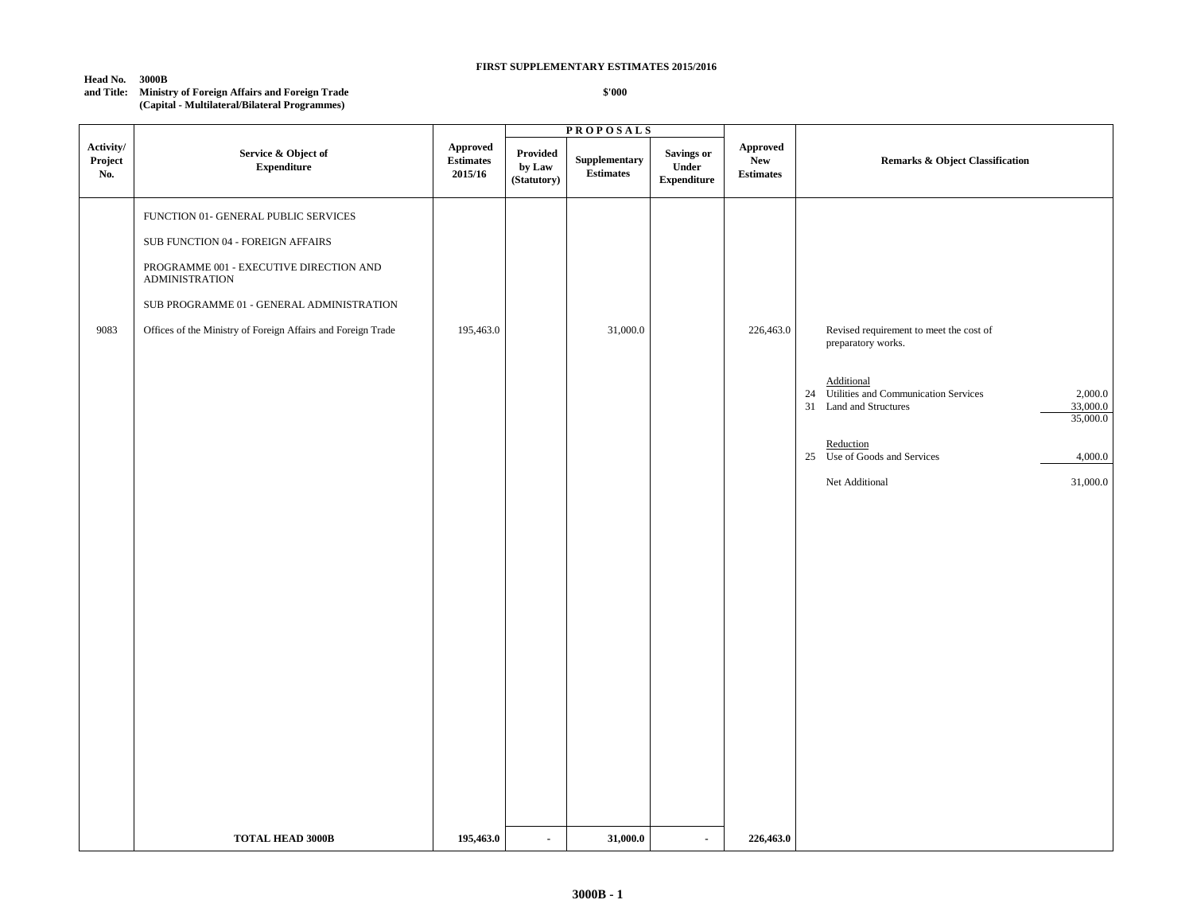#### **Head No. 3000B**

#### **and Title: Ministry of Foreign Affairs and Foreign Trade (Capital - Multilateral/Bilateral Programmes)**

|                             |                                                                                                                                                                                                                                                            |                                                |                                   | <b>PROPOSALS</b>                  |                                            |                                            |                                                                                                                                                                                                                                                                                 |
|-----------------------------|------------------------------------------------------------------------------------------------------------------------------------------------------------------------------------------------------------------------------------------------------------|------------------------------------------------|-----------------------------------|-----------------------------------|--------------------------------------------|--------------------------------------------|---------------------------------------------------------------------------------------------------------------------------------------------------------------------------------------------------------------------------------------------------------------------------------|
| Activity/<br>Project<br>No. | Service & Object of<br><b>Expenditure</b>                                                                                                                                                                                                                  | <b>Approved</b><br><b>Estimates</b><br>2015/16 | Provided<br>by Law<br>(Statutory) | Supplementary<br><b>Estimates</b> | Savings or<br>Under<br>${\bf Expenditure}$ | Approved<br><b>New</b><br><b>Estimates</b> | <b>Remarks &amp; Object Classification</b>                                                                                                                                                                                                                                      |
| 9083                        | FUNCTION 01- GENERAL PUBLIC SERVICES<br>SUB FUNCTION 04 - FOREIGN AFFAIRS<br>PROGRAMME 001 - EXECUTIVE DIRECTION AND<br><b>ADMINISTRATION</b><br>SUB PROGRAMME 01 - GENERAL ADMINISTRATION<br>Offices of the Ministry of Foreign Affairs and Foreign Trade | 195,463.0                                      |                                   | 31,000.0                          |                                            | 226,463.0                                  | Revised requirement to meet the cost of<br>preparatory works.<br>Additional<br>Utilities and Communication Services<br>2,000.0<br>24<br>33,000.0<br>31<br>Land and Structures<br>35,000.0<br>Reduction<br>25 Use of Goods and Services<br>4,000.0<br>Net Additional<br>31,000.0 |
|                             | <b>TOTAL HEAD 3000B</b>                                                                                                                                                                                                                                    | 195,463.0                                      | $\sim$                            | 31,000.0                          | $\sim$                                     | 226,463.0                                  |                                                                                                                                                                                                                                                                                 |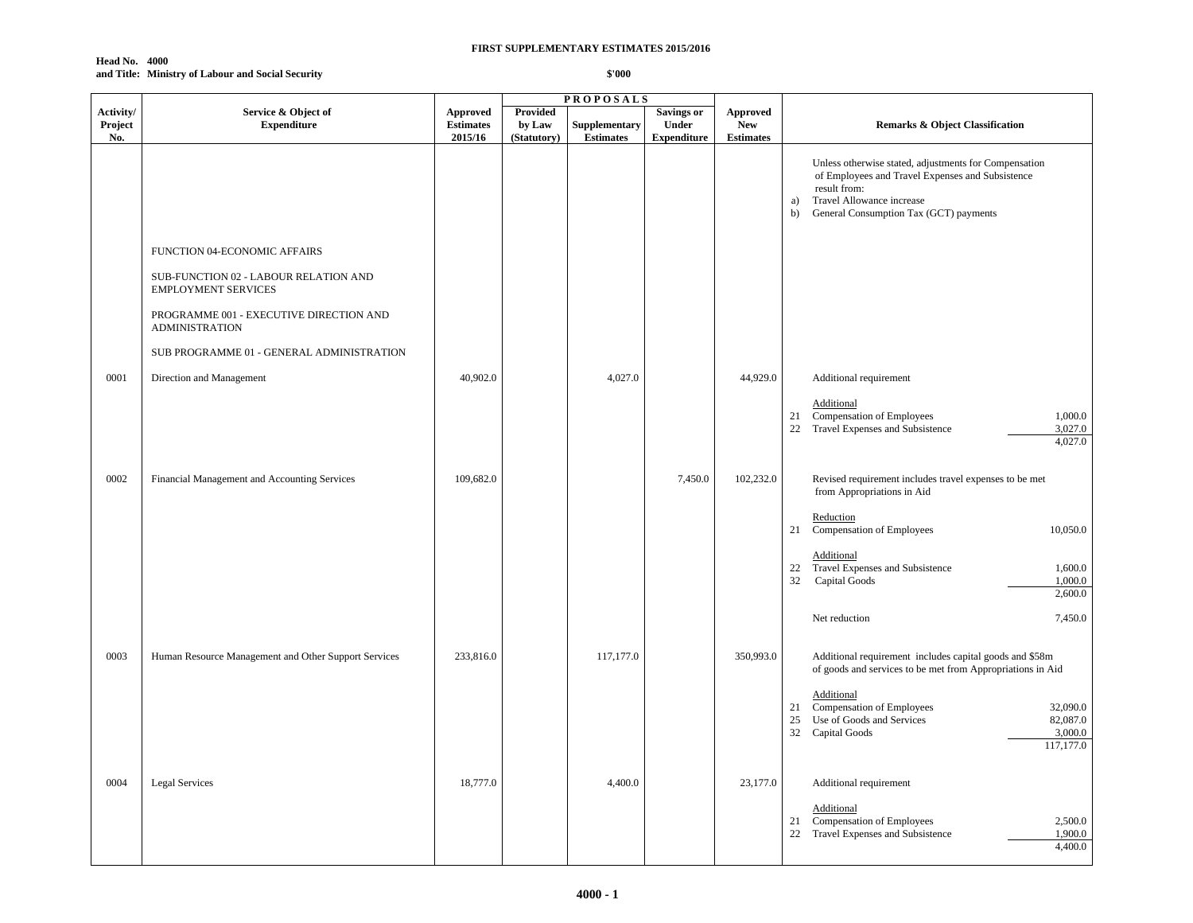#### **Head No. 4000 and Title: Ministry of Labour and Social Security**

|                             |                                                                     |                                                |                                          | <b>PROPOSALS</b>                  |                                                  |                                                   |                                                                                                                                                                                                              |
|-----------------------------|---------------------------------------------------------------------|------------------------------------------------|------------------------------------------|-----------------------------------|--------------------------------------------------|---------------------------------------------------|--------------------------------------------------------------------------------------------------------------------------------------------------------------------------------------------------------------|
| Activity/<br>Project<br>No. | Service & Object of<br><b>Expenditure</b>                           | <b>Approved</b><br><b>Estimates</b><br>2015/16 | <b>Provided</b><br>by Law<br>(Statutory) | Supplementary<br><b>Estimates</b> | <b>Savings or</b><br>Under<br><b>Expenditure</b> | <b>Approved</b><br><b>New</b><br><b>Estimates</b> | <b>Remarks &amp; Object Classification</b>                                                                                                                                                                   |
|                             |                                                                     |                                                |                                          |                                   |                                                  |                                                   | Unless otherwise stated, adjustments for Compensation<br>of Employees and Travel Expenses and Subsistence<br>result from:<br>Travel Allowance increase<br>a)<br>General Consumption Tax (GCT) payments<br>b) |
|                             | FUNCTION 04-ECONOMIC AFFAIRS                                        |                                                |                                          |                                   |                                                  |                                                   |                                                                                                                                                                                                              |
|                             | SUB-FUNCTION 02 - LABOUR RELATION AND<br><b>EMPLOYMENT SERVICES</b> |                                                |                                          |                                   |                                                  |                                                   |                                                                                                                                                                                                              |
|                             | PROGRAMME 001 - EXECUTIVE DIRECTION AND<br><b>ADMINISTRATION</b>    |                                                |                                          |                                   |                                                  |                                                   |                                                                                                                                                                                                              |
|                             | SUB PROGRAMME 01 - GENERAL ADMINISTRATION                           |                                                |                                          |                                   |                                                  |                                                   |                                                                                                                                                                                                              |
| 0001                        | Direction and Management                                            | 40,902.0                                       |                                          | 4,027.0                           |                                                  | 44,929.0                                          | Additional requirement                                                                                                                                                                                       |
|                             |                                                                     |                                                |                                          |                                   |                                                  |                                                   | Additional<br>1,000.0<br>Compensation of Employees<br>21<br>22<br>Travel Expenses and Subsistence<br>3,027.0<br>4,027.0                                                                                      |
| 0002                        | Financial Management and Accounting Services                        | 109,682.0                                      |                                          |                                   | 7,450.0                                          | 102,232.0                                         | Revised requirement includes travel expenses to be met<br>from Appropriations in Aid                                                                                                                         |
|                             |                                                                     |                                                |                                          |                                   |                                                  |                                                   | Reduction<br>Compensation of Employees<br>10,050.0<br>21                                                                                                                                                     |
|                             |                                                                     |                                                |                                          |                                   |                                                  |                                                   | Additional<br>Travel Expenses and Subsistence<br>1,600.0<br>22<br>32<br>Capital Goods<br>1,000.0<br>2,600.0                                                                                                  |
|                             |                                                                     |                                                |                                          |                                   |                                                  |                                                   | 7,450.0<br>Net reduction                                                                                                                                                                                     |
| 0003                        | Human Resource Management and Other Support Services                | 233,816.0                                      |                                          | 117,177.0                         |                                                  | 350,993.0                                         | Additional requirement includes capital goods and \$58m<br>of goods and services to be met from Appropriations in Aid                                                                                        |
|                             |                                                                     |                                                |                                          |                                   |                                                  |                                                   | Additional<br>Compensation of Employees<br>32,090.0<br>21<br>25<br>Use of Goods and Services<br>82,087.0<br>32<br>Capital Goods<br>3,000.0<br>117,177.0                                                      |
| 0004                        | <b>Legal Services</b>                                               | 18,777.0                                       |                                          | 4,400.0                           |                                                  | 23,177.0                                          | Additional requirement                                                                                                                                                                                       |
|                             |                                                                     |                                                |                                          |                                   |                                                  |                                                   | Additional<br>Compensation of Employees<br>2,500.0<br>21<br>22 Travel Expenses and Subsistence<br>1,900.0<br>4,400.0                                                                                         |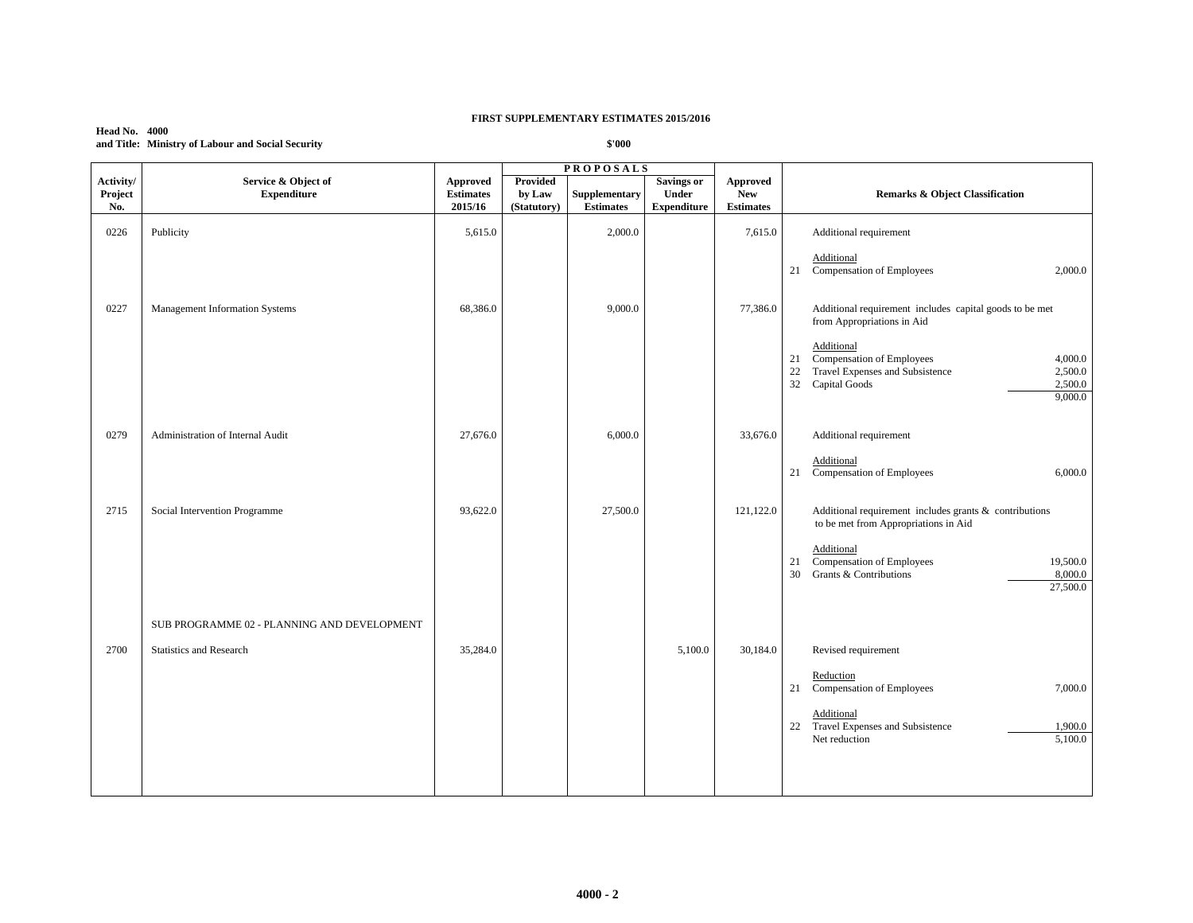#### **Head No. 4000 and Title: Ministry of Labour and Social Security**

|                             |                                             |                                                |                                   | <b>PROPOSALS</b>                  |                                           |                                                   |                                                                                                                                                           |
|-----------------------------|---------------------------------------------|------------------------------------------------|-----------------------------------|-----------------------------------|-------------------------------------------|---------------------------------------------------|-----------------------------------------------------------------------------------------------------------------------------------------------------------|
| Activity/<br>Project<br>No. | Service & Object of<br><b>Expenditure</b>   | <b>Approved</b><br><b>Estimates</b><br>2015/16 | Provided<br>by Law<br>(Statutory) | Supplementary<br><b>Estimates</b> | Savings or<br>Under<br><b>Expenditure</b> | <b>Approved</b><br><b>New</b><br><b>Estimates</b> | Remarks & Object Classification                                                                                                                           |
| 0226                        | Publicity                                   | 5,615.0                                        |                                   | 2,000.0                           |                                           | 7,615.0                                           | Additional requirement                                                                                                                                    |
|                             |                                             |                                                |                                   |                                   |                                           |                                                   | Additional<br>Compensation of Employees<br>2,000.0<br>21                                                                                                  |
| 0227                        | Management Information Systems              | 68,386.0                                       |                                   | 9,000.0                           |                                           | 77,386.0                                          | Additional requirement includes capital goods to be met<br>from Appropriations in Aid                                                                     |
|                             |                                             |                                                |                                   |                                   |                                           |                                                   | Additional<br>Compensation of Employees<br>21<br>4,000.0<br>Travel Expenses and Subsistence<br>22<br>2,500.0<br>32<br>Capital Goods<br>2,500.0<br>9,000.0 |
| 0279                        | Administration of Internal Audit            | 27,676.0                                       |                                   | 6,000.0                           |                                           | 33,676.0                                          | Additional requirement                                                                                                                                    |
|                             |                                             |                                                |                                   |                                   |                                           |                                                   | Additional<br>Compensation of Employees<br>21<br>6,000.0                                                                                                  |
| 2715                        | Social Intervention Programme               | 93,622.0                                       |                                   | 27,500.0                          |                                           | 121,122.0                                         | Additional requirement includes grants $\&$ contributions<br>to be met from Appropriations in Aid                                                         |
|                             |                                             |                                                |                                   |                                   |                                           |                                                   | Additional<br>Compensation of Employees<br>21<br>19,500.0<br>Grants & Contributions<br>30<br>8,000.0<br>27,500.0                                          |
|                             | SUB PROGRAMME 02 - PLANNING AND DEVELOPMENT |                                                |                                   |                                   |                                           |                                                   |                                                                                                                                                           |
| 2700                        | Statistics and Research                     | 35,284.0                                       |                                   |                                   | 5,100.0                                   | 30,184.0                                          | Revised requirement                                                                                                                                       |
|                             |                                             |                                                |                                   |                                   |                                           |                                                   | Reduction<br>7,000.0<br>21 Compensation of Employees                                                                                                      |
|                             |                                             |                                                |                                   |                                   |                                           |                                                   | Additional<br>Travel Expenses and Subsistence<br>22<br>1,900.0<br>5,100.0<br>Net reduction                                                                |
|                             |                                             |                                                |                                   |                                   |                                           |                                                   |                                                                                                                                                           |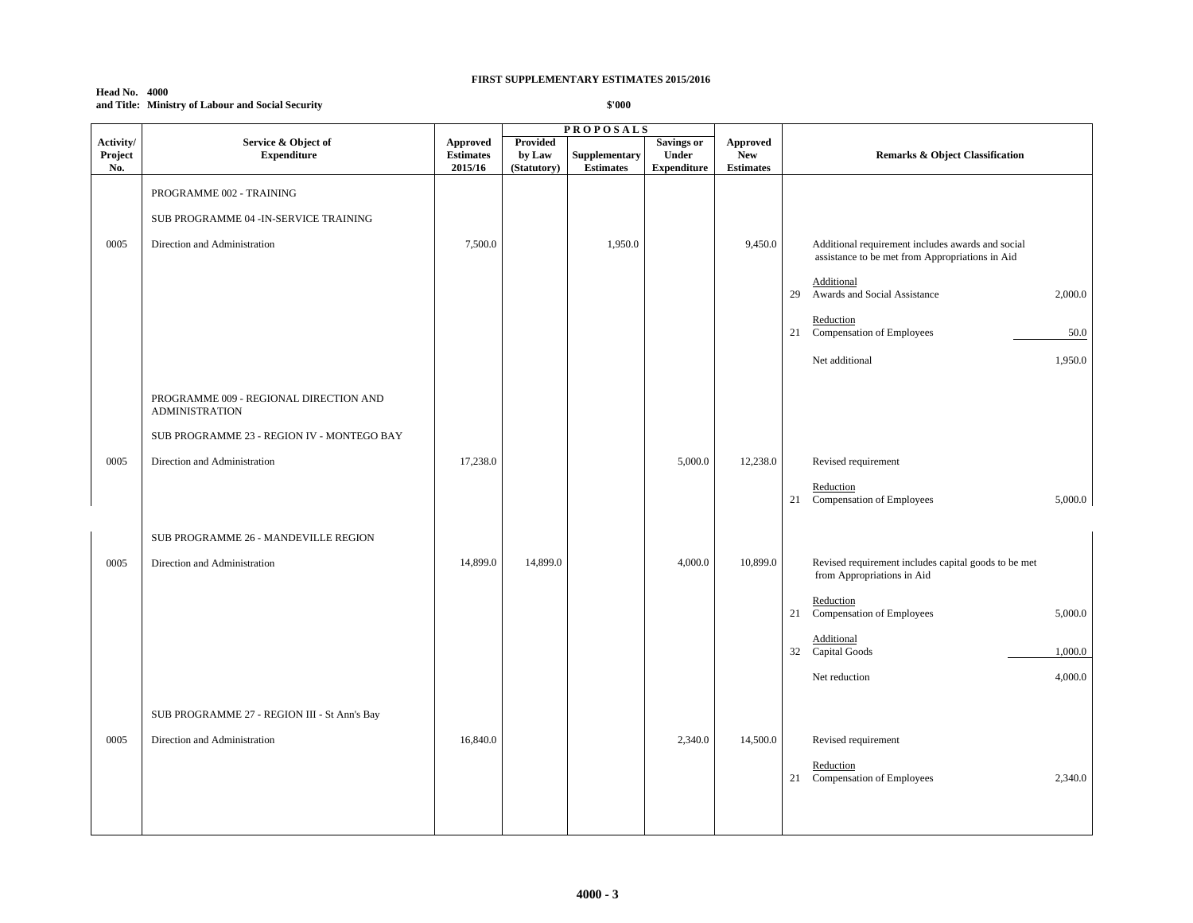#### **Head No. 4000 and Title: Ministry of Labour and Social Security**

|                |                                                                 |                             |                       | <b>PROPOSALS</b>                  |                                   |                               |                                                                                                      |
|----------------|-----------------------------------------------------------------|-----------------------------|-----------------------|-----------------------------------|-----------------------------------|-------------------------------|------------------------------------------------------------------------------------------------------|
| Activity/      | Service & Object of                                             | <b>Approved</b>             | Provided              |                                   | <b>Savings or</b><br><b>Under</b> | <b>Approved</b><br><b>New</b> |                                                                                                      |
| Project<br>No. | <b>Expenditure</b>                                              | <b>Estimates</b><br>2015/16 | by Law<br>(Statutory) | Supplementary<br><b>Estimates</b> | <b>Expenditure</b>                | <b>Estimates</b>              | <b>Remarks &amp; Object Classification</b>                                                           |
|                | PROGRAMME 002 - TRAINING                                        |                             |                       |                                   |                                   |                               |                                                                                                      |
|                | SUB PROGRAMME 04 - IN-SERVICE TRAINING                          |                             |                       |                                   |                                   |                               |                                                                                                      |
| 0005           | Direction and Administration                                    | 7,500.0                     |                       | 1,950.0                           |                                   | 9,450.0                       | Additional requirement includes awards and social<br>assistance to be met from Appropriations in Aid |
|                |                                                                 |                             |                       |                                   |                                   |                               | Additional<br>Awards and Social Assistance<br>2,000.0<br>29                                          |
|                |                                                                 |                             |                       |                                   |                                   |                               | Reduction<br>21 Compensation of Employees<br>50.0                                                    |
|                |                                                                 |                             |                       |                                   |                                   |                               | Net additional<br>1,950.0                                                                            |
|                | PROGRAMME 009 - REGIONAL DIRECTION AND<br><b>ADMINISTRATION</b> |                             |                       |                                   |                                   |                               |                                                                                                      |
|                | SUB PROGRAMME 23 - REGION IV - MONTEGO BAY                      |                             |                       |                                   |                                   |                               |                                                                                                      |
| 0005           | Direction and Administration                                    | 17,238.0                    |                       |                                   | 5,000.0                           | 12,238.0                      | Revised requirement                                                                                  |
|                |                                                                 |                             |                       |                                   |                                   |                               | Reduction<br>21 Compensation of Employees<br>5,000.0                                                 |
|                | SUB PROGRAMME 26 - MANDEVILLE REGION                            |                             |                       |                                   |                                   |                               |                                                                                                      |
| 0005           | Direction and Administration                                    | 14,899.0                    | 14,899.0              |                                   | 4,000.0                           | 10,899.0                      | Revised requirement includes capital goods to be met<br>from Appropriations in Aid                   |
|                |                                                                 |                             |                       |                                   |                                   |                               | Reduction<br>Compensation of Employees<br>5,000.0<br>21                                              |
|                |                                                                 |                             |                       |                                   |                                   |                               | Additional<br>32 Capital Goods<br>1,000.0                                                            |
|                |                                                                 |                             |                       |                                   |                                   |                               | 4,000.0<br>Net reduction                                                                             |
|                | SUB PROGRAMME 27 - REGION III - St Ann's Bay                    |                             |                       |                                   |                                   |                               |                                                                                                      |
| 0005           | Direction and Administration                                    | 16,840.0                    |                       |                                   | 2,340.0                           | 14,500.0                      | Revised requirement                                                                                  |
|                |                                                                 |                             |                       |                                   |                                   |                               | Reduction<br>21 Compensation of Employees<br>2,340.0                                                 |
|                |                                                                 |                             |                       |                                   |                                   |                               |                                                                                                      |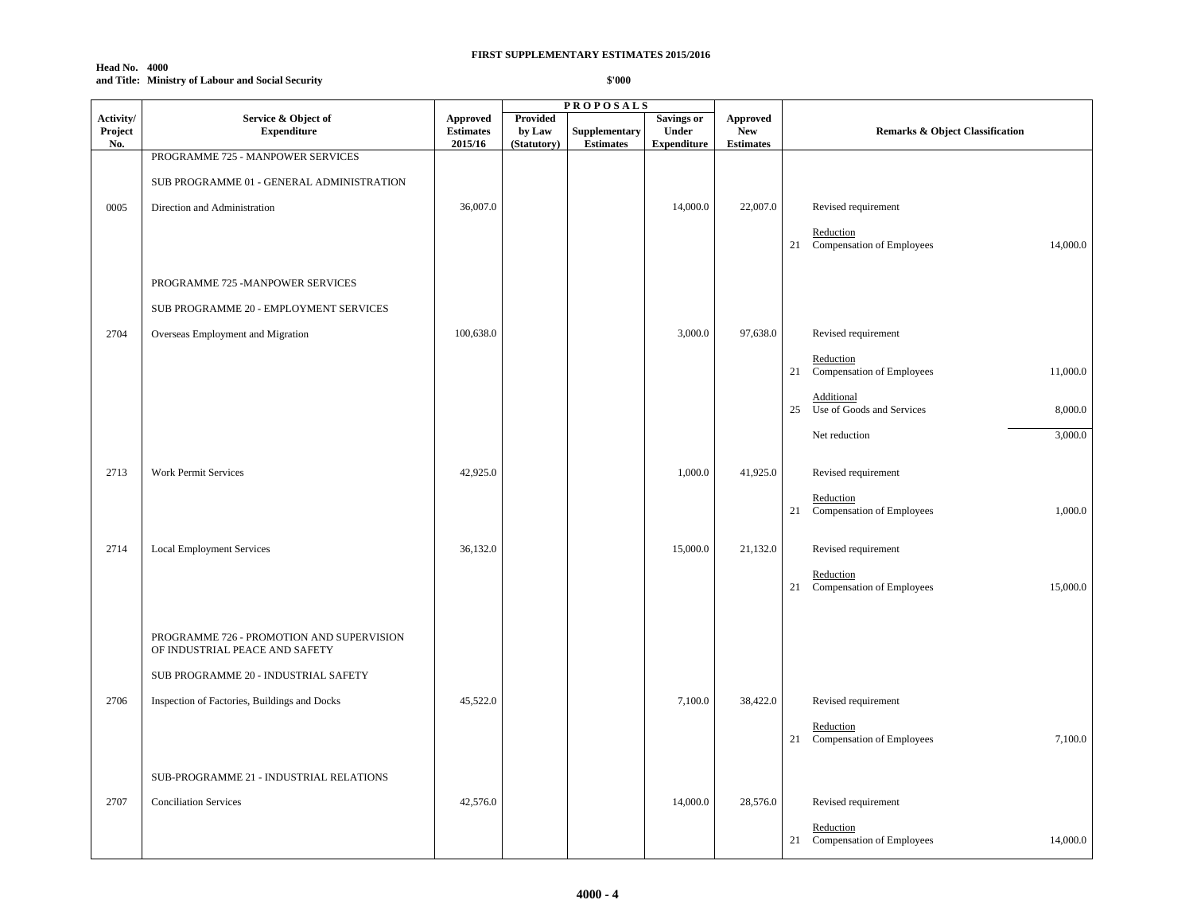#### **Head No. 4000 and Title: Ministry of Labour and Social Security**

|                             |                                                                             |                                         |                                   | <b>PROPOSALS</b>                  |                                                  |                                                   |                                                       |
|-----------------------------|-----------------------------------------------------------------------------|-----------------------------------------|-----------------------------------|-----------------------------------|--------------------------------------------------|---------------------------------------------------|-------------------------------------------------------|
| Activity/<br>Project<br>No. | Service & Object of<br><b>Expenditure</b>                                   | Approved<br><b>Estimates</b><br>2015/16 | Provided<br>by Law<br>(Statutory) | Supplementary<br><b>Estimates</b> | <b>Savings or</b><br>Under<br><b>Expenditure</b> | <b>Approved</b><br><b>New</b><br><b>Estimates</b> | <b>Remarks &amp; Object Classification</b>            |
|                             | PROGRAMME 725 - MANPOWER SERVICES                                           |                                         |                                   |                                   |                                                  |                                                   |                                                       |
|                             | SUB PROGRAMME 01 - GENERAL ADMINISTRATION                                   |                                         |                                   |                                   |                                                  |                                                   |                                                       |
| 0005                        | Direction and Administration                                                | 36,007.0                                |                                   |                                   | 14,000.0                                         | 22,007.0                                          | Revised requirement                                   |
|                             |                                                                             |                                         |                                   |                                   |                                                  |                                                   | Reduction<br>21 Compensation of Employees<br>14,000.0 |
|                             |                                                                             |                                         |                                   |                                   |                                                  |                                                   |                                                       |
|                             | PROGRAMME 725 -MANPOWER SERVICES                                            |                                         |                                   |                                   |                                                  |                                                   |                                                       |
|                             | SUB PROGRAMME 20 - EMPLOYMENT SERVICES                                      |                                         |                                   |                                   |                                                  |                                                   |                                                       |
| 2704                        | Overseas Employment and Migration                                           | 100,638.0                               |                                   |                                   | 3,000.0                                          | 97,638.0                                          | Revised requirement                                   |
|                             |                                                                             |                                         |                                   |                                   |                                                  |                                                   | Reduction<br>21 Compensation of Employees<br>11,000.0 |
|                             |                                                                             |                                         |                                   |                                   |                                                  |                                                   | Additional                                            |
|                             |                                                                             |                                         |                                   |                                   |                                                  |                                                   | Use of Goods and Services<br>8,000.0<br>25            |
|                             |                                                                             |                                         |                                   |                                   |                                                  |                                                   | 3,000.0<br>Net reduction                              |
| 2713                        | Work Permit Services                                                        | 42,925.0                                |                                   |                                   | 1,000.0                                          | 41,925.0                                          | Revised requirement                                   |
|                             |                                                                             |                                         |                                   |                                   |                                                  |                                                   | Reduction                                             |
|                             |                                                                             |                                         |                                   |                                   |                                                  |                                                   | Compensation of Employees<br>1,000.0<br>21            |
| 2714                        | <b>Local Employment Services</b>                                            | 36,132.0                                |                                   |                                   | 15,000.0                                         | 21,132.0                                          | Revised requirement                                   |
|                             |                                                                             |                                         |                                   |                                   |                                                  |                                                   | Reduction<br>21 Compensation of Employees<br>15,000.0 |
|                             |                                                                             |                                         |                                   |                                   |                                                  |                                                   |                                                       |
|                             | PROGRAMME 726 - PROMOTION AND SUPERVISION<br>OF INDUSTRIAL PEACE AND SAFETY |                                         |                                   |                                   |                                                  |                                                   |                                                       |
|                             | SUB PROGRAMME 20 - INDUSTRIAL SAFETY                                        |                                         |                                   |                                   |                                                  |                                                   |                                                       |
| 2706                        | Inspection of Factories, Buildings and Docks                                | 45,522.0                                |                                   |                                   | 7,100.0                                          | 38,422.0                                          | Revised requirement                                   |
|                             |                                                                             |                                         |                                   |                                   |                                                  |                                                   | Reduction<br>21 Compensation of Employees<br>7,100.0  |
|                             |                                                                             |                                         |                                   |                                   |                                                  |                                                   |                                                       |
|                             | SUB-PROGRAMME 21 - INDUSTRIAL RELATIONS                                     |                                         |                                   |                                   |                                                  |                                                   |                                                       |
| 2707                        | <b>Conciliation Services</b>                                                | 42,576.0                                |                                   |                                   | 14,000.0                                         | 28,576.0                                          | Revised requirement                                   |
|                             |                                                                             |                                         |                                   |                                   |                                                  |                                                   | Reduction<br>21 Compensation of Employees<br>14,000.0 |
|                             |                                                                             |                                         |                                   |                                   |                                                  |                                                   |                                                       |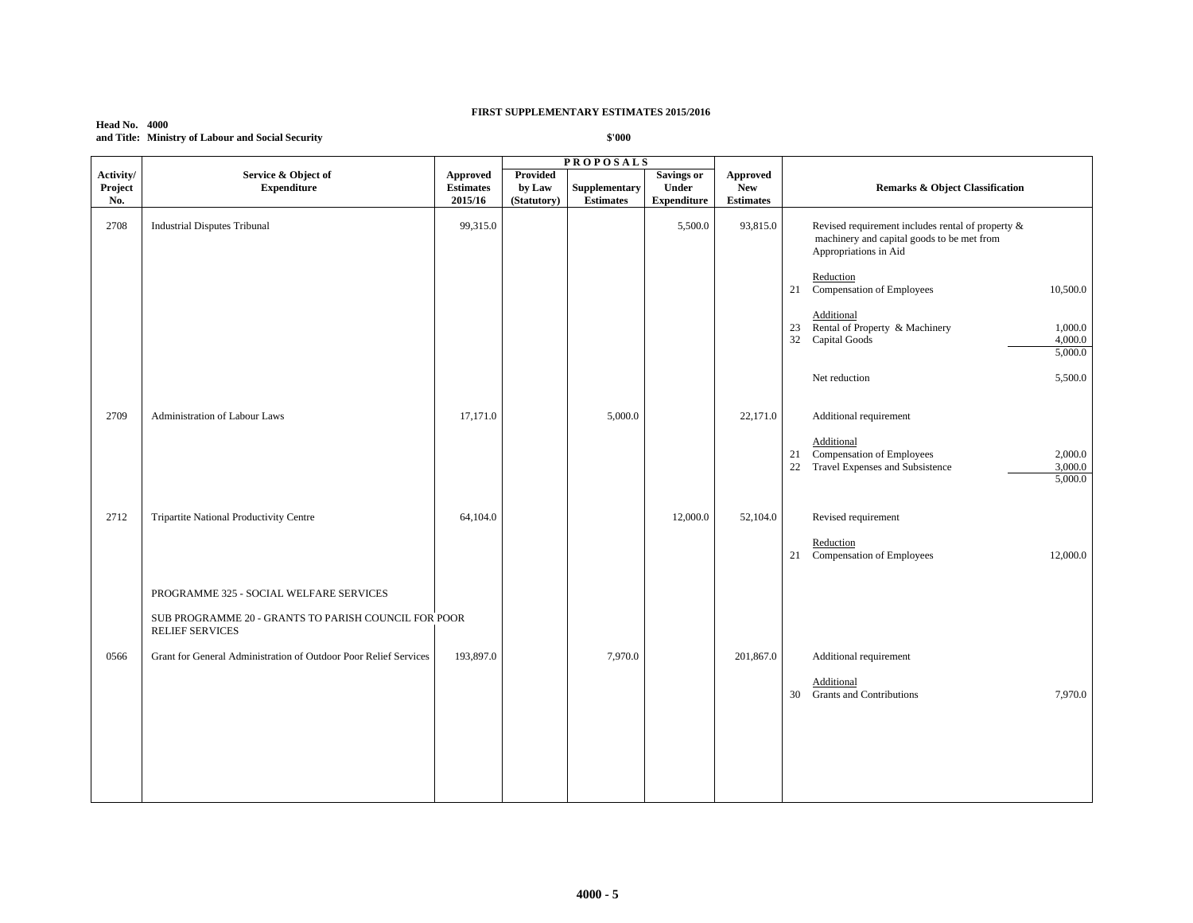| <b>Head No. 4000</b> |                                                   |
|----------------------|---------------------------------------------------|
|                      | and Title: Ministry of Labour and Social Security |

| Activity/<br>Project<br>No. | Service & Object of<br><b>Expenditure</b>                                                                                 | Approved<br><b>Estimates</b><br>2015/16 | Provided<br>by Law<br>(Statutory) | Supplementary<br><b>Estimates</b> | <b>Savings or</b><br><b>Under</b><br><b>Expenditure</b> | <b>Approved</b><br><b>New</b><br><b>Estimates</b> | <b>Remarks &amp; Object Classification</b>                                                                                                        |
|-----------------------------|---------------------------------------------------------------------------------------------------------------------------|-----------------------------------------|-----------------------------------|-----------------------------------|---------------------------------------------------------|---------------------------------------------------|---------------------------------------------------------------------------------------------------------------------------------------------------|
| 2708                        | <b>Industrial Disputes Tribunal</b>                                                                                       | 99,315.0                                |                                   |                                   | 5,500.0                                                 | 93,815.0                                          | Revised requirement includes rental of property &<br>machinery and capital goods to be met from<br>Appropriations in Aid                          |
|                             |                                                                                                                           |                                         |                                   |                                   |                                                         |                                                   | Reduction<br>Compensation of Employees<br>21<br>10,500.0                                                                                          |
|                             |                                                                                                                           |                                         |                                   |                                   |                                                         |                                                   | Additional<br>23 Rental of Property & Machinery<br>1,000.0<br>32<br>Capital Goods<br>4,000.0<br>5,000.0                                           |
|                             |                                                                                                                           |                                         |                                   |                                   |                                                         |                                                   | Net reduction<br>5,500.0                                                                                                                          |
| 2709                        | Administration of Labour Laws                                                                                             | 17,171.0                                |                                   | 5,000.0                           |                                                         | 22,171.0                                          | Additional requirement<br>Additional<br>Compensation of Employees<br>2,000.0<br>21<br>22<br>Travel Expenses and Subsistence<br>3,000.0<br>5,000.0 |
| 2712                        | Tripartite National Productivity Centre                                                                                   | 64,104.0                                |                                   |                                   | 12,000.0                                                | 52,104.0                                          | Revised requirement<br>Reduction<br>Compensation of Employees<br>12,000.0<br>21                                                                   |
|                             | PROGRAMME 325 - SOCIAL WELFARE SERVICES<br>SUB PROGRAMME 20 - GRANTS TO PARISH COUNCIL FOR POOR<br><b>RELIEF SERVICES</b> |                                         |                                   |                                   |                                                         |                                                   |                                                                                                                                                   |
| 0566                        | Grant for General Administration of Outdoor Poor Relief Services                                                          | 193,897.0                               |                                   | 7,970.0                           |                                                         | 201,867.0                                         | Additional requirement<br>Additional<br><b>Grants and Contributions</b><br>30<br>7,970.0                                                          |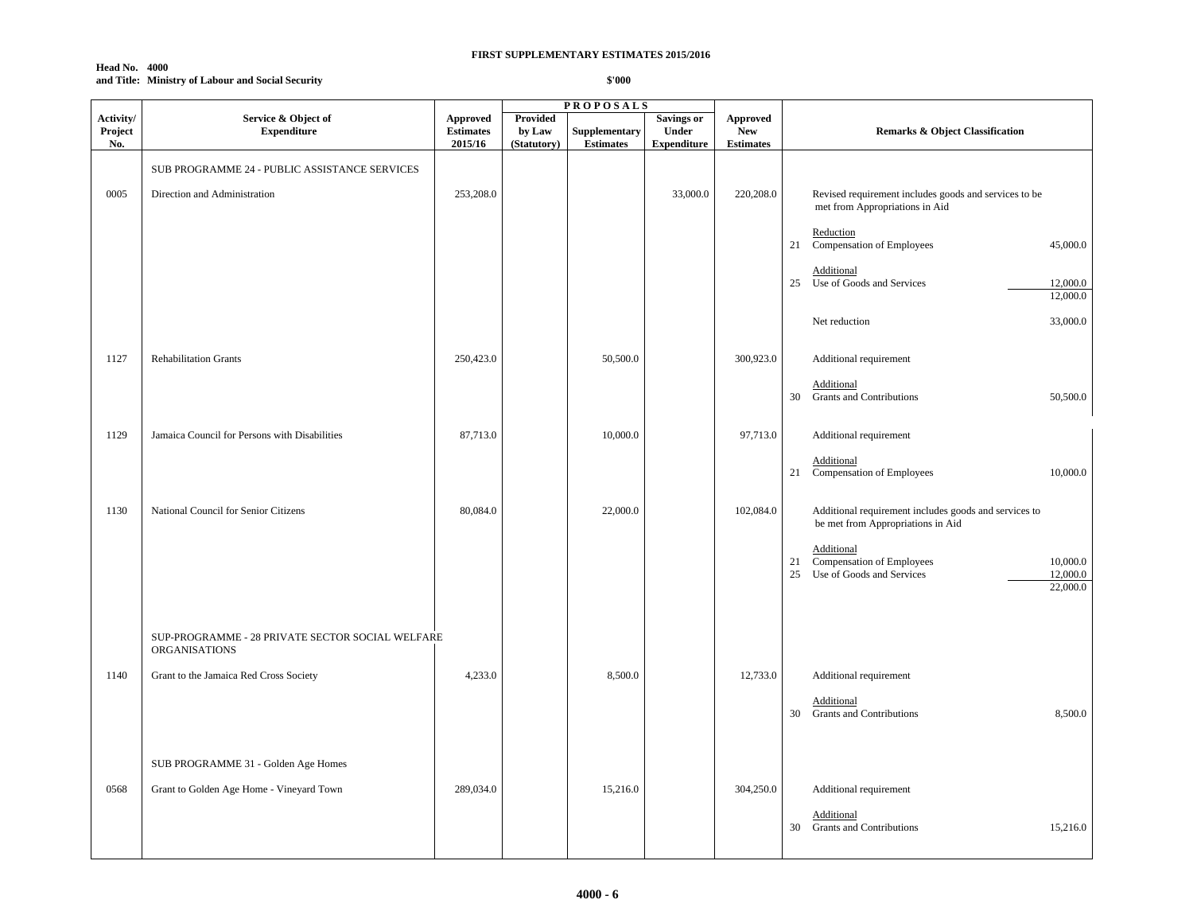#### **Head No. 4000 and Title: Ministry of Labour and Social Security**

|                             |                                                                   |                                                |                                   | <b>PROPOSALS</b>                  |                                                         |                                                   |                                                                                                                      |
|-----------------------------|-------------------------------------------------------------------|------------------------------------------------|-----------------------------------|-----------------------------------|---------------------------------------------------------|---------------------------------------------------|----------------------------------------------------------------------------------------------------------------------|
| Activity/<br>Project<br>No. | Service & Object of<br><b>Expenditure</b>                         | <b>Approved</b><br><b>Estimates</b><br>2015/16 | Provided<br>by Law<br>(Statutory) | Supplementary<br><b>Estimates</b> | <b>Savings or</b><br><b>Under</b><br><b>Expenditure</b> | <b>Approved</b><br><b>New</b><br><b>Estimates</b> | Remarks & Object Classification                                                                                      |
|                             |                                                                   |                                                |                                   |                                   |                                                         |                                                   |                                                                                                                      |
|                             | SUB PROGRAMME 24 - PUBLIC ASSISTANCE SERVICES                     |                                                |                                   |                                   |                                                         |                                                   |                                                                                                                      |
| 0005                        | Direction and Administration                                      | 253,208.0                                      |                                   |                                   | 33,000.0                                                | 220,208.0                                         | Revised requirement includes goods and services to be<br>met from Appropriations in Aid                              |
|                             |                                                                   |                                                |                                   |                                   |                                                         |                                                   | Reduction<br>45,000.0<br>21<br>Compensation of Employees                                                             |
|                             |                                                                   |                                                |                                   |                                   |                                                         |                                                   | Additional<br>Use of Goods and Services<br>12,000.0<br>25                                                            |
|                             |                                                                   |                                                |                                   |                                   |                                                         |                                                   | 12,000.0                                                                                                             |
|                             |                                                                   |                                                |                                   |                                   |                                                         |                                                   | 33,000.0<br>Net reduction                                                                                            |
| 1127                        | <b>Rehabilitation Grants</b>                                      | 250,423.0                                      |                                   | 50,500.0                          |                                                         | 300,923.0                                         | Additional requirement                                                                                               |
|                             |                                                                   |                                                |                                   |                                   |                                                         |                                                   | Additional<br>30 Grants and Contributions<br>50,500.0                                                                |
| 1129                        | Jamaica Council for Persons with Disabilities                     | 87,713.0                                       |                                   | 10,000.0                          |                                                         | 97,713.0                                          | Additional requirement                                                                                               |
|                             |                                                                   |                                                |                                   |                                   |                                                         |                                                   | Additional<br>21<br>Compensation of Employees<br>10,000.0                                                            |
| 1130                        | National Council for Senior Citizens                              | 80,084.0                                       |                                   | 22,000.0                          |                                                         | 102,084.0                                         | Additional requirement includes goods and services to<br>be met from Appropriations in Aid                           |
|                             |                                                                   |                                                |                                   |                                   |                                                         |                                                   | Additional<br>21<br>Compensation of Employees<br>10,000.0<br>12,000.0<br>25<br>Use of Goods and Services<br>22,000.0 |
|                             | SUP-PROGRAMME - 28 PRIVATE SECTOR SOCIAL WELFARE<br>ORGANISATIONS |                                                |                                   |                                   |                                                         |                                                   |                                                                                                                      |
| 1140                        | Grant to the Jamaica Red Cross Society                            | 4,233.0                                        |                                   | 8,500.0                           |                                                         | 12,733.0                                          | Additional requirement                                                                                               |
|                             |                                                                   |                                                |                                   |                                   |                                                         |                                                   | Additional<br>8,500.0<br>30<br><b>Grants and Contributions</b>                                                       |
|                             | SUB PROGRAMME 31 - Golden Age Homes                               |                                                |                                   |                                   |                                                         |                                                   |                                                                                                                      |
| 0568                        | Grant to Golden Age Home - Vineyard Town                          | 289,034.0                                      |                                   | 15,216.0                          |                                                         | 304,250.0                                         | Additional requirement                                                                                               |
|                             |                                                                   |                                                |                                   |                                   |                                                         |                                                   | Additional<br><b>Grants and Contributions</b><br>30<br>15,216.0                                                      |
|                             |                                                                   |                                                |                                   |                                   |                                                         |                                                   |                                                                                                                      |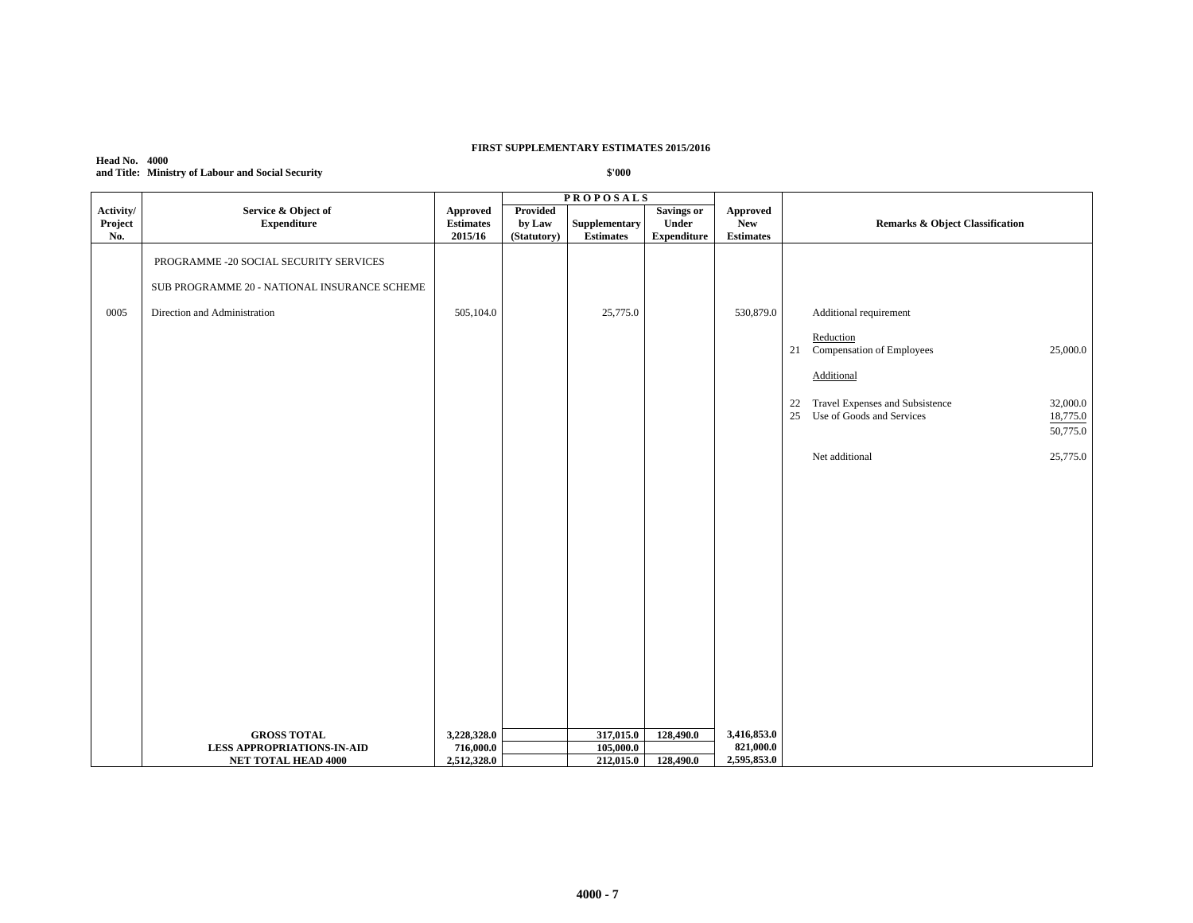## **Head No. 4000 and Title: Ministry of Labour and Social Security**

| Activity/<br>Project<br>No. | Service & Object of<br><b>Expenditure</b>                       | Approved<br><b>Estimates</b><br>2015/16 | Provided<br>by Law<br>(Statutory) | Supplementary<br><b>Estimates</b> | Savings or<br>Under<br><b>Expenditure</b> | Approved<br><b>New</b><br><b>Estimates</b> | Remarks & Object Classification                         |
|-----------------------------|-----------------------------------------------------------------|-----------------------------------------|-----------------------------------|-----------------------------------|-------------------------------------------|--------------------------------------------|---------------------------------------------------------|
|                             | PROGRAMME -20 SOCIAL SECURITY SERVICES                          |                                         |                                   |                                   |                                           |                                            |                                                         |
|                             | SUB PROGRAMME 20 - NATIONAL INSURANCE SCHEME                    |                                         |                                   |                                   |                                           |                                            |                                                         |
| 0005                        | Direction and Administration                                    | 505,104.0                               |                                   | 25,775.0                          |                                           | 530,879.0                                  | Additional requirement                                  |
|                             |                                                                 |                                         |                                   |                                   |                                           |                                            | Reduction<br>21 Compensation of Employees<br>25,000.0   |
|                             |                                                                 |                                         |                                   |                                   |                                           |                                            | Additional                                              |
|                             |                                                                 |                                         |                                   |                                   |                                           |                                            | Travel Expenses and Subsistence<br>32,000.0<br>22       |
|                             |                                                                 |                                         |                                   |                                   |                                           |                                            | 25<br>Use of Goods and Services<br>18,775.0<br>50,775.0 |
|                             |                                                                 |                                         |                                   |                                   |                                           |                                            | Net additional<br>25,775.0                              |
|                             |                                                                 |                                         |                                   |                                   |                                           |                                            |                                                         |
|                             |                                                                 |                                         |                                   |                                   |                                           |                                            |                                                         |
|                             |                                                                 |                                         |                                   |                                   |                                           |                                            |                                                         |
|                             |                                                                 |                                         |                                   |                                   |                                           |                                            |                                                         |
|                             |                                                                 |                                         |                                   |                                   |                                           |                                            |                                                         |
|                             |                                                                 |                                         |                                   |                                   |                                           |                                            |                                                         |
|                             |                                                                 |                                         |                                   |                                   |                                           |                                            |                                                         |
|                             |                                                                 |                                         |                                   |                                   |                                           |                                            |                                                         |
|                             |                                                                 |                                         |                                   |                                   |                                           |                                            |                                                         |
|                             | <b>GROSS TOTAL</b>                                              | 3,228,328.0                             |                                   | 317,015.0                         | 128,490.0                                 | 3,416,853.0                                |                                                         |
|                             | <b>LESS APPROPRIATIONS-IN-AID</b><br><b>NET TOTAL HEAD 4000</b> | 716,000.0<br>2,512,328.0                |                                   | 105,000.0<br>212,015.0            | 128,490.0                                 | 821,000.0<br>2,595,853.0                   |                                                         |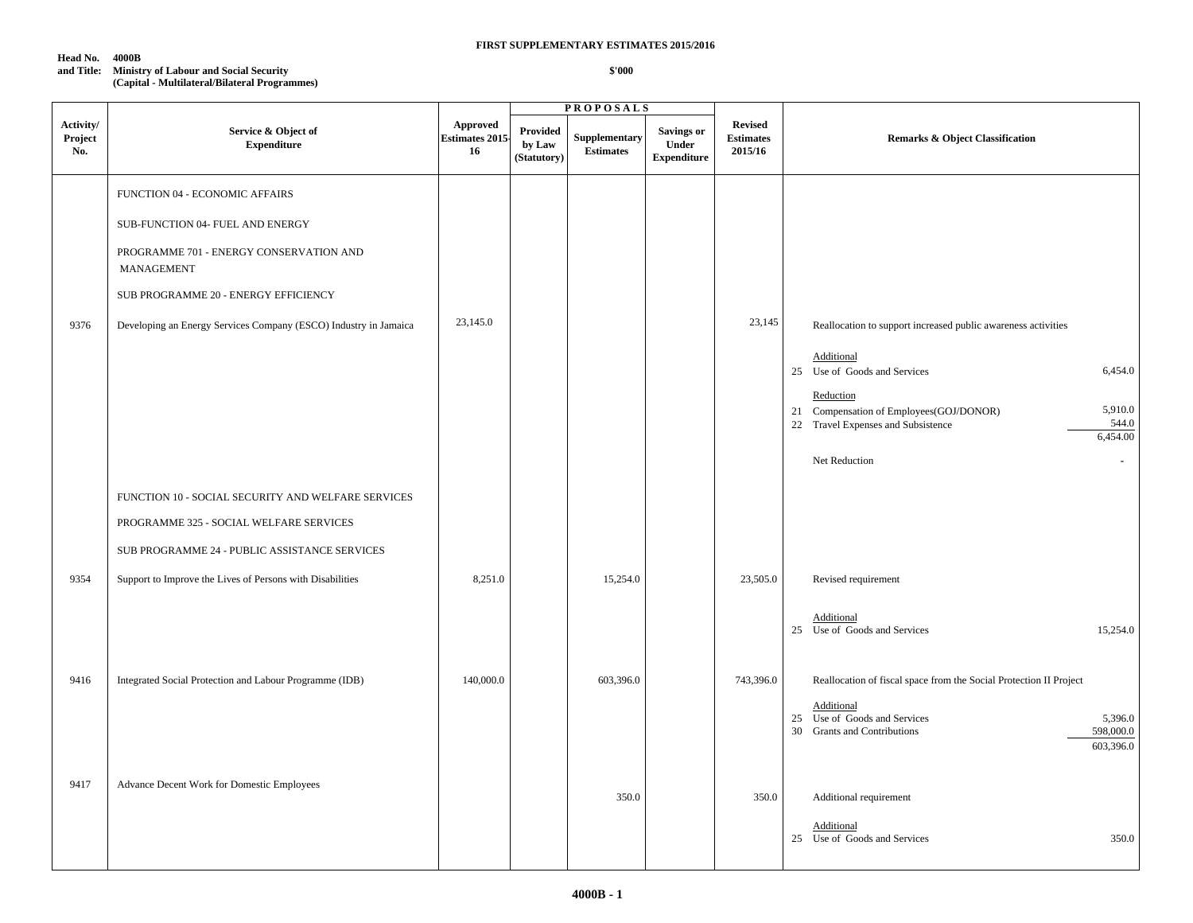#### **Head No. 4000B**

## **FIRST SUPPLEMENTARY ESTIMATES 2015/2016**

#### **and Title: Ministry of Labour and Social Security (Capital - Multilateral/Bilateral Programmes)**

|                             |                                                                                                                                                                                                                                                |                                         |                                          | <b>PROPOSALS</b>                  |                                           |                                               |                                                                                                                                                                                                                                                                       |
|-----------------------------|------------------------------------------------------------------------------------------------------------------------------------------------------------------------------------------------------------------------------------------------|-----------------------------------------|------------------------------------------|-----------------------------------|-------------------------------------------|-----------------------------------------------|-----------------------------------------------------------------------------------------------------------------------------------------------------------------------------------------------------------------------------------------------------------------------|
| Activity/<br>Project<br>No. | Service & Object of<br><b>Expenditure</b>                                                                                                                                                                                                      | Approved<br><b>Estimates 2015</b><br>16 | <b>Provided</b><br>by Law<br>(Statutory) | Supplementary<br><b>Estimates</b> | Savings or<br>Under<br><b>Expenditure</b> | <b>Revised</b><br><b>Estimates</b><br>2015/16 | <b>Remarks &amp; Object Classification</b>                                                                                                                                                                                                                            |
| 9376                        | FUNCTION 04 - ECONOMIC AFFAIRS<br>SUB-FUNCTION 04- FUEL AND ENERGY<br>PROGRAMME 701 - ENERGY CONSERVATION AND<br><b>MANAGEMENT</b><br>SUB PROGRAMME 20 - ENERGY EFFICIENCY<br>Developing an Energy Services Company (ESCO) Industry in Jamaica | 23,145.0                                |                                          |                                   |                                           | 23,145                                        | Reallocation to support increased public awareness activities<br>Additional<br>6,454.0<br>25 Use of Goods and Services<br>Reduction<br>5,910.0<br>21 Compensation of Employees(GOJ/DONOR)<br>544.0<br>22 Travel Expenses and Subsistence<br>6,454.00<br>Net Reduction |
| 9354                        | FUNCTION 10 - SOCIAL SECURITY AND WELFARE SERVICES<br>PROGRAMME 325 - SOCIAL WELFARE SERVICES<br>SUB PROGRAMME 24 - PUBLIC ASSISTANCE SERVICES<br>Support to Improve the Lives of Persons with Disabilities                                    | 8,251.0                                 |                                          | 15,254.0                          |                                           | 23,505.0                                      | Revised requirement<br>Additional<br>25 Use of Goods and Services<br>15,254.0                                                                                                                                                                                         |
| 9416                        | Integrated Social Protection and Labour Programme (IDB)                                                                                                                                                                                        | 140,000.0                               |                                          | 603,396.0                         |                                           | 743,396.0                                     | Reallocation of fiscal space from the Social Protection II Project<br>Additional<br>25 Use of Goods and Services<br>5,396.0<br>30 Grants and Contributions<br>598,000.0<br>603,396.0                                                                                  |
| 9417                        | Advance Decent Work for Domestic Employees                                                                                                                                                                                                     |                                         |                                          | 350.0                             |                                           | 350.0                                         | Additional requirement<br>Additional<br>350.0<br>25 Use of Goods and Services                                                                                                                                                                                         |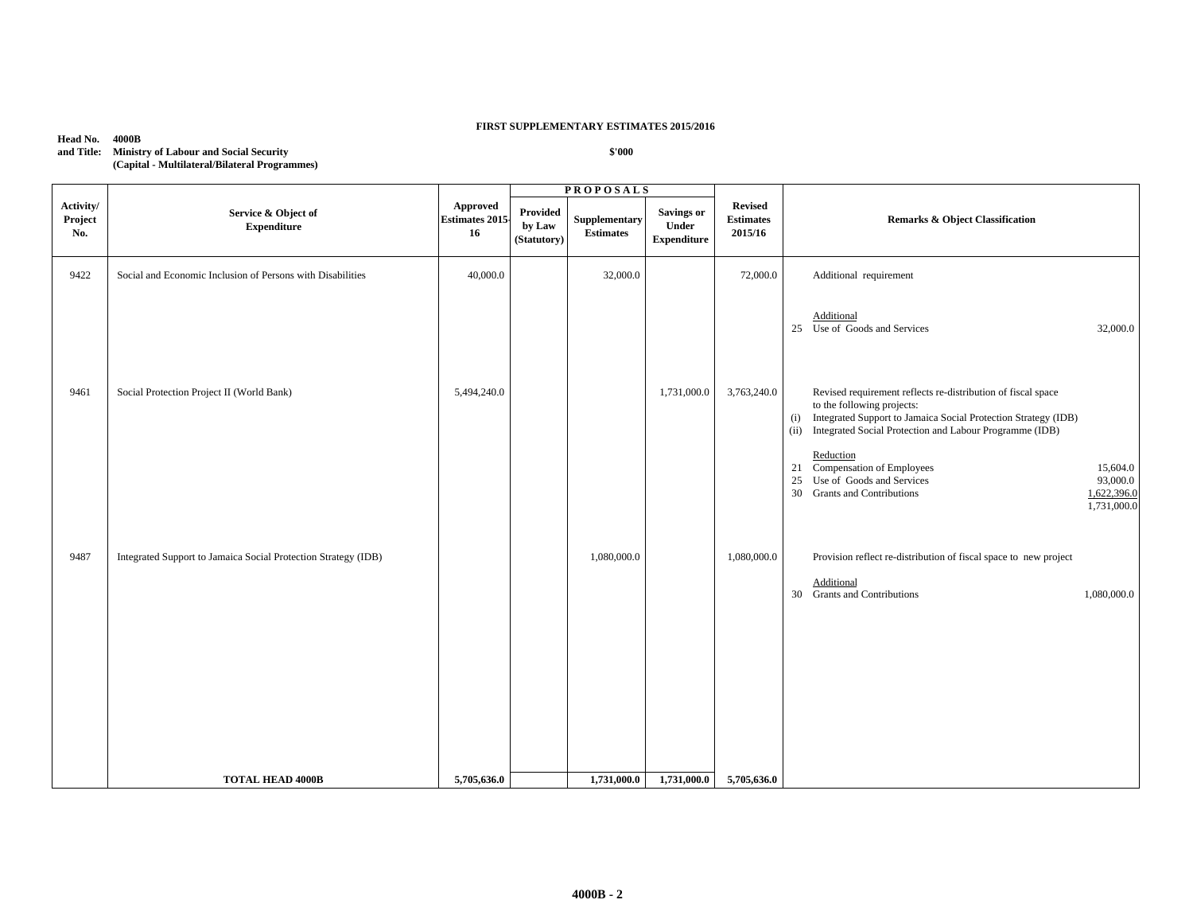## **Head No. 4000B**

| and Title: | <b>Ministry of Labour and Social Security</b> |
|------------|-----------------------------------------------|
|            | (Capital - Multilateral/Bilateral Programmes) |

|                             |                                                                |                                         |                                          | <b>PROPOSALS</b>                  |                                                  |                                               | <b>Remarks &amp; Object Classification</b>                                                                                                                                                                                                                                                                                                                                                                  |  |
|-----------------------------|----------------------------------------------------------------|-----------------------------------------|------------------------------------------|-----------------------------------|--------------------------------------------------|-----------------------------------------------|-------------------------------------------------------------------------------------------------------------------------------------------------------------------------------------------------------------------------------------------------------------------------------------------------------------------------------------------------------------------------------------------------------------|--|
| Activity/<br>Project<br>No. | Service & Object of<br><b>Expenditure</b>                      | Approved<br><b>Estimates 2015</b><br>16 | <b>Provided</b><br>by Law<br>(Statutory) | Supplementary<br><b>Estimates</b> | <b>Savings or</b><br>Under<br><b>Expenditure</b> | <b>Revised</b><br><b>Estimates</b><br>2015/16 |                                                                                                                                                                                                                                                                                                                                                                                                             |  |
| 9422                        | Social and Economic Inclusion of Persons with Disabilities     | 40,000.0                                |                                          | 32,000.0                          |                                                  | 72,000.0                                      | Additional requirement                                                                                                                                                                                                                                                                                                                                                                                      |  |
|                             |                                                                |                                         |                                          |                                   |                                                  |                                               | Additional<br>Use of Goods and Services<br>25<br>32,000.0                                                                                                                                                                                                                                                                                                                                                   |  |
| 9461                        | Social Protection Project II (World Bank)                      | 5,494,240.0                             |                                          |                                   | 1,731,000.0                                      | 3,763,240.0                                   | Revised requirement reflects re-distribution of fiscal space<br>to the following projects:<br>Integrated Support to Jamaica Social Protection Strategy (IDB)<br>(i)<br>Integrated Social Protection and Labour Programme (IDB)<br>(ii)<br>Reduction<br>21 Compensation of Employees<br>15,604.0<br>Use of Goods and Services<br>93,000.0<br>25<br>30 Grants and Contributions<br>1,622,396.0<br>1,731,000.0 |  |
| 9487                        | Integrated Support to Jamaica Social Protection Strategy (IDB) |                                         |                                          | 1,080,000.0                       |                                                  | 1,080,000.0                                   | Provision reflect re-distribution of fiscal space to new project<br>Additional<br>30 Grants and Contributions<br>1,080,000.0                                                                                                                                                                                                                                                                                |  |
|                             | <b>TOTAL HEAD 4000B</b>                                        | 5,705,636.0                             |                                          | 1,731,000.0                       | 1,731,000.0                                      | 5,705,636.0                                   |                                                                                                                                                                                                                                                                                                                                                                                                             |  |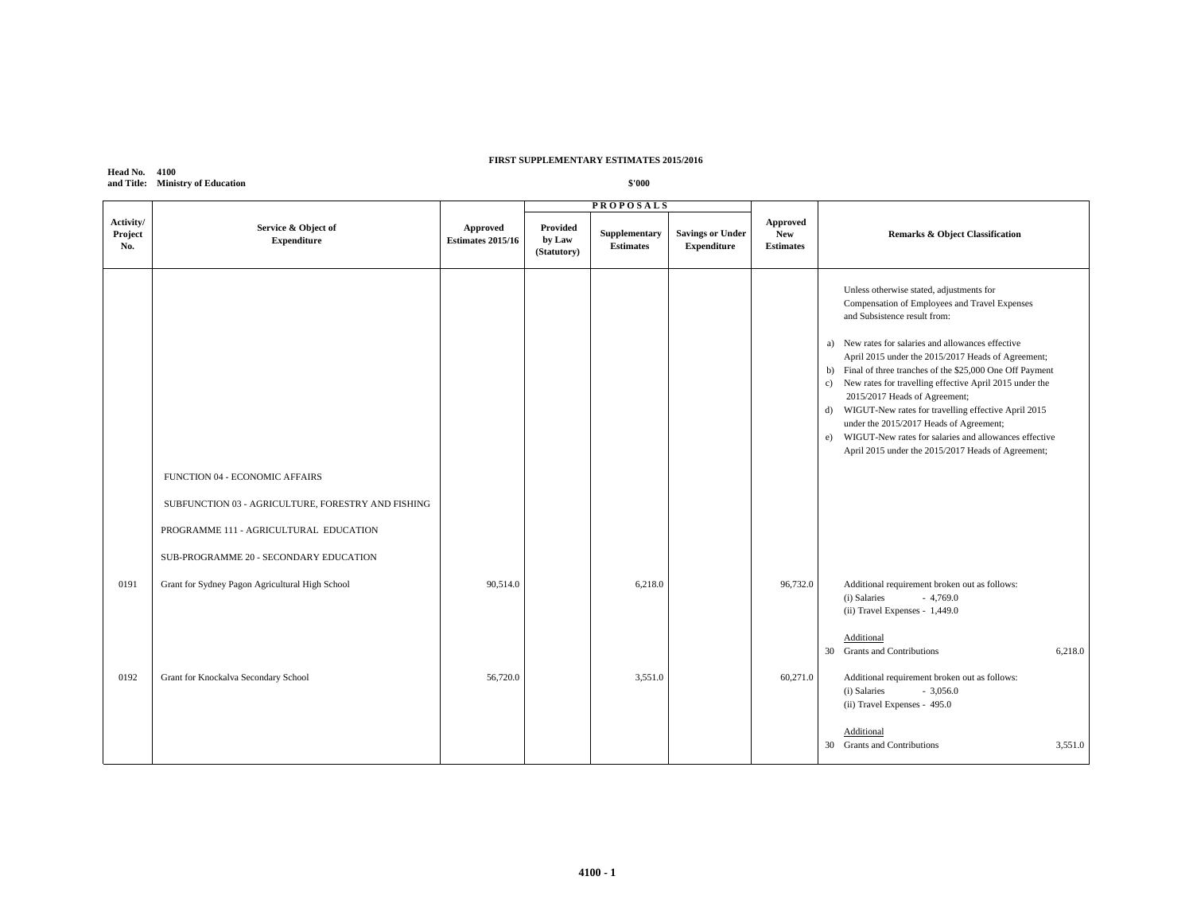| <b>Head No. 4100</b> |                                  |
|----------------------|----------------------------------|
|                      | and Title: Ministry of Education |

|                             |                                                                                                                                                                          |                                      |                                          | <b>PROPOSALS</b>                  |                                               |                                            |                                                                                                                                                                                                                                                                                                                                                                                                                                                                                                                                                                                                                              |
|-----------------------------|--------------------------------------------------------------------------------------------------------------------------------------------------------------------------|--------------------------------------|------------------------------------------|-----------------------------------|-----------------------------------------------|--------------------------------------------|------------------------------------------------------------------------------------------------------------------------------------------------------------------------------------------------------------------------------------------------------------------------------------------------------------------------------------------------------------------------------------------------------------------------------------------------------------------------------------------------------------------------------------------------------------------------------------------------------------------------------|
| Activity/<br>Project<br>No. | Service & Object of<br><b>Expenditure</b>                                                                                                                                | Approved<br><b>Estimates 2015/16</b> | <b>Provided</b><br>by Law<br>(Statutory) | Supplementary<br><b>Estimates</b> | <b>Savings or Under</b><br><b>Expenditure</b> | Approved<br><b>New</b><br><b>Estimates</b> | Remarks & Object Classification                                                                                                                                                                                                                                                                                                                                                                                                                                                                                                                                                                                              |
|                             | FUNCTION 04 - ECONOMIC AFFAIRS<br>SUBFUNCTION 03 - AGRICULTURE, FORESTRY AND FISHING<br>PROGRAMME 111 - AGRICULTURAL EDUCATION<br>SUB-PROGRAMME 20 - SECONDARY EDUCATION |                                      |                                          |                                   |                                               |                                            | Unless otherwise stated, adjustments for<br>Compensation of Employees and Travel Expenses<br>and Subsistence result from:<br>a) New rates for salaries and allowances effective<br>April 2015 under the 2015/2017 Heads of Agreement;<br>b) Final of three tranches of the \$25,000 One Off Payment<br>c) New rates for travelling effective April 2015 under the<br>2015/2017 Heads of Agreement;<br>d) WIGUT-New rates for travelling effective April 2015<br>under the 2015/2017 Heads of Agreement;<br>WIGUT-New rates for salaries and allowances effective<br>e)<br>April 2015 under the 2015/2017 Heads of Agreement; |
| 0191                        | Grant for Sydney Pagon Agricultural High School                                                                                                                          | 90.514.0                             |                                          | 6,218.0                           |                                               | 96,732.0                                   | Additional requirement broken out as follows:<br>$-4.769.0$<br>(i) Salaries<br>(ii) Travel Expenses - 1,449.0<br>Additional<br>30 Grants and Contributions<br>6,218.0                                                                                                                                                                                                                                                                                                                                                                                                                                                        |
| 0192                        | Grant for Knockalva Secondary School                                                                                                                                     | 56,720.0                             |                                          | 3.551.0                           |                                               | 60,271.0                                   | Additional requirement broken out as follows:<br>(i) Salaries<br>$-3.056.0$<br>(ii) Travel Expenses - 495.0<br>Additional<br>30 Grants and Contributions<br>3,551.0                                                                                                                                                                                                                                                                                                                                                                                                                                                          |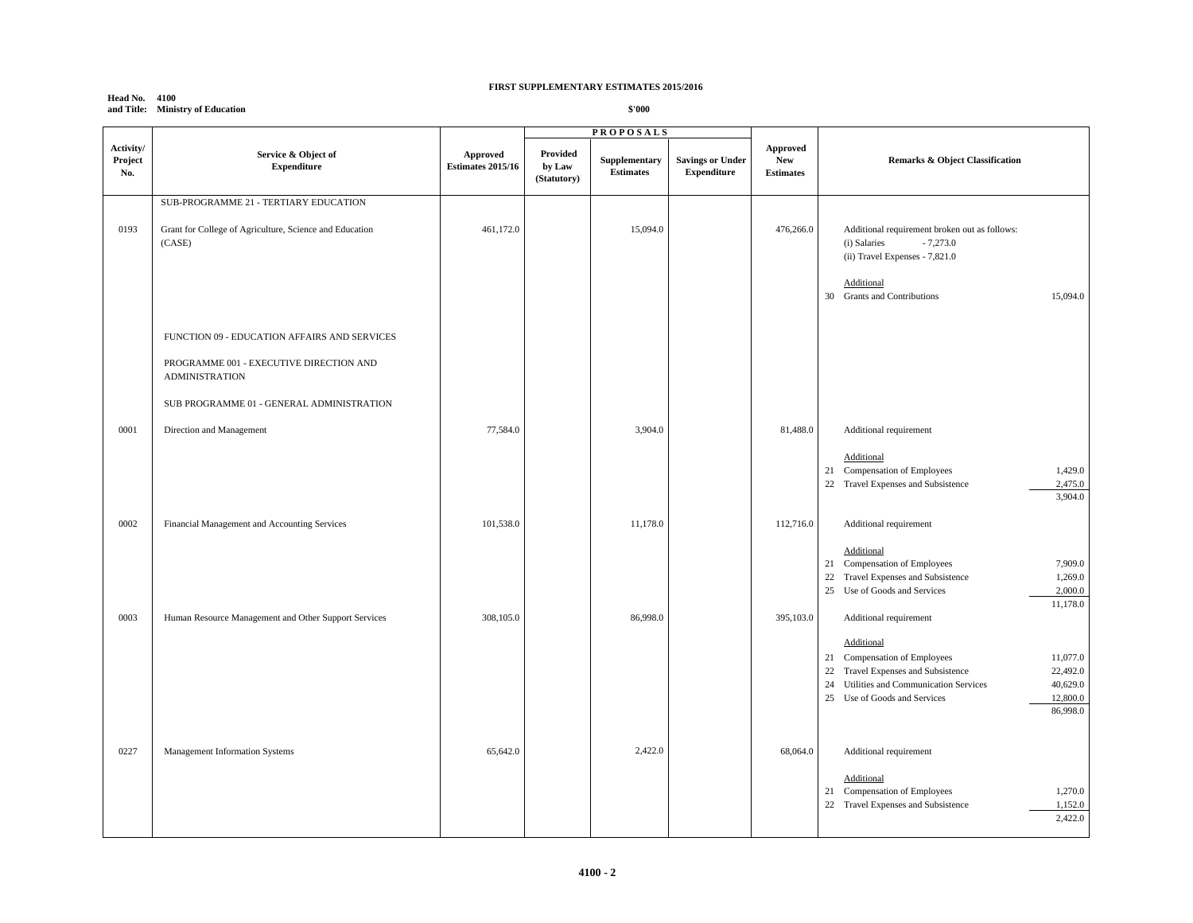## **Head No. 4100 and Title: Ministry of Education**

|                             |                                                                                                                                                            |                                      |                                   | <b>PROPOSALS</b>                  |                                               |                                            |                                                                                                                                                                                                                                                                     |
|-----------------------------|------------------------------------------------------------------------------------------------------------------------------------------------------------|--------------------------------------|-----------------------------------|-----------------------------------|-----------------------------------------------|--------------------------------------------|---------------------------------------------------------------------------------------------------------------------------------------------------------------------------------------------------------------------------------------------------------------------|
| Activity/<br>Project<br>No. | Service & Object of<br><b>Expenditure</b>                                                                                                                  | Approved<br><b>Estimates 2015/16</b> | Provided<br>by Law<br>(Statutory) | Supplementary<br><b>Estimates</b> | <b>Savings or Under</b><br><b>Expenditure</b> | Approved<br><b>New</b><br><b>Estimates</b> | <b>Remarks &amp; Object Classification</b>                                                                                                                                                                                                                          |
| 0193                        | SUB-PROGRAMME 21 - TERTIARY EDUCATION<br>Grant for College of Agriculture, Science and Education<br>(CASE)<br>FUNCTION 09 - EDUCATION AFFAIRS AND SERVICES | 461,172.0                            |                                   | 15,094.0                          |                                               | 476,266.0                                  | Additional requirement broken out as follows:<br>$-7,273.0$<br>(i) Salaries<br>(ii) Travel Expenses - 7,821.0<br>Additional<br>15,094.0<br>30 Grants and Contributions                                                                                              |
|                             | PROGRAMME 001 - EXECUTIVE DIRECTION AND<br><b>ADMINISTRATION</b><br>SUB PROGRAMME 01 - GENERAL ADMINISTRATION                                              |                                      |                                   |                                   |                                               |                                            |                                                                                                                                                                                                                                                                     |
| 0001                        | Direction and Management                                                                                                                                   | 77,584.0                             |                                   | 3,904.0                           |                                               | 81,488.0                                   | Additional requirement<br>Additional<br>21 Compensation of Employees<br>1,429.0<br>2,475.0<br>22 Travel Expenses and Subsistence<br>3,904.0                                                                                                                         |
| 0002                        | Financial Management and Accounting Services                                                                                                               | 101,538.0                            |                                   | 11,178.0                          |                                               | 112,716.0                                  | Additional requirement<br>Additional<br>21 Compensation of Employees<br>7,909.0<br>Travel Expenses and Subsistence<br>1,269.0<br>22<br>25 Use of Goods and Services<br>2,000.0                                                                                      |
| 0003                        | Human Resource Management and Other Support Services                                                                                                       | 308,105.0                            |                                   | 86,998.0                          |                                               | 395,103.0                                  | 11,178.0<br>Additional requirement<br>Additional<br>11,077.0<br>21 Compensation of Employees<br>22,492.0<br>22<br>Travel Expenses and Subsistence<br>40,629.0<br>24<br>Utilities and Communication Services<br>25 Use of Goods and Services<br>12,800.0<br>86,998.0 |
| 0227                        | Management Information Systems                                                                                                                             | 65,642.0                             |                                   | 2,422.0                           |                                               | 68,064.0                                   | Additional requirement<br>Additional<br>1,270.0<br>21 Compensation of Employees<br>22 Travel Expenses and Subsistence<br>1,152.0<br>2,422.0                                                                                                                         |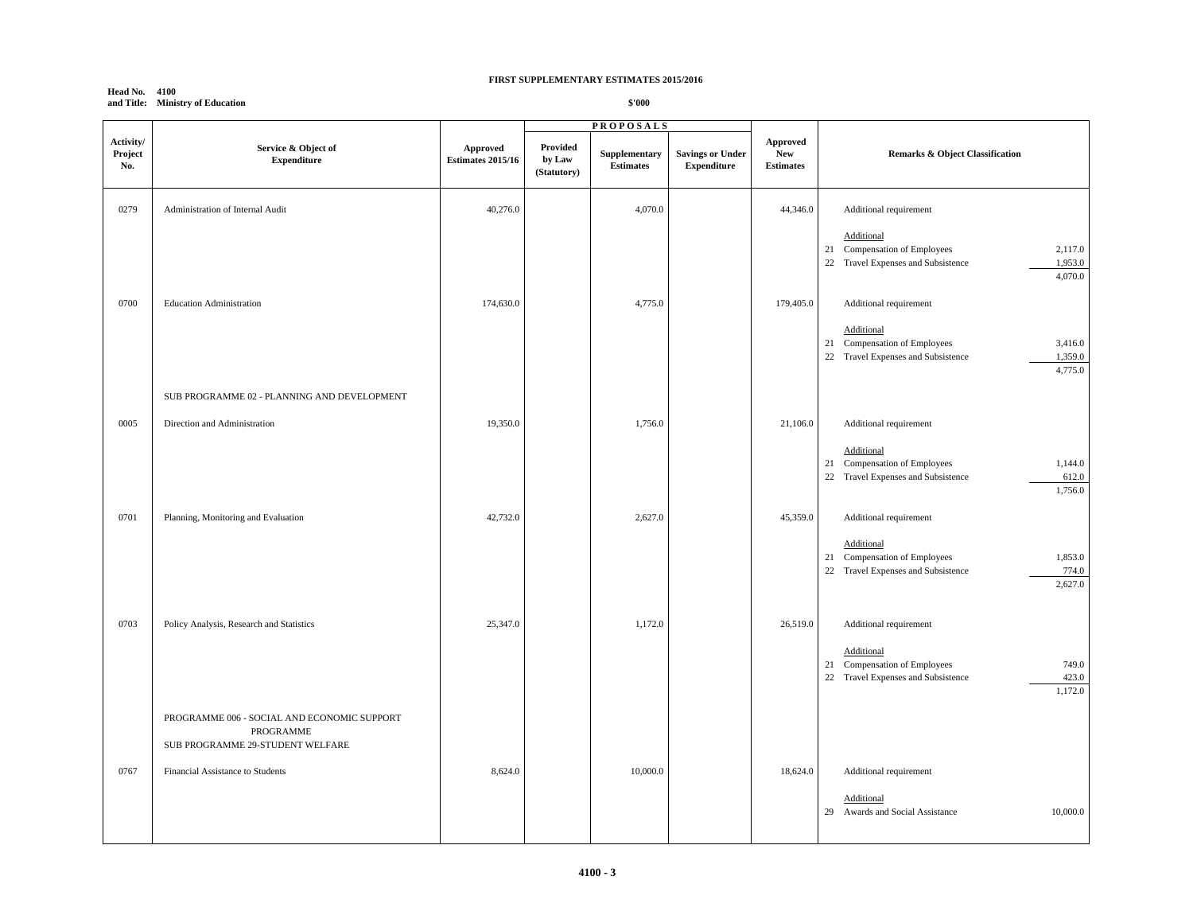#### **Head No. 4100 and Title: Ministry of Education**

|                             |                                                                                              |                                      |                                   | <b>PROPOSALS</b>                  |                                               |                                            |                                                                                                                                             |
|-----------------------------|----------------------------------------------------------------------------------------------|--------------------------------------|-----------------------------------|-----------------------------------|-----------------------------------------------|--------------------------------------------|---------------------------------------------------------------------------------------------------------------------------------------------|
| Activity/<br>Project<br>No. | Service & Object of<br><b>Expenditure</b>                                                    | Approved<br><b>Estimates 2015/16</b> | Provided<br>by Law<br>(Statutory) | Supplementary<br><b>Estimates</b> | <b>Savings or Under</b><br><b>Expenditure</b> | Approved<br><b>New</b><br><b>Estimates</b> | Remarks & Object Classification                                                                                                             |
| 0279                        | Administration of Internal Audit                                                             | 40,276.0                             |                                   | 4,070.0                           |                                               | 44,346.0                                   | Additional requirement                                                                                                                      |
|                             |                                                                                              |                                      |                                   |                                   |                                               |                                            | Additional<br>21 Compensation of Employees<br>2,117.0<br>1,953.0<br>22 Travel Expenses and Subsistence<br>4,070.0                           |
| 0700                        | <b>Education Administration</b>                                                              | 174,630.0                            |                                   | 4,775.0                           |                                               | 179,405.0                                  | Additional requirement<br>Additional<br>21 Compensation of Employees<br>3,416.0<br>1,359.0<br>22 Travel Expenses and Subsistence<br>4,775.0 |
|                             | SUB PROGRAMME 02 - PLANNING AND DEVELOPMENT                                                  |                                      |                                   |                                   |                                               |                                            |                                                                                                                                             |
| 0005                        | Direction and Administration                                                                 | 19,350.0                             |                                   | 1,756.0                           |                                               | 21,106.0                                   | Additional requirement                                                                                                                      |
|                             |                                                                                              |                                      |                                   |                                   |                                               |                                            | Additional<br>1,144.0<br>Compensation of Employees<br>21<br>22 Travel Expenses and Subsistence<br>612.0<br>1,756.0                          |
| 0701                        | Planning, Monitoring and Evaluation                                                          | 42,732.0                             |                                   | 2,627.0                           |                                               | 45,359.0                                   | Additional requirement                                                                                                                      |
|                             |                                                                                              |                                      |                                   |                                   |                                               |                                            | Additional<br>21 Compensation of Employees<br>1,853.0<br>774.0<br>22 Travel Expenses and Subsistence<br>2,627.0                             |
| 0703                        | Policy Analysis, Research and Statistics                                                     | 25,347.0                             |                                   | 1,172.0                           |                                               | 26,519.0                                   | Additional requirement                                                                                                                      |
|                             |                                                                                              |                                      |                                   |                                   |                                               |                                            | Additional<br>Compensation of Employees<br>749.0<br>21<br>423.0<br>22 Travel Expenses and Subsistence<br>1,172.0                            |
|                             | PROGRAMME 006 - SOCIAL AND ECONOMIC SUPPORT<br>PROGRAMME<br>SUB PROGRAMME 29-STUDENT WELFARE |                                      |                                   |                                   |                                               |                                            |                                                                                                                                             |
| 0767                        | Financial Assistance to Students                                                             | 8,624.0                              |                                   | 10,000.0                          |                                               | 18,624.0                                   | Additional requirement                                                                                                                      |
|                             |                                                                                              |                                      |                                   |                                   |                                               |                                            | Additional<br>29 Awards and Social Assistance<br>10,000.0                                                                                   |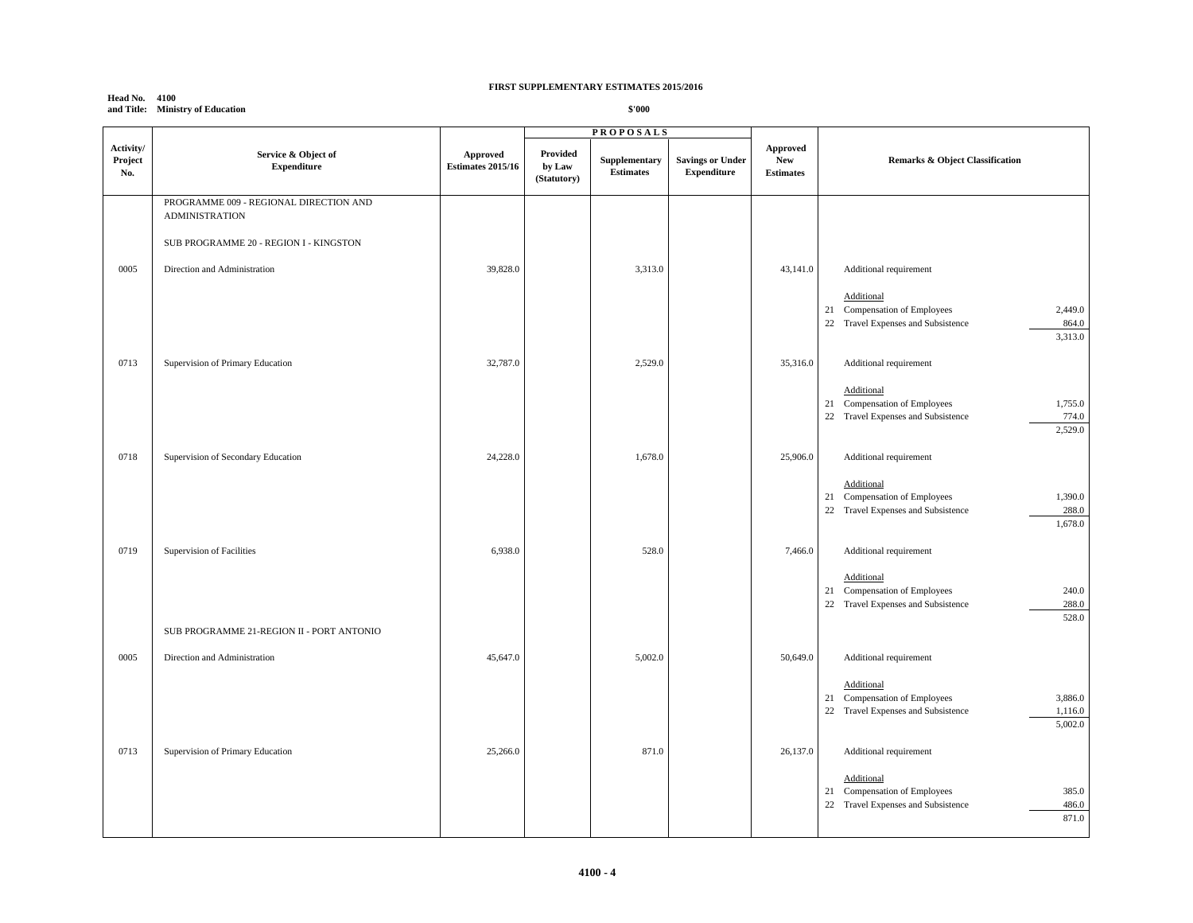## **Head No. 4100 and Title: Ministry of Education**

|                             |                                                                                                           |                                             |                                   | <b>PROPOSALS</b>                  |                                               |                                            |                                                                                                                                             |
|-----------------------------|-----------------------------------------------------------------------------------------------------------|---------------------------------------------|-----------------------------------|-----------------------------------|-----------------------------------------------|--------------------------------------------|---------------------------------------------------------------------------------------------------------------------------------------------|
| Activity/<br>Project<br>No. | Service & Object of<br><b>Expenditure</b>                                                                 | <b>Approved</b><br><b>Estimates 2015/16</b> | Provided<br>by Law<br>(Statutory) | Supplementary<br><b>Estimates</b> | <b>Savings or Under</b><br><b>Expenditure</b> | Approved<br><b>New</b><br><b>Estimates</b> | <b>Remarks &amp; Object Classification</b>                                                                                                  |
|                             | PROGRAMME 009 - REGIONAL DIRECTION AND<br><b>ADMINISTRATION</b><br>SUB PROGRAMME 20 - REGION I - KINGSTON |                                             |                                   |                                   |                                               |                                            |                                                                                                                                             |
| 0005                        | Direction and Administration                                                                              | 39,828.0                                    |                                   | 3,313.0                           |                                               | 43,141.0                                   | Additional requirement<br>Additional<br>21 Compensation of Employees<br>2,449.0<br>22 Travel Expenses and Subsistence<br>864.0              |
| 0713                        | Supervision of Primary Education                                                                          | 32,787.0                                    |                                   | 2,529.0                           |                                               | 35,316.0                                   | 3,313.0<br>Additional requirement<br>Additional<br>21 Compensation of Employees<br>1,755.0                                                  |
| 0718                        | Supervision of Secondary Education                                                                        | 24,228.0                                    |                                   | 1,678.0                           |                                               | 25,906.0                                   | 774.0<br>22 Travel Expenses and Subsistence<br>2,529.0<br>Additional requirement<br>Additional                                              |
| 0719                        | Supervision of Facilities                                                                                 | 6,938.0                                     |                                   | 528.0                             |                                               | 7,466.0                                    | 1,390.0<br>21 Compensation of Employees<br>288.0<br>22 Travel Expenses and Subsistence<br>1,678.0<br>Additional requirement                 |
|                             | SUB PROGRAMME 21-REGION II - PORT ANTONIO                                                                 |                                             |                                   |                                   |                                               |                                            | Additional<br>240.0<br>21 Compensation of Employees<br>22 Travel Expenses and Subsistence<br>288.0<br>528.0                                 |
| 0005                        | Direction and Administration                                                                              | 45,647.0                                    |                                   | 5,002.0                           |                                               | 50,649.0                                   | Additional requirement<br>Additional<br>21 Compensation of Employees<br>3,886.0<br>22 Travel Expenses and Subsistence<br>1,116.0<br>5,002.0 |
| 0713                        | Supervision of Primary Education                                                                          | 25,266.0                                    |                                   | 871.0                             |                                               | 26,137.0                                   | Additional requirement<br>Additional<br>Compensation of Employees<br>385.0<br>21<br>22<br>Travel Expenses and Subsistence<br>486.0<br>871.0 |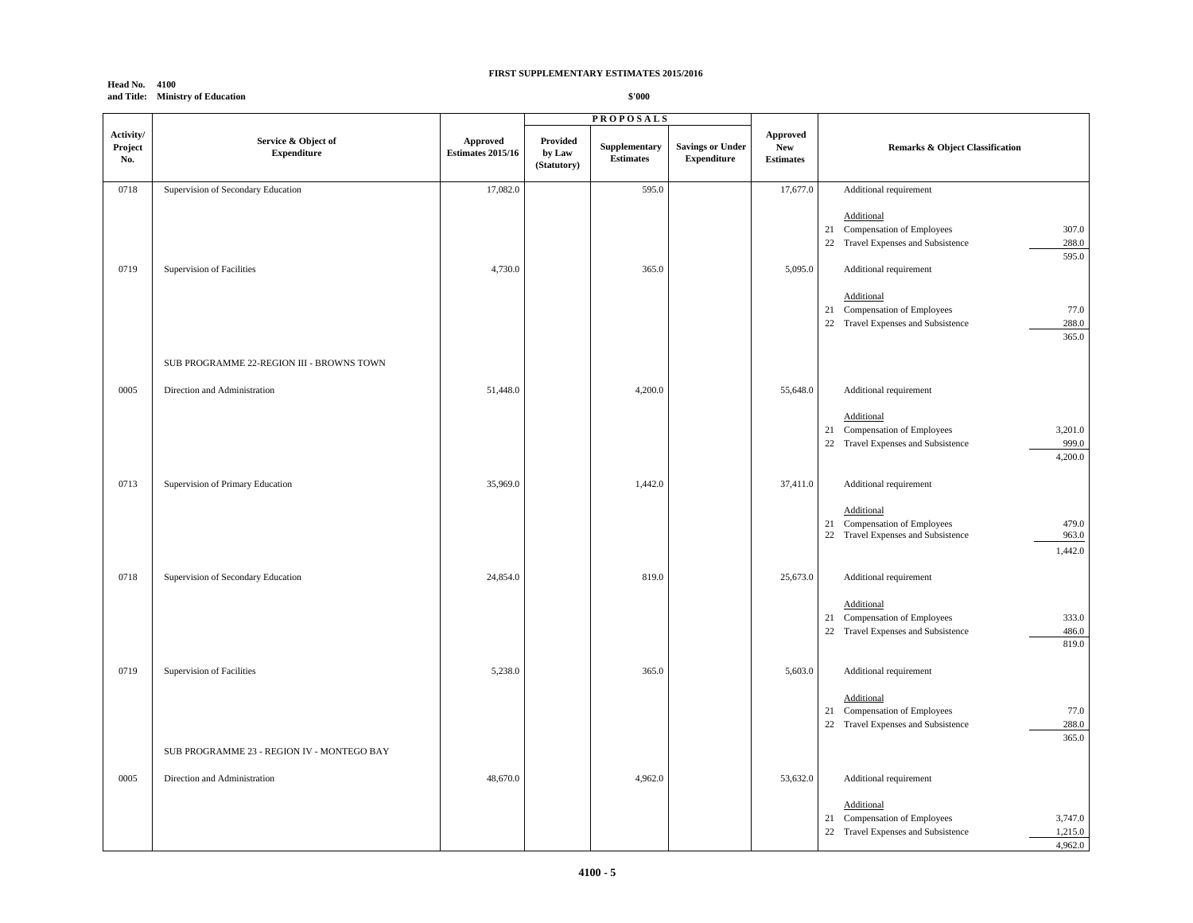#### **Head No. 4100 and Title: Ministry of Education**

|                             |                                            |                               |                                   | <b>PROPOSALS</b>                  |                                               |                                            |                                                                                                                                                                                                                                                     |
|-----------------------------|--------------------------------------------|-------------------------------|-----------------------------------|-----------------------------------|-----------------------------------------------|--------------------------------------------|-----------------------------------------------------------------------------------------------------------------------------------------------------------------------------------------------------------------------------------------------------|
| Activity/<br>Project<br>No. | Service & Object of<br><b>Expenditure</b>  | Approved<br>Estimates 2015/16 | Provided<br>by Law<br>(Statutory) | Supplementary<br><b>Estimates</b> | <b>Savings or Under</b><br><b>Expenditure</b> | Approved<br><b>New</b><br><b>Estimates</b> | Remarks & Object Classification                                                                                                                                                                                                                     |
| 0718                        | Supervision of Secondary Education         | 17,082.0                      |                                   | 595.0                             |                                               | 17,677.0                                   | Additional requirement                                                                                                                                                                                                                              |
| 0719                        | Supervision of Facilities                  | 4,730.0                       |                                   | 365.0                             |                                               | 5,095.0                                    | Additional<br>21 Compensation of Employees<br>307.0<br>288.0<br>22 Travel Expenses and Subsistence<br>595.0<br>Additional requirement<br>Additional<br>77.0<br>21 Compensation of Employees<br>22 Travel Expenses and Subsistence<br>288.0<br>365.0 |
|                             | SUB PROGRAMME 22-REGION III - BROWNS TOWN  |                               |                                   |                                   |                                               |                                            |                                                                                                                                                                                                                                                     |
| 0005                        | Direction and Administration               | 51,448.0                      |                                   | 4,200.0                           |                                               | 55,648.0                                   | Additional requirement                                                                                                                                                                                                                              |
|                             |                                            |                               |                                   |                                   |                                               |                                            | Additional<br>3,201.0<br>21 Compensation of Employees<br>999.0<br>22 Travel Expenses and Subsistence<br>4,200.0                                                                                                                                     |
| 0713                        | Supervision of Primary Education           | 35,969.0                      |                                   | 1,442.0                           |                                               | 37,411.0                                   | Additional requirement                                                                                                                                                                                                                              |
|                             |                                            |                               |                                   |                                   |                                               |                                            | Additional<br>479.0<br>21 Compensation of Employees<br>22 Travel Expenses and Subsistence<br>963.0<br>1,442.0                                                                                                                                       |
| 0718                        | Supervision of Secondary Education         | 24,854.0                      |                                   | 819.0                             |                                               | 25,673.0                                   | Additional requirement                                                                                                                                                                                                                              |
|                             |                                            |                               |                                   |                                   |                                               |                                            | Additional<br>333.0<br>21 Compensation of Employees<br>22 Travel Expenses and Subsistence<br>486.0<br>819.0                                                                                                                                         |
| 0719                        | Supervision of Facilities                  | 5,238.0                       |                                   | 365.0                             |                                               | 5,603.0                                    | Additional requirement                                                                                                                                                                                                                              |
|                             |                                            |                               |                                   |                                   |                                               |                                            | Additional<br>77.0<br>21 Compensation of Employees<br>288.0<br>22 Travel Expenses and Subsistence<br>365.0                                                                                                                                          |
|                             | SUB PROGRAMME 23 - REGION IV - MONTEGO BAY |                               |                                   |                                   |                                               |                                            |                                                                                                                                                                                                                                                     |
| 0005                        | Direction and Administration               | 48,670.0                      |                                   | 4,962.0                           |                                               | 53,632.0                                   | Additional requirement                                                                                                                                                                                                                              |
|                             |                                            |                               |                                   |                                   |                                               |                                            | Additional<br>3,747.0<br>21 Compensation of Employees<br>22 Travel Expenses and Subsistence<br>1,215.0<br>4,962.0                                                                                                                                   |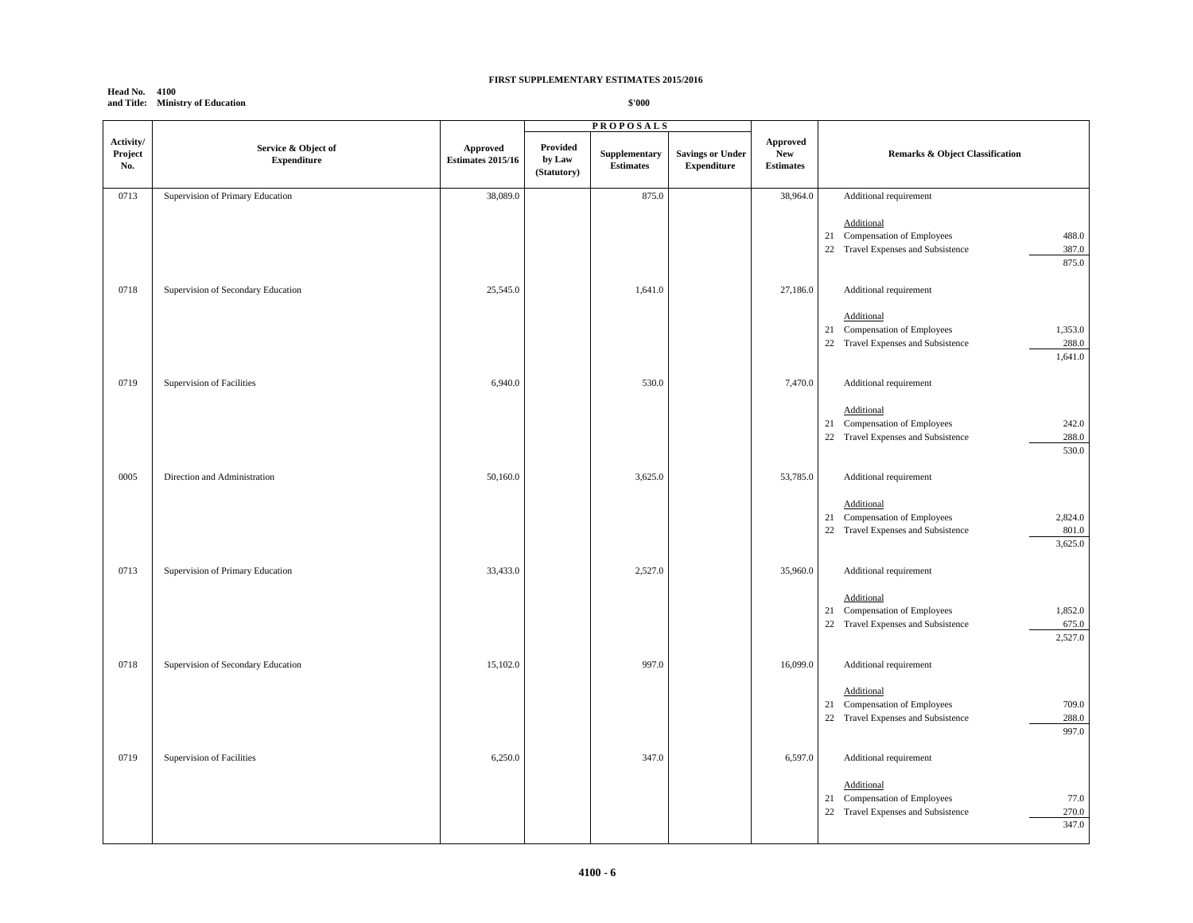#### **Head No. 4100 and Title: Ministry of Education**

|                             |                                           |                                      |                                   | <b>PROPOSALS</b>                  |                                               |                                            |                                                                                                                                           |
|-----------------------------|-------------------------------------------|--------------------------------------|-----------------------------------|-----------------------------------|-----------------------------------------------|--------------------------------------------|-------------------------------------------------------------------------------------------------------------------------------------------|
| Activity/<br>Project<br>No. | Service & Object of<br><b>Expenditure</b> | Approved<br><b>Estimates 2015/16</b> | Provided<br>by Law<br>(Statutory) | Supplementary<br><b>Estimates</b> | <b>Savings or Under</b><br><b>Expenditure</b> | Approved<br><b>New</b><br><b>Estimates</b> | Remarks & Object Classification                                                                                                           |
| 0713                        | Supervision of Primary Education          | 38,089.0                             |                                   | 875.0                             |                                               | 38,964.0                                   | Additional requirement                                                                                                                    |
|                             |                                           |                                      |                                   |                                   |                                               |                                            | Additional<br>488.0<br>21 Compensation of Employees<br>22 Travel Expenses and Subsistence<br>387.0<br>875.0                               |
| 0718                        | Supervision of Secondary Education        | 25,545.0                             |                                   | 1,641.0                           |                                               | 27,186.0                                   | Additional requirement<br>Additional<br>21 Compensation of Employees<br>1,353.0<br>22 Travel Expenses and Subsistence<br>288.0<br>1,641.0 |
| 0719                        | Supervision of Facilities                 | 6,940.0                              |                                   | 530.0                             |                                               | 7,470.0                                    | Additional requirement                                                                                                                    |
|                             |                                           |                                      |                                   |                                   |                                               |                                            | Additional<br>242.0<br>21 Compensation of Employees<br>288.0<br>22 Travel Expenses and Subsistence<br>530.0                               |
| 0005                        | Direction and Administration              | 50,160.0                             |                                   | 3,625.0                           |                                               | 53,785.0                                   | Additional requirement<br>Additional<br>2,824.0<br>21 Compensation of Employees                                                           |
|                             |                                           |                                      |                                   |                                   |                                               |                                            | 22 Travel Expenses and Subsistence<br>801.0<br>3,625.0                                                                                    |
| 0713                        | Supervision of Primary Education          | 33,433.0                             |                                   | 2,527.0                           |                                               | 35,960.0                                   | Additional requirement<br>Additional<br>1,852.0<br>21 Compensation of Employees<br>22 Travel Expenses and Subsistence<br>675.0<br>2,527.0 |
| 0718                        | Supervision of Secondary Education        | 15,102.0                             |                                   | 997.0                             |                                               | 16,099.0                                   | Additional requirement                                                                                                                    |
|                             |                                           |                                      |                                   |                                   |                                               |                                            | Additional<br>709.0<br>Compensation of Employees<br>21<br>288.0<br>22 Travel Expenses and Subsistence<br>997.0                            |
| 0719                        | Supervision of Facilities                 | 6,250.0                              |                                   | 347.0                             |                                               | 6,597.0                                    | Additional requirement                                                                                                                    |
|                             |                                           |                                      |                                   |                                   |                                               |                                            | Additional<br>21 Compensation of Employees<br>77.0<br>Travel Expenses and Subsistence<br>270.0<br>22<br>347.0                             |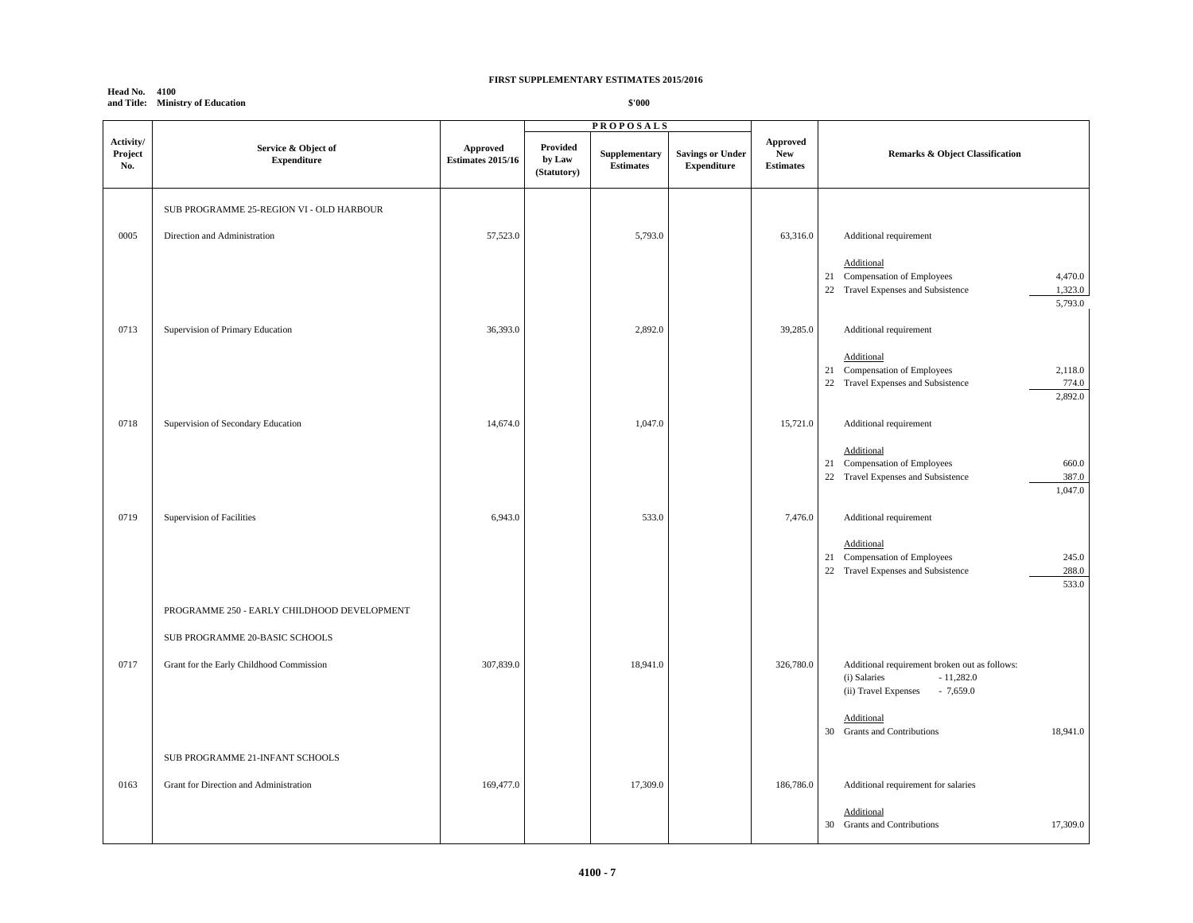#### **Head No. 4100 and Title: Ministry of Education**

|                             |                                             |                                      |                                   | <b>PROPOSALS</b>                  |                                               |                                            |                                                                                                                    |
|-----------------------------|---------------------------------------------|--------------------------------------|-----------------------------------|-----------------------------------|-----------------------------------------------|--------------------------------------------|--------------------------------------------------------------------------------------------------------------------|
| Activity/<br>Project<br>No. | Service & Object of<br><b>Expenditure</b>   | Approved<br><b>Estimates 2015/16</b> | Provided<br>by Law<br>(Statutory) | Supplementary<br><b>Estimates</b> | <b>Savings or Under</b><br><b>Expenditure</b> | Approved<br><b>New</b><br><b>Estimates</b> | Remarks & Object Classification                                                                                    |
|                             | SUB PROGRAMME 25-REGION VI - OLD HARBOUR    |                                      |                                   |                                   |                                               |                                            |                                                                                                                    |
| 0005                        | Direction and Administration                | 57,523.0                             |                                   | 5,793.0                           |                                               | 63,316.0                                   | Additional requirement                                                                                             |
|                             |                                             |                                      |                                   |                                   |                                               |                                            | Additional<br>21 Compensation of Employees<br>4,470.0<br>22 Travel Expenses and Subsistence<br>1,323.0<br>5,793.0  |
| 0713                        | Supervision of Primary Education            | 36,393.0                             |                                   | 2,892.0                           |                                               | 39,285.0                                   | Additional requirement                                                                                             |
|                             |                                             |                                      |                                   |                                   |                                               |                                            | Additional<br>21 Compensation of Employees<br>2,118.0<br>22 Travel Expenses and Subsistence<br>774.0<br>2,892.0    |
| 0718                        | Supervision of Secondary Education          | 14,674.0                             |                                   | 1,047.0                           |                                               | 15,721.0                                   | Additional requirement                                                                                             |
|                             |                                             |                                      |                                   |                                   |                                               |                                            | Additional<br>Compensation of Employees<br>660.0<br>21<br>387.0<br>22 Travel Expenses and Subsistence<br>1,047.0   |
| 0719                        | Supervision of Facilities                   | 6,943.0                              |                                   | 533.0                             |                                               | 7,476.0                                    | Additional requirement                                                                                             |
|                             |                                             |                                      |                                   |                                   |                                               |                                            | Additional<br>245.0<br>21 Compensation of Employees<br>22 Travel Expenses and Subsistence<br>288.0<br>533.0        |
|                             | PROGRAMME 250 - EARLY CHILDHOOD DEVELOPMENT |                                      |                                   |                                   |                                               |                                            |                                                                                                                    |
|                             | SUB PROGRAMME 20-BASIC SCHOOLS              |                                      |                                   |                                   |                                               |                                            |                                                                                                                    |
| 0717                        | Grant for the Early Childhood Commission    | 307,839.0                            |                                   | 18,941.0                          |                                               | 326,780.0                                  | Additional requirement broken out as follows:<br>$-11,282.0$<br>(i) Salaries<br>$-7,659.0$<br>(ii) Travel Expenses |
|                             |                                             |                                      |                                   |                                   |                                               |                                            | Additional<br>18,941.0<br>30 Grants and Contributions                                                              |
|                             | SUB PROGRAMME 21-INFANT SCHOOLS             |                                      |                                   |                                   |                                               |                                            |                                                                                                                    |
| 0163                        | Grant for Direction and Administration      | 169,477.0                            |                                   | 17,309.0                          |                                               | 186,786.0                                  | Additional requirement for salaries                                                                                |
|                             |                                             |                                      |                                   |                                   |                                               |                                            | Additional<br>17,309.0<br>30 Grants and Contributions                                                              |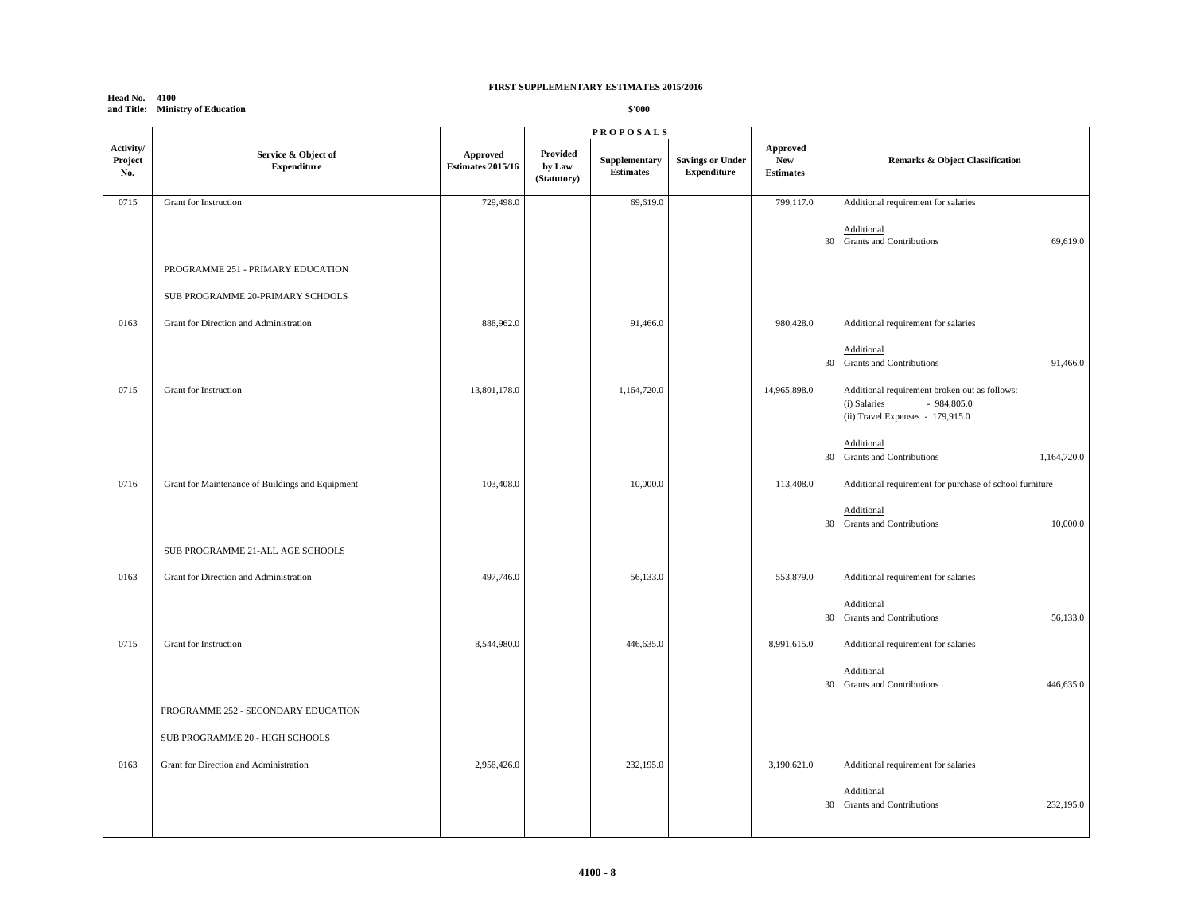## **Head No. 4100 and Title: Ministry of Education**

|                             |                                                  |                               |                                   | <b>PROPOSALS</b>                  |                                               |                                            |                                                                                                                   |
|-----------------------------|--------------------------------------------------|-------------------------------|-----------------------------------|-----------------------------------|-----------------------------------------------|--------------------------------------------|-------------------------------------------------------------------------------------------------------------------|
| Activity/<br>Project<br>No. | Service & Object of<br><b>Expenditure</b>        | Approved<br>Estimates 2015/16 | Provided<br>by Law<br>(Statutory) | Supplementary<br><b>Estimates</b> | <b>Savings or Under</b><br><b>Expenditure</b> | Approved<br><b>New</b><br><b>Estimates</b> | Remarks & Object Classification                                                                                   |
| 0715                        | Grant for Instruction                            | 729,498.0                     |                                   | 69,619.0                          |                                               | 799,117.0                                  | Additional requirement for salaries                                                                               |
|                             |                                                  |                               |                                   |                                   |                                               |                                            | Additional<br>30 Grants and Contributions<br>69,619.0                                                             |
|                             | PROGRAMME 251 - PRIMARY EDUCATION                |                               |                                   |                                   |                                               |                                            |                                                                                                                   |
|                             | SUB PROGRAMME 20-PRIMARY SCHOOLS                 |                               |                                   |                                   |                                               |                                            |                                                                                                                   |
| 0163                        | Grant for Direction and Administration           | 888,962.0                     |                                   | 91,466.0                          |                                               | 980,428.0                                  | Additional requirement for salaries                                                                               |
|                             |                                                  |                               |                                   |                                   |                                               |                                            | Additional<br>30 Grants and Contributions<br>91,466.0                                                             |
| 0715                        | Grant for Instruction                            | 13,801,178.0                  |                                   | 1,164,720.0                       |                                               | 14,965,898.0                               | Additional requirement broken out as follows:<br>$-984,805.0$<br>(i) Salaries<br>(ii) Travel Expenses - 179,915.0 |
|                             |                                                  |                               |                                   |                                   |                                               |                                            | Additional<br><b>Grants and Contributions</b><br>1,164,720.0<br>30                                                |
| 0716                        | Grant for Maintenance of Buildings and Equipment | 103,408.0                     |                                   | 10,000.0                          |                                               | 113,408.0                                  | Additional requirement for purchase of school furniture                                                           |
|                             |                                                  |                               |                                   |                                   |                                               |                                            | Additional<br>10,000.0<br>30 Grants and Contributions                                                             |
|                             | SUB PROGRAMME 21-ALL AGE SCHOOLS                 |                               |                                   |                                   |                                               |                                            |                                                                                                                   |
| 0163                        | Grant for Direction and Administration           | 497,746.0                     |                                   | 56,133.0                          |                                               | 553,879.0                                  | Additional requirement for salaries                                                                               |
|                             |                                                  |                               |                                   |                                   |                                               |                                            | Additional<br>30 Grants and Contributions<br>56,133.0                                                             |
| 0715                        | Grant for Instruction                            | 8,544,980.0                   |                                   | 446,635.0                         |                                               | 8,991,615.0                                | Additional requirement for salaries                                                                               |
|                             |                                                  |                               |                                   |                                   |                                               |                                            | Additional<br>30 Grants and Contributions<br>446,635.0                                                            |
|                             | PROGRAMME 252 - SECONDARY EDUCATION              |                               |                                   |                                   |                                               |                                            |                                                                                                                   |
|                             | SUB PROGRAMME 20 - HIGH SCHOOLS                  |                               |                                   |                                   |                                               |                                            |                                                                                                                   |
| 0163                        | Grant for Direction and Administration           | 2,958,426.0                   |                                   | 232,195.0                         |                                               | 3,190,621.0                                | Additional requirement for salaries                                                                               |
|                             |                                                  |                               |                                   |                                   |                                               |                                            | Additional<br><b>Grants and Contributions</b><br>232,195.0<br>30                                                  |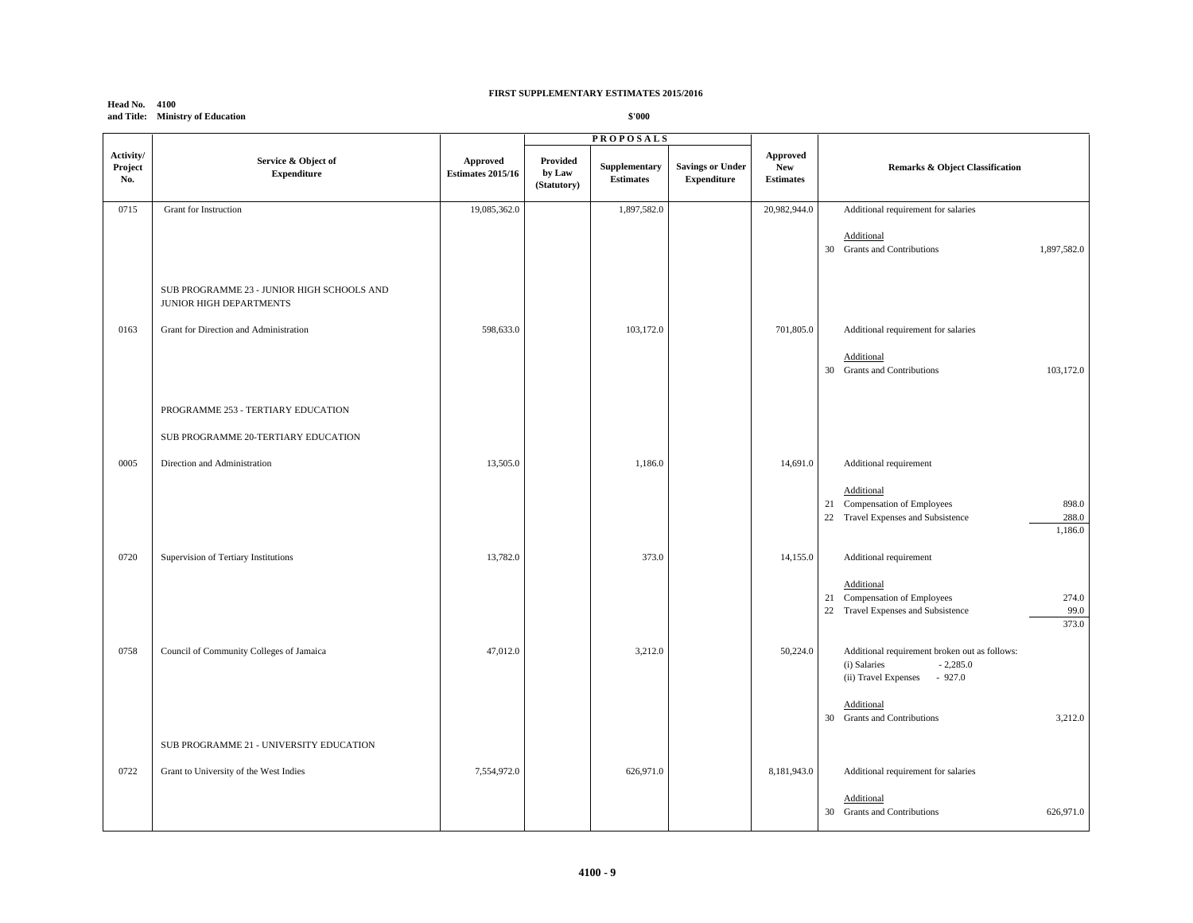|                             | and Three Ministry of Education                                       |                                      |                                   | <b>P</b> nn                                           |                                               |                                            |                                                                                                               |
|-----------------------------|-----------------------------------------------------------------------|--------------------------------------|-----------------------------------|-------------------------------------------------------|-----------------------------------------------|--------------------------------------------|---------------------------------------------------------------------------------------------------------------|
| Activity/<br>Project<br>No. | Service & Object of<br><b>Expenditure</b>                             | Approved<br><b>Estimates 2015/16</b> | Provided<br>by Law<br>(Statutory) | <b>PROPOSALS</b><br>Supplementary<br><b>Estimates</b> | <b>Savings or Under</b><br><b>Expenditure</b> | Approved<br><b>New</b><br><b>Estimates</b> | <b>Remarks &amp; Object Classification</b>                                                                    |
| 0715                        | Grant for Instruction                                                 | 19,085,362.0                         |                                   | 1,897,582.0                                           |                                               | 20,982,944.0                               | Additional requirement for salaries                                                                           |
|                             |                                                                       |                                      |                                   |                                                       |                                               |                                            | Additional<br>30 Grants and Contributions<br>1,897,582.0                                                      |
|                             | SUB PROGRAMME 23 - JUNIOR HIGH SCHOOLS AND<br>JUNIOR HIGH DEPARTMENTS |                                      |                                   |                                                       |                                               |                                            |                                                                                                               |
| 0163                        | Grant for Direction and Administration                                | 598,633.0                            |                                   | 103,172.0                                             |                                               | 701,805.0                                  | Additional requirement for salaries                                                                           |
|                             |                                                                       |                                      |                                   |                                                       |                                               |                                            | Additional<br><b>Grants and Contributions</b><br>103,172.0<br>30                                              |
|                             | PROGRAMME 253 - TERTIARY EDUCATION                                    |                                      |                                   |                                                       |                                               |                                            |                                                                                                               |
|                             | SUB PROGRAMME 20-TERTIARY EDUCATION                                   |                                      |                                   |                                                       |                                               |                                            |                                                                                                               |
| 0005                        | Direction and Administration                                          | 13,505.0                             |                                   | 1,186.0                                               |                                               | 14,691.0                                   | Additional requirement                                                                                        |
|                             |                                                                       |                                      |                                   |                                                       |                                               |                                            | Additional<br>21 Compensation of Employees<br>898.0<br>22 Travel Expenses and Subsistence<br>288.0<br>1,186.0 |
| 0720                        | Supervision of Tertiary Institutions                                  | 13,782.0                             |                                   | 373.0                                                 |                                               | 14,155.0                                   | Additional requirement                                                                                        |
|                             |                                                                       |                                      |                                   |                                                       |                                               |                                            | Additional<br>21 Compensation of Employees<br>274.0<br>22 Travel Expenses and Subsistence<br>99.0<br>373.0    |
| 0758                        | Council of Community Colleges of Jamaica                              | 47,012.0                             |                                   | 3,212.0                                               |                                               | 50,224.0                                   | Additional requirement broken out as follows:<br>$-2,285.0$<br>(i) Salaries<br>(ii) Travel Expenses - 927.0   |
|                             |                                                                       |                                      |                                   |                                                       |                                               |                                            | Additional<br><b>Grants and Contributions</b><br>3,212.0<br>30                                                |
|                             | SUB PROGRAMME 21 - UNIVERSITY EDUCATION                               |                                      |                                   |                                                       |                                               |                                            |                                                                                                               |
| 0722                        | Grant to University of the West Indies                                | 7,554,972.0                          |                                   | 626,971.0                                             |                                               | 8,181,943.0                                | Additional requirement for salaries                                                                           |
|                             |                                                                       |                                      |                                   |                                                       |                                               |                                            | Additional<br>626,971.0<br>30 Grants and Contributions                                                        |

## **Head No. 4100 and Title: Ministry of Education**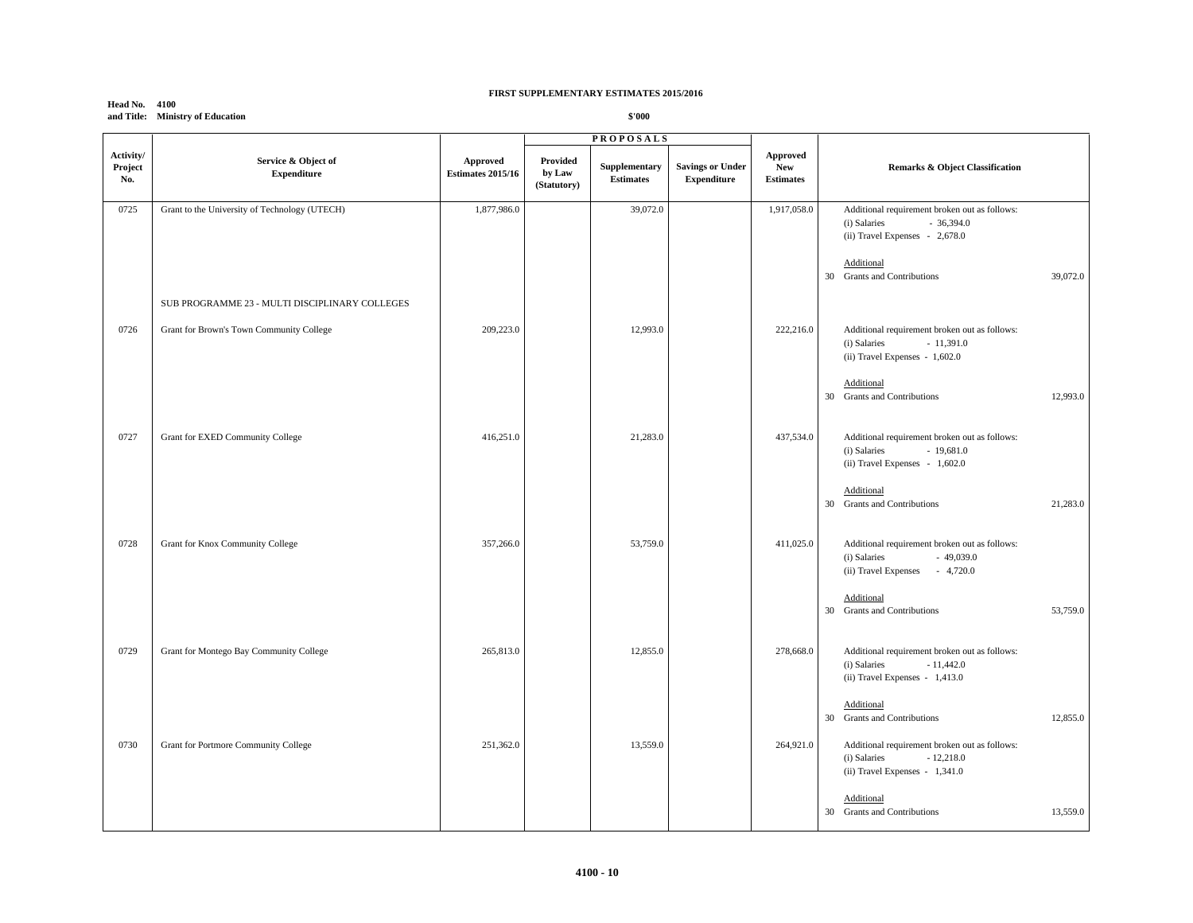|                             | and Title: Ministry of Education               |                                      |                                   | \$'000                            |                                               |                                                   |                                                                                                                                                                         |  |
|-----------------------------|------------------------------------------------|--------------------------------------|-----------------------------------|-----------------------------------|-----------------------------------------------|---------------------------------------------------|-------------------------------------------------------------------------------------------------------------------------------------------------------------------------|--|
|                             |                                                |                                      |                                   | <b>PROPOSALS</b>                  |                                               |                                                   |                                                                                                                                                                         |  |
| Activity/<br>Project<br>No. | Service & Object of<br><b>Expenditure</b>      | Approved<br><b>Estimates 2015/16</b> | Provided<br>by Law<br>(Statutory) | Supplementary<br><b>Estimates</b> | <b>Savings or Under</b><br><b>Expenditure</b> | <b>Approved</b><br><b>New</b><br><b>Estimates</b> | <b>Remarks &amp; Object Classification</b>                                                                                                                              |  |
| 0725                        | Grant to the University of Technology (UTECH)  | 1,877,986.0                          |                                   | 39,072.0                          |                                               | 1,917,058.0                                       | Additional requirement broken out as follows:<br>$-36,394.0$<br>(i) Salaries<br>(ii) Travel Expenses - 2,678.0<br>Additional<br>30 Grants and Contributions<br>39,072.0 |  |
|                             | SUB PROGRAMME 23 - MULTI DISCIPLINARY COLLEGES |                                      |                                   |                                   |                                               |                                                   |                                                                                                                                                                         |  |
| 0726                        | Grant for Brown's Town Community College       | 209,223.0                            |                                   | 12,993.0                          |                                               | 222,216.0                                         | Additional requirement broken out as follows:<br>$-11,391.0$<br>(i) Salaries<br>(ii) Travel Expenses - 1,602.0                                                          |  |
|                             |                                                |                                      |                                   |                                   |                                               |                                                   | Additional<br>30 Grants and Contributions<br>12,993.0                                                                                                                   |  |
| 0727                        | Grant for EXED Community College               | 416,251.0                            |                                   | 21,283.0                          |                                               | 437,534.0                                         | Additional requirement broken out as follows:<br>(i) Salaries<br>$-19,681.0$<br>(ii) Travel Expenses - 1,602.0                                                          |  |
|                             |                                                |                                      |                                   |                                   |                                               |                                                   | Additional<br>30 Grants and Contributions<br>21,283.0                                                                                                                   |  |
| 0728                        | Grant for Knox Community College               | 357,266.0                            |                                   | 53,759.0                          |                                               | 411,025.0                                         | Additional requirement broken out as follows:<br>(i) Salaries<br>$-49,039.0$<br>(ii) Travel Expenses - 4,720.0                                                          |  |
|                             |                                                |                                      |                                   |                                   |                                               |                                                   | Additional<br>30 Grants and Contributions<br>53,759.0                                                                                                                   |  |
| 0729                        | Grant for Montego Bay Community College        | 265,813.0                            |                                   | 12,855.0                          |                                               | 278,668.0                                         | Additional requirement broken out as follows:<br>(i) Salaries<br>$-11,442.0$<br>(ii) Travel Expenses - 1,413.0                                                          |  |
|                             |                                                |                                      |                                   |                                   |                                               |                                                   | Additional<br>12,855.0<br><b>Grants and Contributions</b><br>30                                                                                                         |  |
| 0730                        | Grant for Portmore Community College           | 251,362.0                            |                                   | 13,559.0                          |                                               | 264,921.0                                         | Additional requirement broken out as follows:<br>$-12,218.0$<br>(i) Salaries<br>(ii) Travel Expenses - 1,341.0                                                          |  |
|                             |                                                |                                      |                                   |                                   |                                               |                                                   | Additional<br>30 Grants and Contributions<br>13,559.0                                                                                                                   |  |

# **Head No. 4100**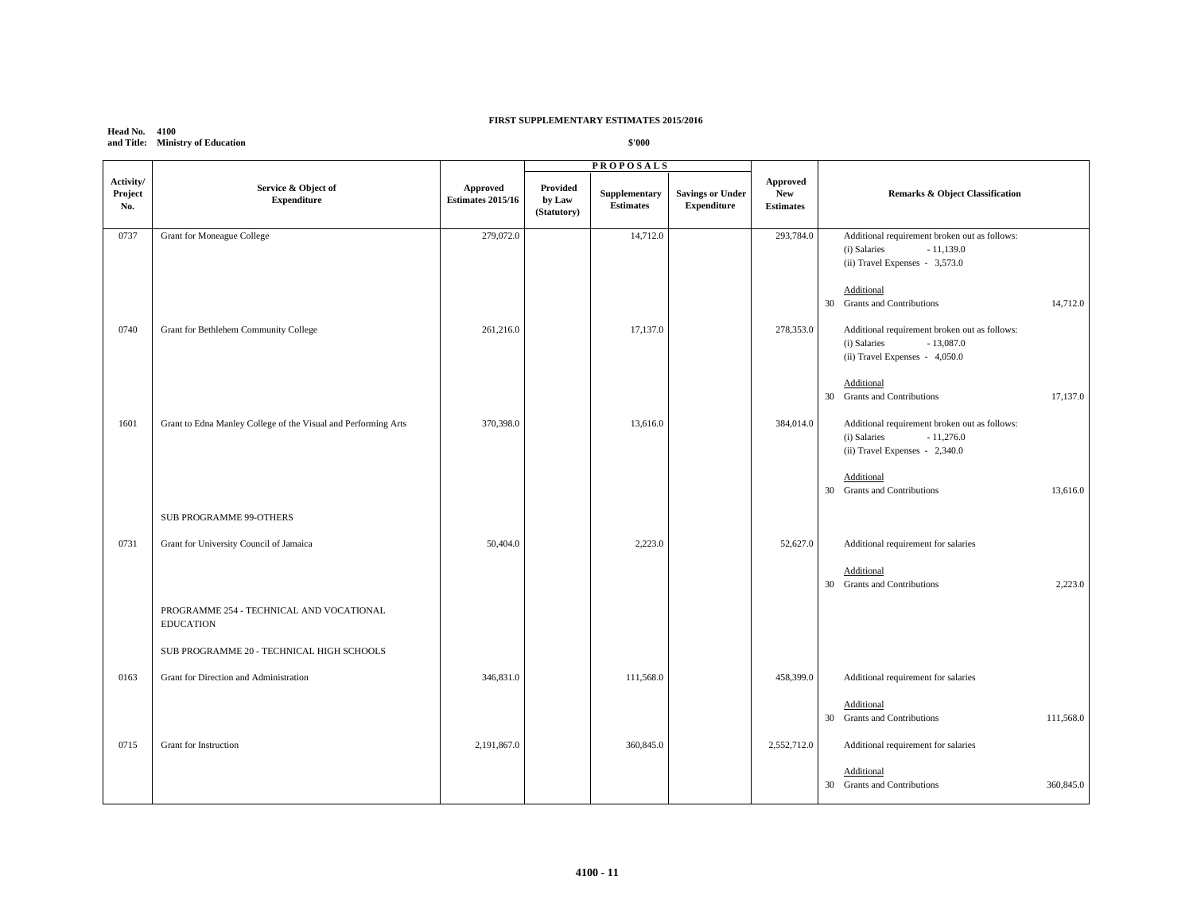**Head No. 4100 and Title: Ministry of Education**

|                             |                                                                |                                      | <b>PROPOSALS</b>                  |                                   |                                               |                                                   |                                                                                                                |
|-----------------------------|----------------------------------------------------------------|--------------------------------------|-----------------------------------|-----------------------------------|-----------------------------------------------|---------------------------------------------------|----------------------------------------------------------------------------------------------------------------|
| Activity/<br>Project<br>No. | Service & Object of<br><b>Expenditure</b>                      | Approved<br><b>Estimates 2015/16</b> | Provided<br>by Law<br>(Statutory) | Supplementary<br><b>Estimates</b> | <b>Savings or Under</b><br><b>Expenditure</b> | <b>Approved</b><br><b>New</b><br><b>Estimates</b> | <b>Remarks &amp; Object Classification</b>                                                                     |
| 0737                        | Grant for Moneague College                                     | 279,072.0                            |                                   | 14,712.0                          |                                               | 293,784.0                                         | Additional requirement broken out as follows:<br>(i) Salaries<br>$-11,139.0$<br>(ii) Travel Expenses - 3,573.0 |
|                             |                                                                |                                      |                                   |                                   |                                               |                                                   | Additional<br>30 Grants and Contributions<br>14,712.0                                                          |
| 0740                        | Grant for Bethlehem Community College                          | 261,216.0                            |                                   | 17,137.0                          |                                               | 278,353.0                                         | Additional requirement broken out as follows:<br>$-13,087.0$<br>(i) Salaries<br>(ii) Travel Expenses - 4,050.0 |
|                             |                                                                |                                      |                                   |                                   |                                               |                                                   | Additional<br><b>Grants and Contributions</b><br>17,137.0<br>30                                                |
| 1601                        | Grant to Edna Manley College of the Visual and Performing Arts | 370,398.0                            |                                   | 13,616.0                          |                                               | 384,014.0                                         | Additional requirement broken out as follows:<br>(i) Salaries<br>$-11,276.0$<br>(ii) Travel Expenses - 2,340.0 |
|                             |                                                                |                                      |                                   |                                   |                                               |                                                   | Additional<br><b>Grants and Contributions</b><br>13,616.0<br>30                                                |
|                             | SUB PROGRAMME 99-OTHERS                                        |                                      |                                   |                                   |                                               |                                                   |                                                                                                                |
| 0731                        | Grant for University Council of Jamaica                        | 50,404.0                             |                                   | 2,223.0                           |                                               | 52,627.0                                          | Additional requirement for salaries                                                                            |
|                             |                                                                |                                      |                                   |                                   |                                               |                                                   | Additional<br>30 Grants and Contributions<br>2,223.0                                                           |
|                             | PROGRAMME 254 - TECHNICAL AND VOCATIONAL<br><b>EDUCATION</b>   |                                      |                                   |                                   |                                               |                                                   |                                                                                                                |
|                             | SUB PROGRAMME 20 - TECHNICAL HIGH SCHOOLS                      |                                      |                                   |                                   |                                               |                                                   |                                                                                                                |
| 0163                        | Grant for Direction and Administration                         | 346,831.0                            |                                   | 111,568.0                         |                                               | 458,399.0                                         | Additional requirement for salaries                                                                            |
|                             |                                                                |                                      |                                   |                                   |                                               |                                                   | Additional<br><b>Grants and Contributions</b><br>111,568.0<br>30                                               |
| 0715                        | Grant for Instruction                                          | 2,191,867.0                          |                                   | 360,845.0                         |                                               | 2,552,712.0                                       | Additional requirement for salaries                                                                            |
|                             |                                                                |                                      |                                   |                                   |                                               |                                                   | Additional<br>30 Grants and Contributions<br>360,845.0                                                         |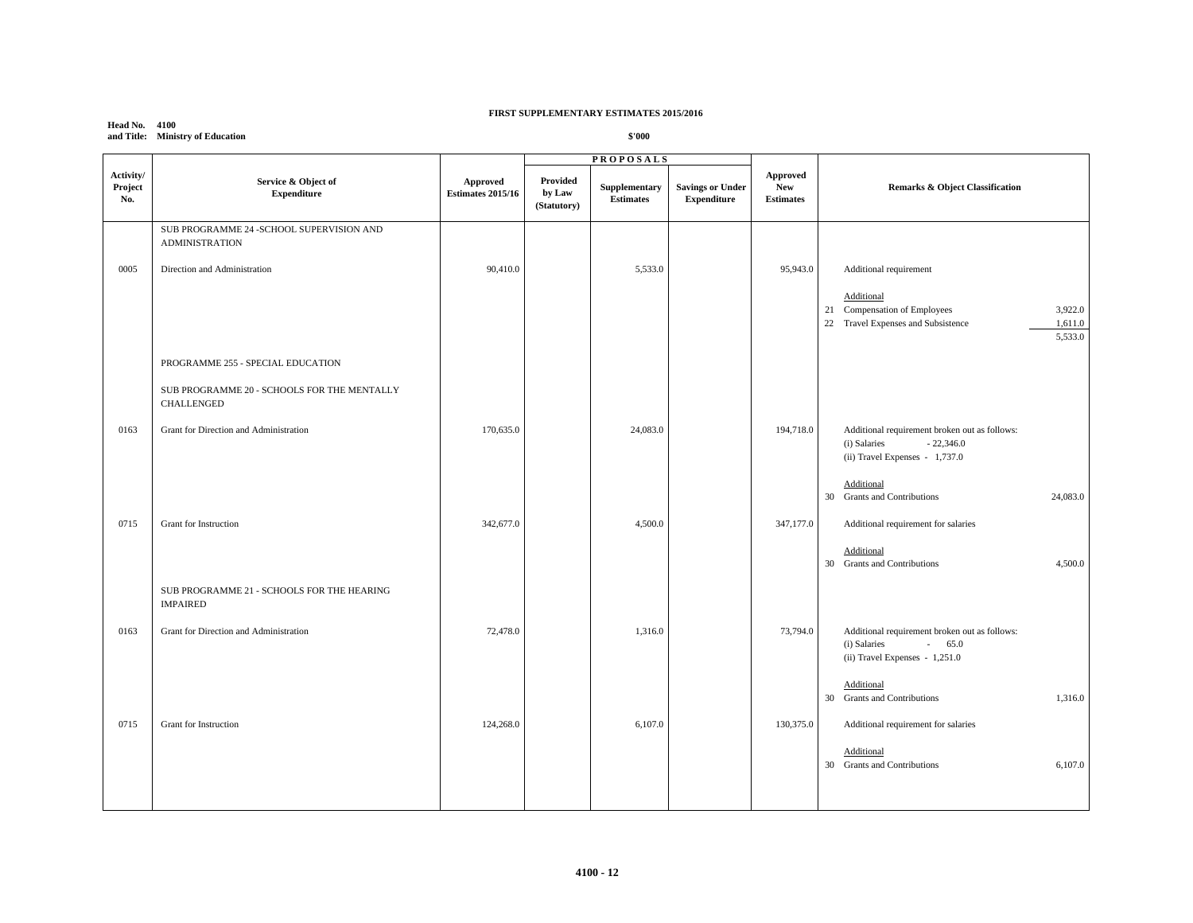**Head No. 4100 and Title: Ministry of Education**

|                             |                                                                    | <b>PROPOSALS</b>                     |                                   |                                   |                                               |                                                   |                                                                                                                      |
|-----------------------------|--------------------------------------------------------------------|--------------------------------------|-----------------------------------|-----------------------------------|-----------------------------------------------|---------------------------------------------------|----------------------------------------------------------------------------------------------------------------------|
| Activity/<br>Project<br>No. | Service & Object of<br><b>Expenditure</b>                          | Approved<br><b>Estimates 2015/16</b> | Provided<br>by Law<br>(Statutory) | Supplementary<br><b>Estimates</b> | <b>Savings or Under</b><br><b>Expenditure</b> | <b>Approved</b><br><b>New</b><br><b>Estimates</b> | <b>Remarks &amp; Object Classification</b>                                                                           |
|                             | SUB PROGRAMME 24 - SCHOOL SUPERVISION AND<br><b>ADMINISTRATION</b> |                                      |                                   |                                   |                                               |                                                   |                                                                                                                      |
| 0005                        | Direction and Administration                                       | 90,410.0                             |                                   | 5,533.0                           |                                               | 95,943.0                                          | Additional requirement                                                                                               |
|                             |                                                                    |                                      |                                   |                                   |                                               |                                                   | Additional<br>21 Compensation of Employees<br>3,922.0<br>Travel Expenses and Subsistence<br>1,611.0<br>22<br>5,533.0 |
|                             | PROGRAMME 255 - SPECIAL EDUCATION                                  |                                      |                                   |                                   |                                               |                                                   |                                                                                                                      |
|                             | SUB PROGRAMME 20 - SCHOOLS FOR THE MENTALLY<br>CHALLENGED          |                                      |                                   |                                   |                                               |                                                   |                                                                                                                      |
| 0163                        | Grant for Direction and Administration                             | 170,635.0                            |                                   | 24,083.0                          |                                               | 194,718.0                                         | Additional requirement broken out as follows:<br>$-22,346.0$<br>(i) Salaries<br>(ii) Travel Expenses - 1,737.0       |
|                             |                                                                    |                                      |                                   |                                   |                                               |                                                   | Additional<br>30 Grants and Contributions<br>24,083.0                                                                |
| 0715                        | Grant for Instruction                                              | 342,677.0                            |                                   | 4,500.0                           |                                               | 347,177.0                                         | Additional requirement for salaries                                                                                  |
|                             |                                                                    |                                      |                                   |                                   |                                               |                                                   | Additional<br>30 Grants and Contributions<br>4,500.0                                                                 |
|                             | SUB PROGRAMME 21 - SCHOOLS FOR THE HEARING<br><b>IMPAIRED</b>      |                                      |                                   |                                   |                                               |                                                   |                                                                                                                      |
| 0163                        | Grant for Direction and Administration                             | 72,478.0                             |                                   | 1,316.0                           |                                               | 73,794.0                                          | Additional requirement broken out as follows:<br>$-65.0$<br>(i) Salaries<br>(ii) Travel Expenses - 1,251.0           |
|                             |                                                                    |                                      |                                   |                                   |                                               |                                                   | Additional<br>30 Grants and Contributions<br>1,316.0                                                                 |
| 0715                        | Grant for Instruction                                              | 124,268.0                            |                                   | 6,107.0                           |                                               | 130,375.0                                         | Additional requirement for salaries                                                                                  |
|                             |                                                                    |                                      |                                   |                                   |                                               |                                                   | Additional<br>6,107.0<br>30 Grants and Contributions                                                                 |
|                             |                                                                    |                                      |                                   |                                   |                                               |                                                   |                                                                                                                      |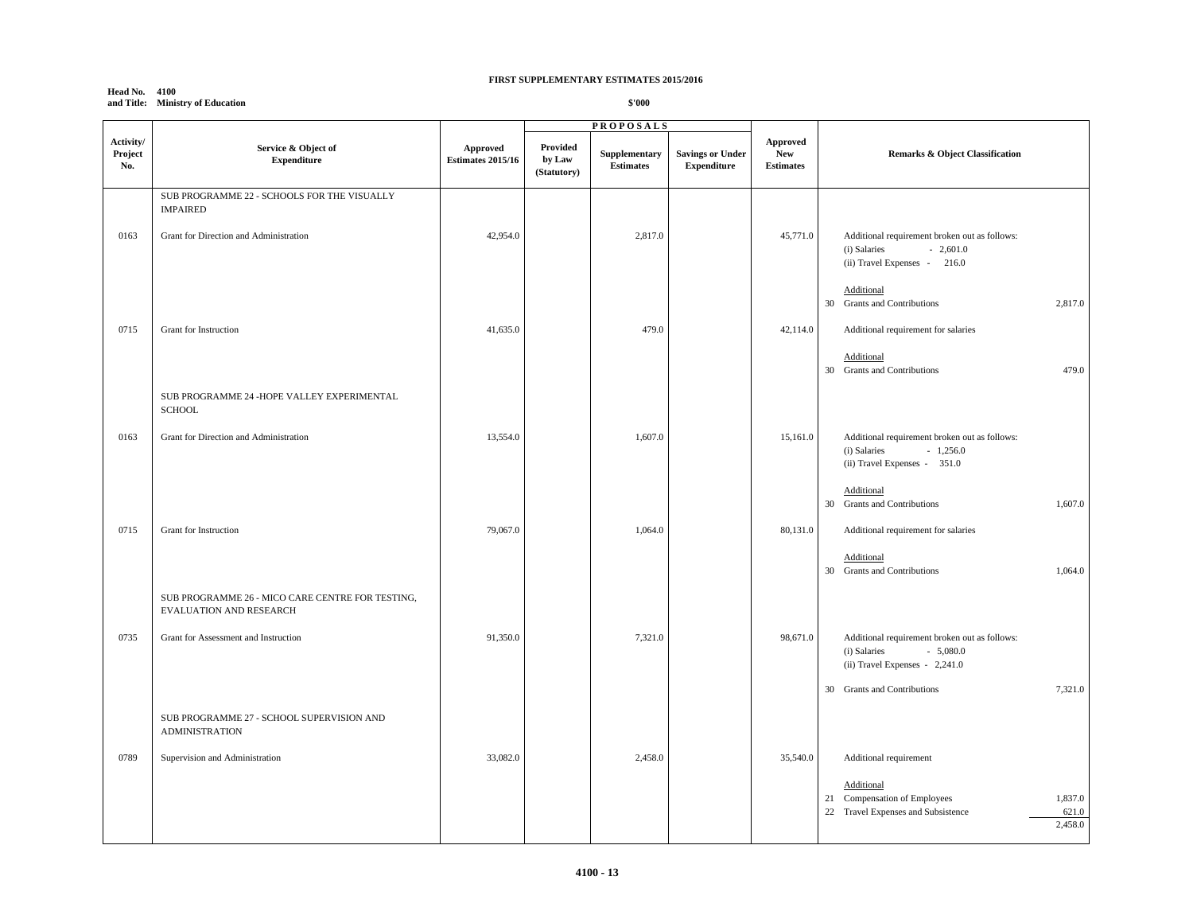#### **Head No. 4100 and Title: Ministry of Education**

|                             |                                                                             |                                             | <b>PROPOSALS</b>                  |                                   |                                               |                                                   |                                                                                                               |
|-----------------------------|-----------------------------------------------------------------------------|---------------------------------------------|-----------------------------------|-----------------------------------|-----------------------------------------------|---------------------------------------------------|---------------------------------------------------------------------------------------------------------------|
| Activity/<br>Project<br>No. | Service & Object of<br><b>Expenditure</b>                                   | <b>Approved</b><br><b>Estimates 2015/16</b> | Provided<br>by Law<br>(Statutory) | Supplementary<br><b>Estimates</b> | <b>Savings or Under</b><br><b>Expenditure</b> | <b>Approved</b><br><b>New</b><br><b>Estimates</b> | Remarks & Object Classification                                                                               |
|                             | SUB PROGRAMME 22 - SCHOOLS FOR THE VISUALLY<br><b>IMPAIRED</b>              |                                             |                                   |                                   |                                               |                                                   |                                                                                                               |
| 0163                        | Grant for Direction and Administration                                      | 42,954.0                                    |                                   | 2,817.0                           |                                               | 45,771.0                                          | Additional requirement broken out as follows:<br>$-2,601.0$<br>(i) Salaries<br>(ii) Travel Expenses - 216.0   |
|                             |                                                                             |                                             |                                   |                                   |                                               |                                                   | Additional<br>30 Grants and Contributions<br>2,817.0                                                          |
| 0715                        | Grant for Instruction                                                       | 41,635.0                                    |                                   | 479.0                             |                                               | 42,114.0                                          | Additional requirement for salaries<br>Additional<br>479.0<br>30 Grants and Contributions                     |
|                             | SUB PROGRAMME 24 -HOPE VALLEY EXPERIMENTAL<br><b>SCHOOL</b>                 |                                             |                                   |                                   |                                               |                                                   |                                                                                                               |
| 0163                        | Grant for Direction and Administration                                      | 13,554.0                                    |                                   | 1,607.0                           |                                               | 15,161.0                                          | Additional requirement broken out as follows:<br>$-1,256.0$<br>(i) Salaries<br>(ii) Travel Expenses - 351.0   |
|                             |                                                                             |                                             |                                   |                                   |                                               |                                                   | Additional<br>30 Grants and Contributions<br>1,607.0                                                          |
| 0715                        | Grant for Instruction                                                       | 79,067.0                                    |                                   | 1,064.0                           |                                               | 80,131.0                                          | Additional requirement for salaries<br>Additional                                                             |
|                             | SUB PROGRAMME 26 - MICO CARE CENTRE FOR TESTING,<br>EVALUATION AND RESEARCH |                                             |                                   |                                   |                                               |                                                   | 30 Grants and Contributions<br>1,064.0                                                                        |
| 0735                        | Grant for Assessment and Instruction                                        | 91,350.0                                    |                                   | 7,321.0                           |                                               | 98,671.0                                          | Additional requirement broken out as follows:<br>$-5,080.0$<br>(i) Salaries<br>(ii) Travel Expenses - 2,241.0 |
|                             |                                                                             |                                             |                                   |                                   |                                               |                                                   | 7,321.0<br>30 Grants and Contributions                                                                        |
|                             | SUB PROGRAMME 27 - SCHOOL SUPERVISION AND<br><b>ADMINISTRATION</b>          |                                             |                                   |                                   |                                               |                                                   |                                                                                                               |
| 0789                        | Supervision and Administration                                              | 33,082.0                                    |                                   | 2,458.0                           |                                               | 35,540.0                                          | Additional requirement<br>Additional                                                                          |
|                             |                                                                             |                                             |                                   |                                   |                                               |                                                   | 1,837.0<br>21 Compensation of Employees<br>Travel Expenses and Subsistence<br>22<br>621.0<br>2,458.0          |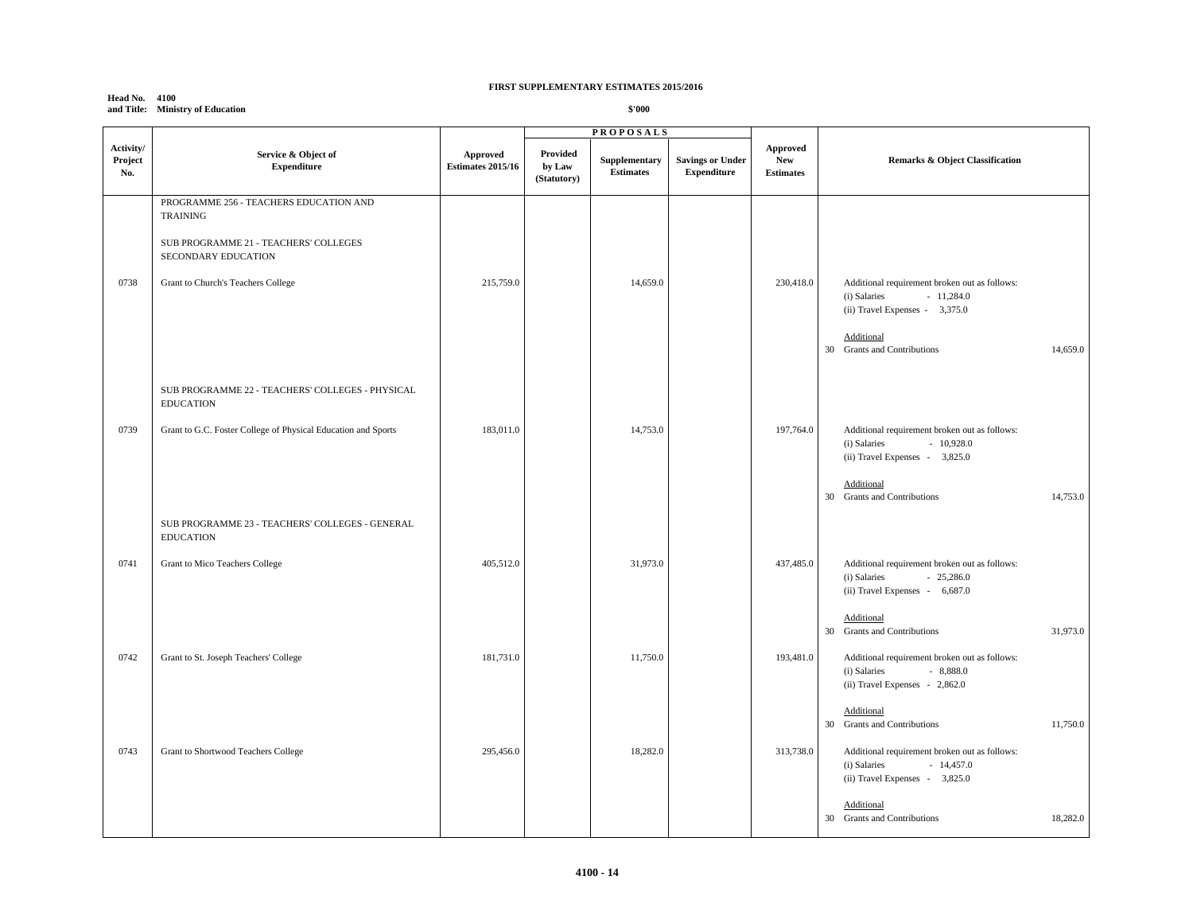# **Head No. 4100 and Title: Ministry of Education**

|                             |                                                                                                                                                                 |                               |                                   | <b>PROPOSALS</b>                  |                                               |                                                   |                                                                                                                                                                                                                                    |
|-----------------------------|-----------------------------------------------------------------------------------------------------------------------------------------------------------------|-------------------------------|-----------------------------------|-----------------------------------|-----------------------------------------------|---------------------------------------------------|------------------------------------------------------------------------------------------------------------------------------------------------------------------------------------------------------------------------------------|
| Activity/<br>Project<br>No. | Service & Object of<br><b>Expenditure</b>                                                                                                                       | Approved<br>Estimates 2015/16 | Provided<br>by Law<br>(Statutory) | Supplementary<br><b>Estimates</b> | <b>Savings or Under</b><br><b>Expenditure</b> | <b>Approved</b><br><b>New</b><br><b>Estimates</b> | Remarks & Object Classification                                                                                                                                                                                                    |
| 0738                        | PROGRAMME 256 - TEACHERS EDUCATION AND<br><b>TRAINING</b><br>SUB PROGRAMME 21 - TEACHERS' COLLEGES<br>SECONDARY EDUCATION<br>Grant to Church's Teachers College | 215,759.0                     |                                   | 14,659.0                          |                                               | 230,418.0                                         | Additional requirement broken out as follows:<br>(i) Salaries<br>$-11,284.0$<br>$(ii)$ Travel Expenses - 3,375.0<br>Additional<br>30 Grants and Contributions<br>14,659.0                                                          |
| 0739                        | SUB PROGRAMME 22 - TEACHERS' COLLEGES - PHYSICAL<br><b>EDUCATION</b><br>Grant to G.C. Foster College of Physical Education and Sports                           | 183,011.0                     |                                   | 14,753.0                          |                                               | 197,764.0                                         | Additional requirement broken out as follows:<br>$-10,928.0$<br>(i) Salaries<br>(ii) Travel Expenses - 3,825.0<br>Additional<br>30 Grants and Contributions<br>14,753.0                                                            |
| 0741                        | SUB PROGRAMME 23 - TEACHERS' COLLEGES - GENERAL<br><b>EDUCATION</b><br>Grant to Mico Teachers College                                                           | 405,512.0                     |                                   | 31,973.0                          |                                               | 437,485.0                                         | Additional requirement broken out as follows:<br>(i) Salaries<br>$-25,286.0$<br>(ii) Travel Expenses - 6,687.0<br>Additional<br>30 Grants and Contributions<br>31,973.0                                                            |
| 0742                        | Grant to St. Joseph Teachers' College                                                                                                                           | 181,731.0                     |                                   | 11,750.0                          |                                               | 193,481.0                                         | Additional requirement broken out as follows:<br>$-8,888.0$<br>(i) Salaries<br>(ii) Travel Expenses - 2,862.0                                                                                                                      |
| 0743                        | Grant to Shortwood Teachers College                                                                                                                             | 295,456.0                     |                                   | 18,282.0                          |                                               | 313,738.0                                         | Additional<br>30 Grants and Contributions<br>11,750.0<br>Additional requirement broken out as follows:<br>(i) Salaries<br>$-14,457.0$<br>$(ii)$ Travel Expenses - 3,825.0<br>Additional<br>18,282.0<br>30 Grants and Contributions |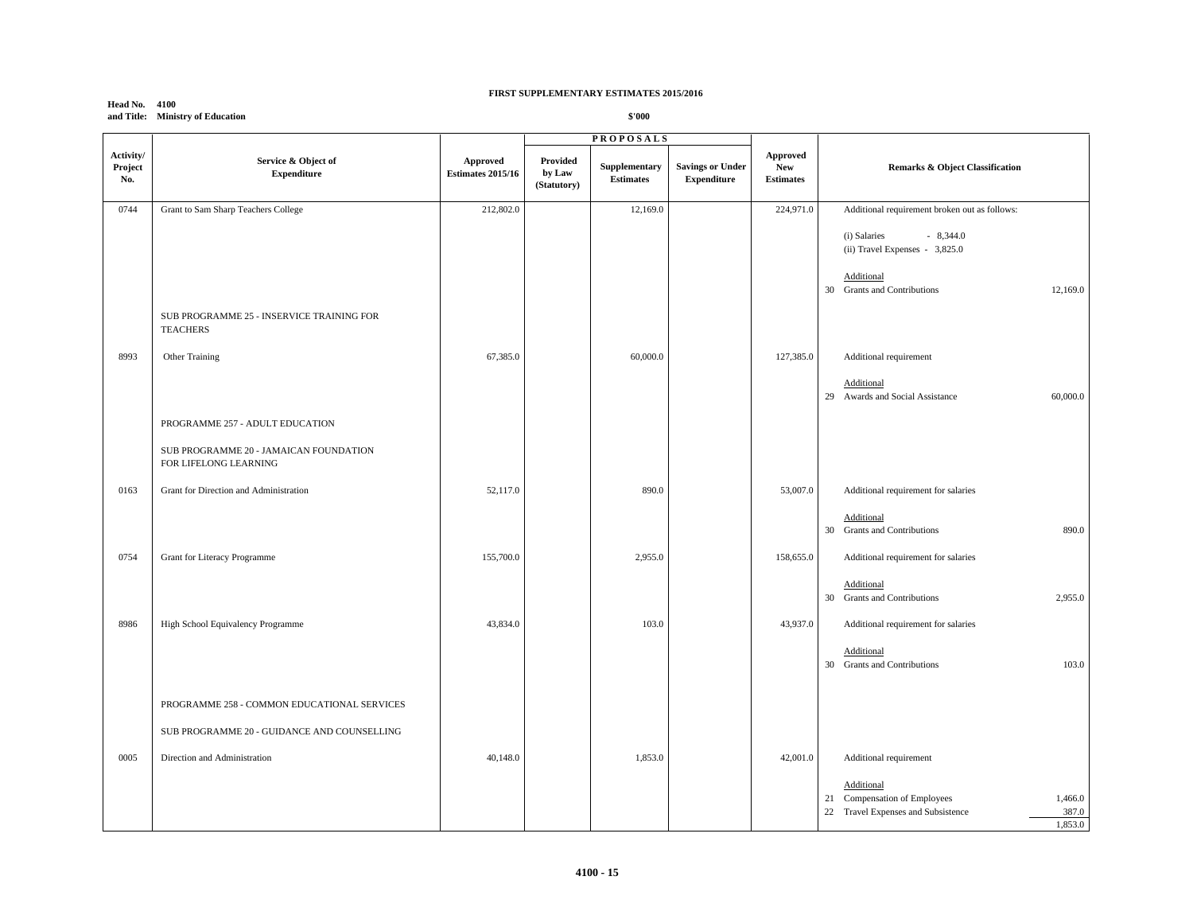| <b>Head No. 4100</b> |                                  |
|----------------------|----------------------------------|
|                      | and Title: Ministry of Education |

|                             |                                                                 |                                      |                                   | <b>PROPOSALS</b>                  |                                               |                                                   |                                                                                                                                 |
|-----------------------------|-----------------------------------------------------------------|--------------------------------------|-----------------------------------|-----------------------------------|-----------------------------------------------|---------------------------------------------------|---------------------------------------------------------------------------------------------------------------------------------|
| Activity/<br>Project<br>No. | Service & Object of<br><b>Expenditure</b>                       | Approved<br><b>Estimates 2015/16</b> | Provided<br>by Law<br>(Statutory) | Supplementary<br><b>Estimates</b> | <b>Savings or Under</b><br><b>Expenditure</b> | <b>Approved</b><br><b>New</b><br><b>Estimates</b> | Remarks & Object Classification                                                                                                 |
| 0744                        | Grant to Sam Sharp Teachers College                             | 212,802.0                            |                                   | 12,169.0                          |                                               | 224,971.0                                         | Additional requirement broken out as follows:                                                                                   |
|                             |                                                                 |                                      |                                   |                                   |                                               |                                                   | (i) Salaries<br>$-8,344.0$<br>(ii) Travel Expenses - 3,825.0<br>Additional<br><b>Grants and Contributions</b><br>12,169.0<br>30 |
|                             | SUB PROGRAMME 25 - INSERVICE TRAINING FOR<br><b>TEACHERS</b>    |                                      |                                   |                                   |                                               |                                                   |                                                                                                                                 |
| 8993                        | Other Training                                                  | 67,385.0                             |                                   | 60,000.0                          |                                               | 127,385.0                                         | Additional requirement                                                                                                          |
|                             |                                                                 |                                      |                                   |                                   |                                               |                                                   | Additional<br>29 Awards and Social Assistance<br>60,000.0                                                                       |
|                             | PROGRAMME 257 - ADULT EDUCATION                                 |                                      |                                   |                                   |                                               |                                                   |                                                                                                                                 |
|                             | SUB PROGRAMME 20 - JAMAICAN FOUNDATION<br>FOR LIFELONG LEARNING |                                      |                                   |                                   |                                               |                                                   |                                                                                                                                 |
| 0163                        | Grant for Direction and Administration                          | 52,117.0                             |                                   | 890.0                             |                                               | 53,007.0                                          | Additional requirement for salaries                                                                                             |
|                             |                                                                 |                                      |                                   |                                   |                                               |                                                   | Additional<br><b>Grants and Contributions</b><br>890.0<br>30                                                                    |
| 0754                        | Grant for Literacy Programme                                    | 155,700.0                            |                                   | 2,955.0                           |                                               | 158,655.0                                         | Additional requirement for salaries                                                                                             |
|                             |                                                                 |                                      |                                   |                                   |                                               |                                                   | Additional<br><b>Grants and Contributions</b><br>2,955.0<br>30                                                                  |
| 8986                        | High School Equivalency Programme                               | 43,834.0                             |                                   | 103.0                             |                                               | 43,937.0                                          | Additional requirement for salaries                                                                                             |
|                             |                                                                 |                                      |                                   |                                   |                                               |                                                   | Additional<br><b>Grants and Contributions</b><br>103.0<br>30                                                                    |
|                             | PROGRAMME 258 - COMMON EDUCATIONAL SERVICES                     |                                      |                                   |                                   |                                               |                                                   |                                                                                                                                 |
|                             | SUB PROGRAMME 20 - GUIDANCE AND COUNSELLING                     |                                      |                                   |                                   |                                               |                                                   |                                                                                                                                 |
| 0005                        | Direction and Administration                                    | 40,148.0                             |                                   | 1,853.0                           |                                               | 42,001.0                                          | Additional requirement                                                                                                          |
|                             |                                                                 |                                      |                                   |                                   |                                               |                                                   | Additional<br>21 Compensation of Employees<br>1,466.0<br>387.0<br>22 Travel Expenses and Subsistence<br>1.853.0                 |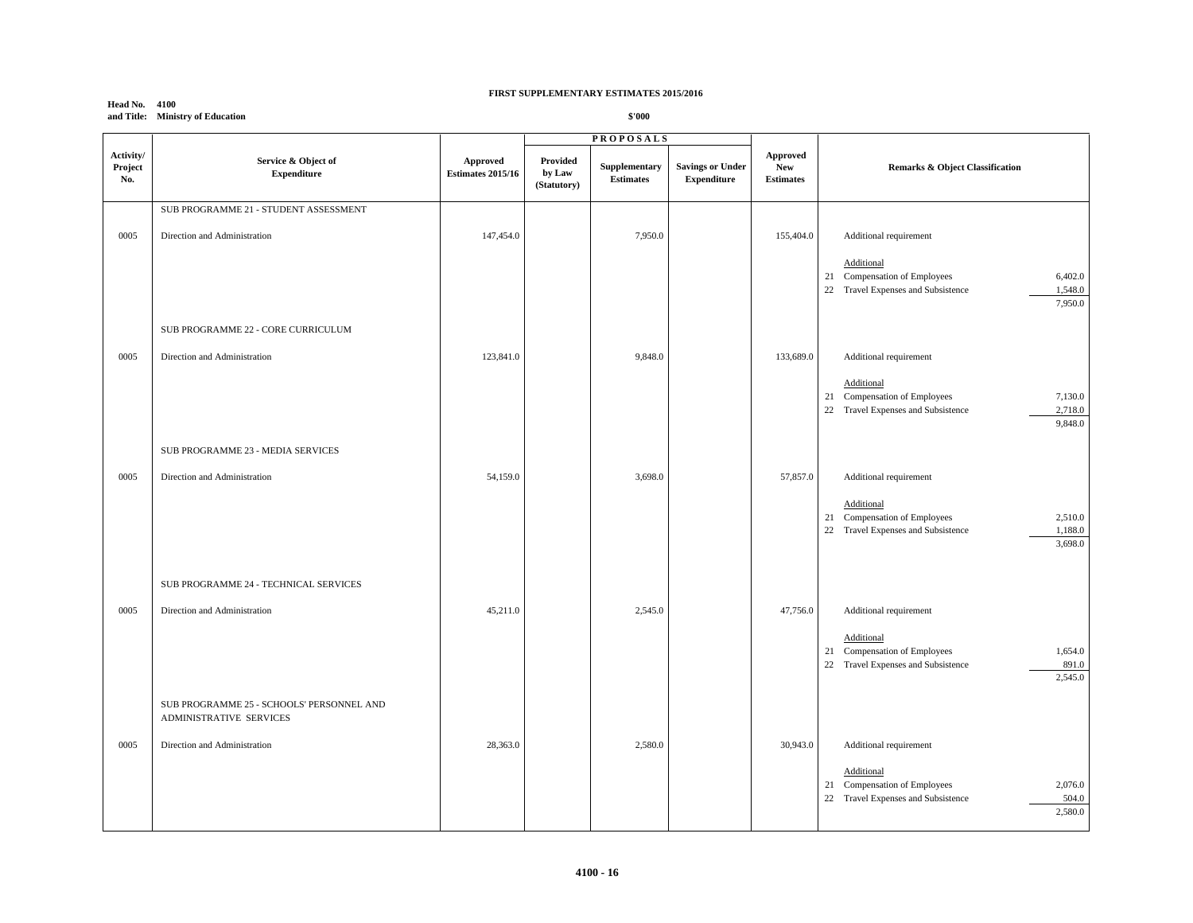|                             | $-1100$<br>and Title: Ministry of Education                          |                                      |                                   | \$'000                            |                                               |                                            |                                                                                                                                                |
|-----------------------------|----------------------------------------------------------------------|--------------------------------------|-----------------------------------|-----------------------------------|-----------------------------------------------|--------------------------------------------|------------------------------------------------------------------------------------------------------------------------------------------------|
|                             |                                                                      |                                      |                                   | <b>PROPOSALS</b>                  |                                               |                                            |                                                                                                                                                |
| Activity/<br>Project<br>No. | Service & Object of<br><b>Expenditure</b>                            | Approved<br><b>Estimates 2015/16</b> | Provided<br>by Law<br>(Statutory) | Supplementary<br><b>Estimates</b> | <b>Savings or Under</b><br><b>Expenditure</b> | <b>Approved</b><br>New<br><b>Estimates</b> | Remarks & Object Classification                                                                                                                |
|                             | SUB PROGRAMME 21 - STUDENT ASSESSMENT                                |                                      |                                   |                                   |                                               |                                            |                                                                                                                                                |
| 0005                        | Direction and Administration                                         | 147,454.0                            |                                   | 7,950.0                           |                                               | 155,404.0                                  | Additional requirement<br>Additional<br>Compensation of Employees<br>6,402.0<br>21<br>22 Travel Expenses and Subsistence<br>1,548.0<br>7,950.0 |
|                             | SUB PROGRAMME 22 - CORE CURRICULUM                                   |                                      |                                   |                                   |                                               |                                            |                                                                                                                                                |
| 0005                        | Direction and Administration                                         | 123,841.0                            |                                   | 9,848.0                           |                                               | 133,689.0                                  | Additional requirement<br>Additional<br>21 Compensation of Employees<br>7,130.0<br>22 Travel Expenses and Subsistence<br>2,718.0<br>9,848.0    |
|                             | SUB PROGRAMME 23 - MEDIA SERVICES                                    |                                      |                                   |                                   |                                               |                                            |                                                                                                                                                |
| 0005                        | Direction and Administration                                         | 54,159.0                             |                                   | 3,698.0                           |                                               | 57,857.0                                   | Additional requirement<br>Additional<br>21 Compensation of Employees<br>2,510.0<br>22 Travel Expenses and Subsistence<br>1,188.0<br>3,698.0    |
|                             | SUB PROGRAMME 24 - TECHNICAL SERVICES                                |                                      |                                   |                                   |                                               |                                            |                                                                                                                                                |
| 0005                        | Direction and Administration                                         | 45,211.0                             |                                   | 2,545.0                           |                                               | 47,756.0                                   | Additional requirement<br>Additional<br>1,654.0<br>21 Compensation of Employees<br>Travel Expenses and Subsistence<br>891.0<br>22<br>2,545.0   |
|                             | SUB PROGRAMME 25 - SCHOOLS' PERSONNEL AND<br>ADMINISTRATIVE SERVICES |                                      |                                   |                                   |                                               |                                            |                                                                                                                                                |
| 0005                        | Direction and Administration                                         | 28,363.0                             |                                   | 2,580.0                           |                                               | 30,943.0                                   | Additional requirement<br>Additional<br>21 Compensation of Employees<br>2,076.0<br>22 Travel Expenses and Subsistence<br>504.0                 |

**Head No. 4100 and Title: Ministry of Education**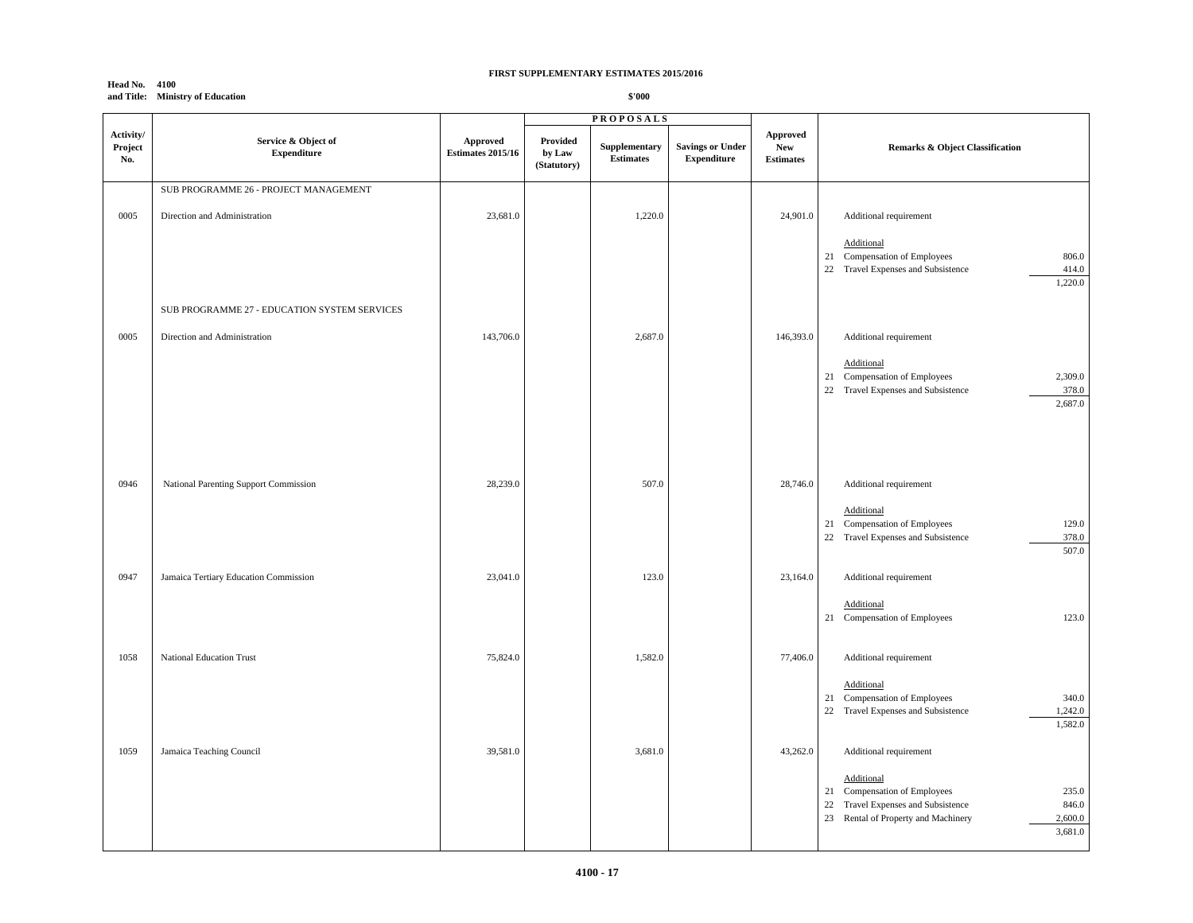#### **Head No. 4100 and Title: Ministry of Education**

|                             |                                              |                                      |                                   | <b>PROPOSALS</b>                  |                                               |                                                   |                                                                                                                                                                 |
|-----------------------------|----------------------------------------------|--------------------------------------|-----------------------------------|-----------------------------------|-----------------------------------------------|---------------------------------------------------|-----------------------------------------------------------------------------------------------------------------------------------------------------------------|
| Activity/<br>Project<br>No. | Service & Object of<br><b>Expenditure</b>    | Approved<br><b>Estimates 2015/16</b> | Provided<br>by Law<br>(Statutory) | Supplementary<br><b>Estimates</b> | <b>Savings or Under</b><br><b>Expenditure</b> | <b>Approved</b><br><b>New</b><br><b>Estimates</b> | Remarks & Object Classification                                                                                                                                 |
|                             | SUB PROGRAMME 26 - PROJECT MANAGEMENT        |                                      |                                   |                                   |                                               |                                                   |                                                                                                                                                                 |
| 0005                        | Direction and Administration                 | 23,681.0                             |                                   | 1,220.0                           |                                               | 24,901.0                                          | Additional requirement                                                                                                                                          |
|                             |                                              |                                      |                                   |                                   |                                               |                                                   | Additional<br>21 Compensation of Employees<br>806.0<br>22 Travel Expenses and Subsistence<br>414.0<br>1,220.0                                                   |
|                             | SUB PROGRAMME 27 - EDUCATION SYSTEM SERVICES |                                      |                                   |                                   |                                               |                                                   |                                                                                                                                                                 |
| 0005                        | Direction and Administration                 | 143,706.0                            |                                   | 2,687.0                           |                                               | 146,393.0                                         | Additional requirement<br>Additional                                                                                                                            |
|                             |                                              |                                      |                                   |                                   |                                               |                                                   | 21 Compensation of Employees<br>2,309.0<br>22 Travel Expenses and Subsistence<br>378.0<br>2,687.0                                                               |
| 0946                        | National Parenting Support Commission        | 28,239.0                             |                                   | 507.0                             |                                               | 28,746.0                                          | Additional requirement<br>Additional                                                                                                                            |
|                             |                                              |                                      |                                   |                                   |                                               |                                                   | 129.0<br>21 Compensation of Employees<br>22 Travel Expenses and Subsistence<br>378.0<br>507.0                                                                   |
| 0947                        | Jamaica Tertiary Education Commission        | 23,041.0                             |                                   | 123.0                             |                                               | 23,164.0                                          | Additional requirement                                                                                                                                          |
|                             |                                              |                                      |                                   |                                   |                                               |                                                   | Additional<br>123.0<br>Compensation of Employees<br>21                                                                                                          |
| 1058                        | National Education Trust                     | 75,824.0                             |                                   | 1,582.0                           |                                               | 77,406.0                                          | Additional requirement                                                                                                                                          |
|                             |                                              |                                      |                                   |                                   |                                               |                                                   | Additional<br>21 Compensation of Employees<br>340.0<br>22 Travel Expenses and Subsistence<br>1,242.0<br>1,582.0                                                 |
| 1059                        | Jamaica Teaching Council                     | 39,581.0                             |                                   | 3,681.0                           |                                               | 43,262.0                                          | Additional requirement                                                                                                                                          |
|                             |                                              |                                      |                                   |                                   |                                               |                                                   | Additional<br>235.0<br>21 Compensation of Employees<br>22 Travel Expenses and Subsistence<br>846.0<br>23 Rental of Property and Machinery<br>2,600.0<br>3,681.0 |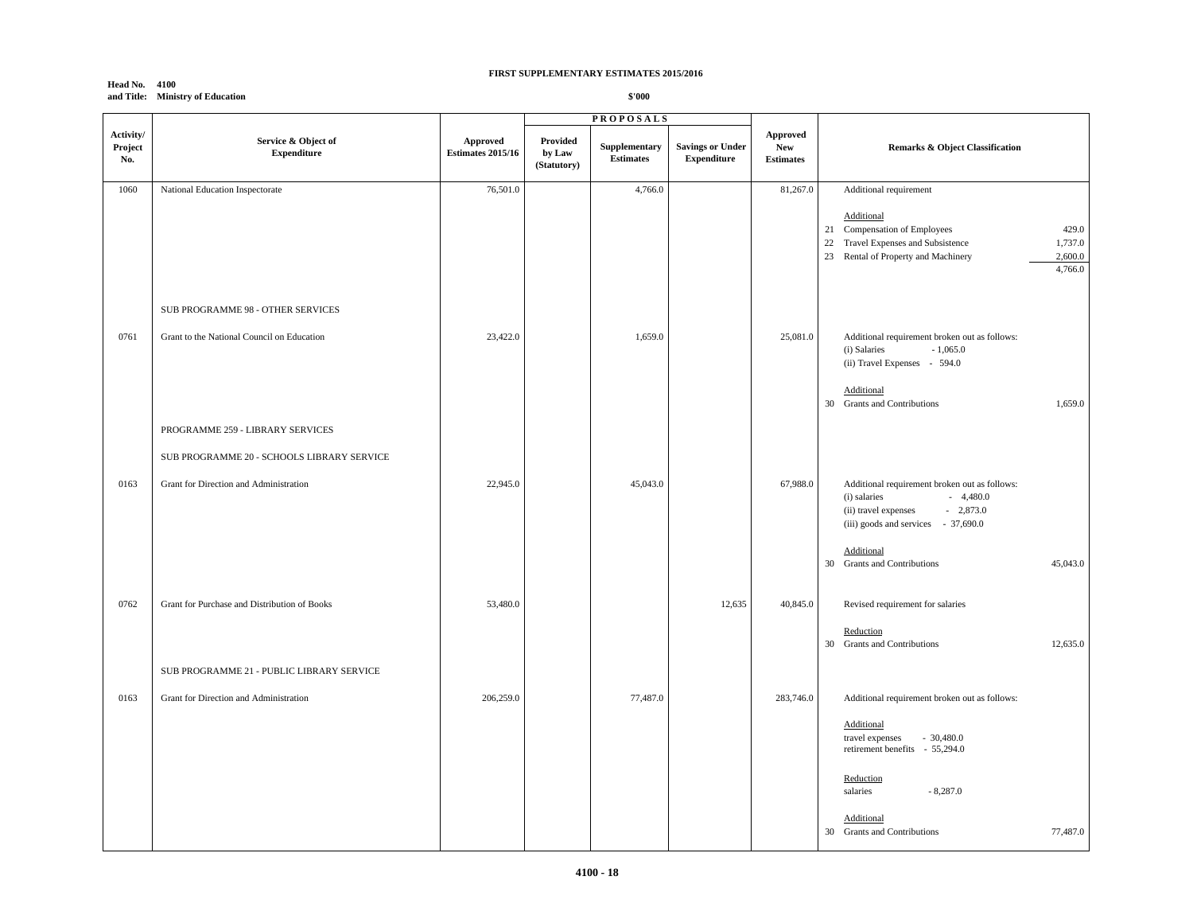#### **Head No. 4100 and Title: Ministry of Education**

|                             |                                              |                                      |                                   | <b>PROPOSALS</b>                  |                                               |                                                             |                                                                                                                                                                               |
|-----------------------------|----------------------------------------------|--------------------------------------|-----------------------------------|-----------------------------------|-----------------------------------------------|-------------------------------------------------------------|-------------------------------------------------------------------------------------------------------------------------------------------------------------------------------|
| Activity/<br>Project<br>No. | Service & Object of<br><b>Expenditure</b>    | Approved<br><b>Estimates 2015/16</b> | Provided<br>by Law<br>(Statutory) | Supplementary<br><b>Estimates</b> | <b>Savings or Under</b><br><b>Expenditure</b> | ${\Large {\bf Approach}}$<br><b>New</b><br><b>Estimates</b> | <b>Remarks &amp; Object Classification</b>                                                                                                                                    |
| 1060                        | National Education Inspectorate              | 76,501.0                             |                                   | 4,766.0                           |                                               | 81,267.0                                                    | Additional requirement                                                                                                                                                        |
|                             |                                              |                                      |                                   |                                   |                                               |                                                             | Additional<br>21 Compensation of Employees<br>429.0<br>Travel Expenses and Subsistence<br>1,737.0<br>22<br>Rental of Property and Machinery<br>2,600.0<br>23<br>4,766.0       |
|                             | SUB PROGRAMME 98 - OTHER SERVICES            |                                      |                                   |                                   |                                               |                                                             |                                                                                                                                                                               |
| 0761                        | Grant to the National Council on Education   | 23,422.0                             |                                   | 1,659.0                           |                                               | 25,081.0                                                    | Additional requirement broken out as follows:<br>$-1,065.0$<br>(i) Salaries<br>(ii) Travel Expenses - 594.0<br>Additional<br><b>Grants and Contributions</b><br>1,659.0<br>30 |
|                             | PROGRAMME 259 - LIBRARY SERVICES             |                                      |                                   |                                   |                                               |                                                             |                                                                                                                                                                               |
|                             | SUB PROGRAMME 20 - SCHOOLS LIBRARY SERVICE   |                                      |                                   |                                   |                                               |                                                             |                                                                                                                                                                               |
| 0163                        | Grant for Direction and Administration       | 22,945.0                             |                                   | 45,043.0                          |                                               | 67,988.0                                                    | Additional requirement broken out as follows:<br>$-4,480.0$<br>(i) salaries<br>$-2,873.0$<br>(ii) travel expenses<br>(iii) goods and services - 37,690.0                      |
|                             |                                              |                                      |                                   |                                   |                                               |                                                             | Additional<br>30 Grants and Contributions<br>45,043.0                                                                                                                         |
| 0762                        | Grant for Purchase and Distribution of Books | 53,480.0                             |                                   |                                   | 12,635                                        | 40,845.0                                                    | Revised requirement for salaries<br>Reduction                                                                                                                                 |
|                             | SUB PROGRAMME 21 - PUBLIC LIBRARY SERVICE    |                                      |                                   |                                   |                                               |                                                             | 30 Grants and Contributions<br>12,635.0                                                                                                                                       |
| 0163                        | Grant for Direction and Administration       | 206,259.0                            |                                   | 77,487.0                          |                                               | 283,746.0                                                   | Additional requirement broken out as follows:                                                                                                                                 |
|                             |                                              |                                      |                                   |                                   |                                               |                                                             | Additional<br>travel expenses<br>$-30,480.0$<br>retirement benefits - 55,294.0<br>Reduction<br>salaries<br>$-8,287.0$                                                         |
|                             |                                              |                                      |                                   |                                   |                                               |                                                             | Additional<br>30 Grants and Contributions<br>77,487.0                                                                                                                         |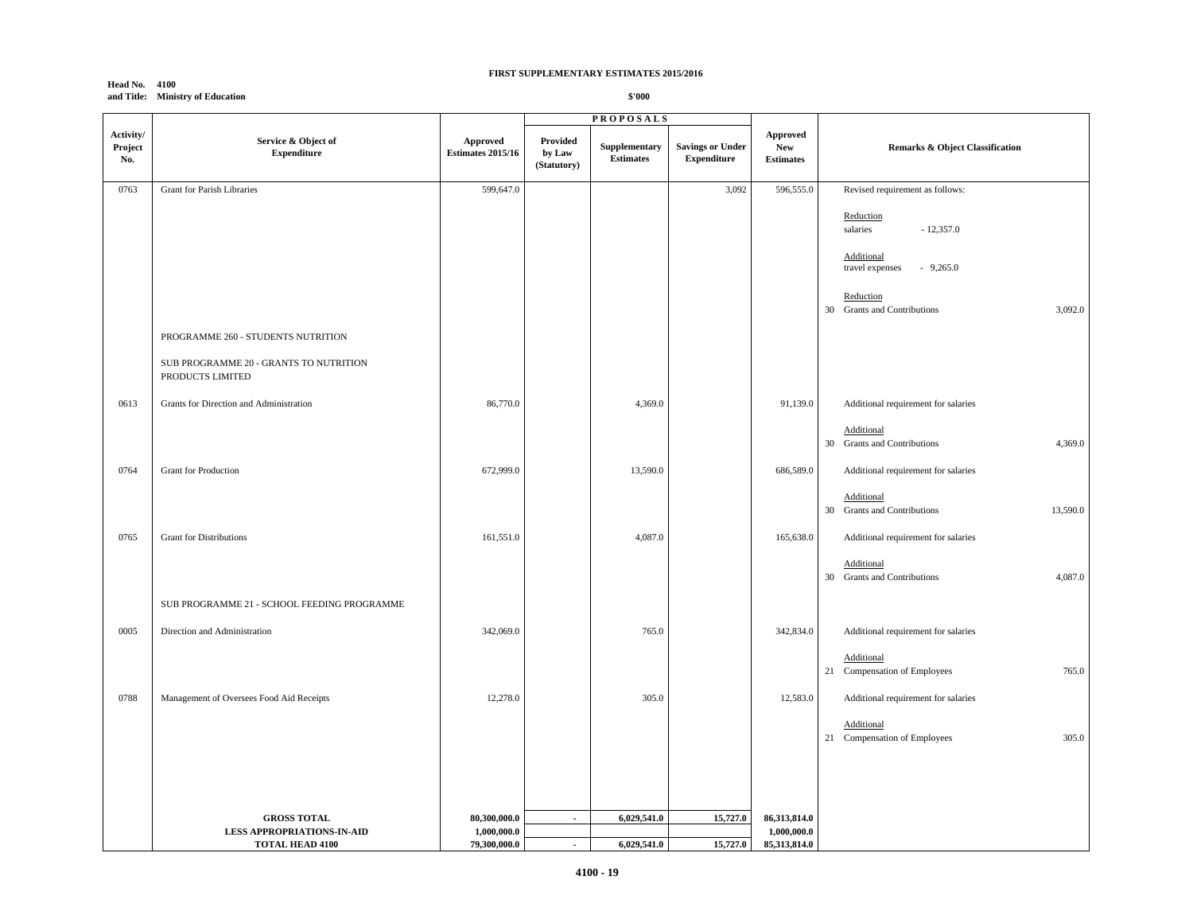#### **Head No. 4100 and Title: Ministry of Education**

|                             |                                                            |                                             |                                   | <b>PROPOSALS</b>                  |                                               |                                            |                                                                                      |
|-----------------------------|------------------------------------------------------------|---------------------------------------------|-----------------------------------|-----------------------------------|-----------------------------------------------|--------------------------------------------|--------------------------------------------------------------------------------------|
| Activity/<br>Project<br>No. | Service & Object of<br><b>Expenditure</b>                  | <b>Approved</b><br><b>Estimates 2015/16</b> | Provided<br>by Law<br>(Statutory) | Supplementary<br><b>Estimates</b> | <b>Savings or Under</b><br><b>Expenditure</b> | Approved<br><b>New</b><br><b>Estimates</b> | Remarks & Object Classification                                                      |
| 0763                        | Grant for Parish Libraries                                 | 599,647.0                                   |                                   |                                   | 3,092                                         | 596,555.0                                  | Revised requirement as follows:                                                      |
|                             |                                                            |                                             |                                   |                                   |                                               |                                            | Reduction<br>salaries<br>$-12,357.0$<br>Additional                                   |
|                             |                                                            |                                             |                                   |                                   |                                               |                                            | travel expenses<br>$-9,265.0$<br>Reduction<br>30 Grants and Contributions<br>3,092.0 |
|                             | PROGRAMME 260 - STUDENTS NUTRITION                         |                                             |                                   |                                   |                                               |                                            |                                                                                      |
|                             | SUB PROGRAMME 20 - GRANTS TO NUTRITION<br>PRODUCTS LIMITED |                                             |                                   |                                   |                                               |                                            |                                                                                      |
| 0613                        | Grants for Direction and Administration                    | 86,770.0                                    |                                   | 4,369.0                           |                                               | 91,139.0                                   | Additional requirement for salaries                                                  |
|                             |                                                            |                                             |                                   |                                   |                                               |                                            | Additional<br>4,369.0<br><b>Grants and Contributions</b><br>30                       |
| 0764                        | Grant for Production                                       | 672,999.0                                   |                                   | 13,590.0                          |                                               | 686,589.0                                  | Additional requirement for salaries                                                  |
|                             |                                                            |                                             |                                   |                                   |                                               |                                            | Additional<br>30 Grants and Contributions<br>13,590.0                                |
| 0765                        | <b>Grant for Distributions</b>                             | 161,551.0                                   |                                   | 4,087.0                           |                                               | 165,638.0                                  | Additional requirement for salaries                                                  |
|                             |                                                            |                                             |                                   |                                   |                                               |                                            | Additional<br>30 Grants and Contributions<br>4,087.0                                 |
|                             | SUB PROGRAMME 21 - SCHOOL FEEDING PROGRAMME                |                                             |                                   |                                   |                                               |                                            |                                                                                      |
| 0005                        | Direction and Administration                               | 342,069.0                                   |                                   | 765.0                             |                                               | 342,834.0                                  | Additional requirement for salaries                                                  |
|                             |                                                            |                                             |                                   |                                   |                                               |                                            | Additional<br>765.0<br>21 Compensation of Employees                                  |
| 0788                        | Management of Oversees Food Aid Receipts                   | 12,278.0                                    |                                   | 305.0                             |                                               | 12,583.0                                   | Additional requirement for salaries                                                  |
|                             |                                                            |                                             |                                   |                                   |                                               |                                            | Additional<br>305.0<br>21 Compensation of Employees                                  |
|                             |                                                            |                                             |                                   |                                   |                                               |                                            |                                                                                      |
|                             | <b>GROSS TOTAL</b><br><b>LESS APPROPRIATIONS-IN-AID</b>    | 80,300,000.0<br>1,000,000.0                 | $\blacksquare$                    | 6,029,541.0                       | 15,727.0                                      | 86,313,814.0<br>1,000,000.0                |                                                                                      |
|                             | <b>TOTAL HEAD 4100</b>                                     | 79.300.000.0                                | $\sim$                            | 6.029.541.0                       | 15,727.0                                      | 85.313.814.0                               |                                                                                      |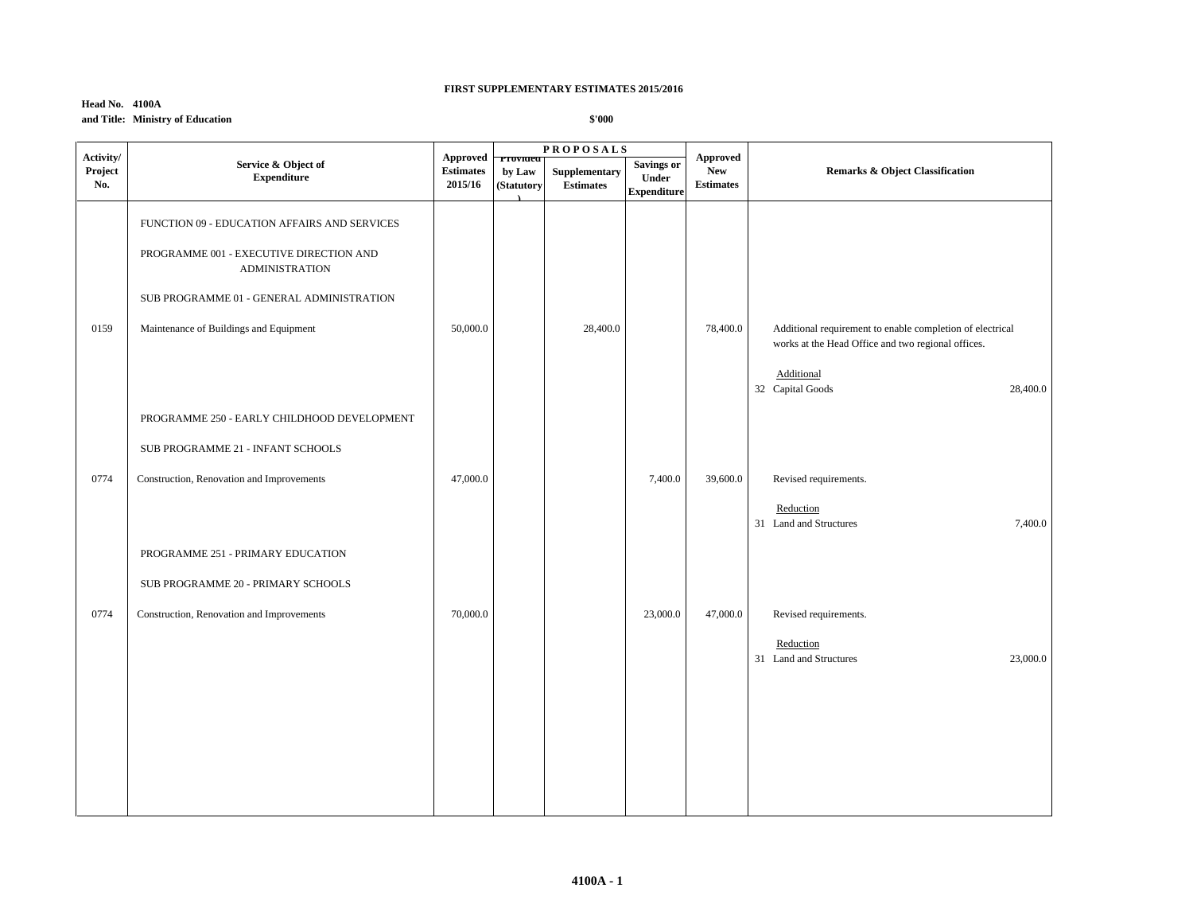## **Head No. 4100A and Title: Ministry of Education**

| Activity/      |                                                                  | Approved                    |                                  | <b>PROPOSALS</b>                  |                                                         | Approved                       |                                                                                                                 |
|----------------|------------------------------------------------------------------|-----------------------------|----------------------------------|-----------------------------------|---------------------------------------------------------|--------------------------------|-----------------------------------------------------------------------------------------------------------------|
| Project<br>No. | Service & Object of<br><b>Expenditure</b>                        | <b>Estimates</b><br>2015/16 | Provided<br>by Law<br>(Statutory | Supplementary<br><b>Estimates</b> | <b>Savings or</b><br><b>Under</b><br><b>Expenditure</b> | <b>New</b><br><b>Estimates</b> | <b>Remarks &amp; Object Classification</b>                                                                      |
|                | FUNCTION 09 - EDUCATION AFFAIRS AND SERVICES                     |                             |                                  |                                   |                                                         |                                |                                                                                                                 |
|                | PROGRAMME 001 - EXECUTIVE DIRECTION AND<br><b>ADMINISTRATION</b> |                             |                                  |                                   |                                                         |                                |                                                                                                                 |
|                | SUB PROGRAMME 01 - GENERAL ADMINISTRATION                        |                             |                                  |                                   |                                                         |                                |                                                                                                                 |
| 0159           | Maintenance of Buildings and Equipment                           | 50,000.0                    |                                  | 28,400.0                          |                                                         | 78,400.0                       | Additional requirement to enable completion of electrical<br>works at the Head Office and two regional offices. |
|                |                                                                  |                             |                                  |                                   |                                                         |                                | Additional<br>32 Capital Goods<br>28,400.0                                                                      |
|                | PROGRAMME 250 - EARLY CHILDHOOD DEVELOPMENT                      |                             |                                  |                                   |                                                         |                                |                                                                                                                 |
|                | SUB PROGRAMME 21 - INFANT SCHOOLS                                |                             |                                  |                                   |                                                         |                                |                                                                                                                 |
| 0774           | Construction, Renovation and Improvements                        | 47,000.0                    |                                  |                                   | 7,400.0                                                 | 39,600.0                       | Revised requirements.                                                                                           |
|                |                                                                  |                             |                                  |                                   |                                                         |                                | Reduction<br>31 Land and Structures<br>7,400.0                                                                  |
|                | PROGRAMME 251 - PRIMARY EDUCATION                                |                             |                                  |                                   |                                                         |                                |                                                                                                                 |
|                | SUB PROGRAMME 20 - PRIMARY SCHOOLS                               |                             |                                  |                                   |                                                         |                                |                                                                                                                 |
| 0774           | Construction, Renovation and Improvements                        | 70,000.0                    |                                  |                                   | 23,000.0                                                | 47,000.0                       | Revised requirements.                                                                                           |
|                |                                                                  |                             |                                  |                                   |                                                         |                                | Reduction<br>31 Land and Structures<br>23,000.0                                                                 |
|                |                                                                  |                             |                                  |                                   |                                                         |                                |                                                                                                                 |
|                |                                                                  |                             |                                  |                                   |                                                         |                                |                                                                                                                 |
|                |                                                                  |                             |                                  |                                   |                                                         |                                |                                                                                                                 |
|                |                                                                  |                             |                                  |                                   |                                                         |                                |                                                                                                                 |
|                |                                                                  |                             |                                  |                                   |                                                         |                                |                                                                                                                 |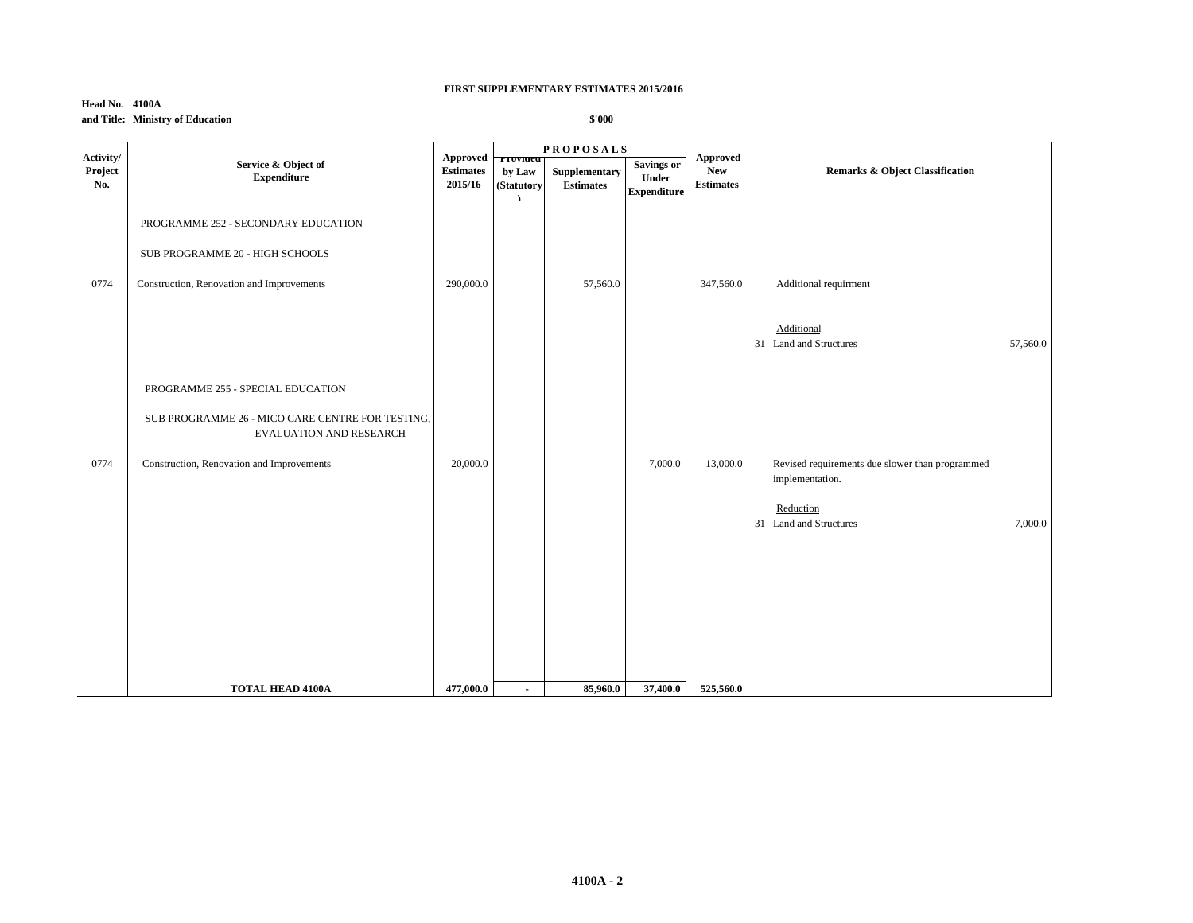## **Head No. 4100A and Title: Ministry of Education**

|                             |                                                                                                                                                                      |                                                         |                          | <b>PROPOSALS</b>                  |                                                  |                                                   | Remarks & Object Classification                                                                                      |  |
|-----------------------------|----------------------------------------------------------------------------------------------------------------------------------------------------------------------|---------------------------------------------------------|--------------------------|-----------------------------------|--------------------------------------------------|---------------------------------------------------|----------------------------------------------------------------------------------------------------------------------|--|
| Activity/<br>Project<br>No. | Service & Object of<br><b>Expenditure</b>                                                                                                                            | Approved <b>Provided</b><br><b>Estimates</b><br>2015/16 | by Law<br>(Statutory     | Supplementary<br><b>Estimates</b> | <b>Savings or</b><br>Under<br><b>Expenditure</b> | <b>Approved</b><br><b>New</b><br><b>Estimates</b> |                                                                                                                      |  |
| 0774                        | PROGRAMME 252 - SECONDARY EDUCATION<br>SUB PROGRAMME 20 - HIGH SCHOOLS<br>Construction, Renovation and Improvements                                                  | 290,000.0                                               |                          | 57,560.0                          |                                                  | 347,560.0                                         | Additional requirment<br>Additional<br>31 Land and Structures<br>57,560.0                                            |  |
| 0774                        | PROGRAMME 255 - SPECIAL EDUCATION<br>SUB PROGRAMME 26 - MICO CARE CENTRE FOR TESTING,<br><b>EVALUATION AND RESEARCH</b><br>Construction, Renovation and Improvements | 20,000.0                                                |                          |                                   | 7,000.0                                          | 13,000.0                                          | Revised requirements due slower than programmed<br>implementation.<br>Reduction<br>31 Land and Structures<br>7,000.0 |  |
|                             | <b>TOTAL HEAD 4100A</b>                                                                                                                                              | 477,000.0                                               | $\overline{\phantom{a}}$ | 85,960.0                          | 37,400.0                                         | 525,560.0                                         |                                                                                                                      |  |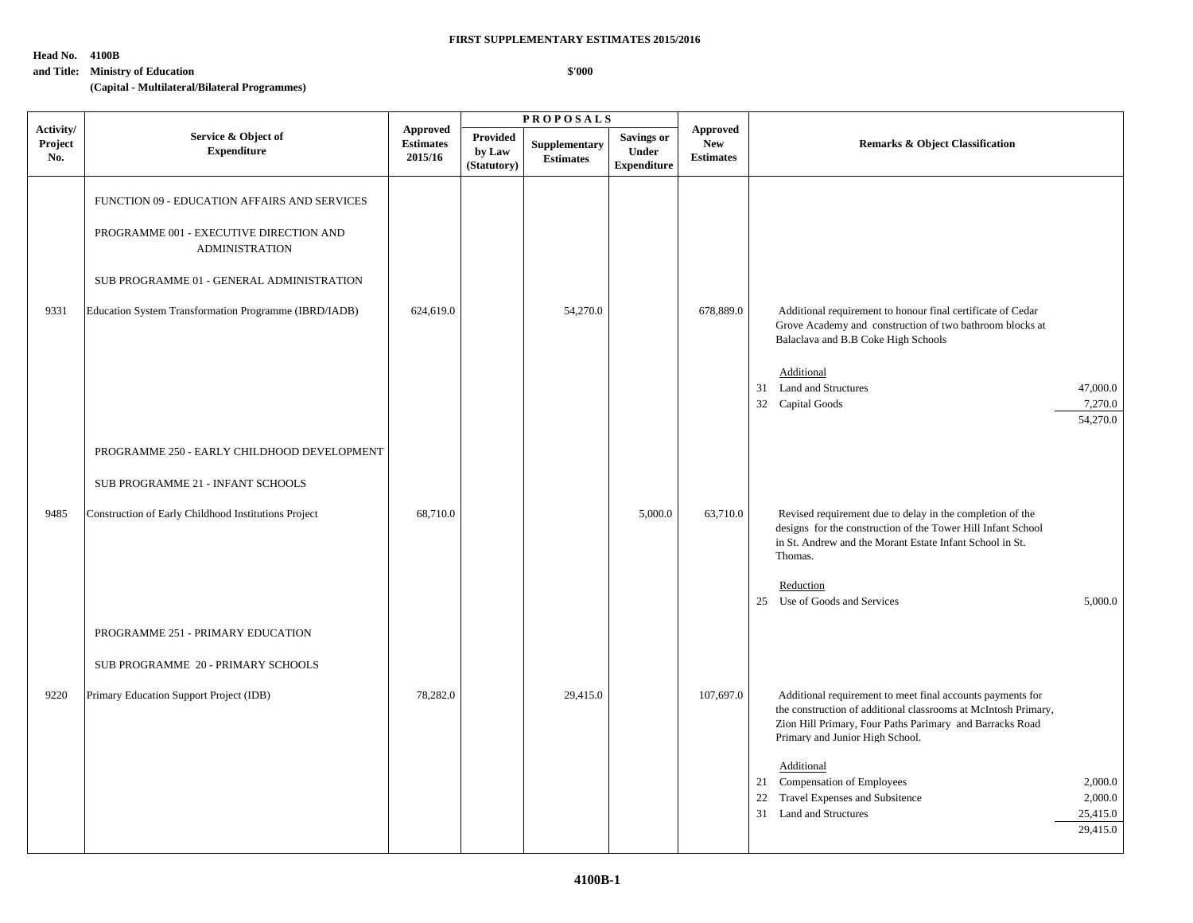**\$'000**

**Head No. 4100B**

## **and Title: Ministry of Education**

**(Capital - Multilateral/Bilateral Programmes)**

|                             |                                                                                                                                                                                                                        |                                                |                                   | <b>PROPOSALS</b>                  |                                                  |                                                   |                                                                                                                                                                                                                                                                                                                                                                                                        |  |
|-----------------------------|------------------------------------------------------------------------------------------------------------------------------------------------------------------------------------------------------------------------|------------------------------------------------|-----------------------------------|-----------------------------------|--------------------------------------------------|---------------------------------------------------|--------------------------------------------------------------------------------------------------------------------------------------------------------------------------------------------------------------------------------------------------------------------------------------------------------------------------------------------------------------------------------------------------------|--|
| Activity/<br>Project<br>No. | Service & Object of<br><b>Expenditure</b>                                                                                                                                                                              | <b>Approved</b><br><b>Estimates</b><br>2015/16 | Provided<br>by Law<br>(Statutory) | Supplementary<br><b>Estimates</b> | <b>Savings or</b><br>Under<br><b>Expenditure</b> | <b>Approved</b><br><b>New</b><br><b>Estimates</b> | <b>Remarks &amp; Object Classification</b>                                                                                                                                                                                                                                                                                                                                                             |  |
| 9331                        | FUNCTION 09 - EDUCATION AFFAIRS AND SERVICES<br>PROGRAMME 001 - EXECUTIVE DIRECTION AND<br><b>ADMINISTRATION</b><br>SUB PROGRAMME 01 - GENERAL ADMINISTRATION<br>Education System Transformation Programme (IBRD/IADB) | 624,619.0                                      |                                   | 54,270.0                          |                                                  | 678,889.0                                         | Additional requirement to honour final certificate of Cedar<br>Grove Academy and construction of two bathroom blocks at<br>Balaclava and B.B Coke High Schools<br>Additional<br><b>Land and Structures</b><br>47,000.0<br>31<br>32 Capital Goods<br>7,270.0<br>54,270.0                                                                                                                                |  |
| 9485                        | PROGRAMME 250 - EARLY CHILDHOOD DEVELOPMENT<br>SUB PROGRAMME 21 - INFANT SCHOOLS<br>Construction of Early Childhood Institutions Project<br>PROGRAMME 251 - PRIMARY EDUCATION                                          | 68,710.0                                       |                                   |                                   | 5,000.0                                          | 63,710.0                                          | Revised requirement due to delay in the completion of the<br>designs for the construction of the Tower Hill Infant School<br>in St. Andrew and the Morant Estate Infant School in St.<br>Thomas.<br>Reduction<br>25 Use of Goods and Services<br>5,000.0                                                                                                                                               |  |
| 9220                        | SUB PROGRAMME 20 - PRIMARY SCHOOLS<br>Primary Education Support Project (IDB)                                                                                                                                          | 78,282.0                                       |                                   | 29,415.0                          |                                                  | 107,697.0                                         | Additional requirement to meet final accounts payments for<br>the construction of additional classrooms at McIntosh Primary,<br>Zion Hill Primary, Four Paths Parimary and Barracks Road<br>Primary and Junior High School.<br>Additional<br>Compensation of Employees<br>2,000.0<br>21<br>2,000.0<br>Travel Expenses and Subsitence<br>22<br>31<br><b>Land and Structures</b><br>25,415.0<br>29,415.0 |  |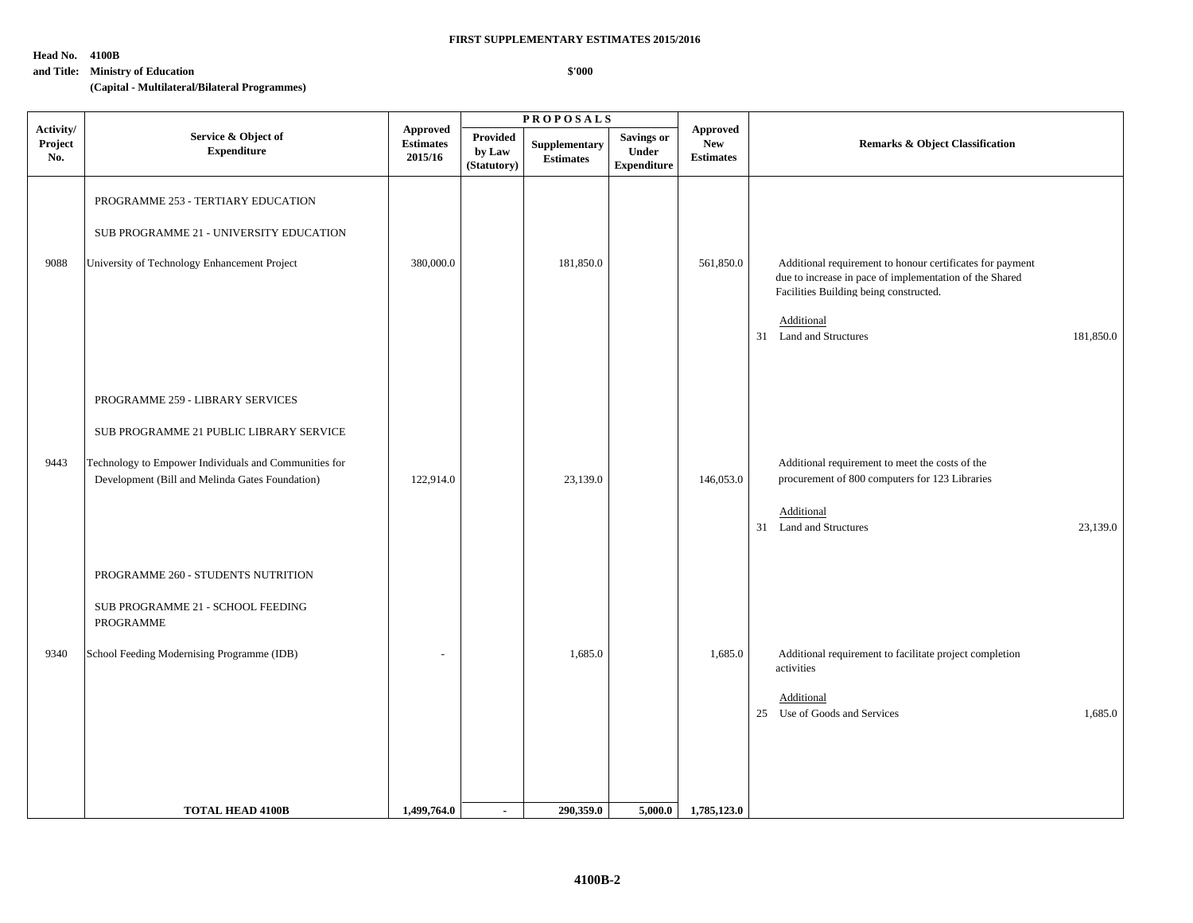**\$'000**

#### **Head No. 4100B**

#### **and Title: Ministry of Education**

**(Capital - Multilateral/Bilateral Programmes)**

|                             |                                                                                                                                                                                                                               |                                                |                                   | <b>PROPOSALS</b>                  |                                                  |                                            |                                                                                                                                                                                                                               |  |
|-----------------------------|-------------------------------------------------------------------------------------------------------------------------------------------------------------------------------------------------------------------------------|------------------------------------------------|-----------------------------------|-----------------------------------|--------------------------------------------------|--------------------------------------------|-------------------------------------------------------------------------------------------------------------------------------------------------------------------------------------------------------------------------------|--|
| Activity/<br>Project<br>No. | Service & Object of<br><b>Expenditure</b>                                                                                                                                                                                     | <b>Approved</b><br><b>Estimates</b><br>2015/16 | Provided<br>by Law<br>(Statutory) | Supplementary<br><b>Estimates</b> | <b>Savings or</b><br>Under<br><b>Expenditure</b> | Approved<br><b>New</b><br><b>Estimates</b> | <b>Remarks &amp; Object Classification</b>                                                                                                                                                                                    |  |
| 9088                        | PROGRAMME 253 - TERTIARY EDUCATION<br>SUB PROGRAMME 21 - UNIVERSITY EDUCATION<br>University of Technology Enhancement Project                                                                                                 | 380,000.0                                      |                                   | 181,850.0                         |                                                  | 561,850.0                                  | Additional requirement to honour certificates for payment<br>due to increase in pace of implementation of the Shared<br>Facilities Building being constructed.<br>Additional<br>181,850.0<br>31<br><b>Land and Structures</b> |  |
| 9443                        | PROGRAMME 259 - LIBRARY SERVICES<br>SUB PROGRAMME 21 PUBLIC LIBRARY SERVICE<br>Technology to Empower Individuals and Communities for<br>Development (Bill and Melinda Gates Foundation)<br>PROGRAMME 260 - STUDENTS NUTRITION | 122,914.0                                      |                                   | 23,139.0                          |                                                  | 146,053.0                                  | Additional requirement to meet the costs of the<br>procurement of 800 computers for 123 Libraries<br>Additional<br><b>Land and Structures</b><br>23,139.0<br>31                                                               |  |
| 9340                        | SUB PROGRAMME 21 - SCHOOL FEEDING<br>PROGRAMME<br>School Feeding Modernising Programme (IDB)                                                                                                                                  | $\overline{a}$                                 |                                   | 1,685.0                           |                                                  | 1,685.0                                    | Additional requirement to facilitate project completion<br>activities<br>Additional<br>25 Use of Goods and Services<br>1,685.0                                                                                                |  |
|                             | <b>TOTAL HEAD 4100B</b>                                                                                                                                                                                                       | 1,499,764.0                                    | $\sim$                            | 290,359.0                         | 5,000.0                                          | 1,785,123.0                                |                                                                                                                                                                                                                               |  |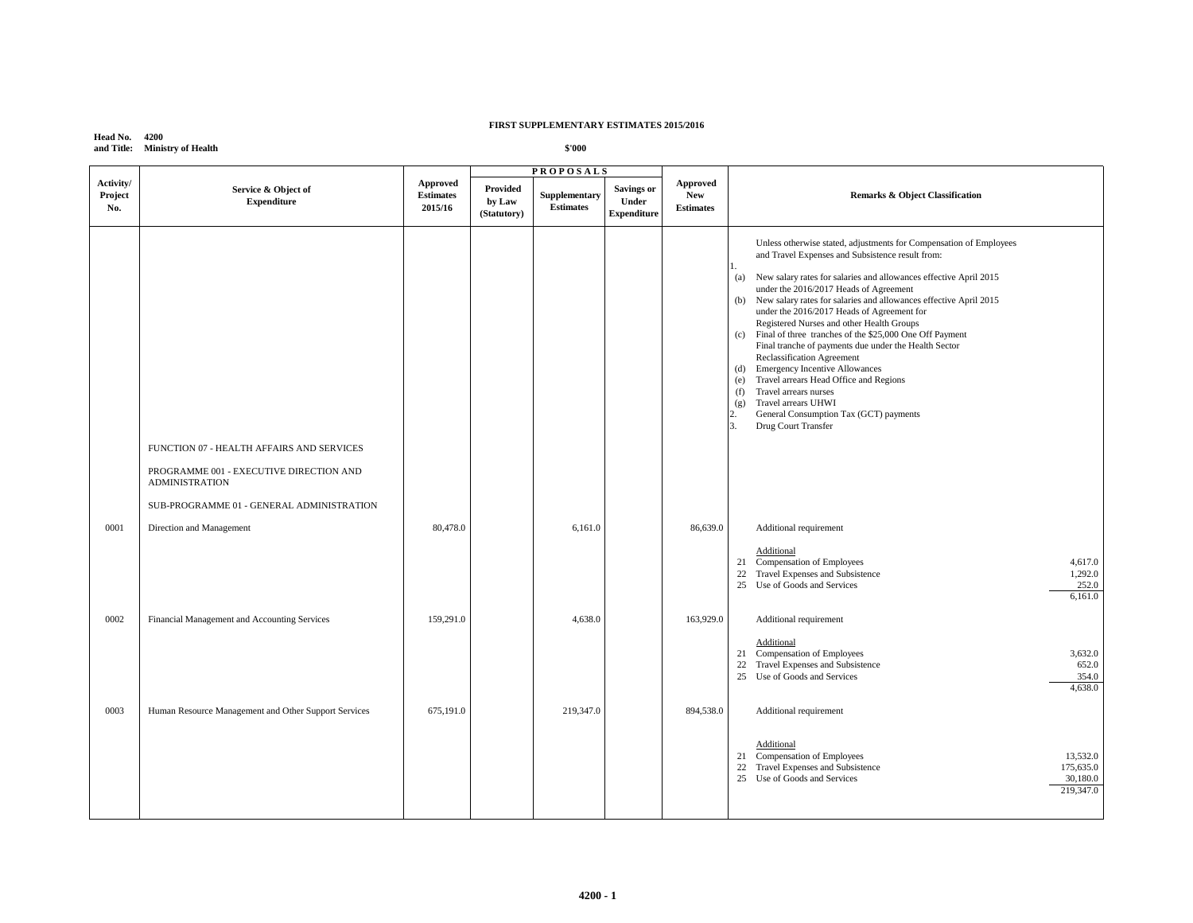**Head No. 4200 and Title: Ministry of Health**

|                             |                                                                                                               |                                         |                                   | <b>PROPOSALS</b>                  |                                           |                                                   |                                                                                                                                                                                                                                                                                                                                                                                                                                                                                                                                                                                                                                                                                                                                                                                                                |
|-----------------------------|---------------------------------------------------------------------------------------------------------------|-----------------------------------------|-----------------------------------|-----------------------------------|-------------------------------------------|---------------------------------------------------|----------------------------------------------------------------------------------------------------------------------------------------------------------------------------------------------------------------------------------------------------------------------------------------------------------------------------------------------------------------------------------------------------------------------------------------------------------------------------------------------------------------------------------------------------------------------------------------------------------------------------------------------------------------------------------------------------------------------------------------------------------------------------------------------------------------|
| Activity/<br>Project<br>No. | Service & Object of<br><b>Expenditure</b>                                                                     | Approved<br><b>Estimates</b><br>2015/16 | Provided<br>by Law<br>(Statutory) | Supplementary<br><b>Estimates</b> | Savings or<br>Under<br><b>Expenditure</b> | <b>Approved</b><br><b>New</b><br><b>Estimates</b> | <b>Remarks &amp; Object Classification</b>                                                                                                                                                                                                                                                                                                                                                                                                                                                                                                                                                                                                                                                                                                                                                                     |
|                             | FUNCTION 07 - HEALTH AFFAIRS AND SERVICES<br>PROGRAMME 001 - EXECUTIVE DIRECTION AND<br><b>ADMINISTRATION</b> |                                         |                                   |                                   |                                           |                                                   | Unless otherwise stated, adjustments for Compensation of Employees<br>and Travel Expenses and Subsistence result from:<br>(a)<br>New salary rates for salaries and allowances effective April 2015<br>under the 2016/2017 Heads of Agreement<br>New salary rates for salaries and allowances effective April 2015<br>(b)<br>under the 2016/2017 Heads of Agreement for<br>Registered Nurses and other Health Groups<br>Final of three tranches of the \$25,000 One Off Payment<br>(c)<br>Final tranche of payments due under the Health Sector<br>Reclassification Agreement<br>(d) Emergency Incentive Allowances<br>Travel arrears Head Office and Regions<br>(e)<br>Travel arrears nurses<br>(f)<br>Travel arrears UHWI<br>(g)<br>General Consumption Tax (GCT) payments<br>2.<br>3.<br>Drug Court Transfer |
| 0001                        | SUB-PROGRAMME 01 - GENERAL ADMINISTRATION<br>Direction and Management                                         | 80,478.0                                |                                   | 6,161.0                           |                                           | 86,639.0                                          | Additional requirement                                                                                                                                                                                                                                                                                                                                                                                                                                                                                                                                                                                                                                                                                                                                                                                         |
|                             |                                                                                                               |                                         |                                   |                                   |                                           |                                                   | Additional<br>21 Compensation of Employees<br>4,617.0<br>22 Travel Expenses and Subsistence<br>1,292.0<br>25 Use of Goods and Services<br>252.0<br>6,161.0                                                                                                                                                                                                                                                                                                                                                                                                                                                                                                                                                                                                                                                     |
| 0002                        | Financial Management and Accounting Services                                                                  | 159,291.0                               |                                   | 4,638.0                           |                                           | 163,929.0                                         | Additional requirement                                                                                                                                                                                                                                                                                                                                                                                                                                                                                                                                                                                                                                                                                                                                                                                         |
|                             |                                                                                                               |                                         |                                   |                                   |                                           |                                                   | Additional<br>Compensation of Employees<br>3,632.0<br>21<br>22 Travel Expenses and Subsistence<br>652.0<br>25 Use of Goods and Services<br>354.0<br>4,638.0                                                                                                                                                                                                                                                                                                                                                                                                                                                                                                                                                                                                                                                    |
| 0003                        | Human Resource Management and Other Support Services                                                          | 675,191.0                               |                                   | 219,347.0                         |                                           | 894,538.0                                         | Additional requirement                                                                                                                                                                                                                                                                                                                                                                                                                                                                                                                                                                                                                                                                                                                                                                                         |
|                             |                                                                                                               |                                         |                                   |                                   |                                           |                                                   | Additional<br>21 Compensation of Employees<br>13,532.0<br>22<br>Travel Expenses and Subsistence<br>175,635.0<br>25 Use of Goods and Services<br>30,180.0<br>219,347.0                                                                                                                                                                                                                                                                                                                                                                                                                                                                                                                                                                                                                                          |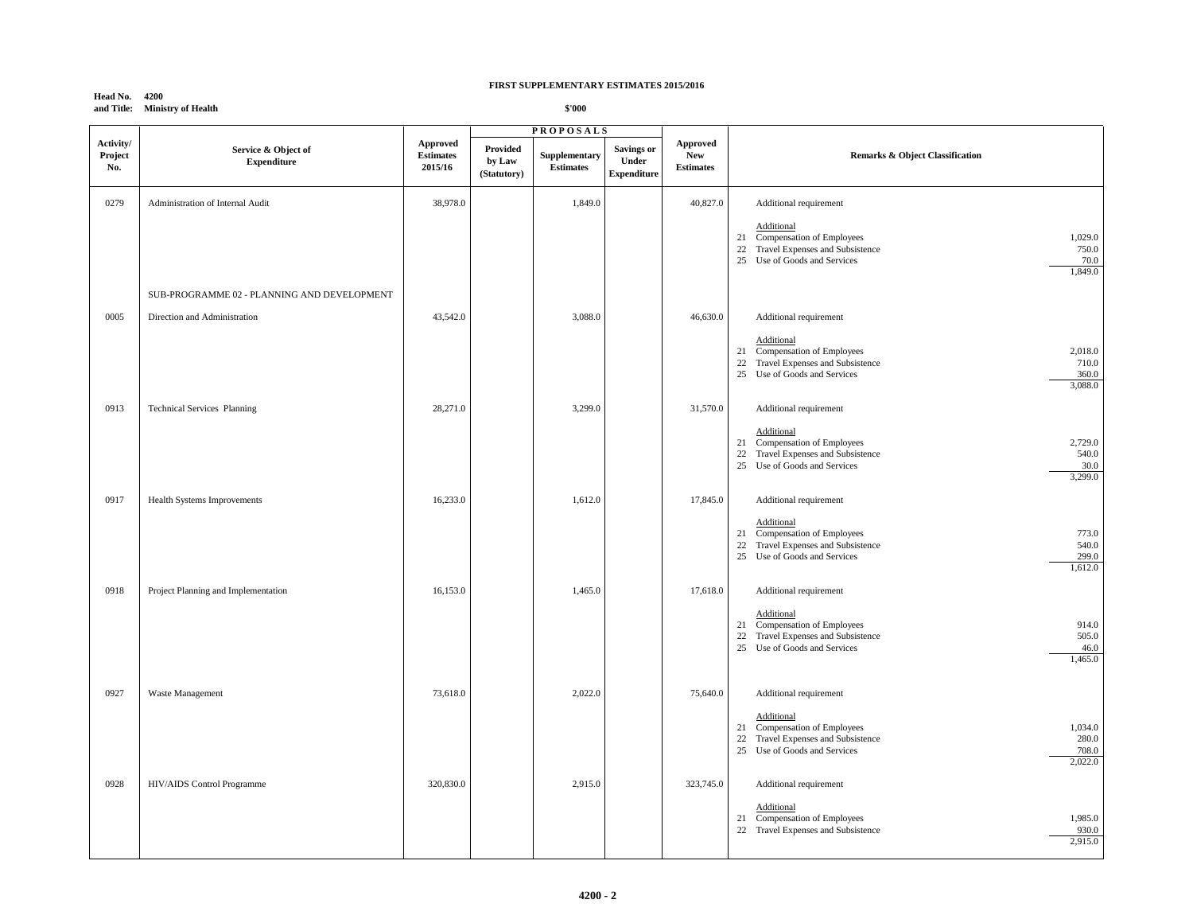# **Head No. 4200 and Title: Ministry of Health**

|                             |                                             |                                         |                                          | <b>PROPOSALS</b>                  |                                                  |                                                   |                                                                                                                                                             |  |
|-----------------------------|---------------------------------------------|-----------------------------------------|------------------------------------------|-----------------------------------|--------------------------------------------------|---------------------------------------------------|-------------------------------------------------------------------------------------------------------------------------------------------------------------|--|
| Activity/<br>Project<br>No. | Service & Object of<br><b>Expenditure</b>   | Approved<br><b>Estimates</b><br>2015/16 | <b>Provided</b><br>by Law<br>(Statutory) | Supplementary<br><b>Estimates</b> | <b>Savings or</b><br>Under<br><b>Expenditure</b> | <b>Approved</b><br><b>New</b><br><b>Estimates</b> | <b>Remarks &amp; Object Classification</b>                                                                                                                  |  |
| 0279                        | Administration of Internal Audit            | 38,978.0                                |                                          | 1,849.0                           |                                                  | 40,827.0                                          | Additional requirement                                                                                                                                      |  |
|                             |                                             |                                         |                                          |                                   |                                                  |                                                   | Additional<br>21 Compensation of Employees<br>1,029.0<br>22 Travel Expenses and Subsistence<br>750.0<br>25 Use of Goods and Services<br>70.0<br>1,849.0     |  |
|                             | SUB-PROGRAMME 02 - PLANNING AND DEVELOPMENT |                                         |                                          |                                   |                                                  |                                                   |                                                                                                                                                             |  |
| 0005                        | Direction and Administration                | 43,542.0                                |                                          | 3,088.0                           |                                                  | 46,630.0                                          | Additional requirement                                                                                                                                      |  |
|                             |                                             |                                         |                                          |                                   |                                                  |                                                   | Additional<br>21 Compensation of Employees<br>2,018.0<br>Travel Expenses and Subsistence<br>22<br>710.0<br>25 Use of Goods and Services<br>360.0<br>3,088.0 |  |
| 0913                        | <b>Technical Services Planning</b>          | 28,271.0                                |                                          | 3,299.0                           |                                                  | 31,570.0                                          | Additional requirement                                                                                                                                      |  |
|                             |                                             |                                         |                                          |                                   |                                                  |                                                   | Additional<br>21 Compensation of Employees<br>2,729.0<br>22 Travel Expenses and Subsistence<br>540.0<br>25 Use of Goods and Services<br>30.0<br>3,299.0     |  |
| 0917                        | Health Systems Improvements                 | 16,233.0                                |                                          | 1,612.0                           |                                                  | 17,845.0                                          | Additional requirement                                                                                                                                      |  |
|                             |                                             |                                         |                                          |                                   |                                                  |                                                   | Additional<br>Compensation of Employees<br>773.0<br>21<br>22 Travel Expenses and Subsistence<br>540.0<br>25 Use of Goods and Services<br>299.0<br>1,612.0   |  |
| 0918                        | Project Planning and Implementation         | 16,153.0                                |                                          | 1,465.0                           |                                                  | 17,618.0                                          | Additional requirement                                                                                                                                      |  |
|                             |                                             |                                         |                                          |                                   |                                                  |                                                   | Additional<br>21 Compensation of Employees<br>914.0<br>Travel Expenses and Subsistence<br>505.0<br>22<br>25 Use of Goods and Services<br>46.0<br>1,465.0    |  |
| 0927                        | Waste Management                            | 73,618.0                                |                                          | 2,022.0                           |                                                  | 75,640.0                                          | Additional requirement                                                                                                                                      |  |
|                             |                                             |                                         |                                          |                                   |                                                  |                                                   | Additional<br>21 Compensation of Employees<br>1,034.0<br>22 Travel Expenses and Subsistence<br>280.0<br>25 Use of Goods and Services<br>708.0<br>2,022.0    |  |
| 0928                        | HIV/AIDS Control Programme                  | 320,830.0                               |                                          | 2,915.0                           |                                                  | 323,745.0                                         | Additional requirement                                                                                                                                      |  |
|                             |                                             |                                         |                                          |                                   |                                                  |                                                   | Additional<br>21 Compensation of Employees<br>1,985.0<br>22 Travel Expenses and Subsistence<br>930.0<br>2,915.0                                             |  |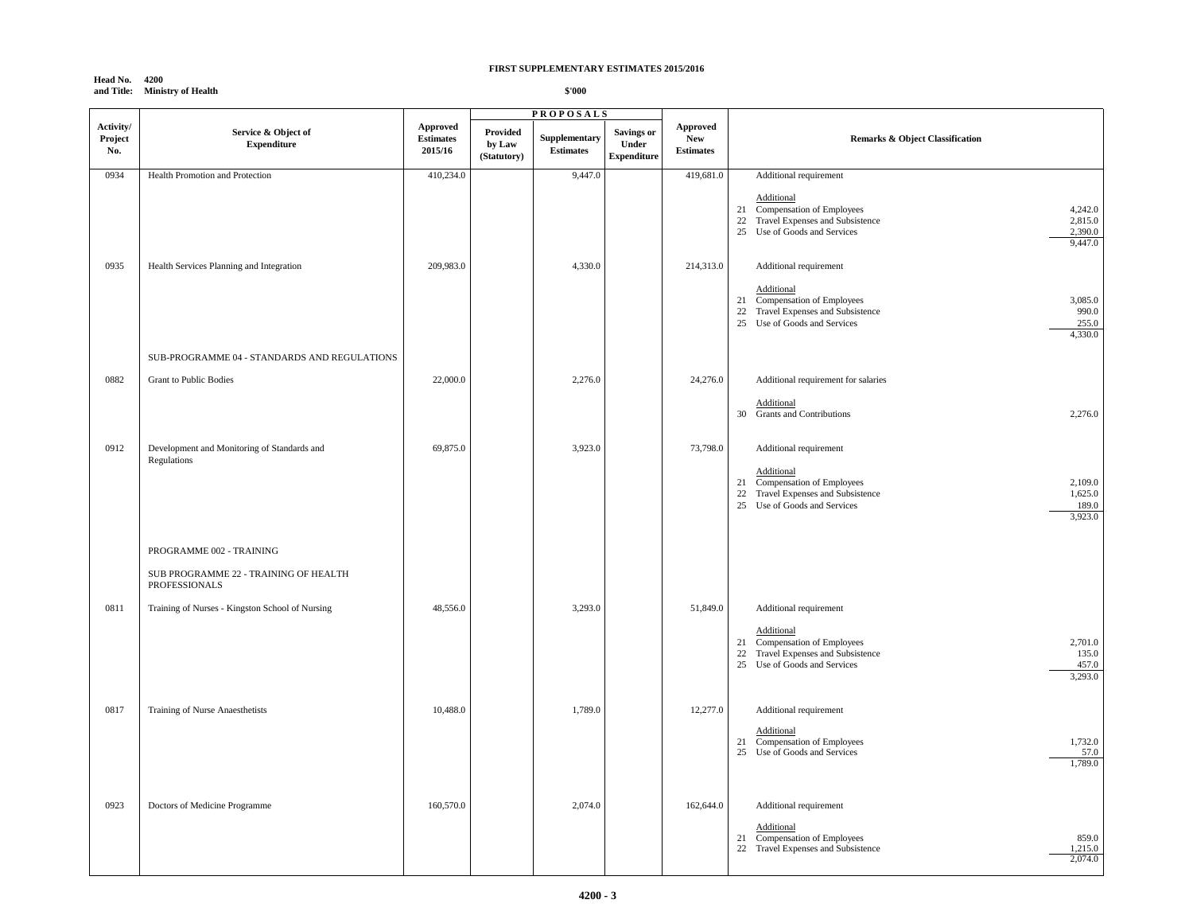# **Head No. 4200 and Title: Ministry of Health**

|                             |                                                            | <b>PROPOSALS</b>                        |                                   |                                   |                                           |                                            |                                                                                                                                                                  |
|-----------------------------|------------------------------------------------------------|-----------------------------------------|-----------------------------------|-----------------------------------|-------------------------------------------|--------------------------------------------|------------------------------------------------------------------------------------------------------------------------------------------------------------------|
| Activity/<br>Project<br>No. | Service & Object of<br><b>Expenditure</b>                  | Approved<br><b>Estimates</b><br>2015/16 | Provided<br>by Law<br>(Statutory) | Supplementary<br><b>Estimates</b> | Savings or<br>Under<br><b>Expenditure</b> | Approved<br><b>New</b><br><b>Estimates</b> | <b>Remarks &amp; Object Classification</b>                                                                                                                       |
| 0934                        | Health Promotion and Protection                            | 410,234.0                               |                                   | 9,447.0                           |                                           | 419,681.0                                  | Additional requirement                                                                                                                                           |
|                             |                                                            |                                         |                                   |                                   |                                           |                                            | Additional<br>21 Compensation of Employees<br>4,242.0<br>22 Travel Expenses and Subsistence<br>2,815.0<br>25 Use of Goods and Services<br>2,390.0<br>9,447.0     |
| 0935                        | Health Services Planning and Integration                   | 209,983.0                               |                                   | 4,330.0                           |                                           | 214,313.0                                  | Additional requirement                                                                                                                                           |
|                             |                                                            |                                         |                                   |                                   |                                           |                                            | Additional<br>21 Compensation of Employees<br>3,085.0<br>22 Travel Expenses and Subsistence<br>990.0<br>25 Use of Goods and Services<br>255.0<br>4,330.0         |
|                             | SUB-PROGRAMME 04 - STANDARDS AND REGULATIONS               |                                         |                                   |                                   |                                           |                                            |                                                                                                                                                                  |
| 0882                        | Grant to Public Bodies                                     | 22,000.0                                |                                   | 2,276.0                           |                                           | 24,276.0                                   | Additional requirement for salaries                                                                                                                              |
|                             |                                                            |                                         |                                   |                                   |                                           |                                            | Additional<br>30 Grants and Contributions<br>2,276.0                                                                                                             |
| 0912                        | Development and Monitoring of Standards and<br>Regulations | 69,875.0                                |                                   | 3,923.0                           |                                           | 73,798.0                                   | Additional requirement                                                                                                                                           |
|                             |                                                            |                                         |                                   |                                   |                                           |                                            | Additional<br>21 Compensation of Employees<br>2,109.0<br>Travel Expenses and Subsistence<br>1,625.0<br>22<br>25<br>Use of Goods and Services<br>189.0<br>3,923.0 |
|                             | PROGRAMME 002 - TRAINING                                   |                                         |                                   |                                   |                                           |                                            |                                                                                                                                                                  |
|                             | SUB PROGRAMME 22 - TRAINING OF HEALTH<br>PROFESSIONALS     |                                         |                                   |                                   |                                           |                                            |                                                                                                                                                                  |
| 0811                        | Training of Nurses - Kingston School of Nursing            | 48,556.0                                |                                   | 3,293.0                           |                                           | 51,849.0                                   | Additional requirement                                                                                                                                           |
|                             |                                                            |                                         |                                   |                                   |                                           |                                            | Additional<br>2,701.0<br>21 Compensation of Employees<br>22 Travel Expenses and Subsistence<br>135.0<br>25 Use of Goods and Services<br>457.0<br>3,293.0         |
| 0817                        | Training of Nurse Anaesthetists                            | 10,488.0                                |                                   | 1,789.0                           |                                           | 12,277.0                                   | Additional requirement                                                                                                                                           |
|                             |                                                            |                                         |                                   |                                   |                                           |                                            | Additional<br>1,732.0<br>21 Compensation of Employees<br>25 Use of Goods and Services<br>57.0<br>1,789.0                                                         |
| 0923                        | Doctors of Medicine Programme                              | 160,570.0                               |                                   | 2,074.0                           |                                           | 162,644.0                                  | Additional requirement                                                                                                                                           |
|                             |                                                            |                                         |                                   |                                   |                                           |                                            | Additional<br>Compensation of Employees<br>859.0<br>21<br>1,215.0<br>22 Travel Expenses and Subsistence<br>2,074.0                                               |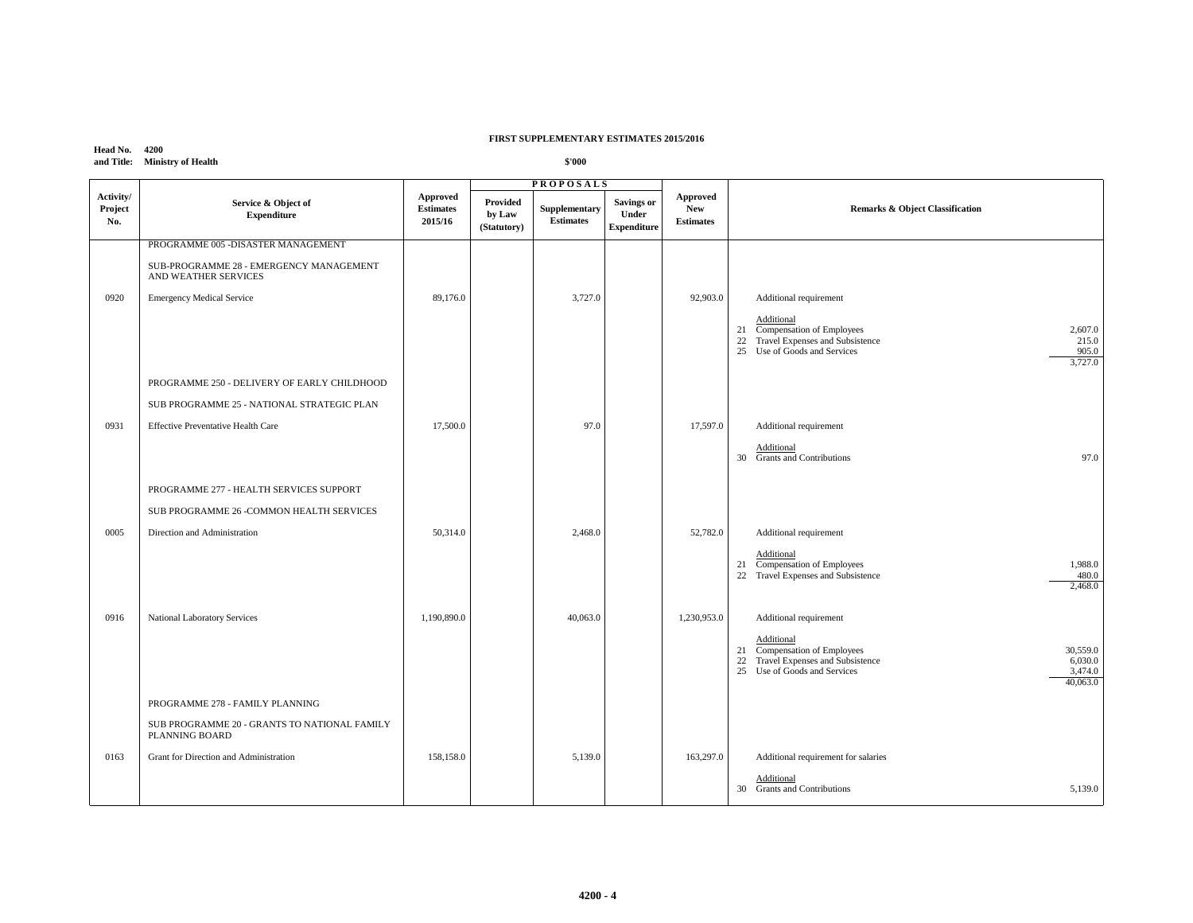# **Head No. 4200 and Title: Ministry of Health**

|                             |                                                                 |                                                |                                   | <b>PROPOSALS</b>                         |                                                  |                                                   |                                                                                                                                                                   |  |
|-----------------------------|-----------------------------------------------------------------|------------------------------------------------|-----------------------------------|------------------------------------------|--------------------------------------------------|---------------------------------------------------|-------------------------------------------------------------------------------------------------------------------------------------------------------------------|--|
| Activity/<br>Project<br>No. | Service & Object of<br><b>Expenditure</b>                       | <b>Approved</b><br><b>Estimates</b><br>2015/16 | Provided<br>by Law<br>(Statutory) | <b>Supplementary</b><br><b>Estimates</b> | <b>Savings or</b><br>Under<br><b>Expenditure</b> | <b>Approved</b><br><b>New</b><br><b>Estimates</b> | <b>Remarks &amp; Object Classification</b>                                                                                                                        |  |
|                             | PROGRAMME 005 -DISASTER MANAGEMENT                              |                                                |                                   |                                          |                                                  |                                                   |                                                                                                                                                                   |  |
|                             | SUB-PROGRAMME 28 - EMERGENCY MANAGEMENT<br>AND WEATHER SERVICES |                                                |                                   |                                          |                                                  |                                                   |                                                                                                                                                                   |  |
| 0920                        | <b>Emergency Medical Service</b>                                | 89,176.0                                       |                                   | 3,727.0                                  |                                                  | 92,903.0                                          | Additional requirement                                                                                                                                            |  |
|                             |                                                                 |                                                |                                   |                                          |                                                  |                                                   | Additional<br>21 Compensation of Employees<br>2,607.0<br>22 Travel Expenses and Subsistence<br>215.0<br>25 Use of Goods and Services<br>905.0<br>3,727.0          |  |
|                             | PROGRAMME 250 - DELIVERY OF EARLY CHILDHOOD                     |                                                |                                   |                                          |                                                  |                                                   |                                                                                                                                                                   |  |
|                             | SUB PROGRAMME 25 - NATIONAL STRATEGIC PLAN                      |                                                |                                   |                                          |                                                  |                                                   |                                                                                                                                                                   |  |
| 0931                        | <b>Effective Preventative Health Care</b>                       | 17,500.0                                       |                                   | 97.0                                     |                                                  | 17,597.0                                          | Additional requirement                                                                                                                                            |  |
|                             |                                                                 |                                                |                                   |                                          |                                                  |                                                   | Additional<br>30 Grants and Contributions<br>97.0                                                                                                                 |  |
|                             | PROGRAMME 277 - HEALTH SERVICES SUPPORT                         |                                                |                                   |                                          |                                                  |                                                   |                                                                                                                                                                   |  |
|                             | SUB PROGRAMME 26 -COMMON HEALTH SERVICES                        |                                                |                                   |                                          |                                                  |                                                   |                                                                                                                                                                   |  |
| 0005                        | Direction and Administration                                    | 50,314.0                                       |                                   | 2,468.0                                  |                                                  | 52,782.0                                          | Additional requirement                                                                                                                                            |  |
|                             |                                                                 |                                                |                                   |                                          |                                                  |                                                   | Additional<br>21 Compensation of Employees<br>1,988.0<br>22 Travel Expenses and Subsistence<br>480.0<br>2,468.0                                                   |  |
| 0916                        | National Laboratory Services                                    | 1,190,890.0                                    |                                   | 40,063.0                                 |                                                  | 1,230,953.0                                       | Additional requirement                                                                                                                                            |  |
|                             |                                                                 |                                                |                                   |                                          |                                                  |                                                   | Additional<br>21 Compensation of Employees<br>30,559.0<br>Travel Expenses and Subsistence<br>6,030.0<br>22<br>25 Use of Goods and Services<br>3,474.0<br>40,063.0 |  |
|                             | PROGRAMME 278 - FAMILY PLANNING                                 |                                                |                                   |                                          |                                                  |                                                   |                                                                                                                                                                   |  |
|                             | SUB PROGRAMME 20 - GRANTS TO NATIONAL FAMILY<br>PLANNING BOARD  |                                                |                                   |                                          |                                                  |                                                   |                                                                                                                                                                   |  |
| 0163                        | Grant for Direction and Administration                          | 158,158.0                                      |                                   | 5,139.0                                  |                                                  | 163,297.0                                         | Additional requirement for salaries                                                                                                                               |  |
|                             |                                                                 |                                                |                                   |                                          |                                                  |                                                   | Additional<br>30 Grants and Contributions<br>5,139.0                                                                                                              |  |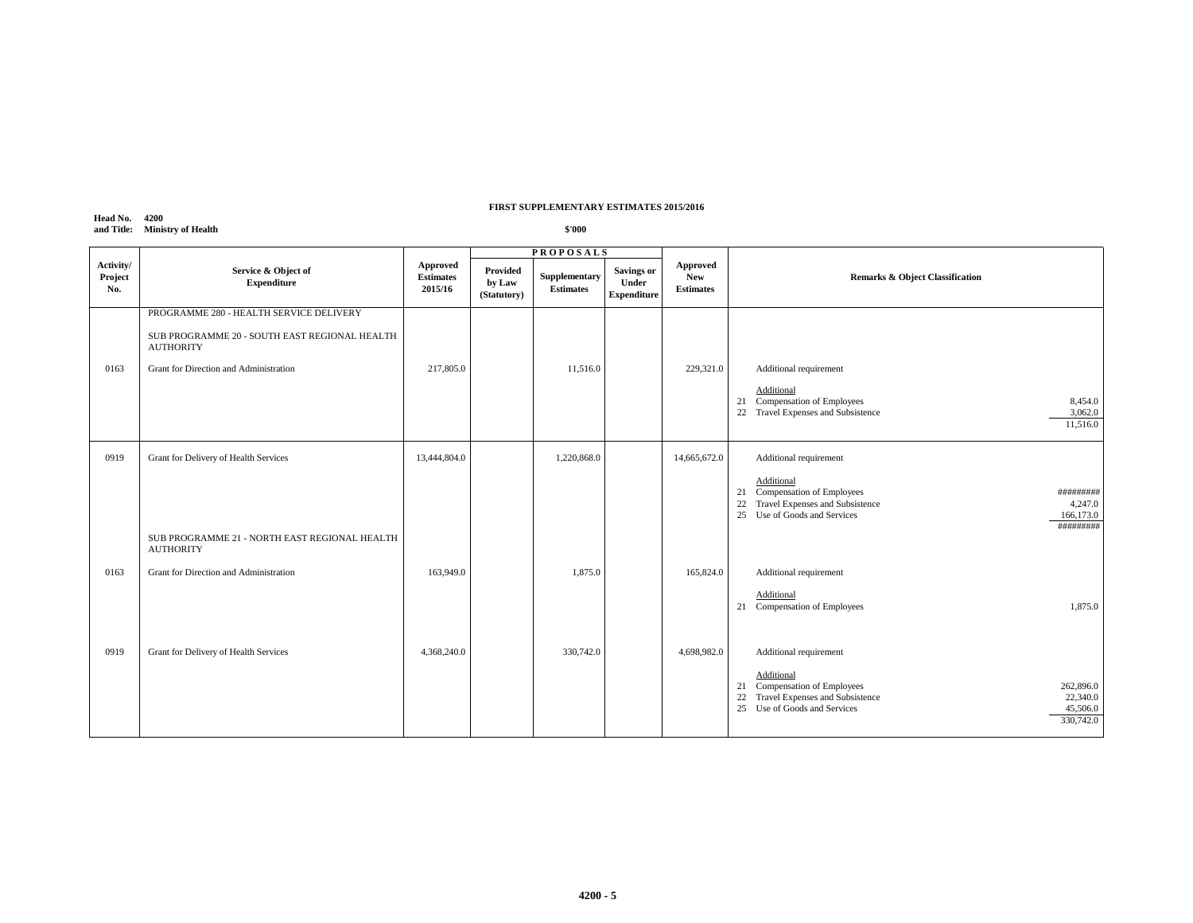# **Head No. 4200 and Title: Ministry of Health**

|                             |                                                                   | <b>PROPOSALS</b>                        |                                   |                                   |                                           |                                            |                                                                                                                                                                          |
|-----------------------------|-------------------------------------------------------------------|-----------------------------------------|-----------------------------------|-----------------------------------|-------------------------------------------|--------------------------------------------|--------------------------------------------------------------------------------------------------------------------------------------------------------------------------|
| Activity/<br>Project<br>No. | Service & Object of<br><b>Expenditure</b>                         | Approved<br><b>Estimates</b><br>2015/16 | Provided<br>by Law<br>(Statutory) | Supplementary<br><b>Estimates</b> | Savings or<br>Under<br><b>Expenditure</b> | Approved<br><b>New</b><br><b>Estimates</b> | Remarks & Object Classification                                                                                                                                          |
|                             | PROGRAMME 280 - HEALTH SERVICE DELIVERY                           |                                         |                                   |                                   |                                           |                                            |                                                                                                                                                                          |
|                             | SUB PROGRAMME 20 - SOUTH EAST REGIONAL HEALTH<br><b>AUTHORITY</b> |                                         |                                   |                                   |                                           |                                            |                                                                                                                                                                          |
| 0163                        | Grant for Direction and Administration                            | 217,805.0                               |                                   | 11,516.0                          |                                           | 229,321.0                                  | Additional requirement                                                                                                                                                   |
|                             |                                                                   |                                         |                                   |                                   |                                           |                                            | Additional<br>21 Compensation of Employees<br>8,454.0<br>Travel Expenses and Subsistence<br>3,062.0<br>22<br>11,516.0                                                    |
| 0919                        | Grant for Delivery of Health Services                             | 13,444,804.0                            |                                   | 1,220,868.0                       |                                           | 14,665,672.0                               | Additional requirement                                                                                                                                                   |
|                             |                                                                   |                                         |                                   |                                   |                                           |                                            | Additional<br>21 Compensation of Employees<br>#########<br>Travel Expenses and Subsistence<br>22<br>4,247.0<br>25<br>Use of Goods and Services<br>166,173.0<br>######### |
|                             | SUB PROGRAMME 21 - NORTH EAST REGIONAL HEALTH<br><b>AUTHORITY</b> |                                         |                                   |                                   |                                           |                                            |                                                                                                                                                                          |
| 0163                        | Grant for Direction and Administration                            | 163,949.0                               |                                   | 1,875.0                           |                                           | 165,824.0                                  | Additional requirement                                                                                                                                                   |
|                             |                                                                   |                                         |                                   |                                   |                                           |                                            | Additional<br>21 Compensation of Employees<br>1,875.0                                                                                                                    |
| 0919                        | Grant for Delivery of Health Services                             | 4,368,240.0                             |                                   | 330,742.0                         |                                           | 4,698,982.0                                | Additional requirement                                                                                                                                                   |
|                             |                                                                   |                                         |                                   |                                   |                                           |                                            | Additional<br>Compensation of Employees<br>262,896.0<br>21<br>Travel Expenses and Subsistence<br>22,340.0<br>22<br>25 Use of Goods and Services<br>45,506.0<br>330,742.0 |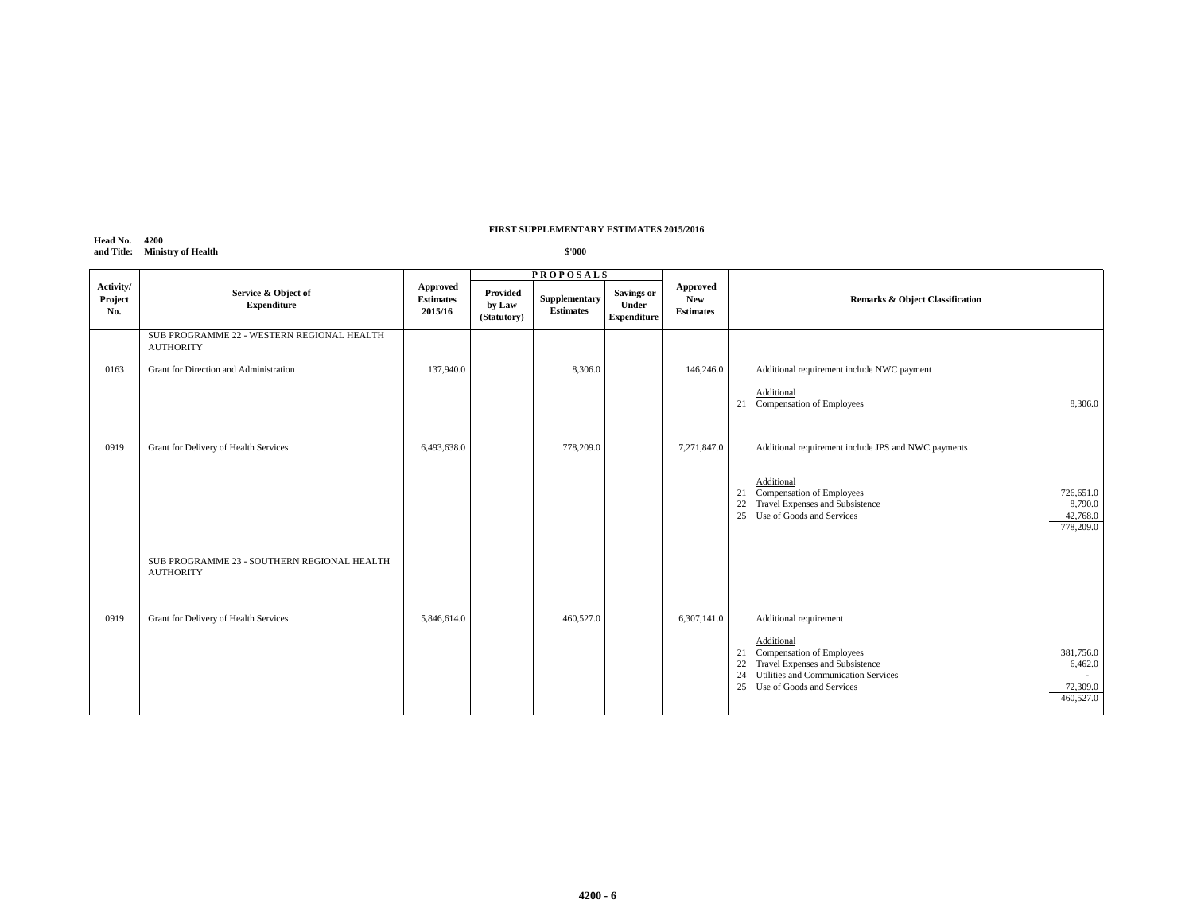# **Head No. 4200 and Title: Ministry of Health**

|                             |                                                                 | <b>PROPOSALS</b>                        |                                   |                                   |                                           |                                                   |                                                                                                                                                                                                                                                    |
|-----------------------------|-----------------------------------------------------------------|-----------------------------------------|-----------------------------------|-----------------------------------|-------------------------------------------|---------------------------------------------------|----------------------------------------------------------------------------------------------------------------------------------------------------------------------------------------------------------------------------------------------------|
| Activity/<br>Project<br>No. | Service & Object of<br><b>Expenditure</b>                       | Approved<br><b>Estimates</b><br>2015/16 | Provided<br>by Law<br>(Statutory) | Supplementary<br><b>Estimates</b> | Savings or<br>Under<br><b>Expenditure</b> | <b>Approved</b><br><b>New</b><br><b>Estimates</b> | <b>Remarks &amp; Object Classification</b>                                                                                                                                                                                                         |
|                             | SUB PROGRAMME 22 - WESTERN REGIONAL HEALTH<br><b>AUTHORITY</b>  |                                         |                                   |                                   |                                           |                                                   |                                                                                                                                                                                                                                                    |
| 0163                        | Grant for Direction and Administration                          | 137,940.0                               |                                   | 8,306.0                           |                                           | 146,246.0                                         | Additional requirement include NWC payment                                                                                                                                                                                                         |
|                             |                                                                 |                                         |                                   |                                   |                                           |                                                   | Additional<br>21 Compensation of Employees<br>8,306.0                                                                                                                                                                                              |
| 0919                        | Grant for Delivery of Health Services                           | 6,493,638.0                             |                                   | 778,209.0                         |                                           | 7,271,847.0                                       | Additional requirement include JPS and NWC payments                                                                                                                                                                                                |
|                             |                                                                 |                                         |                                   |                                   |                                           |                                                   | Additional<br>21 Compensation of Employees<br>726,651.0<br>Travel Expenses and Subsistence<br>22<br>8,790.0<br>25 Use of Goods and Services<br>42,768.0<br>778,209.0                                                                               |
|                             | SUB PROGRAMME 23 - SOUTHERN REGIONAL HEALTH<br><b>AUTHORITY</b> |                                         |                                   |                                   |                                           |                                                   |                                                                                                                                                                                                                                                    |
| 0919                        | Grant for Delivery of Health Services                           | 5,846,614.0                             |                                   | 460,527.0                         |                                           | 6,307,141.0                                       | Additional requirement<br>Additional<br>Compensation of Employees<br>381,756.0<br>21<br>Travel Expenses and Subsistence<br>22<br>6,462.0<br>Utilities and Communication Services<br>24<br>Use of Goods and Services<br>72,309.0<br>25<br>460,527.0 |
|                             |                                                                 |                                         |                                   |                                   |                                           |                                                   |                                                                                                                                                                                                                                                    |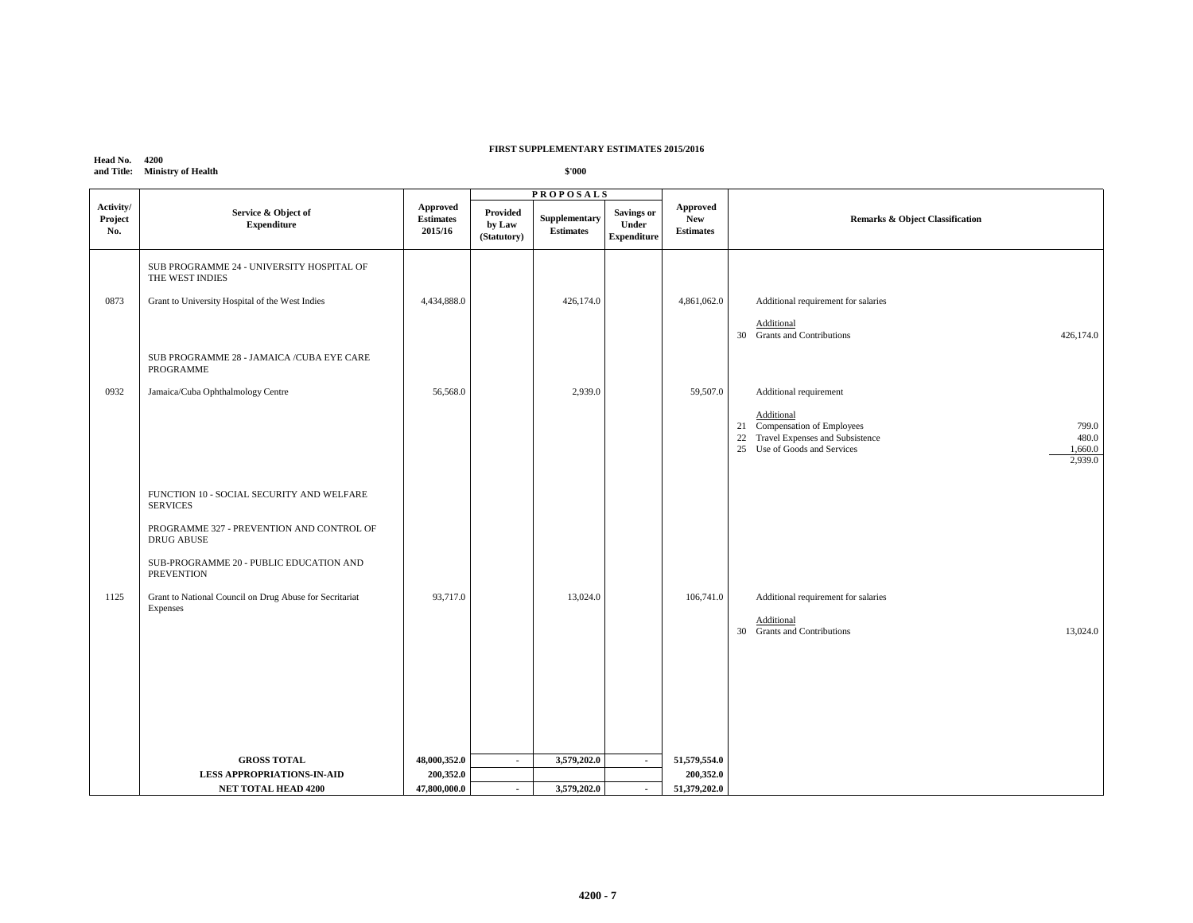#### **Head No. 4200 and Title: Ministry of Health**

|                             |                                                                                                                         |                                                |                                   | <b>PROPOSALS</b>                         |                                                  |                                            |                                                                                                                                                          |  |
|-----------------------------|-------------------------------------------------------------------------------------------------------------------------|------------------------------------------------|-----------------------------------|------------------------------------------|--------------------------------------------------|--------------------------------------------|----------------------------------------------------------------------------------------------------------------------------------------------------------|--|
| Activity/<br>Project<br>No. | Service & Object of<br><b>Expenditure</b>                                                                               | <b>Approved</b><br><b>Estimates</b><br>2015/16 | Provided<br>by Law<br>(Statutory) | <b>Supplementary</b><br><b>Estimates</b> | <b>Savings or</b><br>Under<br><b>Expenditure</b> | Approved<br><b>New</b><br><b>Estimates</b> | Remarks & Object Classification                                                                                                                          |  |
|                             | SUB PROGRAMME 24 - UNIVERSITY HOSPITAL OF<br>THE WEST INDIES                                                            |                                                |                                   |                                          |                                                  |                                            |                                                                                                                                                          |  |
| 0873                        | Grant to University Hospital of the West Indies                                                                         | 4,434,888.0                                    |                                   | 426,174.0                                |                                                  | 4,861,062.0                                | Additional requirement for salaries                                                                                                                      |  |
|                             |                                                                                                                         |                                                |                                   |                                          |                                                  |                                            | Additional<br>30 Grants and Contributions<br>426,174.0                                                                                                   |  |
|                             | SUB PROGRAMME 28 - JAMAICA / CUBA EYE CARE<br>PROGRAMME                                                                 |                                                |                                   |                                          |                                                  |                                            |                                                                                                                                                          |  |
| 0932                        | Jamaica/Cuba Ophthalmology Centre                                                                                       | 56,568.0                                       |                                   | 2,939.0                                  |                                                  | 59,507.0                                   | Additional requirement                                                                                                                                   |  |
|                             |                                                                                                                         |                                                |                                   |                                          |                                                  |                                            | Additional<br>21 Compensation of Employees<br>799.0<br>22 Travel Expenses and Subsistence<br>480.0<br>25 Use of Goods and Services<br>1,660.0<br>2,939.0 |  |
|                             | FUNCTION 10 - SOCIAL SECURITY AND WELFARE<br><b>SERVICES</b><br>PROGRAMME 327 - PREVENTION AND CONTROL OF<br>DRUG ABUSE |                                                |                                   |                                          |                                                  |                                            |                                                                                                                                                          |  |
|                             | SUB-PROGRAMME 20 - PUBLIC EDUCATION AND<br><b>PREVENTION</b>                                                            |                                                |                                   |                                          |                                                  |                                            |                                                                                                                                                          |  |
| 1125                        | Grant to National Council on Drug Abuse for Secritariat<br>Expenses                                                     | 93,717.0                                       |                                   | 13,024.0                                 |                                                  | 106,741.0                                  | Additional requirement for salaries<br>Additional<br>30 Grants and Contributions<br>13,024.0                                                             |  |
|                             |                                                                                                                         |                                                |                                   |                                          |                                                  |                                            |                                                                                                                                                          |  |
|                             | <b>GROSS TOTAL</b>                                                                                                      | 48,000,352.0                                   | $\sim$                            | 3,579,202.0                              | $\sim$                                           | 51,579,554.0                               |                                                                                                                                                          |  |
|                             | <b>LESS APPROPRIATIONS-IN-AID</b>                                                                                       | 200,352.0                                      |                                   |                                          |                                                  | 200,352.0                                  |                                                                                                                                                          |  |
|                             | <b>NET TOTAL HEAD 4200</b>                                                                                              | 47,800,000.0                                   | $\blacksquare$                    | 3,579,202.0                              | $\blacksquare$                                   | 51,379,202.0                               |                                                                                                                                                          |  |
|                             |                                                                                                                         |                                                |                                   |                                          |                                                  |                                            |                                                                                                                                                          |  |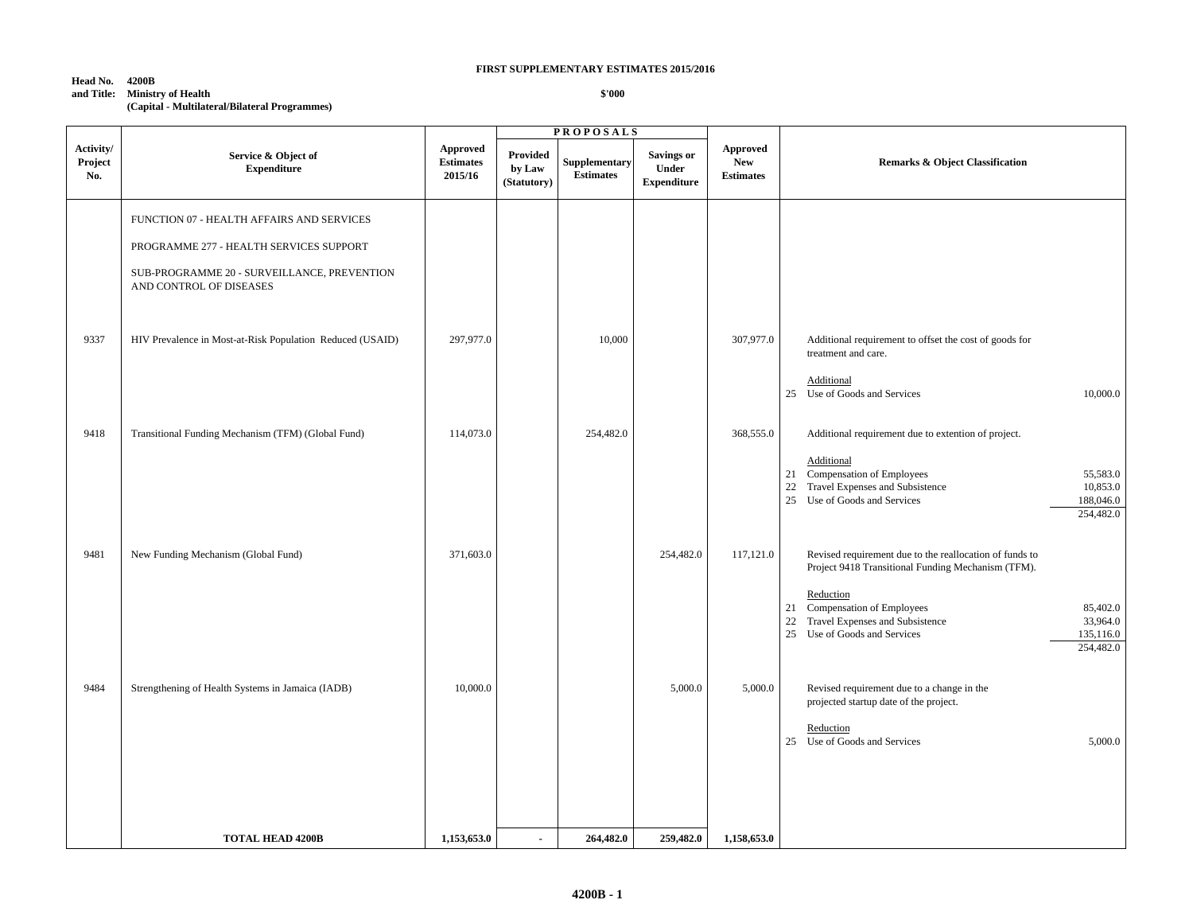| Head No.   | 4200B                                         |
|------------|-----------------------------------------------|
| and Title: | <b>Ministry of Health</b>                     |
|            | (Capital - Multilateral/Bilateral Programmes) |

 $\overline{1}$ 

|                             |                                                                                                                                                                |                                         |                                   | <b>PROPOSALS</b>                  |                                                  |                                            |                                                                                                                                                                                                                                                                                                 |
|-----------------------------|----------------------------------------------------------------------------------------------------------------------------------------------------------------|-----------------------------------------|-----------------------------------|-----------------------------------|--------------------------------------------------|--------------------------------------------|-------------------------------------------------------------------------------------------------------------------------------------------------------------------------------------------------------------------------------------------------------------------------------------------------|
| Activity/<br>Project<br>No. | Service & Object of<br><b>Expenditure</b>                                                                                                                      | Approved<br><b>Estimates</b><br>2015/16 | Provided<br>by Law<br>(Statutory) | Supplementary<br><b>Estimates</b> | <b>Savings or</b><br>Under<br><b>Expenditure</b> | Approved<br><b>New</b><br><b>Estimates</b> | <b>Remarks &amp; Object Classification</b>                                                                                                                                                                                                                                                      |
|                             | FUNCTION 07 - HEALTH AFFAIRS AND SERVICES<br>PROGRAMME 277 - HEALTH SERVICES SUPPORT<br>SUB-PROGRAMME 20 - SURVEILLANCE, PREVENTION<br>AND CONTROL OF DISEASES |                                         |                                   |                                   |                                                  |                                            |                                                                                                                                                                                                                                                                                                 |
| 9337                        | HIV Prevalence in Most-at-Risk Population Reduced (USAID)                                                                                                      | 297,977.0                               |                                   | 10,000                            |                                                  | 307,977.0                                  | Additional requirement to offset the cost of goods for<br>treatment and care.<br>Additional<br>25 Use of Goods and Services<br>10,000.0                                                                                                                                                         |
| 9418                        | Transitional Funding Mechanism (TFM) (Global Fund)                                                                                                             | 114,073.0                               |                                   | 254,482.0                         |                                                  | 368,555.0                                  | Additional requirement due to extention of project.<br>Additional<br>21 Compensation of Employees<br>55,583.0<br>Travel Expenses and Subsistence<br>10,853.0<br>22<br>25<br>Use of Goods and Services<br>188,046.0<br>254,482.0                                                                 |
| 9481                        | New Funding Mechanism (Global Fund)                                                                                                                            | 371,603.0                               |                                   |                                   | 254,482.0                                        | 117,121.0                                  | Revised requirement due to the reallocation of funds to<br>Project 9418 Transitional Funding Mechanism (TFM).<br>Reduction<br>Compensation of Employees<br>85,402.0<br>21<br>$22\,$<br>Travel Expenses and Subsistence<br>33,964.0<br>25<br>Use of Goods and Services<br>135,116.0<br>254,482.0 |
| 9484                        | Strengthening of Health Systems in Jamaica (IADB)                                                                                                              | 10,000.0                                |                                   |                                   | 5,000.0                                          | 5,000.0                                    | Revised requirement due to a change in the<br>projected startup date of the project.<br>Reduction<br>25 Use of Goods and Services<br>5,000.0                                                                                                                                                    |
|                             | <b>TOTAL HEAD 4200B</b>                                                                                                                                        | 1,153,653.0                             | $\overline{a}$                    | 264,482.0                         | 259,482.0                                        | 1,158,653.0                                |                                                                                                                                                                                                                                                                                                 |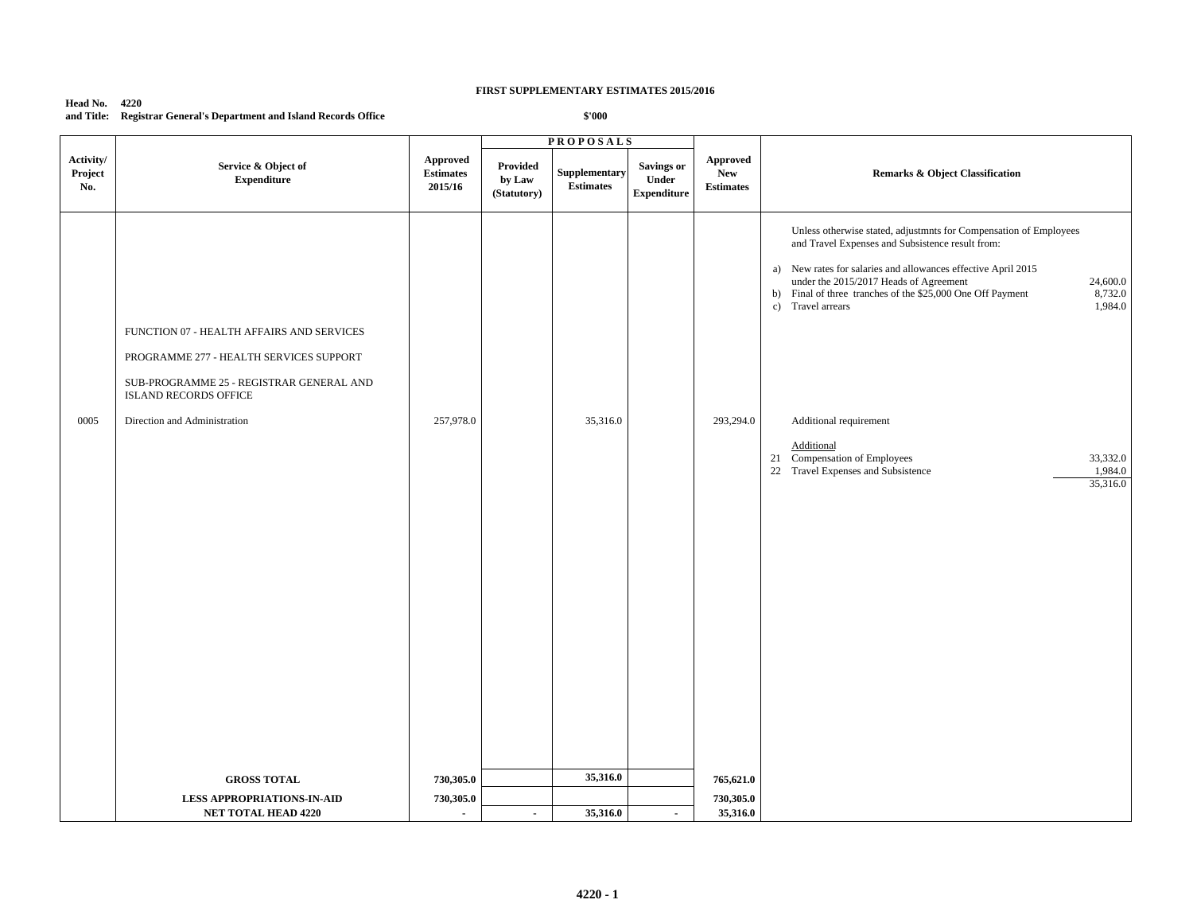#### **Head No. 4220 and Title: Registrar General's Department and Island Records Office**

|                             |                                                                                                                                                                                                  |                                         | <b>PROPOSALS</b>                  |                                   |                                                  |                                            |                                                                                                                                                                                                                                                                                                                                                                                                                                                                                                           |
|-----------------------------|--------------------------------------------------------------------------------------------------------------------------------------------------------------------------------------------------|-----------------------------------------|-----------------------------------|-----------------------------------|--------------------------------------------------|--------------------------------------------|-----------------------------------------------------------------------------------------------------------------------------------------------------------------------------------------------------------------------------------------------------------------------------------------------------------------------------------------------------------------------------------------------------------------------------------------------------------------------------------------------------------|
| Activity/<br>Project<br>No. | Service & Object of<br><b>Expenditure</b>                                                                                                                                                        | Approved<br><b>Estimates</b><br>2015/16 | Provided<br>by Law<br>(Statutory) | Supplementary<br><b>Estimates</b> | <b>Savings or</b><br>Under<br><b>Expenditure</b> | Approved<br><b>New</b><br><b>Estimates</b> | Remarks & Object Classification                                                                                                                                                                                                                                                                                                                                                                                                                                                                           |
| 0005                        | FUNCTION 07 - HEALTH AFFAIRS AND SERVICES<br>PROGRAMME 277 - HEALTH SERVICES SUPPORT<br>SUB-PROGRAMME 25 - REGISTRAR GENERAL AND<br><b>ISLAND RECORDS OFFICE</b><br>Direction and Administration | 257,978.0                               |                                   | 35,316.0                          |                                                  | 293,294.0                                  | Unless otherwise stated, adjustmnts for Compensation of Employees<br>and Travel Expenses and Subsistence result from:<br>a) New rates for salaries and allowances effective April 2015<br>under the 2015/2017 Heads of Agreement<br>24,600.0<br>8,732.0<br>b) Final of three tranches of the \$25,000 One Off Payment<br>Travel arrears<br>1,984.0<br>c)<br>Additional requirement<br>Additional<br>21 Compensation of Employees<br>33,332.0<br>22 Travel Expenses and Subsistence<br>1,984.0<br>35,316.0 |
|                             | <b>GROSS TOTAL</b>                                                                                                                                                                               | 730,305.0                               |                                   | 35,316.0                          |                                                  | 765,621.0                                  |                                                                                                                                                                                                                                                                                                                                                                                                                                                                                                           |
|                             | <b>LESS APPROPRIATIONS-IN-AID</b>                                                                                                                                                                | 730,305.0                               |                                   |                                   |                                                  | 730,305.0                                  |                                                                                                                                                                                                                                                                                                                                                                                                                                                                                                           |
|                             | <b>NET TOTAL HEAD 4220</b>                                                                                                                                                                       | $\blacksquare$                          | $\sim$                            | 35,316.0                          | $\blacksquare$                                   | 35,316.0                                   |                                                                                                                                                                                                                                                                                                                                                                                                                                                                                                           |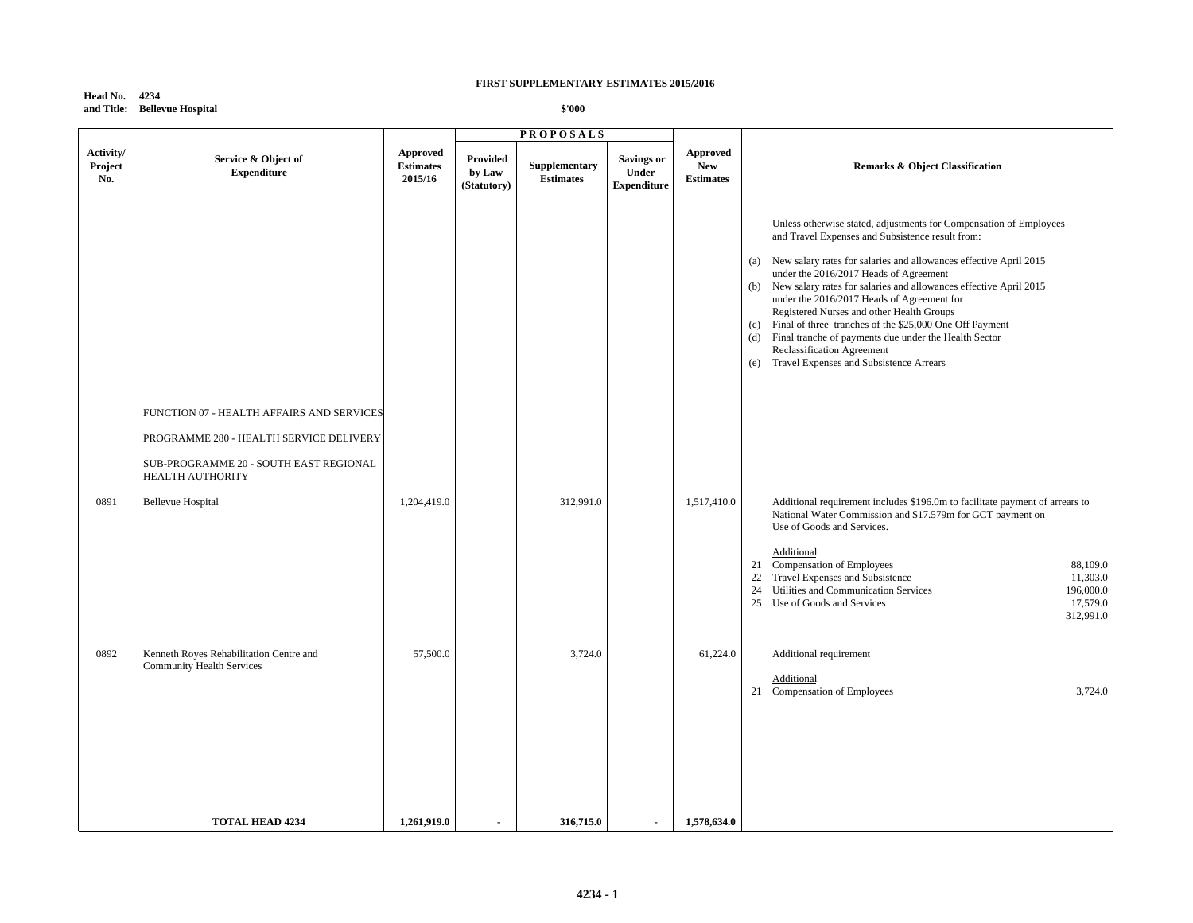**Head No. 4234 and Title: Bellevue Hospital**

|                             |                                                                                                                                                    |                                                |                                          | <b>PROPOSALS</b>                  |                                                  |                                                   |                                                                                                                                                                                                                                                                                                                                                                                                                                                                                                                                                                                                                                 |
|-----------------------------|----------------------------------------------------------------------------------------------------------------------------------------------------|------------------------------------------------|------------------------------------------|-----------------------------------|--------------------------------------------------|---------------------------------------------------|---------------------------------------------------------------------------------------------------------------------------------------------------------------------------------------------------------------------------------------------------------------------------------------------------------------------------------------------------------------------------------------------------------------------------------------------------------------------------------------------------------------------------------------------------------------------------------------------------------------------------------|
| Activity/<br>Project<br>No. | Service & Object of<br><b>Expenditure</b>                                                                                                          | <b>Approved</b><br><b>Estimates</b><br>2015/16 | <b>Provided</b><br>by Law<br>(Statutory) | Supplementary<br><b>Estimates</b> | <b>Savings or</b><br>Under<br><b>Expenditure</b> | <b>Approved</b><br><b>New</b><br><b>Estimates</b> | <b>Remarks &amp; Object Classification</b>                                                                                                                                                                                                                                                                                                                                                                                                                                                                                                                                                                                      |
|                             | FUNCTION 07 - HEALTH AFFAIRS AND SERVICES<br>PROGRAMME 280 - HEALTH SERVICE DELIVERY<br>SUB-PROGRAMME 20 - SOUTH EAST REGIONAL<br>HEALTH AUTHORITY |                                                |                                          |                                   |                                                  |                                                   | Unless otherwise stated, adjustments for Compensation of Employees<br>and Travel Expenses and Subsistence result from:<br>(a) New salary rates for salaries and allowances effective April 2015<br>under the 2016/2017 Heads of Agreement<br>New salary rates for salaries and allowances effective April 2015<br>(b)<br>under the 2016/2017 Heads of Agreement for<br>Registered Nurses and other Health Groups<br>Final of three tranches of the \$25,000 One Off Payment<br>(c)<br>Final tranche of payments due under the Health Sector<br>(d)<br>Reclassification Agreement<br>(e) Travel Expenses and Subsistence Arrears |
| 0891                        | <b>Bellevue Hospital</b>                                                                                                                           | 1,204,419.0                                    |                                          | 312,991.0                         |                                                  | 1,517,410.0                                       | Additional requirement includes \$196.0m to facilitate payment of arrears to<br>National Water Commission and \$17.579m for GCT payment on<br>Use of Goods and Services.<br>Additional<br>21 Compensation of Employees<br>88,109.0<br>22 Travel Expenses and Subsistence<br>11,303.0<br>Utilities and Communication Services<br>24<br>196,000.0<br>17,579.0<br>25 Use of Goods and Services<br>312,991.0                                                                                                                                                                                                                        |
| 0892                        | Kenneth Royes Rehabilitation Centre and<br><b>Community Health Services</b>                                                                        | 57,500.0                                       |                                          | 3,724.0                           |                                                  | 61,224.0                                          | Additional requirement<br>Additional<br>21 Compensation of Employees<br>3,724.0                                                                                                                                                                                                                                                                                                                                                                                                                                                                                                                                                 |
|                             | <b>TOTAL HEAD 4234</b>                                                                                                                             | 1,261,919.0                                    |                                          | 316,715.0                         | $\overline{\phantom{a}}$                         | 1,578,634.0                                       |                                                                                                                                                                                                                                                                                                                                                                                                                                                                                                                                                                                                                                 |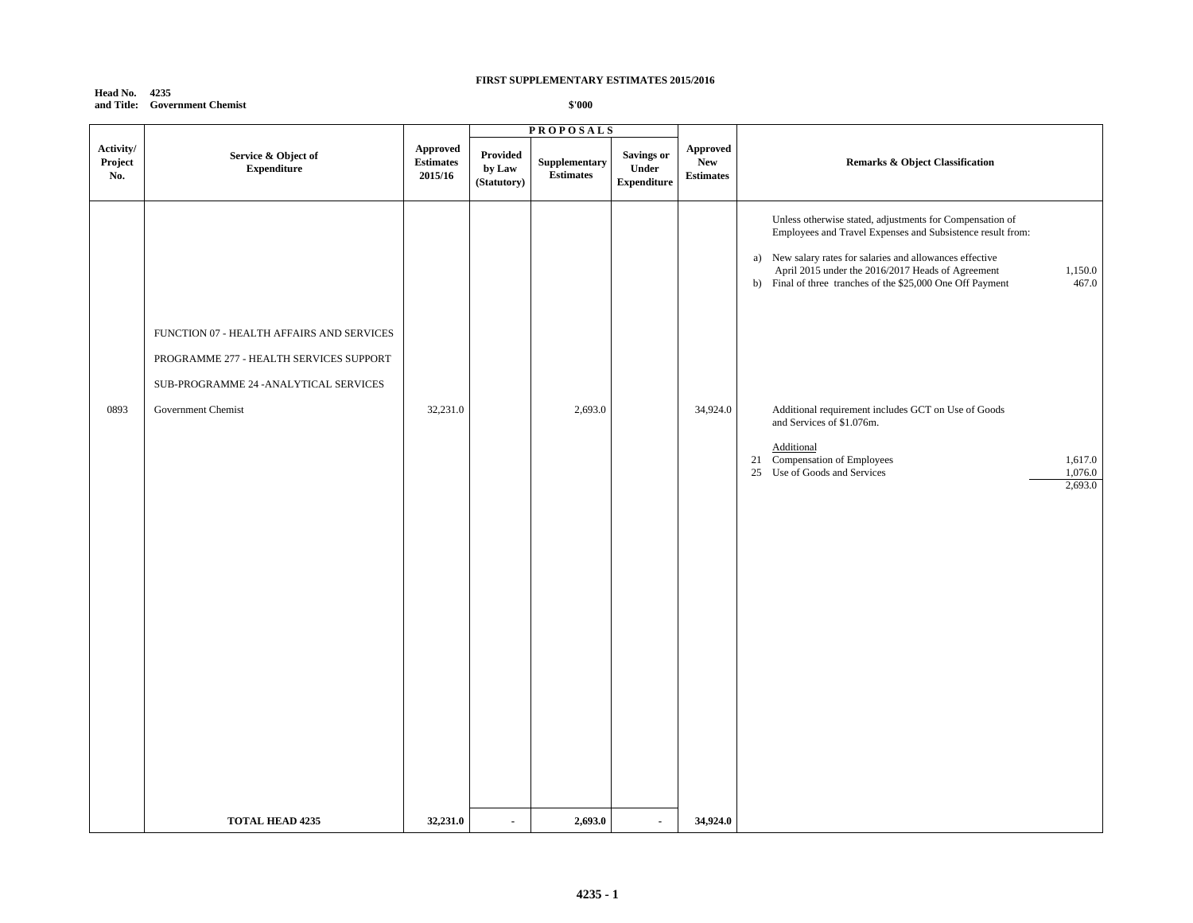**Head No. 4235 and Title: Government Chemist**

|                             |                                                                                                                                |                                         | <b>PROPOSALS</b>                  |                                                  |                                           |                                                   |                                                                                                                                                                                                                                                                                                                            |
|-----------------------------|--------------------------------------------------------------------------------------------------------------------------------|-----------------------------------------|-----------------------------------|--------------------------------------------------|-------------------------------------------|---------------------------------------------------|----------------------------------------------------------------------------------------------------------------------------------------------------------------------------------------------------------------------------------------------------------------------------------------------------------------------------|
| Activity/<br>Project<br>No. | Service & Object of<br><b>Expenditure</b>                                                                                      | Approved<br><b>Estimates</b><br>2015/16 | Provided<br>by Law<br>(Statutory) | ${\large \bf Supplementary}$<br><b>Estimates</b> | Savings or<br>Under<br><b>Expenditure</b> | <b>Approved</b><br><b>New</b><br><b>Estimates</b> | <b>Remarks &amp; Object Classification</b>                                                                                                                                                                                                                                                                                 |
|                             | FUNCTION 07 - HEALTH AFFAIRS AND SERVICES<br>PROGRAMME 277 - HEALTH SERVICES SUPPORT<br>SUB-PROGRAMME 24 - ANALYTICAL SERVICES |                                         |                                   |                                                  |                                           |                                                   | Unless otherwise stated, adjustments for Compensation of<br>Employees and Travel Expenses and Subsistence result from:<br>a) New salary rates for salaries and allowances effective<br>April 2015 under the 2016/2017 Heads of Agreement<br>1,150.0<br>b) Final of three tranches of the \$25,000 One Off Payment<br>467.0 |
| 0893                        | Government Chemist                                                                                                             | 32,231.0                                |                                   | 2,693.0                                          |                                           | 34,924.0                                          | Additional requirement includes GCT on Use of Goods<br>and Services of \$1.076m.<br>Additional<br>21 Compensation of Employees<br>1,617.0<br>25 Use of Goods and Services<br>1,076.0<br>2,693.0                                                                                                                            |
|                             | <b>TOTAL HEAD 4235</b>                                                                                                         | 32,231.0                                | $\overline{\phantom{a}}$          | 2,693.0                                          | $\overline{a}$                            | 34,924.0                                          |                                                                                                                                                                                                                                                                                                                            |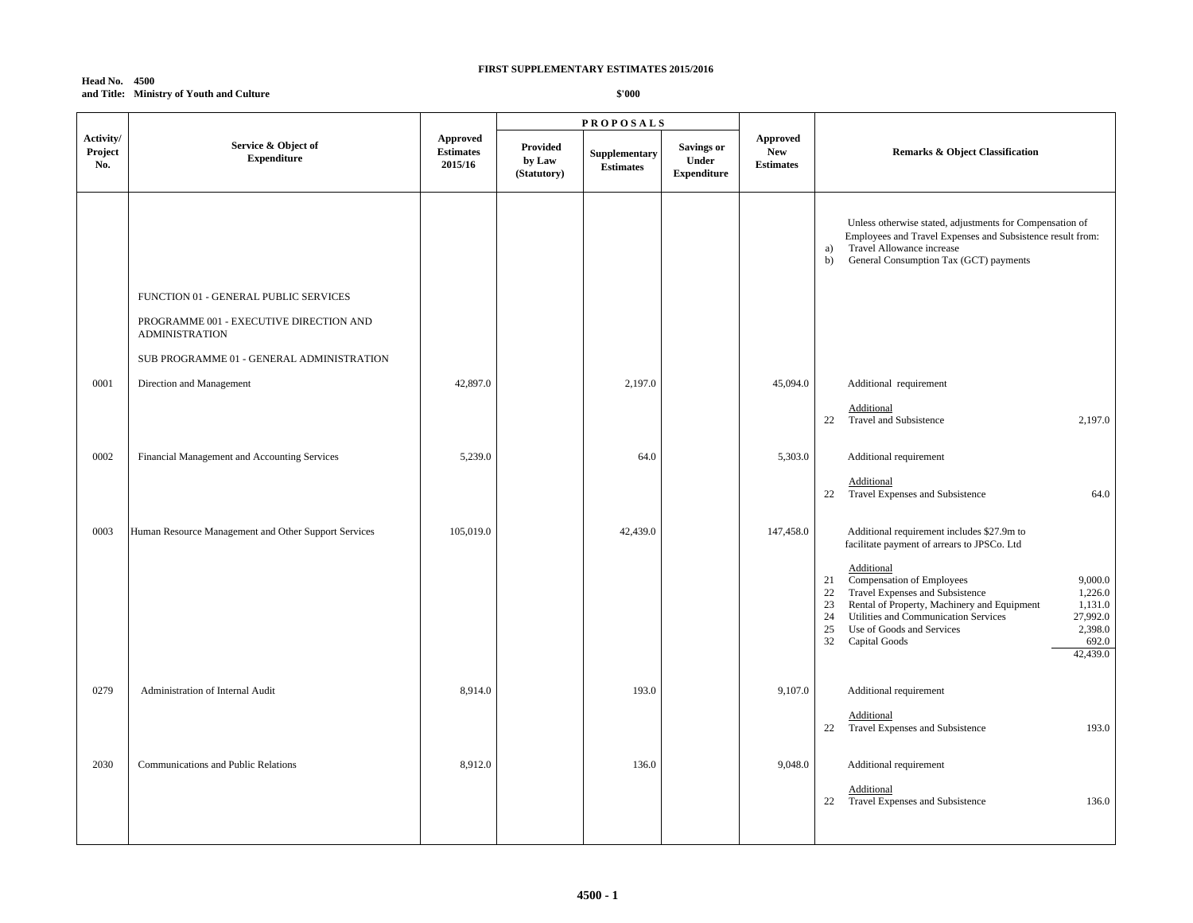#### **Head No. 4500 and Title: Ministry of Youth and Culture**

|                             |                                                                                                           | <b>PROPOSALS</b>                        |                                   |                                   |                                                  |                                            |                                                                                                                                                                                                                                                                                                                                     |
|-----------------------------|-----------------------------------------------------------------------------------------------------------|-----------------------------------------|-----------------------------------|-----------------------------------|--------------------------------------------------|--------------------------------------------|-------------------------------------------------------------------------------------------------------------------------------------------------------------------------------------------------------------------------------------------------------------------------------------------------------------------------------------|
| Activity/<br>Project<br>No. | Service & Object of<br><b>Expenditure</b>                                                                 | Approved<br><b>Estimates</b><br>2015/16 | Provided<br>by Law<br>(Statutory) | Supplementary<br><b>Estimates</b> | <b>Savings or</b><br>Under<br><b>Expenditure</b> | Approved<br><b>New</b><br><b>Estimates</b> | <b>Remarks &amp; Object Classification</b>                                                                                                                                                                                                                                                                                          |
|                             | FUNCTION 01 - GENERAL PUBLIC SERVICES<br>PROGRAMME 001 - EXECUTIVE DIRECTION AND<br><b>ADMINISTRATION</b> |                                         |                                   |                                   |                                                  |                                            | Unless otherwise stated, adjustments for Compensation of<br>Employees and Travel Expenses and Subsistence result from:<br>Travel Allowance increase<br>a)<br>General Consumption Tax (GCT) payments<br>b)                                                                                                                           |
|                             | SUB PROGRAMME 01 - GENERAL ADMINISTRATION                                                                 |                                         |                                   |                                   |                                                  |                                            |                                                                                                                                                                                                                                                                                                                                     |
| $\,0001$                    | Direction and Management                                                                                  | 42,897.0                                |                                   | 2,197.0                           |                                                  | 45,094.0                                   | Additional requirement<br>Additional                                                                                                                                                                                                                                                                                                |
|                             |                                                                                                           |                                         |                                   |                                   |                                                  |                                            | Travel and Subsistence<br>2,197.0<br>22                                                                                                                                                                                                                                                                                             |
| 0002                        | Financial Management and Accounting Services                                                              | 5,239.0                                 |                                   | 64.0                              |                                                  | 5,303.0                                    | Additional requirement                                                                                                                                                                                                                                                                                                              |
|                             |                                                                                                           |                                         |                                   |                                   |                                                  |                                            | Additional<br>22 Travel Expenses and Subsistence<br>64.0                                                                                                                                                                                                                                                                            |
| 0003                        | Human Resource Management and Other Support Services                                                      | 105,019.0                               |                                   | 42,439.0                          |                                                  | 147,458.0                                  | Additional requirement includes \$27.9m to<br>facilitate payment of arrears to JPSCo. Ltd<br>Additional<br>Compensation of Employees<br>9,000.0<br>21<br>Travel Expenses and Subsistence<br>1,226.0<br>22<br>Rental of Property, Machinery and Equipment<br>1,131.0<br>23<br>Utilities and Communication Services<br>27,992.0<br>24 |
|                             |                                                                                                           |                                         |                                   |                                   |                                                  |                                            | 2,398.0<br>25<br>Use of Goods and Services<br>692.0<br>32<br>Capital Goods<br>42,439.0                                                                                                                                                                                                                                              |
| 0279                        | Administration of Internal Audit                                                                          | 8,914.0                                 |                                   | 193.0                             |                                                  | 9,107.0                                    | Additional requirement                                                                                                                                                                                                                                                                                                              |
|                             |                                                                                                           |                                         |                                   |                                   |                                                  |                                            | Additional<br>Travel Expenses and Subsistence<br>193.0<br>22                                                                                                                                                                                                                                                                        |
| 2030                        | Communications and Public Relations                                                                       | 8,912.0                                 |                                   | 136.0                             |                                                  | 9,048.0                                    | Additional requirement                                                                                                                                                                                                                                                                                                              |
|                             |                                                                                                           |                                         |                                   |                                   |                                                  |                                            | Additional<br>Travel Expenses and Subsistence<br>22<br>136.0                                                                                                                                                                                                                                                                        |
|                             |                                                                                                           |                                         |                                   |                                   |                                                  |                                            |                                                                                                                                                                                                                                                                                                                                     |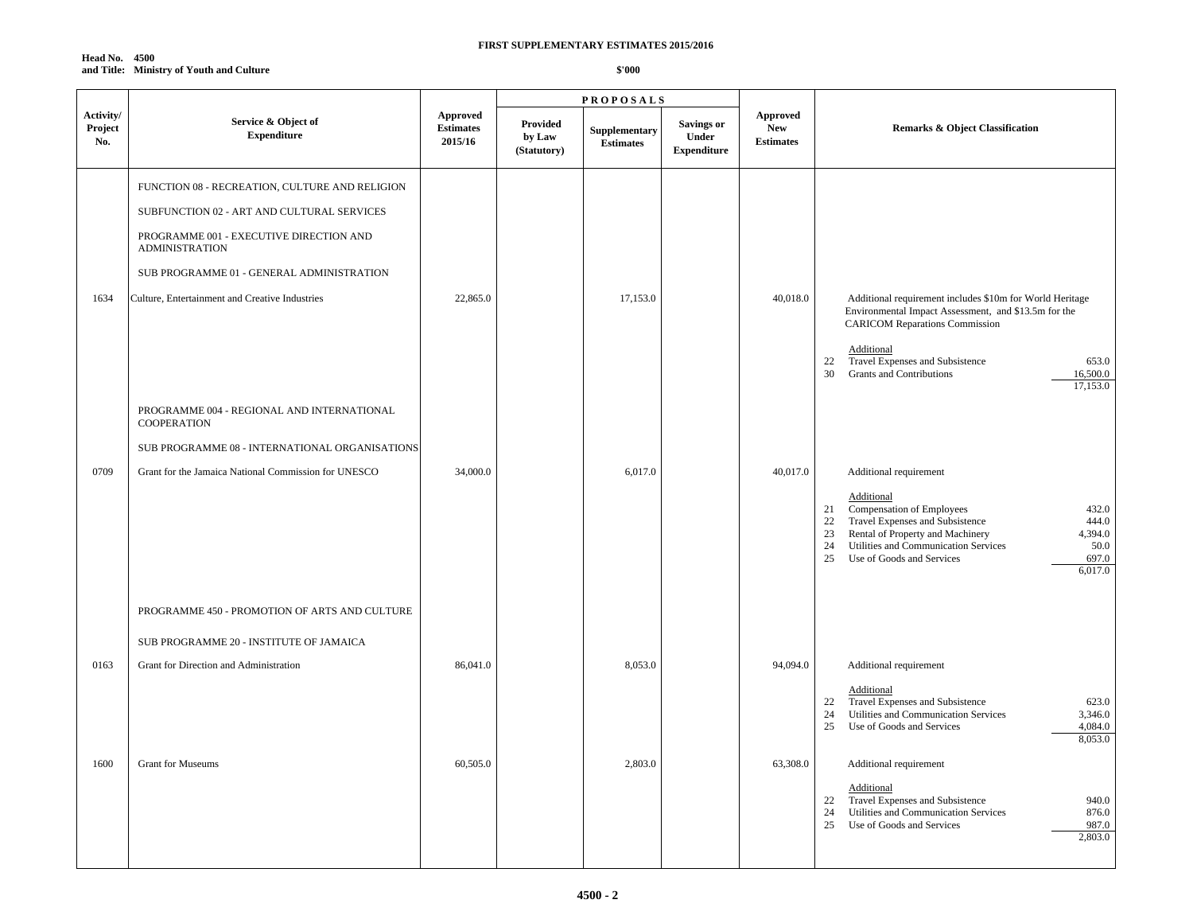**Head No. 4500 and Title: Ministry of Youth and Culture**

|                             |                                                                  |                                         |                                   | <b>PROPOSALS</b>                  |                                                  |                                                   |                                                                                                                                                                                                                                                                                                      |
|-----------------------------|------------------------------------------------------------------|-----------------------------------------|-----------------------------------|-----------------------------------|--------------------------------------------------|---------------------------------------------------|------------------------------------------------------------------------------------------------------------------------------------------------------------------------------------------------------------------------------------------------------------------------------------------------------|
| Activity/<br>Project<br>No. | Service & Object of<br>${\bf Expenditure}$                       | Approved<br><b>Estimates</b><br>2015/16 | Provided<br>by Law<br>(Statutory) | Supplementary<br><b>Estimates</b> | <b>Savings or</b><br>Under<br><b>Expenditure</b> | <b>Approved</b><br><b>New</b><br><b>Estimates</b> | <b>Remarks &amp; Object Classification</b>                                                                                                                                                                                                                                                           |
|                             | FUNCTION 08 - RECREATION, CULTURE AND RELIGION                   |                                         |                                   |                                   |                                                  |                                                   |                                                                                                                                                                                                                                                                                                      |
|                             | SUBFUNCTION 02 - ART AND CULTURAL SERVICES                       |                                         |                                   |                                   |                                                  |                                                   |                                                                                                                                                                                                                                                                                                      |
|                             | PROGRAMME 001 - EXECUTIVE DIRECTION AND<br><b>ADMINISTRATION</b> |                                         |                                   |                                   |                                                  |                                                   |                                                                                                                                                                                                                                                                                                      |
|                             | SUB PROGRAMME 01 - GENERAL ADMINISTRATION                        |                                         |                                   |                                   |                                                  |                                                   |                                                                                                                                                                                                                                                                                                      |
| 1634                        | Culture, Entertainment and Creative Industries                   | 22,865.0                                |                                   | 17,153.0                          |                                                  | 40,018.0                                          | Additional requirement includes \$10m for World Heritage<br>Environmental Impact Assessment, and \$13.5m for the<br><b>CARICOM Reparations Commission</b><br>Additional<br>Travel Expenses and Subsistence<br>653.0<br>22<br>30<br><b>Grants and Contributions</b><br>16,500.0<br>17,153.0           |
|                             | PROGRAMME 004 - REGIONAL AND INTERNATIONAL<br><b>COOPERATION</b> |                                         |                                   |                                   |                                                  |                                                   |                                                                                                                                                                                                                                                                                                      |
|                             | SUB PROGRAMME 08 - INTERNATIONAL ORGANISATIONS                   |                                         |                                   |                                   |                                                  |                                                   |                                                                                                                                                                                                                                                                                                      |
| 0709                        | Grant for the Jamaica National Commission for UNESCO             | 34,000.0                                |                                   | 6,017.0                           |                                                  | 40,017.0                                          | Additional requirement<br>Additional<br>Compensation of Employees<br>432.0<br>21<br>Travel Expenses and Subsistence<br>444.0<br>22<br>Rental of Property and Machinery<br>4,394.0<br>23<br>24<br>Utilities and Communication Services<br>50.0<br>25<br>Use of Goods and Services<br>697.0<br>6,017.0 |
|                             | PROGRAMME 450 - PROMOTION OF ARTS AND CULTURE                    |                                         |                                   |                                   |                                                  |                                                   |                                                                                                                                                                                                                                                                                                      |
|                             | SUB PROGRAMME 20 - INSTITUTE OF JAMAICA                          |                                         |                                   |                                   |                                                  |                                                   |                                                                                                                                                                                                                                                                                                      |
| 0163                        | Grant for Direction and Administration                           | 86,041.0                                |                                   | 8,053.0                           |                                                  | 94,094.0                                          | Additional requirement                                                                                                                                                                                                                                                                               |
|                             |                                                                  |                                         |                                   |                                   |                                                  |                                                   | Additional<br>22<br>Travel Expenses and Subsistence<br>623.0<br>Utilities and Communication Services<br>24<br>3,346.0<br>25<br>Use of Goods and Services<br>4,084.0<br>8,053.0                                                                                                                       |
| 1600                        | Grant for Museums                                                | 60,505.0                                |                                   | 2,803.0                           |                                                  | 63,308.0                                          | Additional requirement                                                                                                                                                                                                                                                                               |
|                             |                                                                  |                                         |                                   |                                   |                                                  |                                                   | Additional<br>Travel Expenses and Subsistence<br>940.0<br>22<br>Utilities and Communication Services<br>24<br>876.0<br>25<br>Use of Goods and Services<br>987.0<br>2,803.0                                                                                                                           |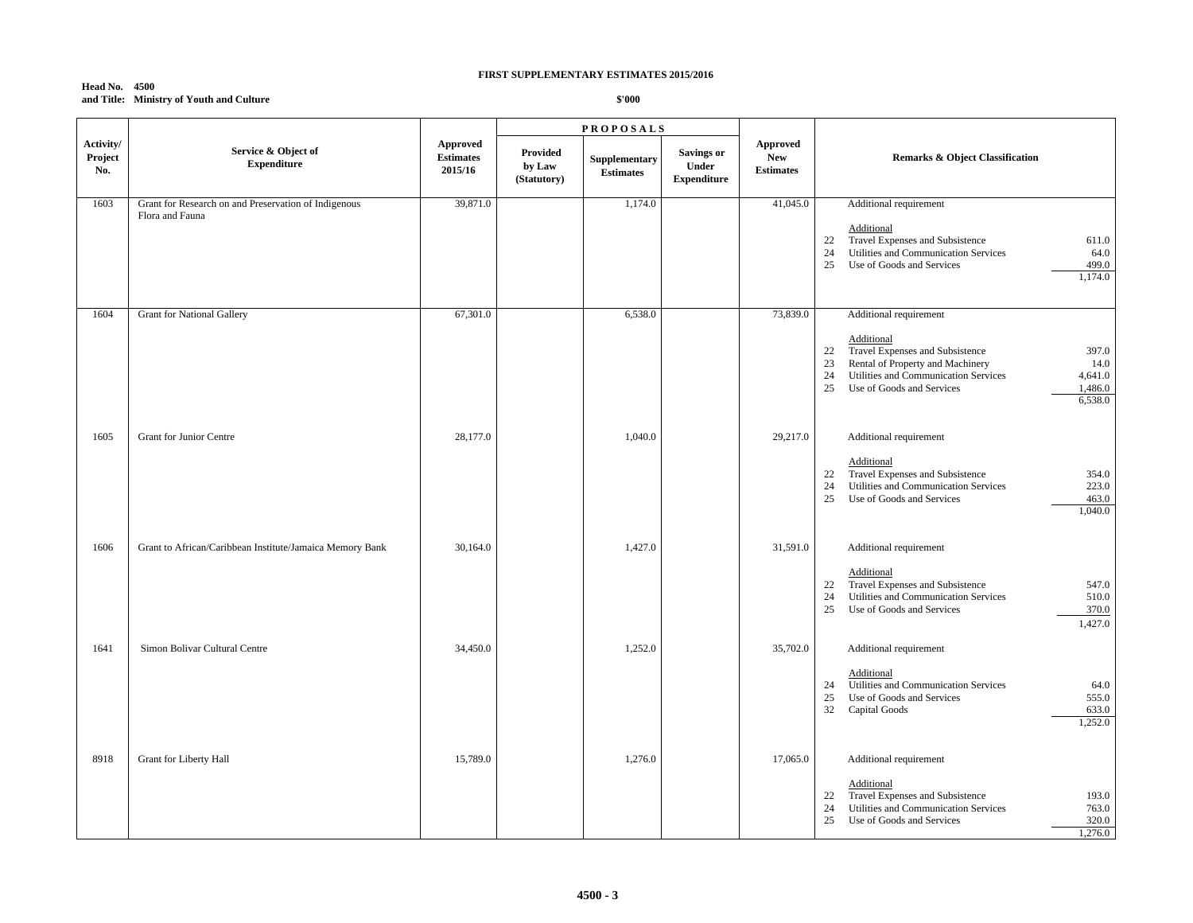### **Head No. 4500 and Title: Ministry of Youth and Culture**

|                             |                                                                         |                                                |                                   | <b>PROPOSALS</b>                  |                                                         |                                                   |                                                                                                                                                                                                                                                            |
|-----------------------------|-------------------------------------------------------------------------|------------------------------------------------|-----------------------------------|-----------------------------------|---------------------------------------------------------|---------------------------------------------------|------------------------------------------------------------------------------------------------------------------------------------------------------------------------------------------------------------------------------------------------------------|
| Activity/<br>Project<br>No. | Service & Object of<br><b>Expenditure</b>                               | <b>Approved</b><br><b>Estimates</b><br>2015/16 | Provided<br>by Law<br>(Statutory) | Supplementary<br><b>Estimates</b> | <b>Savings or</b><br><b>Under</b><br><b>Expenditure</b> | <b>Approved</b><br><b>New</b><br><b>Estimates</b> | <b>Remarks &amp; Object Classification</b>                                                                                                                                                                                                                 |
| 1603                        | Grant for Research on and Preservation of Indigenous<br>Flora and Fauna | 39,871.0                                       |                                   | 1,174.0                           |                                                         | 41,045.0                                          | Additional requirement<br>Additional<br>Travel Expenses and Subsistence<br>22<br>611.0<br>24<br>Utilities and Communication Services<br>64.0<br>25<br>Use of Goods and Services<br>499.0<br>1,174.0                                                        |
| 1604                        | <b>Grant for National Gallery</b>                                       | 67,301.0                                       |                                   | 6,538.0                           |                                                         | 73,839.0                                          | Additional requirement<br>Additional<br>Travel Expenses and Subsistence<br>397.0<br>22<br>Rental of Property and Machinery<br>23<br>14.0<br>24<br>Utilities and Communication Services<br>4,641.0<br>25<br>Use of Goods and Services<br>1,486.0<br>6,538.0 |
| 1605                        | <b>Grant for Junior Centre</b>                                          | 28,177.0                                       |                                   | 1,040.0                           |                                                         | 29,217.0                                          | Additional requirement<br>Additional<br>Travel Expenses and Subsistence<br>354.0<br>22<br>Utilities and Communication Services<br>223.0<br>24<br>25<br>Use of Goods and Services<br>463.0<br>1,040.0                                                       |
| 1606                        | Grant to African/Caribbean Institute/Jamaica Memory Bank                | 30,164.0                                       |                                   | 1,427.0                           |                                                         | 31,591.0                                          | Additional requirement<br>Additional<br>Travel Expenses and Subsistence<br>547.0<br>22<br>Utilities and Communication Services<br>24<br>510.0<br>370.0<br>25<br>Use of Goods and Services<br>1,427.0                                                       |
| 1641                        | Simon Bolivar Cultural Centre                                           | 34,450.0                                       |                                   | 1,252.0                           |                                                         | 35,702.0                                          | Additional requirement<br>Additional<br>Utilities and Communication Services<br>24<br>64.0<br>25<br>Use of Goods and Services<br>555.0<br>32<br>Capital Goods<br>633.0<br>1,252.0                                                                          |
| 8918                        | Grant for Liberty Hall                                                  | 15,789.0                                       |                                   | 1,276.0                           |                                                         | 17,065.0                                          | Additional requirement<br>Additional<br>Travel Expenses and Subsistence<br>193.0<br>22<br>Utilities and Communication Services<br>763.0<br>24<br>25<br>Use of Goods and Services<br>320.0<br>1,276.0                                                       |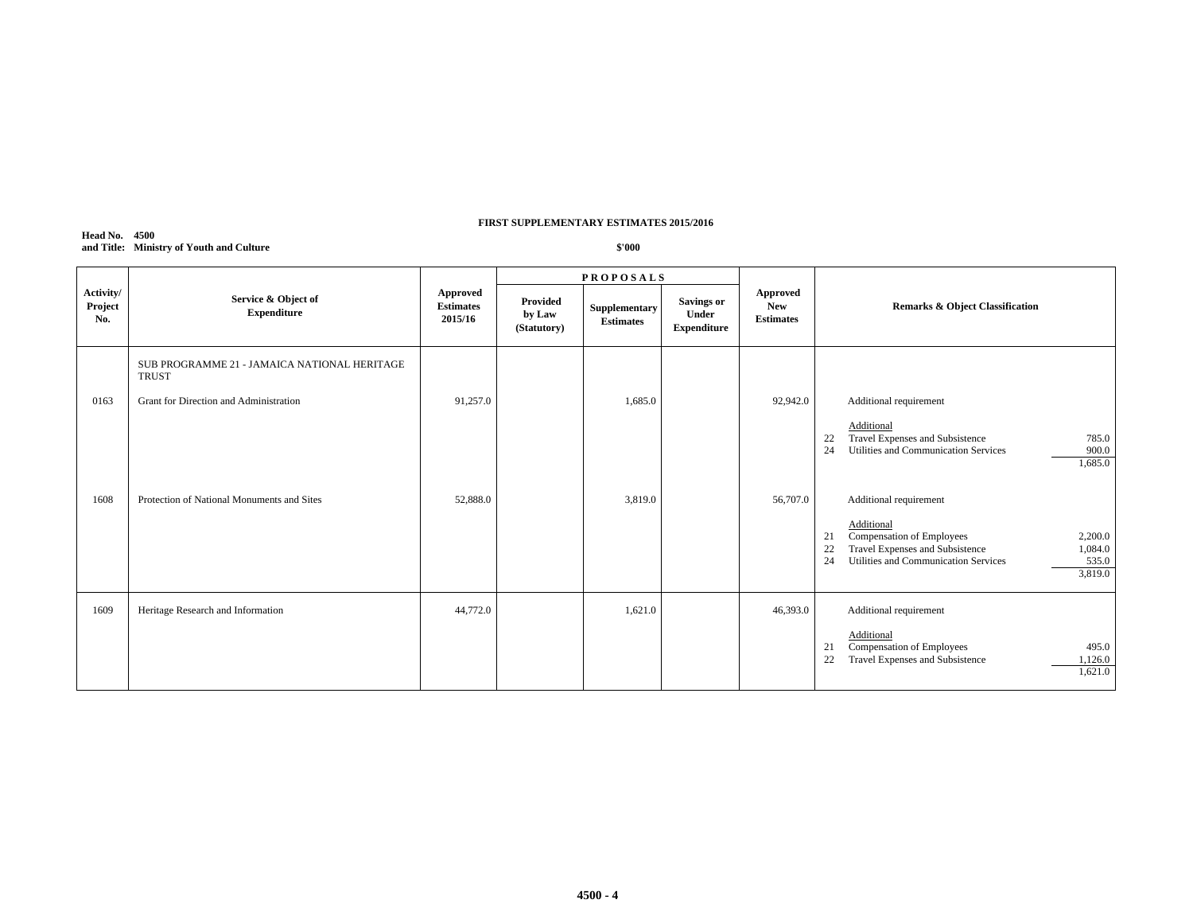#### **Head No. 4500 and Title: Ministry of Youth and Culture**

|                             |                                                              |                                         |                                   | <b>PROPOSALS</b>                  |                                                         |                                            | <b>Remarks &amp; Object Classification</b>                                                                                                                                                               |  |
|-----------------------------|--------------------------------------------------------------|-----------------------------------------|-----------------------------------|-----------------------------------|---------------------------------------------------------|--------------------------------------------|----------------------------------------------------------------------------------------------------------------------------------------------------------------------------------------------------------|--|
| Activity/<br>Project<br>No. | Service & Object of<br><b>Expenditure</b>                    | Approved<br><b>Estimates</b><br>2015/16 | Provided<br>by Law<br>(Statutory) | Supplementary<br><b>Estimates</b> | <b>Savings or</b><br><b>Under</b><br><b>Expenditure</b> | Approved<br><b>New</b><br><b>Estimates</b> |                                                                                                                                                                                                          |  |
|                             | SUB PROGRAMME 21 - JAMAICA NATIONAL HERITAGE<br><b>TRUST</b> |                                         |                                   |                                   |                                                         |                                            |                                                                                                                                                                                                          |  |
| 0163                        | Grant for Direction and Administration                       | 91,257.0                                |                                   | 1.685.0                           |                                                         | 92,942.0                                   | Additional requirement                                                                                                                                                                                   |  |
|                             |                                                              |                                         |                                   |                                   |                                                         |                                            | Additional<br>Travel Expenses and Subsistence<br>785.0<br>22<br>24<br>Utilities and Communication Services<br>900.0<br>1,685.0                                                                           |  |
| 1608                        | Protection of National Monuments and Sites                   | 52,888.0                                |                                   | 3,819.0                           |                                                         | 56,707.0                                   | Additional requirement<br>Additional<br>Compensation of Employees<br>2,200.0<br>21<br>Travel Expenses and Subsistence<br>1,084.0<br>22<br>535.0<br>24<br>Utilities and Communication Services<br>3,819.0 |  |
| 1609                        | Heritage Research and Information                            | 44,772.0                                |                                   | 1,621.0                           |                                                         | 46,393.0                                   | Additional requirement                                                                                                                                                                                   |  |
|                             |                                                              |                                         |                                   |                                   |                                                         |                                            | Additional<br>Compensation of Employees<br>21<br>495.0<br>22<br>Travel Expenses and Subsistence<br>1,126.0<br>1,621.0                                                                                    |  |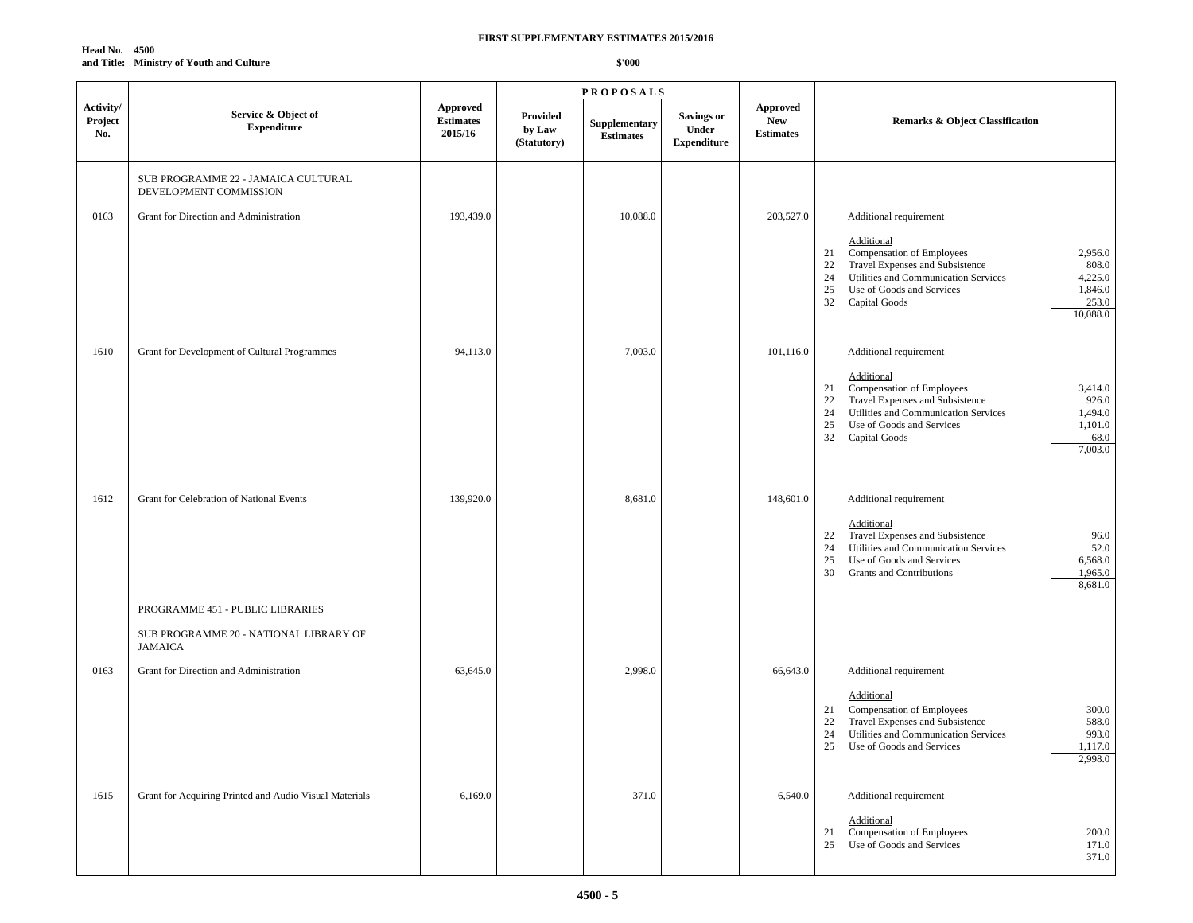| <b>Head No. 4500</b> |                                          |
|----------------------|------------------------------------------|
|                      | and Title: Ministry of Youth and Culture |

|                             |                                                                                              |                                                |                                   | <b>PROPOSALS</b>                  |                                                         |                                                   |                                                                                                                                                                                                                                                                                         |  |
|-----------------------------|----------------------------------------------------------------------------------------------|------------------------------------------------|-----------------------------------|-----------------------------------|---------------------------------------------------------|---------------------------------------------------|-----------------------------------------------------------------------------------------------------------------------------------------------------------------------------------------------------------------------------------------------------------------------------------------|--|
| Activity/<br>Project<br>No. | Service & Object of<br><b>Expenditure</b>                                                    | <b>Approved</b><br><b>Estimates</b><br>2015/16 | Provided<br>by Law<br>(Statutory) | Supplementary<br><b>Estimates</b> | <b>Savings or</b><br><b>Under</b><br><b>Expenditure</b> | <b>Approved</b><br><b>New</b><br><b>Estimates</b> | <b>Remarks &amp; Object Classification</b>                                                                                                                                                                                                                                              |  |
|                             | SUB PROGRAMME 22 - JAMAICA CULTURAL<br>DEVELOPMENT COMMISSION                                |                                                |                                   |                                   |                                                         |                                                   |                                                                                                                                                                                                                                                                                         |  |
| 0163                        | Grant for Direction and Administration                                                       | 193,439.0                                      |                                   | 10,088.0                          |                                                         | 203,527.0                                         | Additional requirement<br>Additional<br>Compensation of Employees<br>2,956.0<br>21<br>Travel Expenses and Subsistence<br>808.0<br>22<br>Utilities and Communication Services<br>4,225.0<br>24<br>1,846.0<br>25<br>Use of Goods and Services<br>253.0<br>32<br>Capital Goods<br>10,088.0 |  |
| 1610                        | Grant for Development of Cultural Programmes                                                 | 94,113.0                                       |                                   | 7,003.0                           |                                                         | 101,116.0                                         | Additional requirement<br>Additional<br>Compensation of Employees<br>3,414.0<br>21<br>Travel Expenses and Subsistence<br>926.0<br>22<br>24<br>Utilities and Communication Services<br>1,494.0<br>25<br>1,101.0<br>Use of Goods and Services<br>68.0<br>32<br>Capital Goods<br>7,003.0   |  |
| 1612                        | Grant for Celebration of National Events                                                     | 139,920.0                                      |                                   | 8,681.0                           |                                                         | 148,601.0                                         | Additional requirement<br>Additional<br>Travel Expenses and Subsistence<br>96.0<br>22<br>52.0<br>Utilities and Communication Services<br>24<br>6,568.0<br>25<br>Use of Goods and Services<br>1,965.0<br>30<br>Grants and Contributions<br>8,681.0                                       |  |
|                             | PROGRAMME 451 - PUBLIC LIBRARIES<br>SUB PROGRAMME 20 - NATIONAL LIBRARY OF<br><b>JAMAICA</b> |                                                |                                   |                                   |                                                         |                                                   |                                                                                                                                                                                                                                                                                         |  |
| 0163                        | Grant for Direction and Administration                                                       | 63,645.0                                       |                                   | 2,998.0                           |                                                         | 66,643.0                                          | Additional requirement<br>Additional<br>Compensation of Employees<br>300.0<br>21<br>Travel Expenses and Subsistence<br>588.0<br>22<br>993.0<br>24<br>Utilities and Communication Services<br>25<br>Use of Goods and Services<br>1,117.0<br>2,998.0                                      |  |
| 1615                        | Grant for Acquiring Printed and Audio Visual Materials                                       | 6,169.0                                        |                                   | 371.0                             |                                                         | 6,540.0                                           | Additional requirement<br>Additional<br>Compensation of Employees<br>200.0<br>21<br>Use of Goods and Services<br>25<br>171.0<br>371.0                                                                                                                                                   |  |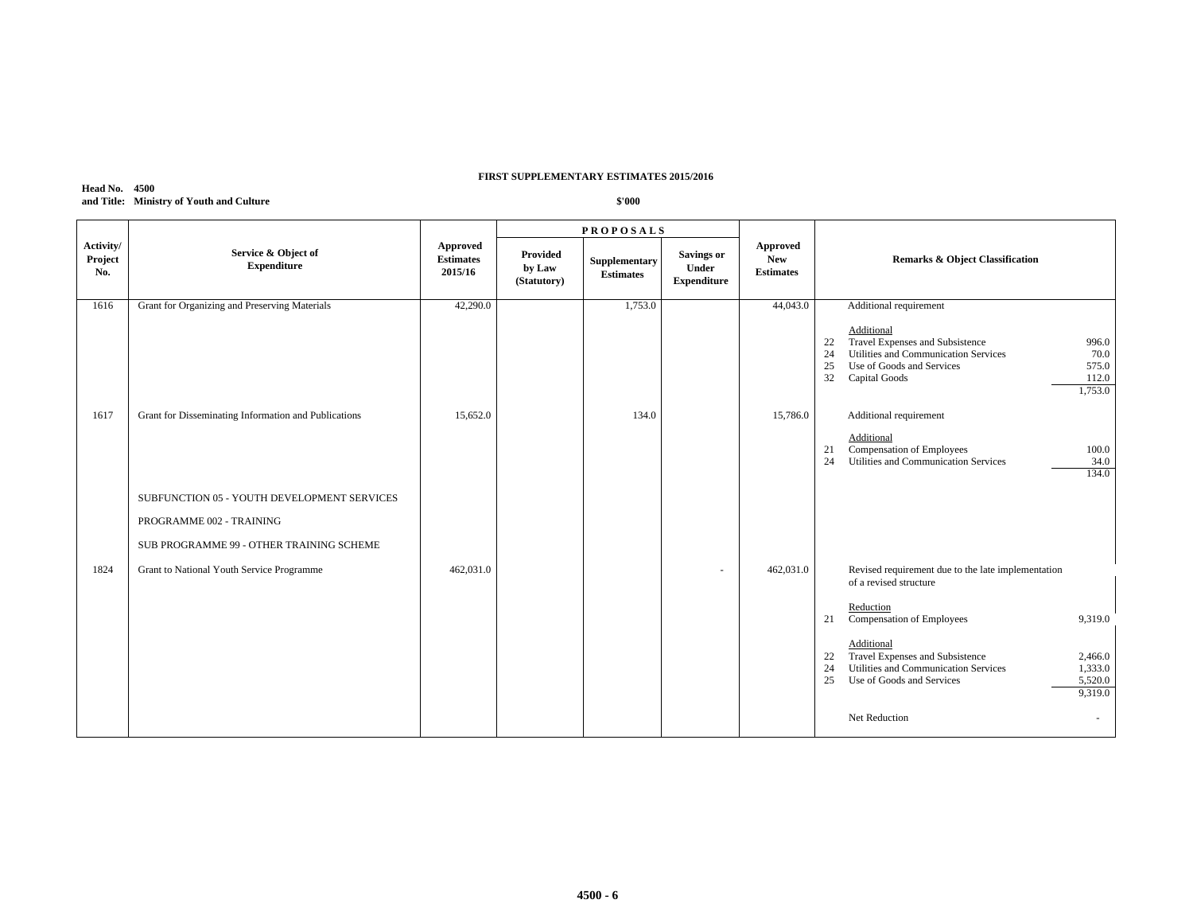#### **Head No. 4500 and Title: Ministry of Youth and Culture**

|                             |                                                      |                                         |                                   | <b>PROPOSALS</b>                  |                                                         |                                            |                                                                                                                                                                                                           |
|-----------------------------|------------------------------------------------------|-----------------------------------------|-----------------------------------|-----------------------------------|---------------------------------------------------------|--------------------------------------------|-----------------------------------------------------------------------------------------------------------------------------------------------------------------------------------------------------------|
| Activity/<br>Project<br>No. | Service & Object of<br><b>Expenditure</b>            | Approved<br><b>Estimates</b><br>2015/16 | Provided<br>by Law<br>(Statutory) | Supplementary<br><b>Estimates</b> | <b>Savings or</b><br><b>Under</b><br><b>Expenditure</b> | Approved<br><b>New</b><br><b>Estimates</b> | <b>Remarks &amp; Object Classification</b>                                                                                                                                                                |
| 1616                        | Grant for Organizing and Preserving Materials        | 42,290.0                                |                                   | 1,753.0                           |                                                         | 44,043.0                                   | Additional requirement                                                                                                                                                                                    |
|                             |                                                      |                                         |                                   |                                   |                                                         |                                            | Additional<br>Travel Expenses and Subsistence<br>22<br>996.0<br>Utilities and Communication Services<br>70.0<br>24<br>25<br>Use of Goods and Services<br>575.0<br>32<br>Capital Goods<br>112.0<br>1,753.0 |
| 1617                        | Grant for Disseminating Information and Publications | 15,652.0                                |                                   | 134.0                             |                                                         | 15,786.0                                   | Additional requirement                                                                                                                                                                                    |
|                             |                                                      |                                         |                                   |                                   |                                                         |                                            | Additional<br>Compensation of Employees<br>100.0<br>21<br>Utilities and Communication Services<br>24<br>34.0<br>134.0                                                                                     |
|                             | SUBFUNCTION 05 - YOUTH DEVELOPMENT SERVICES          |                                         |                                   |                                   |                                                         |                                            |                                                                                                                                                                                                           |
|                             | PROGRAMME 002 - TRAINING                             |                                         |                                   |                                   |                                                         |                                            |                                                                                                                                                                                                           |
|                             | SUB PROGRAMME 99 - OTHER TRAINING SCHEME             |                                         |                                   |                                   |                                                         |                                            |                                                                                                                                                                                                           |
| 1824                        | Grant to National Youth Service Programme            | 462,031.0                               |                                   |                                   |                                                         | 462,031.0                                  | Revised requirement due to the late implementation<br>of a revised structure                                                                                                                              |
|                             |                                                      |                                         |                                   |                                   |                                                         |                                            | Reduction<br>Compensation of Employees<br>9,319.0<br>21                                                                                                                                                   |
|                             |                                                      |                                         |                                   |                                   |                                                         |                                            | Additional<br>Travel Expenses and Subsistence<br>22<br>2,466.0<br>Utilities and Communication Services<br>24<br>1,333.0<br>25<br>Use of Goods and Services<br>5,520.0<br>9,319.0<br>Net Reduction         |
|                             |                                                      |                                         |                                   |                                   |                                                         |                                            |                                                                                                                                                                                                           |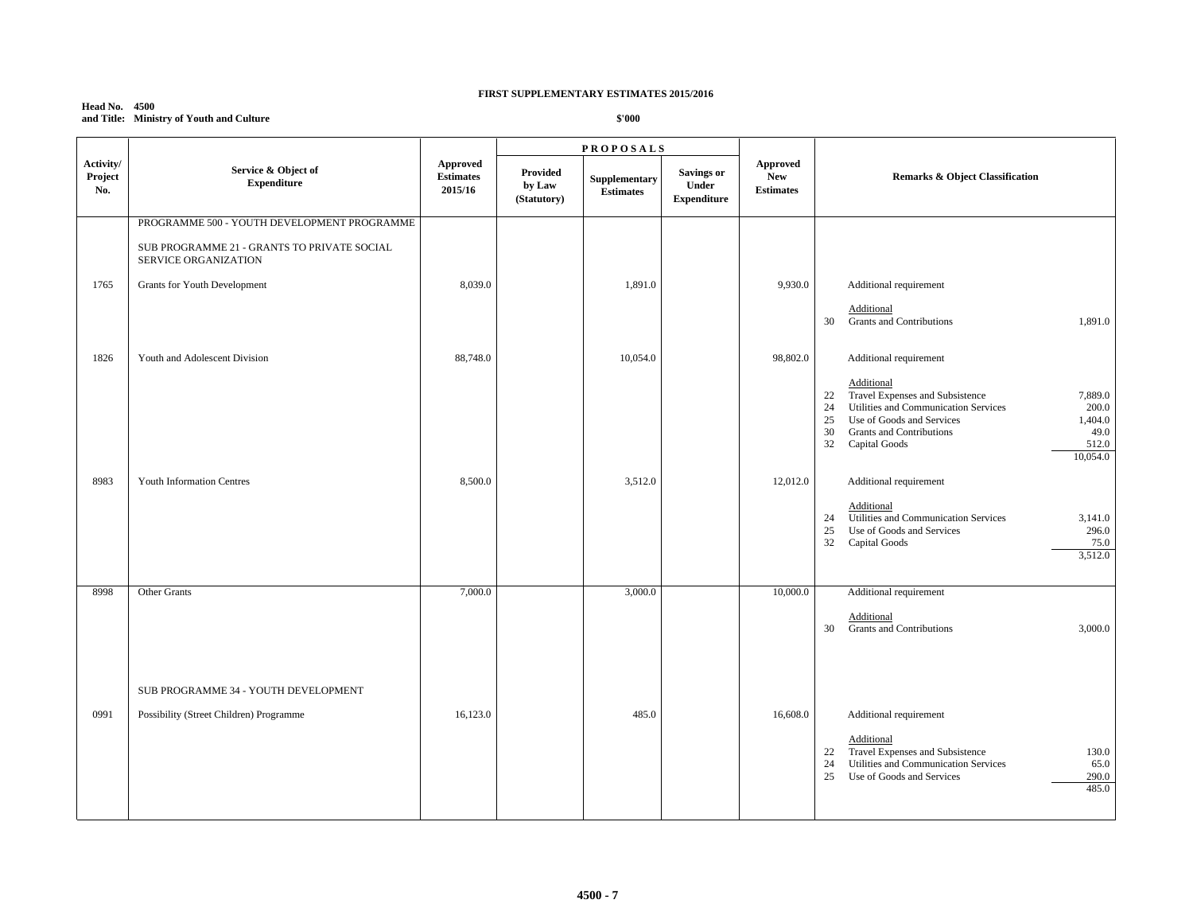#### **Head No. 4500 and Title: Ministry of Youth and Culture**

|                             |                                                                     | <b>PROPOSALS</b>                        |                                   |                                   |                                           |                                            |                                                                                                                                                                                                                                                                  |
|-----------------------------|---------------------------------------------------------------------|-----------------------------------------|-----------------------------------|-----------------------------------|-------------------------------------------|--------------------------------------------|------------------------------------------------------------------------------------------------------------------------------------------------------------------------------------------------------------------------------------------------------------------|
| Activity/<br>Project<br>No. | Service & Object of<br><b>Expenditure</b>                           | Approved<br><b>Estimates</b><br>2015/16 | Provided<br>by Law<br>(Statutory) | Supplementary<br><b>Estimates</b> | Savings or<br>Under<br><b>Expenditure</b> | Approved<br><b>New</b><br><b>Estimates</b> | <b>Remarks &amp; Object Classification</b>                                                                                                                                                                                                                       |
|                             | PROGRAMME 500 - YOUTH DEVELOPMENT PROGRAMME                         |                                         |                                   |                                   |                                           |                                            |                                                                                                                                                                                                                                                                  |
|                             | SUB PROGRAMME 21 - GRANTS TO PRIVATE SOCIAL<br>SERVICE ORGANIZATION |                                         |                                   |                                   |                                           |                                            |                                                                                                                                                                                                                                                                  |
| 1765                        | Grants for Youth Development                                        | 8,039.0                                 |                                   | 1,891.0                           |                                           | 9,930.0                                    | Additional requirement                                                                                                                                                                                                                                           |
|                             |                                                                     |                                         |                                   |                                   |                                           |                                            | Additional<br><b>Grants and Contributions</b><br>1,891.0<br>30                                                                                                                                                                                                   |
| 1826                        | Youth and Adolescent Division                                       | 88,748.0                                |                                   | 10,054.0                          |                                           | 98,802.0                                   | Additional requirement                                                                                                                                                                                                                                           |
|                             |                                                                     |                                         |                                   |                                   |                                           |                                            | Additional<br>Travel Expenses and Subsistence<br>7,889.0<br>22<br>24<br>Utilities and Communication Services<br>200.0<br>Use of Goods and Services<br>1,404.0<br>25<br>30<br><b>Grants and Contributions</b><br>49.0<br>512.0<br>32<br>Capital Goods<br>10,054.0 |
| 8983                        | <b>Youth Information Centres</b>                                    | 8,500.0                                 |                                   | 3,512.0                           |                                           | 12,012.0                                   | Additional requirement                                                                                                                                                                                                                                           |
|                             |                                                                     |                                         |                                   |                                   |                                           |                                            | Additional<br>Utilities and Communication Services<br>3,141.0<br>24<br>296.0<br>25<br>Use of Goods and Services<br>32<br>Capital Goods<br>75.0<br>3,512.0                                                                                                        |
| 8998                        | Other Grants                                                        | 7,000.0                                 |                                   | 3,000.0                           |                                           | 10,000.0                                   | Additional requirement                                                                                                                                                                                                                                           |
|                             |                                                                     |                                         |                                   |                                   |                                           |                                            | Additional<br><b>Grants and Contributions</b><br>30<br>3,000.0                                                                                                                                                                                                   |
|                             | SUB PROGRAMME 34 - YOUTH DEVELOPMENT                                |                                         |                                   |                                   |                                           |                                            |                                                                                                                                                                                                                                                                  |
| 0991                        | Possibility (Street Children) Programme                             | 16,123.0                                |                                   | 485.0                             |                                           | 16,608.0                                   | Additional requirement<br>Additional<br>Travel Expenses and Subsistence<br>130.0<br>22<br>Utilities and Communication Services<br>65.0<br>24<br>25<br>Use of Goods and Services<br>290.0<br>485.0                                                                |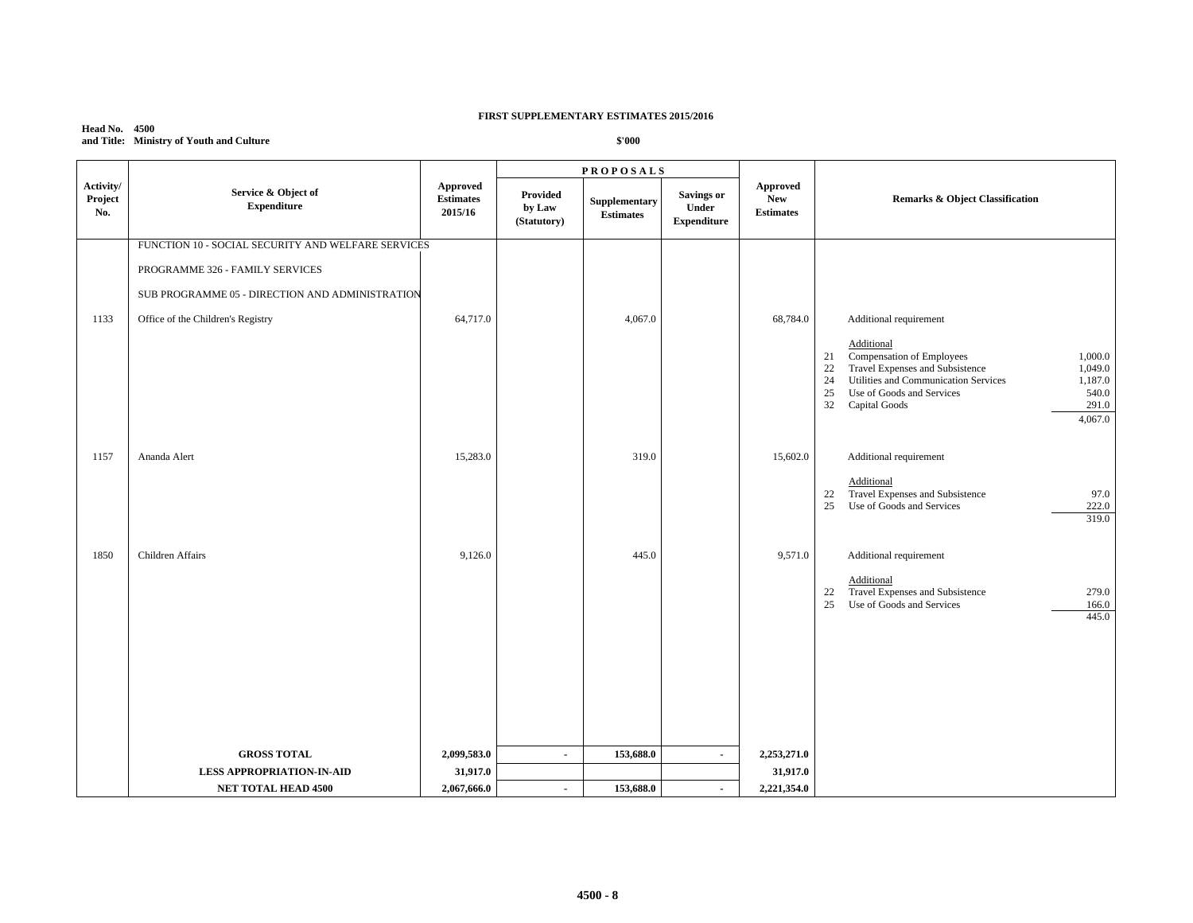#### **Head No. 4500 and Title: Ministry of Youth and Culture**

|                             |                                                    |                                                |                                   | <b>PROPOSALS</b>                  |                                                         |                                            |                                                                                                                                                                                                                                                              |  |
|-----------------------------|----------------------------------------------------|------------------------------------------------|-----------------------------------|-----------------------------------|---------------------------------------------------------|--------------------------------------------|--------------------------------------------------------------------------------------------------------------------------------------------------------------------------------------------------------------------------------------------------------------|--|
| Activity/<br>Project<br>No. | Service & Object of<br><b>Expenditure</b>          | <b>Approved</b><br><b>Estimates</b><br>2015/16 | Provided<br>by Law<br>(Statutory) | Supplementary<br><b>Estimates</b> | <b>Savings or</b><br><b>Under</b><br><b>Expenditure</b> | <b>Approved</b><br>New<br><b>Estimates</b> | Remarks & Object Classification                                                                                                                                                                                                                              |  |
|                             | FUNCTION 10 - SOCIAL SECURITY AND WELFARE SERVICES |                                                |                                   |                                   |                                                         |                                            |                                                                                                                                                                                                                                                              |  |
|                             | PROGRAMME 326 - FAMILY SERVICES                    |                                                |                                   |                                   |                                                         |                                            |                                                                                                                                                                                                                                                              |  |
|                             | SUB PROGRAMME 05 - DIRECTION AND ADMINISTRATION    |                                                |                                   |                                   |                                                         |                                            |                                                                                                                                                                                                                                                              |  |
| 1133                        | Office of the Children's Registry                  | 64,717.0                                       |                                   | 4,067.0                           |                                                         | 68,784.0                                   | Additional requirement                                                                                                                                                                                                                                       |  |
|                             |                                                    |                                                |                                   |                                   |                                                         |                                            | Additional<br>Compensation of Employees<br>1,000.0<br>21<br>Travel Expenses and Subsistence<br>22<br>1,049.0<br>Utilities and Communication Services<br>1,187.0<br>24<br>25<br>Use of Goods and Services<br>540.0<br>32<br>Capital Goods<br>291.0<br>4,067.0 |  |
| 1157                        | Ananda Alert                                       | 15,283.0                                       |                                   | 319.0                             |                                                         | 15,602.0                                   | Additional requirement                                                                                                                                                                                                                                       |  |
|                             |                                                    |                                                |                                   |                                   |                                                         |                                            | Additional<br>Travel Expenses and Subsistence<br>97.0<br>22<br>25<br>Use of Goods and Services<br>222.0<br>319.0                                                                                                                                             |  |
| 1850                        | <b>Children Affairs</b>                            | 9,126.0                                        |                                   | 445.0                             |                                                         | 9,571.0                                    | Additional requirement                                                                                                                                                                                                                                       |  |
|                             |                                                    |                                                |                                   |                                   |                                                         |                                            | Additional<br>Travel Expenses and Subsistence<br>279.0<br>22<br>25<br>Use of Goods and Services<br>166.0<br>445.0                                                                                                                                            |  |
|                             |                                                    |                                                |                                   |                                   |                                                         |                                            |                                                                                                                                                                                                                                                              |  |
|                             |                                                    |                                                |                                   |                                   |                                                         |                                            |                                                                                                                                                                                                                                                              |  |
|                             |                                                    |                                                |                                   |                                   |                                                         |                                            |                                                                                                                                                                                                                                                              |  |
|                             | <b>GROSS TOTAL</b>                                 | 2,099,583.0                                    | $\blacksquare$                    | 153,688.0                         | $\sim$                                                  | 2,253,271.0                                |                                                                                                                                                                                                                                                              |  |
|                             | <b>LESS APPROPRIATION-IN-AID</b>                   | 31,917.0                                       |                                   |                                   |                                                         | 31,917.0                                   |                                                                                                                                                                                                                                                              |  |
|                             | <b>NET TOTAL HEAD 4500</b>                         | 2,067,666.0                                    | $\sim$                            | 153,688.0                         |                                                         | 2,221,354.0                                |                                                                                                                                                                                                                                                              |  |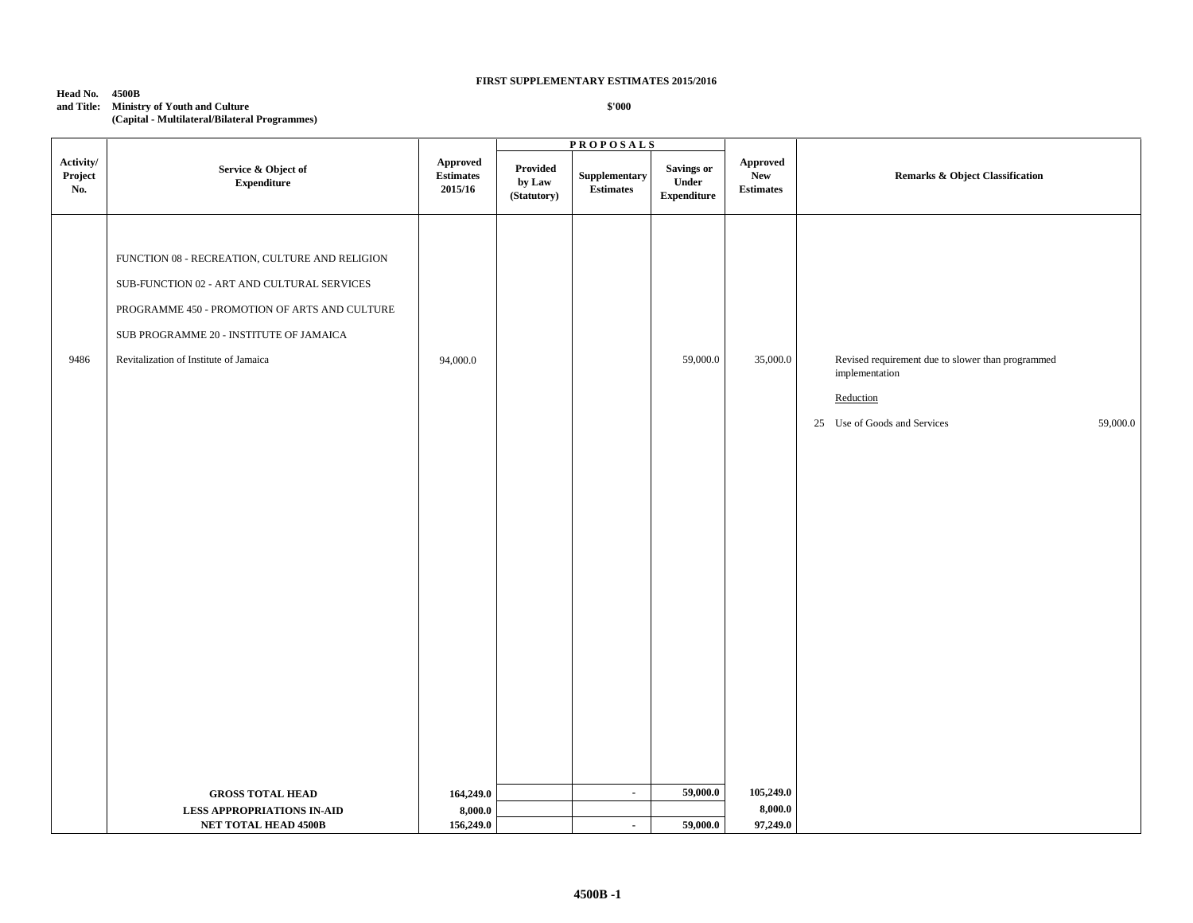## **Head No. 4500B and Title: Ministry of Youth and Culture**

**(Capital - Multilateral/Bilateral Programmes)**

|                             |                                                                                                                                                                                                                                     |                                         |                                   | <b>PROPOSALS</b>                                 |                                                          |                                                            |                                                                                                                              |
|-----------------------------|-------------------------------------------------------------------------------------------------------------------------------------------------------------------------------------------------------------------------------------|-----------------------------------------|-----------------------------------|--------------------------------------------------|----------------------------------------------------------|------------------------------------------------------------|------------------------------------------------------------------------------------------------------------------------------|
| Activity/<br>Project<br>No. | Service & Object of<br><b>Expenditure</b>                                                                                                                                                                                           | Approved<br><b>Estimates</b><br>2015/16 | Provided<br>by Law<br>(Statutory) | ${\large \bf Supplementary}$<br><b>Estimates</b> | <b>Savings or</b><br>${\bf Under}$<br><b>Expenditure</b> | ${\Large {\bf\large Appendix}}$<br>New<br><b>Estimates</b> | Remarks & Object Classification                                                                                              |
| 9486                        | FUNCTION 08 - RECREATION, CULTURE AND RELIGION<br>SUB-FUNCTION 02 - ART AND CULTURAL SERVICES<br>PROGRAMME 450 - PROMOTION OF ARTS AND CULTURE<br>SUB PROGRAMME 20 - INSTITUTE OF JAMAICA<br>Revitalization of Institute of Jamaica | 94,000.0                                |                                   |                                                  | 59,000.0                                                 | 35,000.0                                                   | Revised requirement due to slower than programmed<br>implementation<br>Reduction<br>25 Use of Goods and Services<br>59,000.0 |
|                             | <b>GROSS TOTAL HEAD</b>                                                                                                                                                                                                             | 164,249.0                               |                                   | $\sim$                                           | 59,000.0                                                 | 105,249.0                                                  |                                                                                                                              |
|                             | LESS APPROPRIATIONS IN-AID<br><b>NET TOTAL HEAD 4500B</b>                                                                                                                                                                           | 8,000.0<br>156,249.0                    |                                   | $\sim$                                           | 59,000.0                                                 | 8,000.0<br>97,249.0                                        |                                                                                                                              |
|                             |                                                                                                                                                                                                                                     |                                         |                                   |                                                  |                                                          |                                                            |                                                                                                                              |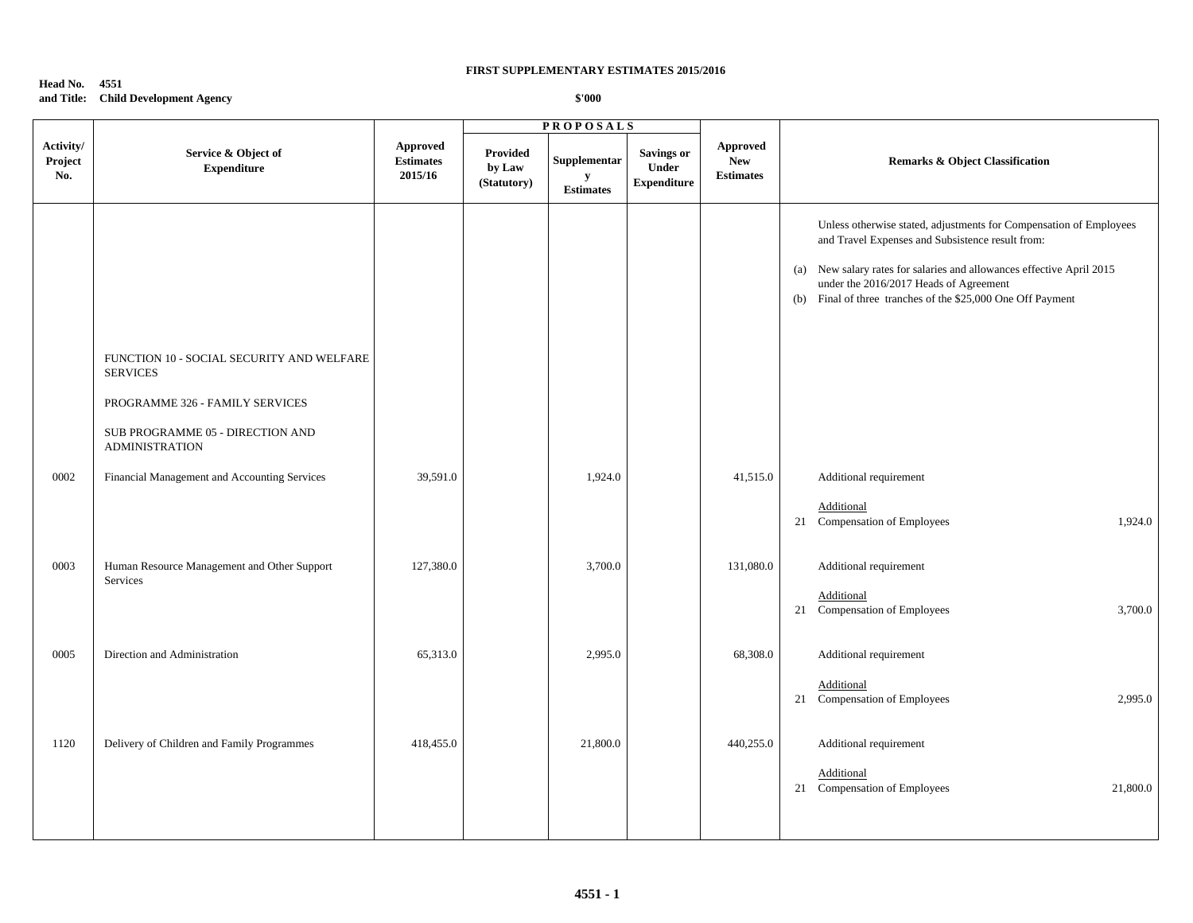## **Head No. 4551 and Title: Child Development Agency**

|                             |                                                              |                                         | <b>PROPOSALS</b>                         |                                       |                                                  |                                            |                                                                                                                                                                                                                                                                                                          |
|-----------------------------|--------------------------------------------------------------|-----------------------------------------|------------------------------------------|---------------------------------------|--------------------------------------------------|--------------------------------------------|----------------------------------------------------------------------------------------------------------------------------------------------------------------------------------------------------------------------------------------------------------------------------------------------------------|
| Activity/<br>Project<br>No. | Service & Object of<br><b>Expenditure</b>                    | Approved<br><b>Estimates</b><br>2015/16 | <b>Provided</b><br>by Law<br>(Statutory) | Supplementar<br>y<br><b>Estimates</b> | <b>Savings or</b><br>Under<br><b>Expenditure</b> | Approved<br><b>New</b><br><b>Estimates</b> | <b>Remarks &amp; Object Classification</b>                                                                                                                                                                                                                                                               |
|                             |                                                              |                                         |                                          |                                       |                                                  |                                            | Unless otherwise stated, adjustments for Compensation of Employees<br>and Travel Expenses and Subsistence result from:<br>(a) New salary rates for salaries and allowances effective April 2015<br>under the 2016/2017 Heads of Agreement<br>(b) Final of three tranches of the \$25,000 One Off Payment |
|                             | FUNCTION 10 - SOCIAL SECURITY AND WELFARE<br><b>SERVICES</b> |                                         |                                          |                                       |                                                  |                                            |                                                                                                                                                                                                                                                                                                          |
|                             | PROGRAMME 326 - FAMILY SERVICES                              |                                         |                                          |                                       |                                                  |                                            |                                                                                                                                                                                                                                                                                                          |
|                             | SUB PROGRAMME 05 - DIRECTION AND<br><b>ADMINISTRATION</b>    |                                         |                                          |                                       |                                                  |                                            |                                                                                                                                                                                                                                                                                                          |
| 0002                        | Financial Management and Accounting Services                 | 39,591.0                                |                                          | 1,924.0                               |                                                  | 41,515.0                                   | Additional requirement                                                                                                                                                                                                                                                                                   |
|                             |                                                              |                                         |                                          |                                       |                                                  |                                            | Additional<br>21 Compensation of Employees<br>1,924.0                                                                                                                                                                                                                                                    |
| 0003                        | Human Resource Management and Other Support                  | 127,380.0                               |                                          | 3,700.0                               |                                                  | 131,080.0                                  | Additional requirement                                                                                                                                                                                                                                                                                   |
|                             | Services                                                     |                                         |                                          |                                       |                                                  |                                            | Additional<br>21 Compensation of Employees<br>3,700.0                                                                                                                                                                                                                                                    |
| 0005                        | Direction and Administration                                 | 65,313.0                                |                                          | 2,995.0                               |                                                  | 68,308.0                                   | Additional requirement                                                                                                                                                                                                                                                                                   |
|                             |                                                              |                                         |                                          |                                       |                                                  |                                            | Additional<br>2,995.0<br>21 Compensation of Employees                                                                                                                                                                                                                                                    |
| 1120                        | Delivery of Children and Family Programmes                   | 418,455.0                               |                                          | 21,800.0                              |                                                  | 440,255.0                                  | Additional requirement                                                                                                                                                                                                                                                                                   |
|                             |                                                              |                                         |                                          |                                       |                                                  |                                            | Additional<br>21 Compensation of Employees<br>21,800.0                                                                                                                                                                                                                                                   |
|                             |                                                              |                                         |                                          |                                       |                                                  |                                            |                                                                                                                                                                                                                                                                                                          |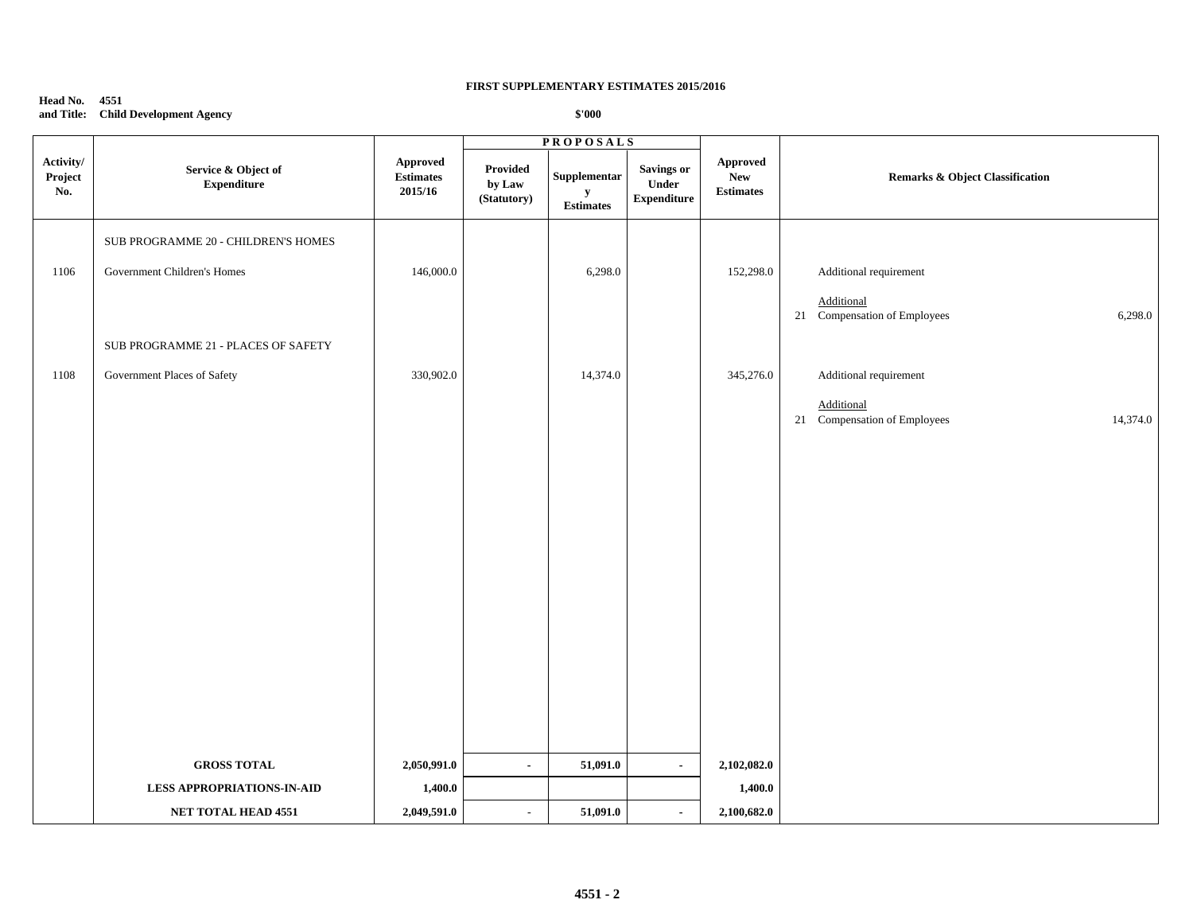## **Head No. 4551 and Title: Child Development Agency**

|                             |                                           |                                                                 |                                   | <b>PROPOSALS</b>                              |                                           |                                             |                                                              |  |
|-----------------------------|-------------------------------------------|-----------------------------------------------------------------|-----------------------------------|-----------------------------------------------|-------------------------------------------|---------------------------------------------|--------------------------------------------------------------|--|
| Activity/<br>Project<br>No. | Service & Object of<br><b>Expenditure</b> | Approved<br>$\label{p:estimates} \textbf{Estimates}$<br>2015/16 | Provided<br>by Law<br>(Statutory) | Supplementar<br>${\bf y}$<br><b>Estimates</b> | Savings or<br>Under<br><b>Expenditure</b> | Approved<br>${\bf New}$<br><b>Estimates</b> | <b>Remarks &amp; Object Classification</b>                   |  |
|                             | SUB PROGRAMME 20 - CHILDREN'S HOMES       |                                                                 |                                   |                                               |                                           |                                             |                                                              |  |
| 1106                        | Government Children's Homes               | 146,000.0                                                       |                                   | 6,298.0                                       |                                           | 152,298.0                                   | Additional requirement                                       |  |
|                             |                                           |                                                                 |                                   |                                               |                                           |                                             | <b>Additional</b><br>21 Compensation of Employees<br>6,298.0 |  |
|                             | SUB PROGRAMME 21 - PLACES OF SAFETY       |                                                                 |                                   |                                               |                                           |                                             |                                                              |  |
| 1108                        | Government Places of Safety               | 330,902.0                                                       |                                   | 14,374.0                                      |                                           | 345,276.0                                   | Additional requirement                                       |  |
|                             |                                           |                                                                 |                                   |                                               |                                           |                                             | Additional<br>21 Compensation of Employees<br>14,374.0       |  |
|                             |                                           |                                                                 |                                   |                                               |                                           |                                             |                                                              |  |
|                             |                                           |                                                                 |                                   |                                               |                                           |                                             |                                                              |  |
|                             |                                           |                                                                 |                                   |                                               |                                           |                                             |                                                              |  |
|                             |                                           |                                                                 |                                   |                                               |                                           |                                             |                                                              |  |
|                             |                                           |                                                                 |                                   |                                               |                                           |                                             |                                                              |  |
|                             |                                           |                                                                 |                                   |                                               |                                           |                                             |                                                              |  |
|                             |                                           |                                                                 |                                   |                                               |                                           |                                             |                                                              |  |
|                             |                                           |                                                                 |                                   |                                               |                                           |                                             |                                                              |  |
|                             |                                           |                                                                 |                                   |                                               |                                           |                                             |                                                              |  |
|                             | <b>GROSS TOTAL</b>                        | 2,050,991.0                                                     | $\blacksquare$                    | 51,091.0                                      | $\blacksquare$                            | 2,102,082.0                                 |                                                              |  |
|                             | <b>LESS APPROPRIATIONS-IN-AID</b>         | 1,400.0                                                         |                                   |                                               |                                           | 1,400.0                                     |                                                              |  |
|                             | NET TOTAL HEAD 4551                       | 2,049,591.0                                                     | $\overline{\phantom{a}}$          | 51,091.0                                      | $\blacksquare$                            | 2,100,682.0                                 |                                                              |  |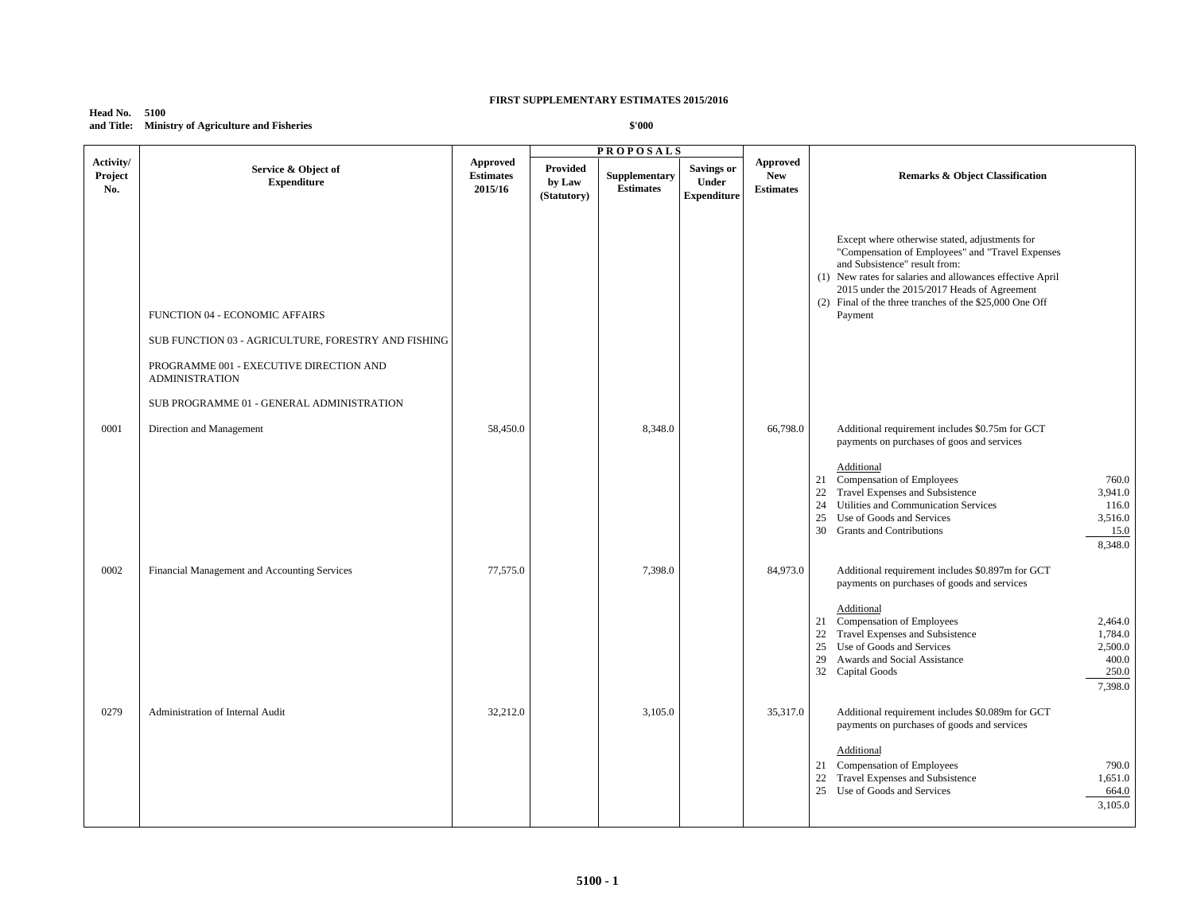#### **Head No. 5100 and Title: Ministry of Agriculture and Fisheries**

|                             |                                                                                                                                                           |                                                |                                   | <b>PROPOSALS</b>                  |                                                  |                                            |                                                                                                                                                                                                                                                                                                                       |
|-----------------------------|-----------------------------------------------------------------------------------------------------------------------------------------------------------|------------------------------------------------|-----------------------------------|-----------------------------------|--------------------------------------------------|--------------------------------------------|-----------------------------------------------------------------------------------------------------------------------------------------------------------------------------------------------------------------------------------------------------------------------------------------------------------------------|
| Activity/<br>Project<br>No. | Service & Object of<br><b>Expenditure</b>                                                                                                                 | <b>Approved</b><br><b>Estimates</b><br>2015/16 | Provided<br>by Law<br>(Statutory) | Supplementary<br><b>Estimates</b> | <b>Savings or</b><br>Under<br><b>Expenditure</b> | Approved<br><b>New</b><br><b>Estimates</b> | <b>Remarks &amp; Object Classification</b>                                                                                                                                                                                                                                                                            |
|                             | FUNCTION 04 - ECONOMIC AFFAIRS<br>SUB FUNCTION 03 - AGRICULTURE, FORESTRY AND FISHING<br>PROGRAMME 001 - EXECUTIVE DIRECTION AND<br><b>ADMINISTRATION</b> |                                                |                                   |                                   |                                                  |                                            | Except where otherwise stated, adjustments for<br>"Compensation of Employees" and "Travel Expenses<br>and Subsistence" result from:<br>(1) New rates for salaries and allowances effective April<br>2015 under the 2015/2017 Heads of Agreement<br>(2) Final of the three tranches of the \$25,000 One Off<br>Payment |
|                             | SUB PROGRAMME 01 - GENERAL ADMINISTRATION                                                                                                                 |                                                |                                   |                                   |                                                  |                                            |                                                                                                                                                                                                                                                                                                                       |
| 0001                        | Direction and Management                                                                                                                                  | 58,450.0                                       |                                   | 8,348.0                           |                                                  | 66,798.0                                   | Additional requirement includes \$0.75m for GCT<br>payments on purchases of goos and services<br>Additional<br>Compensation of Employees<br>760.0<br>21                                                                                                                                                               |
|                             |                                                                                                                                                           |                                                |                                   |                                   |                                                  |                                            | Travel Expenses and Subsistence<br>22<br>3,941.0<br>24<br>Utilities and Communication Services<br>116.0<br>25<br>Use of Goods and Services<br>3,516.0<br>30 Grants and Contributions<br>15.0<br>8,348.0                                                                                                               |
| 0002                        | Financial Management and Accounting Services                                                                                                              | 77,575.0                                       |                                   | 7,398.0                           |                                                  | 84,973.0                                   | Additional requirement includes \$0.897m for GCT<br>payments on purchases of goods and services                                                                                                                                                                                                                       |
|                             |                                                                                                                                                           |                                                |                                   |                                   |                                                  |                                            | Additional<br>21 Compensation of Employees<br>2,464.0<br>Travel Expenses and Subsistence<br>1,784.0<br>22<br>25 Use of Goods and Services<br>2,500.0<br>400.0<br>29<br>Awards and Social Assistance<br>250.0<br>32 Capital Goods<br>7,398.0                                                                           |
| 0279                        | Administration of Internal Audit                                                                                                                          | 32,212.0                                       |                                   | 3,105.0                           |                                                  | 35,317.0                                   | Additional requirement includes \$0.089m for GCT<br>payments on purchases of goods and services                                                                                                                                                                                                                       |
|                             |                                                                                                                                                           |                                                |                                   |                                   |                                                  |                                            | Additional<br>21 Compensation of Employees<br>790.0<br>Travel Expenses and Subsistence<br>1,651.0<br>22<br>25 Use of Goods and Services<br>664.0<br>3,105.0                                                                                                                                                           |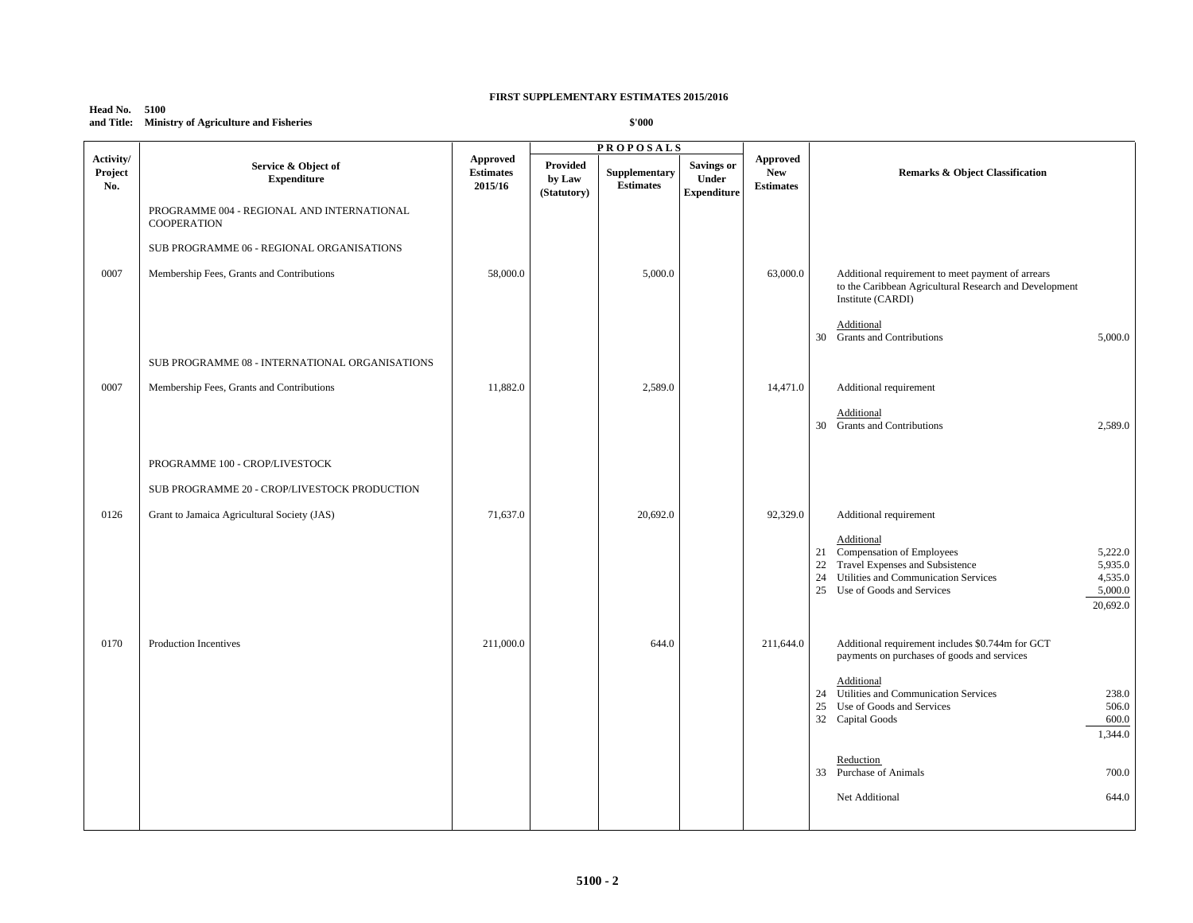#### **Head No. 5100 and Title: Ministry of Agriculture and Fisheries**

|                             |                                                                  |                                         |                                   | <b>PROPOSALS</b>                  |                                           |                                                   |                                                                                                                                                                                                                           |
|-----------------------------|------------------------------------------------------------------|-----------------------------------------|-----------------------------------|-----------------------------------|-------------------------------------------|---------------------------------------------------|---------------------------------------------------------------------------------------------------------------------------------------------------------------------------------------------------------------------------|
| Activity/<br>Project<br>No. | Service & Object of<br><b>Expenditure</b>                        | Approved<br><b>Estimates</b><br>2015/16 | Provided<br>by Law<br>(Statutory) | Supplementary<br><b>Estimates</b> | Savings or<br>Under<br><b>Expenditure</b> | <b>Approved</b><br><b>New</b><br><b>Estimates</b> | Remarks & Object Classification                                                                                                                                                                                           |
|                             | PROGRAMME 004 - REGIONAL AND INTERNATIONAL<br><b>COOPERATION</b> |                                         |                                   |                                   |                                           |                                                   |                                                                                                                                                                                                                           |
|                             | SUB PROGRAMME 06 - REGIONAL ORGANISATIONS                        |                                         |                                   |                                   |                                           |                                                   |                                                                                                                                                                                                                           |
| 0007                        | Membership Fees, Grants and Contributions                        | 58,000.0                                |                                   | 5,000.0                           |                                           | 63,000.0                                          | Additional requirement to meet payment of arrears<br>to the Caribbean Agricultural Research and Development<br>Institute (CARDI)                                                                                          |
|                             |                                                                  |                                         |                                   |                                   |                                           |                                                   | Additional<br>30 Grants and Contributions<br>5,000.0                                                                                                                                                                      |
|                             | SUB PROGRAMME 08 - INTERNATIONAL ORGANISATIONS                   |                                         |                                   |                                   |                                           |                                                   |                                                                                                                                                                                                                           |
| 0007                        | Membership Fees, Grants and Contributions                        | 11,882.0                                |                                   | 2,589.0                           |                                           | 14,471.0                                          | Additional requirement                                                                                                                                                                                                    |
|                             |                                                                  |                                         |                                   |                                   |                                           |                                                   | Additional<br>30 Grants and Contributions<br>2,589.0                                                                                                                                                                      |
|                             | PROGRAMME 100 - CROP/LIVESTOCK                                   |                                         |                                   |                                   |                                           |                                                   |                                                                                                                                                                                                                           |
|                             | SUB PROGRAMME 20 - CROP/LIVESTOCK PRODUCTION                     |                                         |                                   |                                   |                                           |                                                   |                                                                                                                                                                                                                           |
| 0126                        | Grant to Jamaica Agricultural Society (JAS)                      | 71,637.0                                |                                   | 20,692.0                          |                                           | 92,329.0                                          | Additional requirement                                                                                                                                                                                                    |
|                             |                                                                  |                                         |                                   |                                   |                                           |                                                   | Additional<br>21 Compensation of Employees<br>5,222.0<br>Travel Expenses and Subsistence<br>22<br>5,935.0<br>24<br>Utilities and Communication Services<br>4,535.0<br>25 Use of Goods and Services<br>5,000.0<br>20,692.0 |
| 0170                        | Production Incentives                                            | 211,000.0                               |                                   | 644.0                             |                                           | 211,644.0                                         | Additional requirement includes \$0.744m for GCT<br>payments on purchases of goods and services                                                                                                                           |
|                             |                                                                  |                                         |                                   |                                   |                                           |                                                   | Additional<br>24 Utilities and Communication Services<br>238.0<br>25<br>Use of Goods and Services<br>506.0<br>32 Capital Goods<br>600.0<br>1,344.0                                                                        |
|                             |                                                                  |                                         |                                   |                                   |                                           |                                                   | Reduction<br>33 Purchase of Animals<br>700.0                                                                                                                                                                              |
|                             |                                                                  |                                         |                                   |                                   |                                           |                                                   | Net Additional<br>644.0                                                                                                                                                                                                   |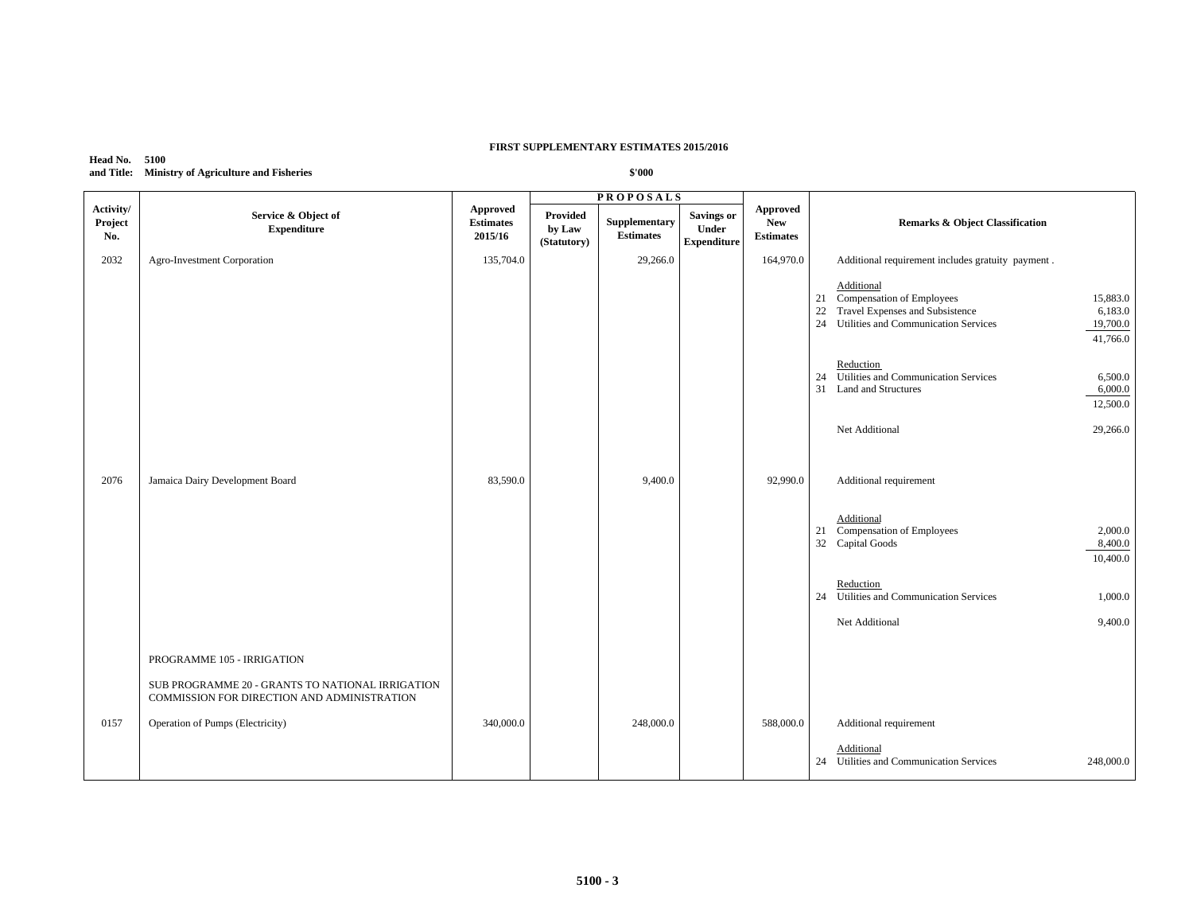## **Head No. 5100 and Title: Ministry of Agriculture and Fisheries**

|                             |                                                                                                 |                                         |                                   | <b>PROPOSALS</b>                 |                                           |                                                   |                                                                                                                                                                                  |
|-----------------------------|-------------------------------------------------------------------------------------------------|-----------------------------------------|-----------------------------------|----------------------------------|-------------------------------------------|---------------------------------------------------|----------------------------------------------------------------------------------------------------------------------------------------------------------------------------------|
| Activity/<br>Project<br>No. | Service & Object of<br><b>Expenditure</b>                                                       | Approved<br><b>Estimates</b><br>2015/16 | Provided<br>by Law<br>(Statutory) | Supplementary<br>$\bf Estimates$ | Savings or<br>Under<br><b>Expenditure</b> | <b>Approved</b><br><b>New</b><br><b>Estimates</b> | <b>Remarks &amp; Object Classification</b>                                                                                                                                       |
| 2032                        | Agro-Investment Corporation                                                                     | 135,704.0                               |                                   | 29,266.0                         |                                           | 164,970.0                                         | Additional requirement includes gratuity payment.                                                                                                                                |
|                             |                                                                                                 |                                         |                                   |                                  |                                           |                                                   | Additional<br>21 Compensation of Employees<br>15,883.0<br>Travel Expenses and Subsistence<br>22<br>6,183.0<br>Utilities and Communication Services<br>24<br>19,700.0<br>41,766.0 |
|                             |                                                                                                 |                                         |                                   |                                  |                                           |                                                   | Reduction<br>24 Utilities and Communication Services<br>6,500.0<br>31 Land and Structures<br>6,000.0<br>12,500.0                                                                 |
|                             |                                                                                                 |                                         |                                   |                                  |                                           |                                                   | Net Additional<br>29,266.0                                                                                                                                                       |
| 2076                        | Jamaica Dairy Development Board                                                                 | 83,590.0                                |                                   | 9,400.0                          |                                           | 92,990.0                                          | Additional requirement<br>Additional<br>21 Compensation of Employees<br>2,000.0<br>32 Capital Goods<br>8,400.0<br>10,400.0                                                       |
|                             |                                                                                                 |                                         |                                   |                                  |                                           |                                                   | Reduction<br>24 Utilities and Communication Services<br>1,000.0<br>9,400.0<br>Net Additional                                                                                     |
|                             | PROGRAMME 105 - IRRIGATION                                                                      |                                         |                                   |                                  |                                           |                                                   |                                                                                                                                                                                  |
|                             | SUB PROGRAMME 20 - GRANTS TO NATIONAL IRRIGATION<br>COMMISSION FOR DIRECTION AND ADMINISTRATION |                                         |                                   |                                  |                                           |                                                   |                                                                                                                                                                                  |
| 0157                        | Operation of Pumps (Electricity)                                                                | 340,000.0                               |                                   | 248,000.0                        |                                           | 588,000.0                                         | Additional requirement                                                                                                                                                           |
|                             |                                                                                                 |                                         |                                   |                                  |                                           |                                                   | Additional<br>24 Utilities and Communication Services<br>248,000.0                                                                                                               |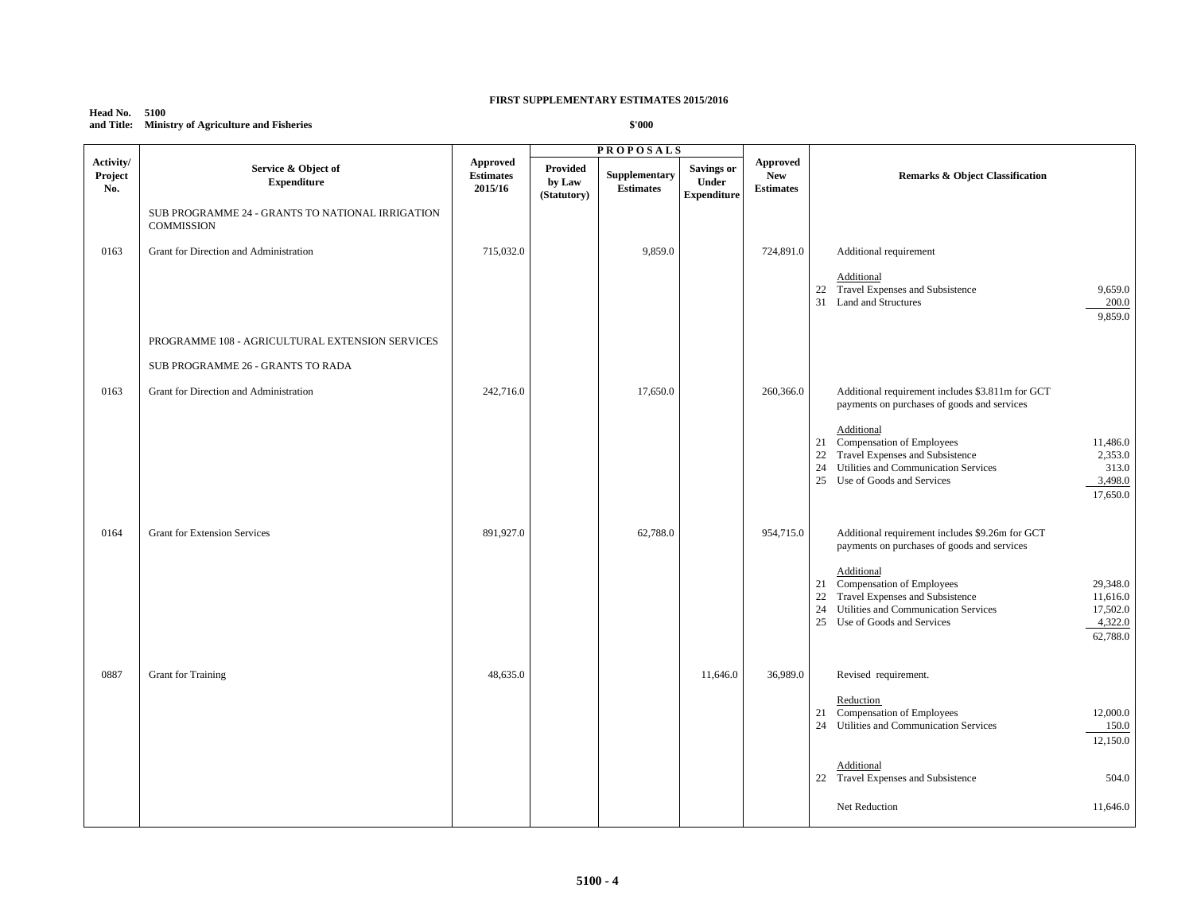#### **Head No. 5100 and Title: Ministry of Agriculture and Fisheries**

| Provided<br>Supplementary<br>by Law<br><b>Estimates</b><br>(Statutory)<br>9,859.0<br>17,650.0 | <b>Approved</b><br><b>Savings or</b><br><b>New</b><br>Under<br><b>Estimates</b><br><b>Expenditure</b><br>724,891.0<br>260,366.0 | <b>Remarks &amp; Object Classification</b><br>Additional requirement<br>Additional<br>22 Travel Expenses and Subsistence<br>9,659.0<br>31<br><b>Land and Structures</b><br>200.0<br>9,859.0<br>Additional requirement includes \$3.811m for GCT<br>payments on purchases of goods and services<br>Additional                   |
|-----------------------------------------------------------------------------------------------|---------------------------------------------------------------------------------------------------------------------------------|--------------------------------------------------------------------------------------------------------------------------------------------------------------------------------------------------------------------------------------------------------------------------------------------------------------------------------|
|                                                                                               |                                                                                                                                 |                                                                                                                                                                                                                                                                                                                                |
|                                                                                               |                                                                                                                                 |                                                                                                                                                                                                                                                                                                                                |
|                                                                                               |                                                                                                                                 |                                                                                                                                                                                                                                                                                                                                |
|                                                                                               |                                                                                                                                 |                                                                                                                                                                                                                                                                                                                                |
|                                                                                               |                                                                                                                                 | Compensation of Employees<br>11,486.0<br>21<br>Travel Expenses and Subsistence<br>22<br>2,353.0<br>24<br>Utilities and Communication Services<br>313.0<br>25 Use of Goods and Services<br>3,498.0<br>17,650.0                                                                                                                  |
| 62,788.0                                                                                      | 954,715.0                                                                                                                       | Additional requirement includes \$9.26m for GCT<br>payments on purchases of goods and services<br>Additional<br>21 Compensation of Employees<br>29,348.0<br>Travel Expenses and Subsistence<br>22<br>11,616.0<br>24<br>Utilities and Communication Services<br>17,502.0<br>25 Use of Goods and Services<br>4,322.0<br>62,788.0 |
|                                                                                               | 11,646.0                                                                                                                        | Revised requirement.<br>Reduction<br>Compensation of Employees<br>12,000.0<br>21<br>Utilities and Communication Services<br>24<br>150.0<br>12,150.0<br>Additional<br>22 Travel Expenses and Subsistence<br>504.0<br>11,646.0<br>Net Reduction                                                                                  |
|                                                                                               |                                                                                                                                 | 36,989.0                                                                                                                                                                                                                                                                                                                       |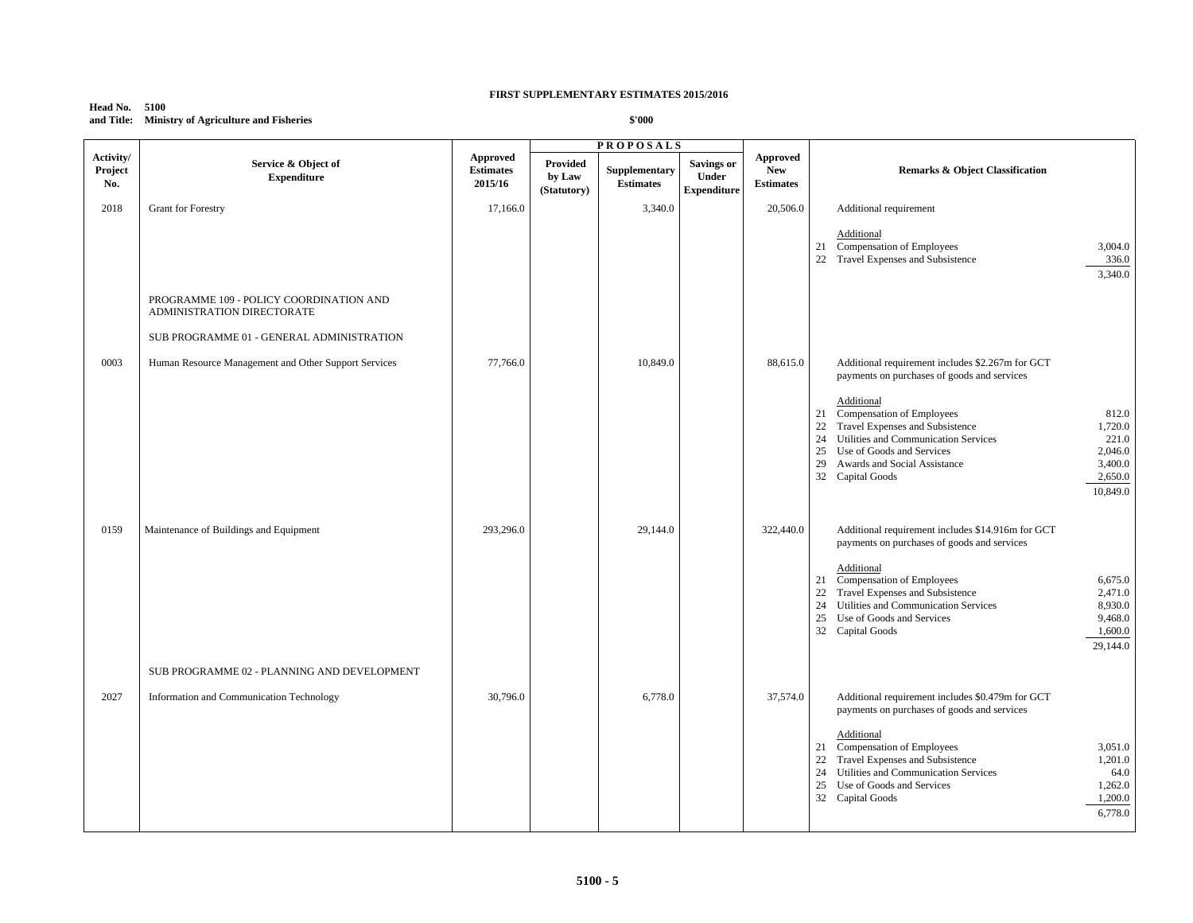## **Head No. 5100 and Title: Ministry of Agriculture and Fisheries**

|                             |                                                                       |                                         |                                   | <b>PROPOSALS</b>                  |                                                         |                                            |                                                                                                                                                                                                                                                                                         |
|-----------------------------|-----------------------------------------------------------------------|-----------------------------------------|-----------------------------------|-----------------------------------|---------------------------------------------------------|--------------------------------------------|-----------------------------------------------------------------------------------------------------------------------------------------------------------------------------------------------------------------------------------------------------------------------------------------|
| Activity/<br>Project<br>No. | Service & Object of<br><b>Expenditure</b>                             | Approved<br><b>Estimates</b><br>2015/16 | Provided<br>by Law<br>(Statutory) | Supplementary<br><b>Estimates</b> | <b>Savings or</b><br><b>Under</b><br><b>Expenditure</b> | Approved<br><b>New</b><br><b>Estimates</b> | <b>Remarks &amp; Object Classification</b>                                                                                                                                                                                                                                              |
| 2018                        | <b>Grant for Forestry</b>                                             | 17,166.0                                |                                   | 3,340.0                           |                                                         | 20,506.0                                   | Additional requirement                                                                                                                                                                                                                                                                  |
|                             |                                                                       |                                         |                                   |                                   |                                                         |                                            | Additional<br>21 Compensation of Employees<br>3,004.0<br>22 Travel Expenses and Subsistence<br>336.0<br>3,340.0                                                                                                                                                                         |
|                             | PROGRAMME 109 - POLICY COORDINATION AND<br>ADMINISTRATION DIRECTORATE |                                         |                                   |                                   |                                                         |                                            |                                                                                                                                                                                                                                                                                         |
|                             | SUB PROGRAMME 01 - GENERAL ADMINISTRATION                             |                                         |                                   |                                   |                                                         |                                            |                                                                                                                                                                                                                                                                                         |
| 0003                        | Human Resource Management and Other Support Services                  | 77,766.0                                |                                   | 10,849.0                          |                                                         | 88.615.0                                   | Additional requirement includes \$2.267m for GCT<br>payments on purchases of goods and services<br>Additional                                                                                                                                                                           |
|                             |                                                                       |                                         |                                   |                                   |                                                         |                                            | 21 Compensation of Employees<br>812.0<br>Travel Expenses and Subsistence<br>1,720.0<br>22<br>24 Utilities and Communication Services<br>221.0<br>Use of Goods and Services<br>2,046.0<br>25<br>29<br>Awards and Social Assistance<br>3,400.0<br>2,650.0<br>32 Capital Goods<br>10,849.0 |
| 0159                        | Maintenance of Buildings and Equipment                                | 293,296.0                               |                                   | 29,144.0                          |                                                         | 322,440.0                                  | Additional requirement includes \$14.916m for GCT<br>payments on purchases of goods and services                                                                                                                                                                                        |
|                             |                                                                       |                                         |                                   |                                   |                                                         |                                            | Additional<br>21 Compensation of Employees<br>6,675.0<br>Travel Expenses and Subsistence<br>22<br>2,471.0<br>24<br>Utilities and Communication Services<br>8,930.0<br>25<br>Use of Goods and Services<br>9,468.0<br>32 Capital Goods<br>1,600.0<br>29,144.0                             |
|                             | SUB PROGRAMME 02 - PLANNING AND DEVELOPMENT                           |                                         |                                   |                                   |                                                         |                                            |                                                                                                                                                                                                                                                                                         |
| 2027                        | Information and Communication Technology                              | 30,796.0                                |                                   | 6,778.0                           |                                                         | 37,574.0                                   | Additional requirement includes \$0.479m for GCT<br>payments on purchases of goods and services<br>Additional<br>21 Compensation of Employees<br>3,051.0                                                                                                                                |
|                             |                                                                       |                                         |                                   |                                   |                                                         |                                            | Travel Expenses and Subsistence<br>22<br>1,201.0<br>Utilities and Communication Services<br>24<br>64.0<br>Use of Goods and Services<br>1,262.0<br>25<br>32 Capital Goods<br>1,200.0<br>6,778.0                                                                                          |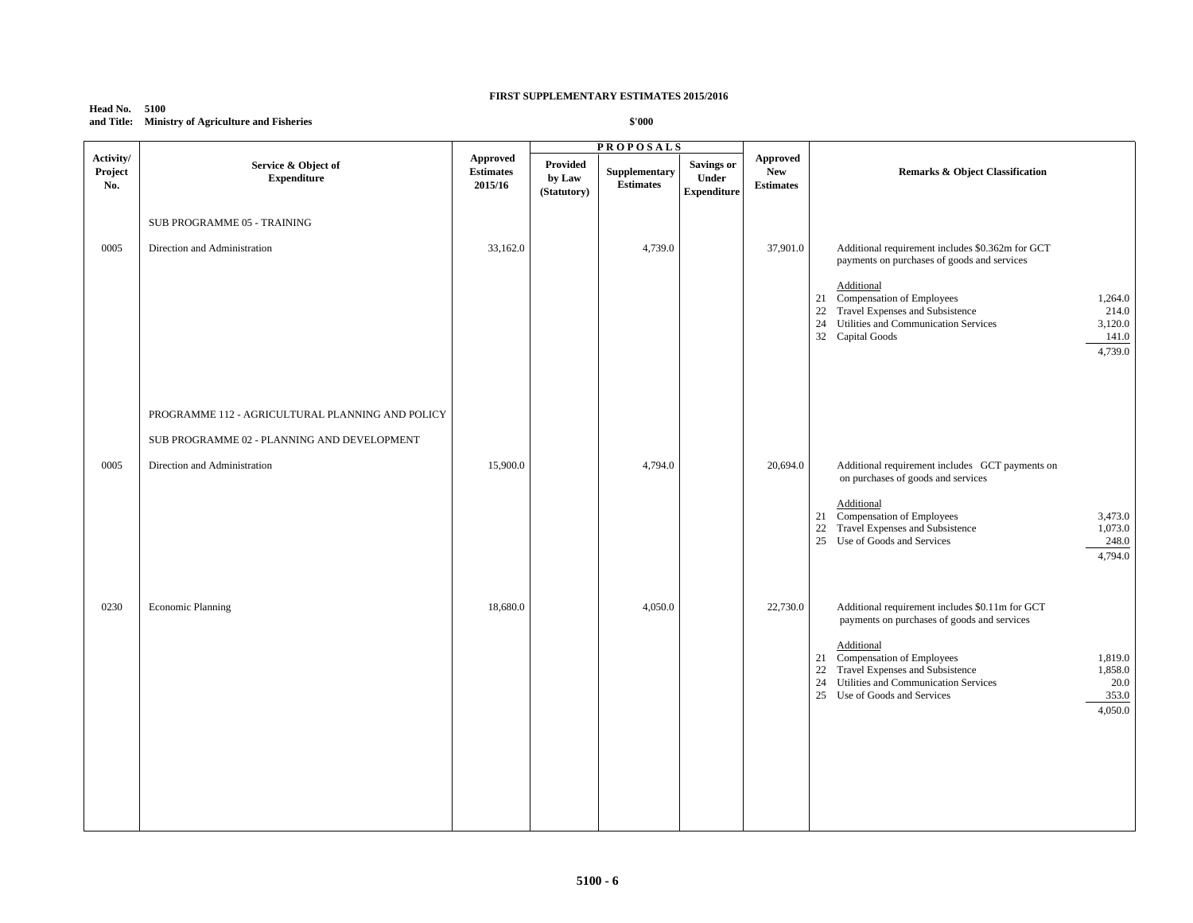## **Head No. 5100 and Title: Ministry of Agriculture and Fisheries**

|                             |                                                  |                                         |                                   | <b>PROPOSALS</b>                  |                                           |                                                   |                                                                                                                                                                                                                     |
|-----------------------------|--------------------------------------------------|-----------------------------------------|-----------------------------------|-----------------------------------|-------------------------------------------|---------------------------------------------------|---------------------------------------------------------------------------------------------------------------------------------------------------------------------------------------------------------------------|
| Activity/<br>Project<br>No. | Service & Object of<br><b>Expenditure</b>        | Approved<br><b>Estimates</b><br>2015/16 | Provided<br>by Law<br>(Statutory) | Supplementary<br><b>Estimates</b> | Savings or<br>Under<br><b>Expenditure</b> | <b>Approved</b><br><b>New</b><br><b>Estimates</b> | <b>Remarks &amp; Object Classification</b>                                                                                                                                                                          |
|                             | SUB PROGRAMME 05 - TRAINING                      |                                         |                                   |                                   |                                           |                                                   |                                                                                                                                                                                                                     |
| 0005                        | Direction and Administration                     | 33,162.0                                |                                   | 4,739.0                           |                                           | 37,901.0                                          | Additional requirement includes \$0.362m for GCT<br>payments on purchases of goods and services<br>Additional                                                                                                       |
|                             |                                                  |                                         |                                   |                                   |                                           |                                                   | 21 Compensation of Employees<br>1,264.0<br>22 Travel Expenses and Subsistence<br>214.0<br>Utilities and Communication Services<br>24<br>3,120.0<br>32 Capital Goods<br>141.0<br>4,739.0                             |
|                             | PROGRAMME 112 - AGRICULTURAL PLANNING AND POLICY |                                         |                                   |                                   |                                           |                                                   |                                                                                                                                                                                                                     |
|                             | SUB PROGRAMME 02 - PLANNING AND DEVELOPMENT      |                                         |                                   |                                   |                                           |                                                   |                                                                                                                                                                                                                     |
| 0005                        | Direction and Administration                     | 15,900.0                                |                                   | 4,794.0                           |                                           | 20,694.0                                          | Additional requirement includes GCT payments on<br>on purchases of goods and services                                                                                                                               |
|                             |                                                  |                                         |                                   |                                   |                                           |                                                   | Additional<br>Compensation of Employees<br>3,473.0<br>21<br>Travel Expenses and Subsistence<br>1,073.0<br>22<br>25 Use of Goods and Services<br>248.0<br>4,794.0                                                    |
| 0230                        | <b>Economic Planning</b>                         | 18,680.0                                |                                   | 4,050.0                           |                                           | 22,730.0                                          | Additional requirement includes \$0.11m for GCT<br>payments on purchases of goods and services                                                                                                                      |
|                             |                                                  |                                         |                                   |                                   |                                           |                                                   | Additional<br>21 Compensation of Employees<br>1,819.0<br>Travel Expenses and Subsistence<br>22<br>1,858.0<br>Utilities and Communication Services<br>24<br>20.0<br>353.0<br>25 Use of Goods and Services<br>4,050.0 |
|                             |                                                  |                                         |                                   |                                   |                                           |                                                   |                                                                                                                                                                                                                     |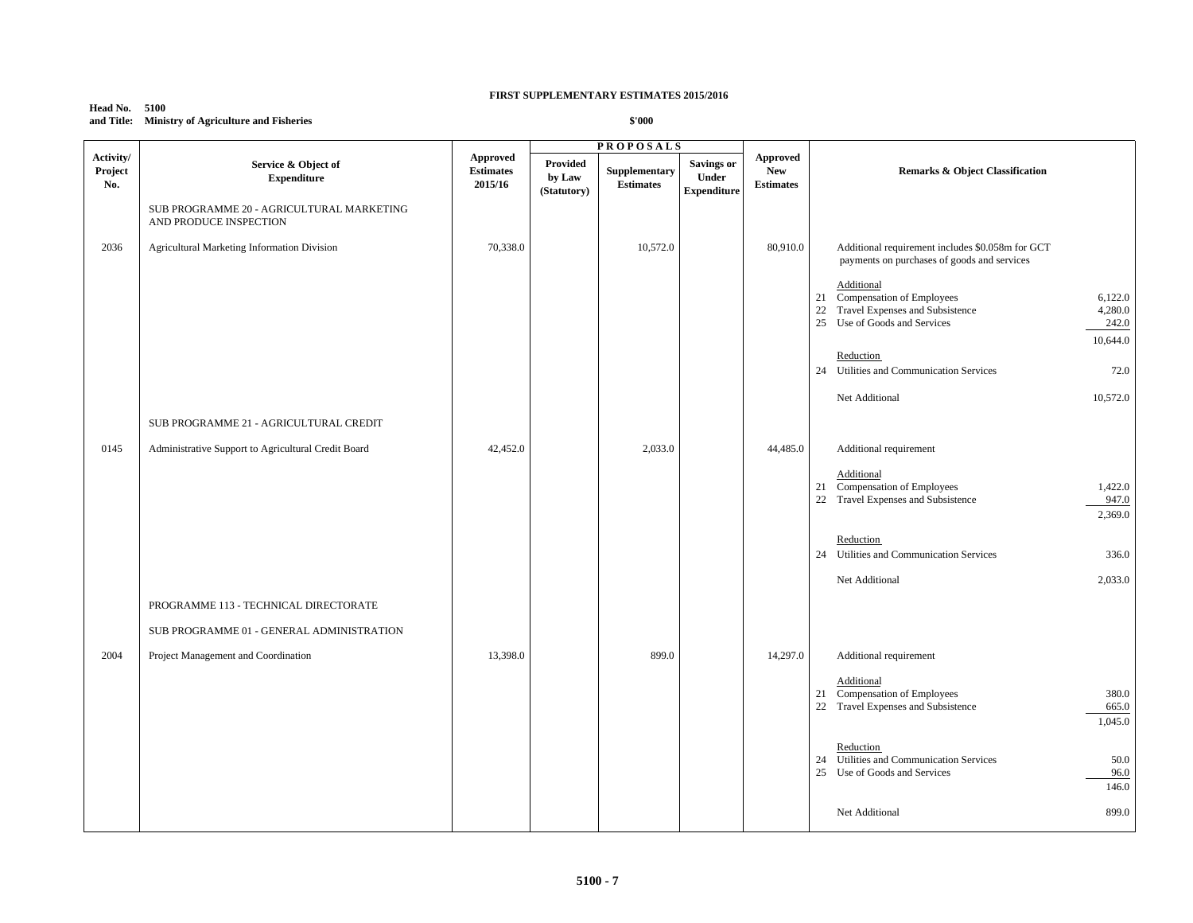## **Head No. 5100 and Title: Ministry of Agriculture and Fisheries**

|                             |                                                                     |                                                |                                          | <b>PROPOSALS</b>                  |                                                  |                                                   |                                                                                                                                                                |
|-----------------------------|---------------------------------------------------------------------|------------------------------------------------|------------------------------------------|-----------------------------------|--------------------------------------------------|---------------------------------------------------|----------------------------------------------------------------------------------------------------------------------------------------------------------------|
| Activity/<br>Project<br>No. | Service & Object of<br><b>Expenditure</b>                           | <b>Approved</b><br><b>Estimates</b><br>2015/16 | <b>Provided</b><br>by Law<br>(Statutory) | Supplementary<br><b>Estimates</b> | <b>Savings or</b><br>Under<br><b>Expenditure</b> | <b>Approved</b><br><b>New</b><br><b>Estimates</b> | <b>Remarks &amp; Object Classification</b>                                                                                                                     |
|                             | SUB PROGRAMME 20 - AGRICULTURAL MARKETING<br>AND PRODUCE INSPECTION |                                                |                                          |                                   |                                                  |                                                   |                                                                                                                                                                |
| 2036                        | <b>Agricultural Marketing Information Division</b>                  | 70,338.0                                       |                                          | 10,572.0                          |                                                  | 80,910.0                                          | Additional requirement includes \$0.058m for GCT<br>payments on purchases of goods and services                                                                |
|                             |                                                                     |                                                |                                          |                                   |                                                  |                                                   | Additional<br>21 Compensation of Employees<br>6,122.0<br>Travel Expenses and Subsistence<br>4,280.0<br>22<br>25 Use of Goods and Services<br>242.0<br>10,644.0 |
|                             |                                                                     |                                                |                                          |                                   |                                                  |                                                   | Reduction<br>24 Utilities and Communication Services<br>72.0                                                                                                   |
|                             |                                                                     |                                                |                                          |                                   |                                                  |                                                   | 10,572.0<br>Net Additional                                                                                                                                     |
|                             | SUB PROGRAMME 21 - AGRICULTURAL CREDIT                              |                                                |                                          |                                   |                                                  |                                                   |                                                                                                                                                                |
| 0145                        | Administrative Support to Agricultural Credit Board                 | 42,452.0                                       |                                          | 2,033.0                           |                                                  | 44,485.0                                          | Additional requirement                                                                                                                                         |
|                             |                                                                     |                                                |                                          |                                   |                                                  |                                                   | Additional<br>21 Compensation of Employees<br>1,422.0<br>22 Travel Expenses and Subsistence<br>947.0<br>2,369.0                                                |
|                             |                                                                     |                                                |                                          |                                   |                                                  |                                                   | Reduction<br>24 Utilities and Communication Services<br>336.0                                                                                                  |
|                             |                                                                     |                                                |                                          |                                   |                                                  |                                                   | 2,033.0<br>Net Additional                                                                                                                                      |
|                             | PROGRAMME 113 - TECHNICAL DIRECTORATE                               |                                                |                                          |                                   |                                                  |                                                   |                                                                                                                                                                |
|                             | SUB PROGRAMME 01 - GENERAL ADMINISTRATION                           |                                                |                                          |                                   |                                                  |                                                   |                                                                                                                                                                |
| 2004                        | Project Management and Coordination                                 | 13,398.0                                       |                                          | 899.0                             |                                                  | 14,297.0                                          | Additional requirement                                                                                                                                         |
|                             |                                                                     |                                                |                                          |                                   |                                                  |                                                   | Additional<br>21 Compensation of Employees<br>380.0<br>22 Travel Expenses and Subsistence<br>665.0<br>1,045.0                                                  |
|                             |                                                                     |                                                |                                          |                                   |                                                  |                                                   | Reduction<br>24 Utilities and Communication Services<br>50.0<br>25 Use of Goods and Services<br>96.0<br>146.0                                                  |
|                             |                                                                     |                                                |                                          |                                   |                                                  |                                                   | 899.0<br>Net Additional                                                                                                                                        |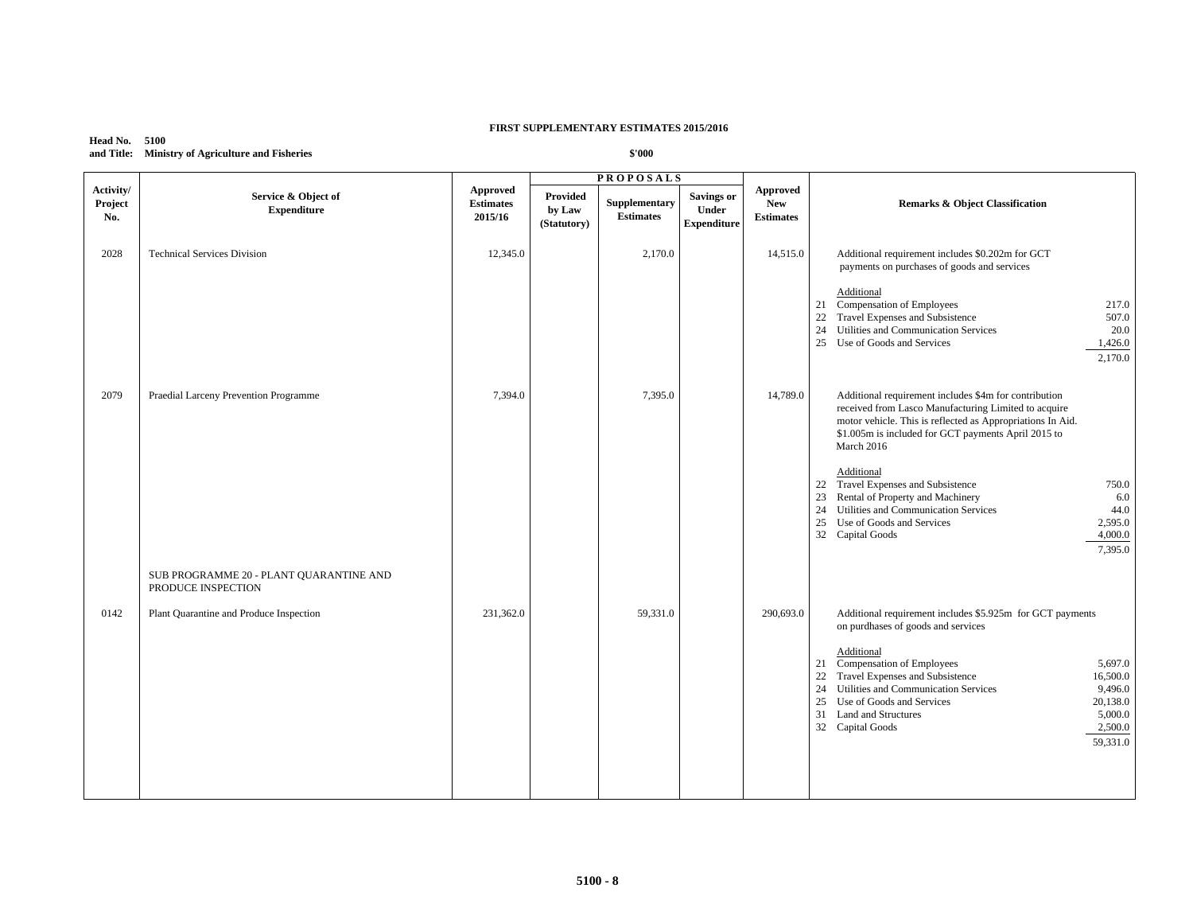## **Head No. 5100 and Title: Ministry of Agriculture and Fisheries**

|                             |                                                               |                                         |                                   | <b>PROPOSALS</b>                  |                                                  |                                                   |                                                                                                                                                                                                                                                                                                                 |
|-----------------------------|---------------------------------------------------------------|-----------------------------------------|-----------------------------------|-----------------------------------|--------------------------------------------------|---------------------------------------------------|-----------------------------------------------------------------------------------------------------------------------------------------------------------------------------------------------------------------------------------------------------------------------------------------------------------------|
| Activity/<br>Project<br>No. | Service & Object of<br><b>Expenditure</b>                     | Approved<br><b>Estimates</b><br>2015/16 | Provided<br>by Law<br>(Statutory) | Supplementary<br><b>Estimates</b> | <b>Savings or</b><br>Under<br><b>Expenditure</b> | <b>Approved</b><br><b>New</b><br><b>Estimates</b> | <b>Remarks &amp; Object Classification</b>                                                                                                                                                                                                                                                                      |
| 2028                        | <b>Technical Services Division</b>                            | 12,345.0                                |                                   | 2,170.0                           |                                                  | 14,515.0                                          | Additional requirement includes \$0.202m for GCT<br>payments on purchases of goods and services                                                                                                                                                                                                                 |
|                             |                                                               |                                         |                                   |                                   |                                                  |                                                   | Additional<br>Compensation of Employees<br>21<br>217.0<br>22<br>Travel Expenses and Subsistence<br>507.0<br>Utilities and Communication Services<br>24<br>20.0<br>25 Use of Goods and Services<br>1,426.0<br>2,170.0                                                                                            |
| 2079                        | Praedial Larceny Prevention Programme                         | 7.394.0                                 |                                   | 7.395.0                           |                                                  | 14,789.0                                          | Additional requirement includes \$4m for contribution<br>received from Lasco Manufacturing Limited to acquire<br>motor vehicle. This is reflected as Appropriations In Aid.<br>\$1.005m is included for GCT payments April 2015 to<br>March 2016                                                                |
|                             |                                                               |                                         |                                   |                                   |                                                  |                                                   | Additional<br>22 Travel Expenses and Subsistence<br>750.0<br>23<br>Rental of Property and Machinery<br>6.0<br>24 Utilities and Communication Services<br>44.0<br>Use of Goods and Services<br>25<br>2,595.0<br>32 Capital Goods<br>4,000.0<br>7,395.0                                                           |
|                             | SUB PROGRAMME 20 - PLANT QUARANTINE AND<br>PRODUCE INSPECTION |                                         |                                   |                                   |                                                  |                                                   |                                                                                                                                                                                                                                                                                                                 |
| 0142                        | Plant Quarantine and Produce Inspection                       | 231,362.0                               |                                   | 59,331.0                          |                                                  | 290,693.0                                         | Additional requirement includes \$5.925m for GCT payments<br>on purdhases of goods and services                                                                                                                                                                                                                 |
|                             |                                                               |                                         |                                   |                                   |                                                  |                                                   | Additional<br>Compensation of Employees<br>21<br>5,697.0<br>Travel Expenses and Subsistence<br>22<br>16,500.0<br>Utilities and Communication Services<br>24<br>9,496.0<br>25<br>Use of Goods and Services<br>20,138.0<br>31<br><b>Land and Structures</b><br>5,000.0<br>2,500.0<br>32 Capital Goods<br>59,331.0 |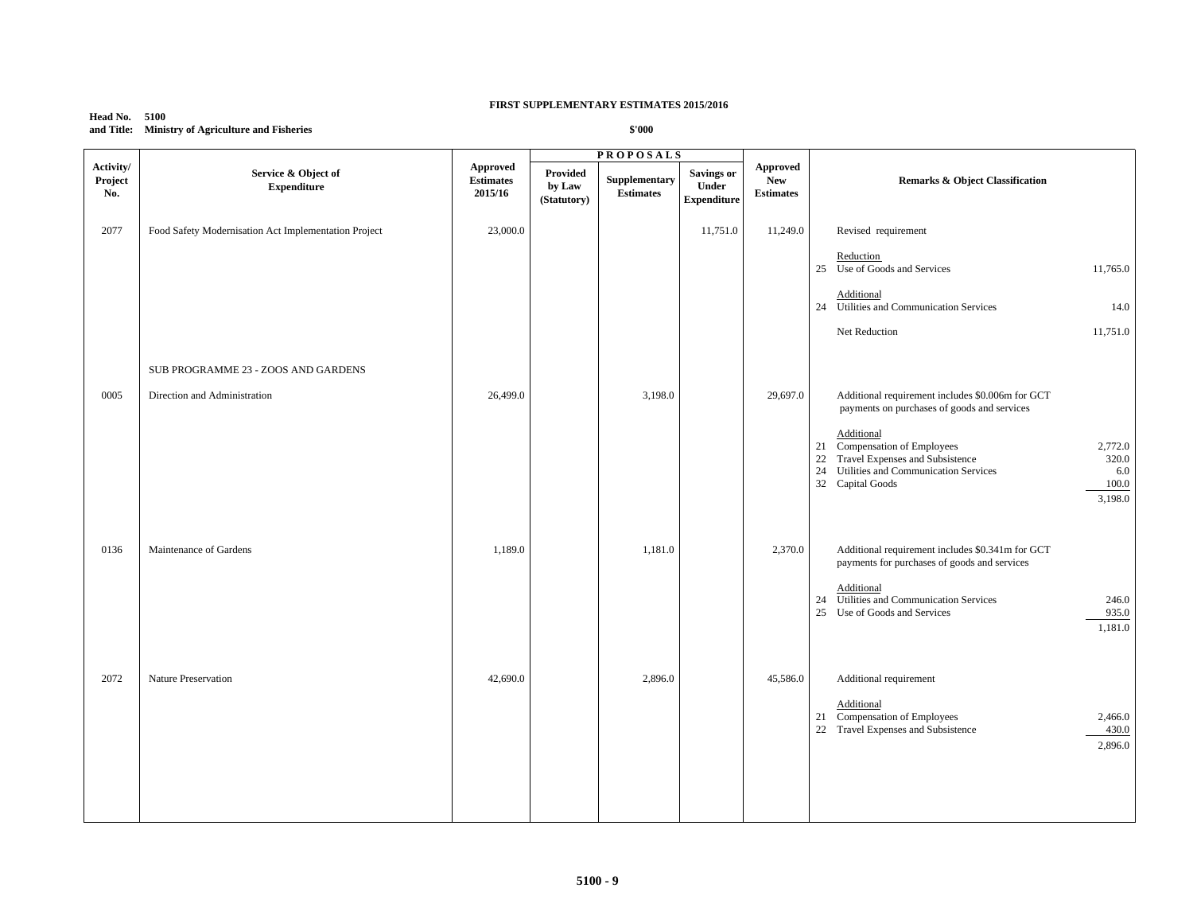## **Head No. 5100 and Title: Ministry of Agriculture and Fisheries**

|                             |                                                      |                                         |                                   | <b>PROPOSALS</b>                  |                                                  |                                                   |                                                                                                                                                                                        |
|-----------------------------|------------------------------------------------------|-----------------------------------------|-----------------------------------|-----------------------------------|--------------------------------------------------|---------------------------------------------------|----------------------------------------------------------------------------------------------------------------------------------------------------------------------------------------|
| Activity/<br>Project<br>No. | Service & Object of<br><b>Expenditure</b>            | Approved<br><b>Estimates</b><br>2015/16 | Provided<br>by Law<br>(Statutory) | Supplementary<br><b>Estimates</b> | <b>Savings or</b><br>Under<br><b>Expenditure</b> | <b>Approved</b><br><b>New</b><br><b>Estimates</b> | Remarks & Object Classification                                                                                                                                                        |
| 2077                        | Food Safety Modernisation Act Implementation Project | 23,000.0                                |                                   |                                   | 11,751.0                                         | 11,249.0                                          | Revised requirement                                                                                                                                                                    |
|                             |                                                      |                                         |                                   |                                   |                                                  |                                                   | Reduction<br>25 Use of Goods and Services<br>11,765.0                                                                                                                                  |
|                             |                                                      |                                         |                                   |                                   |                                                  |                                                   | Additional<br>24 Utilities and Communication Services<br>14.0                                                                                                                          |
|                             |                                                      |                                         |                                   |                                   |                                                  |                                                   | Net Reduction<br>11,751.0                                                                                                                                                              |
|                             | SUB PROGRAMME 23 - ZOOS AND GARDENS                  |                                         |                                   |                                   |                                                  |                                                   |                                                                                                                                                                                        |
| 0005                        | Direction and Administration                         | 26,499.0                                |                                   | 3,198.0                           |                                                  | 29,697.0                                          | Additional requirement includes \$0.006m for GCT<br>payments on purchases of goods and services<br>Additional                                                                          |
|                             |                                                      |                                         |                                   |                                   |                                                  |                                                   | 21 Compensation of Employees<br>2,772.0<br>22<br>Travel Expenses and Subsistence<br>320.0<br>24<br>Utilities and Communication Services<br>6.0<br>32 Capital Goods<br>100.0<br>3,198.0 |
| 0136                        | Maintenance of Gardens                               | 1,189.0                                 |                                   | 1,181.0                           |                                                  | 2,370.0                                           | Additional requirement includes \$0.341m for GCT<br>payments for purchases of goods and services                                                                                       |
|                             |                                                      |                                         |                                   |                                   |                                                  |                                                   | Additional<br>24 Utilities and Communication Services<br>246.0<br>25<br>935.0<br>Use of Goods and Services<br>1,181.0                                                                  |
| 2072                        | Nature Preservation                                  | 42,690.0                                |                                   | 2,896.0                           |                                                  | 45,586.0                                          | Additional requirement                                                                                                                                                                 |
|                             |                                                      |                                         |                                   |                                   |                                                  |                                                   | Additional<br>Compensation of Employees<br>21<br>2,466.0<br>22 Travel Expenses and Subsistence<br>430.0<br>2,896.0                                                                     |
|                             |                                                      |                                         |                                   |                                   |                                                  |                                                   |                                                                                                                                                                                        |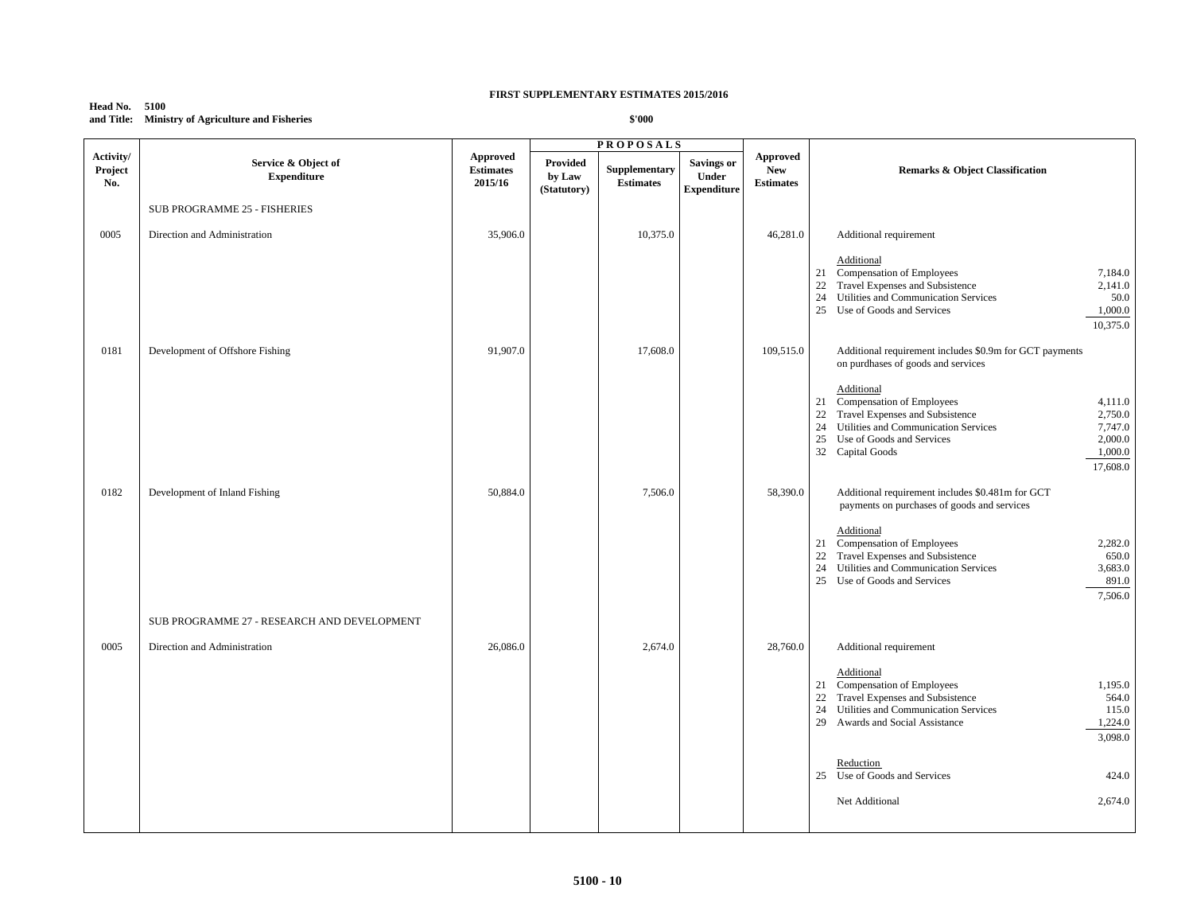#### **Head No. 5100 and Title: Ministry of Agriculture and Fisheries**

|                             |                                             |                                                |                                   | <b>PROPOSALS</b>                 |                                                  |                                                   |                                                                                                                                                                                                                                                          |
|-----------------------------|---------------------------------------------|------------------------------------------------|-----------------------------------|----------------------------------|--------------------------------------------------|---------------------------------------------------|----------------------------------------------------------------------------------------------------------------------------------------------------------------------------------------------------------------------------------------------------------|
| Activity/<br>Project<br>No. | Service & Object of<br><b>Expenditure</b>   | <b>Approved</b><br><b>Estimates</b><br>2015/16 | Provided<br>by Law<br>(Statutory) | Supplementary<br>$\bf Estimates$ | <b>Savings or</b><br>Under<br><b>Expenditure</b> | <b>Approved</b><br><b>New</b><br><b>Estimates</b> | <b>Remarks &amp; Object Classification</b>                                                                                                                                                                                                               |
|                             | <b>SUB PROGRAMME 25 - FISHERIES</b>         |                                                |                                   |                                  |                                                  |                                                   |                                                                                                                                                                                                                                                          |
| 0005                        | Direction and Administration                | 35,906.0                                       |                                   | 10,375.0                         |                                                  | 46,281.0                                          | Additional requirement                                                                                                                                                                                                                                   |
|                             |                                             |                                                |                                   |                                  |                                                  |                                                   | Additional<br>21 Compensation of Employees<br>7,184.0<br>22 Travel Expenses and Subsistence<br>2,141.0<br>24<br>Utilities and Communication Services<br>50.0<br>25 Use of Goods and Services<br>1,000.0<br>10,375.0                                      |
| 0181                        | Development of Offshore Fishing             | 91,907.0                                       |                                   | 17,608.0                         |                                                  | 109,515.0                                         | Additional requirement includes \$0.9m for GCT payments<br>on purdhases of goods and services                                                                                                                                                            |
|                             |                                             |                                                |                                   |                                  |                                                  |                                                   | Additional<br>21 Compensation of Employees<br>4,111.0<br>Travel Expenses and Subsistence<br>2,750.0<br>22<br>24 Utilities and Communication Services<br>7,747.0<br>2,000.0<br>25<br>Use of Goods and Services<br>1,000.0<br>32 Capital Goods<br>17,608.0 |
| 0182                        | Development of Inland Fishing               | 50,884.0                                       |                                   | 7,506.0                          |                                                  | 58,390.0                                          | Additional requirement includes \$0.481m for GCT<br>payments on purchases of goods and services                                                                                                                                                          |
|                             |                                             |                                                |                                   |                                  |                                                  |                                                   | Additional<br>Compensation of Employees<br>2,282.0<br>21<br>Travel Expenses and Subsistence<br>650.0<br>22<br>24<br>Utilities and Communication Services<br>3,683.0<br>891.0<br>25 Use of Goods and Services<br>7,506.0                                  |
|                             | SUB PROGRAMME 27 - RESEARCH AND DEVELOPMENT |                                                |                                   |                                  |                                                  |                                                   |                                                                                                                                                                                                                                                          |
| 0005                        | Direction and Administration                | 26,086.0                                       |                                   | 2,674.0                          |                                                  | 28,760.0                                          | Additional requirement                                                                                                                                                                                                                                   |
|                             |                                             |                                                |                                   |                                  |                                                  |                                                   | Additional<br>21 Compensation of Employees<br>1,195.0<br>Travel Expenses and Subsistence<br>22<br>564.0<br>24<br>Utilities and Communication Services<br>115.0<br>1,224.0<br>29 Awards and Social Assistance<br>3,098.0                                  |
|                             |                                             |                                                |                                   |                                  |                                                  |                                                   | Reduction<br>25 Use of Goods and Services<br>424.0                                                                                                                                                                                                       |
|                             |                                             |                                                |                                   |                                  |                                                  |                                                   | Net Additional<br>2,674.0                                                                                                                                                                                                                                |
|                             |                                             |                                                |                                   |                                  |                                                  |                                                   |                                                                                                                                                                                                                                                          |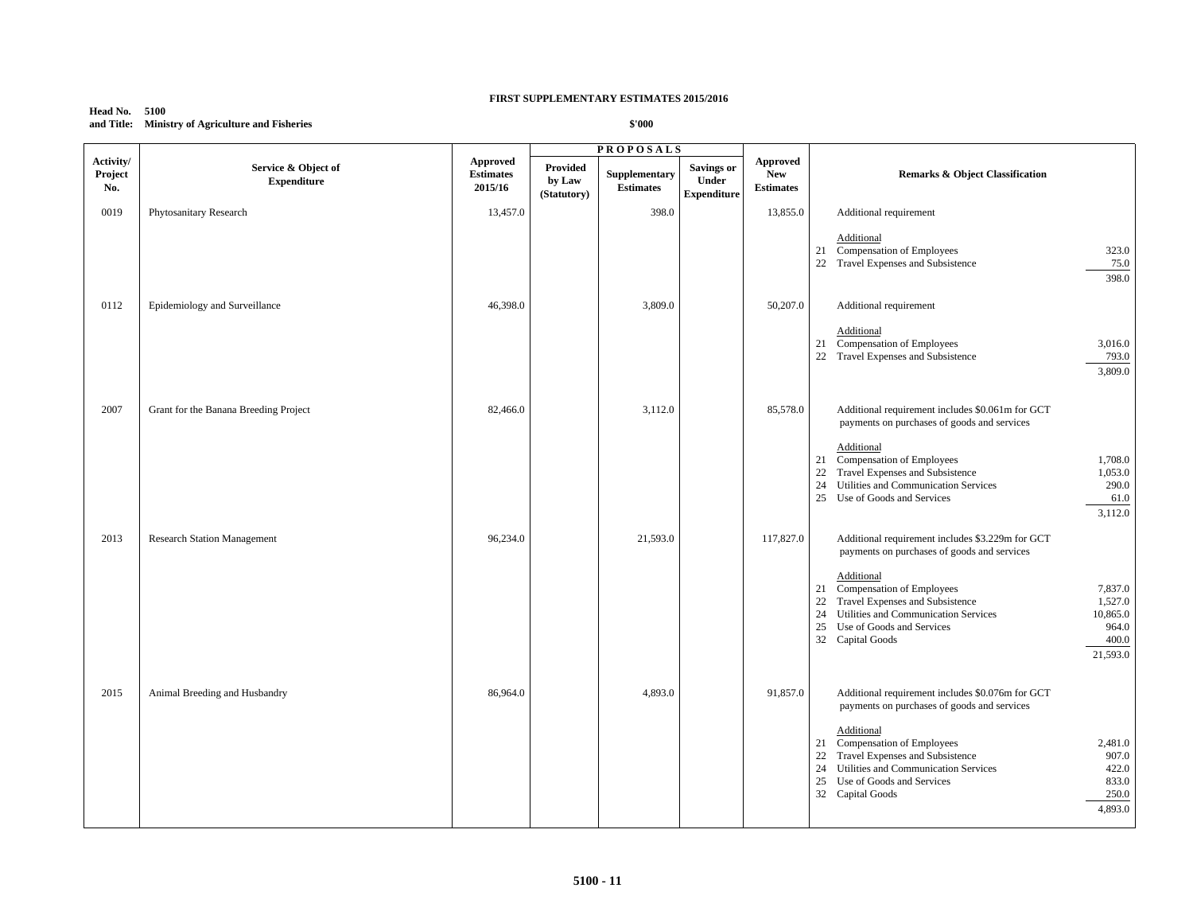#### **Head No. 5100 and Title: Ministry of Agriculture and Fisheries**

|                             |                                           |                                         |                                   | <b>PROPOSALS</b>                  |                                                         |                                            |                                                                                                                                                                                                                                                             |
|-----------------------------|-------------------------------------------|-----------------------------------------|-----------------------------------|-----------------------------------|---------------------------------------------------------|--------------------------------------------|-------------------------------------------------------------------------------------------------------------------------------------------------------------------------------------------------------------------------------------------------------------|
| Activity/<br>Project<br>No. | Service & Object of<br><b>Expenditure</b> | Approved<br><b>Estimates</b><br>2015/16 | Provided<br>by Law<br>(Statutory) | Supplementary<br><b>Estimates</b> | <b>Savings or</b><br><b>Under</b><br><b>Expenditure</b> | Approved<br><b>New</b><br><b>Estimates</b> | <b>Remarks &amp; Object Classification</b>                                                                                                                                                                                                                  |
| 0019                        | Phytosanitary Research                    | 13,457.0                                |                                   | 398.0                             |                                                         | 13,855.0                                   | Additional requirement                                                                                                                                                                                                                                      |
|                             |                                           |                                         |                                   |                                   |                                                         |                                            | Additional<br>21<br>Compensation of Employees<br>323.0<br>22 Travel Expenses and Subsistence<br>75.0<br>398.0                                                                                                                                               |
| 0112                        | Epidemiology and Surveillance             | 46,398.0                                |                                   | 3,809.0                           |                                                         | 50,207.0                                   | Additional requirement                                                                                                                                                                                                                                      |
|                             |                                           |                                         |                                   |                                   |                                                         |                                            | Additional<br>21 Compensation of Employees<br>3,016.0<br>22 Travel Expenses and Subsistence<br>793.0<br>3,809.0                                                                                                                                             |
| 2007                        | Grant for the Banana Breeding Project     | 82,466.0                                |                                   | 3,112.0                           |                                                         | 85,578.0                                   | Additional requirement includes \$0.061m for GCT<br>payments on purchases of goods and services                                                                                                                                                             |
|                             |                                           |                                         |                                   |                                   |                                                         |                                            | Additional<br>Compensation of Employees<br>1,708.0<br>21<br>22<br>Travel Expenses and Subsistence<br>1,053.0<br>24<br>Utilities and Communication Services<br>290.0<br>25 Use of Goods and Services<br>61.0<br>3,112.0                                      |
| 2013                        | <b>Research Station Management</b>        | 96,234.0                                |                                   | 21,593.0                          |                                                         | 117,827.0                                  | Additional requirement includes \$3.229m for GCT<br>payments on purchases of goods and services                                                                                                                                                             |
|                             |                                           |                                         |                                   |                                   |                                                         |                                            | Additional<br>Compensation of Employees<br>7,837.0<br>21<br>Travel Expenses and Subsistence<br>22<br>1,527.0<br>24<br>Utilities and Communication Services<br>10,865.0<br>25<br>Use of Goods and Services<br>964.0<br>32 Capital Goods<br>400.0<br>21,593.0 |
| 2015                        | Animal Breeding and Husbandry             | 86,964.0                                |                                   | 4,893.0                           |                                                         | 91,857.0                                   | Additional requirement includes \$0.076m for GCT<br>payments on purchases of goods and services<br>Additional                                                                                                                                               |
|                             |                                           |                                         |                                   |                                   |                                                         |                                            | Compensation of Employees<br>2,481.0<br>21<br>22<br>Travel Expenses and Subsistence<br>907.0<br>24<br>Utilities and Communication Services<br>422.0<br>25<br>Use of Goods and Services<br>833.0<br>32 Capital Goods<br>250.0<br>4,893.0                     |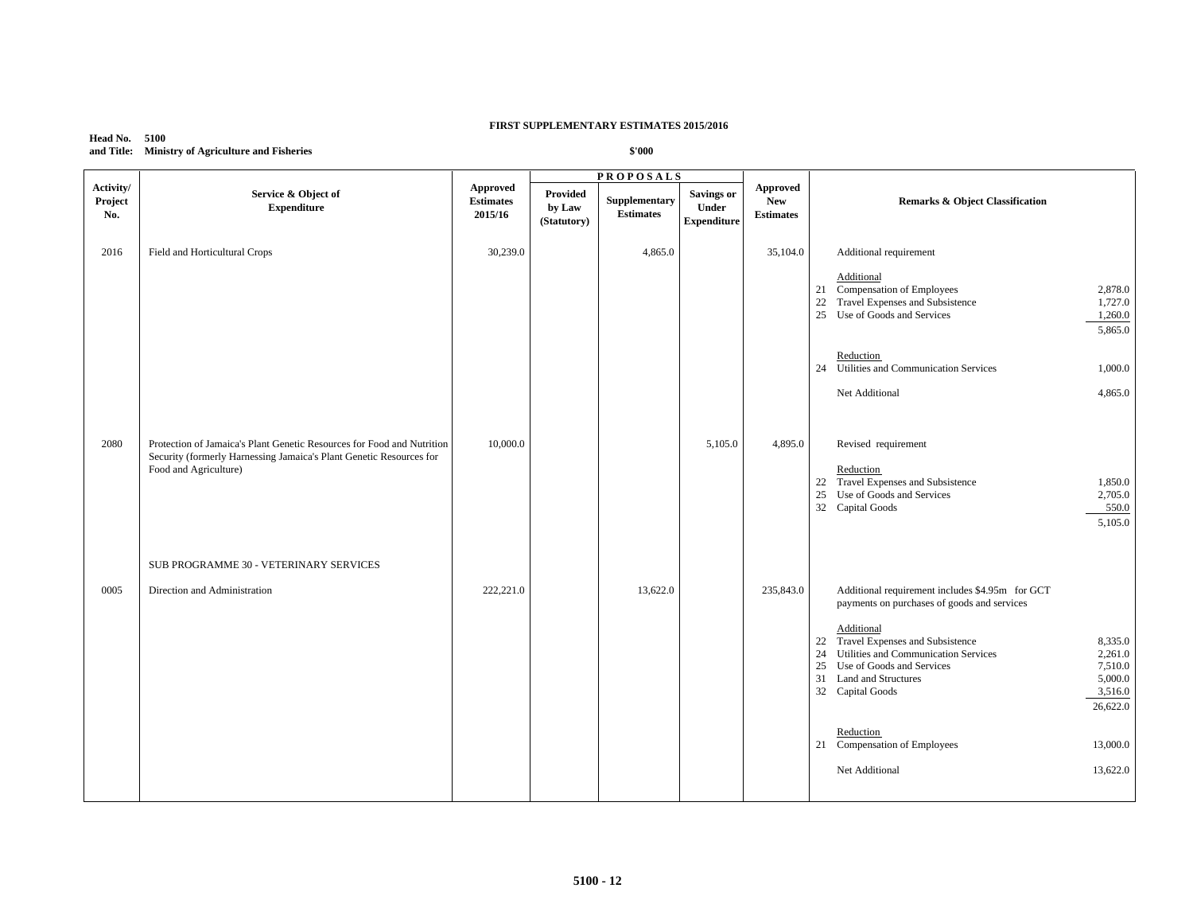## **Head No. 5100 and Title: Ministry of Agriculture and Fisheries**

|                             |                                                                                                                                                                        |                                         |                                   | <b>PROPOSALS</b>                  |                                                  |                                                   |                                                                                                                                                                                                                                                                                                                                                                |
|-----------------------------|------------------------------------------------------------------------------------------------------------------------------------------------------------------------|-----------------------------------------|-----------------------------------|-----------------------------------|--------------------------------------------------|---------------------------------------------------|----------------------------------------------------------------------------------------------------------------------------------------------------------------------------------------------------------------------------------------------------------------------------------------------------------------------------------------------------------------|
| Activity/<br>Project<br>No. | Service & Object of<br><b>Expenditure</b>                                                                                                                              | Approved<br><b>Estimates</b><br>2015/16 | Provided<br>by Law<br>(Statutory) | Supplementary<br><b>Estimates</b> | <b>Savings or</b><br>Under<br><b>Expenditure</b> | <b>Approved</b><br><b>New</b><br><b>Estimates</b> | <b>Remarks &amp; Object Classification</b>                                                                                                                                                                                                                                                                                                                     |
| 2016                        | Field and Horticultural Crops                                                                                                                                          | 30,239.0                                |                                   | 4,865.0                           |                                                  | 35,104.0                                          | Additional requirement                                                                                                                                                                                                                                                                                                                                         |
|                             |                                                                                                                                                                        |                                         |                                   |                                   |                                                  |                                                   | Additional<br>21 Compensation of Employees<br>2,878.0<br>Travel Expenses and Subsistence<br>22<br>1,727.0<br>25 Use of Goods and Services<br>1,260.0<br>5,865.0                                                                                                                                                                                                |
|                             |                                                                                                                                                                        |                                         |                                   |                                   |                                                  |                                                   | Reduction<br>24 Utilities and Communication Services<br>1,000.0                                                                                                                                                                                                                                                                                                |
|                             |                                                                                                                                                                        |                                         |                                   |                                   |                                                  |                                                   | Net Additional<br>4,865.0                                                                                                                                                                                                                                                                                                                                      |
| 2080                        | Protection of Jamaica's Plant Genetic Resources for Food and Nutrition<br>Security (formerly Harnessing Jamaica's Plant Genetic Resources for<br>Food and Agriculture) | 10,000.0                                |                                   |                                   | 5,105.0                                          | 4,895.0                                           | Revised requirement<br>Reduction<br>Travel Expenses and Subsistence<br>1,850.0<br>22<br>25 Use of Goods and Services<br>2,705.0<br>550.0<br>32 Capital Goods<br>5,105.0                                                                                                                                                                                        |
|                             | SUB PROGRAMME 30 - VETERINARY SERVICES                                                                                                                                 |                                         |                                   |                                   |                                                  |                                                   |                                                                                                                                                                                                                                                                                                                                                                |
| 0005                        | Direction and Administration                                                                                                                                           | 222,221.0                               |                                   | 13,622.0                          |                                                  | 235,843.0                                         | Additional requirement includes \$4.95m for GCT<br>payments on purchases of goods and services<br>Additional<br>22 Travel Expenses and Subsistence<br>8,335.0<br>Utilities and Communication Services<br>24<br>2,261.0<br>25<br>Use of Goods and Services<br>7,510.0<br>5,000.0<br>31<br><b>Land and Structures</b><br>32 Capital Goods<br>3,516.0<br>26,622.0 |
|                             |                                                                                                                                                                        |                                         |                                   |                                   |                                                  |                                                   | Reduction<br>21 Compensation of Employees<br>13,000.0                                                                                                                                                                                                                                                                                                          |
|                             |                                                                                                                                                                        |                                         |                                   |                                   |                                                  |                                                   | Net Additional<br>13,622.0                                                                                                                                                                                                                                                                                                                                     |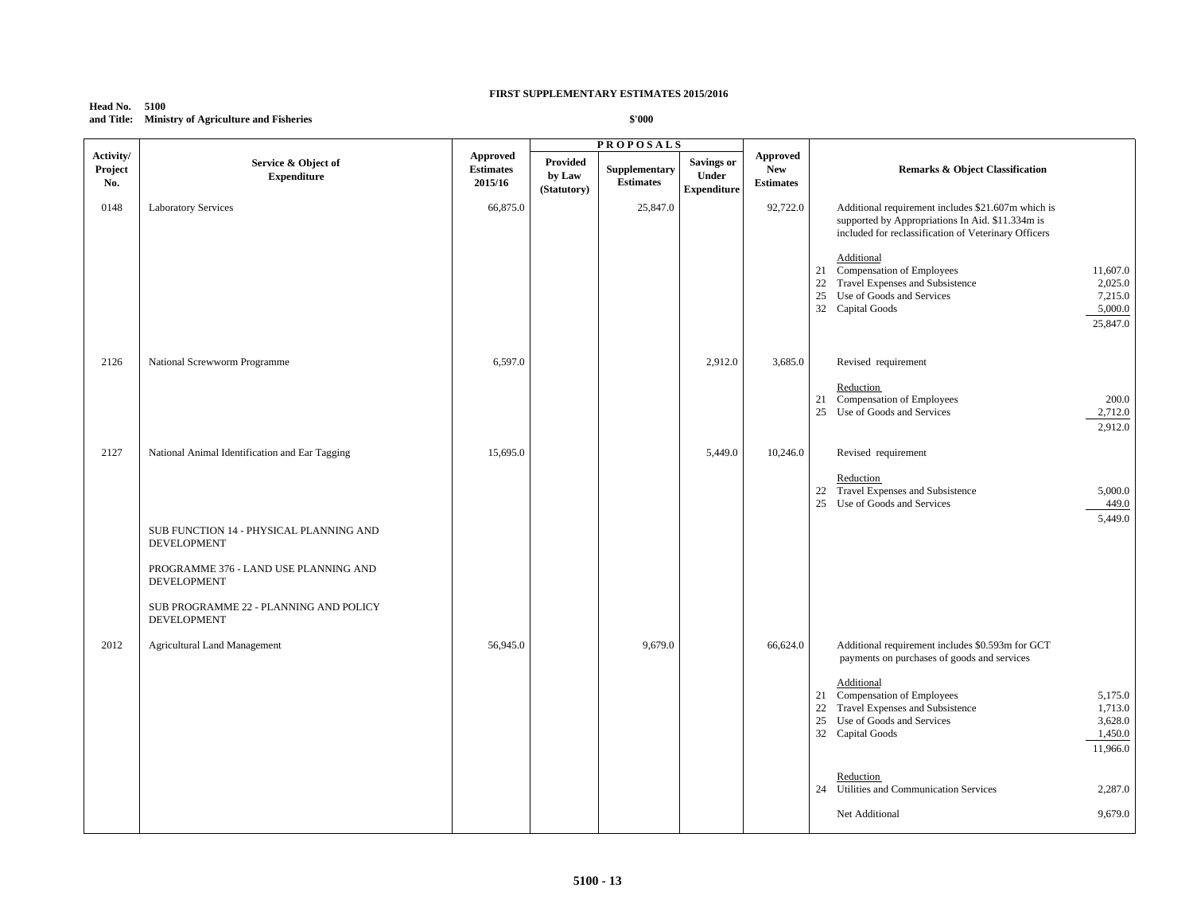## **Head No. 5100 and Title: Ministry of Agriculture and Fisheries**

|                             |                                                               |                                                |                                   | <b>PROPOSALS</b>                  |                                                  |                                                   |                                                                                                                                                                                                     |
|-----------------------------|---------------------------------------------------------------|------------------------------------------------|-----------------------------------|-----------------------------------|--------------------------------------------------|---------------------------------------------------|-----------------------------------------------------------------------------------------------------------------------------------------------------------------------------------------------------|
| Activity/<br>Project<br>No. | Service & Object of<br><b>Expenditure</b>                     | <b>Approved</b><br><b>Estimates</b><br>2015/16 | Provided<br>by Law<br>(Statutory) | Supplementary<br><b>Estimates</b> | <b>Savings or</b><br>Under<br><b>Expenditure</b> | <b>Approved</b><br><b>New</b><br><b>Estimates</b> | <b>Remarks &amp; Object Classification</b>                                                                                                                                                          |
| 0148                        | <b>Laboratory Services</b>                                    | 66,875.0                                       |                                   | 25,847.0                          |                                                  | 92,722.0                                          | Additional requirement includes \$21.607m which is<br>supported by Appropriations In Aid. \$11.334m is<br>included for reclassification of Veterinary Officers                                      |
|                             |                                                               |                                                |                                   |                                   |                                                  |                                                   | Additional<br>21 Compensation of Employees<br>11,607.0<br>Travel Expenses and Subsistence<br>22<br>2,025.0<br>Use of Goods and Services<br>25<br>7,215.0<br>32 Capital Goods<br>5,000.0<br>25,847.0 |
| 2126                        | National Screwworm Programme                                  | 6,597.0                                        |                                   |                                   | 2,912.0                                          | 3,685.0                                           | Revised requirement                                                                                                                                                                                 |
|                             |                                                               |                                                |                                   |                                   |                                                  |                                                   | Reduction<br>21 Compensation of Employees<br>200.0<br>25 Use of Goods and Services<br>2,712.0<br>2,912.0                                                                                            |
| 2127                        | National Animal Identification and Ear Tagging                | 15,695.0                                       |                                   |                                   | 5,449.0                                          | 10,246.0                                          | Revised requirement                                                                                                                                                                                 |
|                             |                                                               |                                                |                                   |                                   |                                                  |                                                   | Reduction<br>22 Travel Expenses and Subsistence<br>5,000.0<br>25 Use of Goods and Services<br>449.0<br>5,449.0                                                                                      |
|                             | SUB FUNCTION 14 - PHYSICAL PLANNING AND<br><b>DEVELOPMENT</b> |                                                |                                   |                                   |                                                  |                                                   |                                                                                                                                                                                                     |
|                             | PROGRAMME 376 - LAND USE PLANNING AND<br>DEVELOPMENT          |                                                |                                   |                                   |                                                  |                                                   |                                                                                                                                                                                                     |
|                             | SUB PROGRAMME 22 - PLANNING AND POLICY<br>DEVELOPMENT         |                                                |                                   |                                   |                                                  |                                                   |                                                                                                                                                                                                     |
| 2012                        | <b>Agricultural Land Management</b>                           | 56,945.0                                       |                                   | 9,679.0                           |                                                  | 66,624.0                                          | Additional requirement includes \$0.593m for GCT<br>payments on purchases of goods and services                                                                                                     |
|                             |                                                               |                                                |                                   |                                   |                                                  |                                                   | Additional<br>21 Compensation of Employees<br>5,175.0<br>22<br>Travel Expenses and Subsistence<br>1,713.0<br>25<br>Use of Goods and Services<br>3,628.0<br>32 Capital Goods<br>1,450.0<br>11,966.0  |
|                             |                                                               |                                                |                                   |                                   |                                                  |                                                   | Reduction<br>24 Utilities and Communication Services<br>2,287.0                                                                                                                                     |
|                             |                                                               |                                                |                                   |                                   |                                                  |                                                   | 9,679.0<br>Net Additional                                                                                                                                                                           |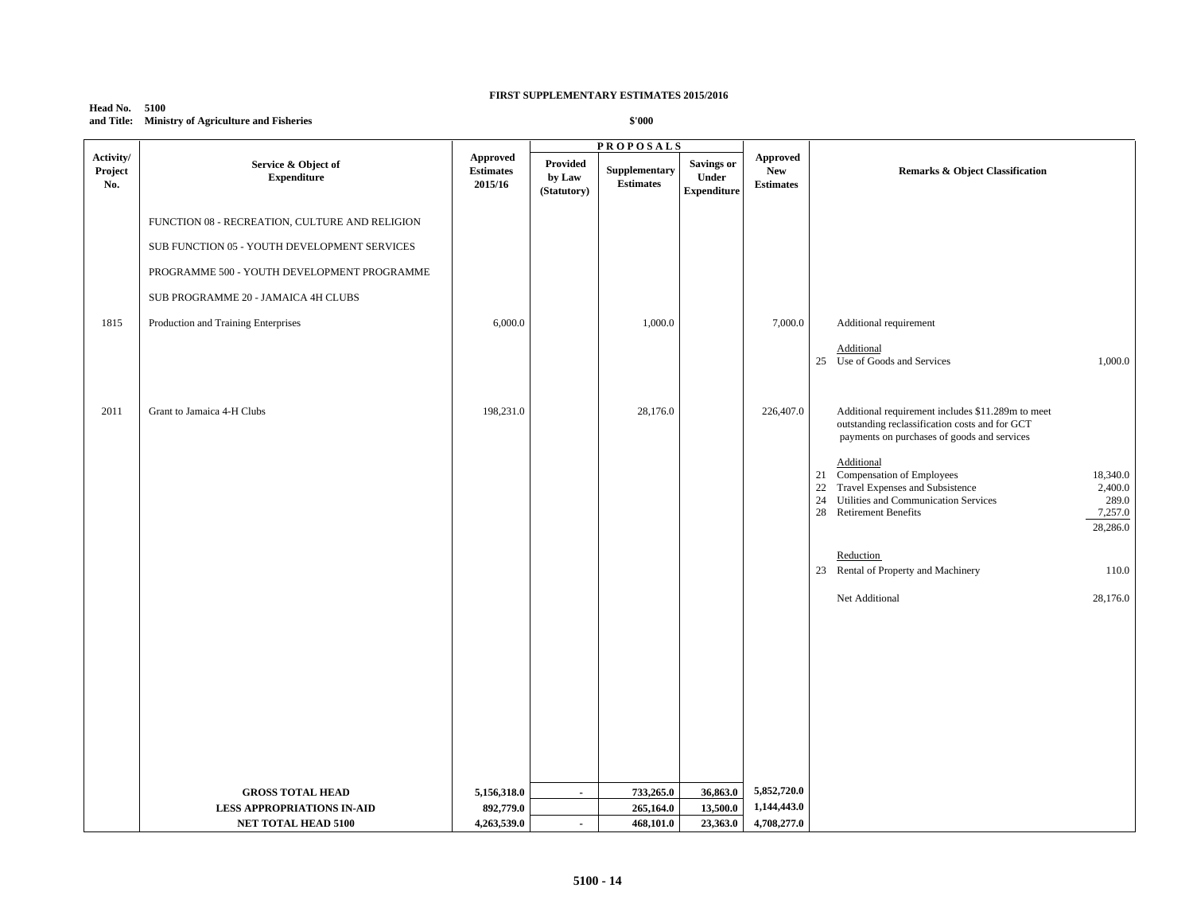## **Head No. 5100 and Title: Ministry of Agriculture and Fisheries**

|                             |                                                |                                                |                                          | <b>PROPOSALS</b>                  |                                                  |                                                   |                                                                                                                                                                                                                    |
|-----------------------------|------------------------------------------------|------------------------------------------------|------------------------------------------|-----------------------------------|--------------------------------------------------|---------------------------------------------------|--------------------------------------------------------------------------------------------------------------------------------------------------------------------------------------------------------------------|
| Activity/<br>Project<br>No. | Service & Object of<br><b>Expenditure</b>      | <b>Approved</b><br><b>Estimates</b><br>2015/16 | <b>Provided</b><br>by Law<br>(Statutory) | Supplementary<br><b>Estimates</b> | <b>Savings or</b><br>Under<br><b>Expenditure</b> | <b>Approved</b><br><b>New</b><br><b>Estimates</b> | <b>Remarks &amp; Object Classification</b>                                                                                                                                                                         |
|                             | FUNCTION 08 - RECREATION, CULTURE AND RELIGION |                                                |                                          |                                   |                                                  |                                                   |                                                                                                                                                                                                                    |
|                             | SUB FUNCTION 05 - YOUTH DEVELOPMENT SERVICES   |                                                |                                          |                                   |                                                  |                                                   |                                                                                                                                                                                                                    |
|                             | PROGRAMME 500 - YOUTH DEVELOPMENT PROGRAMME    |                                                |                                          |                                   |                                                  |                                                   |                                                                                                                                                                                                                    |
|                             | SUB PROGRAMME 20 - JAMAICA 4H CLUBS            |                                                |                                          |                                   |                                                  |                                                   |                                                                                                                                                                                                                    |
| 1815                        | Production and Training Enterprises            | 6,000.0                                        |                                          | 1,000.0                           |                                                  | 7,000.0                                           | Additional requirement                                                                                                                                                                                             |
|                             |                                                |                                                |                                          |                                   |                                                  |                                                   | Additional<br>25 Use of Goods and Services<br>1,000.0                                                                                                                                                              |
| 2011                        | Grant to Jamaica 4-H Clubs                     | 198,231.0                                      |                                          | 28,176.0                          |                                                  | 226,407.0                                         | Additional requirement includes \$11.289m to meet<br>outstanding reclassification costs and for GCT<br>payments on purchases of goods and services                                                                 |
|                             |                                                |                                                |                                          |                                   |                                                  |                                                   | Additional<br>21 Compensation of Employees<br>18,340.0<br>22<br>Travel Expenses and Subsistence<br>2,400.0<br>Utilities and Communication Services<br>289.0<br>24<br>28 Retirement Benefits<br>7,257.0<br>28,286.0 |
|                             |                                                |                                                |                                          |                                   |                                                  |                                                   | Reduction                                                                                                                                                                                                          |
|                             |                                                |                                                |                                          |                                   |                                                  |                                                   | 23 Rental of Property and Machinery<br>110.0                                                                                                                                                                       |
|                             |                                                |                                                |                                          |                                   |                                                  |                                                   | Net Additional<br>28,176.0                                                                                                                                                                                         |
|                             |                                                |                                                |                                          |                                   |                                                  |                                                   |                                                                                                                                                                                                                    |
|                             |                                                |                                                |                                          |                                   |                                                  |                                                   |                                                                                                                                                                                                                    |
|                             |                                                |                                                |                                          |                                   |                                                  |                                                   |                                                                                                                                                                                                                    |
|                             |                                                |                                                |                                          |                                   |                                                  |                                                   |                                                                                                                                                                                                                    |
|                             | <b>GROSS TOTAL HEAD</b>                        | 5,156,318.0                                    | $\sim$                                   | 733,265.0                         | 36,863.0                                         | 5,852,720.0                                       |                                                                                                                                                                                                                    |
|                             | <b>LESS APPROPRIATIONS IN-AID</b>              | 892,779.0                                      |                                          | 265,164.0                         | 13,500.0                                         | 1,144,443.0                                       |                                                                                                                                                                                                                    |
|                             | <b>NET TOTAL HEAD 5100</b>                     | 4,263,539.0                                    | $\sim$                                   | 468,101.0                         | 23,363.0                                         | 4,708,277.0                                       |                                                                                                                                                                                                                    |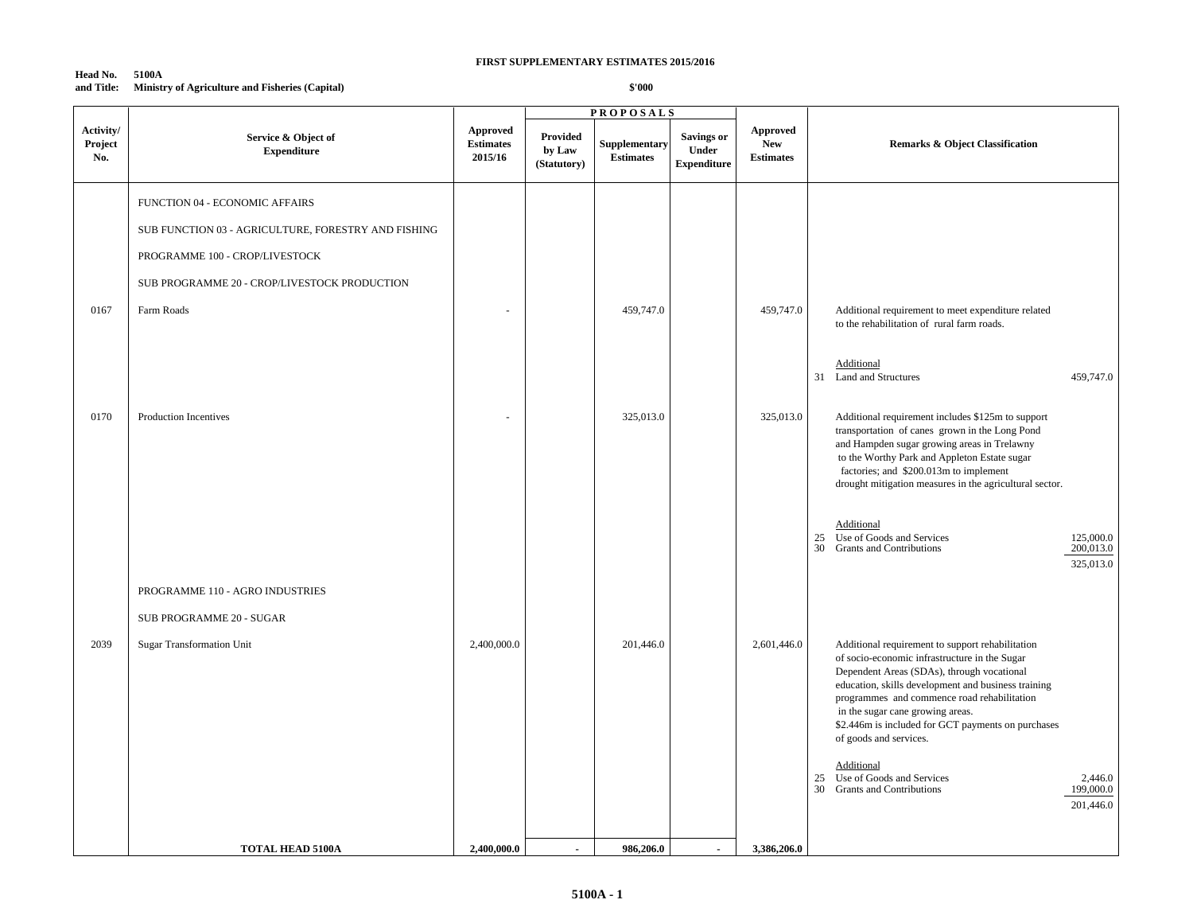#### **Head No. 5100A and Title: Ministry of Agriculture and Fisheries (Capital)**

|                             |                                                                                       |                                         |                                   | <b>PROPOSALS</b>                  |                                                  |                                                   |                                                                                                                                                                                                                                                                                                                                                                           |
|-----------------------------|---------------------------------------------------------------------------------------|-----------------------------------------|-----------------------------------|-----------------------------------|--------------------------------------------------|---------------------------------------------------|---------------------------------------------------------------------------------------------------------------------------------------------------------------------------------------------------------------------------------------------------------------------------------------------------------------------------------------------------------------------------|
| Activity/<br>Project<br>No. | Service & Object of<br><b>Expenditure</b>                                             | Approved<br><b>Estimates</b><br>2015/16 | Provided<br>by Law<br>(Statutory) | Supplementary<br><b>Estimates</b> | <b>Savings or</b><br>Under<br><b>Expenditure</b> | <b>Approved</b><br><b>New</b><br><b>Estimates</b> | <b>Remarks &amp; Object Classification</b>                                                                                                                                                                                                                                                                                                                                |
|                             | FUNCTION 04 - ECONOMIC AFFAIRS<br>SUB FUNCTION 03 - AGRICULTURE, FORESTRY AND FISHING |                                         |                                   |                                   |                                                  |                                                   |                                                                                                                                                                                                                                                                                                                                                                           |
|                             | PROGRAMME 100 - CROP/LIVESTOCK                                                        |                                         |                                   |                                   |                                                  |                                                   |                                                                                                                                                                                                                                                                                                                                                                           |
|                             | SUB PROGRAMME 20 - CROP/LIVESTOCK PRODUCTION                                          |                                         |                                   |                                   |                                                  |                                                   |                                                                                                                                                                                                                                                                                                                                                                           |
| 0167                        | Farm Roads                                                                            |                                         |                                   | 459,747.0                         |                                                  | 459,747.0                                         | Additional requirement to meet expenditure related<br>to the rehabilitation of rural farm roads.                                                                                                                                                                                                                                                                          |
|                             |                                                                                       |                                         |                                   |                                   |                                                  |                                                   | Additional<br>31 Land and Structures<br>459,747.0                                                                                                                                                                                                                                                                                                                         |
| 0170                        | Production Incentives                                                                 |                                         |                                   | 325,013.0                         |                                                  | 325,013.0                                         | Additional requirement includes \$125m to support<br>transportation of canes grown in the Long Pond<br>and Hampden sugar growing areas in Trelawny<br>to the Worthy Park and Appleton Estate sugar<br>factories; and \$200.013m to implement<br>drought mitigation measures in the agricultural sector.                                                                   |
|                             |                                                                                       |                                         |                                   |                                   |                                                  |                                                   | Additional<br>Use of Goods and Services<br>125,000.0<br>25<br>30<br><b>Grants and Contributions</b><br>200,013.0<br>325,013.0                                                                                                                                                                                                                                             |
|                             | PROGRAMME 110 - AGRO INDUSTRIES                                                       |                                         |                                   |                                   |                                                  |                                                   |                                                                                                                                                                                                                                                                                                                                                                           |
|                             | SUB PROGRAMME 20 - SUGAR                                                              |                                         |                                   |                                   |                                                  |                                                   |                                                                                                                                                                                                                                                                                                                                                                           |
| 2039                        | <b>Sugar Transformation Unit</b>                                                      | 2,400,000.0                             |                                   | 201,446.0                         |                                                  | 2,601,446.0                                       | Additional requirement to support rehabilitation<br>of socio-economic infrastructure in the Sugar<br>Dependent Areas (SDAs), through vocational<br>education, skills development and business training<br>programmes and commence road rehabilitation<br>in the sugar cane growing areas.<br>\$2.446m is included for GCT payments on purchases<br>of goods and services. |
|                             |                                                                                       |                                         |                                   |                                   |                                                  |                                                   | Additional<br>Use of Goods and Services<br>25<br>2,446.0<br>30<br>199,000.0<br><b>Grants and Contributions</b><br>201,446.0                                                                                                                                                                                                                                               |
|                             | <b>TOTAL HEAD 5100A</b>                                                               | 2,400,000.0                             |                                   | 986,206.0                         |                                                  | 3,386,206.0                                       |                                                                                                                                                                                                                                                                                                                                                                           |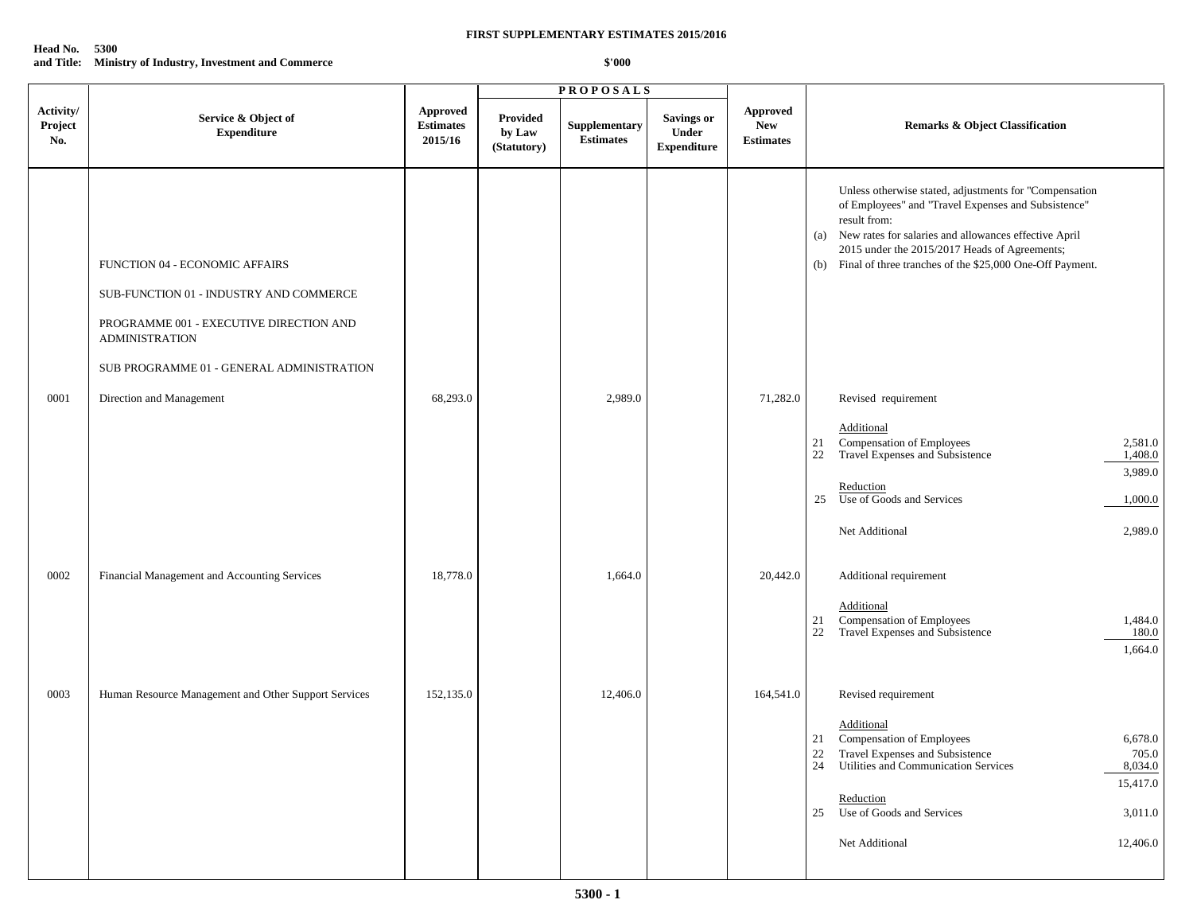## **Head No. 5300 and Title: Ministry of Industry, Investment and Commerce**

|                             |                                                                                                                                                                                            |                                                |                                   | <b>PROPOSALS</b>                  |                                           |                                                   |                                                                                                                                                                                                                                                                                                                |
|-----------------------------|--------------------------------------------------------------------------------------------------------------------------------------------------------------------------------------------|------------------------------------------------|-----------------------------------|-----------------------------------|-------------------------------------------|---------------------------------------------------|----------------------------------------------------------------------------------------------------------------------------------------------------------------------------------------------------------------------------------------------------------------------------------------------------------------|
| Activity/<br>Project<br>No. | Service & Object of<br><b>Expenditure</b>                                                                                                                                                  | <b>Approved</b><br><b>Estimates</b><br>2015/16 | Provided<br>by Law<br>(Statutory) | Supplementary<br><b>Estimates</b> | Savings or<br>Under<br><b>Expenditure</b> | <b>Approved</b><br><b>New</b><br><b>Estimates</b> | <b>Remarks &amp; Object Classification</b>                                                                                                                                                                                                                                                                     |
|                             | FUNCTION 04 - ECONOMIC AFFAIRS<br>SUB-FUNCTION 01 - INDUSTRY AND COMMERCE<br>PROGRAMME 001 - EXECUTIVE DIRECTION AND<br><b>ADMINISTRATION</b><br>SUB PROGRAMME 01 - GENERAL ADMINISTRATION |                                                |                                   |                                   |                                           |                                                   | Unless otherwise stated, adjustments for "Compensation<br>of Employees" and "Travel Expenses and Subsistence"<br>result from:<br>New rates for salaries and allowances effective April<br>(a)<br>2015 under the 2015/2017 Heads of Agreements;<br>(b) Final of three tranches of the \$25,000 One-Off Payment. |
| 0001                        | Direction and Management                                                                                                                                                                   | 68,293.0                                       |                                   | 2,989.0                           |                                           | 71,282.0                                          | Revised requirement<br>Additional<br>Compensation of Employees<br>2,581.0<br>21<br>Travel Expenses and Subsistence                                                                                                                                                                                             |
|                             |                                                                                                                                                                                            |                                                |                                   |                                   |                                           |                                                   | 22<br>1,408.0<br>3,989.0<br>Reduction<br>25 Use of Goods and Services<br>1,000.0<br>Net Additional<br>2,989.0                                                                                                                                                                                                  |
| 0002                        | Financial Management and Accounting Services                                                                                                                                               | 18,778.0                                       |                                   | 1,664.0                           |                                           | 20,442.0                                          | Additional requirement<br>Additional<br>Compensation of Employees<br>1,484.0<br>21<br>Travel Expenses and Subsistence<br>22<br>180.0<br>1,664.0                                                                                                                                                                |
| 0003                        | Human Resource Management and Other Support Services                                                                                                                                       | 152,135.0                                      |                                   | 12,406.0                          |                                           | 164,541.0                                         | Revised requirement<br>Additional<br>Compensation of Employees<br>6,678.0<br>21<br>22 Travel Expenses and Subsistence<br>24 Utilities and Communication Services<br>705.0<br>8,034.0<br>15,417.0<br>Reduction<br>25 Use of Goods and Services<br>3,011.0<br>Net Additional<br>12,406.0                         |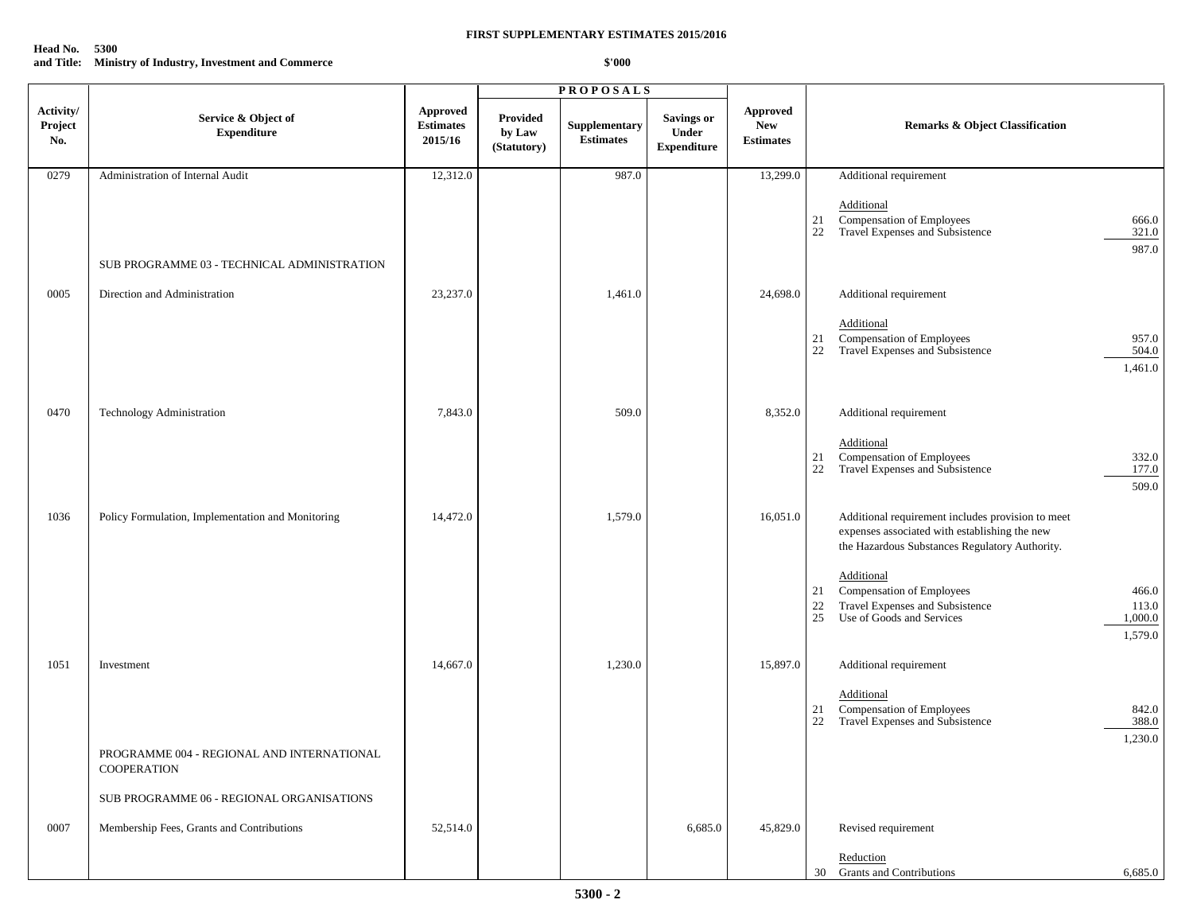## **Head No. 5300 and Title: Ministry of Industry, Investment and Commerce**

|                             |                                                                  |                                                |                                   | <b>PROPOSALS</b>                  |                                                  |                                                   |                |                                                                                                                                                      |                                      |
|-----------------------------|------------------------------------------------------------------|------------------------------------------------|-----------------------------------|-----------------------------------|--------------------------------------------------|---------------------------------------------------|----------------|------------------------------------------------------------------------------------------------------------------------------------------------------|--------------------------------------|
| Activity/<br>Project<br>No. | Service & Object of<br><b>Expenditure</b>                        | <b>Approved</b><br><b>Estimates</b><br>2015/16 | Provided<br>by Law<br>(Statutory) | Supplementary<br><b>Estimates</b> | <b>Savings or</b><br>Under<br><b>Expenditure</b> | <b>Approved</b><br><b>New</b><br><b>Estimates</b> |                | <b>Remarks &amp; Object Classification</b>                                                                                                           |                                      |
| 0279                        | Administration of Internal Audit                                 | 12,312.0                                       |                                   | 987.0                             |                                                  | 13,299.0                                          |                | Additional requirement                                                                                                                               |                                      |
|                             |                                                                  |                                                |                                   |                                   |                                                  |                                                   | 21<br>22       | Additional<br>Compensation of Employees<br>Travel Expenses and Subsistence                                                                           | 666.0<br>321.0<br>987.0              |
|                             | SUB PROGRAMME 03 - TECHNICAL ADMINISTRATION                      |                                                |                                   |                                   |                                                  |                                                   |                |                                                                                                                                                      |                                      |
| 0005                        | Direction and Administration                                     | 23,237.0                                       |                                   | 1,461.0                           |                                                  | 24,698.0                                          |                | Additional requirement                                                                                                                               |                                      |
|                             |                                                                  |                                                |                                   |                                   |                                                  |                                                   | 21<br>22       | Additional<br>Compensation of Employees<br>Travel Expenses and Subsistence                                                                           | 957.0<br>504.0<br>1,461.0            |
| 0470                        | Technology Administration                                        | 7,843.0                                        |                                   | 509.0                             |                                                  | 8,352.0                                           |                | Additional requirement                                                                                                                               |                                      |
|                             |                                                                  |                                                |                                   |                                   |                                                  |                                                   | 21<br>22       | Additional<br>Compensation of Employees<br>Travel Expenses and Subsistence                                                                           | 332.0<br>177.0<br>509.0              |
| 1036                        | Policy Formulation, Implementation and Monitoring                | 14,472.0                                       |                                   | 1,579.0                           |                                                  | 16,051.0                                          |                | Additional requirement includes provision to meet<br>expenses associated with establishing the new<br>the Hazardous Substances Regulatory Authority. |                                      |
|                             |                                                                  |                                                |                                   |                                   |                                                  |                                                   | 21<br>22<br>25 | Additional<br>Compensation of Employees<br>Travel Expenses and Subsistence<br>Use of Goods and Services                                              | 466.0<br>113.0<br>1,000.0<br>1,579.0 |
| 1051                        | Investment                                                       | 14,667.0                                       |                                   | 1,230.0                           |                                                  | 15,897.0                                          |                | Additional requirement                                                                                                                               |                                      |
|                             |                                                                  |                                                |                                   |                                   |                                                  |                                                   | 21<br>22       | Additional<br>Compensation of Employees<br>Travel Expenses and Subsistence                                                                           | 842.0<br>388.0<br>1,230.0            |
|                             | PROGRAMME 004 - REGIONAL AND INTERNATIONAL<br><b>COOPERATION</b> |                                                |                                   |                                   |                                                  |                                                   |                |                                                                                                                                                      |                                      |
|                             | SUB PROGRAMME 06 - REGIONAL ORGANISATIONS                        |                                                |                                   |                                   |                                                  |                                                   |                |                                                                                                                                                      |                                      |
| 0007                        | Membership Fees, Grants and Contributions                        | 52,514.0                                       |                                   |                                   | 6,685.0                                          | 45,829.0                                          |                | Revised requirement                                                                                                                                  |                                      |
|                             |                                                                  |                                                |                                   |                                   |                                                  |                                                   |                | Reduction<br>30 Grants and Contributions                                                                                                             | 6,685.0                              |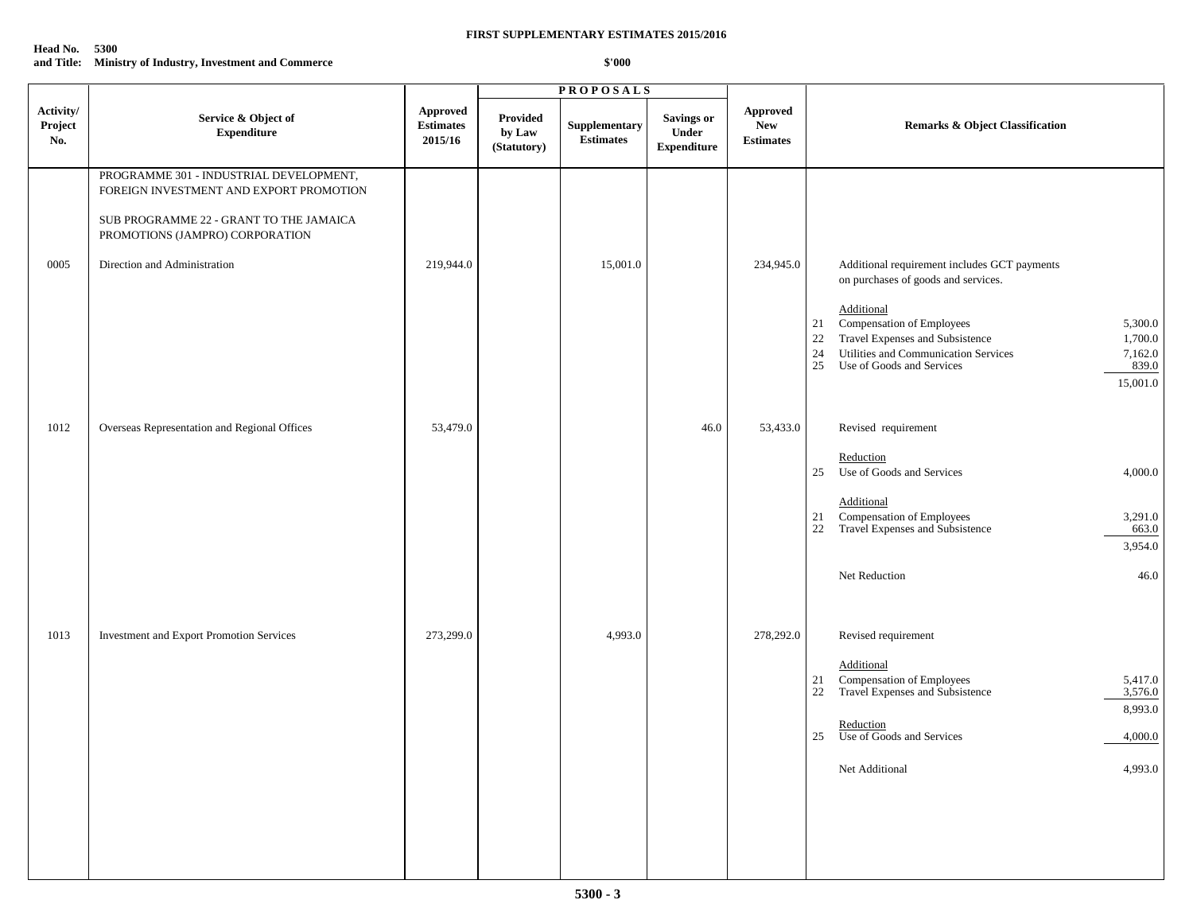## **Head No. 5300 and Title: Ministry of Industry, Investment and Commerce**

|                             |                                                                                                                                                                                                  |                                                |                                   | <b>PROPOSALS</b>                  |                                                  |                                            |                                                                                                                                                                                                                                                                                                                      |
|-----------------------------|--------------------------------------------------------------------------------------------------------------------------------------------------------------------------------------------------|------------------------------------------------|-----------------------------------|-----------------------------------|--------------------------------------------------|--------------------------------------------|----------------------------------------------------------------------------------------------------------------------------------------------------------------------------------------------------------------------------------------------------------------------------------------------------------------------|
| Activity/<br>Project<br>No. | Service & Object of<br><b>Expenditure</b>                                                                                                                                                        | <b>Approved</b><br><b>Estimates</b><br>2015/16 | Provided<br>by Law<br>(Statutory) | Supplementary<br><b>Estimates</b> | Savings or<br><b>Under</b><br><b>Expenditure</b> | Approved<br><b>New</b><br><b>Estimates</b> | <b>Remarks &amp; Object Classification</b>                                                                                                                                                                                                                                                                           |
| 0005                        | PROGRAMME 301 - INDUSTRIAL DEVELOPMENT,<br>FOREIGN INVESTMENT AND EXPORT PROMOTION<br>SUB PROGRAMME 22 - GRANT TO THE JAMAICA<br>PROMOTIONS (JAMPRO) CORPORATION<br>Direction and Administration | 219,944.0                                      |                                   | 15,001.0                          |                                                  | 234,945.0                                  | Additional requirement includes GCT payments<br>on purchases of goods and services.<br>Additional<br>Compensation of Employees<br>5,300.0<br>21<br>Travel Expenses and Subsistence<br>22<br>1,700.0<br>Utilities and Communication Services<br>24<br>7,162.0<br>25<br>Use of Goods and Services<br>839.0<br>15,001.0 |
| 1012                        | Overseas Representation and Regional Offices                                                                                                                                                     | 53,479.0                                       |                                   |                                   | 46.0                                             | 53,433.0                                   | Revised requirement<br>Reduction<br>Use of Goods and Services<br>4,000.0<br>25<br>Additional<br><b>Compensation of Employees</b><br>3,291.0<br>21<br>Travel Expenses and Subsistence<br>22<br>663.0<br>3,954.0<br>Net Reduction<br>46.0                                                                              |
| 1013                        | Investment and Export Promotion Services                                                                                                                                                         | 273,299.0                                      |                                   | 4,993.0                           |                                                  | 278,292.0                                  | Revised requirement<br>Additional<br><b>Compensation of Employees<br/>Travel Expenses and Subsistence</b><br>21<br>5,417.0<br>22<br>3,576.0<br>8,993.0<br>Reduction<br>25<br>Use of Goods and Services<br>4,000.0<br>4,993.0<br>Net Additional                                                                       |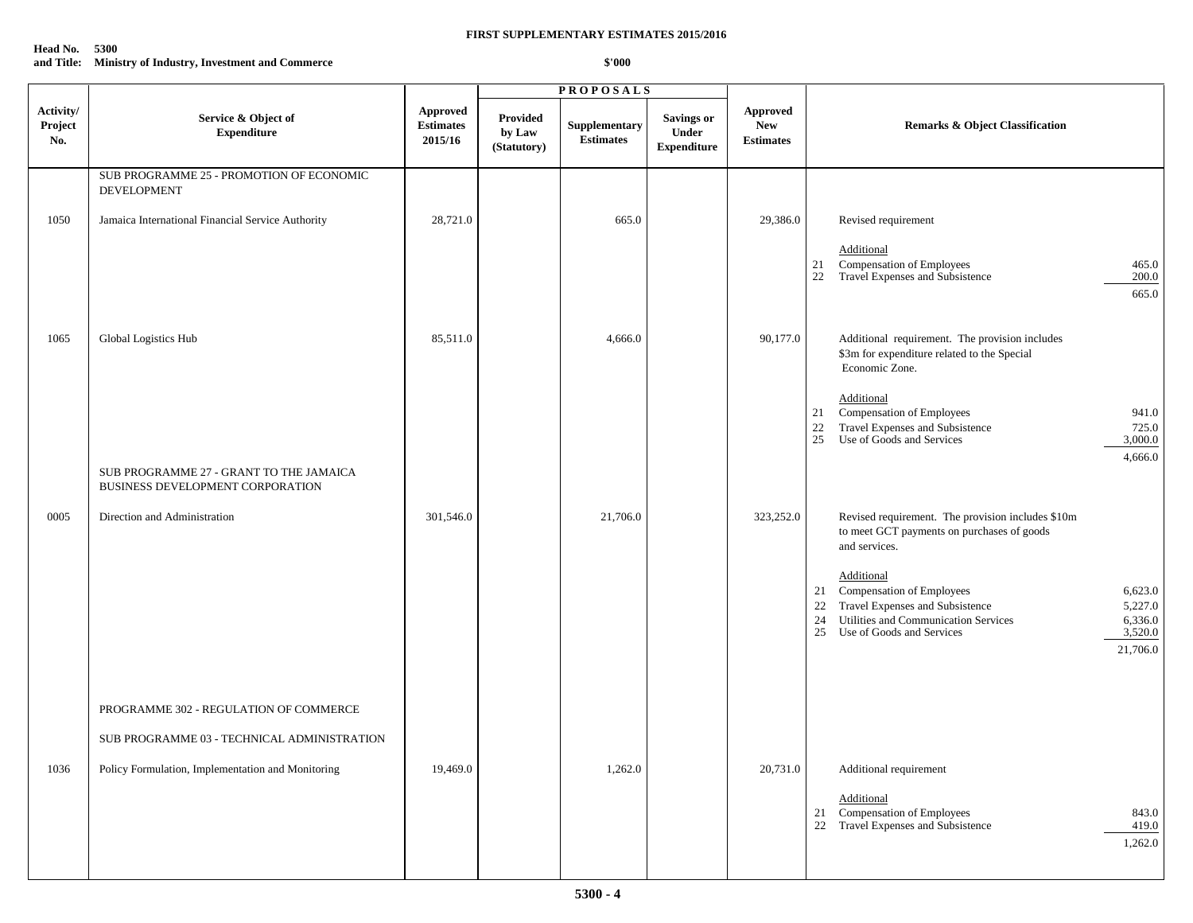## **Head No. 5300 and Title: Ministry of Industry, Investment and Commerce**

|                             |                                                                             |                                                |                                   | <b>PROPOSALS</b>                  |                                           |                                            |                                                                                                                                                                                                                     |
|-----------------------------|-----------------------------------------------------------------------------|------------------------------------------------|-----------------------------------|-----------------------------------|-------------------------------------------|--------------------------------------------|---------------------------------------------------------------------------------------------------------------------------------------------------------------------------------------------------------------------|
| Activity/<br>Project<br>No. | Service & Object of<br><b>Expenditure</b>                                   | <b>Approved</b><br><b>Estimates</b><br>2015/16 | Provided<br>by Law<br>(Statutory) | Supplementary<br><b>Estimates</b> | Savings or<br>Under<br><b>Expenditure</b> | Approved<br><b>New</b><br><b>Estimates</b> | <b>Remarks &amp; Object Classification</b>                                                                                                                                                                          |
|                             | SUB PROGRAMME 25 - PROMOTION OF ECONOMIC<br><b>DEVELOPMENT</b>              |                                                |                                   |                                   |                                           |                                            |                                                                                                                                                                                                                     |
| 1050                        | Jamaica International Financial Service Authority                           | 28,721.0                                       |                                   | 665.0                             |                                           | 29,386.0                                   | Revised requirement                                                                                                                                                                                                 |
|                             |                                                                             |                                                |                                   |                                   |                                           |                                            | Additional<br>Compensation of Employees<br>Travel Expenses and Subsistence<br>465.0<br>21<br>22<br>200.0                                                                                                            |
|                             |                                                                             |                                                |                                   |                                   |                                           |                                            | 665.0                                                                                                                                                                                                               |
| 1065                        | Global Logistics Hub                                                        | 85,511.0                                       |                                   | 4,666.0                           |                                           | 90,177.0                                   | Additional requirement. The provision includes<br>\$3m for expenditure related to the Special<br>Economic Zone.                                                                                                     |
|                             |                                                                             |                                                |                                   |                                   |                                           |                                            | Additional<br>Compensation of Employees<br>941.0<br>21<br>Travel Expenses and Subsistence<br>22<br>725.0<br>Use of Goods and Services<br>25<br>3,000.0                                                              |
|                             | SUB PROGRAMME 27 - GRANT TO THE JAMAICA<br>BUSINESS DEVELOPMENT CORPORATION |                                                |                                   |                                   |                                           |                                            | 4,666.0                                                                                                                                                                                                             |
| 0005                        | Direction and Administration                                                | 301,546.0                                      |                                   | 21,706.0                          |                                           | 323,252.0                                  | Revised requirement. The provision includes \$10m<br>to meet GCT payments on purchases of goods<br>and services.                                                                                                    |
|                             |                                                                             |                                                |                                   |                                   |                                           |                                            | Additional<br>Compensation of Employees<br>6,623.0<br>21<br>Travel Expenses and Subsistence<br>5,227.0<br>22<br>Utilities and Communication Services<br>6,336.0<br>24<br>3,520.0<br>25<br>Use of Goods and Services |
|                             |                                                                             |                                                |                                   |                                   |                                           |                                            | 21,706.0                                                                                                                                                                                                            |
|                             | PROGRAMME 302 - REGULATION OF COMMERCE                                      |                                                |                                   |                                   |                                           |                                            |                                                                                                                                                                                                                     |
|                             | SUB PROGRAMME 03 - TECHNICAL ADMINISTRATION                                 |                                                |                                   |                                   |                                           |                                            |                                                                                                                                                                                                                     |
| 1036                        | Policy Formulation, Implementation and Monitoring                           | 19,469.0                                       |                                   | 1,262.0                           |                                           | 20,731.0                                   | Additional requirement<br>Additional                                                                                                                                                                                |
|                             |                                                                             |                                                |                                   |                                   |                                           |                                            | Compensation of Employees<br>843.0<br>21<br>Travel Expenses and Subsistence<br>419.0<br>22<br>1,262.0                                                                                                               |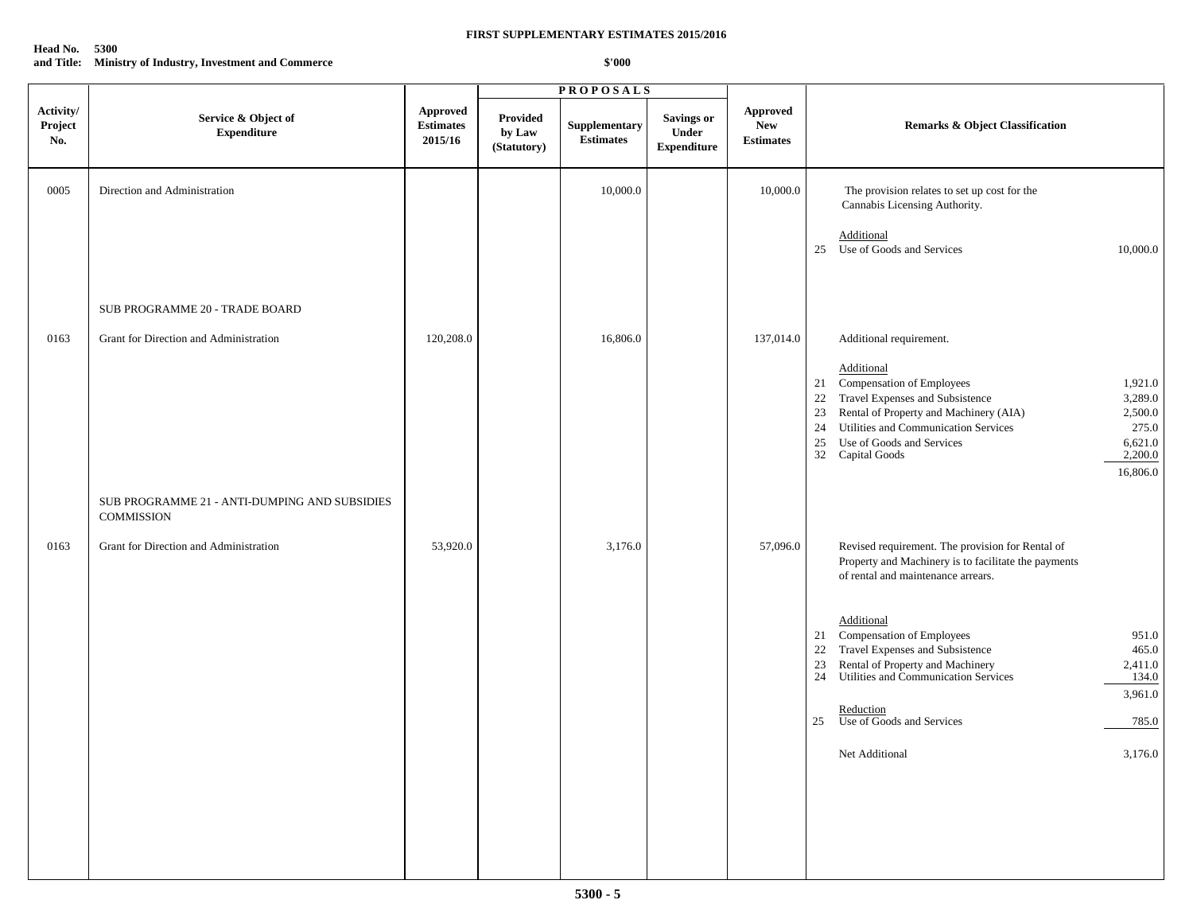## **Head No. 5300 and Title: Ministry of Industry, Investment and Commerce**

|                             |                                                                    |                                         |                                   | <b>PROPOSALS</b>                  |                                           |                                            |                                                                                                                                                                                                                                                                                                                                                       |
|-----------------------------|--------------------------------------------------------------------|-----------------------------------------|-----------------------------------|-----------------------------------|-------------------------------------------|--------------------------------------------|-------------------------------------------------------------------------------------------------------------------------------------------------------------------------------------------------------------------------------------------------------------------------------------------------------------------------------------------------------|
| Activity/<br>Project<br>No. | Service & Object of<br><b>Expenditure</b>                          | Approved<br><b>Estimates</b><br>2015/16 | Provided<br>by Law<br>(Statutory) | Supplementary<br><b>Estimates</b> | Savings or<br>Under<br><b>Expenditure</b> | Approved<br><b>New</b><br><b>Estimates</b> | <b>Remarks &amp; Object Classification</b>                                                                                                                                                                                                                                                                                                            |
| 0005                        | Direction and Administration                                       |                                         |                                   | 10,000.0                          |                                           | 10,000.0                                   | The provision relates to set up cost for the<br>Cannabis Licensing Authority.<br>Additional<br>25 Use of Goods and Services<br>10,000.0                                                                                                                                                                                                               |
|                             | SUB PROGRAMME 20 - TRADE BOARD                                     |                                         |                                   |                                   |                                           |                                            |                                                                                                                                                                                                                                                                                                                                                       |
| 0163                        | Grant for Direction and Administration                             | 120,208.0                               |                                   | 16,806.0                          |                                           | 137,014.0                                  | Additional requirement.<br>Additional<br>Compensation of Employees<br>1,921.0<br>21<br>Travel Expenses and Subsistence<br>22<br>3,289.0<br>Rental of Property and Machinery (AIA)<br>2,500.0<br>23<br>Utilities and Communication Services<br>24<br>275.0<br>Use of Goods and Services<br>25<br>6,621.0<br>32<br>2,200.0<br>Capital Goods<br>16,806.0 |
|                             | SUB PROGRAMME 21 - ANTI-DUMPING AND SUBSIDIES<br><b>COMMISSION</b> |                                         |                                   |                                   |                                           |                                            |                                                                                                                                                                                                                                                                                                                                                       |
| 0163                        | Grant for Direction and Administration                             | 53,920.0                                |                                   | 3,176.0                           |                                           | 57,096.0                                   | Revised requirement. The provision for Rental of<br>Property and Machinery is to facilitate the payments<br>of rental and maintenance arrears.                                                                                                                                                                                                        |
|                             |                                                                    |                                         |                                   |                                   |                                           |                                            | Additional<br><b>Compensation of Employees</b><br>951.0<br>21<br>Travel Expenses and Subsistence<br>465.0<br>22<br>Rental of Property and Machinery<br>Utilities and Communication Services<br>23<br>2,411.0<br>24<br>134.0<br>3,961.0<br>Reduction<br>Use of Goods and Services<br>25<br>785.0<br>3,176.0<br>Net Additional                          |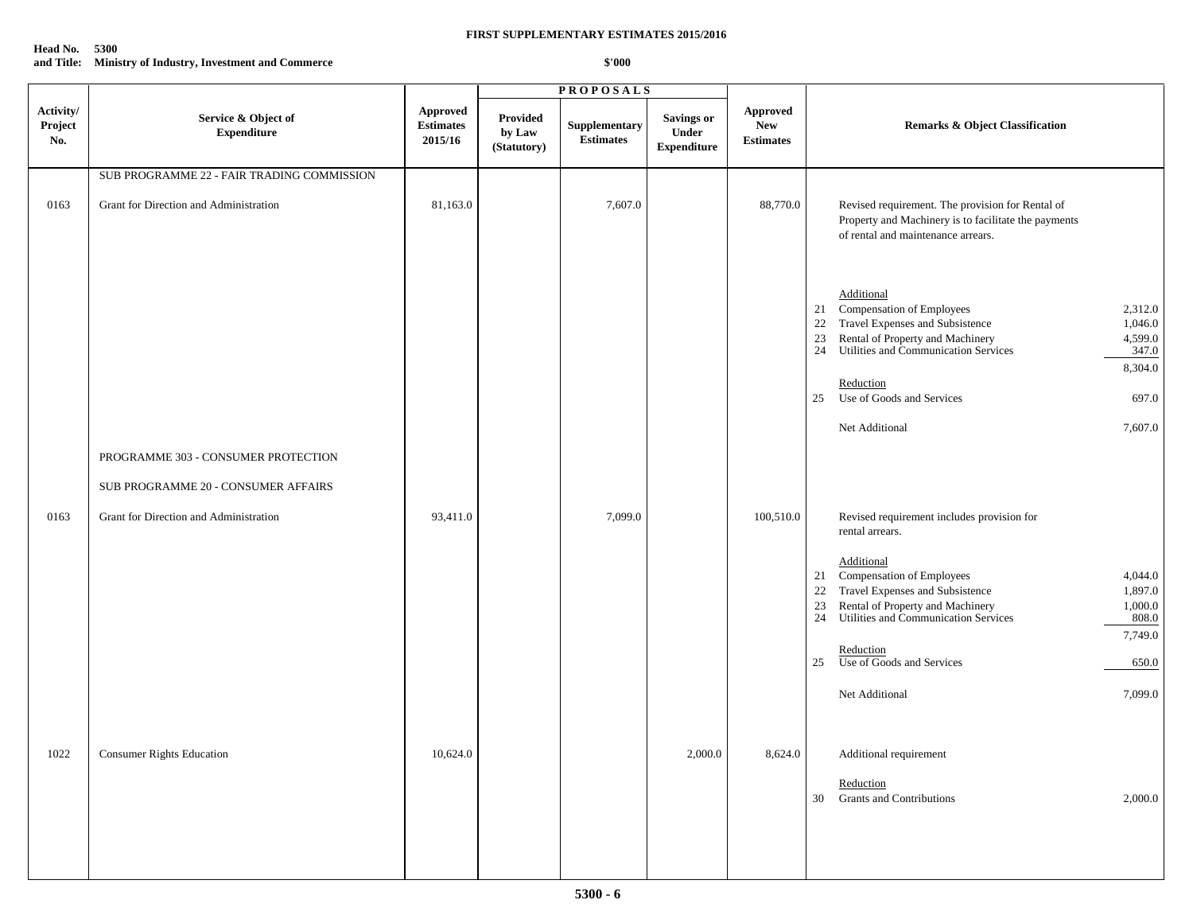## **Head No. 5300 and Title: Ministry of Industry, Investment and Commerce**

|                             |                                            |                                                |                                   | <b>PROPOSALS</b>                  |                                           |                                            |                                                                                                                                                                                                                                                                                                                           |
|-----------------------------|--------------------------------------------|------------------------------------------------|-----------------------------------|-----------------------------------|-------------------------------------------|--------------------------------------------|---------------------------------------------------------------------------------------------------------------------------------------------------------------------------------------------------------------------------------------------------------------------------------------------------------------------------|
| Activity/<br>Project<br>No. | Service & Object of<br><b>Expenditure</b>  | <b>Approved</b><br><b>Estimates</b><br>2015/16 | Provided<br>by Law<br>(Statutory) | Supplementary<br><b>Estimates</b> | Savings or<br>Under<br><b>Expenditure</b> | Approved<br><b>New</b><br><b>Estimates</b> | <b>Remarks &amp; Object Classification</b>                                                                                                                                                                                                                                                                                |
|                             | SUB PROGRAMME 22 - FAIR TRADING COMMISSION |                                                |                                   |                                   |                                           |                                            |                                                                                                                                                                                                                                                                                                                           |
| 0163                        | Grant for Direction and Administration     | 81,163.0                                       |                                   | 7,607.0                           |                                           | 88,770.0                                   | Revised requirement. The provision for Rental of<br>Property and Machinery is to facilitate the payments<br>of rental and maintenance arrears.                                                                                                                                                                            |
|                             |                                            |                                                |                                   |                                   |                                           |                                            | Additional<br>Compensation of Employees<br>2,312.0<br>21<br>Travel Expenses and Subsistence<br>22<br>1,046.0<br>Rental of Property and Machinery<br>4,599.0<br>23<br>Utilities and Communication Services<br>347.0<br>24<br>8,304.0<br>Reduction<br>Use of Goods and Services<br>697.0<br>25                              |
|                             |                                            |                                                |                                   |                                   |                                           |                                            | Net Additional<br>7,607.0                                                                                                                                                                                                                                                                                                 |
|                             | PROGRAMME 303 - CONSUMER PROTECTION        |                                                |                                   |                                   |                                           |                                            |                                                                                                                                                                                                                                                                                                                           |
|                             | SUB PROGRAMME 20 - CONSUMER AFFAIRS        |                                                |                                   |                                   |                                           |                                            |                                                                                                                                                                                                                                                                                                                           |
| 0163                        | Grant for Direction and Administration     | 93,411.0                                       |                                   | 7,099.0                           |                                           | 100,510.0                                  | Revised requirement includes provision for<br>rental arrears.                                                                                                                                                                                                                                                             |
|                             |                                            |                                                |                                   |                                   |                                           |                                            | Additional<br>Compensation of Employees<br>4,044.0<br>21<br>Travel Expenses and Subsistence<br>22<br>1,897.0<br>1,000.0<br>23<br>Rental of Property and Machinery<br>Utilities and Communication Services<br>24<br>808.0<br>7,749.0<br>Reduction<br>Use of Goods and Services<br>25<br>650.0<br>Net Additional<br>7,099.0 |
| 1022                        | Consumer Rights Education                  | 10,624.0                                       |                                   |                                   | 2,000.0                                   | 8,624.0                                    | Additional requirement<br>Reduction<br>2,000.0<br><b>Grants and Contributions</b><br>30                                                                                                                                                                                                                                   |
|                             |                                            |                                                |                                   |                                   |                                           |                                            |                                                                                                                                                                                                                                                                                                                           |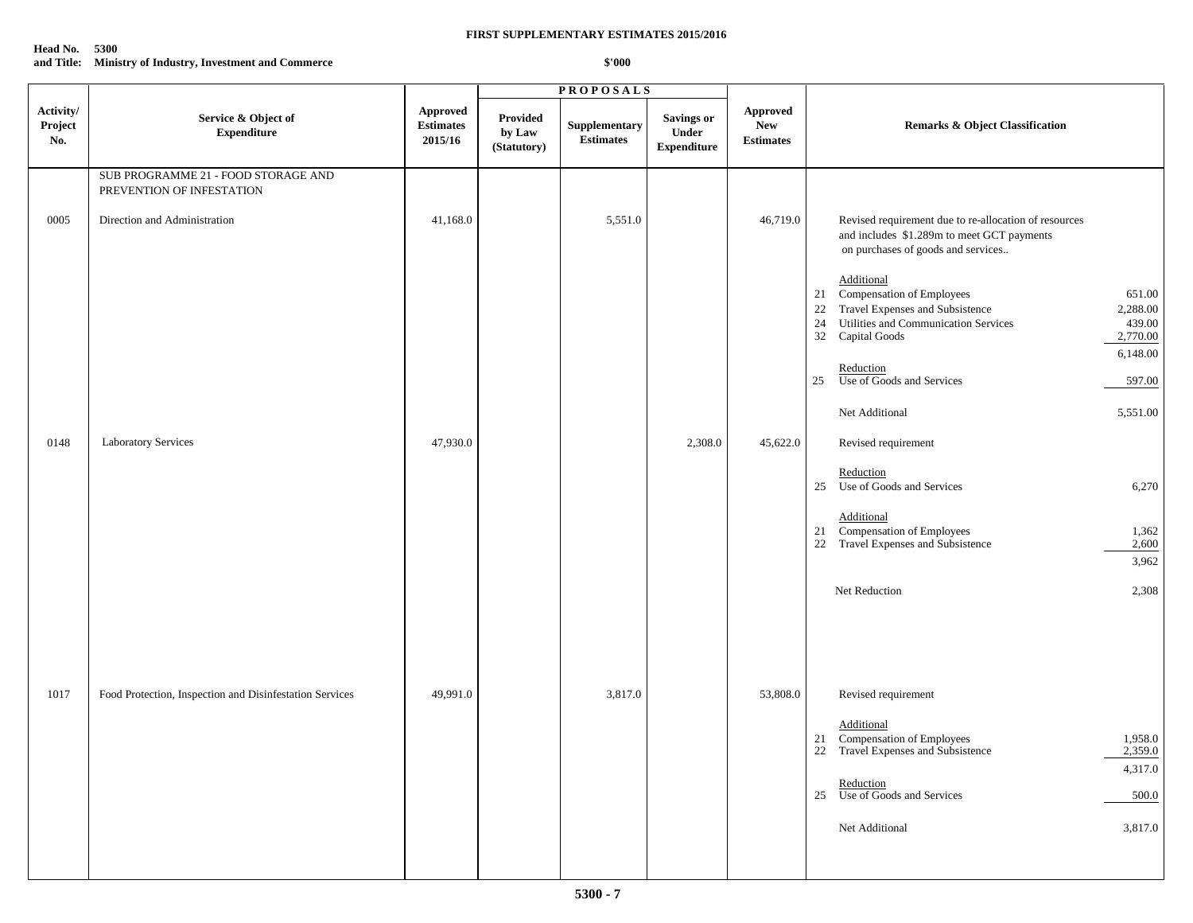## **Head No. 5300 and Title: Ministry of Industry, Investment and Commerce**

|                             |                                                                  |                                                |                                          | <b>PROPOSALS</b>                  |                                           |                                            |                                                                                                                                                                                                                  |
|-----------------------------|------------------------------------------------------------------|------------------------------------------------|------------------------------------------|-----------------------------------|-------------------------------------------|--------------------------------------------|------------------------------------------------------------------------------------------------------------------------------------------------------------------------------------------------------------------|
| Activity/<br>Project<br>No. | Service & Object of<br><b>Expenditure</b>                        | <b>Approved</b><br><b>Estimates</b><br>2015/16 | <b>Provided</b><br>by Law<br>(Statutory) | Supplementary<br><b>Estimates</b> | Savings or<br>Under<br><b>Expenditure</b> | Approved<br><b>New</b><br><b>Estimates</b> | <b>Remarks &amp; Object Classification</b>                                                                                                                                                                       |
|                             | SUB PROGRAMME 21 - FOOD STORAGE AND<br>PREVENTION OF INFESTATION |                                                |                                          |                                   |                                           |                                            |                                                                                                                                                                                                                  |
| 0005                        | Direction and Administration                                     | 41,168.0                                       |                                          | 5,551.0                           |                                           | 46,719.0                                   | Revised requirement due to re-allocation of resources<br>and includes \$1.289m to meet GCT payments<br>on purchases of goods and services                                                                        |
|                             |                                                                  |                                                |                                          |                                   |                                           |                                            | Additional<br>Compensation of Employees<br>651.00<br>21<br>Travel Expenses and Subsistence<br>22<br>2,288.00<br>Utilities and Communication Services<br>439.00<br>24<br>32 Capital Goods<br>2,770.00<br>6,148.00 |
|                             |                                                                  |                                                |                                          |                                   |                                           |                                            | Reduction<br>Use of Goods and Services<br>25<br>597.00                                                                                                                                                           |
|                             |                                                                  |                                                |                                          |                                   |                                           |                                            | Net Additional<br>5,551.00                                                                                                                                                                                       |
| 0148                        | Laboratory Services                                              | 47,930.0                                       |                                          |                                   | 2,308.0                                   | 45,622.0                                   | Revised requirement                                                                                                                                                                                              |
|                             |                                                                  |                                                |                                          |                                   |                                           |                                            | Reduction<br>25 Use of Goods and Services<br>6,270                                                                                                                                                               |
|                             |                                                                  |                                                |                                          |                                   |                                           |                                            | Additional<br>Compensation of Employees<br>21<br>1,362<br>Travel Expenses and Subsistence<br>22<br>2,600<br>3,962                                                                                                |
|                             |                                                                  |                                                |                                          |                                   |                                           |                                            | Net Reduction<br>2,308                                                                                                                                                                                           |
|                             |                                                                  |                                                |                                          |                                   |                                           |                                            |                                                                                                                                                                                                                  |
| 1017                        | Food Protection, Inspection and Disinfestation Services          | 49,991.0                                       |                                          | 3,817.0                           |                                           | 53,808.0                                   | Revised requirement                                                                                                                                                                                              |
|                             |                                                                  |                                                |                                          |                                   |                                           |                                            | Additional<br>21 Compensation of Employees<br>1,958.0<br>22 Travel Expenses and Subsistence<br>2,359.0<br>4,317.0                                                                                                |
|                             |                                                                  |                                                |                                          |                                   |                                           |                                            | Reduction<br>25 Use of Goods and Services<br>500.0                                                                                                                                                               |
|                             |                                                                  |                                                |                                          |                                   |                                           |                                            | Net Additional<br>3,817.0                                                                                                                                                                                        |
|                             |                                                                  |                                                |                                          |                                   |                                           |                                            |                                                                                                                                                                                                                  |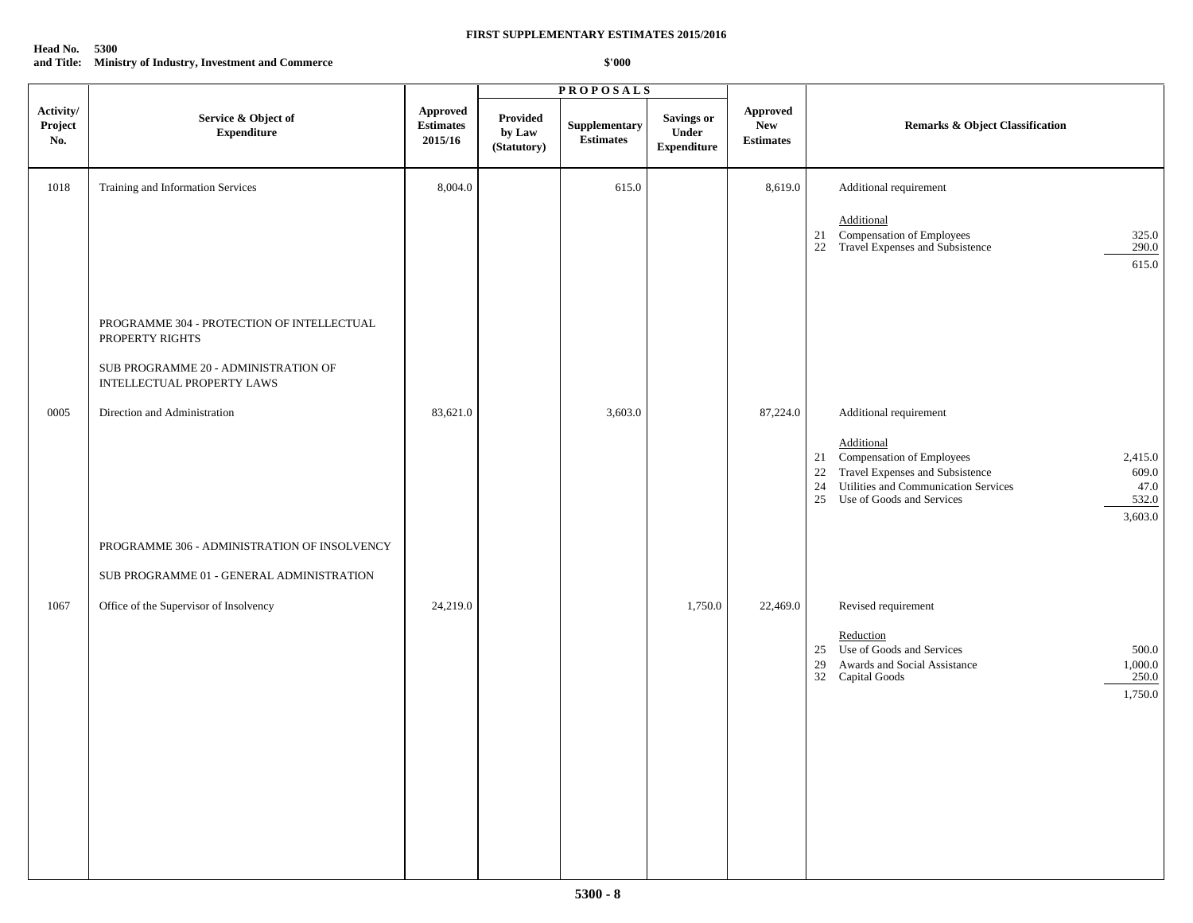## **Head No. 5300 and Title: Ministry of Industry, Investment and Commerce**

|                             |                                                                                                                                     |                                         |                                   | <b>PROPOSALS</b>                  |                                           |                                            |                                                                                                                                                                                                                                                   |
|-----------------------------|-------------------------------------------------------------------------------------------------------------------------------------|-----------------------------------------|-----------------------------------|-----------------------------------|-------------------------------------------|--------------------------------------------|---------------------------------------------------------------------------------------------------------------------------------------------------------------------------------------------------------------------------------------------------|
| Activity/<br>Project<br>No. | Service & Object of<br><b>Expenditure</b>                                                                                           | Approved<br><b>Estimates</b><br>2015/16 | Provided<br>by Law<br>(Statutory) | Supplementary<br><b>Estimates</b> | Savings or<br>Under<br><b>Expenditure</b> | Approved<br><b>New</b><br><b>Estimates</b> | <b>Remarks &amp; Object Classification</b>                                                                                                                                                                                                        |
| 1018                        | Training and Information Services                                                                                                   | 8,004.0                                 |                                   | 615.0                             |                                           | 8,619.0                                    | Additional requirement<br>Additional<br>Compensation of Employees<br>325.0<br>21<br>Travel Expenses and Subsistence<br>290.0<br>22<br>615.0                                                                                                       |
|                             | PROGRAMME 304 - PROTECTION OF INTELLECTUAL<br>PROPERTY RIGHTS<br>SUB PROGRAMME 20 - ADMINISTRATION OF<br>INTELLECTUAL PROPERTY LAWS |                                         |                                   |                                   |                                           |                                            |                                                                                                                                                                                                                                                   |
| 0005                        | Direction and Administration                                                                                                        | 83,621.0                                |                                   | 3,603.0                           |                                           | 87,224.0                                   | Additional requirement<br>Additional<br>Compensation of Employees<br>2,415.0<br>21<br>Travel Expenses and Subsistence<br>22<br>609.0<br>Utilities and Communication Services<br>47.0<br>24<br>532.0<br>25<br>Use of Goods and Services<br>3,603.0 |
|                             | PROGRAMME 306 - ADMINISTRATION OF INSOLVENCY<br>SUB PROGRAMME 01 - GENERAL ADMINISTRATION                                           |                                         |                                   |                                   |                                           |                                            |                                                                                                                                                                                                                                                   |
| 1067                        | Office of the Supervisor of Insolvency                                                                                              | 24,219.0                                |                                   |                                   | 1,750.0                                   | 22,469.0                                   | Revised requirement<br>Reduction<br>Use of Goods and Services<br>500.0<br>25<br>1,000.0<br>Awards and Social Assistance<br>29<br>250.0<br>32 Capital Goods<br>1,750.0                                                                             |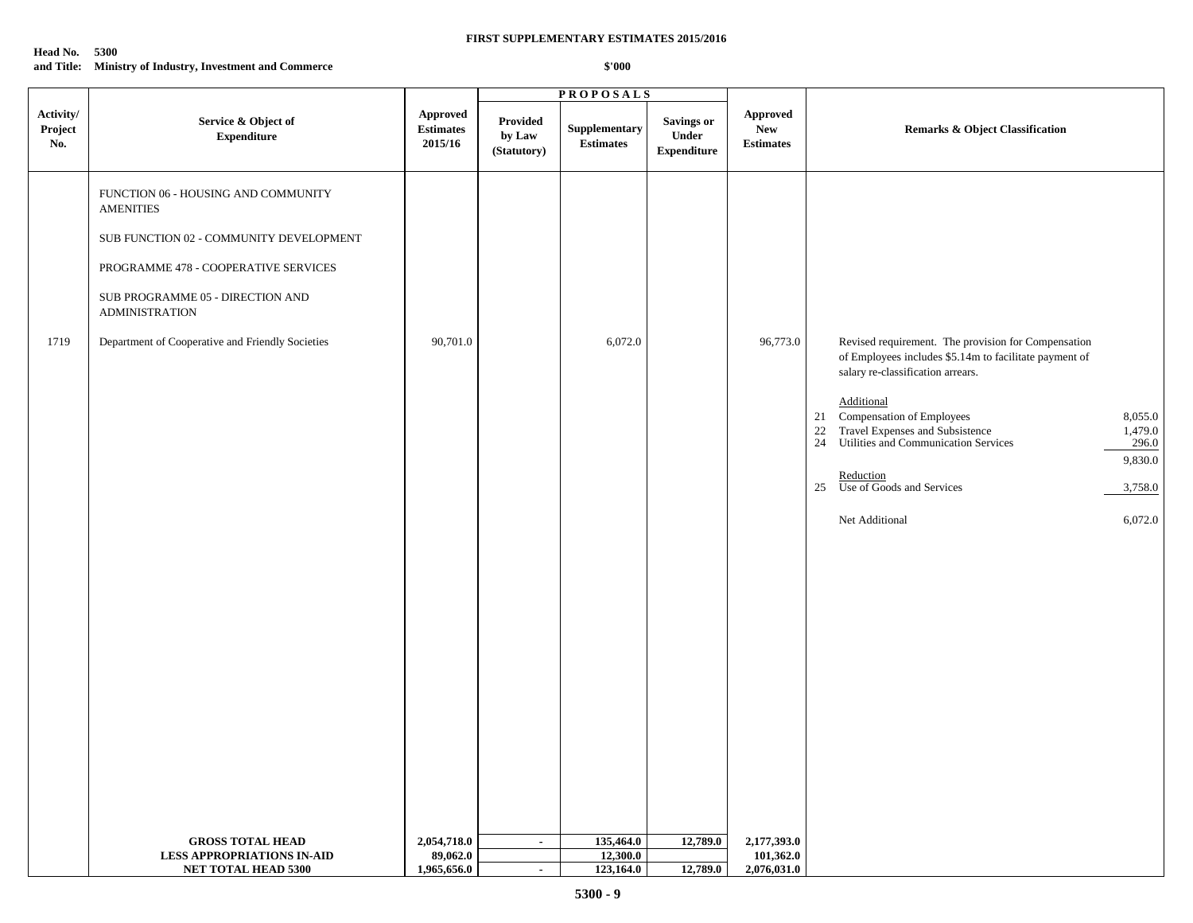| Head No. | - 5300                                                   |
|----------|----------------------------------------------------------|
|          | and Title: Ministry of Industry, Investment and Commerce |

|                             |                                                                                                                                                                                                                                                             |                                         |                                   | <b>PROPOSALS</b>                                           |                                           |                                            |                                                                                                                                                                                                                                                                                                                                                                                                                                  |  |
|-----------------------------|-------------------------------------------------------------------------------------------------------------------------------------------------------------------------------------------------------------------------------------------------------------|-----------------------------------------|-----------------------------------|------------------------------------------------------------|-------------------------------------------|--------------------------------------------|----------------------------------------------------------------------------------------------------------------------------------------------------------------------------------------------------------------------------------------------------------------------------------------------------------------------------------------------------------------------------------------------------------------------------------|--|
| Activity/<br>Project<br>No. | Service & Object of<br><b>Expenditure</b>                                                                                                                                                                                                                   | Approved<br><b>Estimates</b><br>2015/16 | Provided<br>by Law<br>(Statutory) | Supplementary<br>$\label{eq:estimates} \textbf{Estimates}$ | Savings or<br>Under<br><b>Expenditure</b> | <b>Approved</b><br>New<br><b>Estimates</b> | <b>Remarks &amp; Object Classification</b>                                                                                                                                                                                                                                                                                                                                                                                       |  |
| 1719                        | FUNCTION 06 - HOUSING AND COMMUNITY<br><b>AMENITIES</b><br>SUB FUNCTION 02 - COMMUNITY DEVELOPMENT<br>PROGRAMME 478 - COOPERATIVE SERVICES<br>SUB PROGRAMME 05 - DIRECTION AND<br><b>ADMINISTRATION</b><br>Department of Cooperative and Friendly Societies | 90,701.0                                |                                   | 6,072.0                                                    |                                           | 96,773.0                                   | Revised requirement. The provision for Compensation<br>of Employees includes \$5.14m to facilitate payment of<br>salary re-classification arrears.<br>Additional<br>21<br>Compensation of Employees<br>8,055.0<br>$22\,$<br>Travel Expenses and Subsistence<br>1,479.0<br>Utilities and Communication Services<br>24<br>296.0<br>9,830.0<br>Reduction<br>25<br>Use of Goods and Services<br>3,758.0<br>Net Additional<br>6,072.0 |  |
|                             | <b>GROSS TOTAL HEAD</b><br><b>LESS APPROPRIATIONS IN-AID</b>                                                                                                                                                                                                | 2,054,718.0<br>89,062.0                 | $\sim$                            | 135,464.0<br>12,300.0                                      | 12,789.0                                  | 2,177,393.0<br>101,362.0                   |                                                                                                                                                                                                                                                                                                                                                                                                                                  |  |
|                             | NET TOTAL HEAD 5300                                                                                                                                                                                                                                         | 1,965,656.0                             | $\sim$                            | 123,164.0                                                  | 12,789.0                                  | 2,076,031.0                                |                                                                                                                                                                                                                                                                                                                                                                                                                                  |  |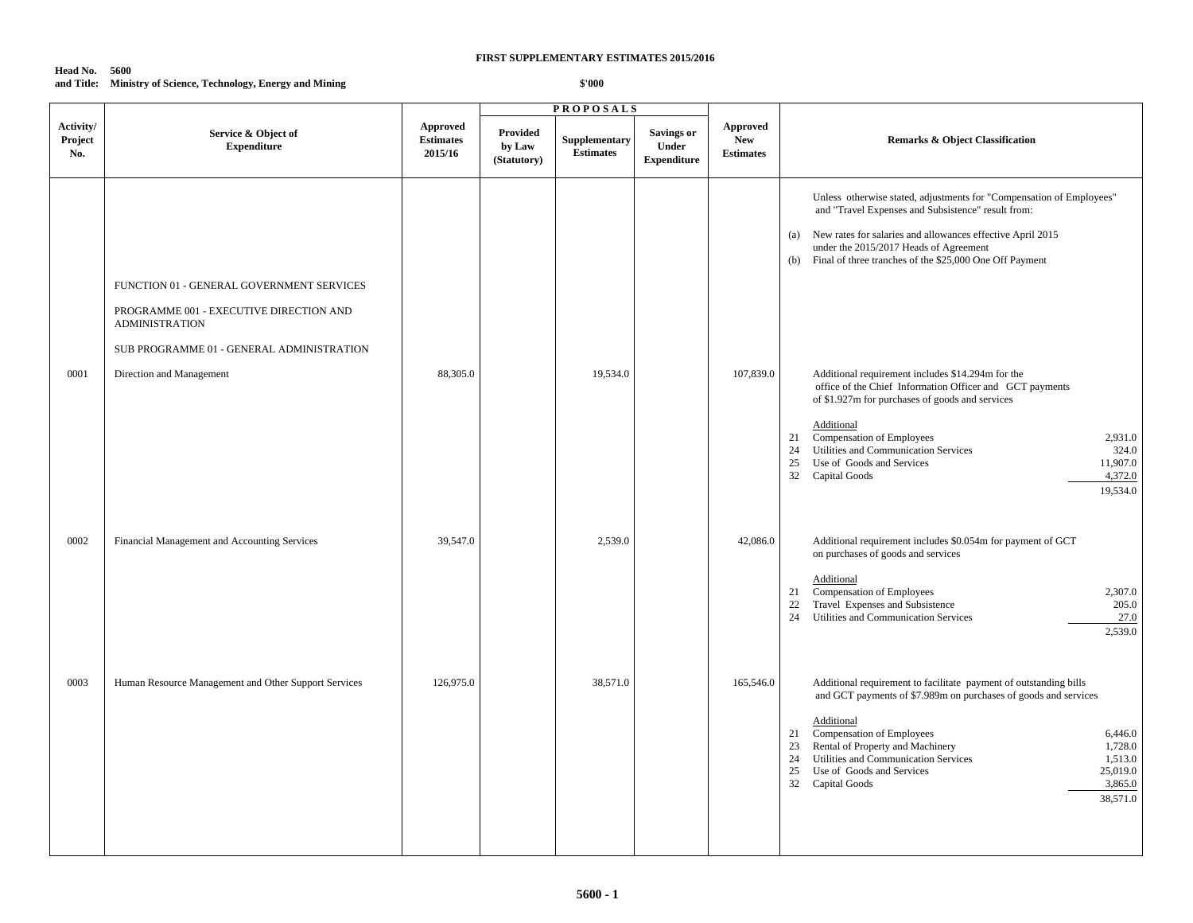## **Head No. 5600 and Title: Ministry of Science, Technology, Energy and Mining**

|                             |                                                                                                                                                            |                                         |                                          | <b>PROPOSALS</b>                  |                                                  |                                            |                                                                                                                                                                                                                                                                                                                                                                                                             |
|-----------------------------|------------------------------------------------------------------------------------------------------------------------------------------------------------|-----------------------------------------|------------------------------------------|-----------------------------------|--------------------------------------------------|--------------------------------------------|-------------------------------------------------------------------------------------------------------------------------------------------------------------------------------------------------------------------------------------------------------------------------------------------------------------------------------------------------------------------------------------------------------------|
| Activity/<br>Project<br>No. | Service & Object of<br><b>Expenditure</b>                                                                                                                  | Approved<br><b>Estimates</b><br>2015/16 | <b>Provided</b><br>by Law<br>(Statutory) | Supplementary<br><b>Estimates</b> | <b>Savings or</b><br>Under<br><b>Expenditure</b> | Approved<br><b>New</b><br><b>Estimates</b> | Remarks & Object Classification                                                                                                                                                                                                                                                                                                                                                                             |
|                             | FUNCTION 01 - GENERAL GOVERNMENT SERVICES<br>PROGRAMME 001 - EXECUTIVE DIRECTION AND<br><b>ADMINISTRATION</b><br>SUB PROGRAMME 01 - GENERAL ADMINISTRATION |                                         |                                          |                                   |                                                  |                                            | Unless otherwise stated, adjustments for "Compensation of Employees"<br>and "Travel Expenses and Subsistence" result from:<br>(a) New rates for salaries and allowances effective April 2015<br>under the 2015/2017 Heads of Agreement<br>Final of three tranches of the \$25,000 One Off Payment<br>(b)                                                                                                    |
| 0001                        | Direction and Management                                                                                                                                   | 88,305.0                                |                                          | 19,534.0                          |                                                  | 107,839.0                                  | Additional requirement includes \$14.294m for the<br>office of the Chief Information Officer and GCT payments<br>of \$1.927m for purchases of goods and services<br>Additional<br>Compensation of Employees<br>2.931.0<br>21<br>Utilities and Communication Services<br>324.0<br>24<br>Use of Goods and Services<br>11,907.0<br>25<br>32 Capital Goods<br>4,372.0<br>19,534.0                               |
| 0002                        | Financial Management and Accounting Services                                                                                                               | 39,547.0                                |                                          | 2,539.0                           |                                                  | 42,086.0                                   | Additional requirement includes \$0.054m for payment of GCT<br>on purchases of goods and services<br>Additional<br>Compensation of Employees<br>2,307.0<br>21<br>Travel Expenses and Subsistence<br>22<br>205.0<br>24<br>Utilities and Communication Services<br>27.0<br>2,539.0                                                                                                                            |
| 0003                        | Human Resource Management and Other Support Services                                                                                                       | 126,975.0                               |                                          | 38,571.0                          |                                                  | 165,546.0                                  | Additional requirement to facilitate payment of outstanding bills<br>and GCT payments of \$7.989m on purchases of goods and services<br>Additional<br>Compensation of Employees<br>6,446.0<br>21<br>Rental of Property and Machinery<br>23<br>1,728.0<br>Utilities and Communication Services<br>24<br>1,513.0<br>25,019.0<br>25<br>Use of Goods and Services<br>32<br>3,865.0<br>Capital Goods<br>38,571.0 |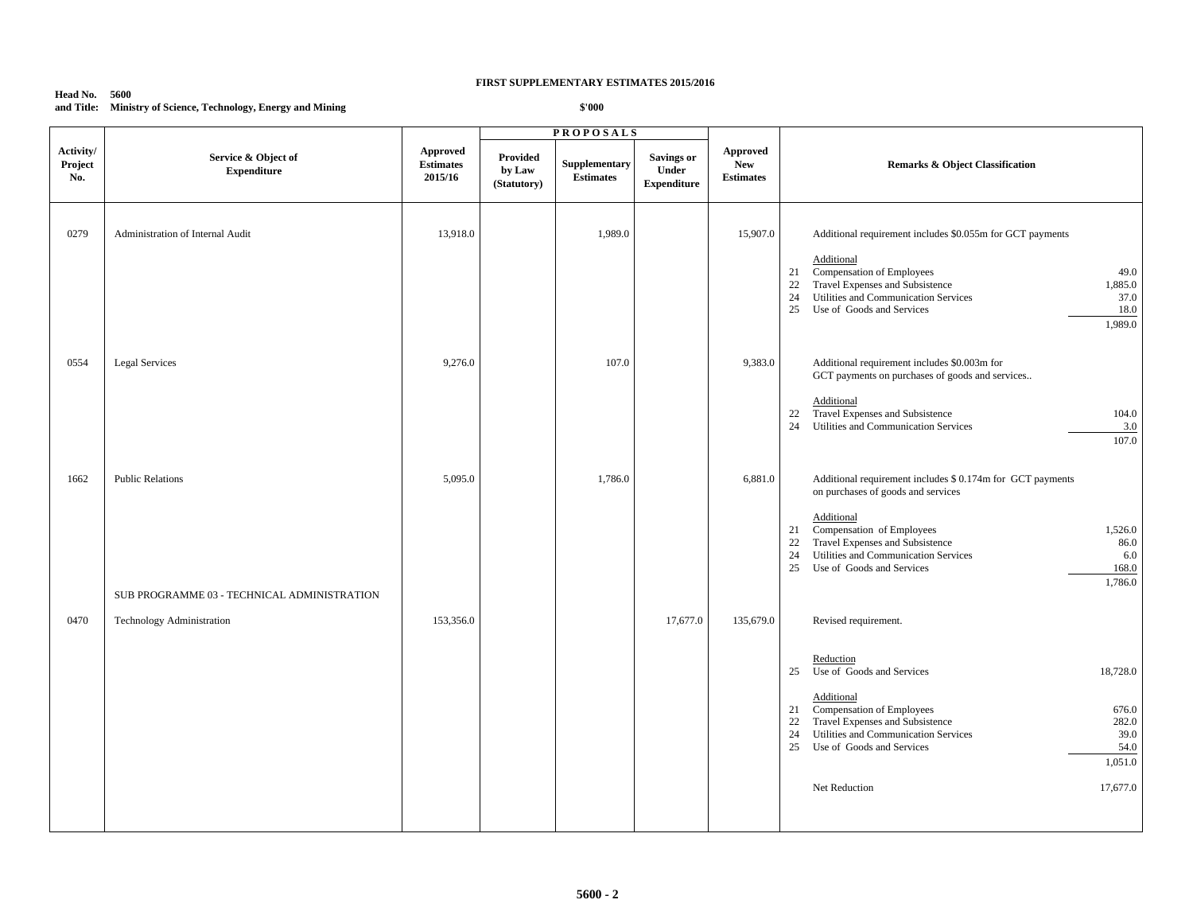## **Head No. 5600 and Title: Ministry of Science, Technology, Energy and Mining**

|                             |                                                                        |                                                |                                          | <b>PROPOSALS</b>                         |                                                  |                                            |                                                                                                                                                                                                                                                                                                                                       |
|-----------------------------|------------------------------------------------------------------------|------------------------------------------------|------------------------------------------|------------------------------------------|--------------------------------------------------|--------------------------------------------|---------------------------------------------------------------------------------------------------------------------------------------------------------------------------------------------------------------------------------------------------------------------------------------------------------------------------------------|
| Activity/<br>Project<br>No. | Service & Object of<br><b>Expenditure</b>                              | <b>Approved</b><br><b>Estimates</b><br>2015/16 | <b>Provided</b><br>by Law<br>(Statutory) | <b>Supplementary</b><br><b>Estimates</b> | <b>Savings or</b><br>Under<br><b>Expenditure</b> | Approved<br><b>New</b><br><b>Estimates</b> | <b>Remarks &amp; Object Classification</b>                                                                                                                                                                                                                                                                                            |
| 0279                        | Administration of Internal Audit                                       | 13,918.0                                       |                                          | 1,989.0                                  |                                                  | 15,907.0                                   | Additional requirement includes \$0.055m for GCT payments<br>Additional<br>Compensation of Employees<br>49.0<br>21<br>Travel Expenses and Subsistence<br>1,885.0<br>22<br>Utilities and Communication Services<br>24<br>37.0<br>25<br>Use of Goods and Services<br>18.0<br>1,989.0                                                    |
| 0554                        | <b>Legal Services</b>                                                  | 9,276.0                                        |                                          | 107.0                                    |                                                  | 9,383.0                                    | Additional requirement includes \$0.003m for<br>GCT payments on purchases of goods and services<br>Additional<br>Travel Expenses and Subsistence<br>104.0<br>22<br>Utilities and Communication Services<br>3.0<br>24<br>107.0                                                                                                         |
| 1662                        | <b>Public Relations</b><br>SUB PROGRAMME 03 - TECHNICAL ADMINISTRATION | 5,095.0                                        |                                          | 1,786.0                                  |                                                  | 6,881.0                                    | Additional requirement includes \$ 0.174m for GCT payments<br>on purchases of goods and services<br>Additional<br>Compensation of Employees<br>1,526.0<br>21<br>Travel Expenses and Subsistence<br>22<br>86.0<br>Utilities and Communication Services<br>24<br>6.0<br>25<br>Use of Goods and Services<br>168.0<br>1,786.0             |
| 0470                        | Technology Administration                                              | 153,356.0                                      |                                          |                                          | 17,677.0                                         | 135,679.0                                  | Revised requirement.<br>Reduction<br>Use of Goods and Services<br>18,728.0<br>25<br>Additional<br>Compensation of Employees<br>676.0<br>21<br>Travel Expenses and Subsistence<br>282.0<br>22<br>Utilities and Communication Services<br>39.0<br>24<br>25<br>Use of Goods and Services<br>54.0<br>1,051.0<br>17,677.0<br>Net Reduction |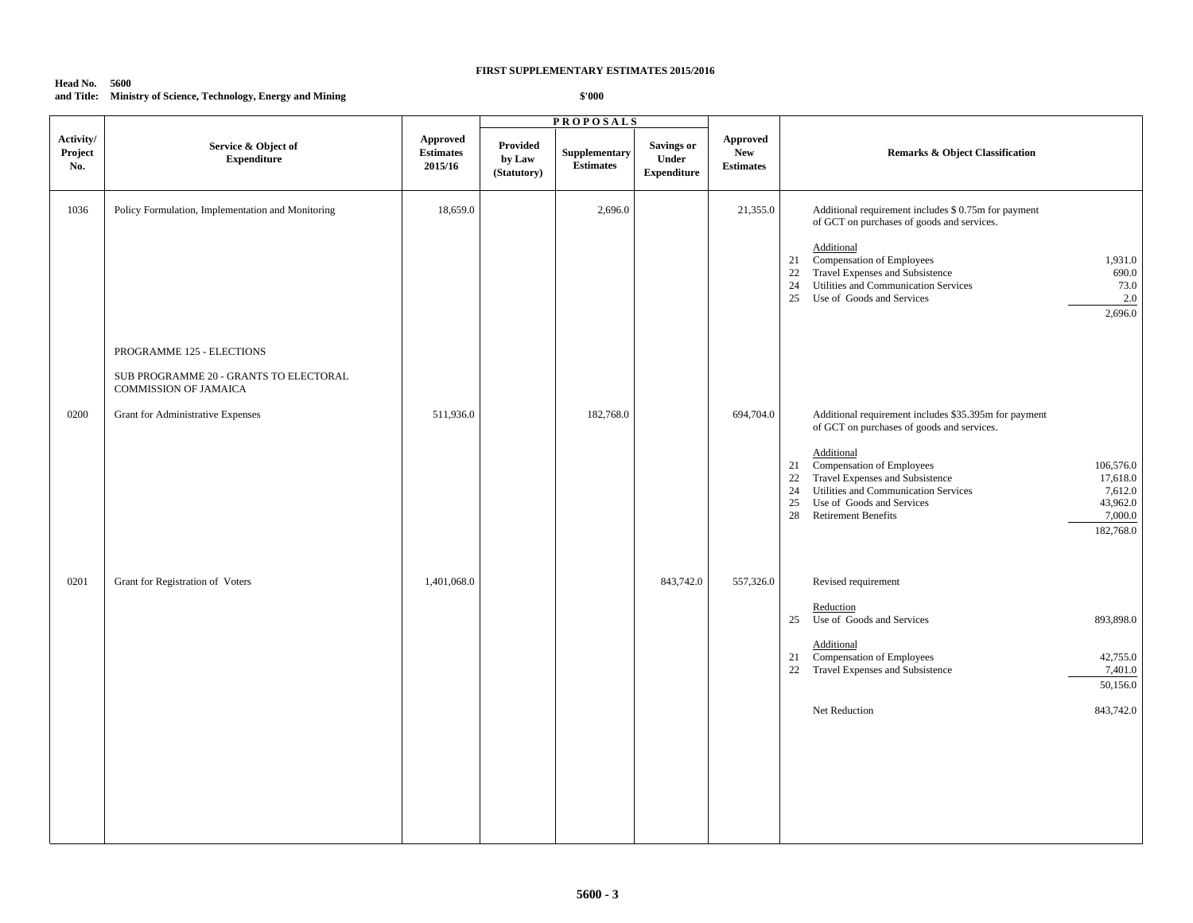## **Head No. 5600 and Title: Ministry of Science, Technology, Energy and Mining**

|                             |                                                                                                             |                                         |                                   | <b>PROPOSALS</b>                  |                                                  |                                                   |                                                                                                                                                                                                                                                                                                                                                                                            |
|-----------------------------|-------------------------------------------------------------------------------------------------------------|-----------------------------------------|-----------------------------------|-----------------------------------|--------------------------------------------------|---------------------------------------------------|--------------------------------------------------------------------------------------------------------------------------------------------------------------------------------------------------------------------------------------------------------------------------------------------------------------------------------------------------------------------------------------------|
| Activity/<br>Project<br>No. | Service & Object of<br><b>Expenditure</b>                                                                   | Approved<br><b>Estimates</b><br>2015/16 | Provided<br>by Law<br>(Statutory) | Supplementary<br><b>Estimates</b> | <b>Savings or</b><br>Under<br><b>Expenditure</b> | <b>Approved</b><br><b>New</b><br><b>Estimates</b> | <b>Remarks &amp; Object Classification</b>                                                                                                                                                                                                                                                                                                                                                 |
| 1036                        | Policy Formulation, Implementation and Monitoring<br>PROGRAMME 125 - ELECTIONS                              | 18,659.0                                |                                   | 2,696.0                           |                                                  | 21,355.0                                          | Additional requirement includes \$ 0.75m for payment<br>of GCT on purchases of goods and services.<br>Additional<br>Compensation of Employees<br>1,931.0<br>21<br>Travel Expenses and Subsistence<br>22<br>690.0<br>Utilities and Communication Services<br>24<br>73.0<br>Use of Goods and Services<br>$2.0\,$<br>25<br>2,696.0                                                            |
| 0200                        | SUB PROGRAMME 20 - GRANTS TO ELECTORAL<br><b>COMMISSION OF JAMAICA</b><br>Grant for Administrative Expenses | 511,936.0                               |                                   | 182,768.0                         |                                                  | 694,704.0                                         | Additional requirement includes \$35.395m for payment<br>of GCT on purchases of goods and services.<br>Additional<br>Compensation of Employees<br>106,576.0<br>21<br>Travel Expenses and Subsistence<br>22<br>17,618.0<br>Utilities and Communication Services<br>24<br>7,612.0<br>43,962.0<br>25<br>Use of Goods and Services<br>28<br><b>Retirement Benefits</b><br>7,000.0<br>182,768.0 |
| 0201                        | Grant for Registration of Voters                                                                            | 1,401,068.0                             |                                   |                                   | 843,742.0                                        | 557,326.0                                         | Revised requirement<br>Reduction<br>Use of Goods and Services<br>25<br>893,898.0<br>Additional<br>Compensation of Employees<br>42,755.0<br>21<br>Travel Expenses and Subsistence<br>22<br>7,401.0<br>50,156.0<br>843,742.0<br>Net Reduction                                                                                                                                                |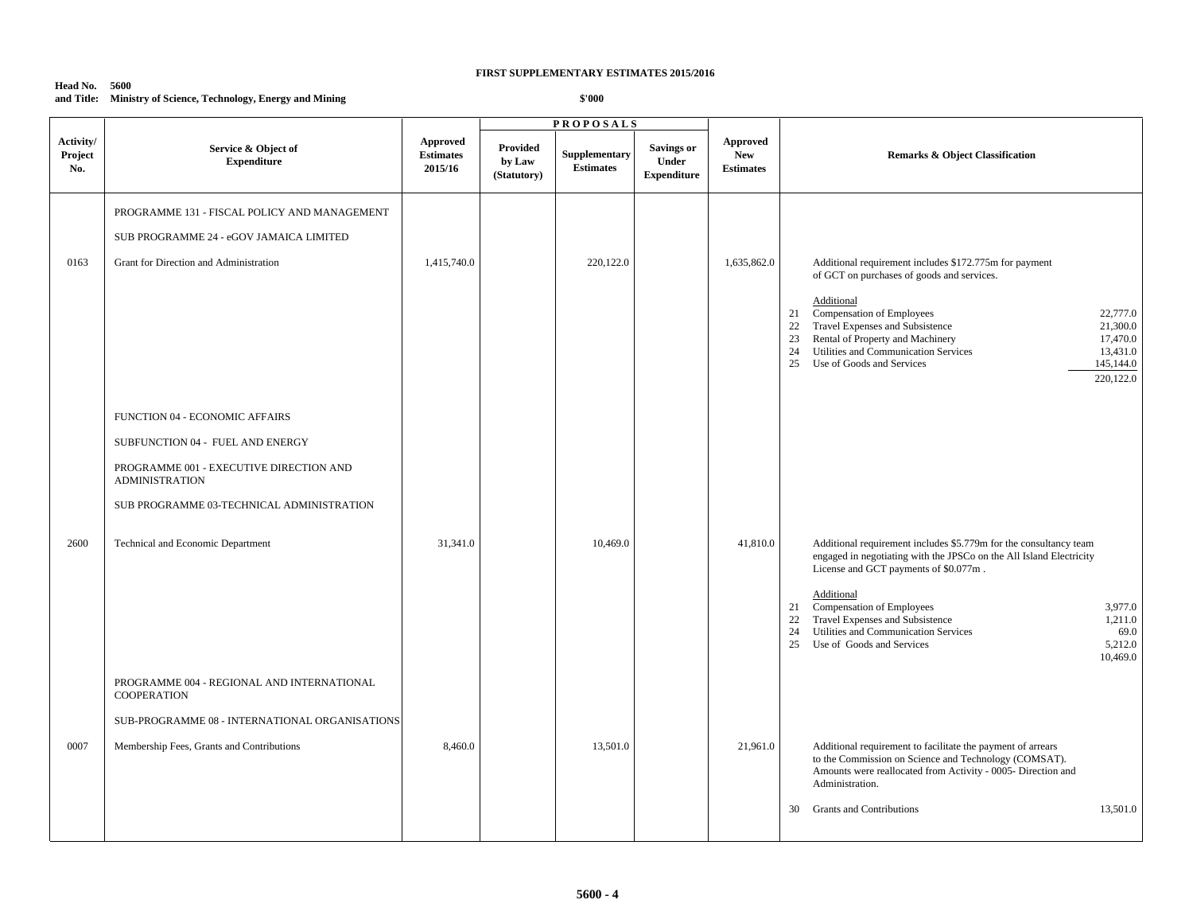## **Head No. 5600 and Title: Ministry of Science, Technology, Energy and Mining**

|                             |                                                                                                                                                                                                                                                                        |                                         |                                   | <b>PROPOSALS</b>                         |                                                  |                                                   |                                                                                                                                                                                                                                                                                                                                                                                                                                |
|-----------------------------|------------------------------------------------------------------------------------------------------------------------------------------------------------------------------------------------------------------------------------------------------------------------|-----------------------------------------|-----------------------------------|------------------------------------------|--------------------------------------------------|---------------------------------------------------|--------------------------------------------------------------------------------------------------------------------------------------------------------------------------------------------------------------------------------------------------------------------------------------------------------------------------------------------------------------------------------------------------------------------------------|
| Activity/<br>Project<br>No. | Service & Object of<br><b>Expenditure</b>                                                                                                                                                                                                                              | Approved<br><b>Estimates</b><br>2015/16 | Provided<br>by Law<br>(Statutory) | <b>Supplementary</b><br><b>Estimates</b> | <b>Savings or</b><br>Under<br><b>Expenditure</b> | <b>Approved</b><br><b>New</b><br><b>Estimates</b> | <b>Remarks &amp; Object Classification</b>                                                                                                                                                                                                                                                                                                                                                                                     |
| 0163                        | PROGRAMME 131 - FISCAL POLICY AND MANAGEMENT<br>SUB PROGRAMME 24 - eGOV JAMAICA LIMITED<br>Grant for Direction and Administration                                                                                                                                      | 1,415,740.0                             |                                   | 220,122.0                                |                                                  | 1,635,862.0                                       | Additional requirement includes \$172.775m for payment<br>of GCT on purchases of goods and services.<br>Additional<br>21 Compensation of Employees<br>22,777.0<br>Travel Expenses and Subsistence<br>21,300.0<br>22<br>Rental of Property and Machinery<br>23<br>17,470.0<br>Utilities and Communication Services<br>24<br>13,431.0<br>Use of Goods and Services<br>25<br>145,144.0                                            |
| 2600                        | FUNCTION 04 - ECONOMIC AFFAIRS<br>SUBFUNCTION 04 - FUEL AND ENERGY<br>PROGRAMME 001 - EXECUTIVE DIRECTION AND<br><b>ADMINISTRATION</b><br>SUB PROGRAMME 03-TECHNICAL ADMINISTRATION<br>Technical and Economic Department<br>PROGRAMME 004 - REGIONAL AND INTERNATIONAL | 31,341.0                                |                                   | 10,469.0                                 |                                                  | 41,810.0                                          | 220,122.0<br>Additional requirement includes \$5.779m for the consultancy team<br>engaged in negotiating with the JPSCo on the All Island Electricity<br>License and GCT payments of \$0.077m.<br>Additional<br>Compensation of Employees<br>3,977.0<br>21<br>Travel Expenses and Subsistence<br>1,211.0<br>22<br>24<br>Utilities and Communication Services<br>69.0<br>25<br>Use of Goods and Services<br>5,212.0<br>10,469.0 |
| 0007                        | <b>COOPERATION</b><br>SUB-PROGRAMME 08 - INTERNATIONAL ORGANISATIONS<br>Membership Fees, Grants and Contributions                                                                                                                                                      | 8,460.0                                 |                                   | 13,501.0                                 |                                                  | 21,961.0                                          | Additional requirement to facilitate the payment of arrears<br>to the Commission on Science and Technology (COMSAT).<br>Amounts were reallocated from Activity - 0005- Direction and<br>Administration.<br><b>Grants and Contributions</b><br>13,501.0<br>30                                                                                                                                                                   |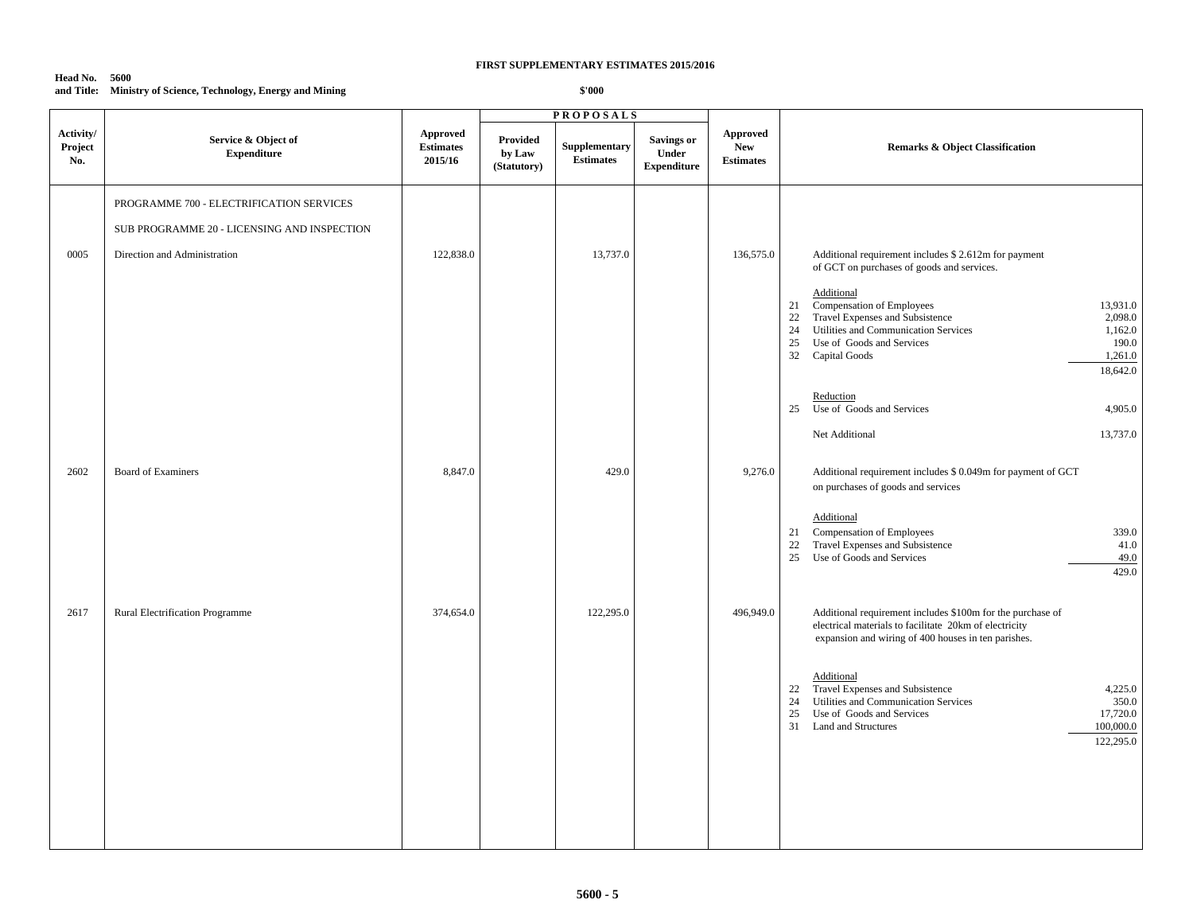#### **Head No. 5600 and Title: Ministry of Science, Technology, Energy and Mining**

|                             |                                                                                         |                                         |                                   | <b>PROPOSALS</b>                  |                                                  |                                                   |                                                                                                                                                                                                                                                                                                                                                                                                                                                           |
|-----------------------------|-----------------------------------------------------------------------------------------|-----------------------------------------|-----------------------------------|-----------------------------------|--------------------------------------------------|---------------------------------------------------|-----------------------------------------------------------------------------------------------------------------------------------------------------------------------------------------------------------------------------------------------------------------------------------------------------------------------------------------------------------------------------------------------------------------------------------------------------------|
| Activity/<br>Project<br>No. | Service & Object of<br><b>Expenditure</b>                                               | Approved<br><b>Estimates</b><br>2015/16 | Provided<br>by Law<br>(Statutory) | Supplementary<br><b>Estimates</b> | <b>Savings or</b><br>Under<br><b>Expenditure</b> | <b>Approved</b><br><b>New</b><br><b>Estimates</b> | Remarks & Object Classification                                                                                                                                                                                                                                                                                                                                                                                                                           |
|                             | PROGRAMME 700 - ELECTRIFICATION SERVICES<br>SUB PROGRAMME 20 - LICENSING AND INSPECTION |                                         |                                   |                                   |                                                  |                                                   |                                                                                                                                                                                                                                                                                                                                                                                                                                                           |
| 0005                        | Direction and Administration                                                            | 122,838.0                               |                                   | 13,737.0                          |                                                  | 136,575.0                                         | Additional requirement includes \$2.612m for payment<br>of GCT on purchases of goods and services.<br>Additional<br>21 Compensation of Employees<br>13,931.0<br>Travel Expenses and Subsistence<br>22<br>2,098.0<br>24<br>Utilities and Communication Services<br>1,162.0<br>25<br>Use of Goods and Services<br>190.0<br>32 Capital Goods<br>1,261.0<br>18,642.0<br>Reduction<br>Use of Goods and Services<br>25<br>4,905.0<br>Net Additional<br>13,737.0 |
| 2602                        | <b>Board of Examiners</b>                                                               | 8,847.0                                 |                                   | 429.0                             |                                                  | 9,276.0                                           | Additional requirement includes \$ 0.049m for payment of GCT<br>on purchases of goods and services<br>Additional<br>Compensation of Employees<br>339.0<br>21<br>Travel Expenses and Subsistence<br>22<br>41.0<br>25<br>Use of Goods and Services<br>49.0<br>429.0                                                                                                                                                                                         |
| 2617                        | Rural Electrification Programme                                                         | 374,654.0                               |                                   | 122,295.0                         |                                                  | 496,949.0                                         | Additional requirement includes \$100m for the purchase of<br>electrical materials to facilitate 20km of electricity<br>expansion and wiring of 400 houses in ten parishes.<br>Additional<br>Travel Expenses and Subsistence<br>4,225.0<br>22<br>24<br>Utilities and Communication Services<br>350.0<br>25<br>Use of Goods and Services<br>17,720.0<br>100,000.0<br>31<br><b>Land and Structures</b><br>122,295.0                                         |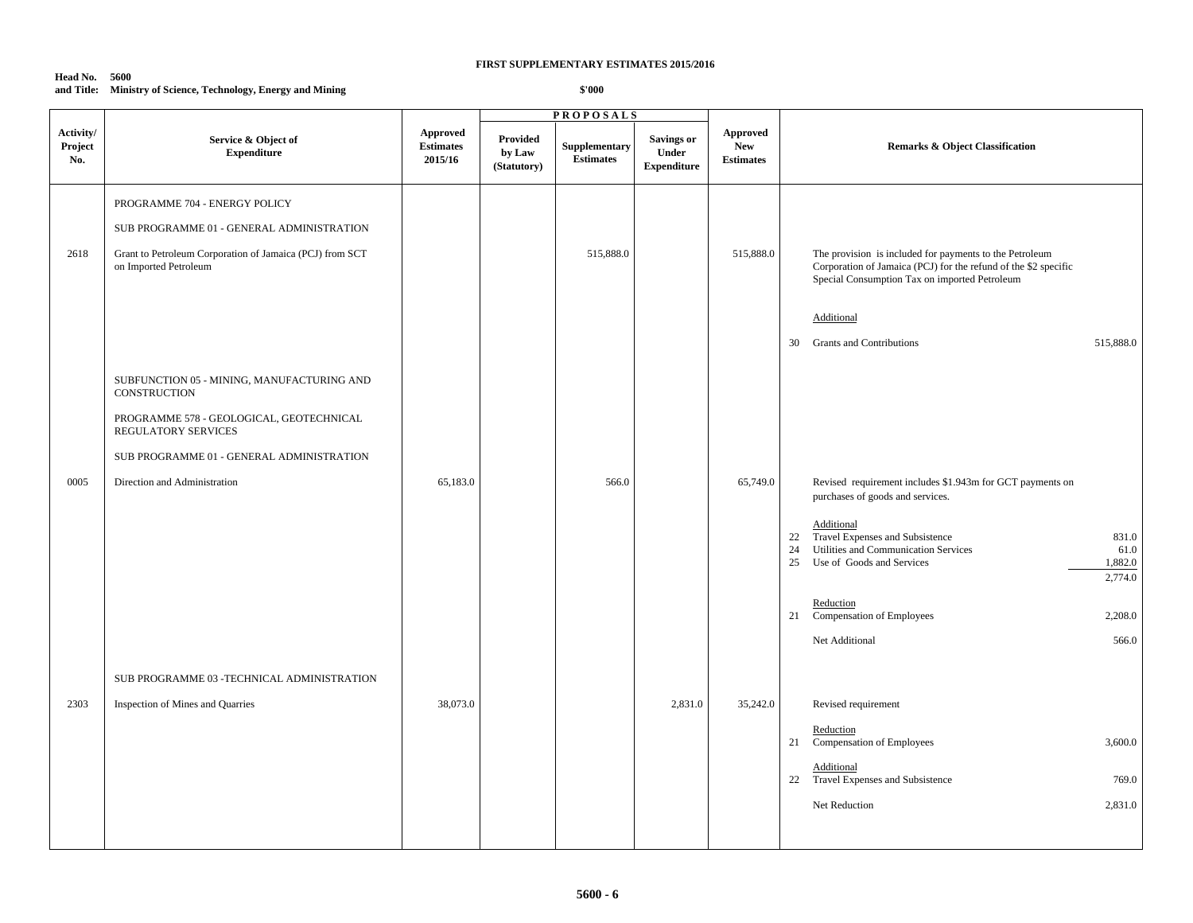## **Head No. 5600 and Title: Ministry of Science, Technology, Energy and Mining**

|                             |                                                                                   |                                         |                                   | <b>PROPOSALS</b>                  |                                                         |                                                   |                                                                                                                                                                             |
|-----------------------------|-----------------------------------------------------------------------------------|-----------------------------------------|-----------------------------------|-----------------------------------|---------------------------------------------------------|---------------------------------------------------|-----------------------------------------------------------------------------------------------------------------------------------------------------------------------------|
| Activity/<br>Project<br>No. | Service & Object of<br><b>Expenditure</b>                                         | Approved<br><b>Estimates</b><br>2015/16 | Provided<br>by Law<br>(Statutory) | Supplementary<br><b>Estimates</b> | <b>Savings or</b><br><b>Under</b><br><b>Expenditure</b> | <b>Approved</b><br><b>New</b><br><b>Estimates</b> | <b>Remarks &amp; Object Classification</b>                                                                                                                                  |
|                             | PROGRAMME 704 - ENERGY POLICY                                                     |                                         |                                   |                                   |                                                         |                                                   |                                                                                                                                                                             |
|                             | SUB PROGRAMME 01 - GENERAL ADMINISTRATION                                         |                                         |                                   |                                   |                                                         |                                                   |                                                                                                                                                                             |
| 2618                        | Grant to Petroleum Corporation of Jamaica (PCJ) from SCT<br>on Imported Petroleum |                                         |                                   | 515,888.0                         |                                                         | 515,888.0                                         | The provision is included for payments to the Petroleum<br>Corporation of Jamaica (PCJ) for the refund of the \$2 specific<br>Special Consumption Tax on imported Petroleum |
|                             |                                                                                   |                                         |                                   |                                   |                                                         |                                                   | Additional                                                                                                                                                                  |
|                             |                                                                                   |                                         |                                   |                                   |                                                         |                                                   | <b>Grants and Contributions</b><br>515,888.0<br>30                                                                                                                          |
|                             |                                                                                   |                                         |                                   |                                   |                                                         |                                                   |                                                                                                                                                                             |
|                             | SUBFUNCTION 05 - MINING, MANUFACTURING AND<br><b>CONSTRUCTION</b>                 |                                         |                                   |                                   |                                                         |                                                   |                                                                                                                                                                             |
|                             | PROGRAMME 578 - GEOLOGICAL, GEOTECHNICAL<br>REGULATORY SERVICES                   |                                         |                                   |                                   |                                                         |                                                   |                                                                                                                                                                             |
|                             | SUB PROGRAMME 01 - GENERAL ADMINISTRATION                                         |                                         |                                   |                                   |                                                         |                                                   |                                                                                                                                                                             |
| 0005                        | Direction and Administration                                                      | 65,183.0                                |                                   | 566.0                             |                                                         | 65,749.0                                          | Revised requirement includes \$1.943m for GCT payments on<br>purchases of goods and services.                                                                               |
|                             |                                                                                   |                                         |                                   |                                   |                                                         |                                                   | Additional<br>Travel Expenses and Subsistence<br>831.0<br>22<br>Utilities and Communication Services<br>24<br>61.0<br>25<br>Use of Goods and Services<br>1,882.0<br>2,774.0 |
|                             |                                                                                   |                                         |                                   |                                   |                                                         |                                                   | Reduction<br>Compensation of Employees<br>2,208.0<br>21                                                                                                                     |
|                             |                                                                                   |                                         |                                   |                                   |                                                         |                                                   | Net Additional<br>566.0                                                                                                                                                     |
|                             | SUB PROGRAMME 03 - TECHNICAL ADMINISTRATION                                       |                                         |                                   |                                   |                                                         |                                                   |                                                                                                                                                                             |
| 2303                        | Inspection of Mines and Quarries                                                  | 38,073.0                                |                                   |                                   | 2,831.0                                                 | 35,242.0                                          | Revised requirement                                                                                                                                                         |
|                             |                                                                                   |                                         |                                   |                                   |                                                         |                                                   | Reduction<br>Compensation of Employees<br>3,600.0<br>21                                                                                                                     |
|                             |                                                                                   |                                         |                                   |                                   |                                                         |                                                   | Additional<br>22 Travel Expenses and Subsistence<br>769.0                                                                                                                   |
|                             |                                                                                   |                                         |                                   |                                   |                                                         |                                                   | 2,831.0<br>Net Reduction                                                                                                                                                    |
|                             |                                                                                   |                                         |                                   |                                   |                                                         |                                                   |                                                                                                                                                                             |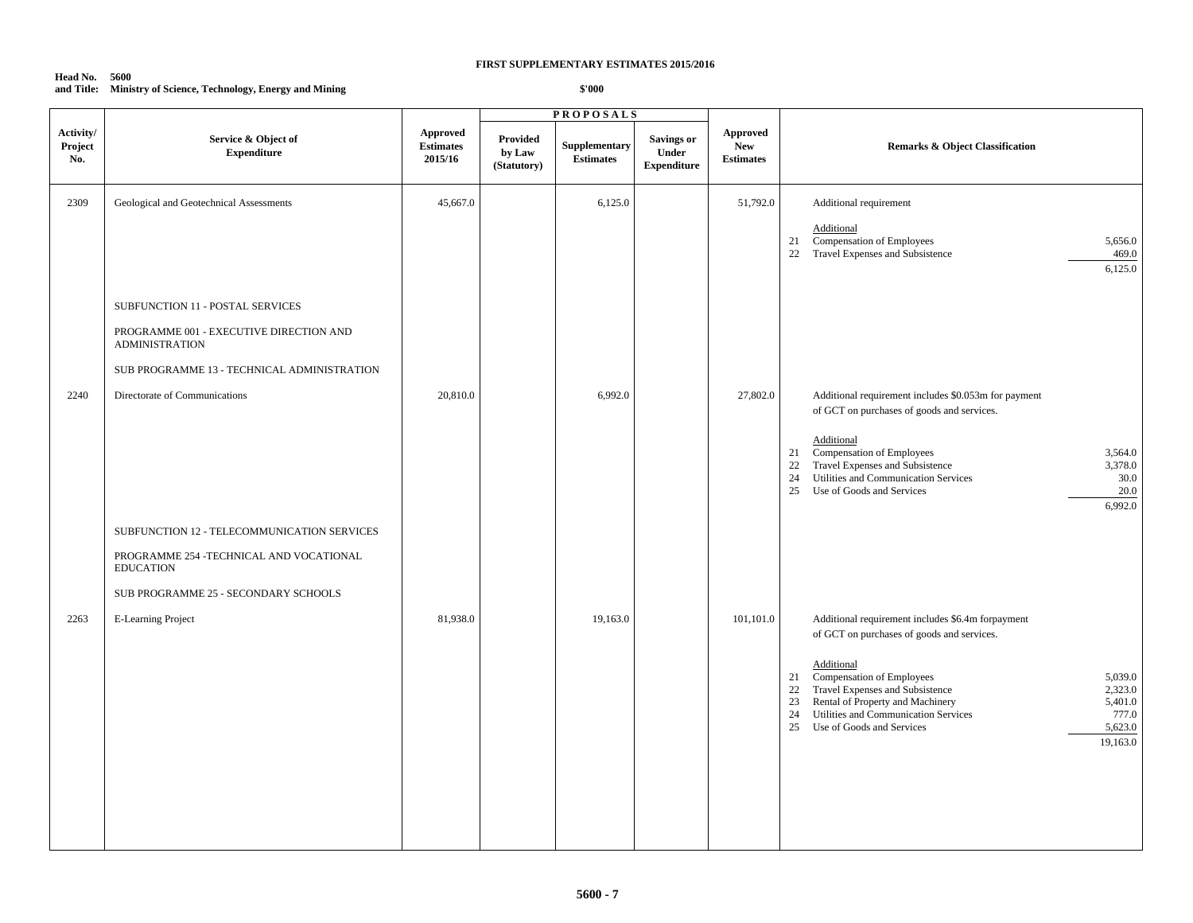## **Head No. 5600 and Title: Ministry of Science, Technology, Energy and Mining**

|                             |                                                                                                                                                                                                |                                                |                                          | <b>PROPOSALS</b>                  |                                                  |                                                   |                                                                                                                                                                                                                                                                                                                                                                                       |
|-----------------------------|------------------------------------------------------------------------------------------------------------------------------------------------------------------------------------------------|------------------------------------------------|------------------------------------------|-----------------------------------|--------------------------------------------------|---------------------------------------------------|---------------------------------------------------------------------------------------------------------------------------------------------------------------------------------------------------------------------------------------------------------------------------------------------------------------------------------------------------------------------------------------|
| Activity/<br>Project<br>No. | Service & Object of<br><b>Expenditure</b>                                                                                                                                                      | <b>Approved</b><br><b>Estimates</b><br>2015/16 | <b>Provided</b><br>by Law<br>(Statutory) | Supplementary<br><b>Estimates</b> | <b>Savings or</b><br>Under<br><b>Expenditure</b> | <b>Approved</b><br><b>New</b><br><b>Estimates</b> | Remarks & Object Classification                                                                                                                                                                                                                                                                                                                                                       |
| 2309                        | Geological and Geotechnical Assessments<br>SUBFUNCTION 11 - POSTAL SERVICES<br>PROGRAMME 001 - EXECUTIVE DIRECTION AND<br><b>ADMINISTRATION</b><br>SUB PROGRAMME 13 - TECHNICAL ADMINISTRATION | 45,667.0                                       |                                          | 6,125.0                           |                                                  | 51,792.0                                          | Additional requirement<br>Additional<br>Compensation of Employees<br>5,656.0<br>21<br>Travel Expenses and Subsistence<br>22<br>469.0<br>6,125.0                                                                                                                                                                                                                                       |
| 2240                        | Directorate of Communications<br>SUBFUNCTION 12 - TELECOMMUNICATION SERVICES<br>PROGRAMME 254 -TECHNICAL AND VOCATIONAL<br><b>EDUCATION</b>                                                    | 20,810.0                                       |                                          | 6,992.0                           |                                                  | 27,802.0                                          | Additional requirement includes \$0.053m for payment<br>of GCT on purchases of goods and services.<br>Additional<br>Compensation of Employees<br>3,564.0<br>21<br>Travel Expenses and Subsistence<br>22<br>3,378.0<br>Utilities and Communication Services<br>24<br>30.0<br>Use of Goods and Services<br>20.0<br>25<br>6,992.0                                                        |
| 2263                        | SUB PROGRAMME 25 - SECONDARY SCHOOLS<br><b>E-Learning Project</b>                                                                                                                              | 81,938.0                                       |                                          | 19,163.0                          |                                                  | 101,101.0                                         | Additional requirement includes \$6.4m forpayment<br>of GCT on purchases of goods and services.<br>Additional<br>Compensation of Employees<br>5,039.0<br>21<br>Travel Expenses and Subsistence<br>2,323.0<br>22<br>23<br>Rental of Property and Machinery<br>5,401.0<br>24<br>Utilities and Communication Services<br>777.0<br>Use of Goods and Services<br>5,623.0<br>25<br>19,163.0 |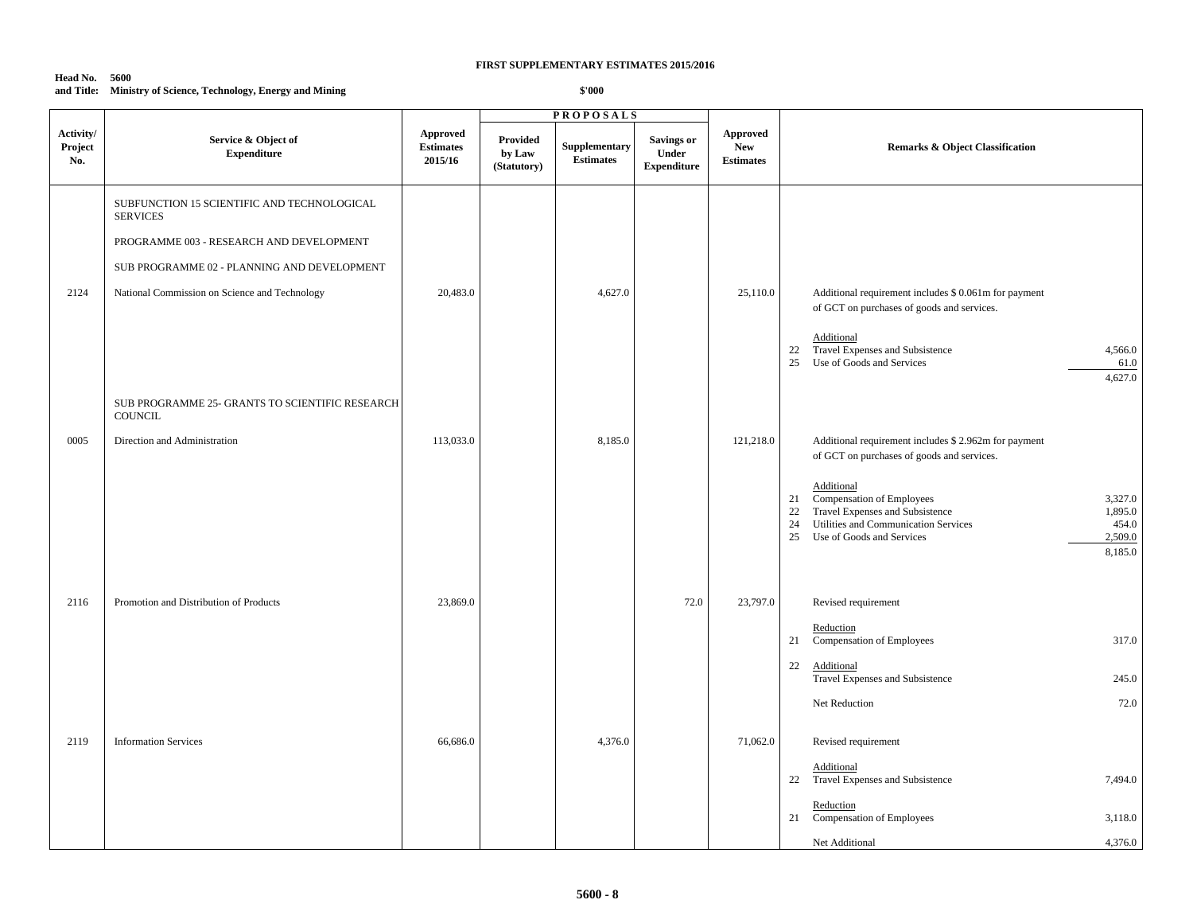| <b>Head No. 5600</b> |                                                               |
|----------------------|---------------------------------------------------------------|
|                      | and Title: Ministry of Science, Technology, Energy and Mining |

|                             |                                                                   |                                         | <b>PROPOSALS</b>                  |                                   |                                                  |                                            |                                                                                                                                                                                                                              |
|-----------------------------|-------------------------------------------------------------------|-----------------------------------------|-----------------------------------|-----------------------------------|--------------------------------------------------|--------------------------------------------|------------------------------------------------------------------------------------------------------------------------------------------------------------------------------------------------------------------------------|
| Activity/<br>Project<br>No. | Service & Object of<br><b>Expenditure</b>                         | Approved<br><b>Estimates</b><br>2015/16 | Provided<br>by Law<br>(Statutory) | Supplementary<br><b>Estimates</b> | <b>Savings or</b><br>Under<br><b>Expenditure</b> | Approved<br><b>New</b><br><b>Estimates</b> | <b>Remarks &amp; Object Classification</b>                                                                                                                                                                                   |
|                             | SUBFUNCTION 15 SCIENTIFIC AND TECHNOLOGICAL<br><b>SERVICES</b>    |                                         |                                   |                                   |                                                  |                                            |                                                                                                                                                                                                                              |
|                             | PROGRAMME 003 - RESEARCH AND DEVELOPMENT                          |                                         |                                   |                                   |                                                  |                                            |                                                                                                                                                                                                                              |
|                             | SUB PROGRAMME 02 - PLANNING AND DEVELOPMENT                       |                                         |                                   |                                   |                                                  |                                            |                                                                                                                                                                                                                              |
| 2124                        | National Commission on Science and Technology                     | 20,483.0                                |                                   | 4,627.0                           |                                                  | 25,110.0                                   | Additional requirement includes \$ 0.061m for payment<br>of GCT on purchases of goods and services.                                                                                                                          |
|                             |                                                                   |                                         |                                   |                                   |                                                  |                                            | Additional<br>Travel Expenses and Subsistence<br>22<br>4,566.0<br>Use of Goods and Services<br>25<br>61.0<br>4,627.0                                                                                                         |
|                             | SUB PROGRAMME 25- GRANTS TO SCIENTIFIC RESEARCH<br><b>COUNCIL</b> |                                         |                                   |                                   |                                                  |                                            |                                                                                                                                                                                                                              |
| 0005                        | Direction and Administration                                      | 113,033.0                               |                                   | 8,185.0                           |                                                  | 121,218.0                                  | Additional requirement includes \$2.962m for payment<br>of GCT on purchases of goods and services.                                                                                                                           |
|                             |                                                                   |                                         |                                   |                                   |                                                  |                                            | Additional<br>Compensation of Employees<br>3,327.0<br>21<br>Travel Expenses and Subsistence<br>22<br>1,895.0<br>24<br>Utilities and Communication Services<br>454.0<br>25<br>Use of Goods and Services<br>2,509.0<br>8,185.0 |
| 2116                        | Promotion and Distribution of Products                            | 23,869.0                                |                                   |                                   | 72.0                                             | 23,797.0                                   | Revised requirement                                                                                                                                                                                                          |
|                             |                                                                   |                                         |                                   |                                   |                                                  |                                            | Reduction<br>Compensation of Employees<br>317.0<br>21                                                                                                                                                                        |
|                             |                                                                   |                                         |                                   |                                   |                                                  |                                            | 22<br>Additional<br>Travel Expenses and Subsistence<br>245.0                                                                                                                                                                 |
|                             |                                                                   |                                         |                                   |                                   |                                                  |                                            | Net Reduction<br>72.0                                                                                                                                                                                                        |
| 2119                        | <b>Information Services</b>                                       | 66,686.0                                |                                   | 4,376.0                           |                                                  | 71,062.0                                   | Revised requirement                                                                                                                                                                                                          |
|                             |                                                                   |                                         |                                   |                                   |                                                  |                                            | Additional<br>Travel Expenses and Subsistence<br>22<br>7,494.0                                                                                                                                                               |
|                             |                                                                   |                                         |                                   |                                   |                                                  |                                            | Reduction<br>Compensation of Employees<br>3,118.0<br>21                                                                                                                                                                      |
|                             |                                                                   |                                         |                                   |                                   |                                                  |                                            | 4,376.0<br>Net Additional                                                                                                                                                                                                    |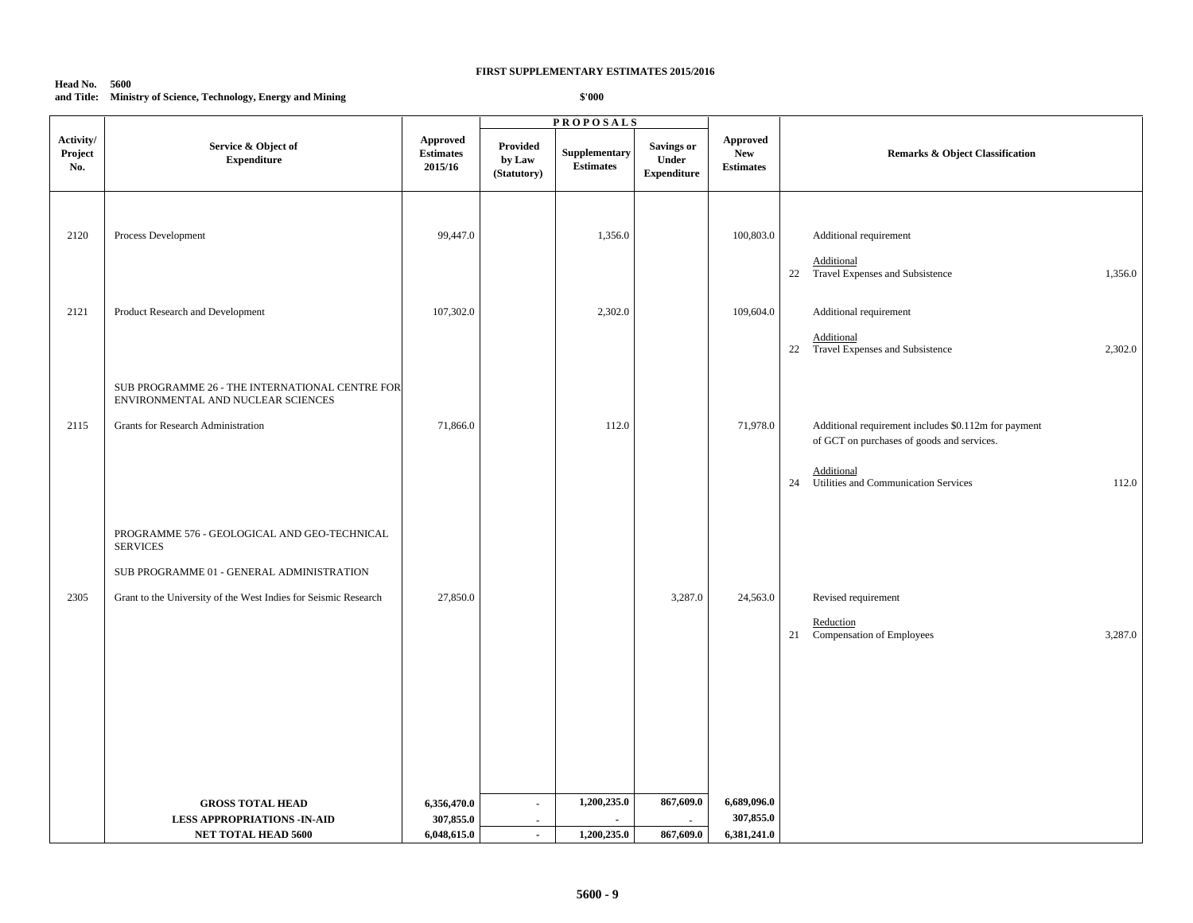### **Head No. 5600 and Title: Ministry of Science, Technology, Energy and Mining**

|                             |                                                                                                                                                                                 |                                                | <b>PROPOSALS</b>                                     |                                   |                                                  |                                                   |                                                                                                                                                                         |
|-----------------------------|---------------------------------------------------------------------------------------------------------------------------------------------------------------------------------|------------------------------------------------|------------------------------------------------------|-----------------------------------|--------------------------------------------------|---------------------------------------------------|-------------------------------------------------------------------------------------------------------------------------------------------------------------------------|
| Activity/<br>Project<br>No. | Service & Object of<br><b>Expenditure</b>                                                                                                                                       | <b>Approved</b><br><b>Estimates</b><br>2015/16 | Provided<br>by Law<br>(Statutory)                    | Supplementary<br><b>Estimates</b> | <b>Savings or</b><br>Under<br><b>Expenditure</b> | <b>Approved</b><br><b>New</b><br><b>Estimates</b> | <b>Remarks &amp; Object Classification</b>                                                                                                                              |
| 2120                        | Process Development                                                                                                                                                             | 99,447.0                                       |                                                      | 1,356.0                           |                                                  | 100,803.0                                         | Additional requirement<br>Additional<br>22<br>Travel Expenses and Subsistence<br>1,356.0                                                                                |
| 2121                        | Product Research and Development                                                                                                                                                | 107,302.0                                      |                                                      | 2,302.0                           |                                                  | 109,604.0                                         | Additional requirement<br>Additional<br>22 Travel Expenses and Subsistence<br>2,302.0                                                                                   |
| 2115                        | SUB PROGRAMME 26 - THE INTERNATIONAL CENTRE FOR<br>ENVIRONMENTAL AND NUCLEAR SCIENCES<br>Grants for Research Administration                                                     | 71,866.0                                       |                                                      | 112.0                             |                                                  | 71,978.0                                          | Additional requirement includes \$0.112m for payment<br>of GCT on purchases of goods and services.<br>Additional<br>Utilities and Communication Services<br>112.0<br>24 |
| 2305                        | PROGRAMME 576 - GEOLOGICAL AND GEO-TECHNICAL<br><b>SERVICES</b><br>SUB PROGRAMME 01 - GENERAL ADMINISTRATION<br>Grant to the University of the West Indies for Seismic Research | 27,850.0                                       |                                                      |                                   | 3,287.0                                          | 24,563.0                                          | Revised requirement<br>Reduction<br>Compensation of Employees<br>3,287.0<br>21                                                                                          |
|                             | <b>GROSS TOTAL HEAD</b><br><b>LESS APPROPRIATIONS -IN-AID</b><br>NET TOTAL HEAD 5600                                                                                            | 6,356,470.0<br>307,855.0<br>6,048,615.0        | $\overline{\phantom{a}}$<br>$\sim$<br>$\blacksquare$ | 1,200,235.0<br>1,200,235.0        | 867,609.0<br>867,609.0                           | 6,689,096.0<br>307,855.0<br>6,381,241.0           |                                                                                                                                                                         |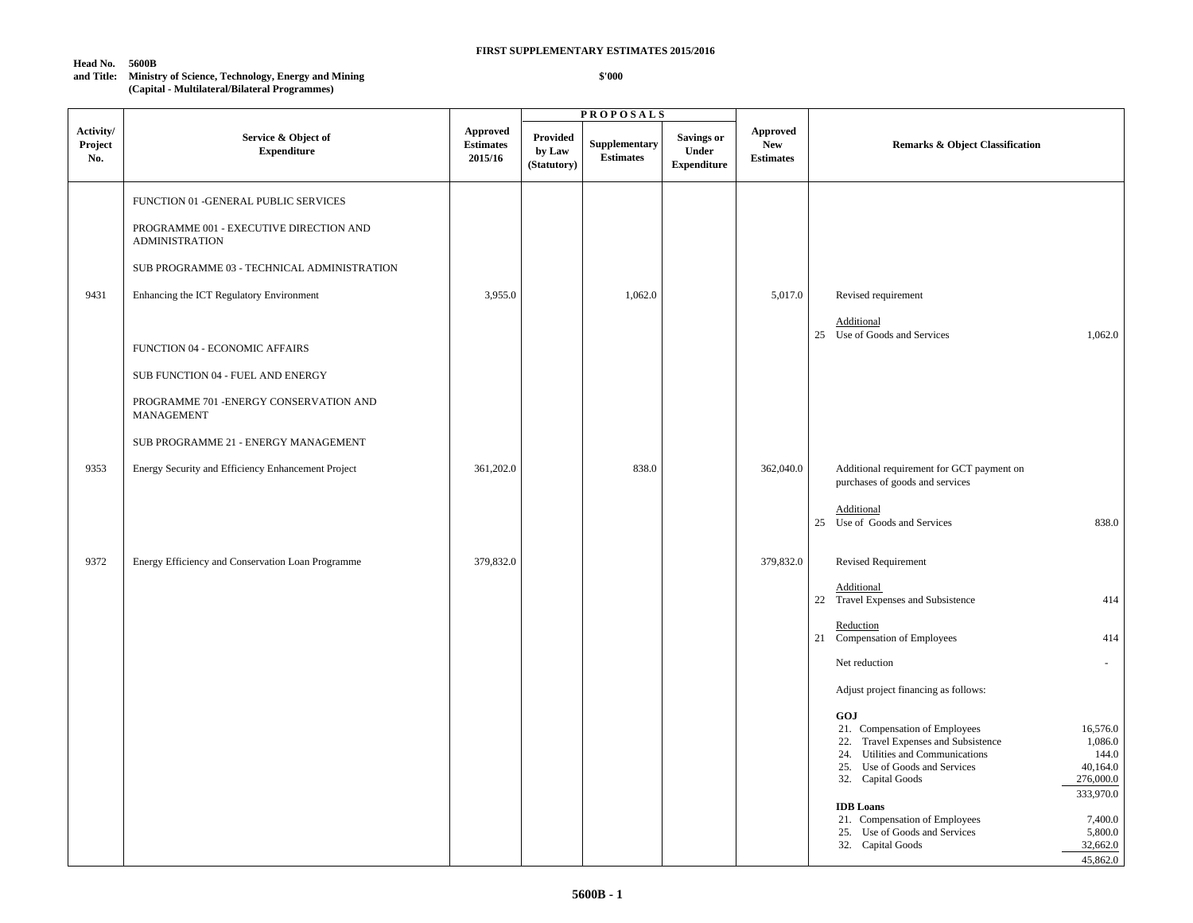#### **Head No. 5600B**

**and Title: Ministry of Science, Technology, Energy and Mining (Capital - Multilateral/Bilateral Programmes)**

|                             |                                                                                                                                                                                                                                                                                                                                     |                                         |                                   | <b>PROPOSALS</b>                  |                                                  |                                                   |                                                                                                                                                                                                                                                                                                                                                                                                        |
|-----------------------------|-------------------------------------------------------------------------------------------------------------------------------------------------------------------------------------------------------------------------------------------------------------------------------------------------------------------------------------|-----------------------------------------|-----------------------------------|-----------------------------------|--------------------------------------------------|---------------------------------------------------|--------------------------------------------------------------------------------------------------------------------------------------------------------------------------------------------------------------------------------------------------------------------------------------------------------------------------------------------------------------------------------------------------------|
| Activity/<br>Project<br>No. | Service & Object of<br><b>Expenditure</b>                                                                                                                                                                                                                                                                                           | Approved<br><b>Estimates</b><br>2015/16 | Provided<br>by Law<br>(Statutory) | Supplementary<br><b>Estimates</b> | <b>Savings or</b><br>Under<br><b>Expenditure</b> | <b>Approved</b><br><b>New</b><br><b>Estimates</b> | <b>Remarks &amp; Object Classification</b>                                                                                                                                                                                                                                                                                                                                                             |
| 9431                        | FUNCTION 01 -GENERAL PUBLIC SERVICES<br>PROGRAMME 001 - EXECUTIVE DIRECTION AND<br><b>ADMINISTRATION</b><br>SUB PROGRAMME 03 - TECHNICAL ADMINISTRATION<br>Enhancing the ICT Regulatory Environment<br>FUNCTION 04 - ECONOMIC AFFAIRS<br>SUB FUNCTION 04 - FUEL AND ENERGY<br>PROGRAMME 701 - ENERGY CONSERVATION AND<br>MANAGEMENT | 3,955.0                                 |                                   | 1,062.0                           |                                                  | 5,017.0                                           | Revised requirement<br>Additional<br>25 Use of Goods and Services<br>1,062.0                                                                                                                                                                                                                                                                                                                           |
| 9353                        | SUB PROGRAMME 21 - ENERGY MANAGEMENT<br>Energy Security and Efficiency Enhancement Project                                                                                                                                                                                                                                          | 361,202.0                               |                                   | 838.0                             |                                                  | 362,040.0                                         | Additional requirement for GCT payment on<br>purchases of goods and services<br>Additional<br>25 Use of Goods and Services<br>838.0                                                                                                                                                                                                                                                                    |
| 9372                        | Energy Efficiency and Conservation Loan Programme                                                                                                                                                                                                                                                                                   | 379,832.0                               |                                   |                                   |                                                  | 379,832.0                                         | Revised Requirement<br>Additional<br>22 Travel Expenses and Subsistence<br>414                                                                                                                                                                                                                                                                                                                         |
|                             |                                                                                                                                                                                                                                                                                                                                     |                                         |                                   |                                   |                                                  |                                                   | Reduction<br>21 Compensation of Employees<br>414<br>Net reduction<br>Adjust project financing as follows:<br>GOJ                                                                                                                                                                                                                                                                                       |
|                             |                                                                                                                                                                                                                                                                                                                                     |                                         |                                   |                                   |                                                  |                                                   | 21. Compensation of Employees<br>16,576.0<br>Travel Expenses and Subsistence<br>1,086.0<br>22.<br>Utilities and Communications<br>144.0<br>24.<br>25. Use of Goods and Services<br>40,164.0<br>276,000.0<br>32. Capital Goods<br>333,970.0<br><b>IDB</b> Loans<br>7,400.0<br>21. Compensation of Employees<br>5,800.0<br>Use of Goods and Services<br>25.<br>32,662.0<br>32. Capital Goods<br>45,862.0 |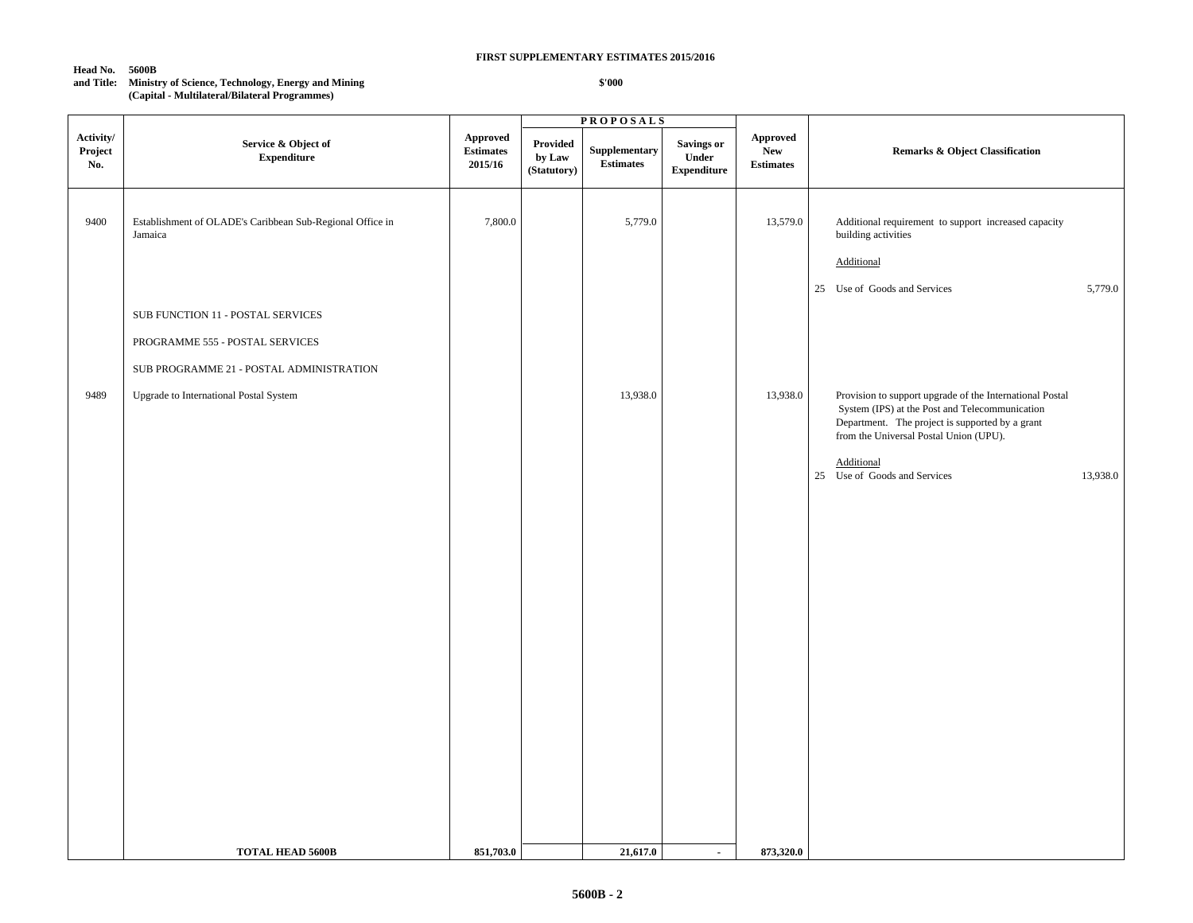#### **Head No. 5600B**

## **and Title: Ministry of Science, Technology, Energy and Mining (Capital - Multilateral/Bilateral Programmes)**

|                             |                                                                      |                                                |                                   | <b>PROPOSALS</b>                  |                                                  |                                                   |                                                                                                                                                                                                         |
|-----------------------------|----------------------------------------------------------------------|------------------------------------------------|-----------------------------------|-----------------------------------|--------------------------------------------------|---------------------------------------------------|---------------------------------------------------------------------------------------------------------------------------------------------------------------------------------------------------------|
| Activity/<br>Project<br>No. | Service & Object of<br><b>Expenditure</b>                            | <b>Approved</b><br><b>Estimates</b><br>2015/16 | Provided<br>by Law<br>(Statutory) | Supplementary<br><b>Estimates</b> | <b>Savings or</b><br>Under<br><b>Expenditure</b> | <b>Approved</b><br><b>New</b><br><b>Estimates</b> | <b>Remarks &amp; Object Classification</b>                                                                                                                                                              |
| 9400                        | Establishment of OLADE's Caribbean Sub-Regional Office in<br>Jamaica | 7,800.0                                        |                                   | 5,779.0                           |                                                  | 13,579.0                                          | Additional requirement to support increased capacity<br>building activities<br>Additional                                                                                                               |
|                             |                                                                      |                                                |                                   |                                   |                                                  |                                                   | 25 Use of Goods and Services<br>5,779.0                                                                                                                                                                 |
|                             | SUB FUNCTION 11 - POSTAL SERVICES                                    |                                                |                                   |                                   |                                                  |                                                   |                                                                                                                                                                                                         |
|                             | PROGRAMME 555 - POSTAL SERVICES                                      |                                                |                                   |                                   |                                                  |                                                   |                                                                                                                                                                                                         |
|                             | SUB PROGRAMME 21 - POSTAL ADMINISTRATION                             |                                                |                                   |                                   |                                                  |                                                   |                                                                                                                                                                                                         |
| 9489                        | Upgrade to International Postal System                               |                                                |                                   | 13,938.0                          |                                                  | 13,938.0                                          | Provision to support upgrade of the International Postal<br>System (IPS) at the Post and Telecommunication<br>Department. The project is supported by a grant<br>from the Universal Postal Union (UPU). |
|                             |                                                                      |                                                |                                   |                                   |                                                  |                                                   | Additional<br>25 Use of Goods and Services<br>13,938.0                                                                                                                                                  |
|                             |                                                                      |                                                |                                   |                                   |                                                  |                                                   |                                                                                                                                                                                                         |
|                             |                                                                      |                                                |                                   |                                   |                                                  |                                                   |                                                                                                                                                                                                         |
|                             |                                                                      |                                                |                                   |                                   |                                                  |                                                   |                                                                                                                                                                                                         |
|                             |                                                                      |                                                |                                   |                                   |                                                  |                                                   |                                                                                                                                                                                                         |
|                             |                                                                      |                                                |                                   |                                   |                                                  |                                                   |                                                                                                                                                                                                         |
|                             |                                                                      |                                                |                                   |                                   |                                                  |                                                   |                                                                                                                                                                                                         |
|                             |                                                                      |                                                |                                   |                                   |                                                  |                                                   |                                                                                                                                                                                                         |
|                             |                                                                      |                                                |                                   |                                   |                                                  |                                                   |                                                                                                                                                                                                         |
|                             |                                                                      |                                                |                                   |                                   |                                                  |                                                   |                                                                                                                                                                                                         |
|                             |                                                                      |                                                |                                   |                                   |                                                  |                                                   |                                                                                                                                                                                                         |
|                             | <b>TOTAL HEAD 5600B</b>                                              | 851,703.0                                      |                                   | 21,617.0                          | $\sim$                                           | 873,320.0                                         |                                                                                                                                                                                                         |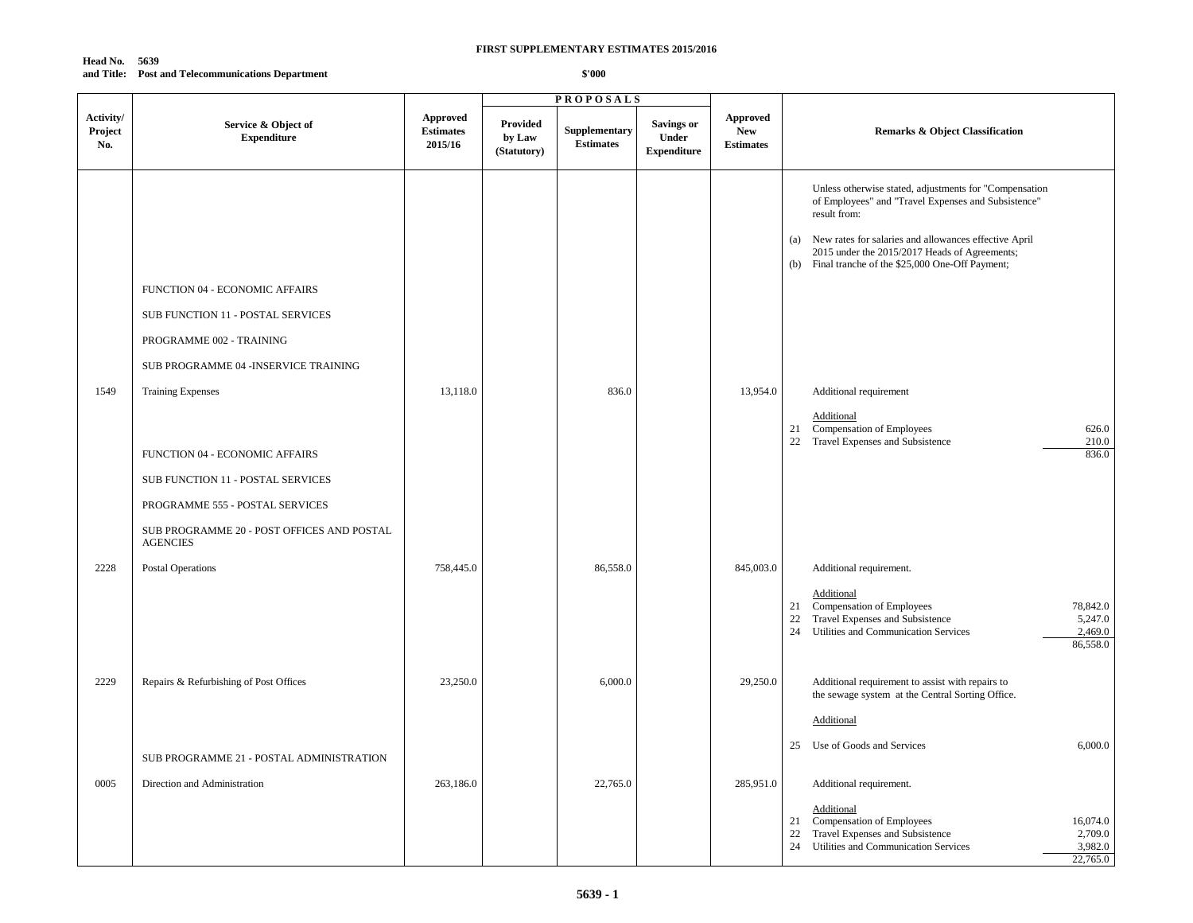## **Head No. 5639 and Title: Post and Telecommunications Department**

|                             |                                                                                                                                                                         |                                                |                                          | <b>PROPOSALS</b>                  |                                                  |                                                   |                                                                                                                                                                                                                                                                                                                             |
|-----------------------------|-------------------------------------------------------------------------------------------------------------------------------------------------------------------------|------------------------------------------------|------------------------------------------|-----------------------------------|--------------------------------------------------|---------------------------------------------------|-----------------------------------------------------------------------------------------------------------------------------------------------------------------------------------------------------------------------------------------------------------------------------------------------------------------------------|
| Activity/<br>Project<br>No. | Service & Object of<br><b>Expenditure</b>                                                                                                                               | <b>Approved</b><br><b>Estimates</b><br>2015/16 | <b>Provided</b><br>by Law<br>(Statutory) | Supplementary<br><b>Estimates</b> | Savings or<br><b>Under</b><br><b>Expenditure</b> | <b>Approved</b><br><b>New</b><br><b>Estimates</b> | <b>Remarks &amp; Object Classification</b>                                                                                                                                                                                                                                                                                  |
| 1549                        | FUNCTION 04 - ECONOMIC AFFAIRS<br>SUB FUNCTION 11 - POSTAL SERVICES<br>PROGRAMME 002 - TRAINING<br>SUB PROGRAMME 04 -INSERVICE TRAINING<br><b>Training Expenses</b>     | 13,118.0                                       |                                          | 836.0                             |                                                  | 13,954.0                                          | Unless otherwise stated, adjustments for "Compensation<br>of Employees" and "Travel Expenses and Subsistence"<br>result from:<br>(a) New rates for salaries and allowances effective April<br>2015 under the 2015/2017 Heads of Agreements;<br>(b) Final tranche of the \$25,000 One-Off Payment;<br>Additional requirement |
|                             | FUNCTION 04 - ECONOMIC AFFAIRS<br>SUB FUNCTION 11 - POSTAL SERVICES<br>PROGRAMME 555 - POSTAL SERVICES<br>SUB PROGRAMME 20 - POST OFFICES AND POSTAL<br><b>AGENCIES</b> |                                                |                                          |                                   |                                                  |                                                   | Additional<br>21 Compensation of Employees<br>626.0<br>22 Travel Expenses and Subsistence<br>210.0<br>836.0                                                                                                                                                                                                                 |
| 2228                        | <b>Postal Operations</b>                                                                                                                                                | 758,445.0                                      |                                          | 86,558.0                          |                                                  | 845,003.0                                         | Additional requirement.<br>Additional<br>Compensation of Employees<br>78,842.0<br>21<br>Travel Expenses and Subsistence<br>5,247.0<br>22<br>24<br>Utilities and Communication Services<br>2,469.0<br>86,558.0                                                                                                               |
| 2229                        | Repairs & Refurbishing of Post Offices<br>SUB PROGRAMME 21 - POSTAL ADMINISTRATION                                                                                      | 23,250.0                                       |                                          | 6,000.0                           |                                                  | 29,250.0                                          | Additional requirement to assist with repairs to<br>the sewage system at the Central Sorting Office.<br>Additional<br>6,000.0<br>25 Use of Goods and Services                                                                                                                                                               |
| 0005                        | Direction and Administration                                                                                                                                            | 263,186.0                                      |                                          | 22,765.0                          |                                                  | 285,951.0                                         | Additional requirement.<br>Additional<br>Compensation of Employees<br>16,074.0<br>21<br>Travel Expenses and Subsistence<br>2,709.0<br>22<br>3,982.0<br>24 Utilities and Communication Services<br>22,765.0                                                                                                                  |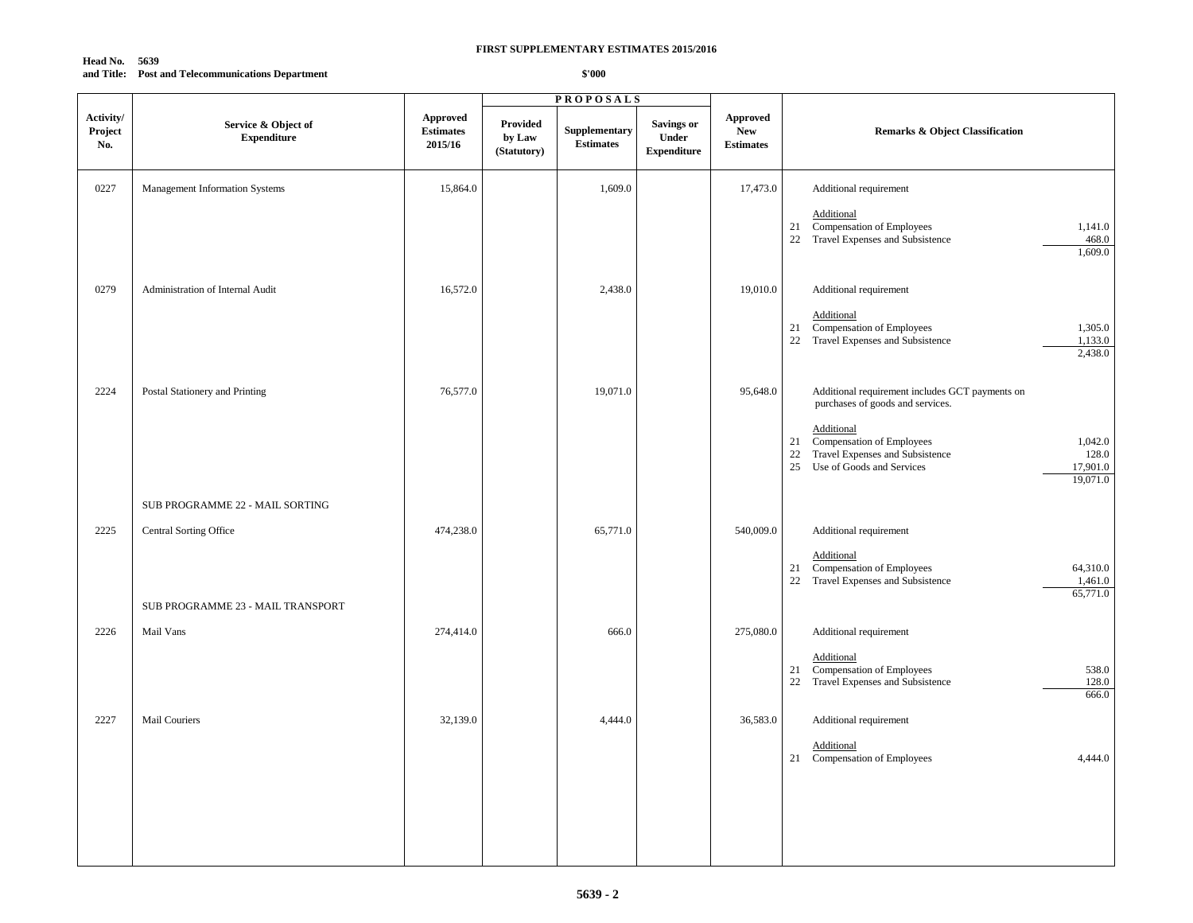## **Head No. 5639 and Title: Post and Telecommunications Department**

|                             |                                                                    |                                                |                                   | <b>PROPOSALS</b>                  |                                                         |                                                   |                                                                                                                                                                                                                                                        |
|-----------------------------|--------------------------------------------------------------------|------------------------------------------------|-----------------------------------|-----------------------------------|---------------------------------------------------------|---------------------------------------------------|--------------------------------------------------------------------------------------------------------------------------------------------------------------------------------------------------------------------------------------------------------|
| Activity/<br>Project<br>No. | Service & Object of<br><b>Expenditure</b>                          | <b>Approved</b><br><b>Estimates</b><br>2015/16 | Provided<br>by Law<br>(Statutory) | Supplementary<br><b>Estimates</b> | <b>Savings or</b><br><b>Under</b><br><b>Expenditure</b> | <b>Approved</b><br><b>New</b><br><b>Estimates</b> | <b>Remarks &amp; Object Classification</b>                                                                                                                                                                                                             |
| 0227                        | Management Information Systems                                     | 15,864.0                                       |                                   | 1,609.0                           |                                                         | 17,473.0                                          | Additional requirement<br>Additional<br>21 Compensation of Employees<br>1,141.0<br>22 Travel Expenses and Subsistence<br>468.0<br>1,609.0                                                                                                              |
| 0279                        | Administration of Internal Audit                                   | 16,572.0                                       |                                   | 2,438.0                           |                                                         | 19,010.0                                          | Additional requirement<br>Additional<br>Compensation of Employees<br>1,305.0<br>21<br>22 Travel Expenses and Subsistence<br>1,133.0<br>2,438.0                                                                                                         |
| 2224                        | Postal Stationery and Printing                                     | 76,577.0                                       |                                   | 19,071.0                          |                                                         | 95,648.0                                          | Additional requirement includes GCT payments on<br>purchases of goods and services.<br>Additional<br>Compensation of Employees<br>1,042.0<br>21<br>22 Travel Expenses and Subsistence<br>128.0<br>25 Use of Goods and Services<br>17,901.0<br>19,071.0 |
|                             | SUB PROGRAMME 22 - MAIL SORTING                                    |                                                |                                   |                                   |                                                         |                                                   |                                                                                                                                                                                                                                                        |
| 2225                        | <b>Central Sorting Office</b><br>SUB PROGRAMME 23 - MAIL TRANSPORT | 474,238.0                                      |                                   | 65,771.0                          |                                                         | 540,009.0                                         | Additional requirement<br>Additional<br>21 Compensation of Employees<br>64,310.0<br>22 Travel Expenses and Subsistence<br>1,461.0<br>65,771.0                                                                                                          |
| 2226                        | Mail Vans                                                          | 274,414.0                                      |                                   | 666.0                             |                                                         | 275,080.0                                         | Additional requirement                                                                                                                                                                                                                                 |
|                             |                                                                    |                                                |                                   |                                   |                                                         |                                                   | Additional<br>Compensation of Employees<br>538.0<br>21<br>22 Travel Expenses and Subsistence<br>128.0<br>666.0                                                                                                                                         |
| 2227                        | Mail Couriers                                                      | 32,139.0                                       |                                   | 4,444.0                           |                                                         | 36,583.0                                          | Additional requirement<br>Additional<br>21 Compensation of Employees<br>4,444.0                                                                                                                                                                        |
|                             |                                                                    |                                                |                                   |                                   |                                                         |                                                   |                                                                                                                                                                                                                                                        |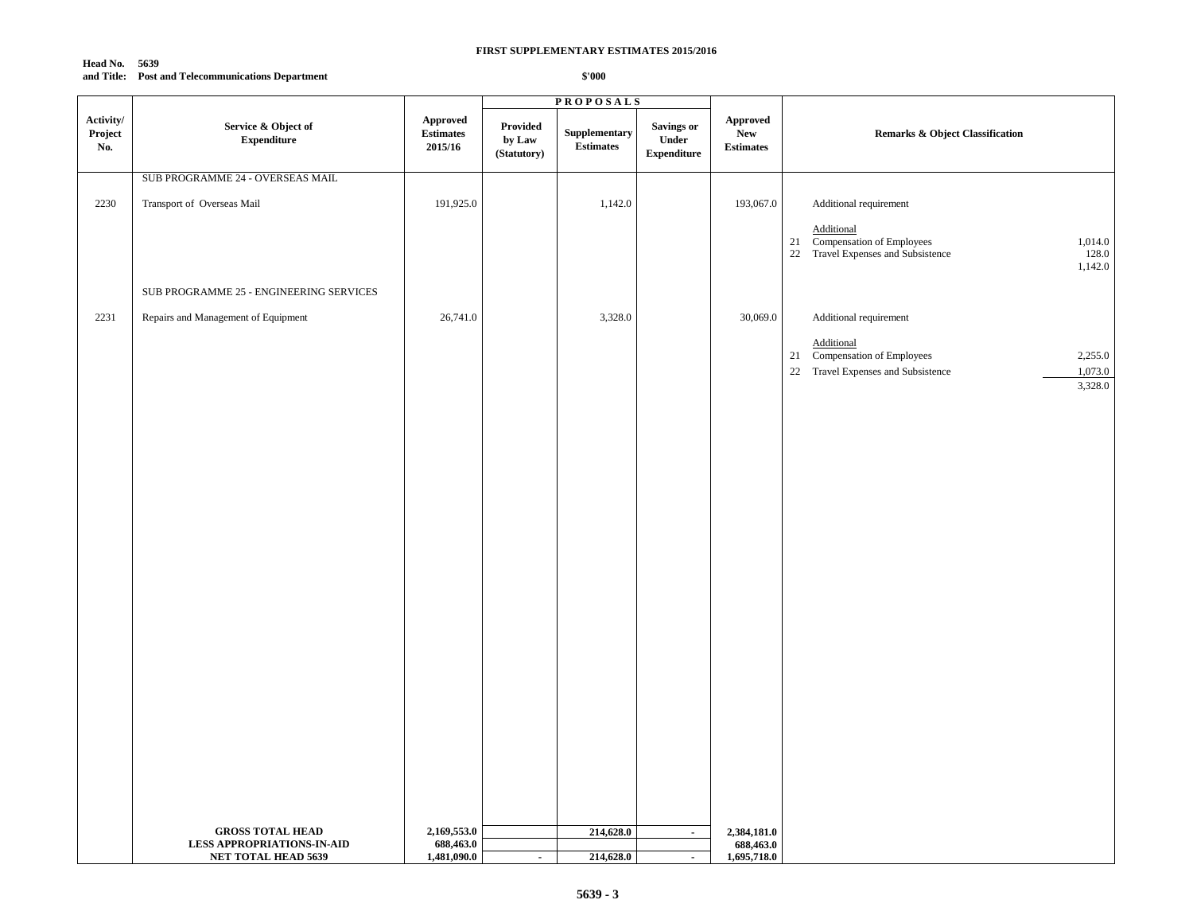#### **Head No. 5639 and Title: Post and Telecommunications Department**

|                             |                                                                                            |                                                |                                   | <b>PROPOSALS</b>                                 |                                                  |                                            |                                                                                                                                             |
|-----------------------------|--------------------------------------------------------------------------------------------|------------------------------------------------|-----------------------------------|--------------------------------------------------|--------------------------------------------------|--------------------------------------------|---------------------------------------------------------------------------------------------------------------------------------------------|
| Activity/<br>Project<br>No. | Service & Object of<br><b>Expenditure</b>                                                  | <b>Approved</b><br><b>Estimates</b><br>2015/16 | Provided<br>by Law<br>(Statutory) | ${\large \bf Supplementary}$<br><b>Estimates</b> | <b>Savings or</b><br>Under<br><b>Expenditure</b> | <b>Approved</b><br>New<br><b>Estimates</b> | <b>Remarks &amp; Object Classification</b>                                                                                                  |
|                             | SUB PROGRAMME 24 - OVERSEAS MAIL                                                           |                                                |                                   |                                                  |                                                  |                                            |                                                                                                                                             |
| 2230                        | Transport of Overseas Mail                                                                 | 191,925.0                                      |                                   | 1,142.0                                          |                                                  | 193,067.0                                  | Additional requirement<br>Additional<br>21 Compensation of Employees<br>22 Travel Expenses and Subsistence<br>1,014.0<br>128.0<br>1,142.0   |
|                             | SUB PROGRAMME 25 - ENGINEERING SERVICES                                                    |                                                |                                   |                                                  |                                                  |                                            |                                                                                                                                             |
| 2231                        | Repairs and Management of Equipment                                                        | 26,741.0                                       |                                   | 3,328.0                                          |                                                  | 30,069.0                                   | Additional requirement<br>Additional<br>21 Compensation of Employees<br>2,255.0<br>22 Travel Expenses and Subsistence<br>1,073.0<br>3,328.0 |
|                             | <b>GROSS TOTAL HEAD</b><br><b>LESS APPROPRIATIONS-IN-AID</b><br><b>NET TOTAL HEAD 5639</b> | 2,169,553.0<br>688,463.0<br>1,481,090.0        | $\blacksquare$                    | 214,628.0<br>214,628.0                           | $\sim$<br>$\blacksquare$                         | 2,384,181.0<br>688,463.0<br>1,695,718.0    |                                                                                                                                             |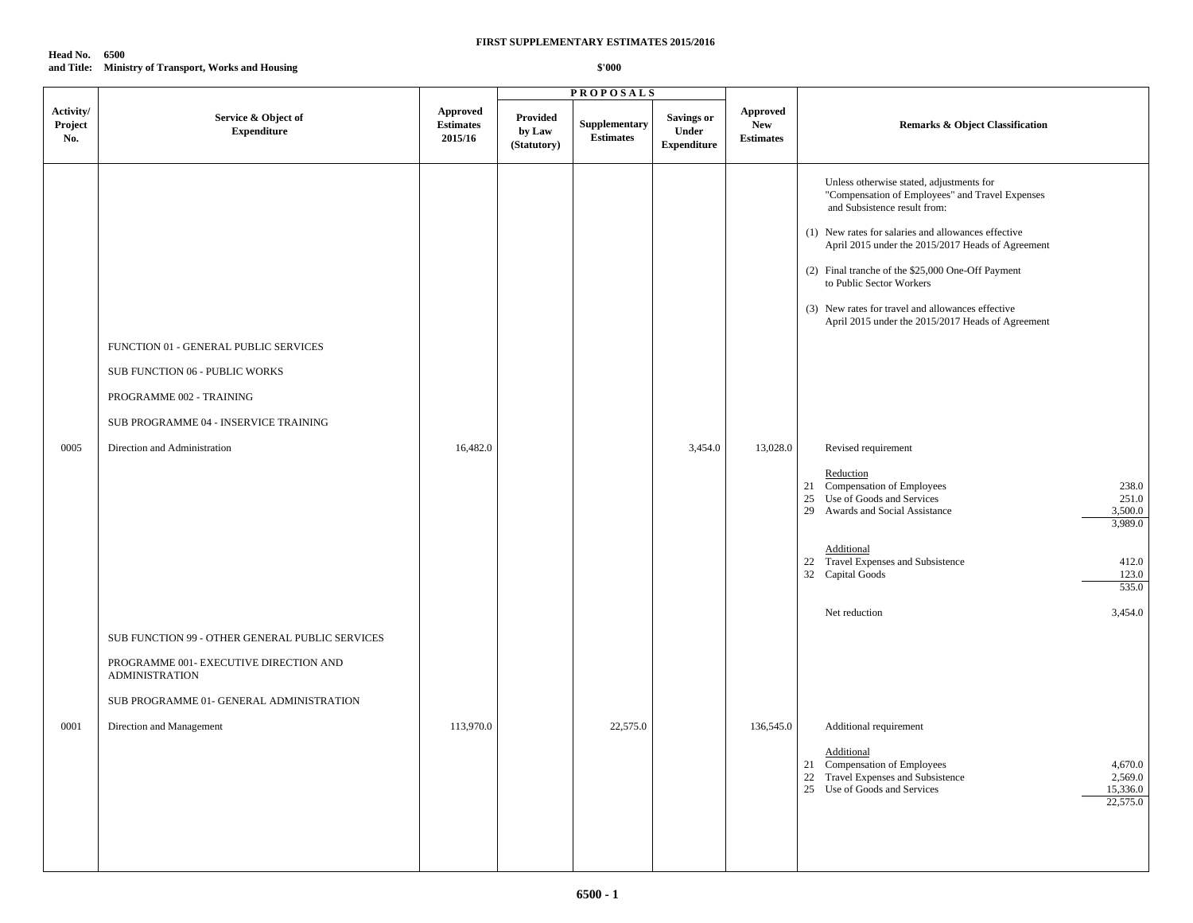**Head No. 6500 and Title: Ministry of Transport, Works and Housing**

|                             |                                                                                                                                                                                            | <b>PROPOSALS</b>                        |                                          |                                   |                                           |                                            |                                                                                                                                                                                                                                                                                                                                                                                                                                                                                                                                                                                                                                                                                                                                                  |
|-----------------------------|--------------------------------------------------------------------------------------------------------------------------------------------------------------------------------------------|-----------------------------------------|------------------------------------------|-----------------------------------|-------------------------------------------|--------------------------------------------|--------------------------------------------------------------------------------------------------------------------------------------------------------------------------------------------------------------------------------------------------------------------------------------------------------------------------------------------------------------------------------------------------------------------------------------------------------------------------------------------------------------------------------------------------------------------------------------------------------------------------------------------------------------------------------------------------------------------------------------------------|
| Activity/<br>Project<br>No. | Service & Object of<br><b>Expenditure</b>                                                                                                                                                  | Approved<br><b>Estimates</b><br>2015/16 | <b>Provided</b><br>by Law<br>(Statutory) | Supplementary<br><b>Estimates</b> | Savings or<br>Under<br><b>Expenditure</b> | Approved<br><b>New</b><br><b>Estimates</b> | <b>Remarks &amp; Object Classification</b>                                                                                                                                                                                                                                                                                                                                                                                                                                                                                                                                                                                                                                                                                                       |
| 0005                        | FUNCTION 01 - GENERAL PUBLIC SERVICES<br>SUB FUNCTION 06 - PUBLIC WORKS<br>PROGRAMME 002 - TRAINING<br>SUB PROGRAMME 04 - INSERVICE TRAINING<br>Direction and Administration               | 16,482.0                                |                                          |                                   | 3,454.0                                   | 13,028.0                                   | Unless otherwise stated, adjustments for<br>"Compensation of Employees" and Travel Expenses<br>and Subsistence result from:<br>(1) New rates for salaries and allowances effective<br>April 2015 under the 2015/2017 Heads of Agreement<br>(2) Final tranche of the \$25,000 One-Off Payment<br>to Public Sector Workers<br>(3) New rates for travel and allowances effective<br>April 2015 under the 2015/2017 Heads of Agreement<br>Revised requirement<br>Reduction<br>21 Compensation of Employees<br>238.0<br>25 Use of Goods and Services<br>251.0<br>29 Awards and Social Assistance<br>3,500.0<br>3,989.0<br>Additional<br>22 Travel Expenses and Subsistence<br>412.0<br>32 Capital Goods<br>123.0<br>535.0<br>3,454.0<br>Net reduction |
| 0001                        | SUB FUNCTION 99 - OTHER GENERAL PUBLIC SERVICES<br>PROGRAMME 001- EXECUTIVE DIRECTION AND<br><b>ADMINISTRATION</b><br>SUB PROGRAMME 01- GENERAL ADMINISTRATION<br>Direction and Management | 113,970.0                               |                                          | 22,575.0                          |                                           | 136,545.0                                  | Additional requirement<br>Additional<br>21 Compensation of Employees<br>4,670.0<br>22 Travel Expenses and Subsistence<br>2,569.0<br>25 Use of Goods and Services<br>15,336.0<br>22,575.0                                                                                                                                                                                                                                                                                                                                                                                                                                                                                                                                                         |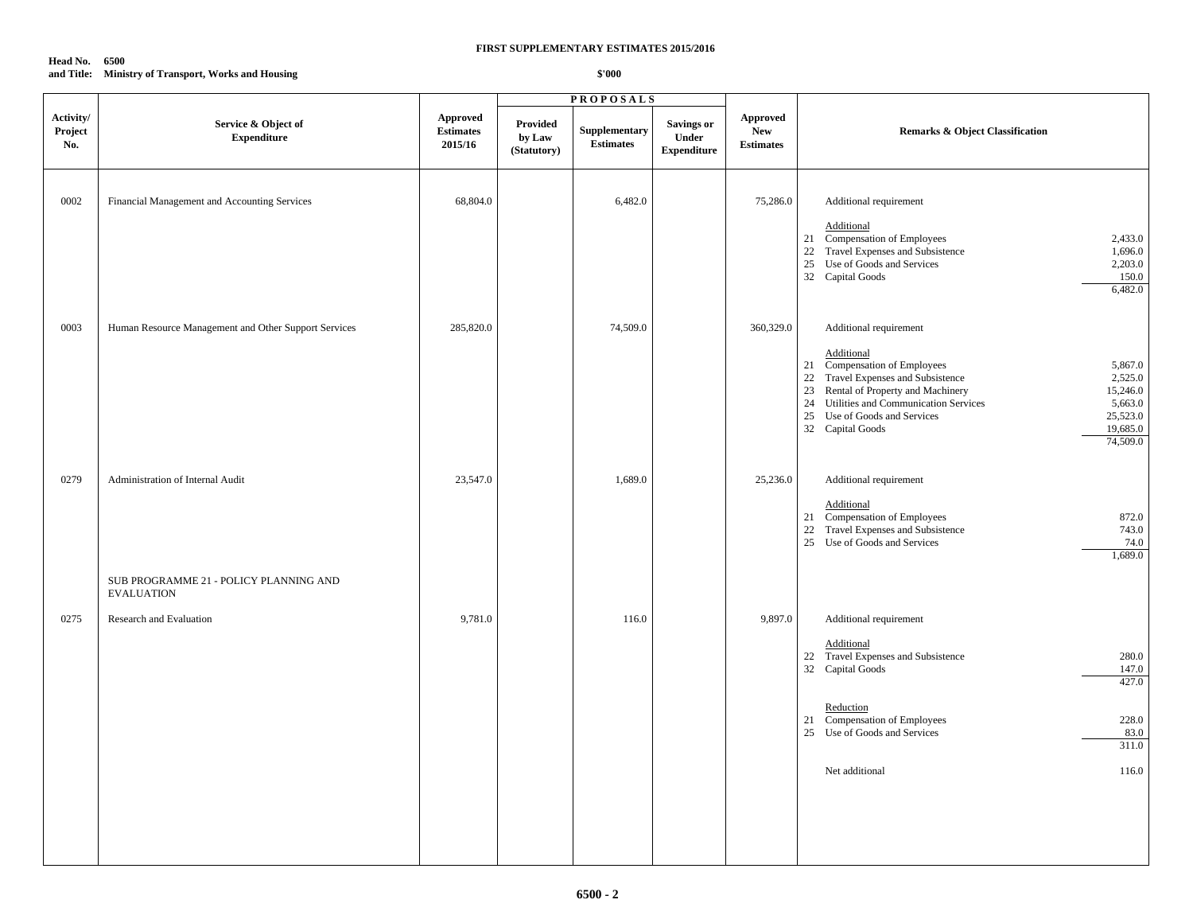## **Head No. 6500 and Title: Ministry of Transport, Works and Housing**

|                             |                                                             | <b>PROPOSALS</b>                        |                                          |                                   |                                                  |                                            |                                                                                                                                                                                                                                                                                                                                   |
|-----------------------------|-------------------------------------------------------------|-----------------------------------------|------------------------------------------|-----------------------------------|--------------------------------------------------|--------------------------------------------|-----------------------------------------------------------------------------------------------------------------------------------------------------------------------------------------------------------------------------------------------------------------------------------------------------------------------------------|
| Activity/<br>Project<br>No. | Service & Object of<br><b>Expenditure</b>                   | Approved<br><b>Estimates</b><br>2015/16 | <b>Provided</b><br>by Law<br>(Statutory) | Supplementary<br><b>Estimates</b> | <b>Savings or</b><br>Under<br><b>Expenditure</b> | Approved<br><b>New</b><br><b>Estimates</b> | <b>Remarks &amp; Object Classification</b>                                                                                                                                                                                                                                                                                        |
| 0002                        | Financial Management and Accounting Services                | 68,804.0                                |                                          | 6,482.0                           |                                                  | 75,286.0                                   | Additional requirement<br>Additional<br>21 Compensation of Employees<br>2,433.0<br>22 Travel Expenses and Subsistence<br>1,696.0<br>25 Use of Goods and Services<br>2,203.0<br>32 Capital Goods<br>150.0<br>6,482.0                                                                                                               |
| 0003                        | Human Resource Management and Other Support Services        | 285,820.0                               |                                          | 74,509.0                          |                                                  | 360,329.0                                  | Additional requirement<br>Additional<br>21 Compensation of Employees<br>5,867.0<br>22 Travel Expenses and Subsistence<br>2,525.0<br>23 Rental of Property and Machinery<br>15,246.0<br>24 Utilities and Communication Services<br>5,663.0<br>25 Use of Goods and Services<br>25,523.0<br>19,685.0<br>32 Capital Goods<br>74,509.0 |
| 0279                        | Administration of Internal Audit                            | 23,547.0                                |                                          | 1,689.0                           |                                                  | 25,236.0                                   | Additional requirement<br>Additional<br>21 Compensation of Employees<br>872.0<br>22 Travel Expenses and Subsistence<br>743.0<br>25 Use of Goods and Services<br>74.0<br>1,689.0                                                                                                                                                   |
|                             | SUB PROGRAMME 21 - POLICY PLANNING AND<br><b>EVALUATION</b> |                                         |                                          |                                   |                                                  |                                            |                                                                                                                                                                                                                                                                                                                                   |
| 0275                        | Research and Evaluation                                     | 9,781.0                                 |                                          | 116.0                             |                                                  | 9,897.0                                    | Additional requirement<br>Additional<br>22 Travel Expenses and Subsistence<br>280.0<br>32 Capital Goods<br>147.0<br>427.0<br>Reduction<br>21 Compensation of Employees<br>228.0                                                                                                                                                   |
|                             |                                                             |                                         |                                          |                                   |                                                  |                                            | 25 Use of Goods and Services<br>83.0<br>311.0<br>Net additional<br>116.0                                                                                                                                                                                                                                                          |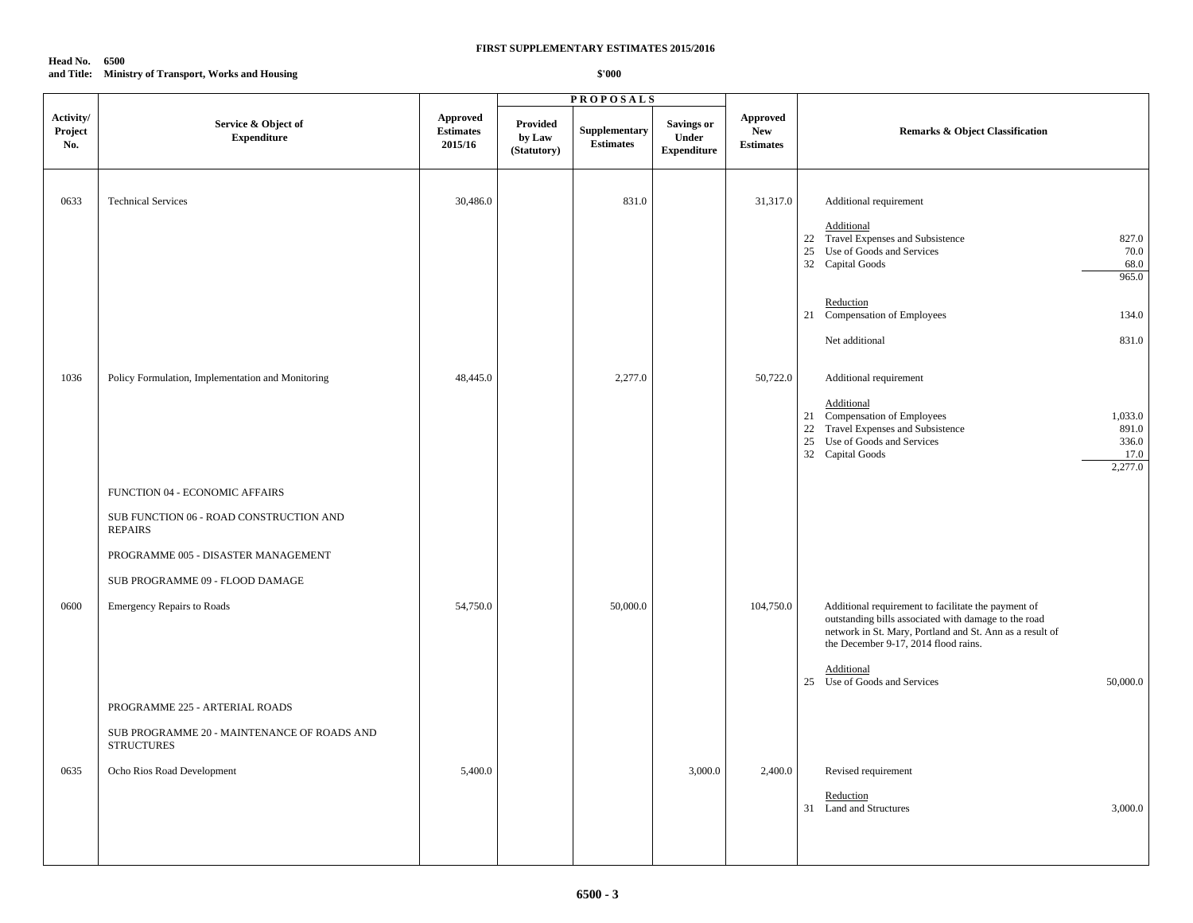**Head No. 6500 and Title: Ministry of Transport, Works and Housing**

|                             |                                                                                                                                                                       |                                                |                                          | <b>PROPOSALS</b>                  |                                                  |                                                   |                                                                                                                                                                                                                                                                           |
|-----------------------------|-----------------------------------------------------------------------------------------------------------------------------------------------------------------------|------------------------------------------------|------------------------------------------|-----------------------------------|--------------------------------------------------|---------------------------------------------------|---------------------------------------------------------------------------------------------------------------------------------------------------------------------------------------------------------------------------------------------------------------------------|
| Activity/<br>Project<br>No. | Service & Object of<br><b>Expenditure</b>                                                                                                                             | <b>Approved</b><br><b>Estimates</b><br>2015/16 | <b>Provided</b><br>by Law<br>(Statutory) | Supplementary<br><b>Estimates</b> | <b>Savings or</b><br>Under<br><b>Expenditure</b> | <b>Approved</b><br><b>New</b><br><b>Estimates</b> | <b>Remarks &amp; Object Classification</b>                                                                                                                                                                                                                                |
| 0633                        | <b>Technical Services</b>                                                                                                                                             | 30,486.0                                       |                                          | 831.0                             |                                                  | 31,317.0                                          | Additional requirement<br>Additional<br>22 Travel Expenses and Subsistence<br>827.0<br>25 Use of Goods and Services<br>70.0<br>32 Capital Goods<br>68.0<br>965.0<br>Reduction<br>21 Compensation of Employees<br>134.0<br>Net additional<br>831.0                         |
| 1036                        | Policy Formulation, Implementation and Monitoring                                                                                                                     | 48,445.0                                       |                                          | 2,277.0                           |                                                  | 50,722.0                                          | Additional requirement<br>Additional<br>21 Compensation of Employees<br>1,033.0<br>22 Travel Expenses and Subsistence<br>891.0<br>25 Use of Goods and Services<br>336.0<br>32 Capital Goods<br>17.0<br>2,277.0                                                            |
|                             | FUNCTION 04 - ECONOMIC AFFAIRS<br>SUB FUNCTION 06 - ROAD CONSTRUCTION AND<br><b>REPAIRS</b><br>PROGRAMME 005 - DISASTER MANAGEMENT<br>SUB PROGRAMME 09 - FLOOD DAMAGE |                                                |                                          |                                   |                                                  |                                                   |                                                                                                                                                                                                                                                                           |
| 0600                        | <b>Emergency Repairs to Roads</b>                                                                                                                                     | 54,750.0                                       |                                          | 50,000.0                          |                                                  | 104,750.0                                         | Additional requirement to facilitate the payment of<br>outstanding bills associated with damage to the road<br>network in St. Mary, Portland and St. Ann as a result of<br>the December 9-17, 2014 flood rains.<br>Additional<br>25 Use of Goods and Services<br>50,000.0 |
|                             | PROGRAMME 225 - ARTERIAL ROADS<br>SUB PROGRAMME 20 - MAINTENANCE OF ROADS AND<br><b>STRUCTURES</b>                                                                    |                                                |                                          |                                   |                                                  |                                                   |                                                                                                                                                                                                                                                                           |
| 0635                        | Ocho Rios Road Development                                                                                                                                            | 5,400.0                                        |                                          |                                   | 3,000.0                                          | 2,400.0                                           | Revised requirement<br>Reduction<br>31 Land and Structures<br>3,000.0                                                                                                                                                                                                     |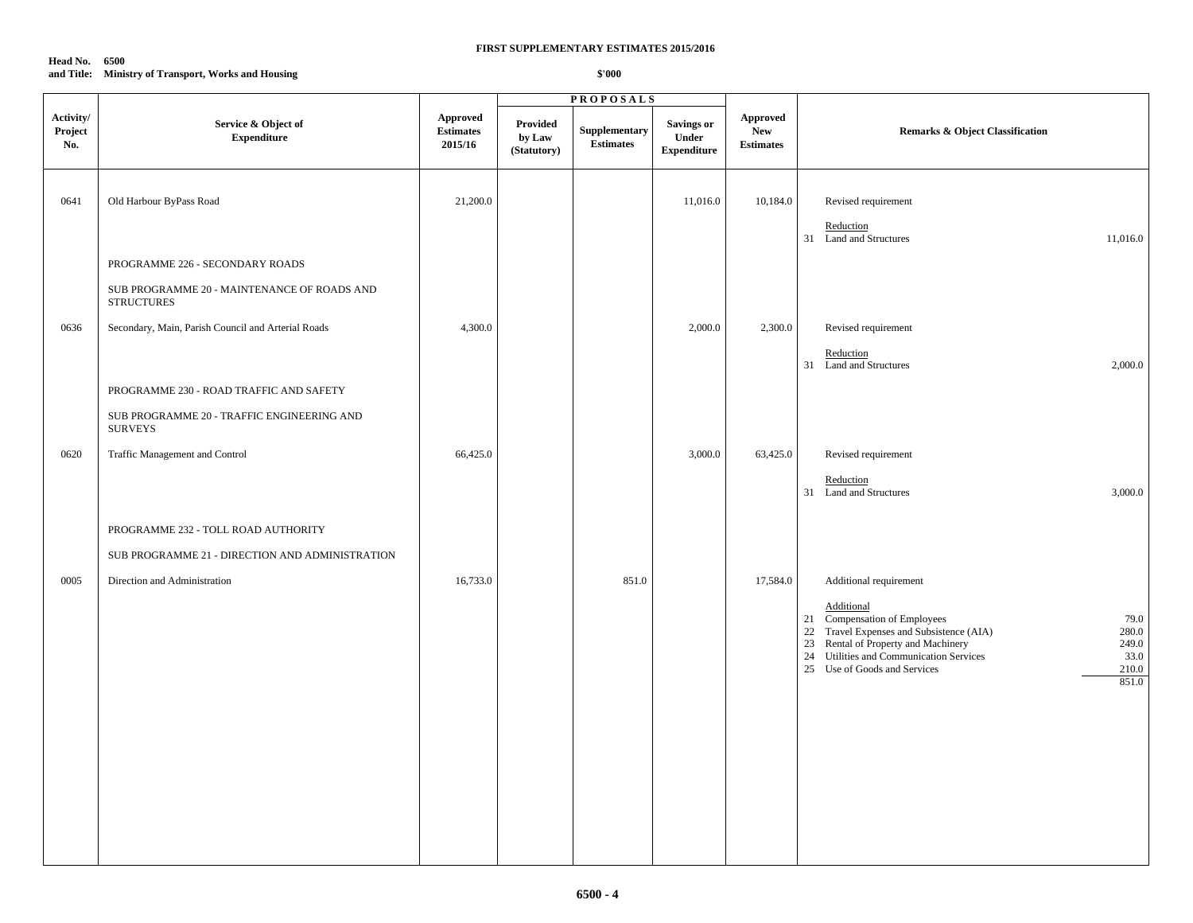### **Head No. 6500 and Title: Ministry of Transport, Works and Housing**

|                             |                                                                  |                                                |                                   | <b>PROPOSALS</b>                                          |                                                  |                                                   |                                                                                                                                                                                                                                                                 |
|-----------------------------|------------------------------------------------------------------|------------------------------------------------|-----------------------------------|-----------------------------------------------------------|--------------------------------------------------|---------------------------------------------------|-----------------------------------------------------------------------------------------------------------------------------------------------------------------------------------------------------------------------------------------------------------------|
| Activity/<br>Project<br>No. | Service & Object of<br><b>Expenditure</b>                        | <b>Approved</b><br><b>Estimates</b><br>2015/16 | Provided<br>by Law<br>(Statutory) | Supplementary<br>$\label{p:estimates} \textbf{Estimates}$ | <b>Savings or</b><br>Under<br><b>Expenditure</b> | <b>Approved</b><br><b>New</b><br><b>Estimates</b> | <b>Remarks &amp; Object Classification</b>                                                                                                                                                                                                                      |
| 0641                        | Old Harbour ByPass Road                                          | 21,200.0                                       |                                   |                                                           | 11,016.0                                         | 10,184.0                                          | Revised requirement<br>Reduction<br>31 Land and Structures<br>11,016.0                                                                                                                                                                                          |
|                             | PROGRAMME 226 - SECONDARY ROADS                                  |                                                |                                   |                                                           |                                                  |                                                   |                                                                                                                                                                                                                                                                 |
|                             | SUB PROGRAMME 20 - MAINTENANCE OF ROADS AND<br><b>STRUCTURES</b> |                                                |                                   |                                                           |                                                  |                                                   |                                                                                                                                                                                                                                                                 |
| 0636                        | Secondary, Main, Parish Council and Arterial Roads               | 4,300.0                                        |                                   |                                                           | 2,000.0                                          | 2,300.0                                           | Revised requirement<br>Reduction<br>31 Land and Structures<br>2,000.0                                                                                                                                                                                           |
|                             | PROGRAMME 230 - ROAD TRAFFIC AND SAFETY                          |                                                |                                   |                                                           |                                                  |                                                   |                                                                                                                                                                                                                                                                 |
|                             | SUB PROGRAMME 20 - TRAFFIC ENGINEERING AND<br><b>SURVEYS</b>     |                                                |                                   |                                                           |                                                  |                                                   |                                                                                                                                                                                                                                                                 |
| 0620                        | Traffic Management and Control                                   | 66,425.0                                       |                                   |                                                           | 3,000.0                                          | 63,425.0                                          | Revised requirement                                                                                                                                                                                                                                             |
|                             |                                                                  |                                                |                                   |                                                           |                                                  |                                                   | Reduction<br>31 Land and Structures<br>3,000.0                                                                                                                                                                                                                  |
|                             | PROGRAMME 232 - TOLL ROAD AUTHORITY                              |                                                |                                   |                                                           |                                                  |                                                   |                                                                                                                                                                                                                                                                 |
|                             | SUB PROGRAMME 21 - DIRECTION AND ADMINISTRATION                  |                                                |                                   |                                                           |                                                  |                                                   |                                                                                                                                                                                                                                                                 |
| 0005                        | Direction and Administration                                     | 16,733.0                                       |                                   | 851.0                                                     |                                                  | 17,584.0                                          | Additional requirement                                                                                                                                                                                                                                          |
|                             |                                                                  |                                                |                                   |                                                           |                                                  |                                                   | Additional<br>21 Compensation of Employees<br>79.0<br>22 Travel Expenses and Subsistence (AIA)<br>280.0<br>Rental of Property and Machinery<br>249.0<br>23<br>24 Utilities and Communication Services<br>33.0<br>25 Use of Goods and Services<br>210.0<br>851.0 |
|                             |                                                                  |                                                |                                   |                                                           |                                                  |                                                   |                                                                                                                                                                                                                                                                 |
|                             |                                                                  |                                                |                                   |                                                           |                                                  |                                                   |                                                                                                                                                                                                                                                                 |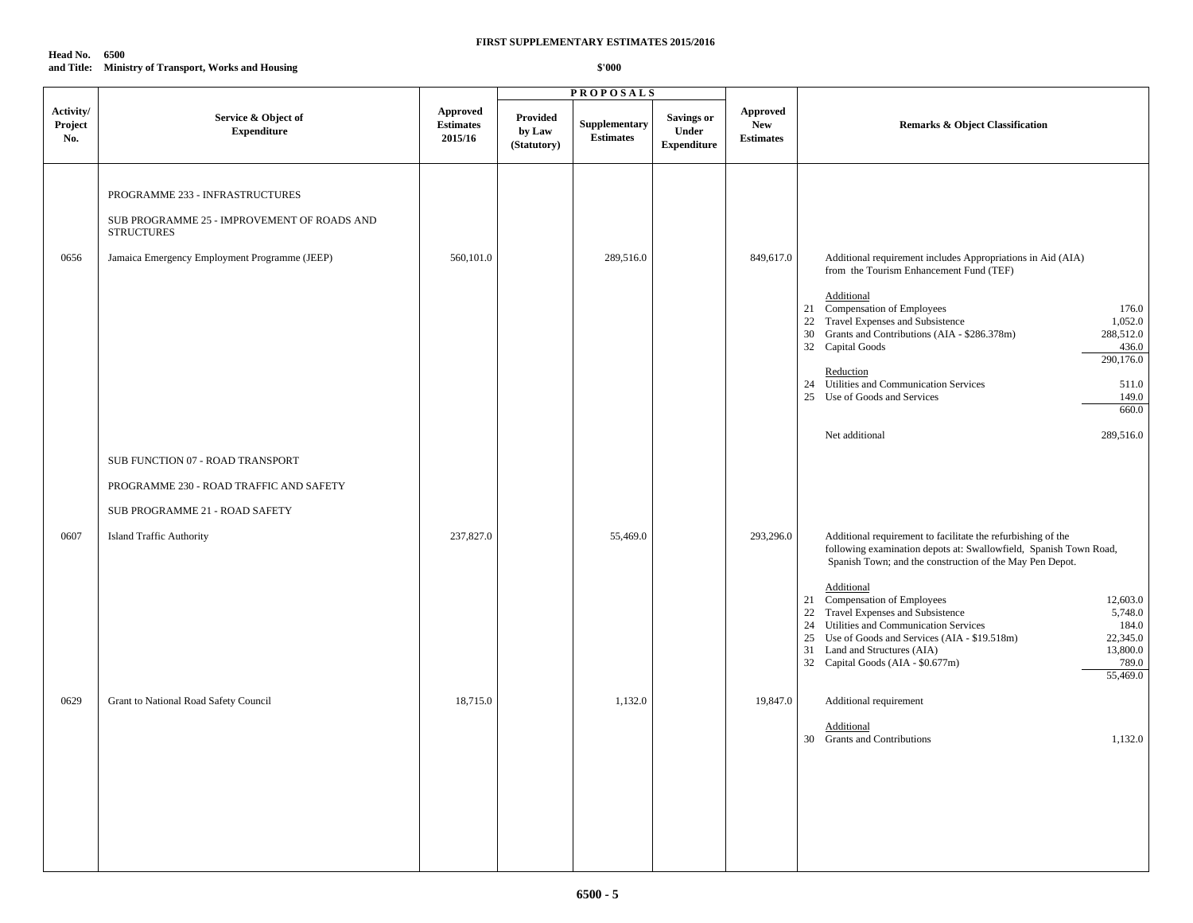**Head No. 6500 and Title: Ministry of Transport, Works and Housing**

|                             |                                                                                                                                                      |                                         |                                   | <b>PROPOSALS</b>                  |                                           |                                                   |                                                                                                                                                                                                                                                                                                                                                                                                                                                                                                                                  |
|-----------------------------|------------------------------------------------------------------------------------------------------------------------------------------------------|-----------------------------------------|-----------------------------------|-----------------------------------|-------------------------------------------|---------------------------------------------------|----------------------------------------------------------------------------------------------------------------------------------------------------------------------------------------------------------------------------------------------------------------------------------------------------------------------------------------------------------------------------------------------------------------------------------------------------------------------------------------------------------------------------------|
| Activity/<br>Project<br>No. | Service & Object of<br><b>Expenditure</b>                                                                                                            | Approved<br><b>Estimates</b><br>2015/16 | Provided<br>by Law<br>(Statutory) | Supplementary<br><b>Estimates</b> | Savings or<br>Under<br><b>Expenditure</b> | <b>Approved</b><br><b>New</b><br><b>Estimates</b> | <b>Remarks &amp; Object Classification</b>                                                                                                                                                                                                                                                                                                                                                                                                                                                                                       |
| 0656                        | PROGRAMME 233 - INFRASTRUCTURES<br>SUB PROGRAMME 25 - IMPROVEMENT OF ROADS AND<br><b>STRUCTURES</b><br>Jamaica Emergency Employment Programme (JEEP) | 560,101.0                               |                                   | 289,516.0                         |                                           | 849,617.0                                         | Additional requirement includes Appropriations in Aid (AIA)<br>from the Tourism Enhancement Fund (TEF)<br>Additional<br>21 Compensation of Employees<br>176.0<br>22 Travel Expenses and Subsistence<br>1,052.0<br>30 Grants and Contributions (AIA - \$286.378m)<br>288,512.0<br>32 Capital Goods<br>436.0<br>290,176.0<br>Reduction<br>24 Utilities and Communication Services<br>511.0<br>25 Use of Goods and Services<br>149.0<br>660.0<br>Net additional<br>289,516.0                                                        |
|                             | SUB FUNCTION 07 - ROAD TRANSPORT<br>PROGRAMME 230 - ROAD TRAFFIC AND SAFETY<br>SUB PROGRAMME 21 - ROAD SAFETY                                        |                                         |                                   |                                   |                                           |                                                   |                                                                                                                                                                                                                                                                                                                                                                                                                                                                                                                                  |
| 0607                        | <b>Island Traffic Authority</b>                                                                                                                      | 237,827.0                               |                                   | 55,469.0                          |                                           | 293,296.0                                         | Additional requirement to facilitate the refurbishing of the<br>following examination depots at: Swallowfield, Spanish Town Road,<br>Spanish Town; and the construction of the May Pen Depot.<br>Additional<br>21 Compensation of Employees<br>12,603.0<br>22 Travel Expenses and Subsistence<br>5,748.0<br>24 Utilities and Communication Services<br>184.0<br>25 Use of Goods and Services (AIA - \$19.518m)<br>22,345.0<br>13,800.0<br>31 Land and Structures (AIA)<br>32 Capital Goods (AIA - \$0.677m)<br>789.0<br>55,469.0 |
| 0629                        | Grant to National Road Safety Council                                                                                                                | 18,715.0                                |                                   | 1,132.0                           |                                           | 19,847.0                                          | Additional requirement<br>Additional<br>30 Grants and Contributions<br>1,132.0                                                                                                                                                                                                                                                                                                                                                                                                                                                   |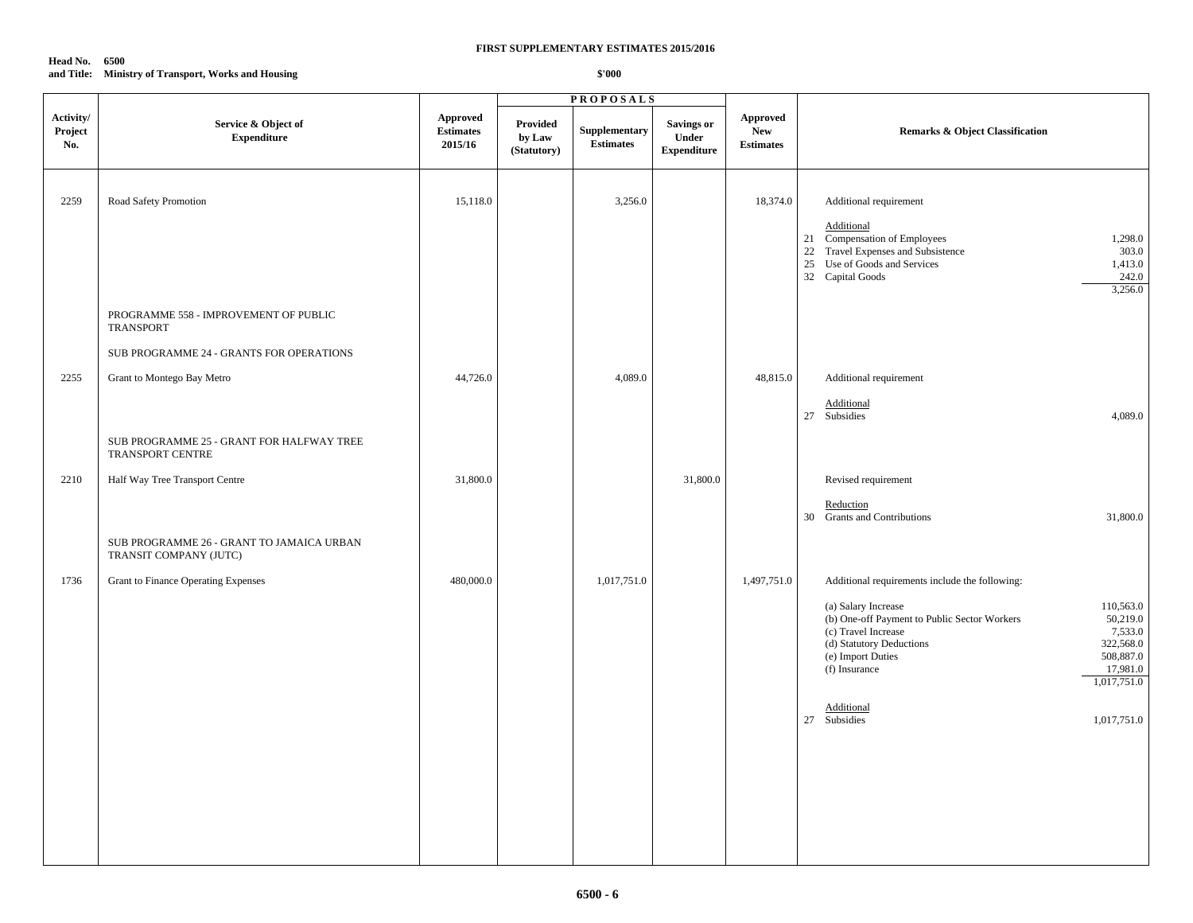### **Head No. 6500 and Title: Ministry of Transport, Works and Housing**

|                             |                                                                        |                                         |                                          | <b>PROPOSALS</b>                  |                                                  |                                                  |                                                                                                                                                                                                                                                                                                         |
|-----------------------------|------------------------------------------------------------------------|-----------------------------------------|------------------------------------------|-----------------------------------|--------------------------------------------------|--------------------------------------------------|---------------------------------------------------------------------------------------------------------------------------------------------------------------------------------------------------------------------------------------------------------------------------------------------------------|
| Activity/<br>Project<br>No. | Service & Object of<br><b>Expenditure</b>                              | Approved<br><b>Estimates</b><br>2015/16 | <b>Provided</b><br>by Law<br>(Statutory) | Supplementary<br><b>Estimates</b> | <b>Savings or</b><br>Under<br><b>Expenditure</b> | <b>Approved</b><br><b>New</b><br>$\bf Estimates$ | <b>Remarks &amp; Object Classification</b>                                                                                                                                                                                                                                                              |
| 2259                        | Road Safety Promotion                                                  | 15,118.0                                |                                          | 3,256.0                           |                                                  | 18,374.0                                         | Additional requirement<br>Additional<br>21 Compensation of Employees<br>1,298.0<br>22 Travel Expenses and Subsistence<br>303.0<br>25 Use of Goods and Services<br>1,413.0<br>242.0<br>32 Capital Goods<br>3,256.0                                                                                       |
|                             | PROGRAMME 558 - IMPROVEMENT OF PUBLIC<br><b>TRANSPORT</b>              |                                         |                                          |                                   |                                                  |                                                  |                                                                                                                                                                                                                                                                                                         |
| 2255                        | SUB PROGRAMME 24 - GRANTS FOR OPERATIONS<br>Grant to Montego Bay Metro | 44,726.0                                |                                          | 4,089.0                           |                                                  | 48,815.0                                         | Additional requirement<br>Additional<br>27 Subsidies<br>4,089.0                                                                                                                                                                                                                                         |
|                             | SUB PROGRAMME 25 - GRANT FOR HALFWAY TREE<br>TRANSPORT CENTRE          |                                         |                                          |                                   |                                                  |                                                  |                                                                                                                                                                                                                                                                                                         |
| 2210                        | Half Way Tree Transport Centre                                         | 31,800.0                                |                                          |                                   | 31,800.0                                         |                                                  | Revised requirement<br>Reduction<br>30 Grants and Contributions<br>31,800.0                                                                                                                                                                                                                             |
|                             | SUB PROGRAMME 26 - GRANT TO JAMAICA URBAN<br>TRANSIT COMPANY (JUTC)    |                                         |                                          |                                   |                                                  |                                                  |                                                                                                                                                                                                                                                                                                         |
| 1736                        | Grant to Finance Operating Expenses                                    | 480,000.0                               |                                          | 1,017,751.0                       |                                                  | 1,497,751.0                                      | Additional requirements include the following:<br>(a) Salary Increase<br>110,563.0<br>(b) One-off Payment to Public Sector Workers<br>50,219.0<br>(c) Travel Increase<br>7,533.0<br>(d) Statutory Deductions<br>322,568.0<br>508,887.0<br>(e) Import Duties<br>(f) Insurance<br>17,981.0<br>1,017,751.0 |
|                             |                                                                        |                                         |                                          |                                   |                                                  |                                                  | Additional<br>27 Subsidies<br>1,017,751.0                                                                                                                                                                                                                                                               |
|                             |                                                                        |                                         |                                          |                                   |                                                  |                                                  |                                                                                                                                                                                                                                                                                                         |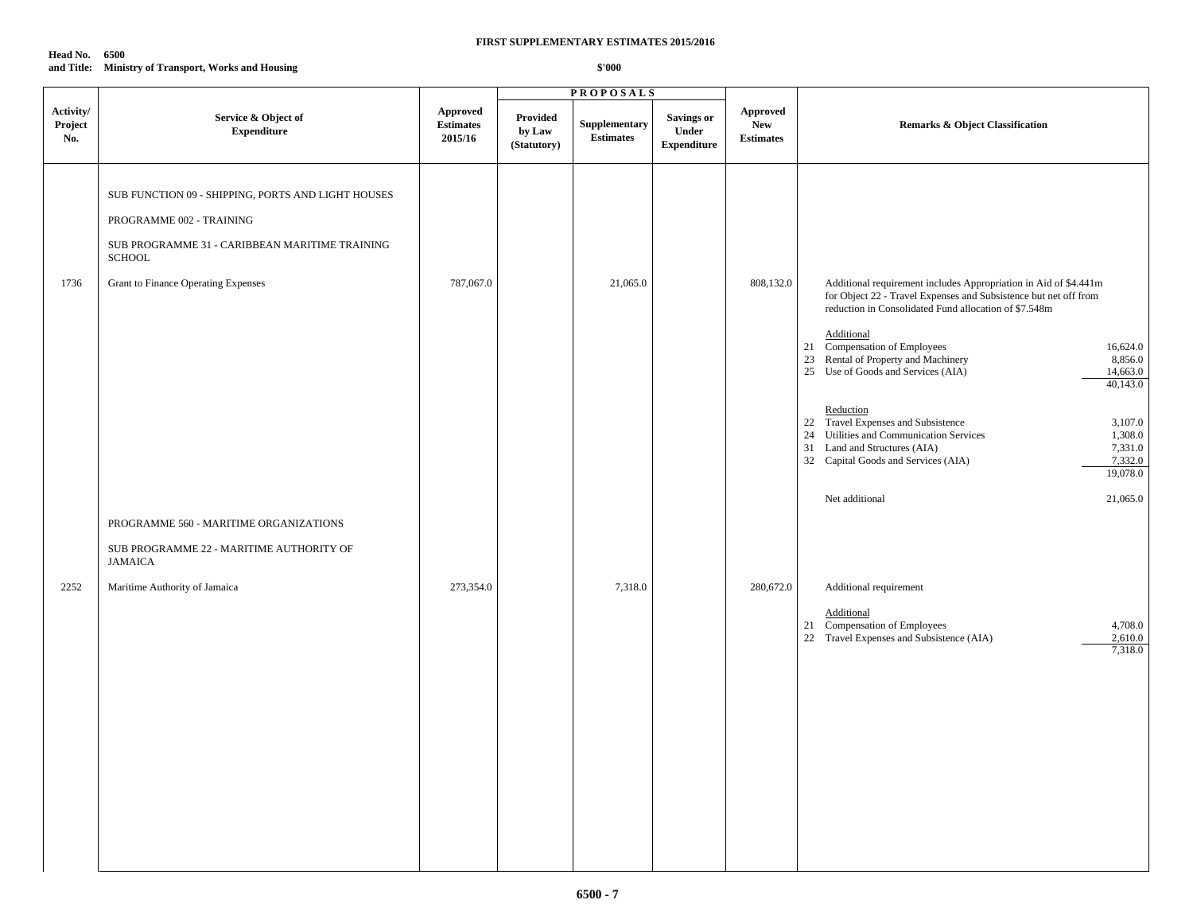**Head No. 6500 and Title: Ministry of Transport, Works and Housing**

|                             |                                                                                                                                                                                          |                                         |                                          | <b>PROPOSALS</b>                         |                                           |                                            |                                                                                                                                                                                                                                                                                                                                                                         |
|-----------------------------|------------------------------------------------------------------------------------------------------------------------------------------------------------------------------------------|-----------------------------------------|------------------------------------------|------------------------------------------|-------------------------------------------|--------------------------------------------|-------------------------------------------------------------------------------------------------------------------------------------------------------------------------------------------------------------------------------------------------------------------------------------------------------------------------------------------------------------------------|
| Activity/<br>Project<br>No. | Service & Object of<br><b>Expenditure</b>                                                                                                                                                | Approved<br><b>Estimates</b><br>2015/16 | <b>Provided</b><br>by Law<br>(Statutory) | <b>Supplementary</b><br><b>Estimates</b> | Savings or<br>Under<br><b>Expenditure</b> | Approved<br><b>New</b><br><b>Estimates</b> | <b>Remarks &amp; Object Classification</b>                                                                                                                                                                                                                                                                                                                              |
| 1736                        | SUB FUNCTION 09 - SHIPPING, PORTS AND LIGHT HOUSES<br>PROGRAMME 002 - TRAINING<br>SUB PROGRAMME 31 - CARIBBEAN MARITIME TRAINING<br><b>SCHOOL</b><br>Grant to Finance Operating Expenses | 787,067.0                               |                                          | 21,065.0                                 |                                           | 808,132.0                                  | Additional requirement includes Appropriation in Aid of \$4.441m<br>for Object 22 - Travel Expenses and Subsistence but net off from<br>reduction in Consolidated Fund allocation of \$7.548m<br>Additional<br>21 Compensation of Employees<br>16,624.0<br>23 Rental of Property and Machinery<br>8,856.0<br>25 Use of Goods and Services (AIA)<br>14,663.0<br>40,143.0 |
|                             | PROGRAMME 560 - MARITIME ORGANIZATIONS<br>SUB PROGRAMME 22 - MARITIME AUTHORITY OF<br><b>JAMAICA</b>                                                                                     |                                         |                                          |                                          |                                           |                                            | Reduction<br>22 Travel Expenses and Subsistence<br>3,107.0<br>24 Utilities and Communication Services<br>1,308.0<br>31 Land and Structures (AIA)<br>7,331.0<br>32 Capital Goods and Services (AIA)<br>7,332.0<br>19,078.0<br>21,065.0<br>Net additional                                                                                                                 |
| 2252                        | Maritime Authority of Jamaica                                                                                                                                                            | 273,354.0                               |                                          | 7,318.0                                  |                                           | 280,672.0                                  | Additional requirement<br>Additional<br>21 Compensation of Employees<br>4,708.0<br>22 Travel Expenses and Subsistence (AIA)<br>2,610.0<br>7,318.0                                                                                                                                                                                                                       |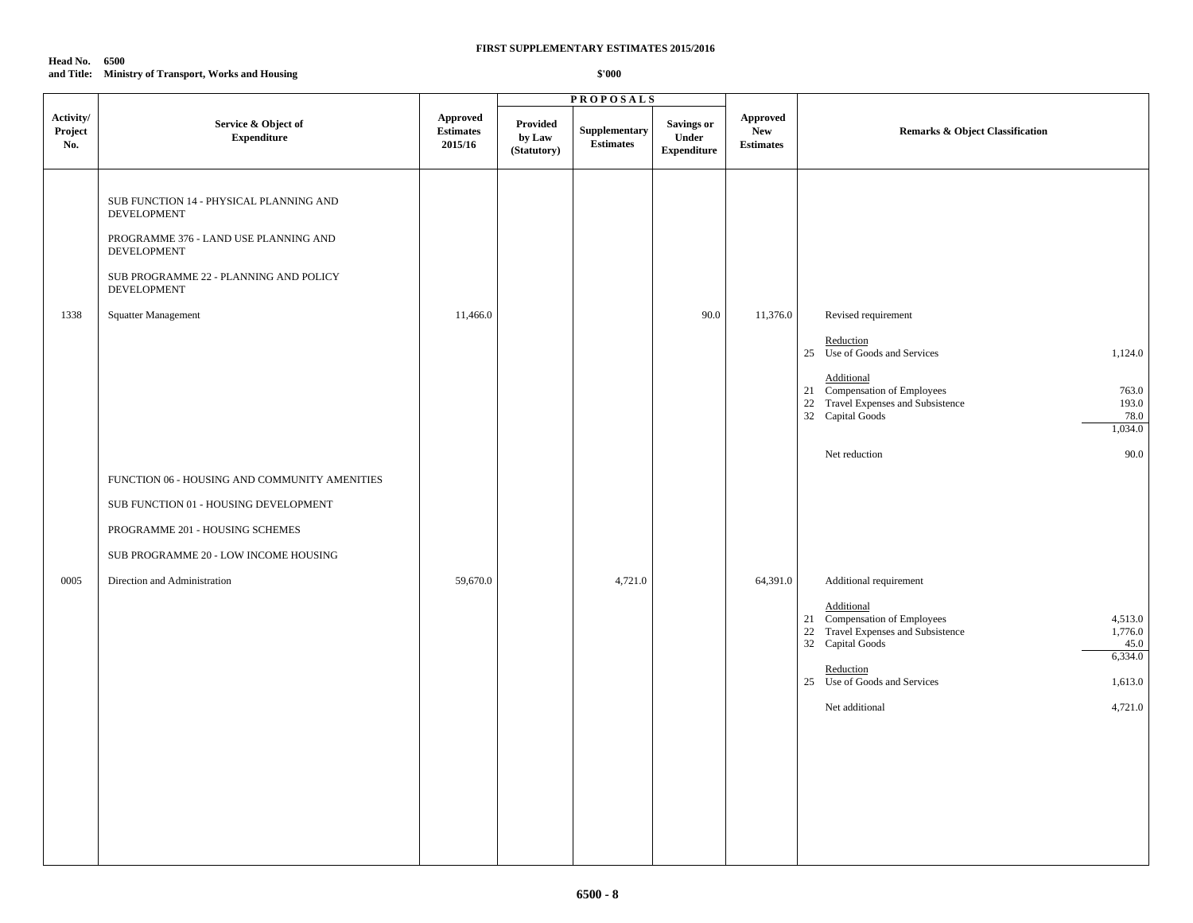### **Head No. 6500 and Title: Ministry of Transport, Works and Housing**

|                             |                                                                                                                                                                                                              |                                                |                                   | <b>PROPOSALS</b>                  |                                                  |                                                   |                                                                                                                                                                                                                                                   |
|-----------------------------|--------------------------------------------------------------------------------------------------------------------------------------------------------------------------------------------------------------|------------------------------------------------|-----------------------------------|-----------------------------------|--------------------------------------------------|---------------------------------------------------|---------------------------------------------------------------------------------------------------------------------------------------------------------------------------------------------------------------------------------------------------|
| Activity/<br>Project<br>No. | Service & Object of<br><b>Expenditure</b>                                                                                                                                                                    | <b>Approved</b><br><b>Estimates</b><br>2015/16 | Provided<br>by Law<br>(Statutory) | Supplementary<br><b>Estimates</b> | <b>Savings or</b><br>Under<br><b>Expenditure</b> | <b>Approved</b><br><b>New</b><br><b>Estimates</b> | <b>Remarks &amp; Object Classification</b>                                                                                                                                                                                                        |
| 1338                        | SUB FUNCTION 14 - PHYSICAL PLANNING AND<br><b>DEVELOPMENT</b><br>PROGRAMME 376 - LAND USE PLANNING AND<br>DEVELOPMENT<br>SUB PROGRAMME 22 - PLANNING AND POLICY<br><b>DEVELOPMENT</b><br>Squatter Management | 11,466.0                                       |                                   |                                   | 90.0                                             | 11,376.0                                          | Revised requirement<br>Reduction<br>25 Use of Goods and Services<br>1,124.0<br>Additional<br>21 Compensation of Employees<br>763.0<br>22 Travel Expenses and Subsistence<br>193.0<br>32 Capital Goods<br>78.0<br>1,034.0<br>90.0<br>Net reduction |
| 0005                        | FUNCTION 06 - HOUSING AND COMMUNITY AMENITIES<br>SUB FUNCTION 01 - HOUSING DEVELOPMENT<br>PROGRAMME 201 - HOUSING SCHEMES<br>SUB PROGRAMME 20 - LOW INCOME HOUSING<br>Direction and Administration           | 59,670.0                                       |                                   | 4,721.0                           |                                                  | 64,391.0                                          | Additional requirement<br>Additional<br>21 Compensation of Employees<br>4,513.0<br>22 Travel Expenses and Subsistence<br>1,776.0<br>32 Capital Goods<br>45.0<br>6,334.0<br>Reduction<br>25 Use of Goods and Services<br>1,613.0                   |
|                             |                                                                                                                                                                                                              |                                                |                                   |                                   |                                                  |                                                   | 4,721.0<br>Net additional                                                                                                                                                                                                                         |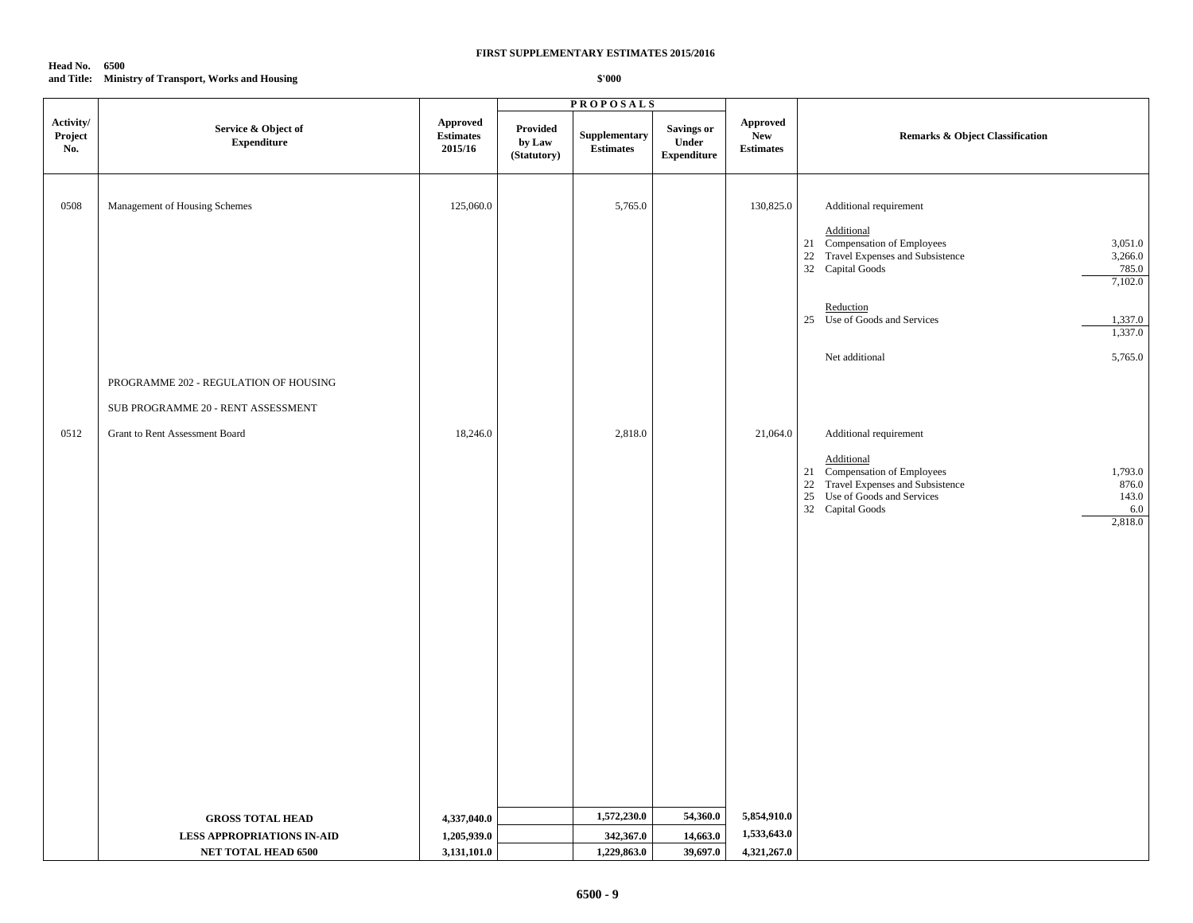### **Head No. 6500 and Title: Ministry of Transport, Works and Housing**

|                             |                                                                                     |                                                |                                   | <b>PROPOSALS</b>                        |                                                  |                                                   |                                                                                                                                                                                                               |
|-----------------------------|-------------------------------------------------------------------------------------|------------------------------------------------|-----------------------------------|-----------------------------------------|--------------------------------------------------|---------------------------------------------------|---------------------------------------------------------------------------------------------------------------------------------------------------------------------------------------------------------------|
| Activity/<br>Project<br>No. | Service & Object of<br><b>Expenditure</b>                                           | <b>Approved</b><br><b>Estimates</b><br>2015/16 | Provided<br>by Law<br>(Statutory) | Supplementary<br><b>Estimates</b>       | <b>Savings or</b><br>Under<br><b>Expenditure</b> | <b>Approved</b><br><b>New</b><br><b>Estimates</b> | <b>Remarks &amp; Object Classification</b>                                                                                                                                                                    |
| 0508                        | Management of Housing Schemes                                                       | 125,060.0                                      |                                   | 5,765.0                                 |                                                  | 130,825.0                                         | Additional requirement<br>Additional<br>21 Compensation of Employees<br>3,051.0<br>22 Travel Expenses and Subsistence<br>3,266.0<br>32 Capital Goods<br>785.0<br>7,102.0                                      |
|                             |                                                                                     |                                                |                                   |                                         |                                                  |                                                   | Reduction<br>25 Use of Goods and Services<br>1,337.0<br>1,337.0                                                                                                                                               |
|                             | PROGRAMME 202 - REGULATION OF HOUSING<br>SUB PROGRAMME 20 - RENT ASSESSMENT         |                                                |                                   |                                         |                                                  |                                                   | Net additional<br>5,765.0                                                                                                                                                                                     |
| 0512                        | Grant to Rent Assessment Board                                                      | 18,246.0                                       |                                   | 2,818.0                                 |                                                  | 21,064.0                                          | Additional requirement<br>Additional<br>21 Compensation of Employees<br>1,793.0<br>22 Travel Expenses and Subsistence<br>876.0<br>25 Use of Goods and Services<br>143.0<br>32 Capital Goods<br>6.0<br>2,818.0 |
|                             | <b>GROSS TOTAL HEAD</b><br><b>LESS APPROPRIATIONS IN-AID</b><br>NET TOTAL HEAD 6500 | 4,337,040.0<br>1,205,939.0<br>3,131,101.0      |                                   | 1,572,230.0<br>342,367.0<br>1,229,863.0 | 54,360.0<br>14,663.0<br>39,697.0                 | 5,854,910.0<br>1,533,643.0<br>4,321,267.0         |                                                                                                                                                                                                               |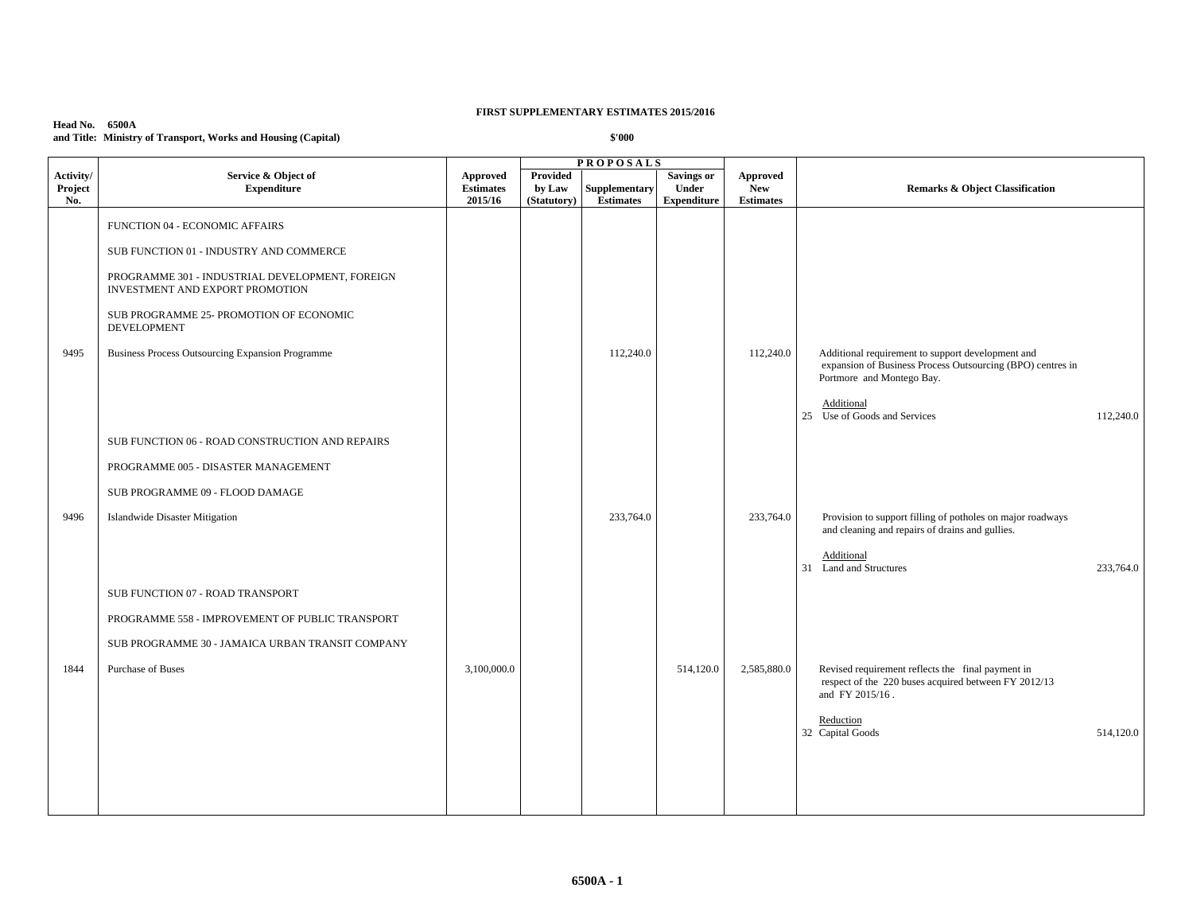## **Head No. 6500A and Title: Ministry of Transport, Works and Housing (Capital)**

|                             |                                                                                    |                                         |                                          | <b>PROPOSALS</b>                  |                                                  |                                                   |                                                                                                                                              |
|-----------------------------|------------------------------------------------------------------------------------|-----------------------------------------|------------------------------------------|-----------------------------------|--------------------------------------------------|---------------------------------------------------|----------------------------------------------------------------------------------------------------------------------------------------------|
| Activity/<br>Project<br>No. | Service & Object of<br><b>Expenditure</b>                                          | Approved<br><b>Estimates</b><br>2015/16 | <b>Provided</b><br>by Law<br>(Statutory) | Supplementary<br><b>Estimates</b> | <b>Savings or</b><br><b>Under</b><br>Expenditure | <b>Approved</b><br><b>New</b><br><b>Estimates</b> | <b>Remarks &amp; Object Classification</b>                                                                                                   |
|                             | FUNCTION 04 - ECONOMIC AFFAIRS                                                     |                                         |                                          |                                   |                                                  |                                                   |                                                                                                                                              |
|                             | SUB FUNCTION 01 - INDUSTRY AND COMMERCE                                            |                                         |                                          |                                   |                                                  |                                                   |                                                                                                                                              |
|                             | PROGRAMME 301 - INDUSTRIAL DEVELOPMENT, FOREIGN<br>INVESTMENT AND EXPORT PROMOTION |                                         |                                          |                                   |                                                  |                                                   |                                                                                                                                              |
|                             | SUB PROGRAMME 25- PROMOTION OF ECONOMIC<br><b>DEVELOPMENT</b>                      |                                         |                                          |                                   |                                                  |                                                   |                                                                                                                                              |
| 9495                        | <b>Business Process Outsourcing Expansion Programme</b>                            |                                         |                                          | 112,240.0                         |                                                  | 112,240.0                                         | Additional requirement to support development and<br>expansion of Business Process Outsourcing (BPO) centres in<br>Portmore and Montego Bay. |
|                             |                                                                                    |                                         |                                          |                                   |                                                  |                                                   | Additional<br>25 Use of Goods and Services<br>112,240.0                                                                                      |
|                             | SUB FUNCTION 06 - ROAD CONSTRUCTION AND REPAIRS                                    |                                         |                                          |                                   |                                                  |                                                   |                                                                                                                                              |
|                             | PROGRAMME 005 - DISASTER MANAGEMENT                                                |                                         |                                          |                                   |                                                  |                                                   |                                                                                                                                              |
|                             | SUB PROGRAMME 09 - FLOOD DAMAGE                                                    |                                         |                                          |                                   |                                                  |                                                   |                                                                                                                                              |
| 9496                        | <b>Islandwide Disaster Mitigation</b>                                              |                                         |                                          | 233,764.0                         |                                                  | 233,764.0                                         | Provision to support filling of potholes on major roadways<br>and cleaning and repairs of drains and gullies.                                |
|                             |                                                                                    |                                         |                                          |                                   |                                                  |                                                   | Additional<br>31 Land and Structures<br>233,764.0                                                                                            |
|                             | SUB FUNCTION 07 - ROAD TRANSPORT                                                   |                                         |                                          |                                   |                                                  |                                                   |                                                                                                                                              |
|                             | PROGRAMME 558 - IMPROVEMENT OF PUBLIC TRANSPORT                                    |                                         |                                          |                                   |                                                  |                                                   |                                                                                                                                              |
|                             | SUB PROGRAMME 30 - JAMAICA URBAN TRANSIT COMPANY                                   |                                         |                                          |                                   |                                                  |                                                   |                                                                                                                                              |
| 1844                        | Purchase of Buses                                                                  | 3,100,000.0                             |                                          |                                   | 514,120.0                                        | 2,585,880.0                                       | Revised requirement reflects the final payment in<br>respect of the 220 buses acquired between FY 2012/13<br>and FY 2015/16.                 |
|                             |                                                                                    |                                         |                                          |                                   |                                                  |                                                   | Reduction<br>32 Capital Goods<br>514,120.0                                                                                                   |
|                             |                                                                                    |                                         |                                          |                                   |                                                  |                                                   |                                                                                                                                              |
|                             |                                                                                    |                                         |                                          |                                   |                                                  |                                                   |                                                                                                                                              |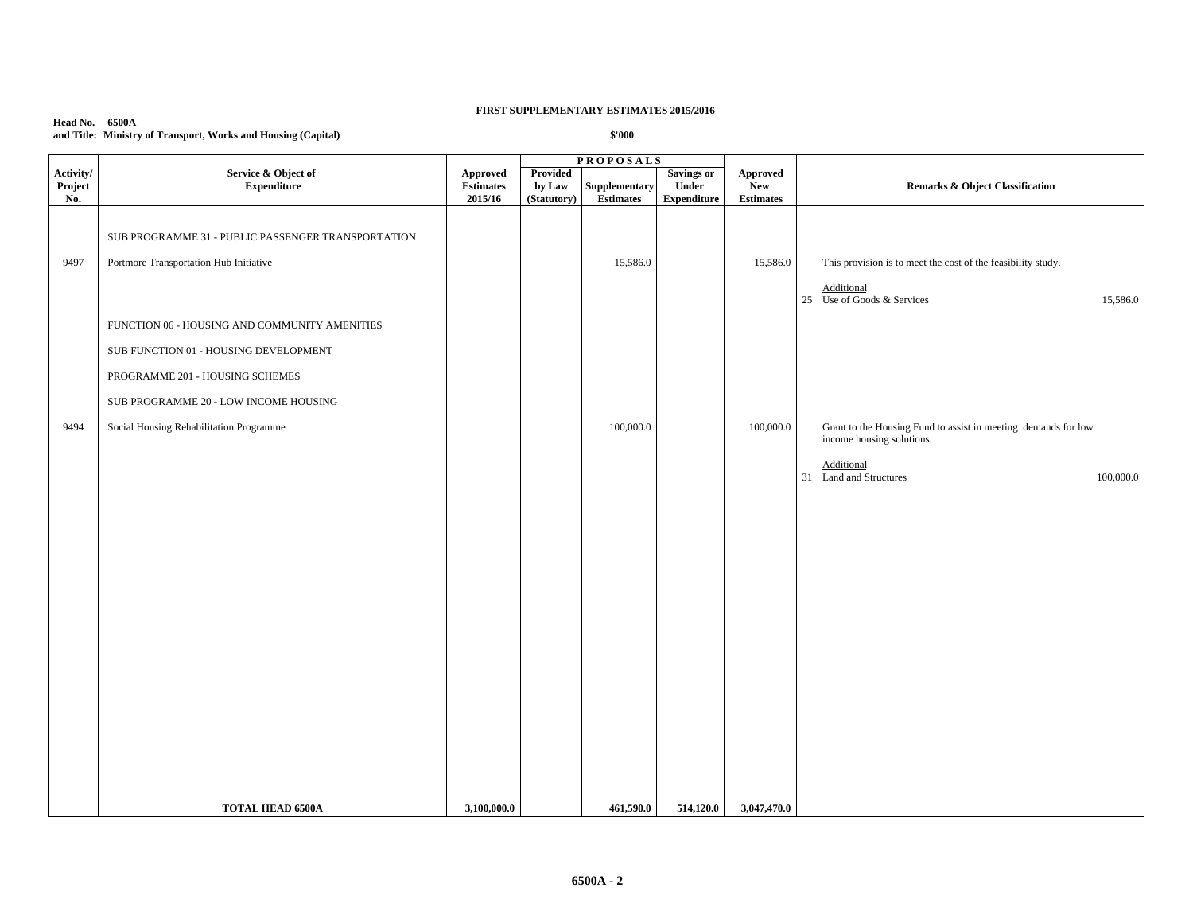### **Head No. 6500A and Title: Ministry of Transport, Works and Housing (Capital)**

|                             |                                                                                                                                                                                                               |                                                |                                          | <b>PROPOSALS</b>                  |                                                  |                                            |                                                                                                                      |
|-----------------------------|---------------------------------------------------------------------------------------------------------------------------------------------------------------------------------------------------------------|------------------------------------------------|------------------------------------------|-----------------------------------|--------------------------------------------------|--------------------------------------------|----------------------------------------------------------------------------------------------------------------------|
| Activity/<br>Project<br>No. | Service & Object of<br><b>Expenditure</b>                                                                                                                                                                     | <b>Approved</b><br><b>Estimates</b><br>2015/16 | <b>Provided</b><br>by Law<br>(Statutory) | Supplementary<br><b>Estimates</b> | <b>Savings or</b><br>Under<br><b>Expenditure</b> | Approved<br><b>New</b><br><b>Estimates</b> | <b>Remarks &amp; Object Classification</b>                                                                           |
| 9497                        | SUB PROGRAMME 31 - PUBLIC PASSENGER TRANSPORTATION<br>Portmore Transportation Hub Initiative                                                                                                                  |                                                |                                          | 15,586.0                          |                                                  | 15,586.0                                   | This provision is to meet the cost of the feasibility study.<br>Additional<br>25 Use of Goods & Services<br>15,586.0 |
| 9494                        | FUNCTION 06 - HOUSING AND COMMUNITY AMENITIES<br>SUB FUNCTION 01 - HOUSING DEVELOPMENT<br>PROGRAMME 201 - HOUSING SCHEMES<br>SUB PROGRAMME 20 - LOW INCOME HOUSING<br>Social Housing Rehabilitation Programme |                                                |                                          | 100,000.0                         |                                                  | 100,000.0                                  | Grant to the Housing Fund to assist in meeting demands for low                                                       |
|                             |                                                                                                                                                                                                               |                                                |                                          |                                   |                                                  |                                            | income housing solutions.<br>Additional<br>31 Land and Structures<br>100,000.0                                       |
|                             |                                                                                                                                                                                                               |                                                |                                          |                                   |                                                  |                                            |                                                                                                                      |
|                             | <b>TOTAL HEAD 6500A</b>                                                                                                                                                                                       | 3,100,000.0                                    |                                          | 461,590.0                         | 514,120.0                                        | 3,047,470.0                                |                                                                                                                      |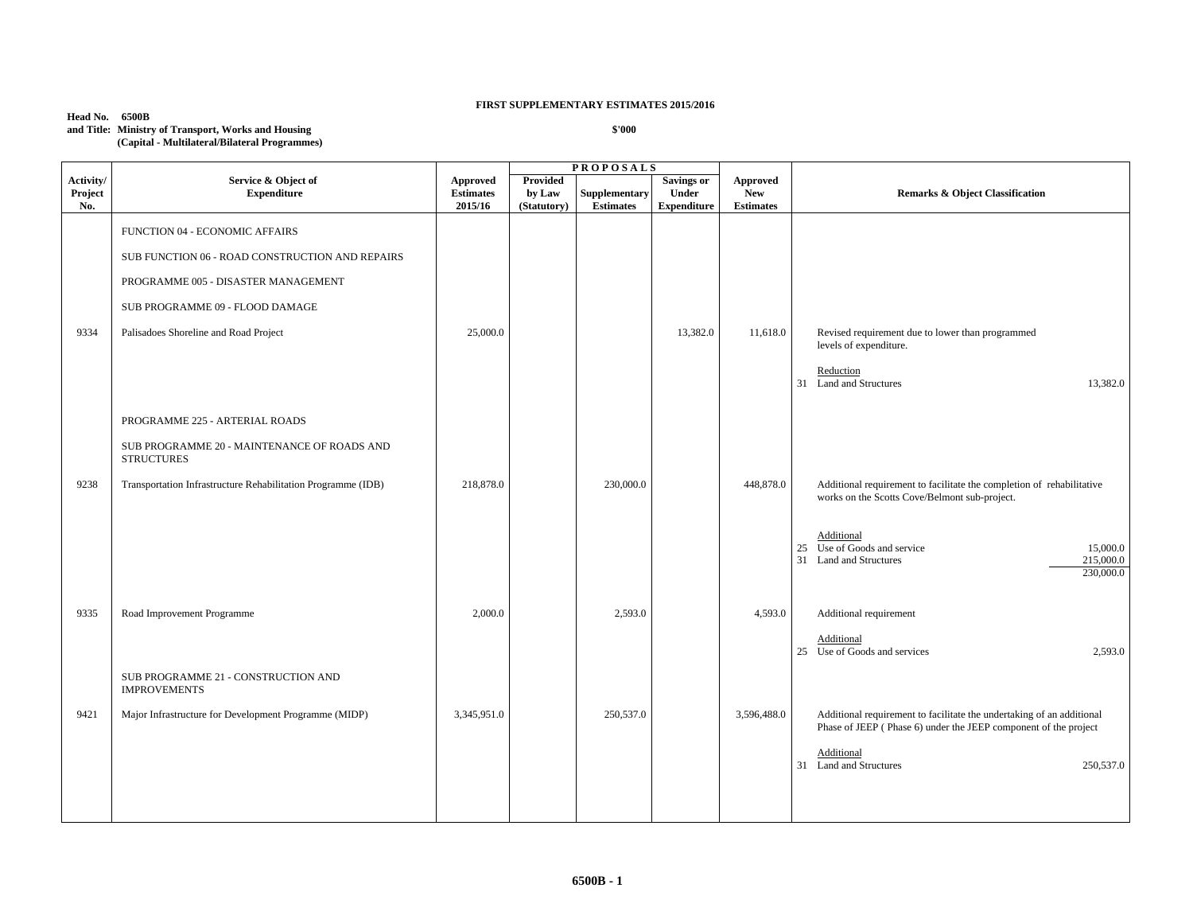## **Head No. 6500B**

**and Title: Ministry of Transport, Works and Housing (Capital - Multilateral/Bilateral Programmes)**

|                             |                                                                  |                                                |                                          | <b>PROPOSALS</b>                  |                                                         |                                                   |                                                                                                                                          |
|-----------------------------|------------------------------------------------------------------|------------------------------------------------|------------------------------------------|-----------------------------------|---------------------------------------------------------|---------------------------------------------------|------------------------------------------------------------------------------------------------------------------------------------------|
| Activity/<br>Project<br>No. | Service & Object of<br><b>Expenditure</b>                        | <b>Approved</b><br><b>Estimates</b><br>2015/16 | <b>Provided</b><br>by Law<br>(Statutory) | Supplementary<br><b>Estimates</b> | <b>Savings or</b><br><b>Under</b><br><b>Expenditure</b> | <b>Approved</b><br><b>New</b><br><b>Estimates</b> | <b>Remarks &amp; Object Classification</b>                                                                                               |
|                             | FUNCTION 04 - ECONOMIC AFFAIRS                                   |                                                |                                          |                                   |                                                         |                                                   |                                                                                                                                          |
|                             | SUB FUNCTION 06 - ROAD CONSTRUCTION AND REPAIRS                  |                                                |                                          |                                   |                                                         |                                                   |                                                                                                                                          |
|                             | PROGRAMME 005 - DISASTER MANAGEMENT                              |                                                |                                          |                                   |                                                         |                                                   |                                                                                                                                          |
|                             | SUB PROGRAMME 09 - FLOOD DAMAGE                                  |                                                |                                          |                                   |                                                         |                                                   |                                                                                                                                          |
| 9334                        | Palisadoes Shoreline and Road Project                            | 25,000.0                                       |                                          |                                   | 13,382.0                                                | 11,618.0                                          | Revised requirement due to lower than programmed<br>levels of expenditure.                                                               |
|                             |                                                                  |                                                |                                          |                                   |                                                         |                                                   | Reduction<br>31 Land and Structures<br>13,382.0                                                                                          |
|                             | PROGRAMME 225 - ARTERIAL ROADS                                   |                                                |                                          |                                   |                                                         |                                                   |                                                                                                                                          |
|                             | SUB PROGRAMME 20 - MAINTENANCE OF ROADS AND<br><b>STRUCTURES</b> |                                                |                                          |                                   |                                                         |                                                   |                                                                                                                                          |
| 9238                        | Transportation Infrastructure Rehabilitation Programme (IDB)     | 218,878.0                                      |                                          | 230,000.0                         |                                                         | 448,878.0                                         | Additional requirement to facilitate the completion of rehabilitative<br>works on the Scotts Cove/Belmont sub-project.                   |
|                             |                                                                  |                                                |                                          |                                   |                                                         |                                                   | Additional<br>25 Use of Goods and service<br>15,000.0<br>31 Land and Structures<br>215,000.0<br>230,000.0                                |
| 9335                        | Road Improvement Programme                                       | 2,000.0                                        |                                          | 2,593.0                           |                                                         | 4,593.0                                           | Additional requirement                                                                                                                   |
|                             |                                                                  |                                                |                                          |                                   |                                                         |                                                   | Additional<br>25 Use of Goods and services<br>2,593.0                                                                                    |
|                             | SUB PROGRAMME 21 - CONSTRUCTION AND<br><b>IMPROVEMENTS</b>       |                                                |                                          |                                   |                                                         |                                                   |                                                                                                                                          |
| 9421                        | Major Infrastructure for Development Programme (MIDP)            | 3,345,951.0                                    |                                          | 250,537.0                         |                                                         | 3,596,488.0                                       | Additional requirement to facilitate the undertaking of an additional<br>Phase of JEEP (Phase 6) under the JEEP component of the project |
|                             |                                                                  |                                                |                                          |                                   |                                                         |                                                   | Additional<br>31 Land and Structures<br>250,537.0                                                                                        |
|                             |                                                                  |                                                |                                          |                                   |                                                         |                                                   |                                                                                                                                          |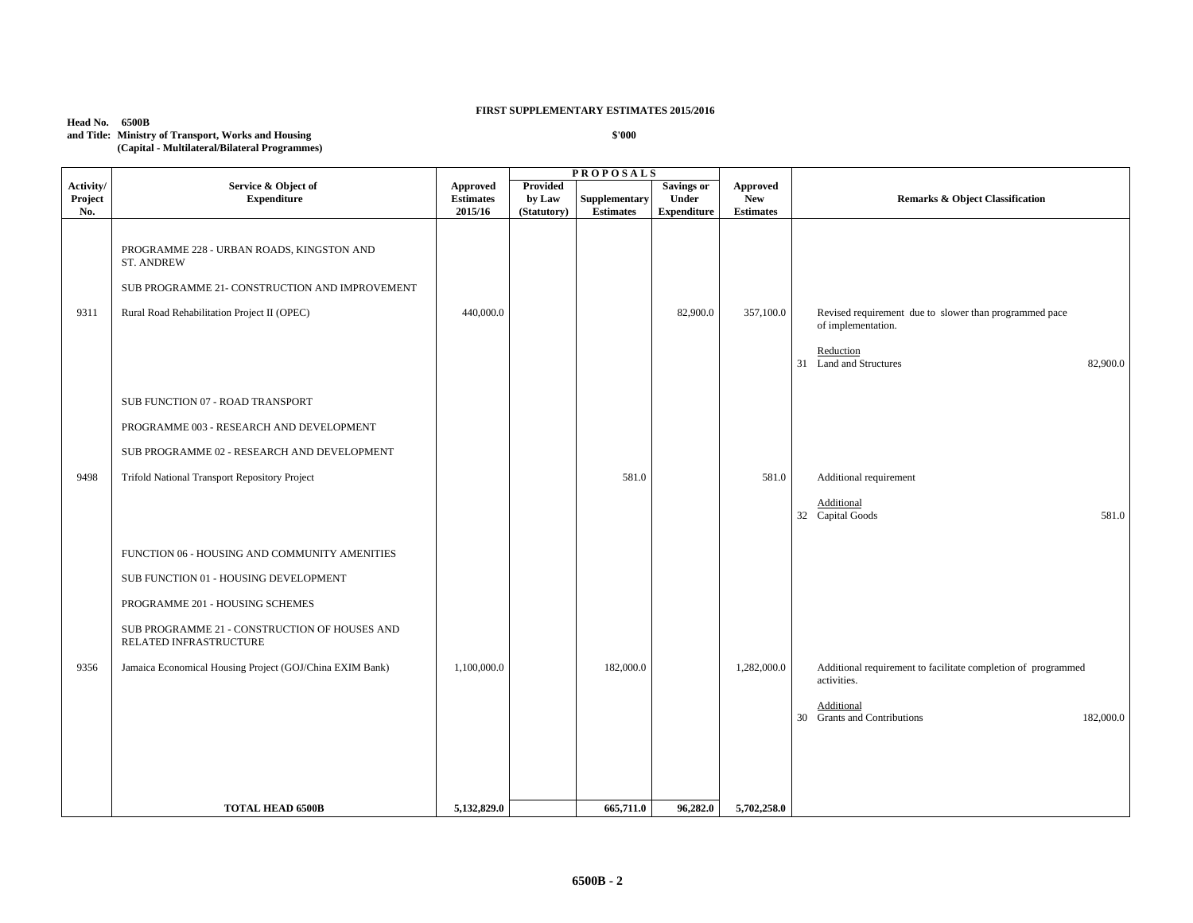### **Head No. 6500B and Title: Ministry of Transport, Works and Housing (Capital - Multilateral/Bilateral Programmes)**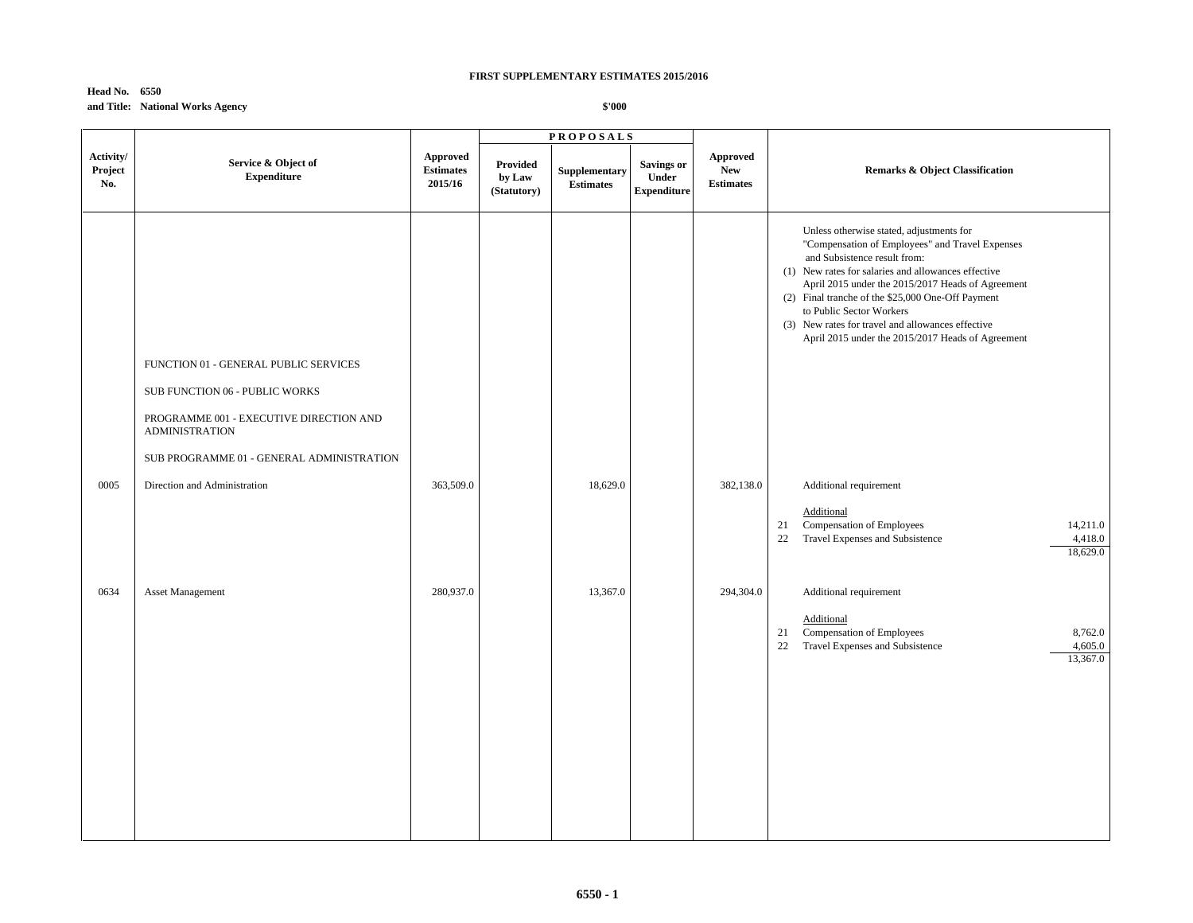# **Head No. 6550 and Title: National Works Agency**

|                             |                                                                  |                                                | <b>PROPOSALS</b>                         |                                   |                                                  |                                            |                                                                                                                                                                                                                                                                                                                                                                                                                                    |
|-----------------------------|------------------------------------------------------------------|------------------------------------------------|------------------------------------------|-----------------------------------|--------------------------------------------------|--------------------------------------------|------------------------------------------------------------------------------------------------------------------------------------------------------------------------------------------------------------------------------------------------------------------------------------------------------------------------------------------------------------------------------------------------------------------------------------|
| Activity/<br>Project<br>No. | Service & Object of<br><b>Expenditure</b>                        | <b>Approved</b><br><b>Estimates</b><br>2015/16 | <b>Provided</b><br>by Law<br>(Statutory) | Supplementary<br><b>Estimates</b> | <b>Savings or</b><br>Under<br><b>Expenditure</b> | Approved<br><b>New</b><br><b>Estimates</b> | <b>Remarks &amp; Object Classification</b>                                                                                                                                                                                                                                                                                                                                                                                         |
|                             | FUNCTION 01 - GENERAL PUBLIC SERVICES                            |                                                |                                          |                                   |                                                  |                                            | Unless otherwise stated, adjustments for<br>"Compensation of Employees" and Travel Expenses<br>and Subsistence result from:<br>(1) New rates for salaries and allowances effective<br>April 2015 under the 2015/2017 Heads of Agreement<br>(2) Final tranche of the \$25,000 One-Off Payment<br>to Public Sector Workers<br>(3) New rates for travel and allowances effective<br>April 2015 under the 2015/2017 Heads of Agreement |
|                             | SUB FUNCTION 06 - PUBLIC WORKS                                   |                                                |                                          |                                   |                                                  |                                            |                                                                                                                                                                                                                                                                                                                                                                                                                                    |
|                             | PROGRAMME 001 - EXECUTIVE DIRECTION AND<br><b>ADMINISTRATION</b> |                                                |                                          |                                   |                                                  |                                            |                                                                                                                                                                                                                                                                                                                                                                                                                                    |
|                             | SUB PROGRAMME 01 - GENERAL ADMINISTRATION                        |                                                |                                          |                                   |                                                  |                                            |                                                                                                                                                                                                                                                                                                                                                                                                                                    |
| 0005                        | Direction and Administration                                     | 363,509.0                                      |                                          | 18,629.0                          |                                                  | 382,138.0                                  | Additional requirement                                                                                                                                                                                                                                                                                                                                                                                                             |
|                             |                                                                  |                                                |                                          |                                   |                                                  |                                            | Additional<br>Compensation of Employees<br>14,211.0<br>21<br>22<br>Travel Expenses and Subsistence<br>4,418.0<br>18,629.0                                                                                                                                                                                                                                                                                                          |
| 0634                        | <b>Asset Management</b>                                          | 280,937.0                                      |                                          | 13,367.0                          |                                                  | 294,304.0                                  | Additional requirement                                                                                                                                                                                                                                                                                                                                                                                                             |
|                             |                                                                  |                                                |                                          |                                   |                                                  |                                            | Additional<br>Compensation of Employees<br>8,762.0<br>21<br>22<br>Travel Expenses and Subsistence<br>4,605.0<br>13,367.0                                                                                                                                                                                                                                                                                                           |
|                             |                                                                  |                                                |                                          |                                   |                                                  |                                            |                                                                                                                                                                                                                                                                                                                                                                                                                                    |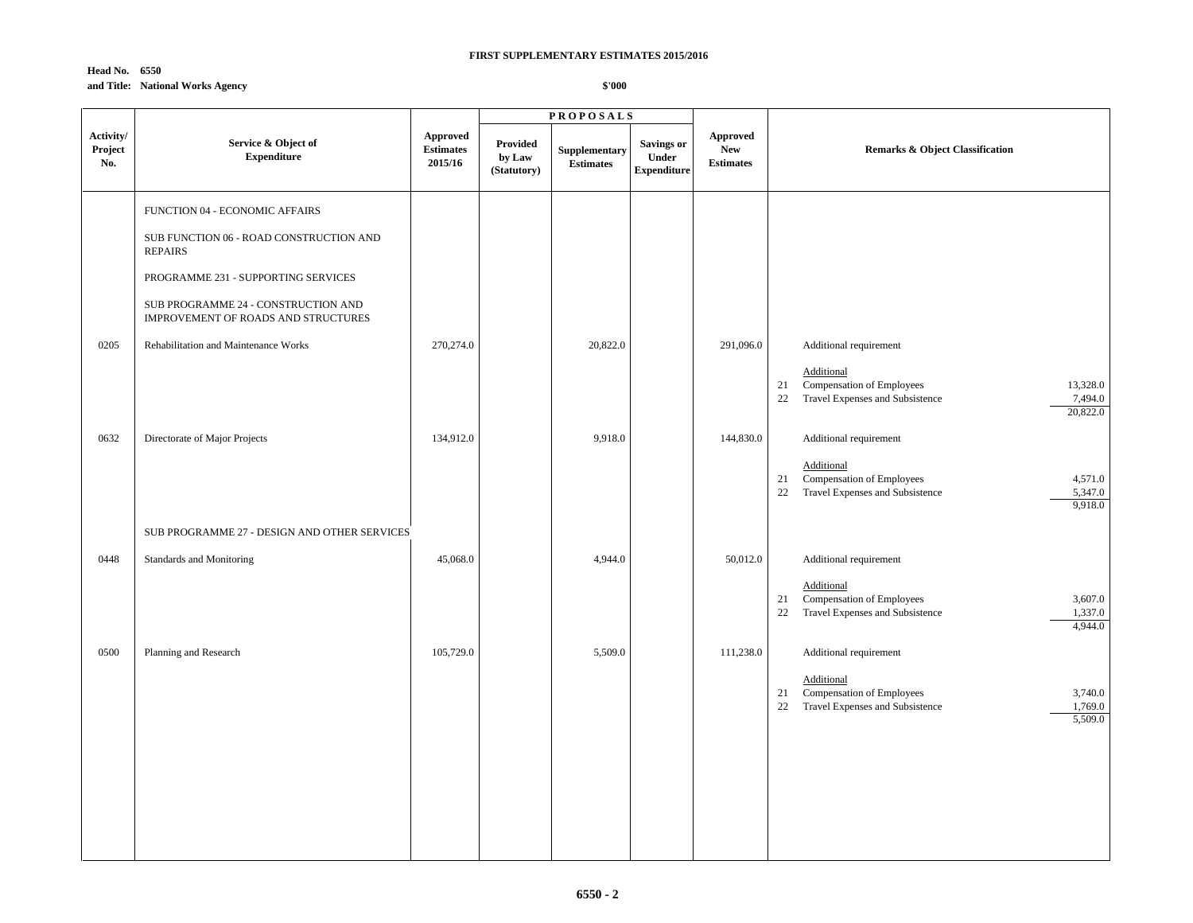# **Head No. 6550 and Title: National Works Agency**

|                             |                                                                            | <b>PROPOSALS</b>                        |                                          |                                   |                                                  |                                            |                                                                                                                           |  |
|-----------------------------|----------------------------------------------------------------------------|-----------------------------------------|------------------------------------------|-----------------------------------|--------------------------------------------------|--------------------------------------------|---------------------------------------------------------------------------------------------------------------------------|--|
| Activity/<br>Project<br>No. | Service & Object of<br><b>Expenditure</b>                                  | Approved<br><b>Estimates</b><br>2015/16 | <b>Provided</b><br>by Law<br>(Statutory) | Supplementary<br><b>Estimates</b> | <b>Savings or</b><br>Under<br><b>Expenditure</b> | Approved<br><b>New</b><br><b>Estimates</b> | Remarks & Object Classification                                                                                           |  |
|                             | FUNCTION 04 - ECONOMIC AFFAIRS                                             |                                         |                                          |                                   |                                                  |                                            |                                                                                                                           |  |
|                             | SUB FUNCTION 06 - ROAD CONSTRUCTION AND<br><b>REPAIRS</b>                  |                                         |                                          |                                   |                                                  |                                            |                                                                                                                           |  |
|                             | PROGRAMME 231 - SUPPORTING SERVICES                                        |                                         |                                          |                                   |                                                  |                                            |                                                                                                                           |  |
|                             | SUB PROGRAMME 24 - CONSTRUCTION AND<br>IMPROVEMENT OF ROADS AND STRUCTURES |                                         |                                          |                                   |                                                  |                                            |                                                                                                                           |  |
| 0205                        | Rehabilitation and Maintenance Works                                       | 270,274.0                               |                                          | 20,822.0                          |                                                  | 291,096.0                                  | Additional requirement                                                                                                    |  |
|                             |                                                                            |                                         |                                          |                                   |                                                  |                                            | Additional<br>Compensation of Employees<br>13,328.0<br>21<br>7,494.0<br>Travel Expenses and Subsistence<br>22<br>20,822.0 |  |
| 0632                        | Directorate of Major Projects                                              | 134,912.0                               |                                          | 9,918.0                           |                                                  | 144,830.0                                  | Additional requirement                                                                                                    |  |
|                             |                                                                            |                                         |                                          |                                   |                                                  |                                            | Additional<br>Compensation of Employees<br>21<br>4,571.0<br>22<br>Travel Expenses and Subsistence<br>5,347.0<br>9,918.0   |  |
|                             | SUB PROGRAMME 27 - DESIGN AND OTHER SERVICES                               |                                         |                                          |                                   |                                                  |                                            |                                                                                                                           |  |
| 0448                        | Standards and Monitoring                                                   | 45,068.0                                |                                          | 4,944.0                           |                                                  | 50,012.0                                   | Additional requirement                                                                                                    |  |
|                             |                                                                            |                                         |                                          |                                   |                                                  |                                            | Additional<br>Compensation of Employees<br>3,607.0<br>21<br>Travel Expenses and Subsistence<br>22<br>1,337.0<br>4,944.0   |  |
| 0500                        | Planning and Research                                                      | 105,729.0                               |                                          | 5,509.0                           |                                                  | 111,238.0                                  | Additional requirement                                                                                                    |  |
|                             |                                                                            |                                         |                                          |                                   |                                                  |                                            | Additional<br>Compensation of Employees<br>3,740.0<br>21<br>1,769.0<br>22<br>Travel Expenses and Subsistence<br>5,509.0   |  |
|                             |                                                                            |                                         |                                          |                                   |                                                  |                                            |                                                                                                                           |  |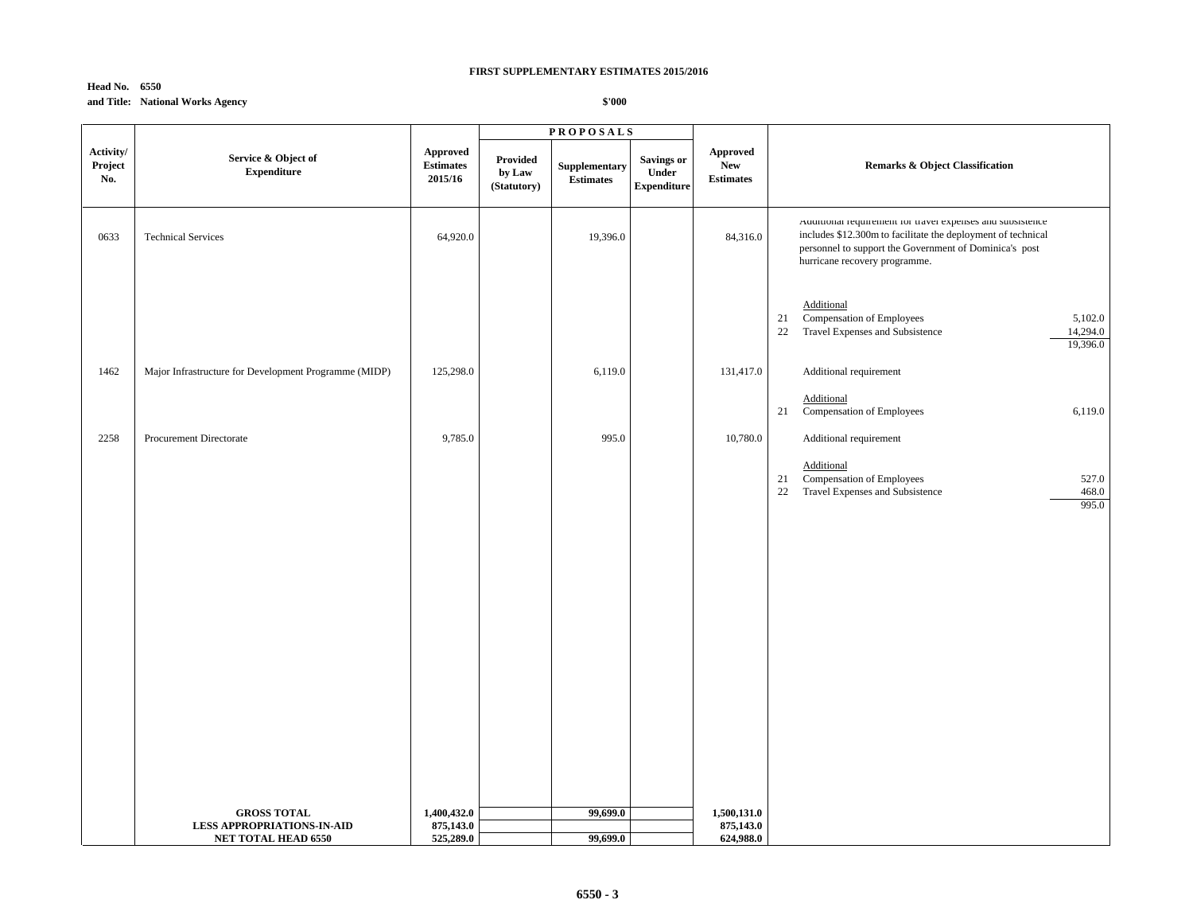# **Head No. 6550 and Title: National Works Agency**

|                             |                                                       |                                                | <b>PROPOSALS</b>                  |                                   |                                                  |                                                   |                                                                                                                                                                                                                       |
|-----------------------------|-------------------------------------------------------|------------------------------------------------|-----------------------------------|-----------------------------------|--------------------------------------------------|---------------------------------------------------|-----------------------------------------------------------------------------------------------------------------------------------------------------------------------------------------------------------------------|
| Activity/<br>Project<br>No. | Service & Object of<br><b>Expenditure</b>             | <b>Approved</b><br><b>Estimates</b><br>2015/16 | Provided<br>by Law<br>(Statutory) | Supplementary<br><b>Estimates</b> | <b>Savings or</b><br>Under<br><b>Expenditure</b> | <b>Approved</b><br><b>New</b><br><b>Estimates</b> | <b>Remarks &amp; Object Classification</b>                                                                                                                                                                            |
| 0633                        | <b>Technical Services</b>                             | 64,920.0                                       |                                   | 19,396.0                          |                                                  | 84,316.0                                          | Auditional requirement for travel expenses and subsistence<br>includes \$12.300m to facilitate the deployment of technical<br>personnel to support the Government of Dominica's post<br>hurricane recovery programme. |
|                             |                                                       |                                                |                                   |                                   |                                                  |                                                   | Additional<br>Compensation of Employees<br>5,102.0<br>21<br>Travel Expenses and Subsistence<br>14,294.0<br>22<br>19,396.0                                                                                             |
| 1462                        | Major Infrastructure for Development Programme (MIDP) | 125,298.0                                      |                                   | 6,119.0                           |                                                  | 131,417.0                                         | Additional requirement                                                                                                                                                                                                |
|                             |                                                       |                                                |                                   |                                   |                                                  |                                                   | Additional<br>21<br>Compensation of Employees<br>6,119.0                                                                                                                                                              |
| 2258                        | Procurement Directorate                               | 9,785.0                                        |                                   | 995.0                             |                                                  | 10,780.0                                          | Additional requirement                                                                                                                                                                                                |
|                             |                                                       |                                                |                                   |                                   |                                                  |                                                   | Additional<br>Compensation of Employees<br>527.0<br>21<br>Travel Expenses and Subsistence<br>468.0<br>22<br>995.0                                                                                                     |
|                             |                                                       |                                                |                                   |                                   |                                                  |                                                   |                                                                                                                                                                                                                       |
|                             |                                                       |                                                |                                   |                                   |                                                  |                                                   |                                                                                                                                                                                                                       |
|                             |                                                       |                                                |                                   |                                   |                                                  |                                                   |                                                                                                                                                                                                                       |
|                             |                                                       |                                                |                                   |                                   |                                                  |                                                   |                                                                                                                                                                                                                       |
|                             |                                                       |                                                |                                   |                                   |                                                  |                                                   |                                                                                                                                                                                                                       |
|                             |                                                       |                                                |                                   |                                   |                                                  |                                                   |                                                                                                                                                                                                                       |
|                             | <b>GROSS TOTAL</b>                                    | 1,400,432.0                                    |                                   | 99,699.0                          |                                                  | 1,500,131.0                                       |                                                                                                                                                                                                                       |
|                             | <b>LESS APPROPRIATIONS-IN-AID</b>                     | 875,143.0                                      |                                   |                                   |                                                  | 875,143.0                                         |                                                                                                                                                                                                                       |
|                             | <b>NET TOTAL HEAD 6550</b>                            | 525,289.0                                      |                                   | 99,699.0                          |                                                  | 624,988.0                                         |                                                                                                                                                                                                                       |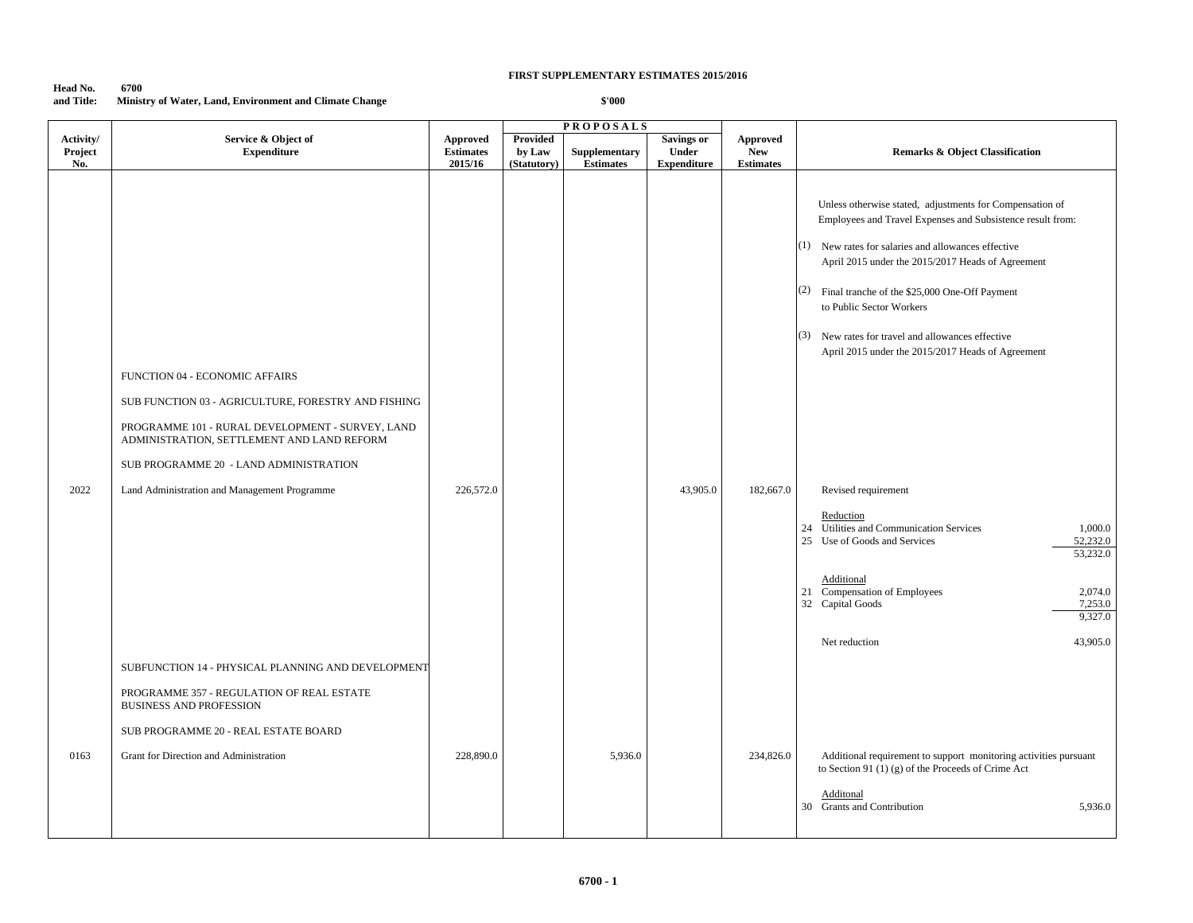| Head No.   | 6700                                                    |
|------------|---------------------------------------------------------|
| and Title: | Ministry of Water, Land, Environment and Climate Change |

|           |                                                                                                |                             |                       | <b>PROPOSALS</b>                  |                    |                                |                                                                                                                                                                                                                                                                                                                                                                               |
|-----------|------------------------------------------------------------------------------------------------|-----------------------------|-----------------------|-----------------------------------|--------------------|--------------------------------|-------------------------------------------------------------------------------------------------------------------------------------------------------------------------------------------------------------------------------------------------------------------------------------------------------------------------------------------------------------------------------|
| Activity/ | Service & Object of                                                                            | <b>Approved</b>             | <b>Provided</b>       |                                   | <b>Savings or</b>  | <b>Approved</b>                |                                                                                                                                                                                                                                                                                                                                                                               |
| Project   | <b>Expenditure</b>                                                                             | <b>Estimates</b><br>2015/16 | by Law<br>(Statutory) | Supplementary<br><b>Estimates</b> | Under              | <b>New</b><br><b>Estimates</b> | <b>Remarks &amp; Object Classification</b>                                                                                                                                                                                                                                                                                                                                    |
| No.       |                                                                                                |                             |                       |                                   | <b>Expenditure</b> |                                |                                                                                                                                                                                                                                                                                                                                                                               |
|           |                                                                                                |                             |                       |                                   |                    |                                | Unless otherwise stated, adjustments for Compensation of<br>Employees and Travel Expenses and Subsistence result from:<br>$(1)$ New rates for salaries and allowances effective<br>April 2015 under the 2015/2017 Heads of Agreement<br>(2)<br>Final tranche of the \$25,000 One-Off Payment<br>to Public Sector Workers<br>(3) New rates for travel and allowances effective |
|           |                                                                                                |                             |                       |                                   |                    |                                | April 2015 under the 2015/2017 Heads of Agreement                                                                                                                                                                                                                                                                                                                             |
|           | FUNCTION 04 - ECONOMIC AFFAIRS                                                                 |                             |                       |                                   |                    |                                |                                                                                                                                                                                                                                                                                                                                                                               |
|           | SUB FUNCTION 03 - AGRICULTURE, FORESTRY AND FISHING                                            |                             |                       |                                   |                    |                                |                                                                                                                                                                                                                                                                                                                                                                               |
|           | PROGRAMME 101 - RURAL DEVELOPMENT - SURVEY, LAND<br>ADMINISTRATION, SETTLEMENT AND LAND REFORM |                             |                       |                                   |                    |                                |                                                                                                                                                                                                                                                                                                                                                                               |
|           | SUB PROGRAMME 20 - LAND ADMINISTRATION                                                         |                             |                       |                                   |                    |                                |                                                                                                                                                                                                                                                                                                                                                                               |
| 2022      | Land Administration and Management Programme                                                   | 226,572.0                   |                       |                                   | 43,905.0           | 182,667.0                      | Revised requirement                                                                                                                                                                                                                                                                                                                                                           |
|           |                                                                                                |                             |                       |                                   |                    |                                | Reduction<br>Utilities and Communication Services<br>1,000.0<br>24<br>25 Use of Goods and Services<br>52,232.0<br>53,232.0                                                                                                                                                                                                                                                    |
|           |                                                                                                |                             |                       |                                   |                    |                                | Additional<br>21 Compensation of Employees<br>2,074.0<br>32 Capital Goods<br>7,253.0<br>9,327.0                                                                                                                                                                                                                                                                               |
|           |                                                                                                |                             |                       |                                   |                    |                                | 43,905.0<br>Net reduction                                                                                                                                                                                                                                                                                                                                                     |
|           | SUBFUNCTION 14 - PHYSICAL PLANNING AND DEVELOPMENT                                             |                             |                       |                                   |                    |                                |                                                                                                                                                                                                                                                                                                                                                                               |
|           | PROGRAMME 357 - REGULATION OF REAL ESTATE<br><b>BUSINESS AND PROFESSION</b>                    |                             |                       |                                   |                    |                                |                                                                                                                                                                                                                                                                                                                                                                               |
|           | SUB PROGRAMME 20 - REAL ESTATE BOARD                                                           |                             |                       |                                   |                    |                                |                                                                                                                                                                                                                                                                                                                                                                               |
| 0163      | Grant for Direction and Administration                                                         | 228,890.0                   |                       | 5,936.0                           |                    | 234,826.0                      | Additional requirement to support monitoring activities pursuant<br>to Section 91 (1) (g) of the Proceeds of Crime Act                                                                                                                                                                                                                                                        |
|           |                                                                                                |                             |                       |                                   |                    |                                | Additonal<br><b>Grants and Contribution</b><br>5,936.0<br>30                                                                                                                                                                                                                                                                                                                  |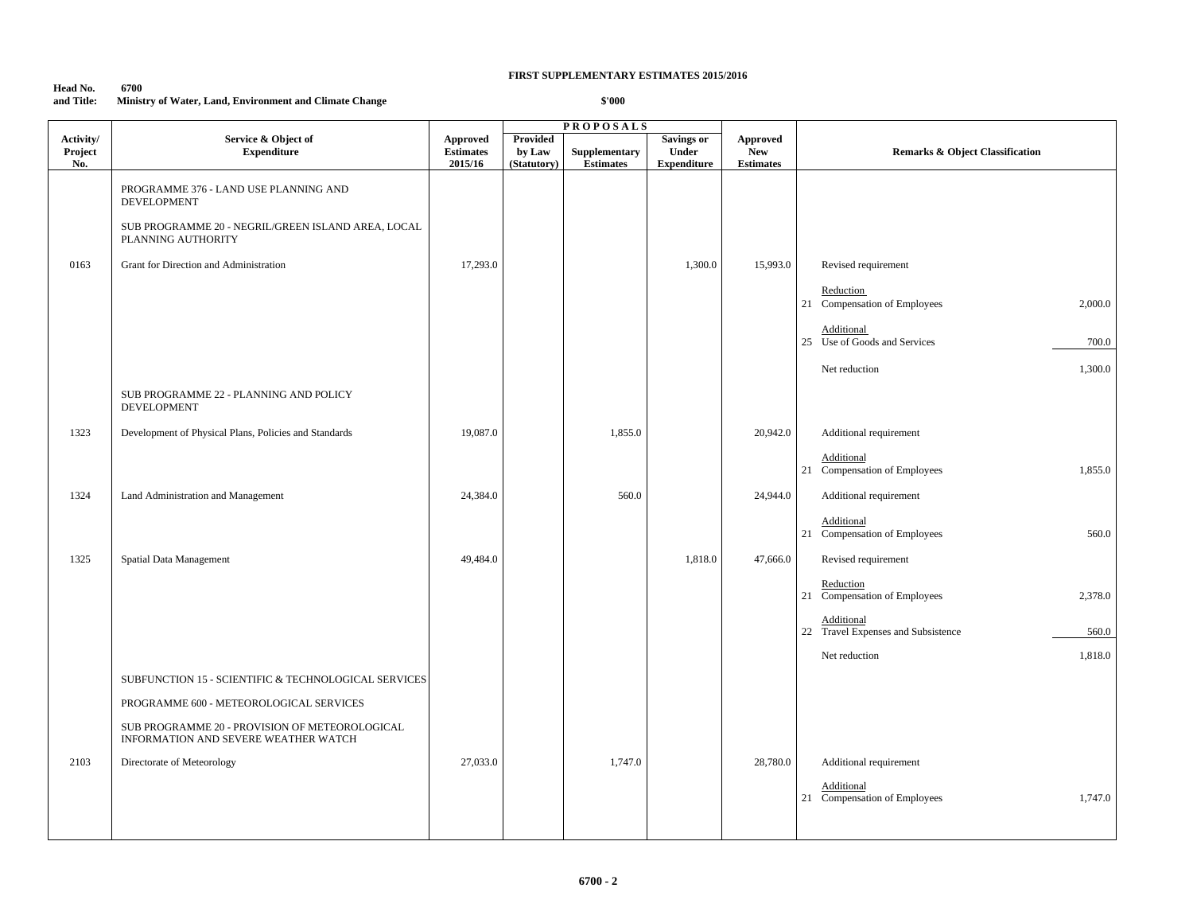| Head No.   | 6700                                                    |
|------------|---------------------------------------------------------|
| and Title: | Ministry of Water, Land, Environment and Climate Change |

|                             |                                                                                        |                                         |                                          | <b>PROPOSALS</b>                  |                                                  |                                                   |                                                           |
|-----------------------------|----------------------------------------------------------------------------------------|-----------------------------------------|------------------------------------------|-----------------------------------|--------------------------------------------------|---------------------------------------------------|-----------------------------------------------------------|
| Activity/<br>Project<br>No. | Service & Object of<br><b>Expenditure</b>                                              | Approved<br><b>Estimates</b><br>2015/16 | <b>Provided</b><br>by Law<br>(Statutory) | Supplementary<br><b>Estimates</b> | <b>Savings or</b><br>Under<br><b>Expenditure</b> | <b>Approved</b><br><b>New</b><br><b>Estimates</b> | <b>Remarks &amp; Object Classification</b>                |
|                             | PROGRAMME 376 - LAND USE PLANNING AND<br><b>DEVELOPMENT</b>                            |                                         |                                          |                                   |                                                  |                                                   |                                                           |
|                             | SUB PROGRAMME 20 - NEGRIL/GREEN ISLAND AREA, LOCAL<br>PLANNING AUTHORITY               |                                         |                                          |                                   |                                                  |                                                   |                                                           |
| 0163                        | Grant for Direction and Administration                                                 | 17,293.0                                |                                          |                                   | 1,300.0                                          | 15,993.0                                          | Revised requirement                                       |
|                             |                                                                                        |                                         |                                          |                                   |                                                  |                                                   | Reduction<br>21 Compensation of Employees<br>2,000.0      |
|                             |                                                                                        |                                         |                                          |                                   |                                                  |                                                   | Additional<br>25 Use of Goods and Services<br>700.0       |
|                             |                                                                                        |                                         |                                          |                                   |                                                  |                                                   | 1,300.0<br>Net reduction                                  |
|                             | SUB PROGRAMME 22 - PLANNING AND POLICY<br><b>DEVELOPMENT</b>                           |                                         |                                          |                                   |                                                  |                                                   |                                                           |
| 1323                        | Development of Physical Plans, Policies and Standards                                  | 19,087.0                                |                                          | 1,855.0                           |                                                  | 20,942.0                                          | Additional requirement                                    |
|                             |                                                                                        |                                         |                                          |                                   |                                                  |                                                   | Additional<br>21 Compensation of Employees<br>1,855.0     |
| 1324                        | Land Administration and Management                                                     | 24,384.0                                |                                          | 560.0                             |                                                  | 24,944.0                                          | Additional requirement                                    |
|                             |                                                                                        |                                         |                                          |                                   |                                                  |                                                   | Additional<br>21 Compensation of Employees<br>560.0       |
| 1325                        | Spatial Data Management                                                                | 49,484.0                                |                                          |                                   | 1,818.0                                          | 47,666.0                                          | Revised requirement                                       |
|                             |                                                                                        |                                         |                                          |                                   |                                                  |                                                   | Reduction<br>21 Compensation of Employees<br>2,378.0      |
|                             |                                                                                        |                                         |                                          |                                   |                                                  |                                                   | Additional<br>22 Travel Expenses and Subsistence<br>560.0 |
|                             |                                                                                        |                                         |                                          |                                   |                                                  |                                                   | 1,818.0<br>Net reduction                                  |
|                             | SUBFUNCTION 15 - SCIENTIFIC & TECHNOLOGICAL SERVICES                                   |                                         |                                          |                                   |                                                  |                                                   |                                                           |
|                             | PROGRAMME 600 - METEOROLOGICAL SERVICES                                                |                                         |                                          |                                   |                                                  |                                                   |                                                           |
|                             | SUB PROGRAMME 20 - PROVISION OF METEOROLOGICAL<br>INFORMATION AND SEVERE WEATHER WATCH |                                         |                                          |                                   |                                                  |                                                   |                                                           |
| 2103                        | Directorate of Meteorology                                                             | 27,033.0                                |                                          | 1,747.0                           |                                                  | 28,780.0                                          | Additional requirement                                    |
|                             |                                                                                        |                                         |                                          |                                   |                                                  |                                                   | Additional<br>21 Compensation of Employees<br>1,747.0     |
|                             |                                                                                        |                                         |                                          |                                   |                                                  |                                                   |                                                           |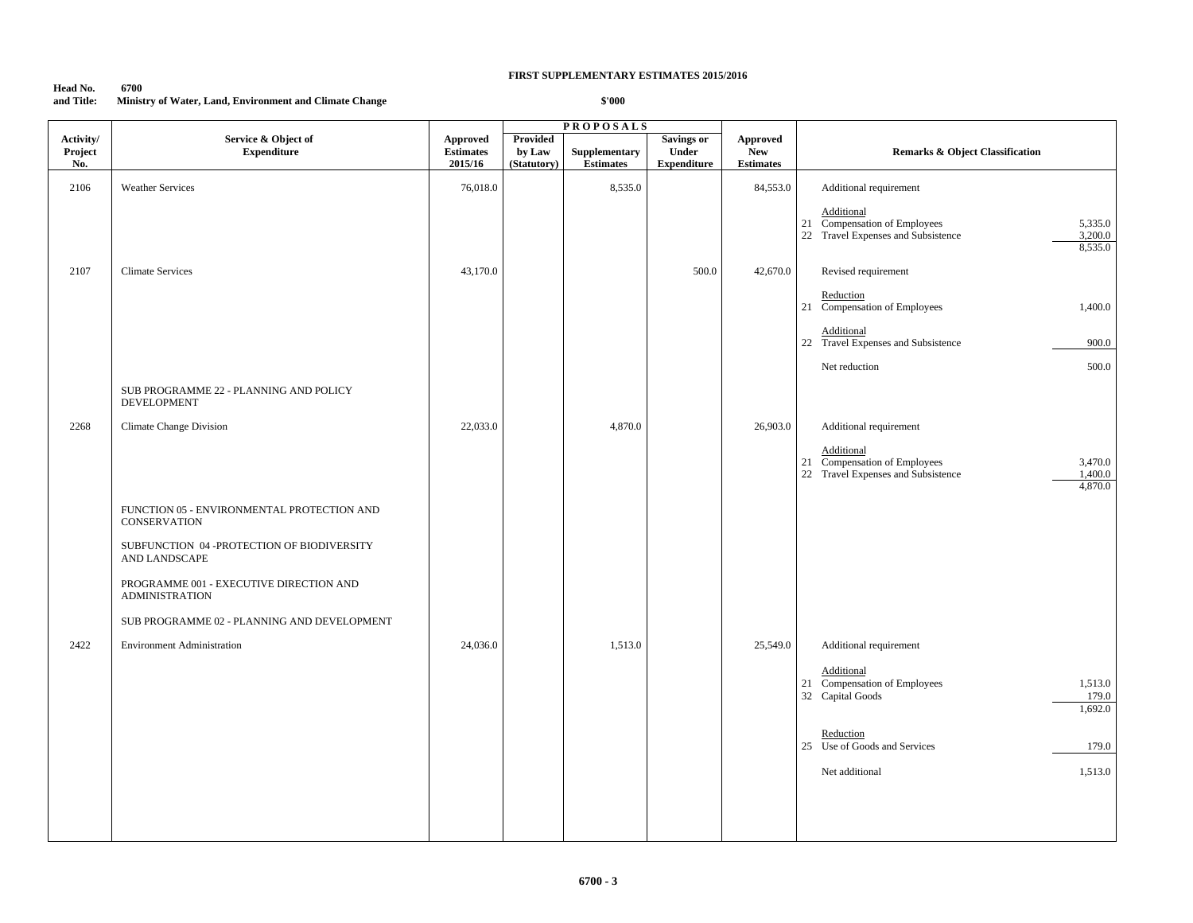# **Head No. 6700 and Title: Ministry of Water, Land, Environment and Climate Change**

|                             |                                                                   |                                                |                                          | <b>PROPOSALS</b>                  |                                                  |                                                   |                                                                                                                      |
|-----------------------------|-------------------------------------------------------------------|------------------------------------------------|------------------------------------------|-----------------------------------|--------------------------------------------------|---------------------------------------------------|----------------------------------------------------------------------------------------------------------------------|
| Activity/<br>Project<br>No. | Service & Object of<br><b>Expenditure</b>                         | <b>Approved</b><br><b>Estimates</b><br>2015/16 | <b>Provided</b><br>by Law<br>(Statutory) | Supplementary<br><b>Estimates</b> | <b>Savings or</b><br>Under<br><b>Expenditure</b> | <b>Approved</b><br><b>New</b><br><b>Estimates</b> | <b>Remarks &amp; Object Classification</b>                                                                           |
| 2106                        | <b>Weather Services</b>                                           | 76,018.0                                       |                                          | 8,535.0                           |                                                  | 84,553.0                                          | Additional requirement                                                                                               |
|                             |                                                                   |                                                |                                          |                                   |                                                  |                                                   | Additional<br>Compensation of Employees<br>5,335.0<br>21<br>22 Travel Expenses and Subsistence<br>3,200.0<br>8,535.0 |
| 2107                        | <b>Climate Services</b>                                           | 43,170.0                                       |                                          |                                   | 500.0                                            | 42,670.0                                          | Revised requirement                                                                                                  |
|                             |                                                                   |                                                |                                          |                                   |                                                  |                                                   | Reduction<br>21 Compensation of Employees<br>1,400.0                                                                 |
|                             |                                                                   |                                                |                                          |                                   |                                                  |                                                   | Additional<br>22 Travel Expenses and Subsistence<br>900.0                                                            |
|                             |                                                                   |                                                |                                          |                                   |                                                  |                                                   | Net reduction<br>500.0                                                                                               |
|                             | SUB PROGRAMME 22 - PLANNING AND POLICY<br><b>DEVELOPMENT</b>      |                                                |                                          |                                   |                                                  |                                                   |                                                                                                                      |
| 2268                        | <b>Climate Change Division</b>                                    | 22,033.0                                       |                                          | 4,870.0                           |                                                  | 26,903.0                                          | Additional requirement                                                                                               |
|                             |                                                                   |                                                |                                          |                                   |                                                  |                                                   | Additional<br>Compensation of Employees<br>3,470.0<br>21<br>22 Travel Expenses and Subsistence<br>1,400.0<br>4,870.0 |
|                             | FUNCTION 05 - ENVIRONMENTAL PROTECTION AND<br><b>CONSERVATION</b> |                                                |                                          |                                   |                                                  |                                                   |                                                                                                                      |
|                             | SUBFUNCTION 04 -PROTECTION OF BIODIVERSITY<br>AND LANDSCAPE       |                                                |                                          |                                   |                                                  |                                                   |                                                                                                                      |
|                             | PROGRAMME 001 - EXECUTIVE DIRECTION AND<br><b>ADMINISTRATION</b>  |                                                |                                          |                                   |                                                  |                                                   |                                                                                                                      |
|                             | SUB PROGRAMME 02 - PLANNING AND DEVELOPMENT                       |                                                |                                          |                                   |                                                  |                                                   |                                                                                                                      |
| 2422                        | <b>Environment Administration</b>                                 | 24,036.0                                       |                                          | 1,513.0                           |                                                  | 25,549.0                                          | Additional requirement                                                                                               |
|                             |                                                                   |                                                |                                          |                                   |                                                  |                                                   | Additional<br>Compensation of Employees<br>1,513.0<br>21<br>32 Capital Goods<br>179.0<br>1,692.0                     |
|                             |                                                                   |                                                |                                          |                                   |                                                  |                                                   | Reduction<br>25 Use of Goods and Services<br>179.0                                                                   |
|                             |                                                                   |                                                |                                          |                                   |                                                  |                                                   | Net additional<br>1,513.0                                                                                            |
|                             |                                                                   |                                                |                                          |                                   |                                                  |                                                   |                                                                                                                      |
|                             |                                                                   |                                                |                                          |                                   |                                                  |                                                   |                                                                                                                      |
|                             |                                                                   |                                                |                                          |                                   |                                                  |                                                   |                                                                                                                      |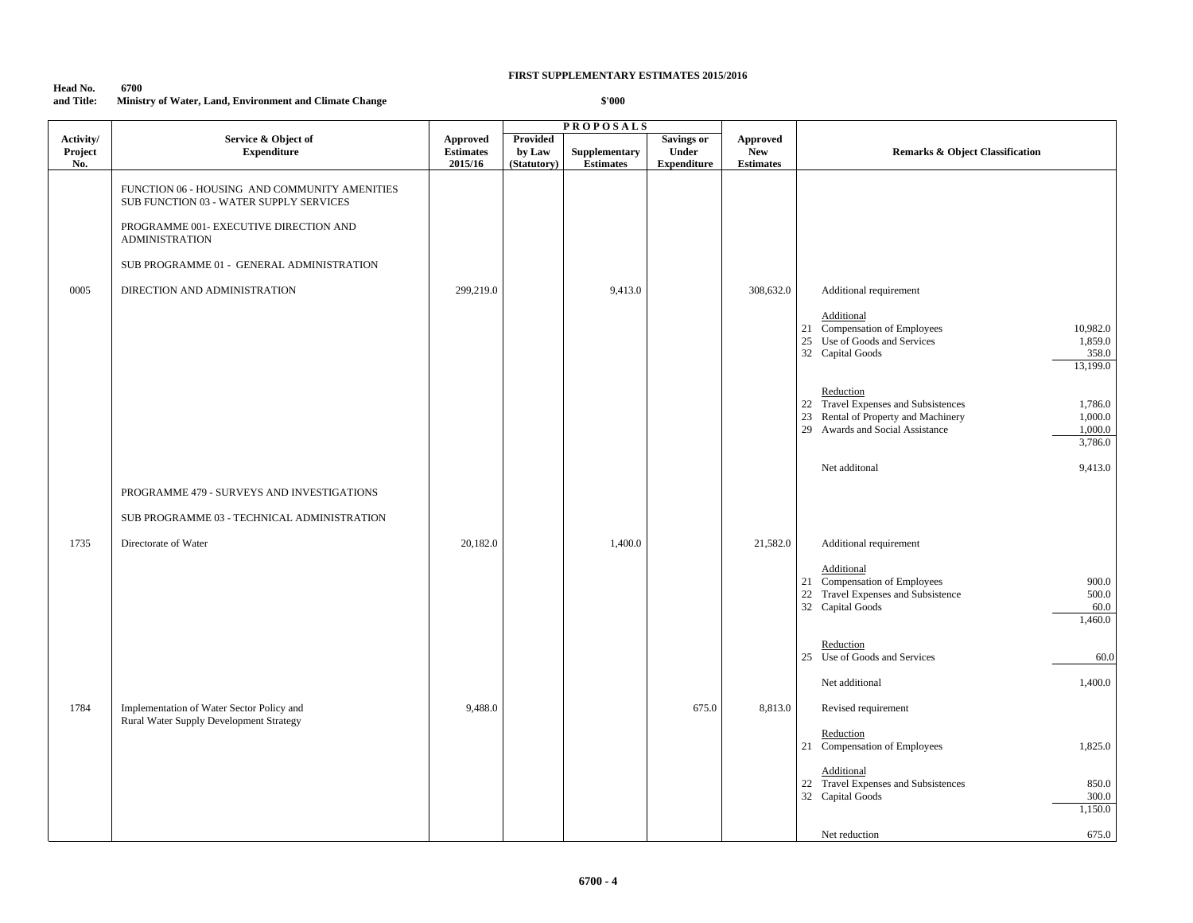| Head No.   | 6700                                                    |
|------------|---------------------------------------------------------|
| and Title: | Ministry of Water, Land, Environment and Climate Change |

|                             |                                                                                          |                                                |                                          | <b>PROPOSALS</b>                                 |                                                  |                                                   |                                                                                                                                                                        |
|-----------------------------|------------------------------------------------------------------------------------------|------------------------------------------------|------------------------------------------|--------------------------------------------------|--------------------------------------------------|---------------------------------------------------|------------------------------------------------------------------------------------------------------------------------------------------------------------------------|
| Activity/<br>Project<br>No. | Service & Object of<br><b>Expenditure</b>                                                | <b>Approved</b><br><b>Estimates</b><br>2015/16 | <b>Provided</b><br>by Law<br>(Statutory) | ${\large \bf Supplementary}$<br><b>Estimates</b> | <b>Savings or</b><br>Under<br><b>Expenditure</b> | <b>Approved</b><br><b>New</b><br><b>Estimates</b> | <b>Remarks &amp; Object Classification</b>                                                                                                                             |
|                             | FUNCTION 06 - HOUSING AND COMMUNITY AMENITIES<br>SUB FUNCTION 03 - WATER SUPPLY SERVICES |                                                |                                          |                                                  |                                                  |                                                   |                                                                                                                                                                        |
|                             | PROGRAMME 001- EXECUTIVE DIRECTION AND<br><b>ADMINISTRATION</b>                          |                                                |                                          |                                                  |                                                  |                                                   |                                                                                                                                                                        |
|                             | SUB PROGRAMME 01 - GENERAL ADMINISTRATION                                                |                                                |                                          |                                                  |                                                  |                                                   |                                                                                                                                                                        |
| 0005                        | DIRECTION AND ADMINISTRATION                                                             | 299,219.0                                      |                                          | 9,413.0                                          |                                                  | 308,632.0                                         | Additional requirement                                                                                                                                                 |
|                             |                                                                                          |                                                |                                          |                                                  |                                                  |                                                   | Additional<br>21 Compensation of Employees<br>10,982.0<br>25 Use of Goods and Services<br>1,859.0<br>32 Capital Goods<br>358.0<br>13,199.0                             |
|                             |                                                                                          |                                                |                                          |                                                  |                                                  |                                                   | Reduction<br>22 Travel Expenses and Subsistences<br>1,786.0<br>23 Rental of Property and Machinery<br>1,000.0<br>29 Awards and Social Assistance<br>1,000.0<br>3,786.0 |
|                             |                                                                                          |                                                |                                          |                                                  |                                                  |                                                   | Net additonal<br>9,413.0                                                                                                                                               |
|                             | PROGRAMME 479 - SURVEYS AND INVESTIGATIONS                                               |                                                |                                          |                                                  |                                                  |                                                   |                                                                                                                                                                        |
|                             | SUB PROGRAMME 03 - TECHNICAL ADMINISTRATION                                              |                                                |                                          |                                                  |                                                  |                                                   |                                                                                                                                                                        |
| 1735                        | Directorate of Water                                                                     | 20,182.0                                       |                                          | 1,400.0                                          |                                                  | 21,582.0                                          | Additional requirement                                                                                                                                                 |
|                             |                                                                                          |                                                |                                          |                                                  |                                                  |                                                   | Additional<br>21 Compensation of Employees<br>900.0<br>22 Travel Expenses and Subsistence<br>500.0<br>32 Capital Goods<br>60.0<br>1,460.0                              |
|                             |                                                                                          |                                                |                                          |                                                  |                                                  |                                                   | Reduction<br>25 Use of Goods and Services<br>60.0                                                                                                                      |
|                             |                                                                                          |                                                |                                          |                                                  |                                                  |                                                   | Net additional<br>1,400.0                                                                                                                                              |
| 1784                        | Implementation of Water Sector Policy and                                                | 9,488.0                                        |                                          |                                                  | 675.0                                            | 8,813.0                                           | Revised requirement                                                                                                                                                    |
|                             | Rural Water Supply Development Strategy                                                  |                                                |                                          |                                                  |                                                  |                                                   | Reduction<br>21 Compensation of Employees<br>1,825.0                                                                                                                   |
|                             |                                                                                          |                                                |                                          |                                                  |                                                  |                                                   | Additional<br>22 Travel Expenses and Subsistences<br>850.0<br>32 Capital Goods<br>300.0<br>1,150.0                                                                     |
|                             |                                                                                          |                                                |                                          |                                                  |                                                  |                                                   | 675.0<br>Net reduction                                                                                                                                                 |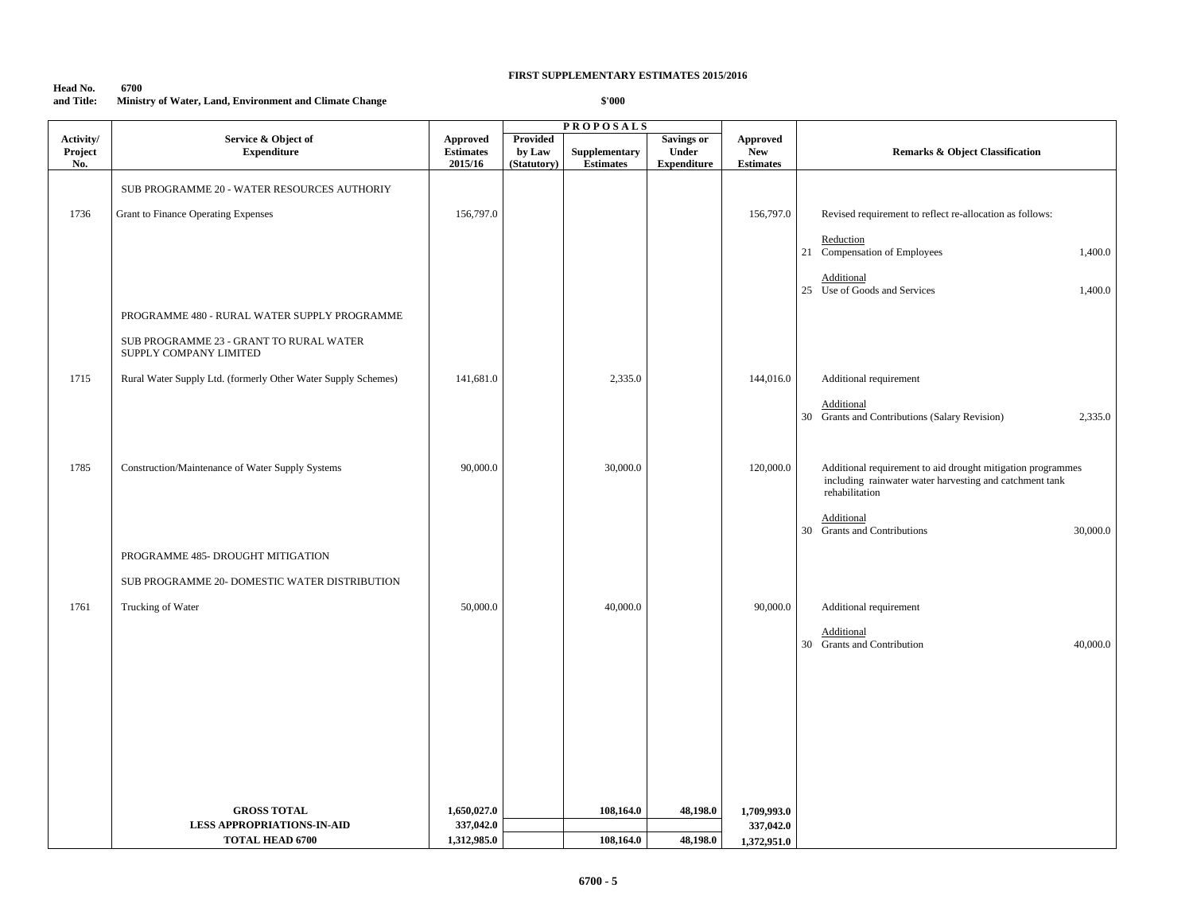### **Head No. 6700 and Title: Ministry of Water, Land, Environment and Climate Change**

|                             |                                                                   |                                                |                                          | <b>PROPOSALS</b>                  |                                                  |                                                   |                                                                                                                                          |
|-----------------------------|-------------------------------------------------------------------|------------------------------------------------|------------------------------------------|-----------------------------------|--------------------------------------------------|---------------------------------------------------|------------------------------------------------------------------------------------------------------------------------------------------|
| Activity/<br>Project<br>No. | Service & Object of<br><b>Expenditure</b>                         | <b>Approved</b><br><b>Estimates</b><br>2015/16 | <b>Provided</b><br>by Law<br>(Statutory) | Supplementary<br><b>Estimates</b> | <b>Savings or</b><br>Under<br><b>Expenditure</b> | <b>Approved</b><br><b>New</b><br><b>Estimates</b> | <b>Remarks &amp; Object Classification</b>                                                                                               |
|                             | SUB PROGRAMME 20 - WATER RESOURCES AUTHORIY                       |                                                |                                          |                                   |                                                  |                                                   |                                                                                                                                          |
|                             |                                                                   |                                                |                                          |                                   |                                                  |                                                   |                                                                                                                                          |
| 1736                        | Grant to Finance Operating Expenses                               | 156,797.0                                      |                                          |                                   |                                                  | 156,797.0                                         | Revised requirement to reflect re-allocation as follows:                                                                                 |
|                             |                                                                   |                                                |                                          |                                   |                                                  |                                                   | Reduction<br>21 Compensation of Employees<br>1,400.0                                                                                     |
|                             |                                                                   |                                                |                                          |                                   |                                                  |                                                   | Additional<br>25 Use of Goods and Services<br>1,400.0                                                                                    |
|                             | PROGRAMME 480 - RURAL WATER SUPPLY PROGRAMME                      |                                                |                                          |                                   |                                                  |                                                   |                                                                                                                                          |
|                             | SUB PROGRAMME 23 - GRANT TO RURAL WATER<br>SUPPLY COMPANY LIMITED |                                                |                                          |                                   |                                                  |                                                   |                                                                                                                                          |
| 1715                        | Rural Water Supply Ltd. (formerly Other Water Supply Schemes)     | 141,681.0                                      |                                          | 2,335.0                           |                                                  | 144,016.0                                         | Additional requirement                                                                                                                   |
|                             |                                                                   |                                                |                                          |                                   |                                                  |                                                   | Additional                                                                                                                               |
|                             |                                                                   |                                                |                                          |                                   |                                                  |                                                   | 30 Grants and Contributions (Salary Revision)<br>2,335.0                                                                                 |
|                             |                                                                   |                                                |                                          |                                   |                                                  |                                                   |                                                                                                                                          |
| 1785                        | Construction/Maintenance of Water Supply Systems                  | 90,000.0                                       |                                          | 30,000.0                          |                                                  | 120,000.0                                         | Additional requirement to aid drought mitigation programmes<br>including rainwater water harvesting and catchment tank<br>rehabilitation |
|                             |                                                                   |                                                |                                          |                                   |                                                  |                                                   | Additional<br>30,000.0<br>30 Grants and Contributions                                                                                    |
|                             | PROGRAMME 485- DROUGHT MITIGATION                                 |                                                |                                          |                                   |                                                  |                                                   |                                                                                                                                          |
|                             | SUB PROGRAMME 20- DOMESTIC WATER DISTRIBUTION                     |                                                |                                          |                                   |                                                  |                                                   |                                                                                                                                          |
| 1761                        | Trucking of Water                                                 | 50,000.0                                       |                                          | 40,000.0                          |                                                  | 90,000.0                                          | Additional requirement                                                                                                                   |
|                             |                                                                   |                                                |                                          |                                   |                                                  |                                                   |                                                                                                                                          |
|                             |                                                                   |                                                |                                          |                                   |                                                  |                                                   | Additional<br>Grants and Contribution<br>30<br>40,000.0                                                                                  |
|                             |                                                                   |                                                |                                          |                                   |                                                  |                                                   |                                                                                                                                          |
|                             |                                                                   |                                                |                                          |                                   |                                                  |                                                   |                                                                                                                                          |
|                             |                                                                   |                                                |                                          |                                   |                                                  |                                                   |                                                                                                                                          |
|                             |                                                                   |                                                |                                          |                                   |                                                  |                                                   |                                                                                                                                          |
|                             |                                                                   |                                                |                                          |                                   |                                                  |                                                   |                                                                                                                                          |
|                             |                                                                   |                                                |                                          |                                   |                                                  |                                                   |                                                                                                                                          |
|                             | <b>GROSS TOTAL</b>                                                | 1,650,027.0                                    |                                          | 108,164.0                         | 48,198.0                                         | 1,709,993.0                                       |                                                                                                                                          |
|                             | <b>LESS APPROPRIATIONS-IN-AID</b>                                 | 337,042.0                                      |                                          |                                   |                                                  | 337,042.0                                         |                                                                                                                                          |
|                             | <b>TOTAL HEAD 6700</b>                                            | 1,312,985.0                                    |                                          | 108,164.0                         | 48,198.0                                         | 1,372,951.0                                       |                                                                                                                                          |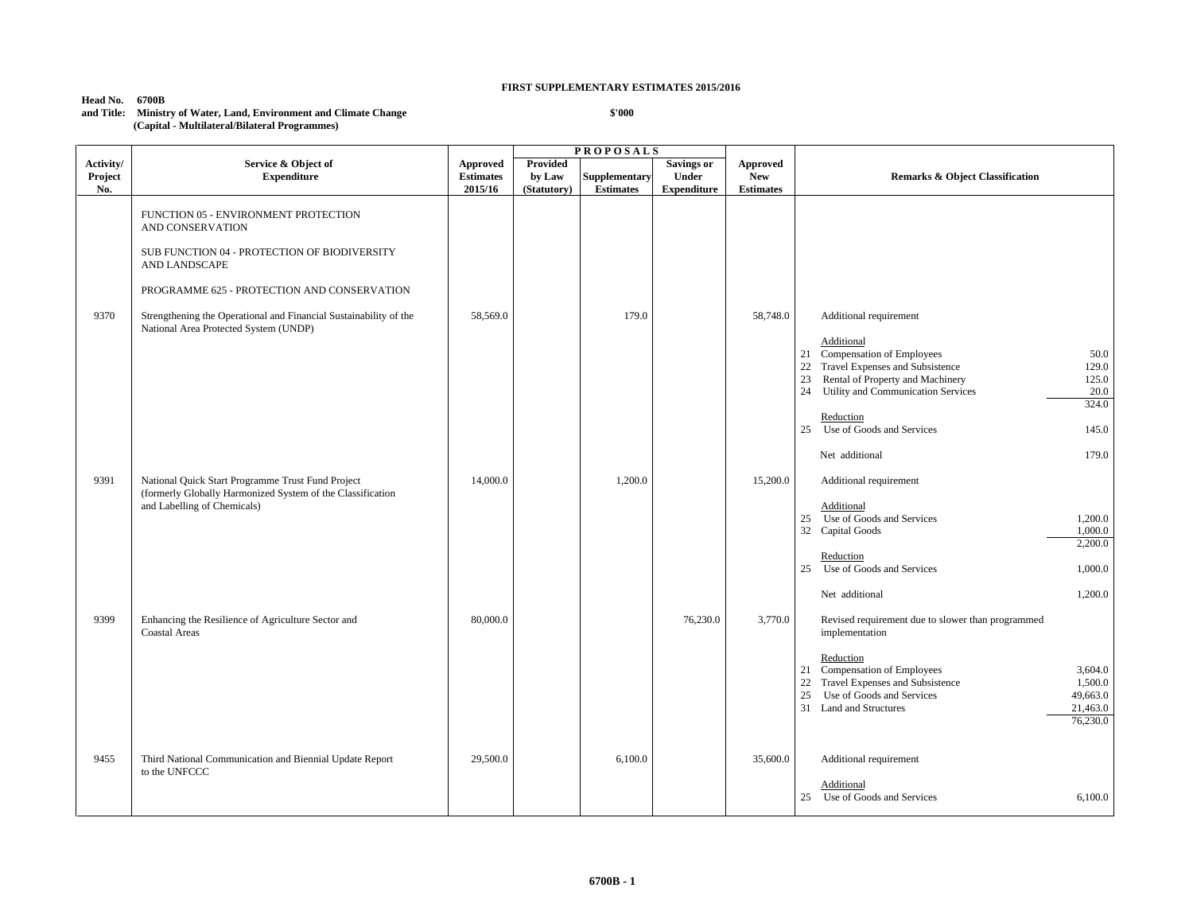# **Head No. 6700B**

#### **and Title: Ministry of Water, Land, Environment and Climate Change (Capital - Multilateral/Bilateral Programmes)**

|                             |                                                                                                                 |                                                |                                          | <b>PROPOSALS</b>                  |                                                         |                                            |                                                                                                                                                                                                           |
|-----------------------------|-----------------------------------------------------------------------------------------------------------------|------------------------------------------------|------------------------------------------|-----------------------------------|---------------------------------------------------------|--------------------------------------------|-----------------------------------------------------------------------------------------------------------------------------------------------------------------------------------------------------------|
| Activity/<br>Project<br>No. | Service & Object of<br><b>Expenditure</b>                                                                       | <b>Approved</b><br><b>Estimates</b><br>2015/16 | <b>Provided</b><br>by Law<br>(Statutory) | Supplementary<br><b>Estimates</b> | <b>Savings or</b><br><b>Under</b><br><b>Expenditure</b> | Approved<br><b>New</b><br><b>Estimates</b> | <b>Remarks &amp; Object Classification</b>                                                                                                                                                                |
|                             | FUNCTION 05 - ENVIRONMENT PROTECTION<br>AND CONSERVATION                                                        |                                                |                                          |                                   |                                                         |                                            |                                                                                                                                                                                                           |
|                             | SUB FUNCTION 04 - PROTECTION OF BIODIVERSITY<br>AND LANDSCAPE                                                   |                                                |                                          |                                   |                                                         |                                            |                                                                                                                                                                                                           |
|                             | PROGRAMME 625 - PROTECTION AND CONSERVATION                                                                     |                                                |                                          |                                   |                                                         |                                            |                                                                                                                                                                                                           |
| 9370                        | Strengthening the Operational and Financial Sustainability of the<br>National Area Protected System (UNDP)      | 58,569.0                                       |                                          | 179.0                             |                                                         | 58,748.0                                   | Additional requirement                                                                                                                                                                                    |
|                             |                                                                                                                 |                                                |                                          |                                   |                                                         |                                            | Additional<br>Compensation of Employees<br>50.0<br>21<br>Travel Expenses and Subsistence<br>22<br>129.0                                                                                                   |
|                             |                                                                                                                 |                                                |                                          |                                   |                                                         |                                            | Rental of Property and Machinery<br>23<br>125.0<br>24 Utility and Communication Services<br>20.0<br>324.0                                                                                                 |
|                             |                                                                                                                 |                                                |                                          |                                   |                                                         |                                            | Reduction<br>25 Use of Goods and Services<br>145.0                                                                                                                                                        |
|                             |                                                                                                                 |                                                |                                          |                                   |                                                         |                                            | 179.0<br>Net additional                                                                                                                                                                                   |
| 9391                        | National Quick Start Programme Trust Fund Project<br>(formerly Globally Harmonized System of the Classification | 14,000.0                                       |                                          | 1,200.0                           |                                                         | 15,200.0                                   | Additional requirement                                                                                                                                                                                    |
|                             | and Labelling of Chemicals)                                                                                     |                                                |                                          |                                   |                                                         |                                            | Additional<br>25 Use of Goods and Services<br>1,200.0<br>32 Capital Goods<br>1,000.0<br>2,200.0                                                                                                           |
|                             |                                                                                                                 |                                                |                                          |                                   |                                                         |                                            | Reduction<br>Use of Goods and Services<br>1,000.0<br>25                                                                                                                                                   |
|                             |                                                                                                                 |                                                |                                          |                                   |                                                         |                                            | 1,200.0<br>Net additional                                                                                                                                                                                 |
| 9399                        | Enhancing the Resilience of Agriculture Sector and<br><b>Coastal Areas</b>                                      | 80,000.0                                       |                                          |                                   | 76,230.0                                                | 3,770.0                                    | Revised requirement due to slower than programmed<br>implementation                                                                                                                                       |
|                             |                                                                                                                 |                                                |                                          |                                   |                                                         |                                            | Reduction<br>21 Compensation of Employees<br>3,604.0<br>Travel Expenses and Subsistence<br>1,500.0<br>22<br>25<br>Use of Goods and Services<br>49,663.0<br>31 Land and Structures<br>21,463.0<br>76,230.0 |
| 9455                        | Third National Communication and Biennial Update Report<br>to the UNFCCC                                        | 29,500.0                                       |                                          | 6,100.0                           |                                                         | 35,600.0                                   | Additional requirement                                                                                                                                                                                    |
|                             |                                                                                                                 |                                                |                                          |                                   |                                                         |                                            | Additional<br>25 Use of Goods and Services<br>6,100.0                                                                                                                                                     |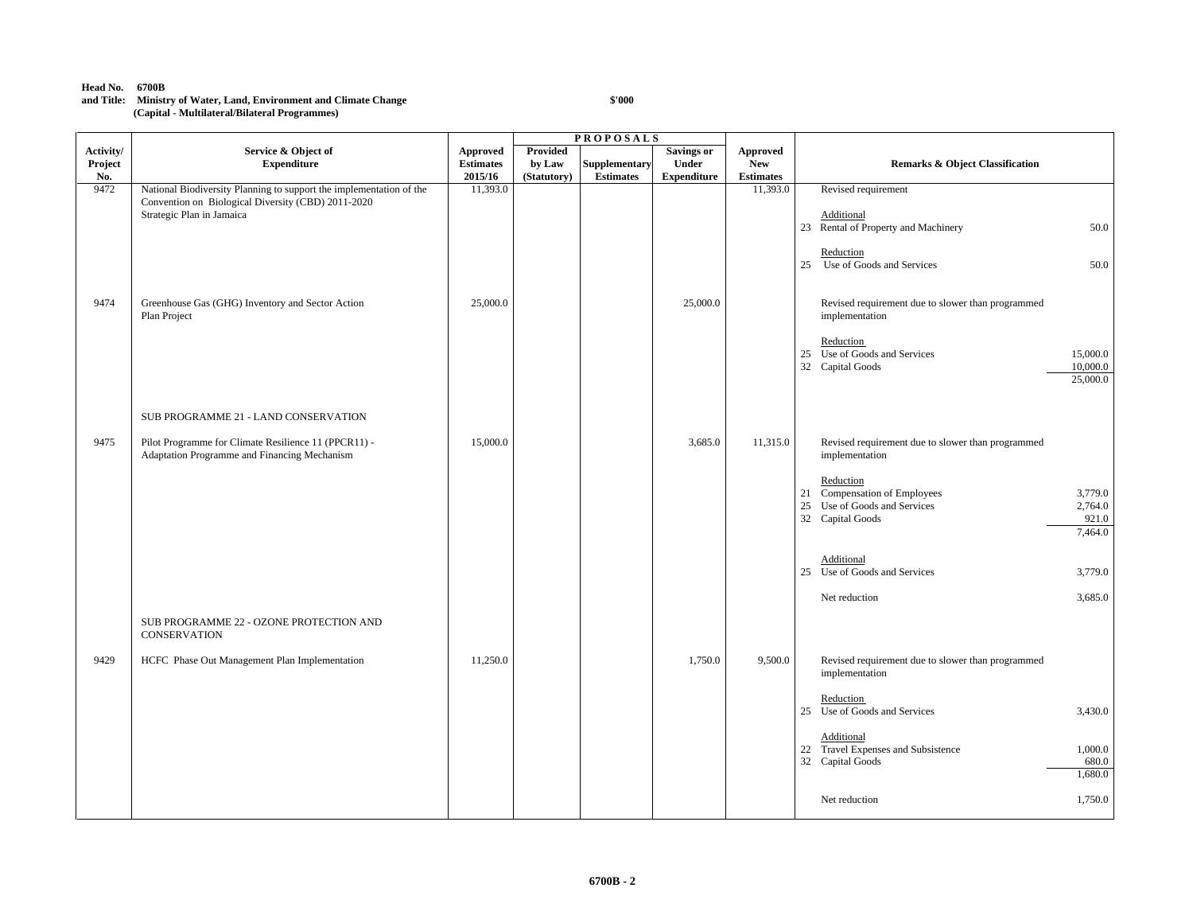#### **Head No. 6700B**

### **and Title: Ministry of Water, Land, Environment and Climate Change (Capital - Multilateral/Bilateral Programmes)**

|                             |                                                                                                                                                        |                                                |                                   | <b>PROPOSALS</b>                  |                                                         |                                                   |                                                                                                                                         |
|-----------------------------|--------------------------------------------------------------------------------------------------------------------------------------------------------|------------------------------------------------|-----------------------------------|-----------------------------------|---------------------------------------------------------|---------------------------------------------------|-----------------------------------------------------------------------------------------------------------------------------------------|
| Activity/<br>Project<br>No. | Service & Object of<br><b>Expenditure</b>                                                                                                              | <b>Approved</b><br><b>Estimates</b><br>2015/16 | Provided<br>by Law<br>(Statutory) | Supplementary<br><b>Estimates</b> | <b>Savings or</b><br><b>Under</b><br><b>Expenditure</b> | <b>Approved</b><br><b>New</b><br><b>Estimates</b> | <b>Remarks &amp; Object Classification</b>                                                                                              |
| 9472                        | National Biodiversity Planning to support the implementation of the<br>Convention on Biological Diversity (CBD) 2011-2020<br>Strategic Plan in Jamaica | 11,393.0                                       |                                   |                                   |                                                         | 11,393.0                                          | Revised requirement<br>Additional<br>23 Rental of Property and Machinery<br>50.0                                                        |
|                             |                                                                                                                                                        |                                                |                                   |                                   |                                                         |                                                   | Reduction<br>Use of Goods and Services<br>50.0<br>25                                                                                    |
| 9474                        | Greenhouse Gas (GHG) Inventory and Sector Action<br>Plan Project                                                                                       | 25,000.0                                       |                                   |                                   | 25,000.0                                                |                                                   | Revised requirement due to slower than programmed<br>implementation                                                                     |
|                             |                                                                                                                                                        |                                                |                                   |                                   |                                                         |                                                   | Reduction<br>25 Use of Goods and Services<br>15,000.0<br>32 Capital Goods<br>10,000.0<br>25,000.0                                       |
|                             | SUB PROGRAMME 21 - LAND CONSERVATION                                                                                                                   |                                                |                                   |                                   |                                                         |                                                   |                                                                                                                                         |
| 9475                        | Pilot Programme for Climate Resilience 11 (PPCR11) -<br>Adaptation Programme and Financing Mechanism                                                   | 15,000.0                                       |                                   |                                   | 3,685.0                                                 | 11,315.0                                          | Revised requirement due to slower than programmed<br>implementation                                                                     |
|                             |                                                                                                                                                        |                                                |                                   |                                   |                                                         |                                                   | Reduction<br>21 Compensation of Employees<br>3,779.0<br>25 Use of Goods and Services<br>2,764.0<br>32 Capital Goods<br>921.0<br>7,464.0 |
|                             |                                                                                                                                                        |                                                |                                   |                                   |                                                         |                                                   | Additional<br>25 Use of Goods and Services<br>3,779.0                                                                                   |
|                             | SUB PROGRAMME 22 - OZONE PROTECTION AND<br><b>CONSERVATION</b>                                                                                         |                                                |                                   |                                   |                                                         |                                                   | 3,685.0<br>Net reduction                                                                                                                |
| 9429                        | HCFC Phase Out Management Plan Implementation                                                                                                          | 11,250.0                                       |                                   |                                   | 1,750.0                                                 | 9,500.0                                           | Revised requirement due to slower than programmed<br>implementation                                                                     |
|                             |                                                                                                                                                        |                                                |                                   |                                   |                                                         |                                                   | Reduction<br>25 Use of Goods and Services<br>3,430.0                                                                                    |
|                             |                                                                                                                                                        |                                                |                                   |                                   |                                                         |                                                   | Additional<br>22 Travel Expenses and Subsistence<br>1,000.0<br>32 Capital Goods<br>680.0<br>1,680.0                                     |
|                             |                                                                                                                                                        |                                                |                                   |                                   |                                                         |                                                   | 1,750.0<br>Net reduction                                                                                                                |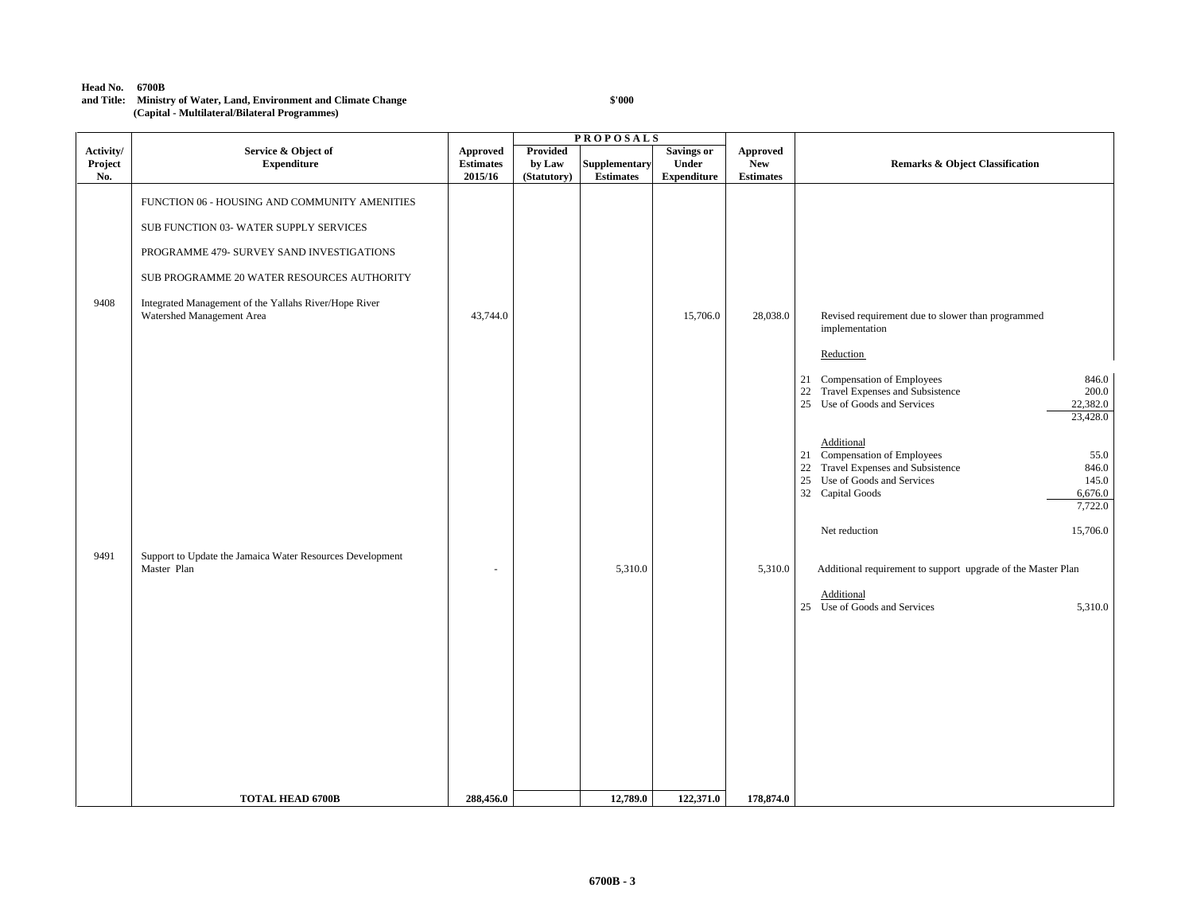#### **Head No. 6700B**

### **and Title: Ministry of Water, Land, Environment and Climate Change (Capital - Multilateral/Bilateral Programmes)**

|                             |                                                                                                                                                                                                                                                                          |                                                |                                   | <b>PROPOSALS</b>                  |                                                  |                                            |                                                                                                                                                                                                                                                                                                                                                                       |
|-----------------------------|--------------------------------------------------------------------------------------------------------------------------------------------------------------------------------------------------------------------------------------------------------------------------|------------------------------------------------|-----------------------------------|-----------------------------------|--------------------------------------------------|--------------------------------------------|-----------------------------------------------------------------------------------------------------------------------------------------------------------------------------------------------------------------------------------------------------------------------------------------------------------------------------------------------------------------------|
| Activity/<br>Project<br>No. | Service & Object of<br><b>Expenditure</b>                                                                                                                                                                                                                                | <b>Approved</b><br><b>Estimates</b><br>2015/16 | Provided<br>by Law<br>(Statutory) | Supplementary<br><b>Estimates</b> | <b>Savings or</b><br>Under<br><b>Expenditure</b> | Approved<br><b>New</b><br><b>Estimates</b> | <b>Remarks &amp; Object Classification</b>                                                                                                                                                                                                                                                                                                                            |
| 9408                        | FUNCTION 06 - HOUSING AND COMMUNITY AMENITIES<br>SUB FUNCTION 03- WATER SUPPLY SERVICES<br>PROGRAMME 479- SURVEY SAND INVESTIGATIONS<br>SUB PROGRAMME 20 WATER RESOURCES AUTHORITY<br>Integrated Management of the Yallahs River/Hope River<br>Watershed Management Area | 43,744.0                                       |                                   |                                   | 15,706.0                                         | 28,038.0                                   | Revised requirement due to slower than programmed<br>implementation<br>Reduction<br>21 Compensation of Employees<br>846.0<br>Travel Expenses and Subsistence<br>200.0<br>22<br>25 Use of Goods and Services                                                                                                                                                           |
| 9491                        | Support to Update the Jamaica Water Resources Development<br>Master Plan                                                                                                                                                                                                 | ٠                                              |                                   | 5,310.0                           |                                                  | 5,310.0                                    | 22,382.0<br>23,428.0<br>Additional<br>21 Compensation of Employees<br>55.0<br>22 Travel Expenses and Subsistence<br>846.0<br>Use of Goods and Services<br>145.0<br>25<br>32 Capital Goods<br>6,676.0<br>7,722.0<br>Net reduction<br>15,706.0<br>Additional requirement to support upgrade of the Master Plan<br>Additional<br>25 Use of Goods and Services<br>5,310.0 |
|                             | <b>TOTAL HEAD 6700B</b>                                                                                                                                                                                                                                                  | 288,456.0                                      |                                   | 12,789.0                          | 122,371.0                                        | 178,874.0                                  |                                                                                                                                                                                                                                                                                                                                                                       |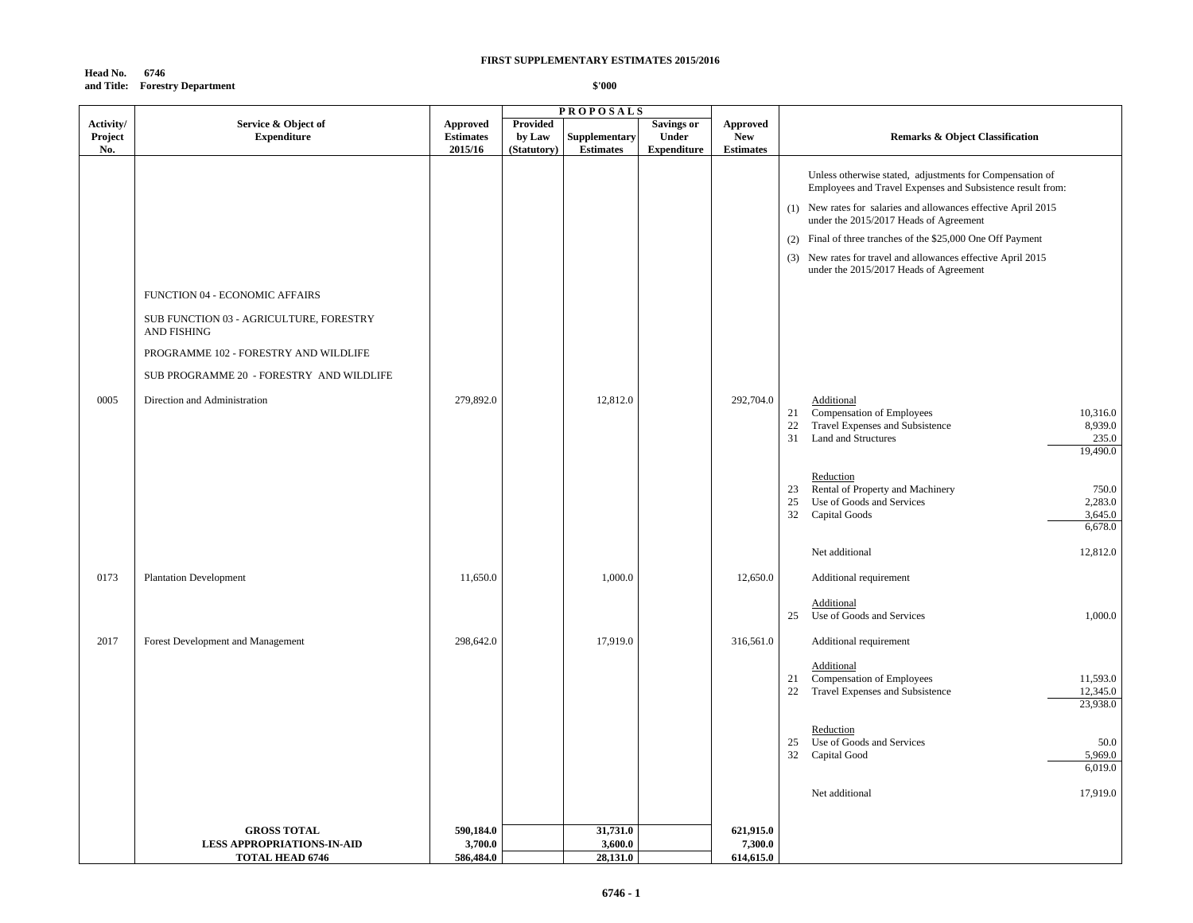### **Head No. 6746 and Title: Forestry Department**

|           |                                                        |                  |                 | <b>PROPOSALS</b>                         |                    |                  |                                                                                                                                                                                                                                                                                                                                                                   |
|-----------|--------------------------------------------------------|------------------|-----------------|------------------------------------------|--------------------|------------------|-------------------------------------------------------------------------------------------------------------------------------------------------------------------------------------------------------------------------------------------------------------------------------------------------------------------------------------------------------------------|
| Activity/ | Service & Object of                                    | Approved         | <b>Provided</b> |                                          | <b>Savings or</b>  | Approved         |                                                                                                                                                                                                                                                                                                                                                                   |
| Project   | <b>Expenditure</b>                                     | <b>Estimates</b> | by Law          | Supplementary                            | Under              | <b>New</b>       | <b>Remarks &amp; Object Classification</b>                                                                                                                                                                                                                                                                                                                        |
| No.       |                                                        | 2015/16          | (Statutory)     | $\label{p:estimates} \textbf{Estimates}$ | <b>Expenditure</b> | <b>Estimates</b> |                                                                                                                                                                                                                                                                                                                                                                   |
|           |                                                        |                  |                 |                                          |                    |                  | Unless otherwise stated, adjustments for Compensation of<br>Employees and Travel Expenses and Subsistence result from:<br>(1) New rates for salaries and allowances effective April 2015<br>under the 2015/2017 Heads of Agreement<br>(2) Final of three tranches of the \$25,000 One Off Payment<br>(3) New rates for travel and allowances effective April 2015 |
|           |                                                        |                  |                 |                                          |                    |                  | under the 2015/2017 Heads of Agreement                                                                                                                                                                                                                                                                                                                            |
|           | FUNCTION 04 - ECONOMIC AFFAIRS                         |                  |                 |                                          |                    |                  |                                                                                                                                                                                                                                                                                                                                                                   |
|           | SUB FUNCTION 03 - AGRICULTURE, FORESTRY<br>AND FISHING |                  |                 |                                          |                    |                  |                                                                                                                                                                                                                                                                                                                                                                   |
|           | PROGRAMME 102 - FORESTRY AND WILDLIFE                  |                  |                 |                                          |                    |                  |                                                                                                                                                                                                                                                                                                                                                                   |
|           | SUB PROGRAMME 20 - FORESTRY AND WILDLIFE               |                  |                 |                                          |                    |                  |                                                                                                                                                                                                                                                                                                                                                                   |
| 0005      | Direction and Administration                           | 279,892.0        |                 | 12,812.0                                 |                    | 292,704.0        | Additional<br>21 Compensation of Employees<br>10,316.0<br>22<br>Travel Expenses and Subsistence<br>8,939.0<br>235.0<br>31<br><b>Land and Structures</b><br>19,490.0                                                                                                                                                                                               |
|           |                                                        |                  |                 |                                          |                    |                  | Reduction<br>Rental of Property and Machinery<br>750.0<br>23<br>Use of Goods and Services<br>2,283.0<br>25<br>32<br>Capital Goods<br>3,645.0<br>6,678.0                                                                                                                                                                                                           |
|           |                                                        |                  |                 |                                          |                    |                  | 12,812.0<br>Net additional                                                                                                                                                                                                                                                                                                                                        |
| 0173      | <b>Plantation Development</b>                          | 11,650.0         |                 | 1,000.0                                  |                    | 12,650.0         | Additional requirement                                                                                                                                                                                                                                                                                                                                            |
|           |                                                        |                  |                 |                                          |                    |                  |                                                                                                                                                                                                                                                                                                                                                                   |
|           |                                                        |                  |                 |                                          |                    |                  | Additional<br>25 Use of Goods and Services<br>1,000.0                                                                                                                                                                                                                                                                                                             |
| 2017      |                                                        | 298,642.0        |                 | 17,919.0                                 |                    |                  |                                                                                                                                                                                                                                                                                                                                                                   |
|           | Forest Development and Management                      |                  |                 |                                          |                    | 316,561.0        | Additional requirement                                                                                                                                                                                                                                                                                                                                            |
|           |                                                        |                  |                 |                                          |                    |                  | Additional                                                                                                                                                                                                                                                                                                                                                        |
|           |                                                        |                  |                 |                                          |                    |                  | 21 Compensation of Employees<br>11,593.0                                                                                                                                                                                                                                                                                                                          |
|           |                                                        |                  |                 |                                          |                    |                  | Travel Expenses and Subsistence<br>12,345.0<br>22<br>23,938.0                                                                                                                                                                                                                                                                                                     |
|           |                                                        |                  |                 |                                          |                    |                  |                                                                                                                                                                                                                                                                                                                                                                   |
|           |                                                        |                  |                 |                                          |                    |                  | Reduction                                                                                                                                                                                                                                                                                                                                                         |
|           |                                                        |                  |                 |                                          |                    |                  | Use of Goods and Services<br>25<br>50.0                                                                                                                                                                                                                                                                                                                           |
|           |                                                        |                  |                 |                                          |                    |                  | 32<br>5,969.0<br>Capital Good                                                                                                                                                                                                                                                                                                                                     |
|           |                                                        |                  |                 |                                          |                    |                  | 6,019.0                                                                                                                                                                                                                                                                                                                                                           |
|           |                                                        |                  |                 |                                          |                    |                  | 17,919.0<br>Net additional                                                                                                                                                                                                                                                                                                                                        |
|           |                                                        |                  |                 |                                          |                    |                  |                                                                                                                                                                                                                                                                                                                                                                   |
|           | <b>GROSS TOTAL</b>                                     | 590,184.0        |                 | 31,731.0                                 |                    | 621,915.0        |                                                                                                                                                                                                                                                                                                                                                                   |
|           | <b>LESS APPROPRIATIONS-IN-AID</b>                      | 3,700.0          |                 | 3,600.0                                  |                    | 7,300.0          |                                                                                                                                                                                                                                                                                                                                                                   |
|           | <b>TOTAL HEAD 6746</b>                                 | 586,484.0        |                 | 28,131.0                                 |                    | 614,615.0        |                                                                                                                                                                                                                                                                                                                                                                   |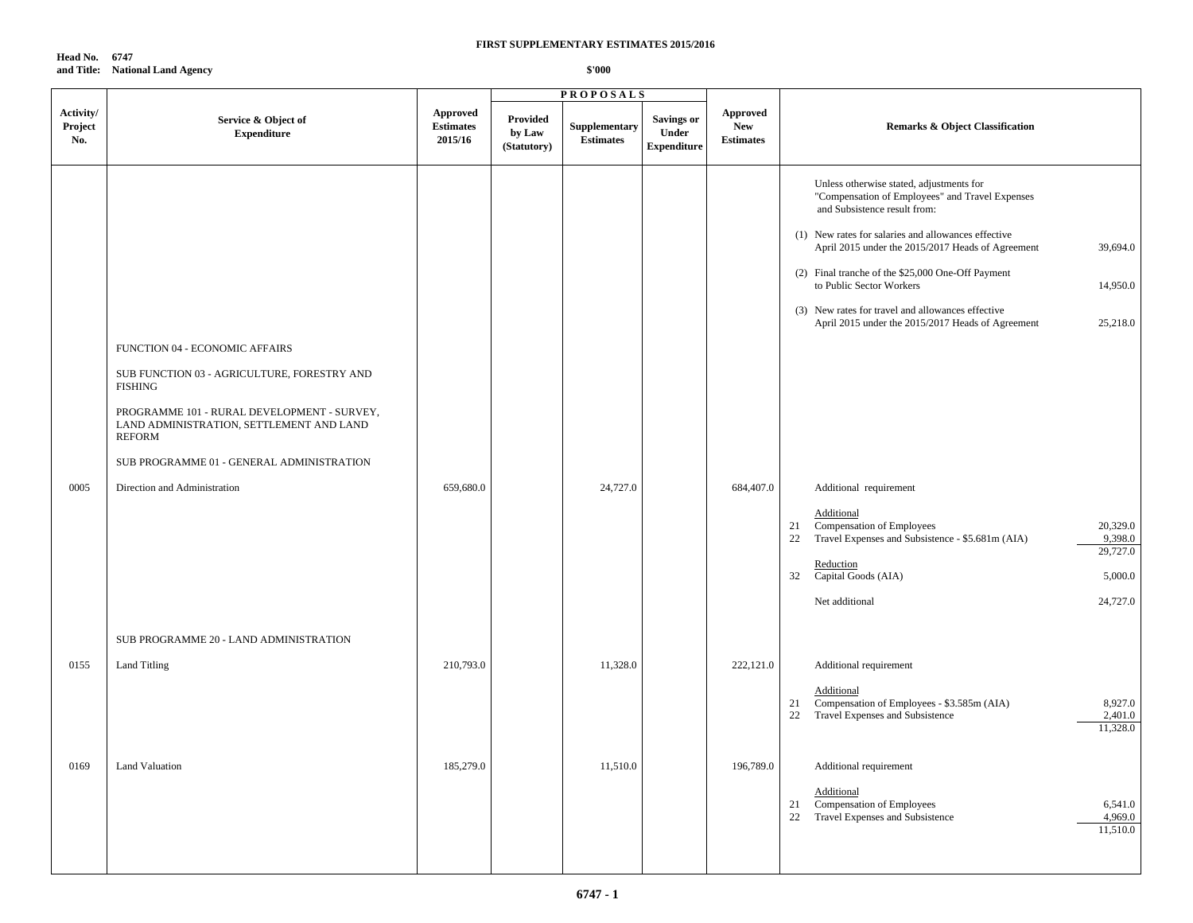**Head No. 6747 and Title: National Land Agency**

|                             |                                                                                                                                                                                                                                                                                   |                                         |                                   | <b>PROPOSALS</b>                         |                                                  |                                            |                                                                                                                                                                                                                                                                                                                                                                                                                                                                                                                                                                                                                                                                                                                                   |
|-----------------------------|-----------------------------------------------------------------------------------------------------------------------------------------------------------------------------------------------------------------------------------------------------------------------------------|-----------------------------------------|-----------------------------------|------------------------------------------|--------------------------------------------------|--------------------------------------------|-----------------------------------------------------------------------------------------------------------------------------------------------------------------------------------------------------------------------------------------------------------------------------------------------------------------------------------------------------------------------------------------------------------------------------------------------------------------------------------------------------------------------------------------------------------------------------------------------------------------------------------------------------------------------------------------------------------------------------------|
| Activity/<br>Project<br>No. | Service & Object of<br><b>Expenditure</b>                                                                                                                                                                                                                                         | Approved<br><b>Estimates</b><br>2015/16 | Provided<br>by Law<br>(Statutory) | <b>Supplementary</b><br><b>Estimates</b> | <b>Savings or</b><br>Under<br><b>Expenditure</b> | Approved<br><b>New</b><br><b>Estimates</b> | <b>Remarks &amp; Object Classification</b>                                                                                                                                                                                                                                                                                                                                                                                                                                                                                                                                                                                                                                                                                        |
| 0005                        | FUNCTION 04 - ECONOMIC AFFAIRS<br>SUB FUNCTION 03 - AGRICULTURE, FORESTRY AND<br>FISHING<br>PROGRAMME 101 - RURAL DEVELOPMENT - SURVEY,<br>LAND ADMINISTRATION, SETTLEMENT AND LAND<br><b>REFORM</b><br>SUB PROGRAMME 01 - GENERAL ADMINISTRATION<br>Direction and Administration | 659,680.0                               |                                   | 24,727.0                                 |                                                  | 684,407.0                                  | Unless otherwise stated, adjustments for<br>"Compensation of Employees" and Travel Expenses<br>and Subsistence result from:<br>(1) New rates for salaries and allowances effective<br>April 2015 under the 2015/2017 Heads of Agreement<br>39,694.0<br>(2) Final tranche of the \$25,000 One-Off Payment<br>to Public Sector Workers<br>14,950.0<br>(3) New rates for travel and allowances effective<br>April 2015 under the 2015/2017 Heads of Agreement<br>25,218.0<br>Additional requirement<br>Additional<br>Compensation of Employees<br>20,329.0<br>21<br>Travel Expenses and Subsistence - \$5.681m (AIA)<br>9,398.0<br>22<br>29,727.0<br>Reduction<br>32<br>Capital Goods (AIA)<br>5,000.0<br>Net additional<br>24,727.0 |
|                             | SUB PROGRAMME 20 - LAND ADMINISTRATION                                                                                                                                                                                                                                            |                                         |                                   |                                          |                                                  |                                            |                                                                                                                                                                                                                                                                                                                                                                                                                                                                                                                                                                                                                                                                                                                                   |
| 0155                        | <b>Land Titling</b>                                                                                                                                                                                                                                                               | 210,793.0                               |                                   | 11,328.0                                 |                                                  | 222,121.0                                  | Additional requirement<br>Additional<br>Compensation of Employees - \$3.585m (AIA)<br>8,927.0<br>21<br>Travel Expenses and Subsistence<br>2,401.0<br>22<br>11,328.0                                                                                                                                                                                                                                                                                                                                                                                                                                                                                                                                                               |
| 0169                        | <b>Land Valuation</b>                                                                                                                                                                                                                                                             | 185,279.0                               |                                   | 11,510.0                                 |                                                  | 196,789.0                                  | Additional requirement<br>Additional<br>Compensation of Employees<br>6,541.0<br>21<br>4,969.0<br>22<br>Travel Expenses and Subsistence<br>11,510.0                                                                                                                                                                                                                                                                                                                                                                                                                                                                                                                                                                                |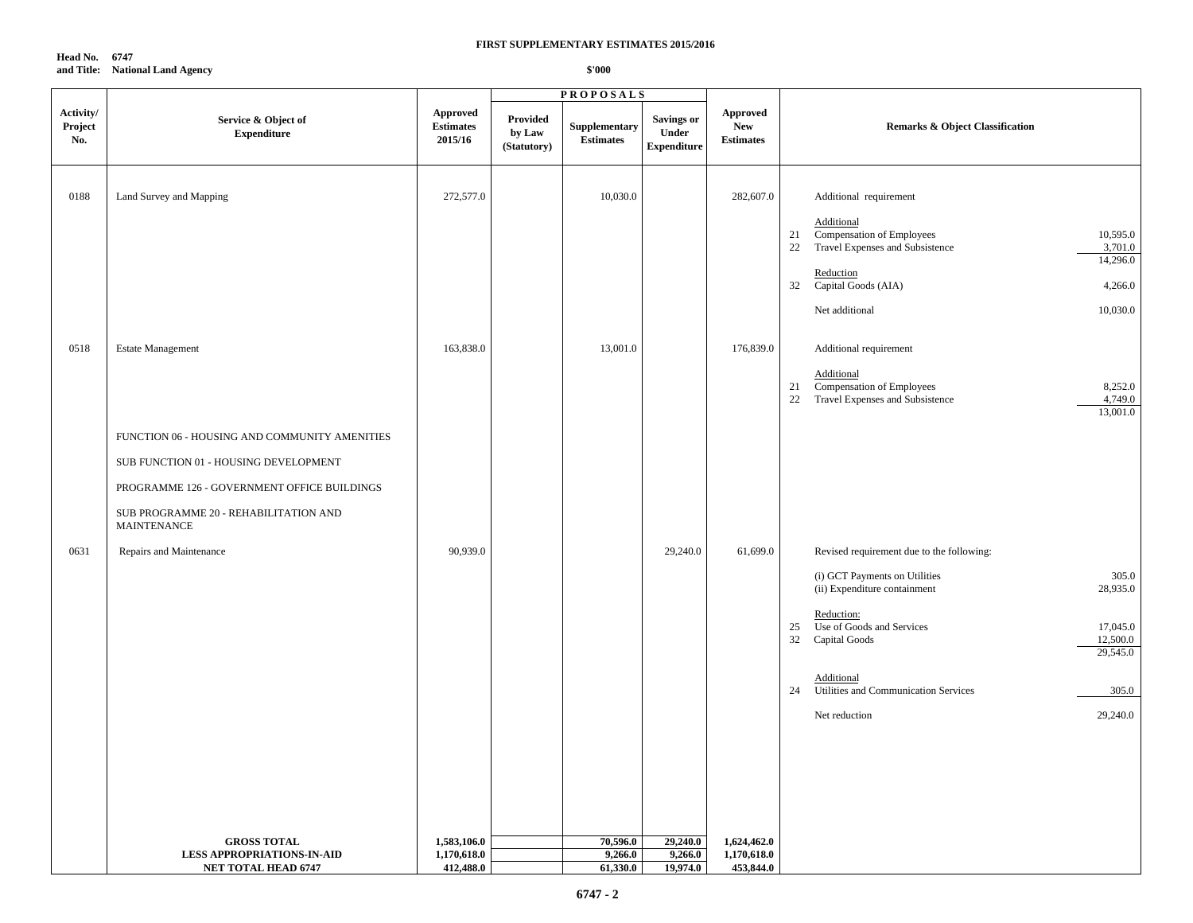**Head No. 6747 and Title: National Land Agency**

|                             |                                                             |                                         |                                   | <b>PROPOSALS</b>                  |                                           |                                                   |                                                                                                                                                                                |
|-----------------------------|-------------------------------------------------------------|-----------------------------------------|-----------------------------------|-----------------------------------|-------------------------------------------|---------------------------------------------------|--------------------------------------------------------------------------------------------------------------------------------------------------------------------------------|
| Activity/<br>Project<br>No. | Service & Object of<br><b>Expenditure</b>                   | Approved<br><b>Estimates</b><br>2015/16 | Provided<br>by Law<br>(Statutory) | Supplementary<br><b>Estimates</b> | Savings or<br>Under<br><b>Expenditure</b> | <b>Approved</b><br><b>New</b><br><b>Estimates</b> | Remarks & Object Classification                                                                                                                                                |
| 0188                        | Land Survey and Mapping                                     | 272,577.0                               |                                   | 10,030.0                          |                                           | 282,607.0                                         | Additional requirement                                                                                                                                                         |
|                             |                                                             |                                         |                                   |                                   |                                           |                                                   | Additional<br>Compensation of Employees<br>10,595.0<br>21<br>22<br>Travel Expenses and Subsistence<br>3,701.0<br>14,296.0<br>Reduction<br>32<br>Capital Goods (AIA)<br>4,266.0 |
| 0518                        | <b>Estate Management</b>                                    | 163,838.0                               |                                   | 13,001.0                          |                                           | 176,839.0                                         | Net additional<br>10,030.0<br>Additional requirement                                                                                                                           |
|                             |                                                             |                                         |                                   |                                   |                                           |                                                   | Additional<br>Compensation of Employees<br>8,252.0<br>21<br>4,749.0<br>Travel Expenses and Subsistence<br>22<br>13,001.0                                                       |
|                             | FUNCTION 06 - HOUSING AND COMMUNITY AMENITIES               |                                         |                                   |                                   |                                           |                                                   |                                                                                                                                                                                |
|                             | SUB FUNCTION 01 - HOUSING DEVELOPMENT                       |                                         |                                   |                                   |                                           |                                                   |                                                                                                                                                                                |
|                             | PROGRAMME 126 - GOVERNMENT OFFICE BUILDINGS                 |                                         |                                   |                                   |                                           |                                                   |                                                                                                                                                                                |
|                             | SUB PROGRAMME 20 - REHABILITATION AND<br><b>MAINTENANCE</b> |                                         |                                   |                                   |                                           |                                                   |                                                                                                                                                                                |
| 0631                        | Repairs and Maintenance                                     | 90,939.0                                |                                   |                                   | 29,240.0                                  | 61,699.0                                          | Revised requirement due to the following:                                                                                                                                      |
|                             |                                                             |                                         |                                   |                                   |                                           |                                                   | 305.0<br>(i) GCT Payments on Utilities<br>28,935.0<br>(ii) Expenditure containment                                                                                             |
|                             |                                                             |                                         |                                   |                                   |                                           |                                                   | Reduction:<br>Use of Goods and Services<br>17,045.0<br>25<br>32<br>12,500.0<br>Capital Goods<br>29,545.0                                                                       |
|                             |                                                             |                                         |                                   |                                   |                                           |                                                   | Additional<br>24<br>Utilities and Communication Services<br>305.0                                                                                                              |
|                             |                                                             |                                         |                                   |                                   |                                           |                                                   | 29,240.0<br>Net reduction                                                                                                                                                      |
|                             |                                                             |                                         |                                   |                                   |                                           |                                                   |                                                                                                                                                                                |
|                             |                                                             |                                         |                                   |                                   |                                           |                                                   |                                                                                                                                                                                |
|                             | <b>GROSS TOTAL</b>                                          | 1,583,106.0                             |                                   | 70,596.0                          | 29,240.0                                  | 1,624,462.0                                       |                                                                                                                                                                                |
|                             | <b>LESS APPROPRIATIONS-IN-AID</b>                           | 1,170,618.0                             |                                   | 9,266.0                           | 9,266.0                                   | 1,170,618.0                                       |                                                                                                                                                                                |
|                             | <b>NET TOTAL HEAD 6747</b>                                  | 412,488.0                               |                                   | 61,330.0                          | 19,974.0                                  | 453,844.0                                         |                                                                                                                                                                                |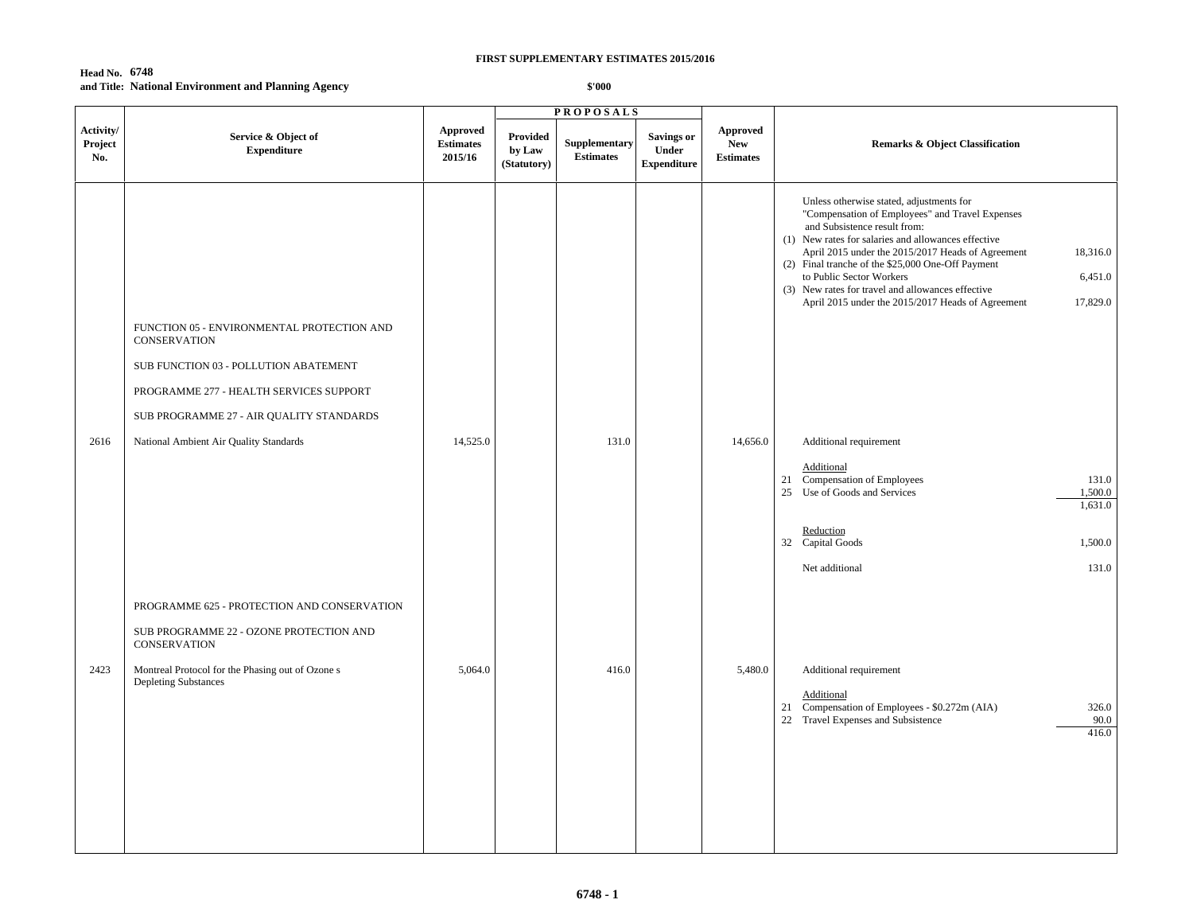# **Head No. 6748 and Title: National Environment and Planning Agency**

|                                                                                                                                                                                                   |                                         |                                   | <b>PROPOSALS</b>                  |                                                  |                                            |                                                                                                                                                                                                                                                                                                                                                                                                                                                                                                 |
|---------------------------------------------------------------------------------------------------------------------------------------------------------------------------------------------------|-----------------------------------------|-----------------------------------|-----------------------------------|--------------------------------------------------|--------------------------------------------|-------------------------------------------------------------------------------------------------------------------------------------------------------------------------------------------------------------------------------------------------------------------------------------------------------------------------------------------------------------------------------------------------------------------------------------------------------------------------------------------------|
| Service & Object of<br><b>Expenditure</b>                                                                                                                                                         | Approved<br><b>Estimates</b><br>2015/16 | Provided<br>by Law<br>(Statutory) | Supplementary<br><b>Estimates</b> | <b>Savings or</b><br>Under<br><b>Expenditure</b> | Approved<br><b>New</b><br><b>Estimates</b> | <b>Remarks &amp; Object Classification</b>                                                                                                                                                                                                                                                                                                                                                                                                                                                      |
| FUNCTION 05 - ENVIRONMENTAL PROTECTION AND<br><b>CONSERVATION</b><br>SUB FUNCTION 03 - POLLUTION ABATEMENT<br>PROGRAMME 277 - HEALTH SERVICES SUPPORT<br>SUB PROGRAMME 27 - AIR QUALITY STANDARDS |                                         |                                   |                                   |                                                  |                                            | Unless otherwise stated, adjustments for<br>"Compensation of Employees" and Travel Expenses<br>and Subsistence result from:<br>(1) New rates for salaries and allowances effective<br>April 2015 under the 2015/2017 Heads of Agreement<br>18,316.0<br>(2) Final tranche of the \$25,000 One-Off Payment<br>to Public Sector Workers<br>6,451.0<br>(3) New rates for travel and allowances effective<br>April 2015 under the 2015/2017 Heads of Agreement<br>17,829.0<br>Additional requirement |
|                                                                                                                                                                                                   |                                         |                                   |                                   |                                                  |                                            | Additional<br>21 Compensation of Employees<br>131.0<br>25 Use of Goods and Services<br>1,500.0<br>1,631.0<br>Reduction                                                                                                                                                                                                                                                                                                                                                                          |
|                                                                                                                                                                                                   |                                         |                                   |                                   |                                                  |                                            | 32 Capital Goods<br>1,500.0<br>Net additional<br>131.0                                                                                                                                                                                                                                                                                                                                                                                                                                          |
| PROGRAMME 625 - PROTECTION AND CONSERVATION<br>SUB PROGRAMME 22 - OZONE PROTECTION AND<br>CONSERVATION                                                                                            |                                         |                                   |                                   |                                                  |                                            |                                                                                                                                                                                                                                                                                                                                                                                                                                                                                                 |
| Montreal Protocol for the Phasing out of Ozone s<br><b>Depleting Substances</b>                                                                                                                   | 5,064.0                                 |                                   | 416.0                             |                                                  | 5,480.0                                    | Additional requirement<br>Additional<br>21 Compensation of Employees - \$0.272m (AIA)<br>326.0<br>22 Travel Expenses and Subsistence<br>90.0<br>416.0                                                                                                                                                                                                                                                                                                                                           |
|                                                                                                                                                                                                   | National Ambient Air Quality Standards  | 14,525.0                          |                                   | 131.0                                            |                                            | 14,656.0                                                                                                                                                                                                                                                                                                                                                                                                                                                                                        |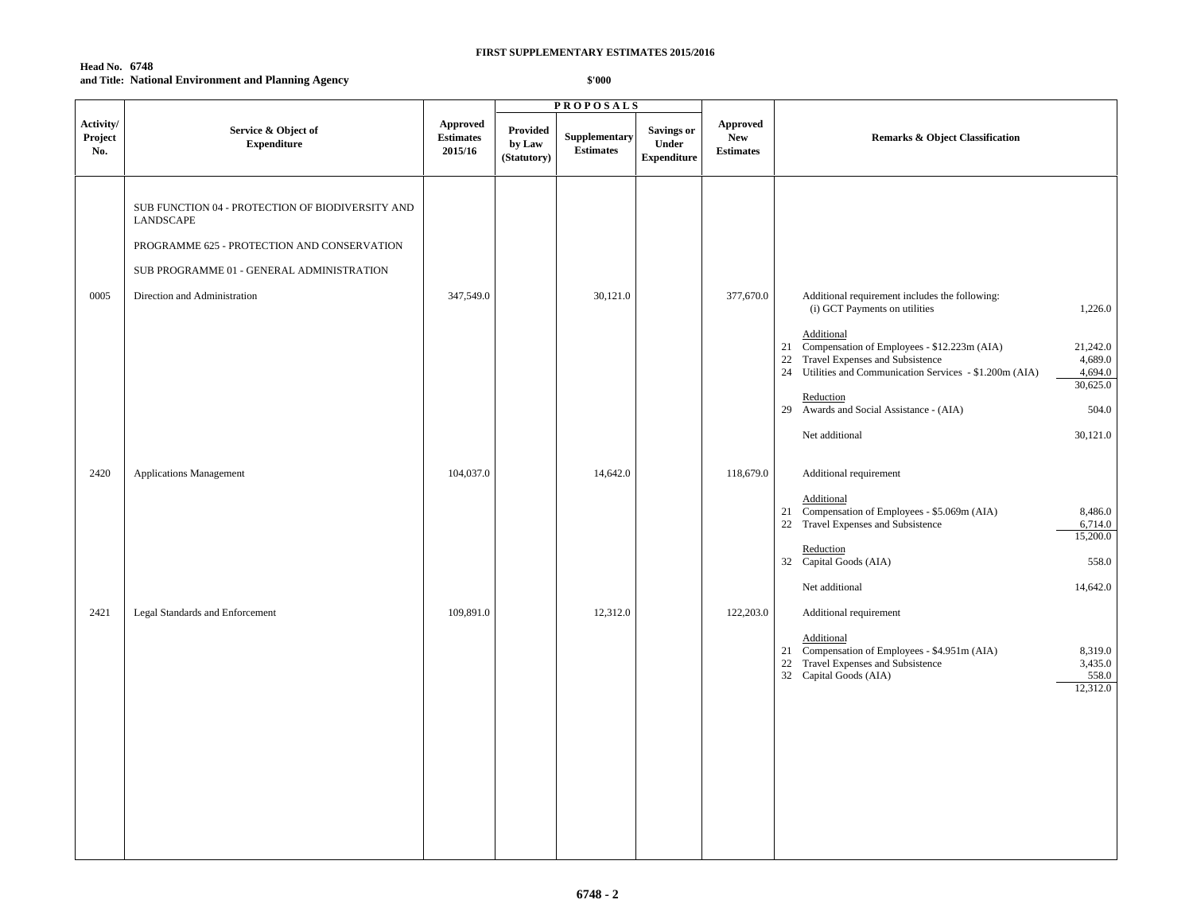## **Head No. 6748 and Title: National Environment and Planning Agency**

|                             |                                                                                                                                                                                           |                                         |                                   | <b>PROPOSALS</b>                  |                                                  |                                            |                                                                                                                                                                                                                                                                                                                                                                                                                 |
|-----------------------------|-------------------------------------------------------------------------------------------------------------------------------------------------------------------------------------------|-----------------------------------------|-----------------------------------|-----------------------------------|--------------------------------------------------|--------------------------------------------|-----------------------------------------------------------------------------------------------------------------------------------------------------------------------------------------------------------------------------------------------------------------------------------------------------------------------------------------------------------------------------------------------------------------|
| Activity/<br>Project<br>No. | Service & Object of<br><b>Expenditure</b>                                                                                                                                                 | Approved<br><b>Estimates</b><br>2015/16 | Provided<br>by Law<br>(Statutory) | Supplementary<br><b>Estimates</b> | <b>Savings or</b><br>Under<br><b>Expenditure</b> | Approved<br><b>New</b><br><b>Estimates</b> | <b>Remarks &amp; Object Classification</b>                                                                                                                                                                                                                                                                                                                                                                      |
| 0005                        | SUB FUNCTION 04 - PROTECTION OF BIODIVERSITY AND<br>LANDSCAPE<br>PROGRAMME 625 - PROTECTION AND CONSERVATION<br>SUB PROGRAMME 01 - GENERAL ADMINISTRATION<br>Direction and Administration | 347,549.0                               |                                   | 30,121.0                          |                                                  | 377,670.0                                  | Additional requirement includes the following:<br>(i) GCT Payments on utilities<br>1,226.0<br>Additional<br>Compensation of Employees - \$12.223m (AIA)<br>21,242.0<br>21<br>Travel Expenses and Subsistence<br>4,689.0<br>22<br>24 Utilities and Communication Services - \$1.200m (AIA)<br>4,694.0<br>30,625.0<br>Reduction<br>29 Awards and Social Assistance - (AIA)<br>504.0<br>30,121.0<br>Net additional |
| 2420                        | <b>Applications Management</b>                                                                                                                                                            | 104,037.0                               |                                   | 14,642.0                          |                                                  | 118,679.0                                  | Additional requirement<br>Additional<br>Compensation of Employees - \$5.069m (AIA)<br>8,486.0<br>21<br>22 Travel Expenses and Subsistence<br>6,714.0<br>15,200.0<br>Reduction<br>32 Capital Goods (AIA)<br>558.0<br>14,642.0<br>Net additional                                                                                                                                                                  |
| 2421                        | Legal Standards and Enforcement                                                                                                                                                           | 109,891.0                               |                                   | 12,312.0                          |                                                  | 122,203.0                                  | Additional requirement<br>Additional<br>Compensation of Employees - \$4.951m (AIA)<br>8,319.0<br>21<br>Travel Expenses and Subsistence<br>22<br>3,435.0<br>32 Capital Goods (AIA)<br>558.0<br>12,312.0                                                                                                                                                                                                          |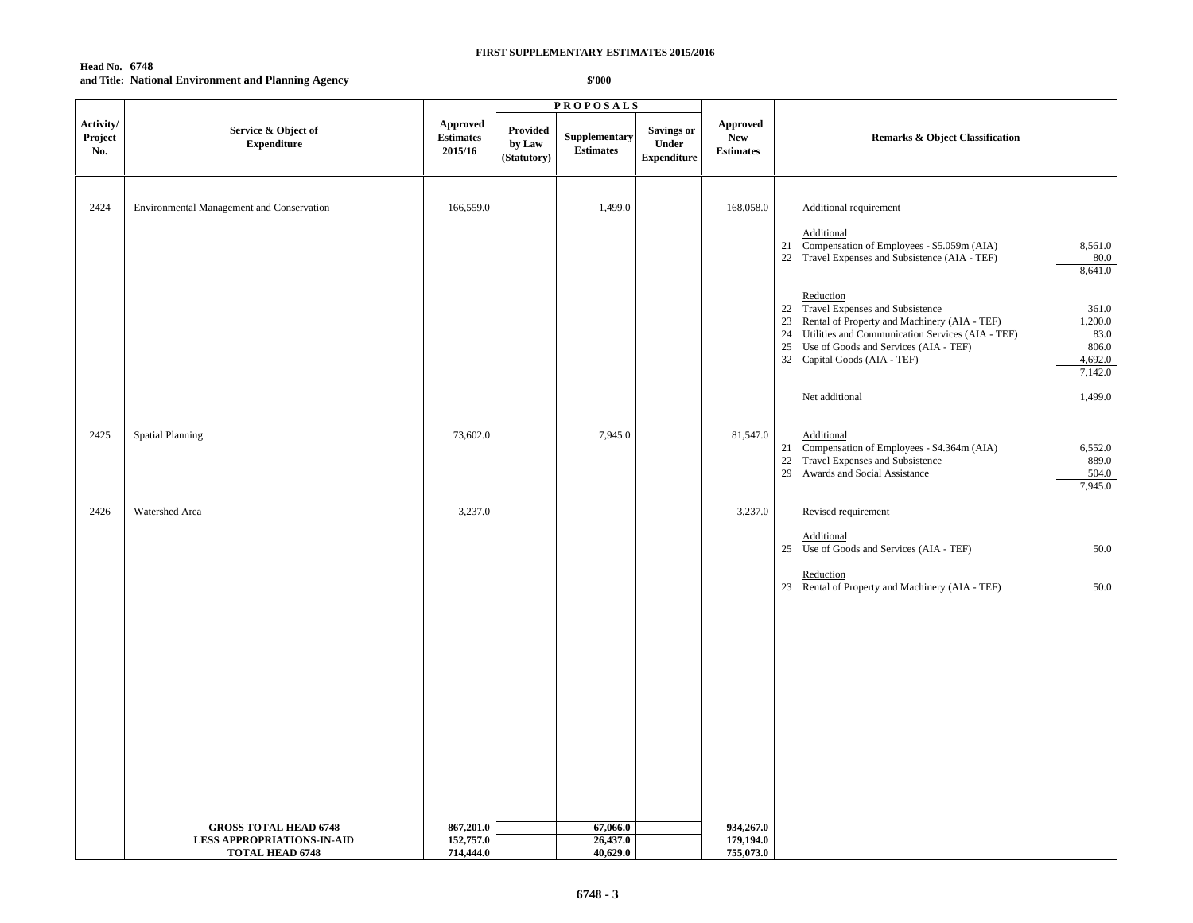# **Head No. 6748 and Title: National Environment and Planning Agency**

|                             |                                                                   |                                         |                                   | <b>PROPOSALS</b>                  |                                                  |                                                   |                                                                                                                                                                                                                                                                                                        |
|-----------------------------|-------------------------------------------------------------------|-----------------------------------------|-----------------------------------|-----------------------------------|--------------------------------------------------|---------------------------------------------------|--------------------------------------------------------------------------------------------------------------------------------------------------------------------------------------------------------------------------------------------------------------------------------------------------------|
| Activity/<br>Project<br>No. | Service & Object of<br><b>Expenditure</b>                         | Approved<br><b>Estimates</b><br>2015/16 | Provided<br>by Law<br>(Statutory) | Supplementary<br><b>Estimates</b> | <b>Savings or</b><br>Under<br><b>Expenditure</b> | <b>Approved</b><br><b>New</b><br><b>Estimates</b> | Remarks & Object Classification                                                                                                                                                                                                                                                                        |
| 2424                        | Environmental Management and Conservation                         | 166,559.0                               |                                   | 1,499.0                           |                                                  | 168,058.0                                         | Additional requirement<br>Additional<br>21 Compensation of Employees - \$5.059m (AIA)<br>8,561.0<br>22 Travel Expenses and Subsistence (AIA - TEF)<br>80.0<br>8,641.0                                                                                                                                  |
|                             |                                                                   |                                         |                                   |                                   |                                                  |                                                   | Reduction<br>22 Travel Expenses and Subsistence<br>361.0<br>Rental of Property and Machinery (AIA - TEF)<br>1,200.0<br>23<br>24 Utilities and Communication Services (AIA - TEF)<br>83.0<br>25<br>Use of Goods and Services (AIA - TEF)<br>806.0<br>32 Capital Goods (AIA - TEF)<br>4,692.0<br>7,142.0 |
|                             |                                                                   |                                         |                                   |                                   |                                                  |                                                   | Net additional<br>1,499.0                                                                                                                                                                                                                                                                              |
| 2425                        | <b>Spatial Planning</b>                                           | 73,602.0                                |                                   | 7,945.0                           |                                                  | 81,547.0                                          | Additional<br>6,552.0<br>21<br>Compensation of Employees - \$4.364m (AIA)<br>889.0<br>22<br>Travel Expenses and Subsistence<br>Awards and Social Assistance<br>504.0<br>29<br>7,945.0                                                                                                                  |
| 2426                        | Watershed Area                                                    | 3,237.0                                 |                                   |                                   |                                                  | 3,237.0                                           | Revised requirement                                                                                                                                                                                                                                                                                    |
|                             |                                                                   |                                         |                                   |                                   |                                                  |                                                   | Additional<br>25 Use of Goods and Services (AIA - TEF)<br>50.0                                                                                                                                                                                                                                         |
|                             |                                                                   |                                         |                                   |                                   |                                                  |                                                   | Reduction<br>23 Rental of Property and Machinery (AIA - TEF)<br>50.0                                                                                                                                                                                                                                   |
|                             |                                                                   |                                         |                                   |                                   |                                                  |                                                   |                                                                                                                                                                                                                                                                                                        |
|                             |                                                                   |                                         |                                   |                                   |                                                  |                                                   |                                                                                                                                                                                                                                                                                                        |
|                             |                                                                   |                                         |                                   |                                   |                                                  |                                                   |                                                                                                                                                                                                                                                                                                        |
|                             |                                                                   |                                         |                                   |                                   |                                                  |                                                   |                                                                                                                                                                                                                                                                                                        |
|                             |                                                                   |                                         |                                   |                                   |                                                  |                                                   |                                                                                                                                                                                                                                                                                                        |
|                             | <b>GROSS TOTAL HEAD 6748</b><br><b>LESS APPROPRIATIONS-IN-AID</b> | 867,201.0<br>152,757.0                  |                                   | 67,066.0<br>26,437.0              |                                                  | 934,267.0<br>179,194.0                            |                                                                                                                                                                                                                                                                                                        |
|                             | <b>TOTAL HEAD 6748</b>                                            | 714,444.0                               |                                   | 40,629.0                          |                                                  | 755,073.0                                         |                                                                                                                                                                                                                                                                                                        |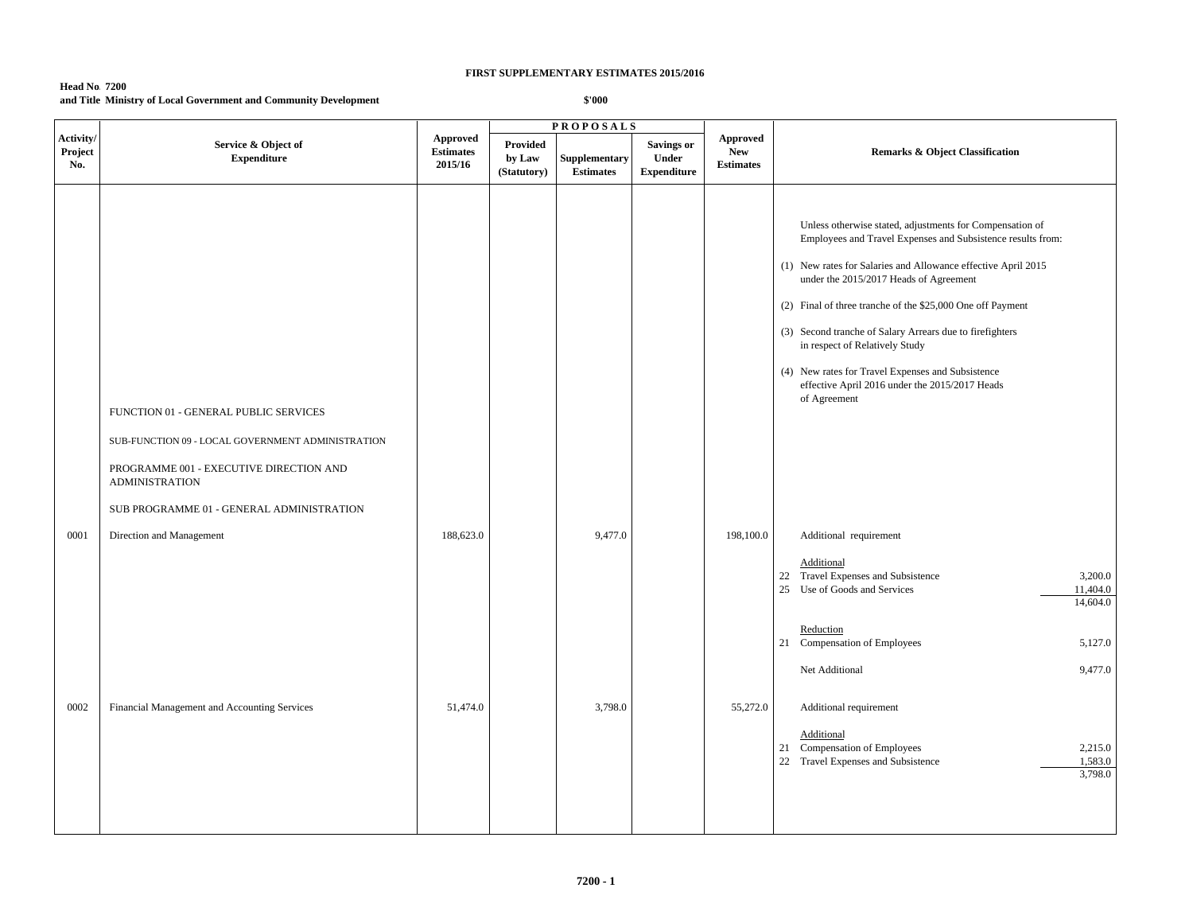## **Head No. 7200 and Title:Ministry of Local Government and Community Development**

|                             |                                                                                                                                                                |                                         |                                   | <b>PROPOSALS</b>                  |                                           |                                            |                                                                                                                                                                                                                                                                                                                                                                                                                                                                                                                       |
|-----------------------------|----------------------------------------------------------------------------------------------------------------------------------------------------------------|-----------------------------------------|-----------------------------------|-----------------------------------|-------------------------------------------|--------------------------------------------|-----------------------------------------------------------------------------------------------------------------------------------------------------------------------------------------------------------------------------------------------------------------------------------------------------------------------------------------------------------------------------------------------------------------------------------------------------------------------------------------------------------------------|
| Activity/<br>Project<br>No. | Service & Object of<br><b>Expenditure</b>                                                                                                                      | Approved<br><b>Estimates</b><br>2015/16 | Provided<br>by Law<br>(Statutory) | Supplementary<br><b>Estimates</b> | Savings or<br>Under<br><b>Expenditure</b> | Approved<br><b>New</b><br><b>Estimates</b> | <b>Remarks &amp; Object Classification</b>                                                                                                                                                                                                                                                                                                                                                                                                                                                                            |
|                             | FUNCTION 01 - GENERAL PUBLIC SERVICES<br>SUB-FUNCTION 09 - LOCAL GOVERNMENT ADMINISTRATION<br>PROGRAMME 001 - EXECUTIVE DIRECTION AND<br><b>ADMINISTRATION</b> |                                         |                                   |                                   |                                           |                                            | Unless otherwise stated, adjustments for Compensation of<br>Employees and Travel Expenses and Subsistence results from:<br>(1) New rates for Salaries and Allowance effective April 2015<br>under the 2015/2017 Heads of Agreement<br>(2) Final of three tranche of the \$25,000 One off Payment<br>(3) Second tranche of Salary Arrears due to firefighters<br>in respect of Relatively Study<br>(4) New rates for Travel Expenses and Subsistence<br>effective April 2016 under the 2015/2017 Heads<br>of Agreement |
| 0001                        | SUB PROGRAMME 01 - GENERAL ADMINISTRATION<br>Direction and Management                                                                                          | 188,623.0                               |                                   | 9,477.0                           |                                           | 198,100.0                                  | Additional requirement<br>Additional<br>22 Travel Expenses and Subsistence<br>3,200.0<br>25 Use of Goods and Services<br>11,404.0<br>14,604.0                                                                                                                                                                                                                                                                                                                                                                         |
| 0002                        | Financial Management and Accounting Services                                                                                                                   | 51,474.0                                |                                   | 3,798.0                           |                                           | 55,272.0                                   | Reduction<br>21 Compensation of Employees<br>5,127.0<br>9,477.0<br>Net Additional<br>Additional requirement<br>Additional<br>21 Compensation of Employees<br>2,215.0<br>22 Travel Expenses and Subsistence<br>1,583.0<br>3,798.0                                                                                                                                                                                                                                                                                      |
|                             |                                                                                                                                                                |                                         |                                   |                                   |                                           |                                            |                                                                                                                                                                                                                                                                                                                                                                                                                                                                                                                       |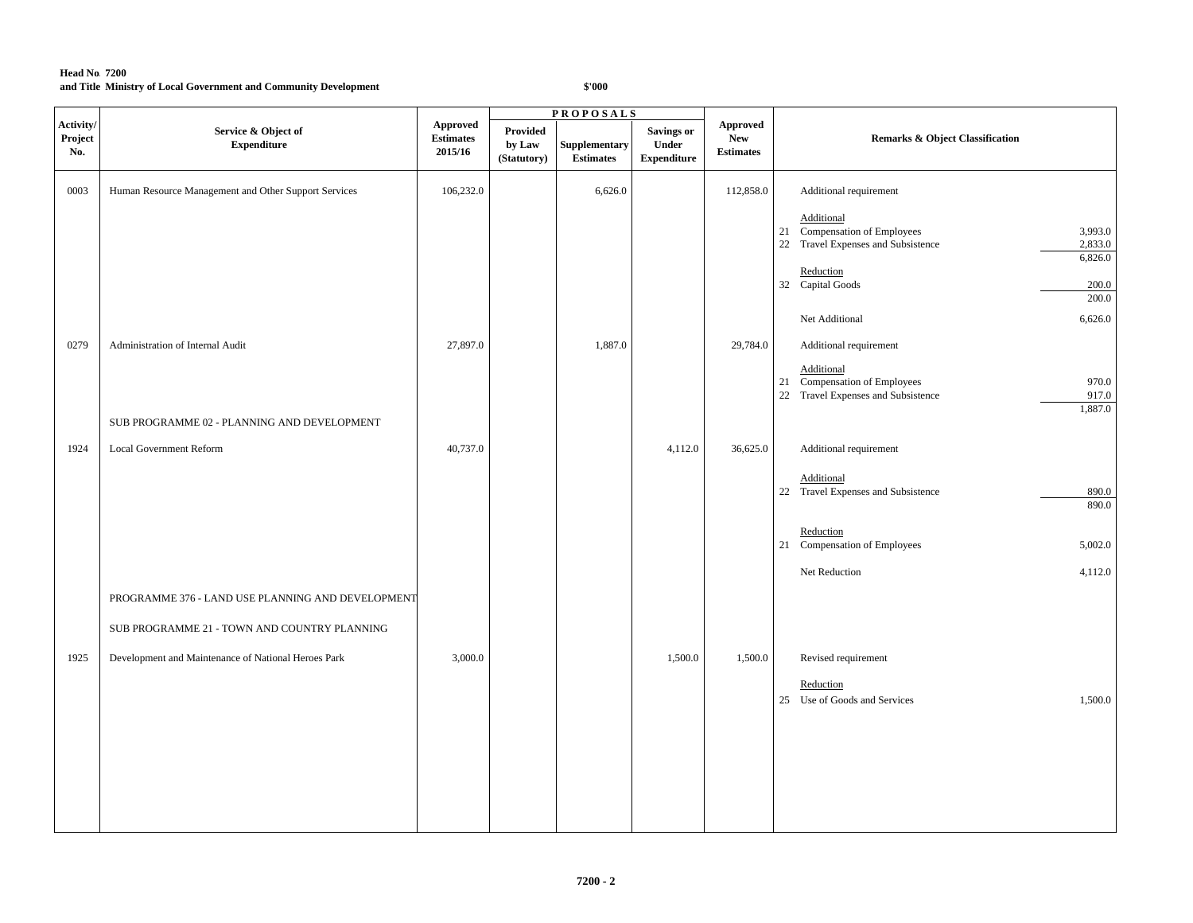|                             |                                                      |                                                |                                          | <b>PROPOSALS</b>                  |                                                  |                                            |                                                                                                                   |
|-----------------------------|------------------------------------------------------|------------------------------------------------|------------------------------------------|-----------------------------------|--------------------------------------------------|--------------------------------------------|-------------------------------------------------------------------------------------------------------------------|
| Activity/<br>Project<br>No. | Service & Object of<br><b>Expenditure</b>            | <b>Approved</b><br><b>Estimates</b><br>2015/16 | <b>Provided</b><br>by Law<br>(Statutory) | Supplementary<br><b>Estimates</b> | <b>Savings or</b><br>Under<br><b>Expenditure</b> | Approved<br><b>New</b><br><b>Estimates</b> | <b>Remarks &amp; Object Classification</b>                                                                        |
| 0003                        | Human Resource Management and Other Support Services | 106,232.0                                      |                                          | 6,626.0                           |                                                  | 112,858.0                                  | Additional requirement                                                                                            |
|                             |                                                      |                                                |                                          |                                   |                                                  |                                            | Additional<br>21 Compensation of Employees<br>3,993.0<br>22 Travel Expenses and Subsistence<br>2,833.0<br>6,826.0 |
|                             |                                                      |                                                |                                          |                                   |                                                  |                                            | Reduction<br>32 Capital Goods<br>200.0<br>200.0                                                                   |
|                             |                                                      |                                                |                                          |                                   |                                                  |                                            | Net Additional<br>6,626.0                                                                                         |
| 0279                        | Administration of Internal Audit                     | 27,897.0                                       |                                          | 1,887.0                           |                                                  | 29,784.0                                   | Additional requirement                                                                                            |
|                             |                                                      |                                                |                                          |                                   |                                                  |                                            | Additional<br>21 Compensation of Employees<br>970.0<br>22 Travel Expenses and Subsistence<br>917.0<br>1,887.0     |
|                             | SUB PROGRAMME 02 - PLANNING AND DEVELOPMENT          |                                                |                                          |                                   |                                                  |                                            |                                                                                                                   |
| 1924                        | <b>Local Government Reform</b>                       | 40,737.0                                       |                                          |                                   | 4,112.0                                          | 36,625.0                                   | Additional requirement                                                                                            |
|                             |                                                      |                                                |                                          |                                   |                                                  |                                            | Additional<br>22 Travel Expenses and Subsistence<br>890.0<br>890.0                                                |
|                             |                                                      |                                                |                                          |                                   |                                                  |                                            | Reduction<br>21 Compensation of Employees<br>5,002.0                                                              |
|                             |                                                      |                                                |                                          |                                   |                                                  |                                            | Net Reduction<br>4,112.0                                                                                          |
|                             | PROGRAMME 376 - LAND USE PLANNING AND DEVELOPMENT    |                                                |                                          |                                   |                                                  |                                            |                                                                                                                   |
|                             | SUB PROGRAMME 21 - TOWN AND COUNTRY PLANNING         |                                                |                                          |                                   |                                                  |                                            |                                                                                                                   |
| 1925                        | Development and Maintenance of National Heroes Park  | 3,000.0                                        |                                          |                                   | 1,500.0                                          | 1,500.0                                    | Revised requirement                                                                                               |
|                             |                                                      |                                                |                                          |                                   |                                                  |                                            | Reduction<br>25 Use of Goods and Services<br>1,500.0                                                              |
|                             |                                                      |                                                |                                          |                                   |                                                  |                                            |                                                                                                                   |
|                             |                                                      |                                                |                                          |                                   |                                                  |                                            |                                                                                                                   |
|                             |                                                      |                                                |                                          |                                   |                                                  |                                            |                                                                                                                   |
|                             |                                                      |                                                |                                          |                                   |                                                  |                                            |                                                                                                                   |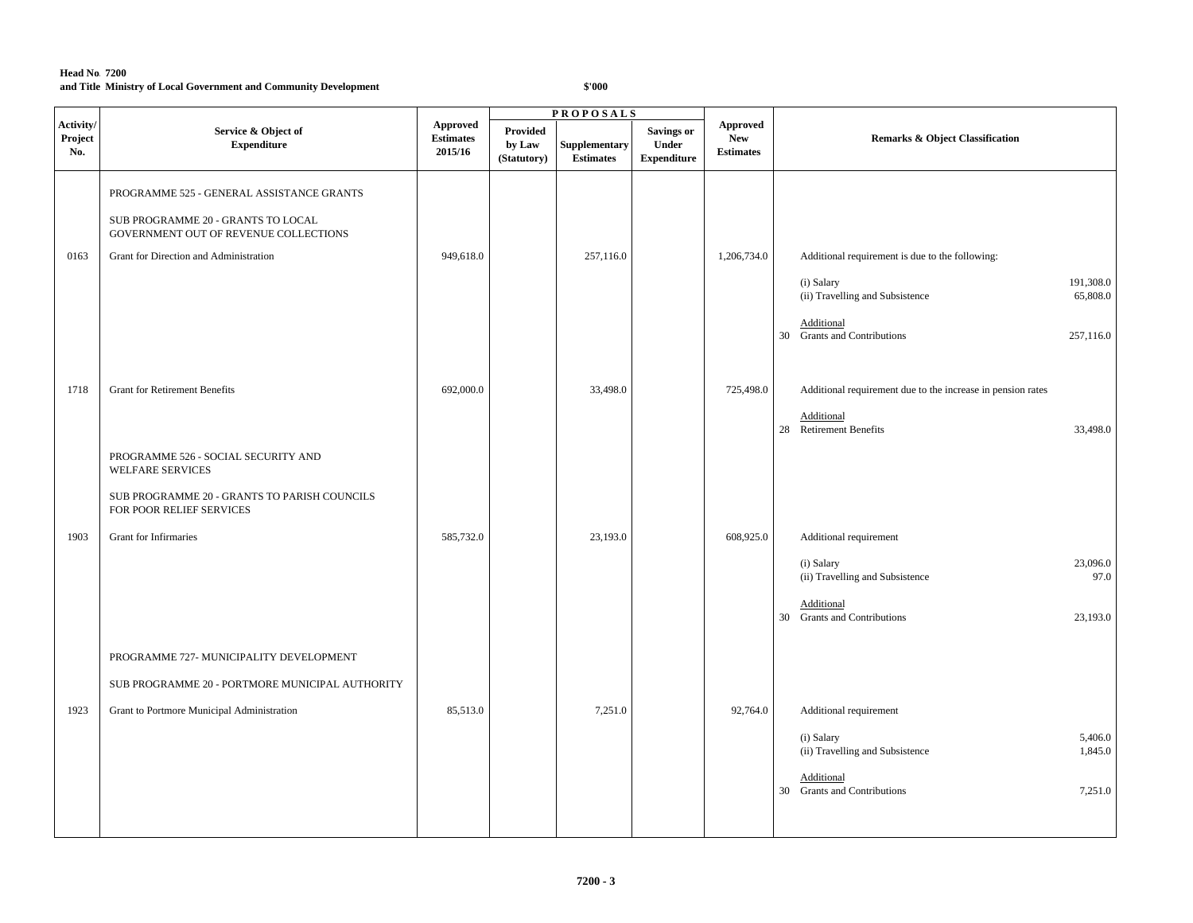|                             |                                                                                                                          |                                         |                                          | <b>PROPOSALS</b>                  |                                                  |                                            |                                                                                                                                         |
|-----------------------------|--------------------------------------------------------------------------------------------------------------------------|-----------------------------------------|------------------------------------------|-----------------------------------|--------------------------------------------------|--------------------------------------------|-----------------------------------------------------------------------------------------------------------------------------------------|
| Activity/<br>Project<br>No. | Service & Object of<br><b>Expenditure</b>                                                                                | Approved<br><b>Estimates</b><br>2015/16 | <b>Provided</b><br>by Law<br>(Statutory) | Supplementary<br><b>Estimates</b> | <b>Savings or</b><br>Under<br><b>Expenditure</b> | Approved<br><b>New</b><br><b>Estimates</b> | <b>Remarks &amp; Object Classification</b>                                                                                              |
|                             | PROGRAMME 525 - GENERAL ASSISTANCE GRANTS<br>SUB PROGRAMME 20 - GRANTS TO LOCAL<br>GOVERNMENT OUT OF REVENUE COLLECTIONS |                                         |                                          |                                   |                                                  |                                            |                                                                                                                                         |
| 0163                        | Grant for Direction and Administration                                                                                   | 949,618.0                               |                                          | 257,116.0                         |                                                  | 1,206,734.0                                | Additional requirement is due to the following:<br>(i) Salary<br>191,308.0<br>(ii) Travelling and Subsistence<br>65,808.0<br>Additional |
| 1718                        | <b>Grant for Retirement Benefits</b>                                                                                     | 692,000.0                               |                                          | 33,498.0                          |                                                  | 725,498.0                                  | 30 Grants and Contributions<br>257,116.0<br>Additional requirement due to the increase in pension rates                                 |
|                             | PROGRAMME 526 - SOCIAL SECURITY AND<br><b>WELFARE SERVICES</b>                                                           |                                         |                                          |                                   |                                                  |                                            | Additional<br>28 Retirement Benefits<br>33,498.0                                                                                        |
| 1903                        | SUB PROGRAMME 20 - GRANTS TO PARISH COUNCILS<br>FOR POOR RELIEF SERVICES<br>Grant for Infirmaries                        | 585,732.0                               |                                          | 23,193.0                          |                                                  | 608,925.0                                  | Additional requirement                                                                                                                  |
|                             |                                                                                                                          |                                         |                                          |                                   |                                                  |                                            | 23,096.0<br>(i) Salary<br>(ii) Travelling and Subsistence<br>97.0<br>Additional                                                         |
|                             | PROGRAMME 727- MUNICIPALITY DEVELOPMENT<br>SUB PROGRAMME 20 - PORTMORE MUNICIPAL AUTHORITY                               |                                         |                                          |                                   |                                                  |                                            | 30 Grants and Contributions<br>23,193.0                                                                                                 |
| 1923                        | Grant to Portmore Municipal Administration                                                                               | 85,513.0                                |                                          | 7,251.0                           |                                                  | 92,764.0                                   | Additional requirement<br>5,406.0                                                                                                       |
|                             |                                                                                                                          |                                         |                                          |                                   |                                                  |                                            | (i) Salary<br>(ii) Travelling and Subsistence<br>1,845.0<br>Additional                                                                  |
|                             |                                                                                                                          |                                         |                                          |                                   |                                                  |                                            | 30 Grants and Contributions<br>7,251.0                                                                                                  |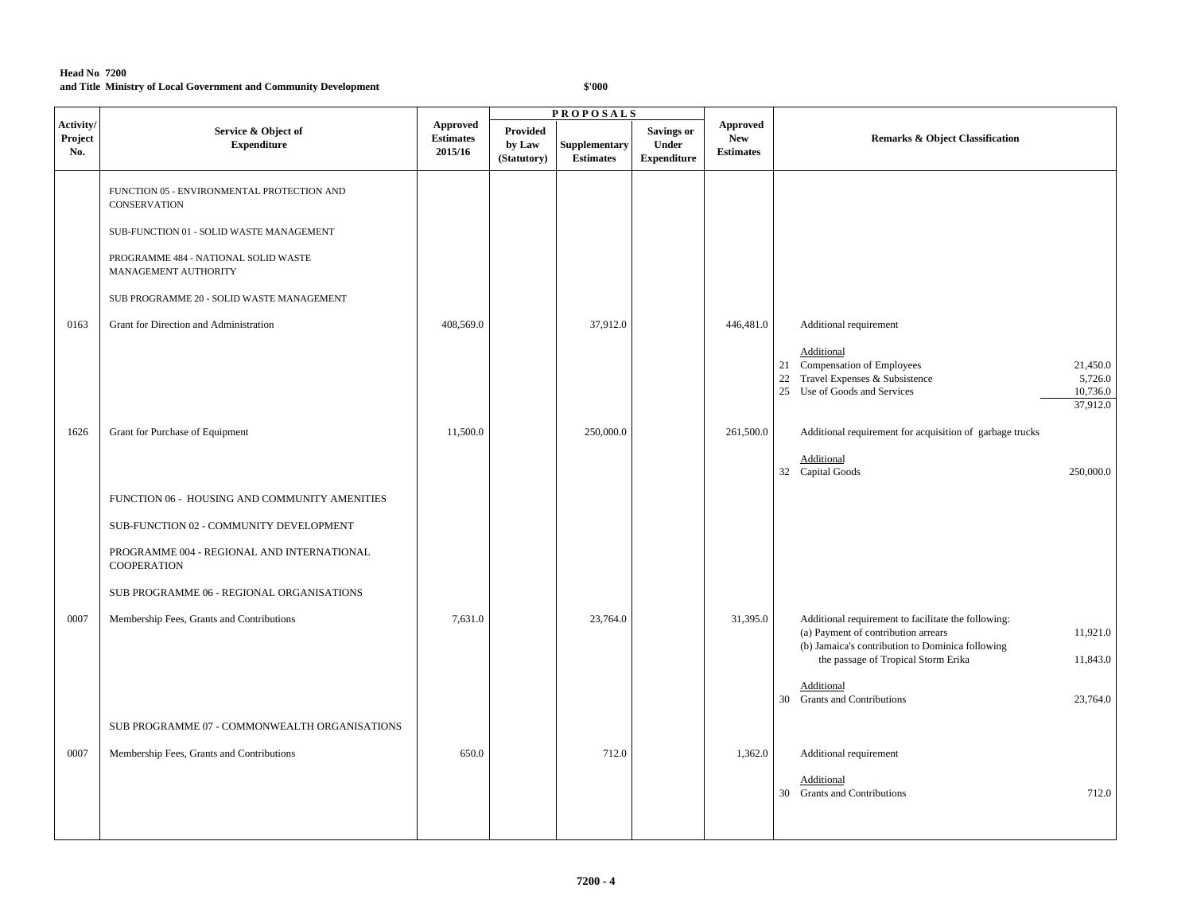|                             |                                                                  |                                                |                                          | <b>PROPOSALS</b>                  |                                                  |                                            |                                                                                                                                                               |
|-----------------------------|------------------------------------------------------------------|------------------------------------------------|------------------------------------------|-----------------------------------|--------------------------------------------------|--------------------------------------------|---------------------------------------------------------------------------------------------------------------------------------------------------------------|
| Activity/<br>Project<br>No. | Service & Object of<br><b>Expenditure</b>                        | <b>Approved</b><br><b>Estimates</b><br>2015/16 | <b>Provided</b><br>by Law<br>(Statutory) | Supplementary<br><b>Estimates</b> | Savings or<br><b>Under</b><br><b>Expenditure</b> | Approved<br><b>New</b><br><b>Estimates</b> | <b>Remarks &amp; Object Classification</b>                                                                                                                    |
|                             | FUNCTION 05 - ENVIRONMENTAL PROTECTION AND<br>CONSERVATION       |                                                |                                          |                                   |                                                  |                                            |                                                                                                                                                               |
|                             | SUB-FUNCTION 01 - SOLID WASTE MANAGEMENT                         |                                                |                                          |                                   |                                                  |                                            |                                                                                                                                                               |
|                             | PROGRAMME 484 - NATIONAL SOLID WASTE<br>MANAGEMENT AUTHORITY     |                                                |                                          |                                   |                                                  |                                            |                                                                                                                                                               |
|                             | SUB PROGRAMME 20 - SOLID WASTE MANAGEMENT                        |                                                |                                          |                                   |                                                  |                                            |                                                                                                                                                               |
| 0163                        | Grant for Direction and Administration                           | 408,569.0                                      |                                          | 37,912.0                          |                                                  | 446,481.0                                  | Additional requirement                                                                                                                                        |
|                             |                                                                  |                                                |                                          |                                   |                                                  |                                            | Additional<br>21 Compensation of Employees<br>21,450.0<br>22 Travel Expenses & Subsistence<br>5,726.0<br>25 Use of Goods and Services<br>10,736.0<br>37,912.0 |
| 1626                        | Grant for Purchase of Equipment                                  | 11,500.0                                       |                                          | 250,000.0                         |                                                  | 261,500.0                                  | Additional requirement for acquisition of garbage trucks                                                                                                      |
|                             |                                                                  |                                                |                                          |                                   |                                                  |                                            | Additional<br>32 Capital Goods<br>250,000.0                                                                                                                   |
|                             | FUNCTION 06 - HOUSING AND COMMUNITY AMENITIES                    |                                                |                                          |                                   |                                                  |                                            |                                                                                                                                                               |
|                             | SUB-FUNCTION 02 - COMMUNITY DEVELOPMENT                          |                                                |                                          |                                   |                                                  |                                            |                                                                                                                                                               |
|                             | PROGRAMME 004 - REGIONAL AND INTERNATIONAL<br><b>COOPERATION</b> |                                                |                                          |                                   |                                                  |                                            |                                                                                                                                                               |
|                             | SUB PROGRAMME 06 - REGIONAL ORGANISATIONS                        |                                                |                                          |                                   |                                                  |                                            |                                                                                                                                                               |
| 0007                        | Membership Fees, Grants and Contributions                        | 7,631.0                                        |                                          | 23,764.0                          |                                                  | 31,395.0                                   | Additional requirement to facilitate the following:<br>11,921.0<br>(a) Payment of contribution arrears<br>(b) Jamaica's contribution to Dominica following    |
|                             |                                                                  |                                                |                                          |                                   |                                                  |                                            | 11,843.0<br>the passage of Tropical Storm Erika                                                                                                               |
|                             |                                                                  |                                                |                                          |                                   |                                                  |                                            | Additional<br>30 Grants and Contributions<br>23,764.0                                                                                                         |
|                             | SUB PROGRAMME 07 - COMMONWEALTH ORGANISATIONS                    |                                                |                                          |                                   |                                                  |                                            |                                                                                                                                                               |
| 0007                        | Membership Fees, Grants and Contributions                        | 650.0                                          |                                          | 712.0                             |                                                  | 1,362.0                                    | Additional requirement                                                                                                                                        |
|                             |                                                                  |                                                |                                          |                                   |                                                  |                                            | Additional<br>30 Grants and Contributions<br>712.0                                                                                                            |
|                             |                                                                  |                                                |                                          |                                   |                                                  |                                            |                                                                                                                                                               |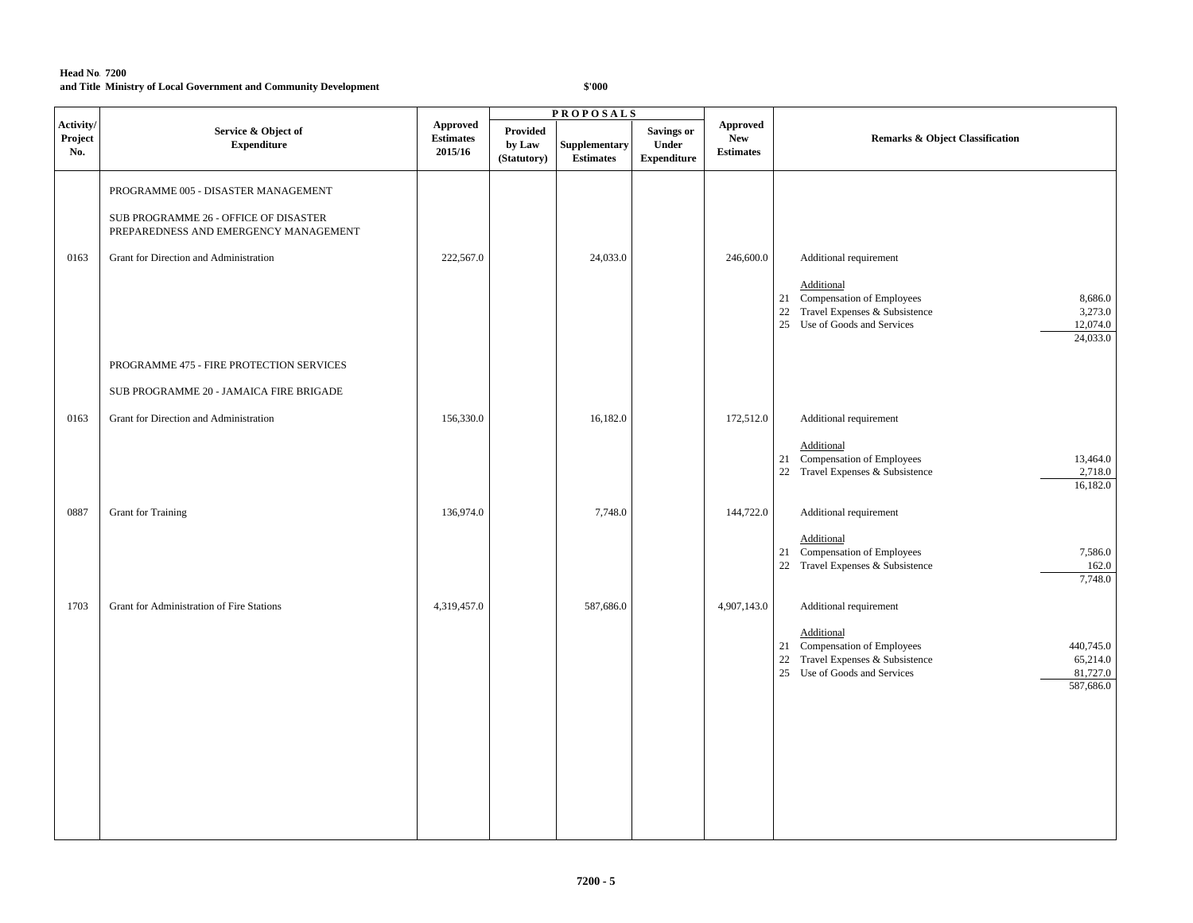|                             |                                                                                |                                         |                                   | <b>PROPOSALS</b>                  |                                                  |                                            |                                                                                                                                                                  |
|-----------------------------|--------------------------------------------------------------------------------|-----------------------------------------|-----------------------------------|-----------------------------------|--------------------------------------------------|--------------------------------------------|------------------------------------------------------------------------------------------------------------------------------------------------------------------|
| Activity/<br>Project<br>No. | Service & Object of<br><b>Expenditure</b>                                      | Approved<br><b>Estimates</b><br>2015/16 | Provided<br>by Law<br>(Statutory) | Supplementary<br><b>Estimates</b> | <b>Savings or</b><br>Under<br><b>Expenditure</b> | Approved<br><b>New</b><br><b>Estimates</b> | <b>Remarks &amp; Object Classification</b>                                                                                                                       |
|                             | PROGRAMME 005 - DISASTER MANAGEMENT                                            |                                         |                                   |                                   |                                                  |                                            |                                                                                                                                                                  |
|                             | SUB PROGRAMME 26 - OFFICE OF DISASTER<br>PREPAREDNESS AND EMERGENCY MANAGEMENT |                                         |                                   |                                   |                                                  |                                            |                                                                                                                                                                  |
| 0163                        | Grant for Direction and Administration                                         | 222,567.0                               |                                   | 24,033.0                          |                                                  | 246,600.0                                  | Additional requirement                                                                                                                                           |
|                             |                                                                                |                                         |                                   |                                   |                                                  |                                            | Additional<br>21 Compensation of Employees<br>8,686.0<br>22 Travel Expenses & Subsistence<br>3,273.0<br>25 Use of Goods and Services<br>12,074.0<br>24,033.0     |
|                             | PROGRAMME 475 - FIRE PROTECTION SERVICES                                       |                                         |                                   |                                   |                                                  |                                            |                                                                                                                                                                  |
|                             | SUB PROGRAMME 20 - JAMAICA FIRE BRIGADE                                        |                                         |                                   |                                   |                                                  |                                            |                                                                                                                                                                  |
| 0163                        | Grant for Direction and Administration                                         | 156,330.0                               |                                   | 16,182.0                          |                                                  | 172,512.0                                  | Additional requirement                                                                                                                                           |
|                             |                                                                                |                                         |                                   |                                   |                                                  |                                            | Additional<br>21 Compensation of Employees<br>13,464.0<br>22 Travel Expenses & Subsistence<br>2,718.0<br>16,182.0                                                |
| 0887                        | Grant for Training                                                             | 136,974.0                               |                                   | 7,748.0                           |                                                  | 144,722.0                                  | Additional requirement                                                                                                                                           |
|                             |                                                                                |                                         |                                   |                                   |                                                  |                                            | Additional<br>21 Compensation of Employees<br>7,586.0<br>22 Travel Expenses & Subsistence<br>162.0<br>7,748.0                                                    |
| 1703                        | Grant for Administration of Fire Stations                                      | 4,319,457.0                             |                                   | 587,686.0                         |                                                  | 4,907,143.0                                | Additional requirement                                                                                                                                           |
|                             |                                                                                |                                         |                                   |                                   |                                                  |                                            | Additional<br>21 Compensation of Employees<br>440,745.0<br>22 Travel Expenses & Subsistence<br>65,214.0<br>25 Use of Goods and Services<br>81,727.0<br>587,686.0 |
|                             |                                                                                |                                         |                                   |                                   |                                                  |                                            |                                                                                                                                                                  |
|                             |                                                                                |                                         |                                   |                                   |                                                  |                                            |                                                                                                                                                                  |
|                             |                                                                                |                                         |                                   |                                   |                                                  |                                            |                                                                                                                                                                  |
|                             |                                                                                |                                         |                                   |                                   |                                                  |                                            |                                                                                                                                                                  |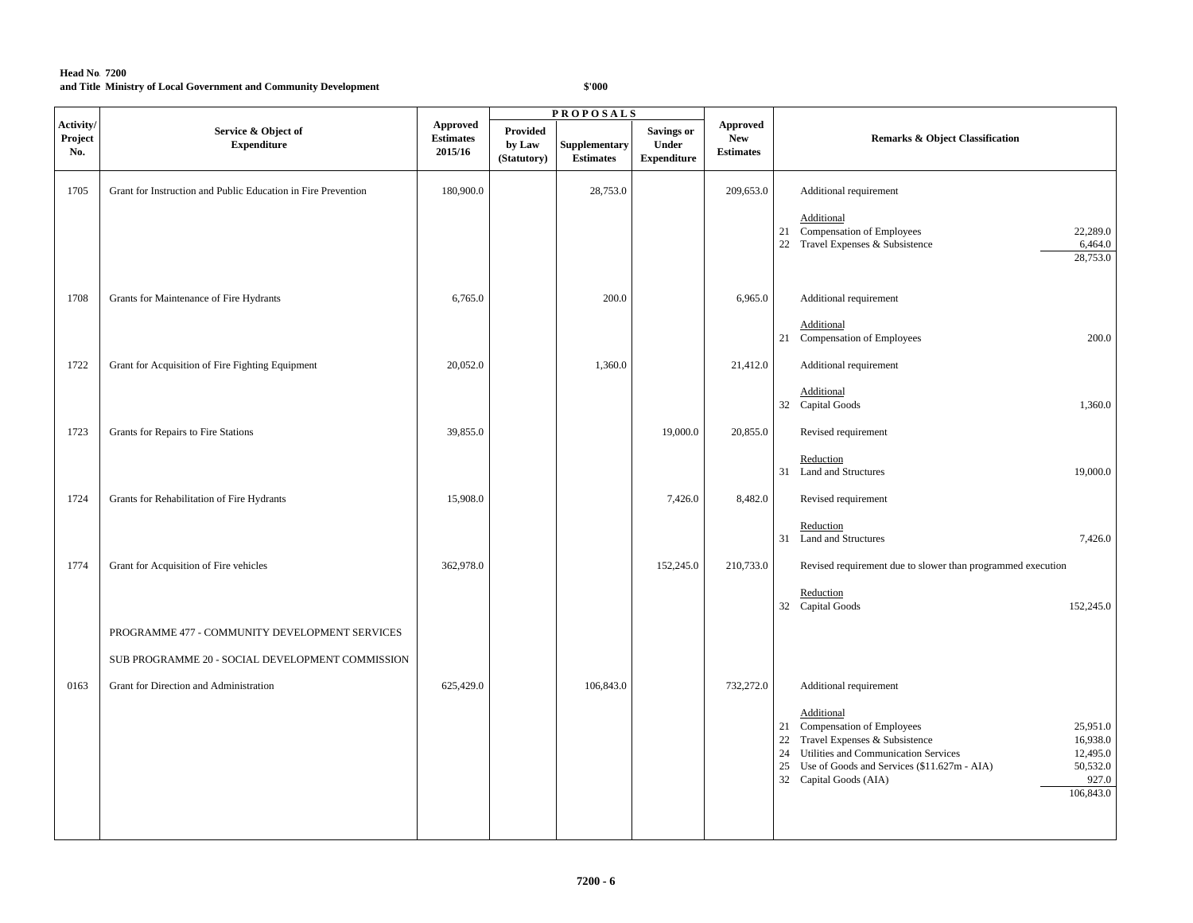|                             |                                                               | <b>PROPOSALS</b>                               |                                   |                                   |                                                  |                                                   |                                                                                                                                                                                                                                                                                |  |
|-----------------------------|---------------------------------------------------------------|------------------------------------------------|-----------------------------------|-----------------------------------|--------------------------------------------------|---------------------------------------------------|--------------------------------------------------------------------------------------------------------------------------------------------------------------------------------------------------------------------------------------------------------------------------------|--|
| Activity/<br>Project<br>No. | Service & Object of<br><b>Expenditure</b>                     | <b>Approved</b><br><b>Estimates</b><br>2015/16 | Provided<br>by Law<br>(Statutory) | Supplementary<br><b>Estimates</b> | <b>Savings or</b><br>Under<br><b>Expenditure</b> | <b>Approved</b><br><b>New</b><br><b>Estimates</b> | <b>Remarks &amp; Object Classification</b>                                                                                                                                                                                                                                     |  |
| 1705                        | Grant for Instruction and Public Education in Fire Prevention | 180,900.0                                      |                                   | 28,753.0                          |                                                  | 209,653.0                                         | Additional requirement                                                                                                                                                                                                                                                         |  |
|                             |                                                               |                                                |                                   |                                   |                                                  |                                                   | Additional<br>21 Compensation of Employees<br>22,289.0<br>22 Travel Expenses & Subsistence<br>6,464.0<br>28,753.0                                                                                                                                                              |  |
| 1708                        | Grants for Maintenance of Fire Hydrants                       | 6,765.0                                        |                                   | 200.0                             |                                                  | 6,965.0                                           | Additional requirement                                                                                                                                                                                                                                                         |  |
|                             |                                                               |                                                |                                   |                                   |                                                  |                                                   | Additional<br>21 Compensation of Employees<br>200.0                                                                                                                                                                                                                            |  |
| 1722                        | Grant for Acquisition of Fire Fighting Equipment              | 20,052.0                                       |                                   | 1,360.0                           |                                                  | 21,412.0                                          | Additional requirement                                                                                                                                                                                                                                                         |  |
|                             |                                                               |                                                |                                   |                                   |                                                  |                                                   | Additional<br>32 Capital Goods<br>1,360.0                                                                                                                                                                                                                                      |  |
| 1723                        | Grants for Repairs to Fire Stations                           | 39,855.0                                       |                                   |                                   | 19,000.0                                         | 20,855.0                                          | Revised requirement                                                                                                                                                                                                                                                            |  |
|                             |                                                               |                                                |                                   |                                   |                                                  |                                                   | Reduction<br>31 Land and Structures<br>19,000.0                                                                                                                                                                                                                                |  |
| 1724                        | Grants for Rehabilitation of Fire Hydrants                    | 15,908.0                                       |                                   |                                   | 7,426.0                                          | 8,482.0                                           | Revised requirement                                                                                                                                                                                                                                                            |  |
|                             |                                                               |                                                |                                   |                                   |                                                  |                                                   | Reduction<br>7,426.0<br>31 Land and Structures                                                                                                                                                                                                                                 |  |
| 1774                        | Grant for Acquisition of Fire vehicles                        | 362,978.0                                      |                                   |                                   | 152,245.0                                        | 210,733.0                                         | Revised requirement due to slower than programmed execution                                                                                                                                                                                                                    |  |
|                             |                                                               |                                                |                                   |                                   |                                                  |                                                   | Reduction<br>32 Capital Goods<br>152,245.0                                                                                                                                                                                                                                     |  |
|                             | PROGRAMME 477 - COMMUNITY DEVELOPMENT SERVICES                |                                                |                                   |                                   |                                                  |                                                   |                                                                                                                                                                                                                                                                                |  |
|                             | SUB PROGRAMME 20 - SOCIAL DEVELOPMENT COMMISSION              |                                                |                                   |                                   |                                                  |                                                   |                                                                                                                                                                                                                                                                                |  |
| 0163                        | Grant for Direction and Administration                        | 625,429.0                                      |                                   | 106,843.0                         |                                                  | 732,272.0                                         | Additional requirement                                                                                                                                                                                                                                                         |  |
|                             |                                                               |                                                |                                   |                                   |                                                  |                                                   | Additional<br>21 Compensation of Employees<br>25,951.0<br>Travel Expenses & Subsistence<br>16,938.0<br>22<br>24 Utilities and Communication Services<br>12,495.0<br>50,532.0<br>25 Use of Goods and Services (\$11.627m - AIA)<br>927.0<br>32 Capital Goods (AIA)<br>106,843.0 |  |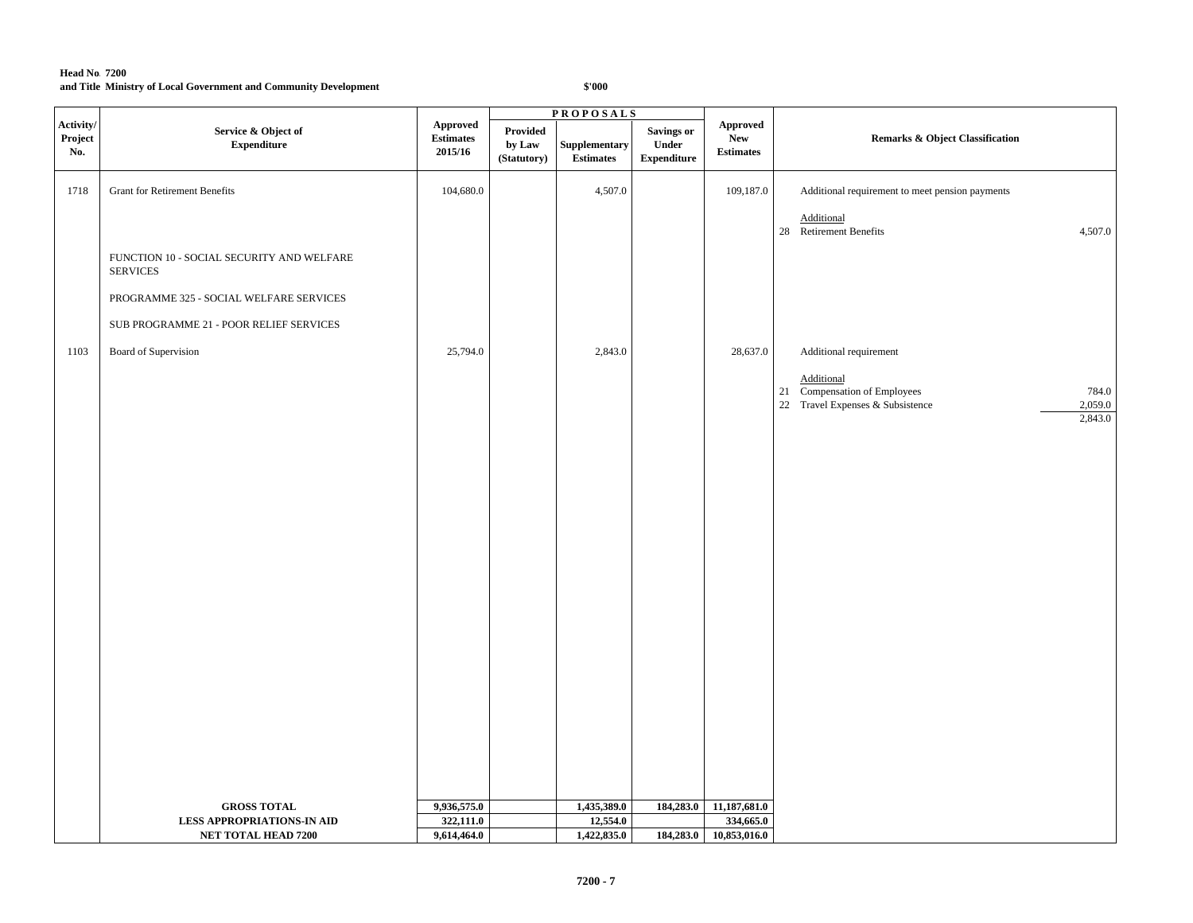|                             | <b>PROPOSALS</b>                                             |                                         |                                          |                                   |                                            |                                            |                                                                                                    |  |
|-----------------------------|--------------------------------------------------------------|-----------------------------------------|------------------------------------------|-----------------------------------|--------------------------------------------|--------------------------------------------|----------------------------------------------------------------------------------------------------|--|
| Activity/<br>Project<br>No. | Service & Object of<br><b>Expenditure</b>                    | Approved<br><b>Estimates</b><br>2015/16 | <b>Provided</b><br>by Law<br>(Statutory) | Supplementary<br><b>Estimates</b> | Savings or<br>Under<br>${\bf Expenditure}$ | Approved<br><b>New</b><br><b>Estimates</b> | <b>Remarks &amp; Object Classification</b>                                                         |  |
| 1718                        | <b>Grant for Retirement Benefits</b>                         | 104,680.0                               |                                          | 4,507.0                           |                                            | 109,187.0                                  | Additional requirement to meet pension payments                                                    |  |
|                             |                                                              |                                         |                                          |                                   |                                            |                                            | Additional<br>28 Retirement Benefits<br>4,507.0                                                    |  |
|                             | FUNCTION 10 - SOCIAL SECURITY AND WELFARE<br><b>SERVICES</b> |                                         |                                          |                                   |                                            |                                            |                                                                                                    |  |
|                             | PROGRAMME 325 - SOCIAL WELFARE SERVICES                      |                                         |                                          |                                   |                                            |                                            |                                                                                                    |  |
|                             | SUB PROGRAMME 21 - POOR RELIEF SERVICES                      |                                         |                                          |                                   |                                            |                                            |                                                                                                    |  |
| 1103                        | Board of Supervision                                         | 25,794.0                                |                                          | 2,843.0                           |                                            | 28,637.0                                   | Additional requirement                                                                             |  |
|                             |                                                              |                                         |                                          |                                   |                                            |                                            | Additional<br>21 Compensation of Employees<br>784.0<br>2,059.0<br>22 Travel Expenses & Subsistence |  |
|                             |                                                              |                                         |                                          |                                   |                                            |                                            | 2,843.0                                                                                            |  |
|                             |                                                              |                                         |                                          |                                   |                                            |                                            |                                                                                                    |  |
|                             |                                                              |                                         |                                          |                                   |                                            |                                            |                                                                                                    |  |
|                             |                                                              |                                         |                                          |                                   |                                            |                                            |                                                                                                    |  |
|                             |                                                              |                                         |                                          |                                   |                                            |                                            |                                                                                                    |  |
|                             |                                                              |                                         |                                          |                                   |                                            |                                            |                                                                                                    |  |
|                             |                                                              |                                         |                                          |                                   |                                            |                                            |                                                                                                    |  |
|                             |                                                              |                                         |                                          |                                   |                                            |                                            |                                                                                                    |  |
|                             |                                                              |                                         |                                          |                                   |                                            |                                            |                                                                                                    |  |
|                             |                                                              |                                         |                                          |                                   |                                            |                                            |                                                                                                    |  |
|                             |                                                              |                                         |                                          |                                   |                                            |                                            |                                                                                                    |  |
|                             |                                                              |                                         |                                          |                                   |                                            |                                            |                                                                                                    |  |
|                             |                                                              |                                         |                                          |                                   |                                            |                                            |                                                                                                    |  |
|                             |                                                              |                                         |                                          |                                   |                                            |                                            |                                                                                                    |  |
|                             | <b>GROSS TOTAL</b>                                           | 9,936,575.0                             |                                          | 1,435,389.0                       | 184,283.0                                  | 11,187,681.0                               |                                                                                                    |  |
|                             | <b>LESS APPROPRIATIONS-IN AID</b>                            | 322,111.0                               |                                          | 12,554.0                          |                                            | 334,665.0                                  |                                                                                                    |  |
|                             | <b>NET TOTAL HEAD 7200</b>                                   | 9,614,464.0                             |                                          | 1,422,835.0                       |                                            | 184,283.0 10,853,016.0                     |                                                                                                    |  |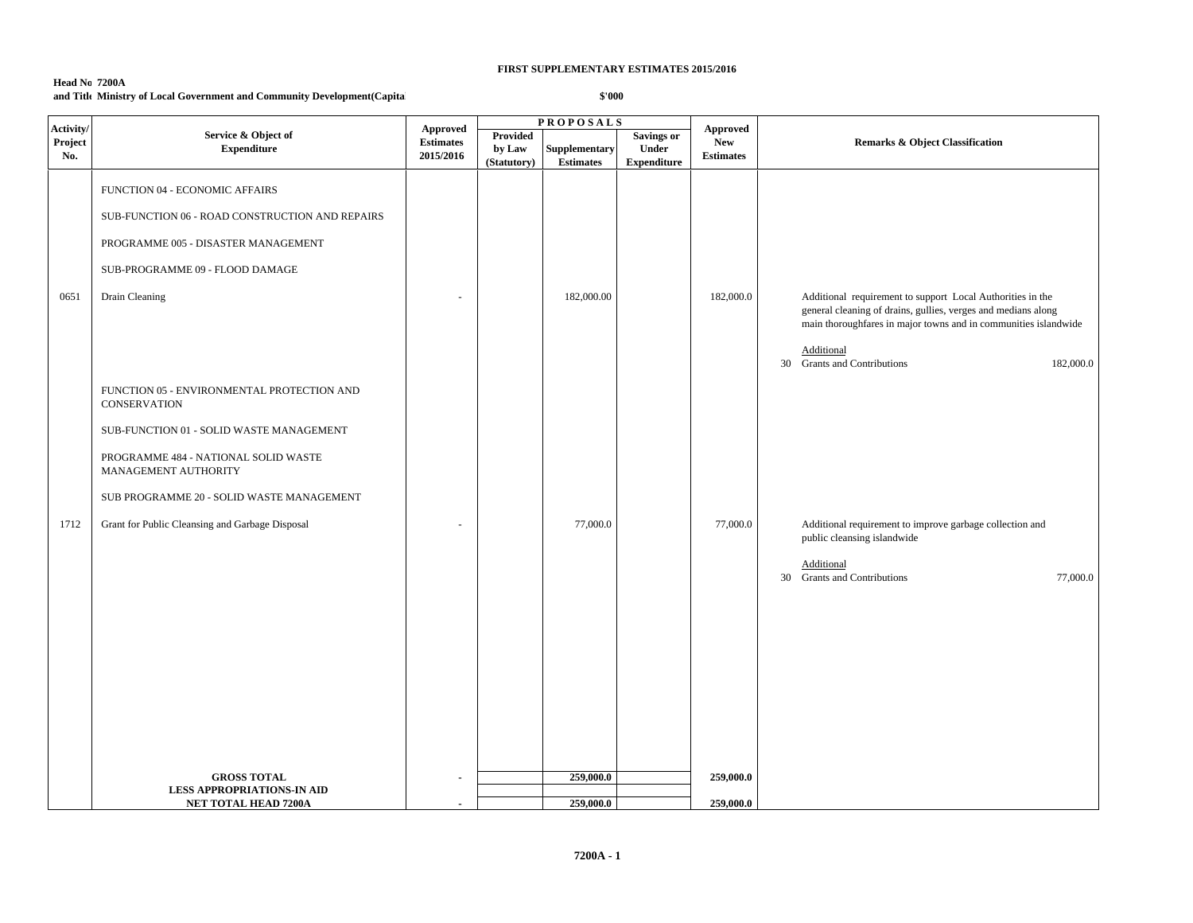# **Head No. 7200A**

# **and Title:Ministry of Local Government and Community Development(Capital)**

| Activity/      |                                                                                                                                                                                                                                                                               |                                                                          | <b>PROPOSALS</b>                         |                                          |                                                         |                                            |                                                                                                                                                                                                              |
|----------------|-------------------------------------------------------------------------------------------------------------------------------------------------------------------------------------------------------------------------------------------------------------------------------|--------------------------------------------------------------------------|------------------------------------------|------------------------------------------|---------------------------------------------------------|--------------------------------------------|--------------------------------------------------------------------------------------------------------------------------------------------------------------------------------------------------------------|
| Project<br>No. | Service & Object of<br><b>Expenditure</b>                                                                                                                                                                                                                                     | <b>Approved</b><br>$\label{p:estimates} \textbf{Estimates}$<br>2015/2016 | <b>Provided</b><br>by Law<br>(Statutory) | <b>Supplementary</b><br><b>Estimates</b> | <b>Savings or</b><br><b>Under</b><br><b>Expenditure</b> | Approved<br><b>New</b><br><b>Estimates</b> | <b>Remarks &amp; Object Classification</b>                                                                                                                                                                   |
| 0651           | FUNCTION 04 - ECONOMIC AFFAIRS<br>SUB-FUNCTION 06 - ROAD CONSTRUCTION AND REPAIRS<br>PROGRAMME 005 - DISASTER MANAGEMENT<br>SUB-PROGRAMME 09 - FLOOD DAMAGE<br>Drain Cleaning                                                                                                 |                                                                          |                                          | 182,000.00                               |                                                         | 182,000.0                                  | Additional requirement to support Local Authorities in the<br>general cleaning of drains, gullies, verges and medians along<br>main thoroughfares in major towns and in communities islandwide<br>Additional |
| 1712           | FUNCTION 05 - ENVIRONMENTAL PROTECTION AND<br><b>CONSERVATION</b><br>SUB-FUNCTION 01 - SOLID WASTE MANAGEMENT<br>PROGRAMME 484 - NATIONAL SOLID WASTE<br>MANAGEMENT AUTHORITY<br>SUB PROGRAMME 20 - SOLID WASTE MANAGEMENT<br>Grant for Public Cleansing and Garbage Disposal |                                                                          |                                          | 77,000.0                                 |                                                         | 77,000.0                                   | 30 Grants and Contributions<br>182,000.0<br>Additional requirement to improve garbage collection and                                                                                                         |
|                |                                                                                                                                                                                                                                                                               |                                                                          |                                          |                                          |                                                         |                                            | public cleansing islandwide<br>Additional<br>30 Grants and Contributions<br>77,000.0                                                                                                                         |
|                | <b>GROSS TOTAL</b><br><b>LESS APPROPRIATIONS-IN AID</b><br>NET TOTAL HEAD 7200A                                                                                                                                                                                               |                                                                          |                                          | 259,000.0<br>259,000.0                   |                                                         | 259,000.0<br>259,000.0                     |                                                                                                                                                                                                              |